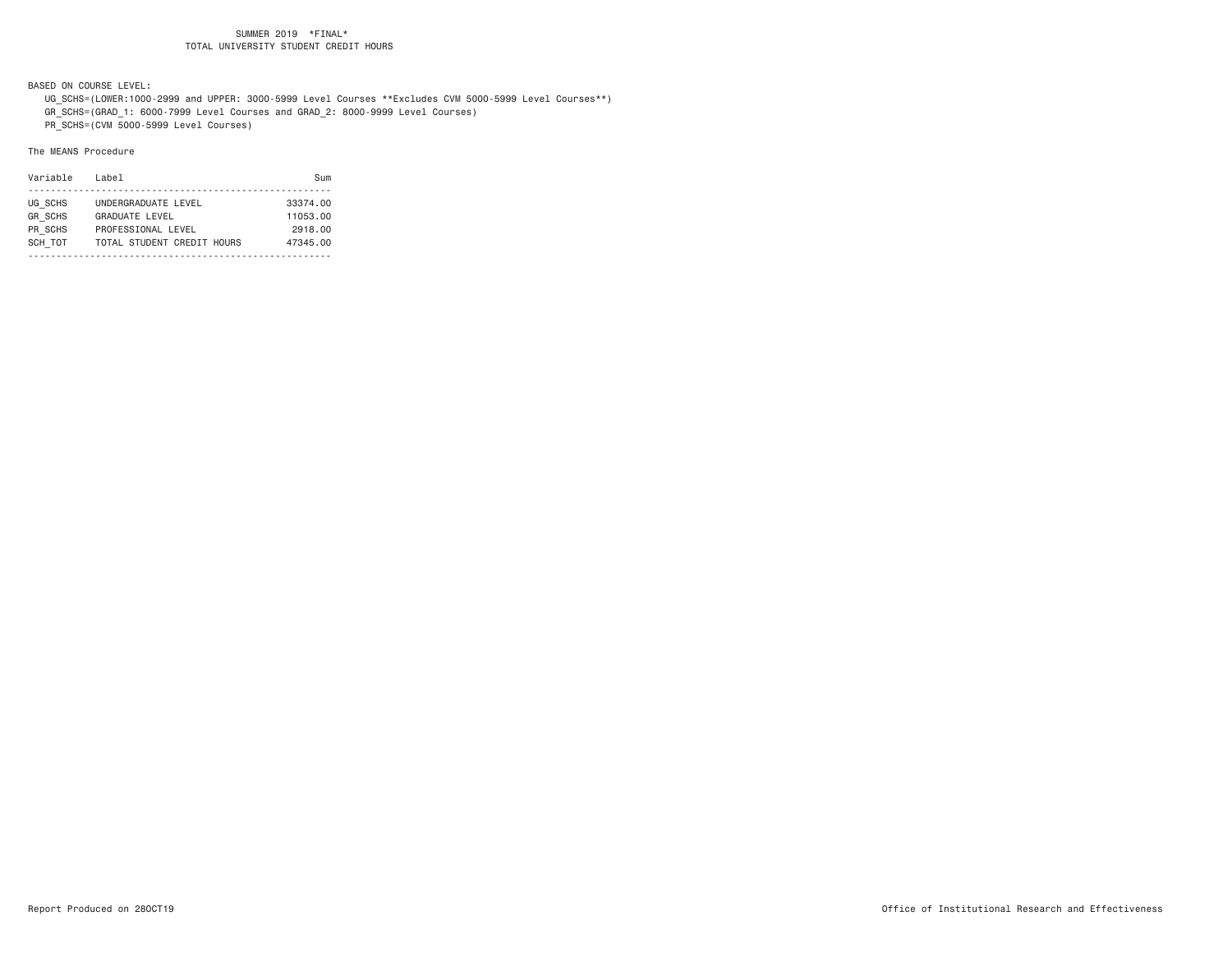BASED ON COURSE LEVEL:

UG\_SCHS=(LOWER:1000-2999 and UPPER: 3000-5999 Level Courses \*\*Excludes CVM 5000-5999 Level Courses\*\*)

GR\_SCHS=(GRAD\_1: 6000-7999 Level Courses and GRAD\_2: 8000-9999 Level Courses)

PR\_SCHS=(CVM 5000-5999 Level Courses)

| Variable       | Label                      | Sum      |
|----------------|----------------------------|----------|
|                |                            |          |
| UG SCHS        | UNDERGRADUATE LEVEL        | 33374.00 |
| <b>GR SCHS</b> | <b>GRADUATE LEVEL</b>      | 11053.00 |
| PR SCHS        | PROFESSIONAL LEVEL         | 2918.00  |
| SCH TOT        | TOTAL STUDENT CREDIT HOURS | 47345.00 |
|                |                            |          |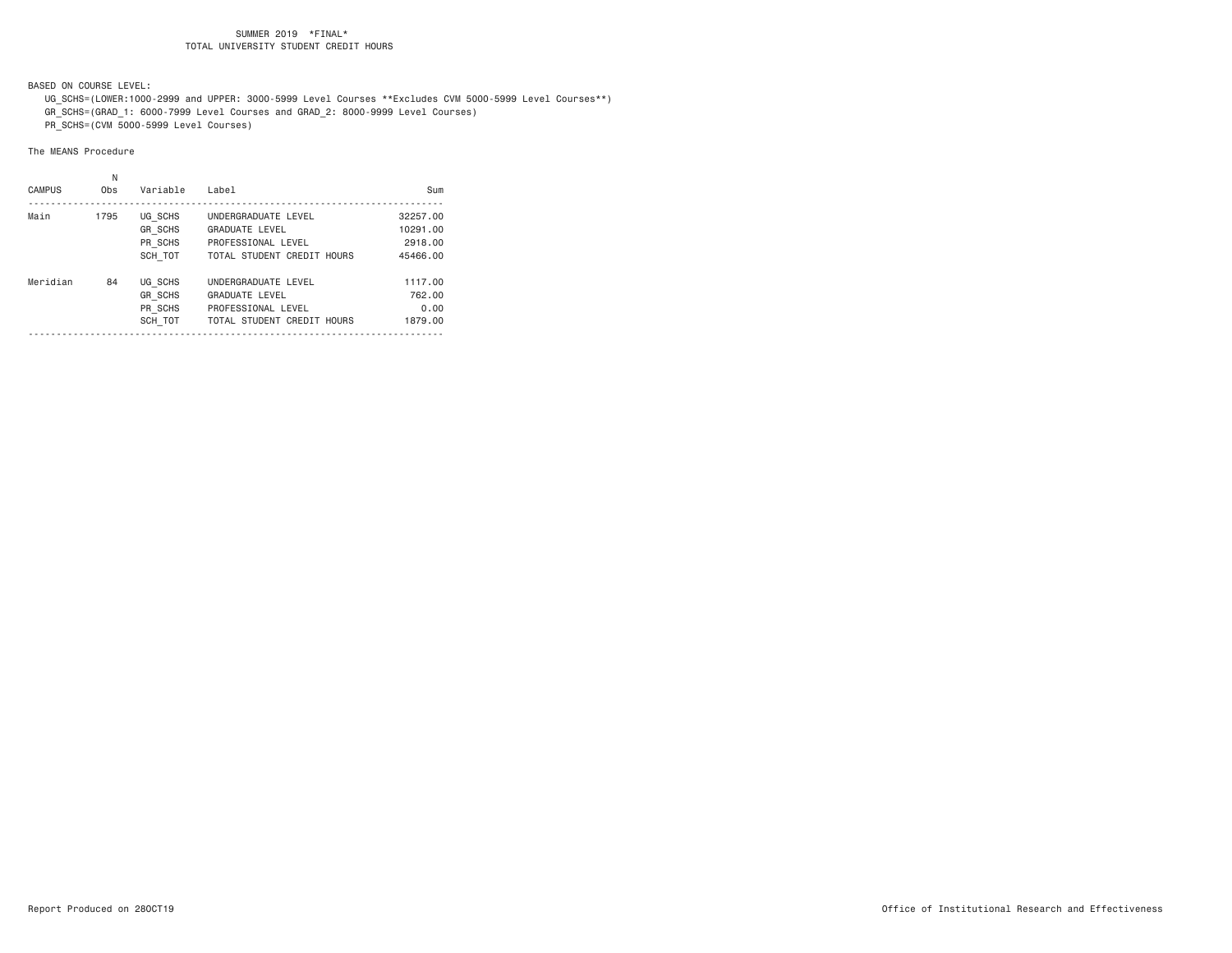BASED ON COURSE LEVEL:

 UG\_SCHS=(LOWER:1000-2999 and UPPER: 3000-5999 Level Courses \*\*Excludes CVM 5000-5999 Level Courses\*\*) GR\_SCHS=(GRAD\_1: 6000-7999 Level Courses and GRAD\_2: 8000-9999 Level Courses)

PR\_SCHS=(CVM 5000-5999 Level Courses)

|               | Ν    |                |                            |          |
|---------------|------|----------------|----------------------------|----------|
| <b>CAMPUS</b> | Obs  | Variable       | Label                      | Sum      |
| Main          | 1795 | UG SCHS        | UNDERGRADUATE LEVEL        | 32257.00 |
|               |      | <b>GR SCHS</b> | GRADUATE LEVEL             | 10291.00 |
|               |      | PR SCHS        | PROFESSIONAL LEVEL         | 2918,00  |
|               |      | SCH TOT        | TOTAL STUDENT CREDIT HOURS | 45466.00 |
| Meridian      | 84   | UG SCHS        | UNDERGRADUATE LEVEL        | 1117.00  |
|               |      | <b>GR SCHS</b> | <b>GRADUATE LEVEL</b>      | 762,00   |
|               |      | PR SCHS        | PROFESSIONAL LEVEL         | 0.00     |
|               |      | SCH TOT        | TOTAL STUDENT CREDIT HOURS | 1879.00  |
|               |      |                |                            |          |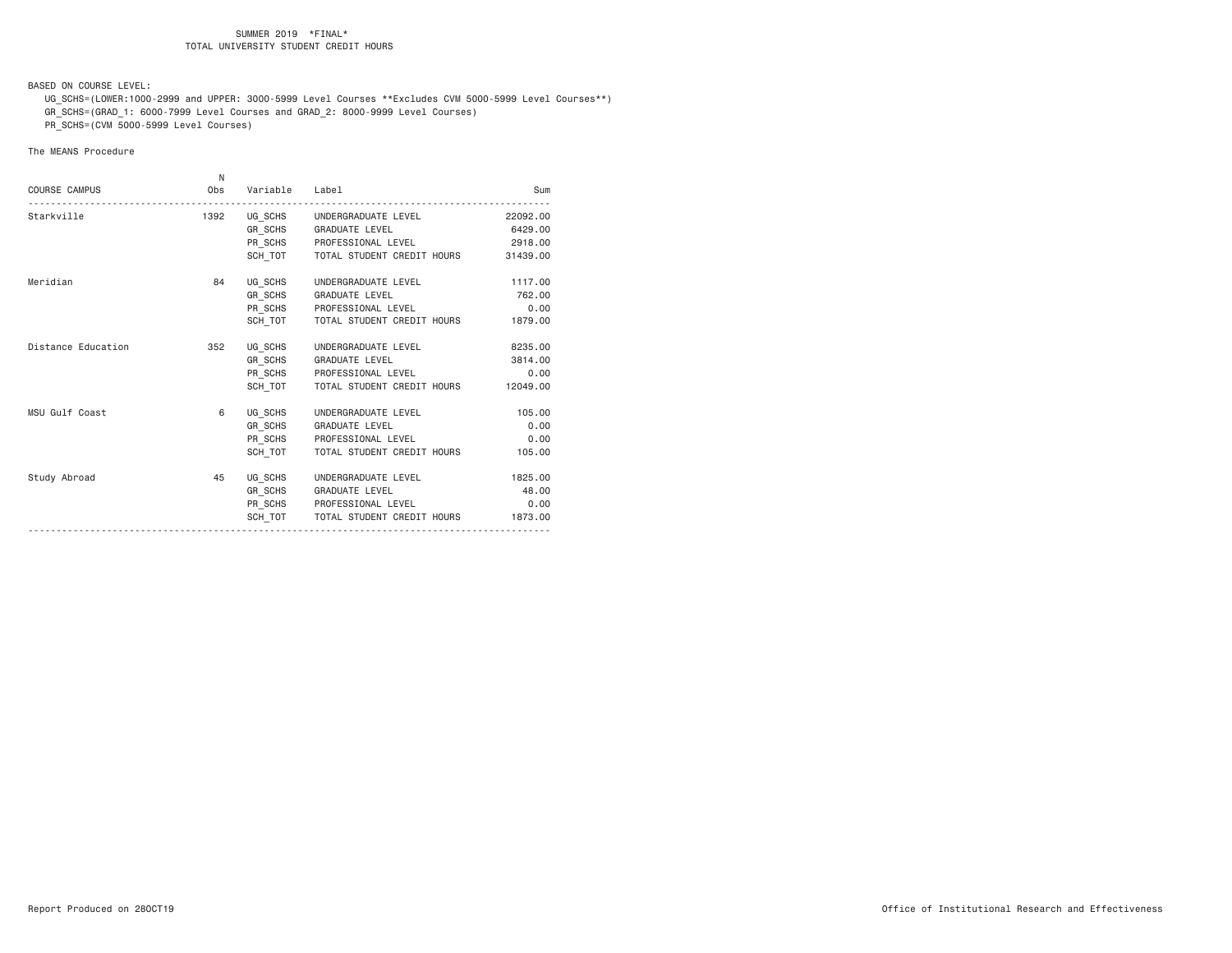BASED ON COURSE LEVEL:

 UG\_SCHS=(LOWER:1000-2999 and UPPER: 3000-5999 Level Courses \*\*Excludes CVM 5000-5999 Level Courses\*\*) GR\_SCHS=(GRAD\_1: 6000-7999 Level Courses and GRAD\_2: 8000-9999 Level Courses)

PR\_SCHS=(CVM 5000-5999 Level Courses)

|                      | N    |                |                                      |          |
|----------------------|------|----------------|--------------------------------------|----------|
| <b>COURSE CAMPUS</b> | Obs  | Variable Label |                                      | Sum      |
| Starkville           | 1392 |                | UG_SCHS    UNDERGRADUATE LEVEL       | 22092.00 |
|                      |      |                | GR_SCHS GRADUATE LEVEL               | 6429.00  |
|                      |      |                | PR SCHS PROFESSIONAL LEVEL           | 2918.00  |
|                      |      |                | SCH TOT   TOTAL STUDENT CREDIT HOURS | 31439.00 |
| Meridian             | 84   |                | UG_SCHS UNDERGRADUATE LEVEL          | 1117.00  |
|                      |      |                | GR_SCHS GRADUATE LEVEL               | 762.00   |
|                      |      |                | PR_SCHS PROFESSIONAL LEVEL           | 0.00     |
|                      |      |                | SCH_TOT TOTAL STUDENT CREDIT HOURS   | 1879.00  |
| Distance Education   | 352  |                | UG_SCHS UNDERGRADUATE LEVEL          | 8235.00  |
|                      |      |                | GR_SCHS GRADUATE LEVEL               | 3814.00  |
|                      |      |                | PR_SCHS PROFESSIONAL LEVEL           | 0.00     |
|                      |      |                | SCH TOT TOTAL STUDENT CREDIT HOURS   | 12049.00 |
| MSU Gulf Coast       | 6    |                | UG SCHS UNDERGRADUATE LEVEL          | 105.00   |
|                      |      |                | GR SCHS GRADUATE LEVEL               | 0.00     |
|                      |      |                | PR SCHS PROFESSIONAL LEVEL           | 0.00     |
|                      |      |                | SCH TOT   TOTAL STUDENT CREDIT HOURS | 105.00   |
| Study Abroad         | 45   |                | UG SCHS UNDERGRADUATE LEVEL          | 1825.00  |
|                      |      |                | GR SCHS GRADUATE LEVEL               | 48.00    |
|                      |      |                | PR_SCHS PROFESSIONAL LEVEL           | 0.00     |
|                      |      |                | SCH TOT   TOTAL STUDENT CREDIT HOURS | 1873.00  |
|                      |      |                |                                      |          |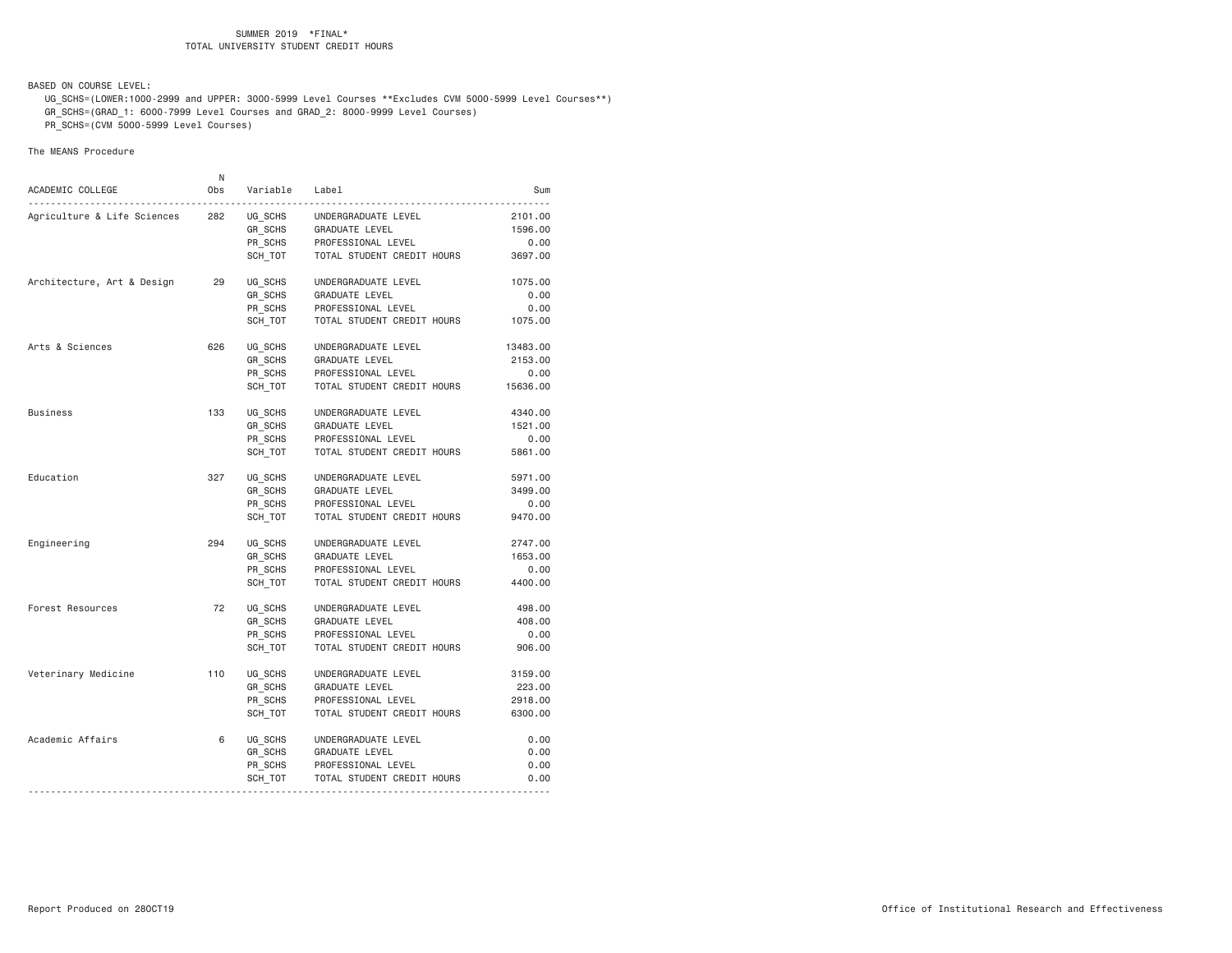BASED ON COURSE LEVEL:

 UG\_SCHS=(LOWER:1000-2999 and UPPER: 3000-5999 Level Courses \*\*Excludes CVM 5000-5999 Level Courses\*\*) GR\_SCHS=(GRAD\_1: 6000-7999 Level Courses and GRAD\_2: 8000-9999 Level Courses)

PR\_SCHS=(CVM 5000-5999 Level Courses)

|                             | N   |          |                            |          |
|-----------------------------|-----|----------|----------------------------|----------|
| ACADEMIC COLLEGE<br>.       | 0bs | Variable | Label                      | Sum      |
| Agriculture & Life Sciences | 282 | UG_SCHS  | UNDERGRADUATE LEVEL        | 2101.00  |
|                             |     | GR SCHS  | GRADUATE LEVEL             | 1596.00  |
|                             |     | PR SCHS  | PROFESSIONAL LEVEL         | 0.00     |
|                             |     | SCH_TOT  | TOTAL STUDENT CREDIT HOURS | 3697.00  |
| Architecture, Art & Design  | 29  | UG SCHS  | UNDERGRADUATE LEVEL        | 1075.00  |
|                             |     | GR SCHS  | <b>GRADUATE LEVEL</b>      | 0.00     |
|                             |     | PR SCHS  | PROFESSIONAL LEVEL         | 0.00     |
|                             |     | SCH_TOT  | TOTAL STUDENT CREDIT HOURS | 1075.00  |
| Arts & Sciences             | 626 | UG SCHS  | UNDERGRADUATE LEVEL        | 13483.00 |
|                             |     | GR_SCHS  | GRADUATE LEVEL             | 2153.00  |
|                             |     | PR SCHS  | PROFESSIONAL LEVEL         | 0.00     |
|                             |     | SCH TOT  | TOTAL STUDENT CREDIT HOURS | 15636.00 |
| <b>Business</b>             | 133 | UG SCHS  | UNDERGRADUATE LEVEL        | 4340.00  |
|                             |     | GR_SCHS  | GRADUATE LEVEL             | 1521.00  |
|                             |     | PR SCHS  | PROFESSIONAL LEVEL         | 0.00     |
|                             |     | SCH TOT  | TOTAL STUDENT CREDIT HOURS | 5861.00  |
| Education                   | 327 | UG SCHS  | UNDERGRADUATE LEVEL        | 5971.00  |
|                             |     | GR SCHS  | <b>GRADUATE LEVEL</b>      | 3499.00  |
|                             |     | PR SCHS  | PROFESSIONAL LEVEL         | 0.00     |
|                             |     | SCH TOT  | TOTAL STUDENT CREDIT HOURS | 9470.00  |
| Engineering                 | 294 | UG SCHS  | UNDERGRADUATE LEVEL        | 2747.00  |
|                             |     | GR SCHS  | <b>GRADUATE LEVEL</b>      | 1653.00  |
|                             |     | PR_SCHS  | PROFESSIONAL LEVEL         | 0.00     |
|                             |     | SCH TOT  | TOTAL STUDENT CREDIT HOURS | 4400.00  |
| Forest Resources            | 72  | UG_SCHS  | UNDERGRADUATE LEVEL        | 498.00   |
|                             |     | GR SCHS  | GRADUATE LEVEL             | 408.00   |
|                             |     | PR SCHS  | PROFESSIONAL LEVEL         | 0.00     |
|                             |     | SCH TOT  | TOTAL STUDENT CREDIT HOURS | 906.00   |
| Veterinary Medicine         | 110 | UG SCHS  | UNDERGRADUATE LEVEL        | 3159.00  |
|                             |     | GR SCHS  | <b>GRADUATE LEVEL</b>      | 223.00   |
|                             |     | PR SCHS  | PROFESSIONAL LEVEL         | 2918.00  |
|                             |     | SCH TOT  | TOTAL STUDENT CREDIT HOURS | 6300.00  |
| Academic Affairs            | 6   | UG_SCHS  | UNDERGRADUATE LEVEL        | 0.00     |
|                             |     | GR_SCHS  | <b>GRADUATE LEVEL</b>      | 0.00     |
|                             |     | PR SCHS  | PROFESSIONAL LEVEL         | 0.00     |
|                             |     | SCH_TOT  | TOTAL STUDENT CREDIT HOURS | 0.00     |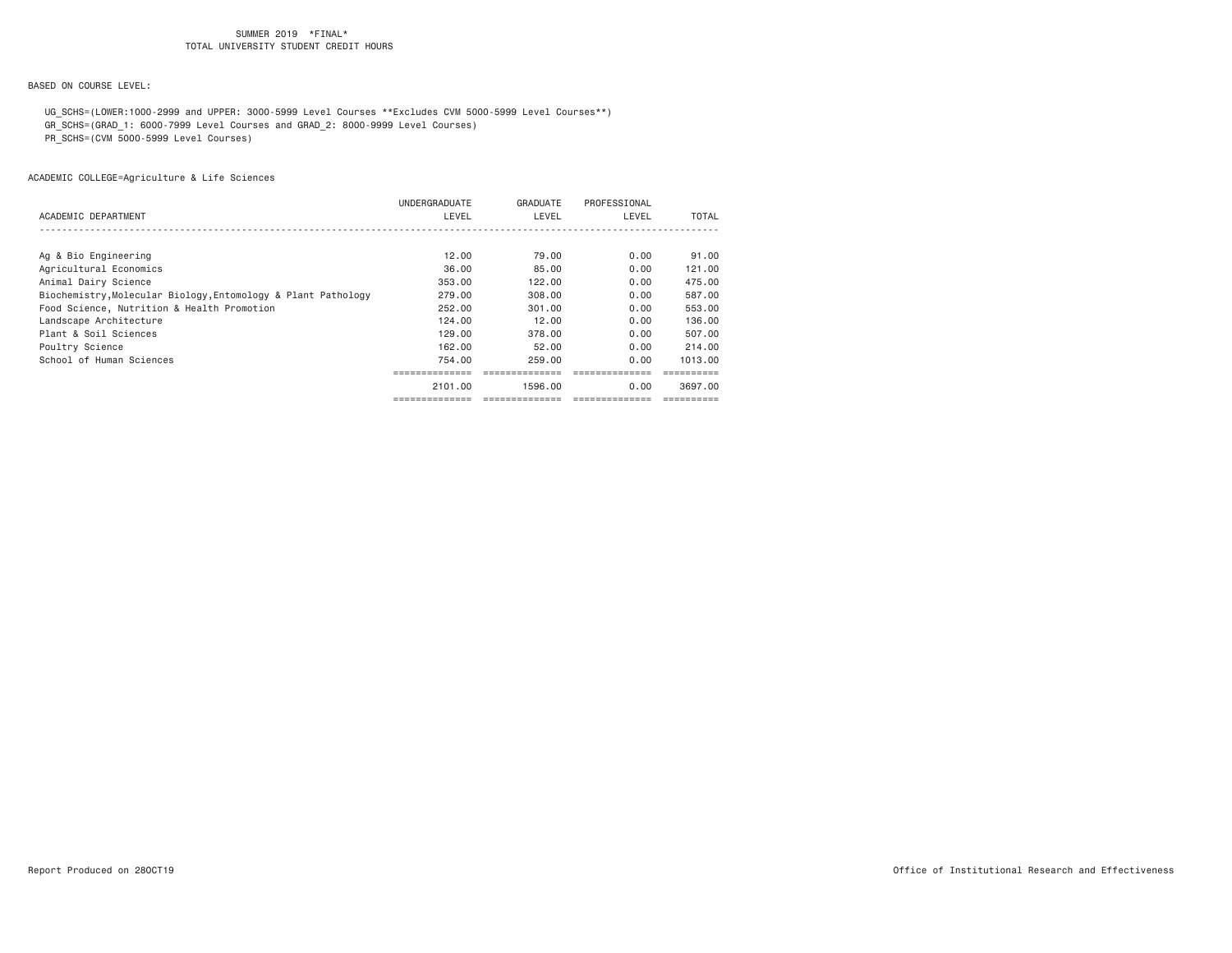BASED ON COURSE LEVEL:

 UG\_SCHS=(LOWER:1000-2999 and UPPER: 3000-5999 Level Courses \*\*Excludes CVM 5000-5999 Level Courses\*\*) GR\_SCHS=(GRAD\_1: 6000-7999 Level Courses and GRAD\_2: 8000-9999 Level Courses)

PR\_SCHS=(CVM 5000-5999 Level Courses)

|                                                               | UNDERGRADUATE | GRADUATE | PROFESSIONAL |              |
|---------------------------------------------------------------|---------------|----------|--------------|--------------|
| ACADEMIC DEPARTMENT                                           | LEVEL         | LEVEL    | LEVEL        | <b>TOTAL</b> |
|                                                               |               |          |              |              |
|                                                               |               |          |              |              |
| Ag & Bio Engineering                                          | 12.00         | 79.00    | 0.00         | 91.00        |
| Agricultural Economics                                        | 36,00         | 85,00    | 0.00         | 121.00       |
| Animal Dairy Science                                          | 353.00        | 122.00   | 0.00         | 475.00       |
| Biochemistry, Molecular Biology, Entomology & Plant Pathology | 279,00        | 308,00   | 0.00         | 587.00       |
| Food Science, Nutrition & Health Promotion                    | 252,00        | 301,00   | 0.00         | 553,00       |
| Landscape Architecture                                        | 124,00        | 12.00    | 0.00         | 136,00       |
| Plant & Soil Sciences                                         | 129,00        | 378,00   | 0.00         | 507.00       |
| Poultry Science                                               | 162.00        | 52.00    | 0.00         | 214,00       |
| School of Human Sciences                                      | 754.00        | 259.00   | 0.00         | 1013.00      |
|                                                               |               |          |              |              |
|                                                               | 2101.00       | 1596.00  | 0.00         | 3697.00      |
|                                                               | ----------    |          |              |              |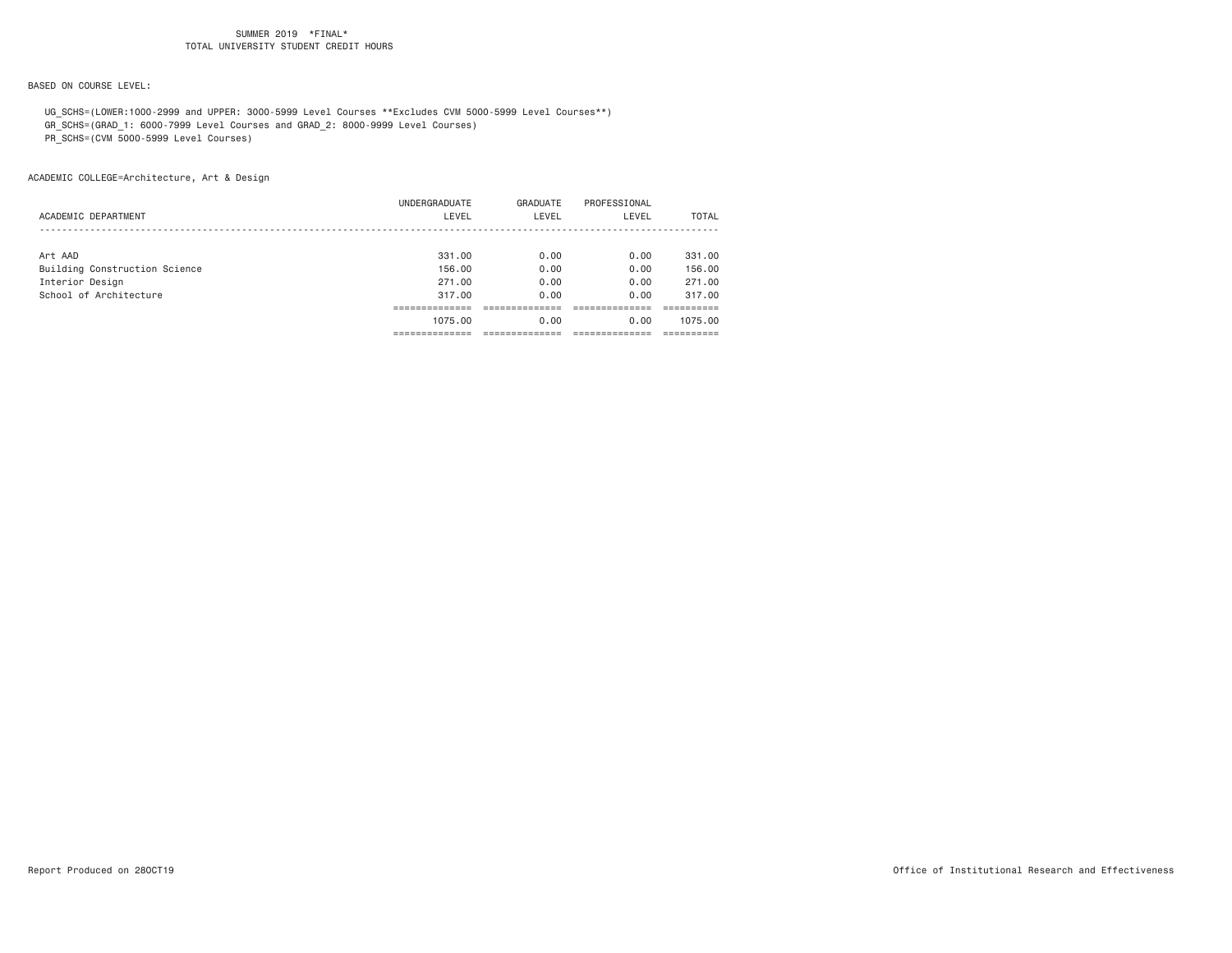# BASED ON COURSE LEVEL:

UG\_SCHS=(LOWER:1000-2999 and UPPER: 3000-5999 Level Courses \*\*Excludes CVM 5000-5999 Level Courses\*\*)

GR\_SCHS=(GRAD\_1: 6000-7999 Level Courses and GRAD\_2: 8000-9999 Level Courses)

PR\_SCHS=(CVM 5000-5999 Level Courses)

|                               | 1075.00       | 0.00     | 0.00         | 1075.00      |
|-------------------------------|---------------|----------|--------------|--------------|
|                               |               |          |              |              |
| School of Architecture        | 317.00        | 0.00     | 0.00         | 317.00       |
| Interior Design               | 271,00        | 0.00     | 0.00         | 271,00       |
| Building Construction Science | 156.00        | 0.00     | 0.00         | 156.00       |
| Art AAD                       | 331,00        | 0.00     | 0.00         | 331,00       |
|                               |               |          |              |              |
| ACADEMIC DEPARTMENT           | LEVEL         | LEVEL    | LEVEL        | <b>TOTAL</b> |
|                               | UNDERGRADUATE | GRADUATE | PROFESSIONAL |              |
|                               |               |          |              |              |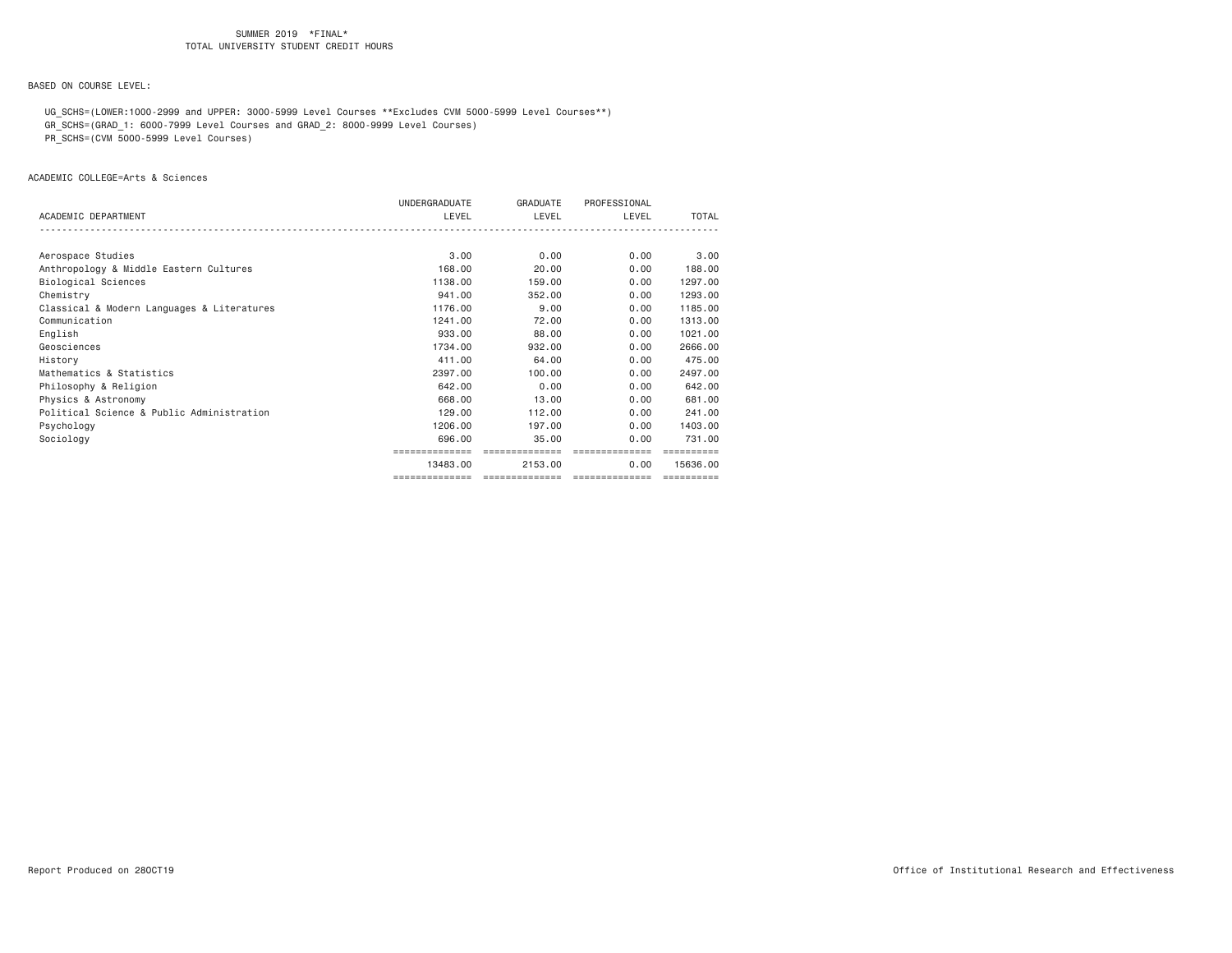BASED ON COURSE LEVEL:

 UG\_SCHS=(LOWER:1000-2999 and UPPER: 3000-5999 Level Courses \*\*Excludes CVM 5000-5999 Level Courses\*\*) GR\_SCHS=(GRAD\_1: 6000-7999 Level Courses and GRAD\_2: 8000-9999 Level Courses)

PR\_SCHS=(CVM 5000-5999 Level Courses)

ACADEMIC COLLEGE=Arts & Sciences

|                                            | UNDERGRADUATE  | GRADUATE | PROFESSIONAL                   |              |
|--------------------------------------------|----------------|----------|--------------------------------|--------------|
| ACADEMIC DEPARTMENT                        | LEVEL          | LEVEL    | LEVEL                          | <b>TOTAL</b> |
|                                            |                |          |                                |              |
| Aerospace Studies                          | 3.00           | 0.00     | 0.00                           | 3,00         |
| Anthropology & Middle Eastern Cultures     | 168,00         | 20,00    | 0.00                           | 188,00       |
| Biological Sciences                        | 1138,00        | 159,00   | 0.00                           | 1297.00      |
| Chemistry                                  | 941.00         | 352,00   | 0.00                           | 1293.00      |
| Classical & Modern Languages & Literatures | 1176.00        | 9.00     | 0.00                           | 1185.00      |
| Communication                              | 1241.00        | 72.00    | 0.00                           | 1313,00      |
| English                                    | 933,00         | 88,00    | 0.00                           | 1021.00      |
| Geosciences                                | 1734.00        | 932,00   | 0.00                           | 2666.00      |
| History                                    | 411,00         | 64.00    | 0.00                           | 475.00       |
| Mathematics & Statistics                   | 2397.00        | 100,00   | 0.00                           | 2497.00      |
| Philosophy & Religion                      | 642,00         | 0.00     | 0.00                           | 642.00       |
| Physics & Astronomy                        | 668,00         | 13,00    | 0.00                           | 681,00       |
| Political Science & Public Administration  | 129,00         | 112,00   | 0.00                           | 241,00       |
| Psychology                                 | 1206,00        | 197,00   | 0.00                           | 1403.00      |
| Sociology                                  | 696,00         | 35,00    | 0.00                           | 731.00       |
|                                            |                |          |                                |              |
|                                            | 13483.00       | 2153.00  | 0.00                           | 15636.00     |
|                                            | ============== |          | ============================== | ==========   |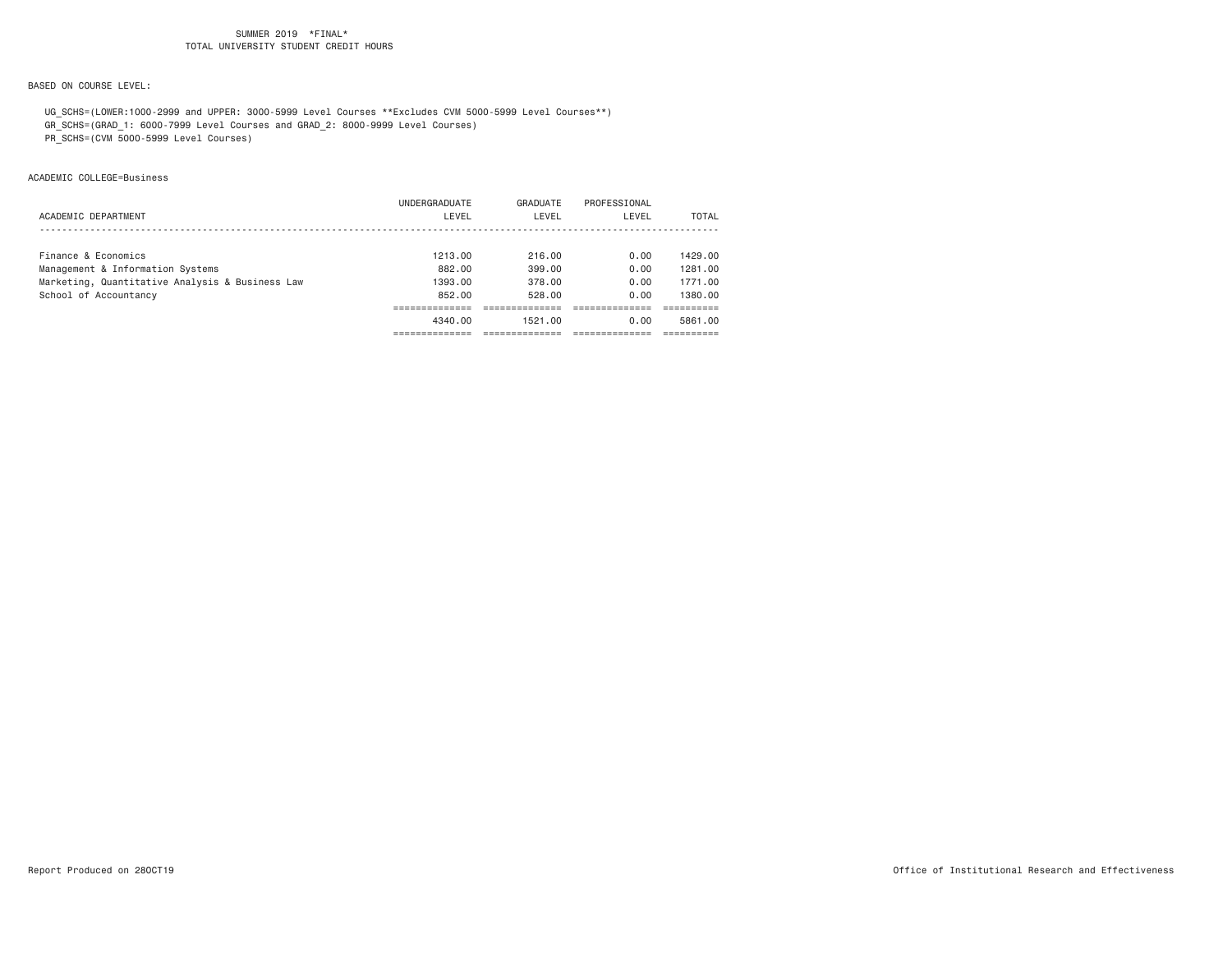# BASED ON COURSE LEVEL:

 UG\_SCHS=(LOWER:1000-2999 and UPPER: 3000-5999 Level Courses \*\*Excludes CVM 5000-5999 Level Courses\*\*) GR\_SCHS=(GRAD\_1: 6000-7999 Level Courses and GRAD\_2: 8000-9999 Level Courses)

PR\_SCHS=(CVM 5000-5999 Level Courses)

ACADEMIC COLLEGE=Business

|                                                 | 4340.00       | 1521.00  | 0.00         | 5861.00 |
|-------------------------------------------------|---------------|----------|--------------|---------|
|                                                 |               |          |              |         |
| School of Accountancy                           | 852.00        | 528.00   | 0.00         | 1380.00 |
| Marketing, Quantitative Analysis & Business Law | 1393.00       | 378.00   | 0.00         | 1771.00 |
| Management & Information Systems                | 882.00        | 399,00   | 0.00         | 1281.00 |
| Finance & Economics                             | 1213.00       | 216.00   | 0.00         | 1429.00 |
|                                                 |               |          |              |         |
| ACADEMIC DEPARTMENT                             | LEVEL         | LEVEL    | LEVEL        | TOTAL   |
|                                                 |               |          |              |         |
|                                                 | UNDERGRADUATE | GRADUATE | PROFESSIONAL |         |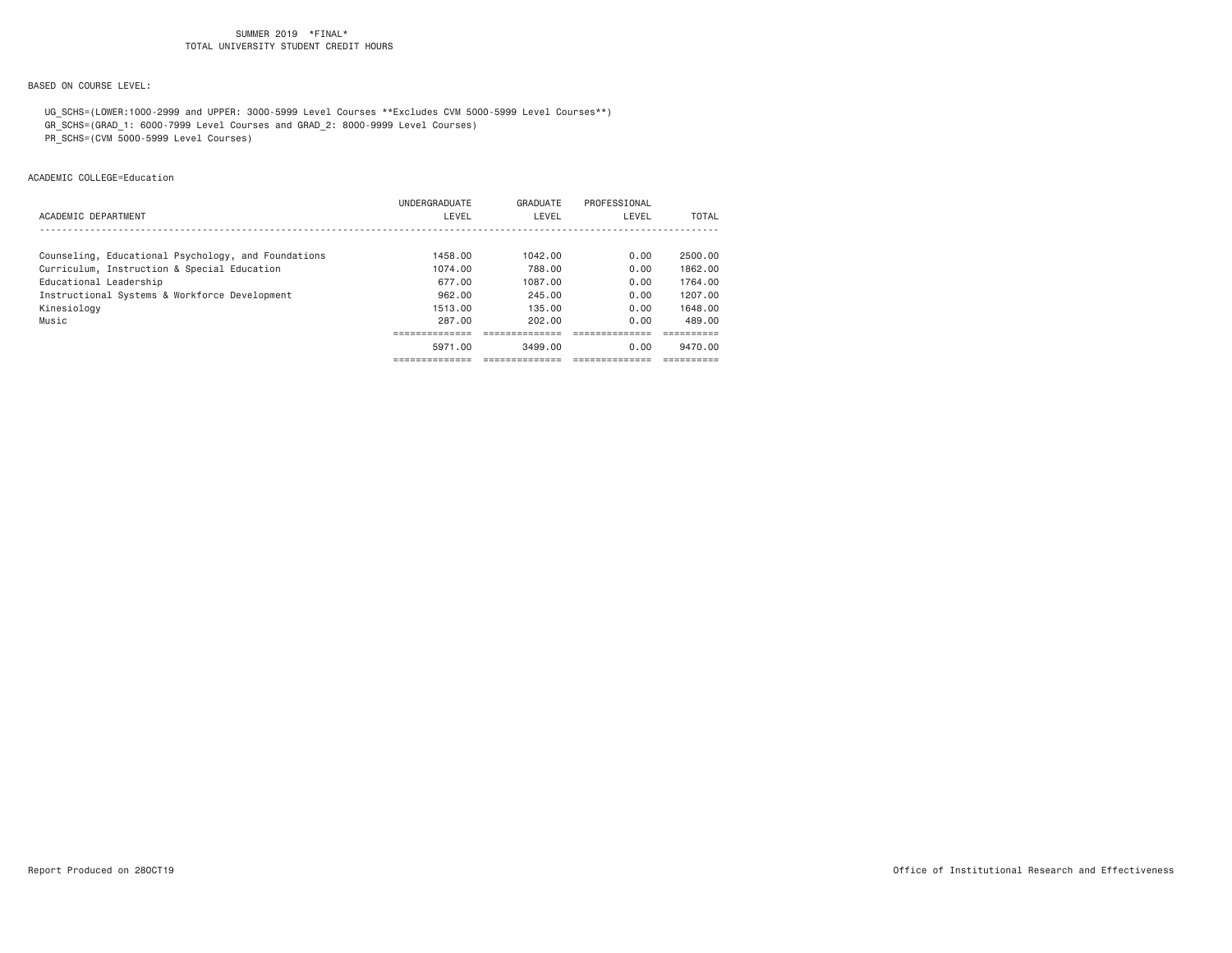# BASED ON COURSE LEVEL:

 UG\_SCHS=(LOWER:1000-2999 and UPPER: 3000-5999 Level Courses \*\*Excludes CVM 5000-5999 Level Courses\*\*) GR\_SCHS=(GRAD\_1: 6000-7999 Level Courses and GRAD\_2: 8000-9999 Level Courses)

PR\_SCHS=(CVM 5000-5999 Level Courses)

ACADEMIC COLLEGE=Education

|                                                     | 5971.00              | 3499.00  | 0.00         | 9470.00 |
|-----------------------------------------------------|----------------------|----------|--------------|---------|
|                                                     |                      |          |              |         |
| Music                                               | 287.00               | 202.00   | 0.00         | 489.00  |
| Kinesiology                                         | 1513.00              | 135.00   | 0.00         | 1648.00 |
| Instructional Systems & Workforce Development       | 962.00               | 245.00   | 0.00         | 1207.00 |
| Educational Leadership                              | 677.00               | 1087.00  | 0.00         | 1764.00 |
| Curriculum, Instruction & Special Education         | 1074.00              | 788.00   | 0.00         | 1862.00 |
| Counseling, Educational Psychology, and Foundations | 1458.00              | 1042.00  | 0.00         | 2500.00 |
|                                                     |                      |          |              |         |
| ACADEMIC DEPARTMENT                                 | LEVEL                | LEVEL    | LEVEL        | TOTAL   |
|                                                     | <b>UNDERGRADUATE</b> | GRADUATE | PROFESSIONAL |         |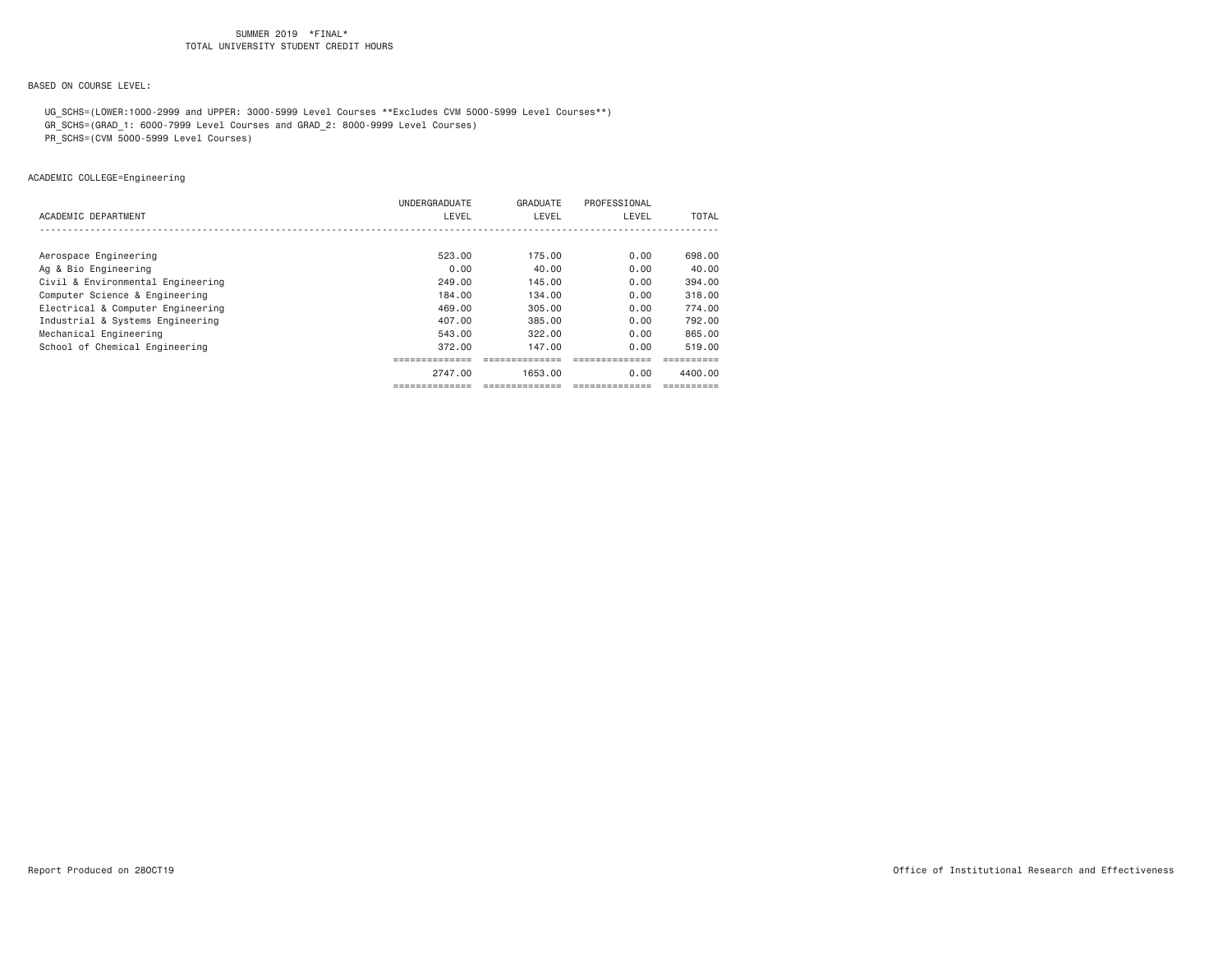## BASED ON COURSE LEVEL:

 UG\_SCHS=(LOWER:1000-2999 and UPPER: 3000-5999 Level Courses \*\*Excludes CVM 5000-5999 Level Courses\*\*) GR\_SCHS=(GRAD\_1: 6000-7999 Level Courses and GRAD\_2: 8000-9999 Level Courses)

PR\_SCHS=(CVM 5000-5999 Level Courses)

ACADEMIC COLLEGE=Engineering

| ACADEMIC DEPARTMENT               | UNDERGRADUATE<br>LEVEL | GRADUATE<br>LEVEL | PROFESSIONAL<br>LEVEL | TOTAL   |
|-----------------------------------|------------------------|-------------------|-----------------------|---------|
|                                   |                        |                   |                       |         |
| Aerospace Engineering             | 523.00                 | 175.00            | 0.00                  | 698,00  |
| Ag & Bio Engineering              | 0.00                   | 40.00             | 0.00                  | 40.00   |
| Civil & Environmental Engineering | 249.00                 | 145.00            | 0.00                  | 394.00  |
| Computer Science & Engineering    | 184,00                 | 134.00            | 0.00                  | 318,00  |
| Electrical & Computer Engineering | 469.00                 | 305.00            | 0.00                  | 774.00  |
| Industrial & Systems Engineering  | 407,00                 | 385,00            | 0.00                  | 792.00  |
| Mechanical Engineering            | 543.00                 | 322.00            | 0.00                  | 865.00  |
| School of Chemical Engineering    | 372,00                 | 147.00            | 0.00                  | 519.00  |
|                                   | ,-------------         |                   |                       |         |
|                                   | 2747.00                | 1653.00           | 0.00                  | 4400.00 |
|                                   | ------------           |                   |                       |         |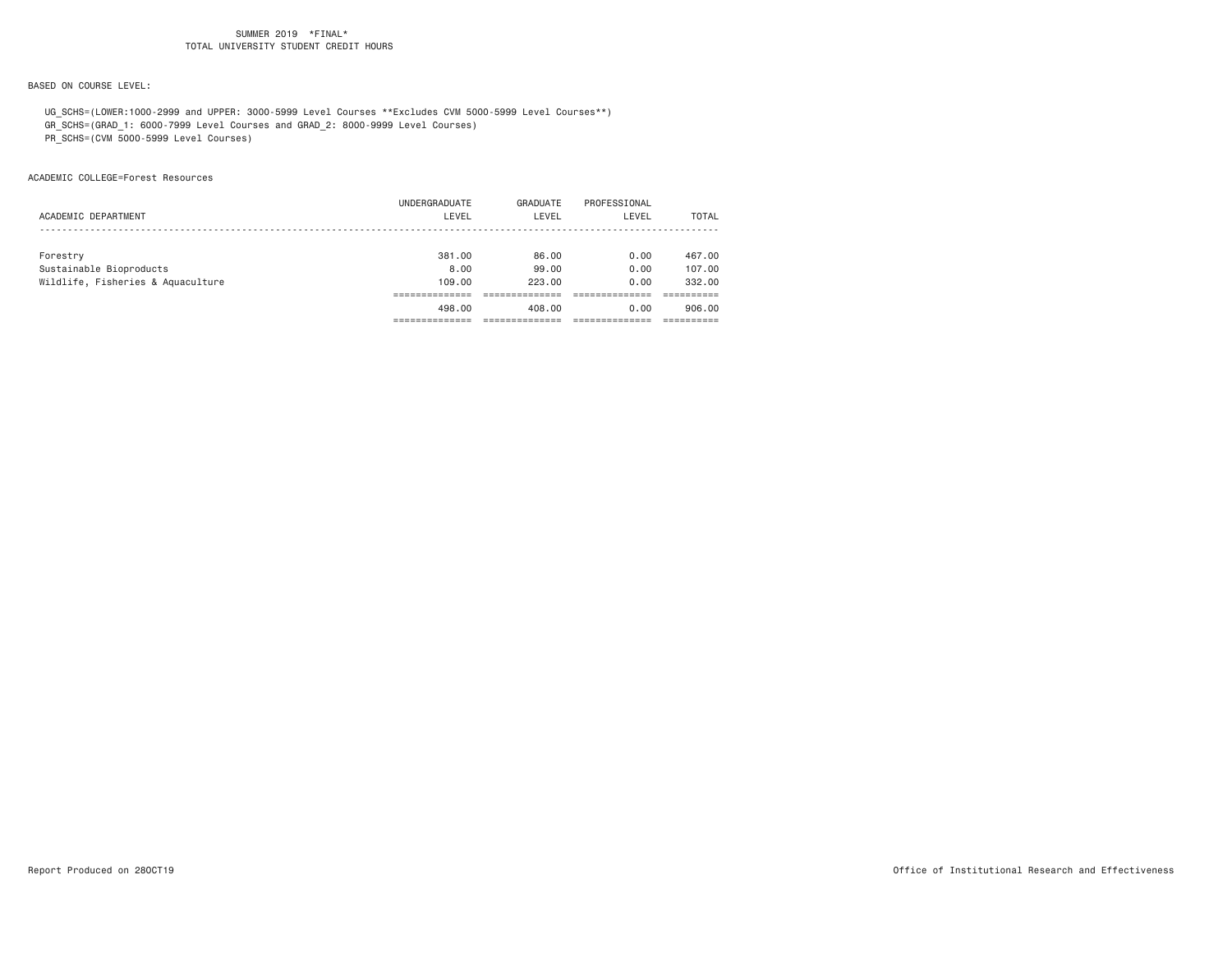# BASED ON COURSE LEVEL:

 UG\_SCHS=(LOWER:1000-2999 and UPPER: 3000-5999 Level Courses \*\*Excludes CVM 5000-5999 Level Courses\*\*) GR\_SCHS=(GRAD\_1: 6000-7999 Level Courses and GRAD\_2: 8000-9999 Level Courses)

PR\_SCHS=(CVM 5000-5999 Level Courses)

ACADEMIC COLLEGE=Forest Resources

|                                   | UNDERGRADUATE | GRADUATE | PROFESSIONAL |        |
|-----------------------------------|---------------|----------|--------------|--------|
| ACADEMIC DEPARTMENT               | LEVEL         | LEVEL    | LEVEL        | TOTAL  |
|                                   |               |          |              |        |
| Forestry                          | 381.00        | 86.00    | 0.00         | 467.00 |
| Sustainable Bioproducts           | 8.00          | 99,00    | 0.00         | 107.00 |
| Wildlife, Fisheries & Aquaculture | 109,00        | 223,00   | 0.00         | 332,00 |
|                                   |               |          |              |        |
|                                   | 498.00        | 408.00   | 0.00         | 906,00 |
|                                   |               |          |              |        |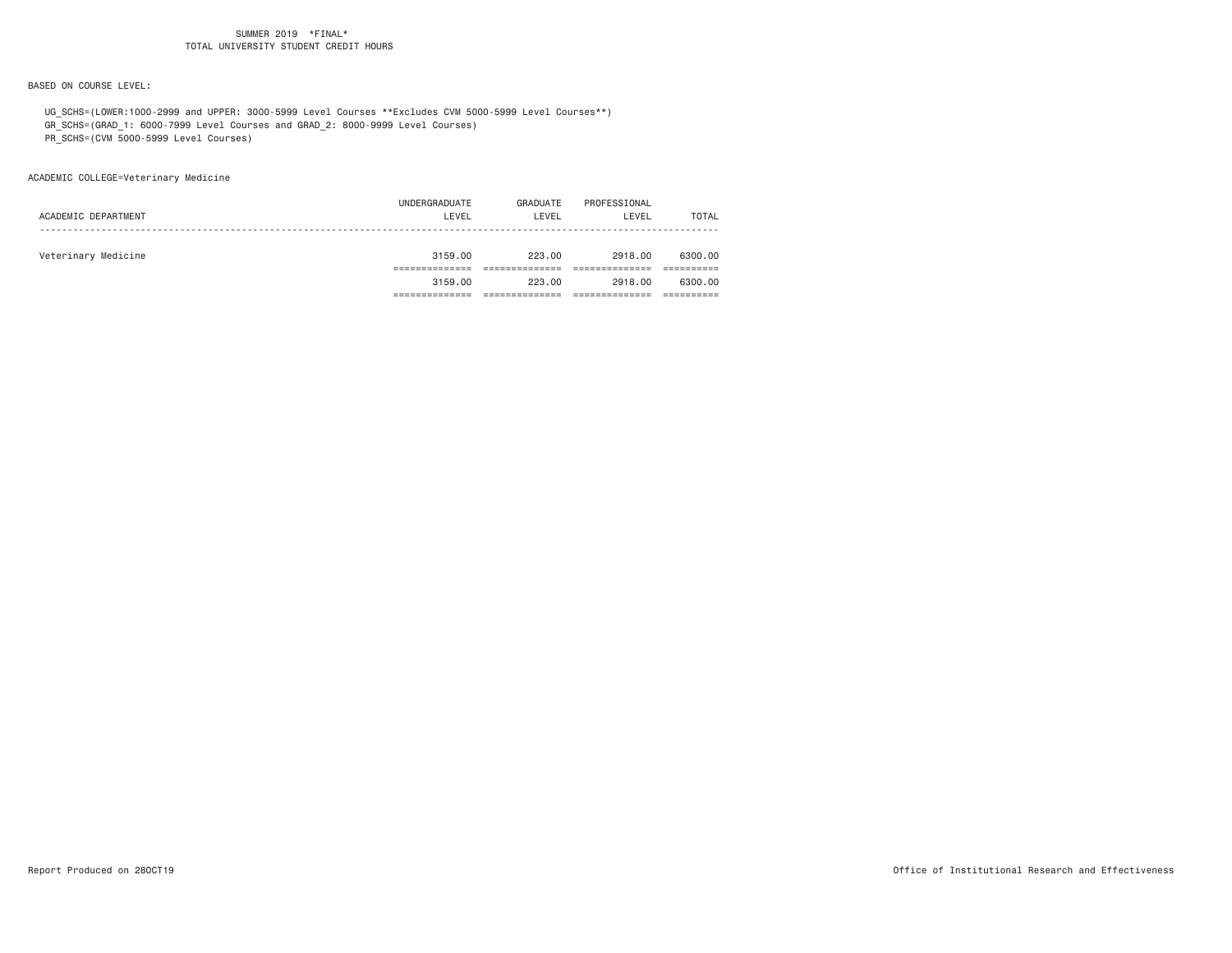BASED ON COURSE LEVEL:

 UG\_SCHS=(LOWER:1000-2999 and UPPER: 3000-5999 Level Courses \*\*Excludes CVM 5000-5999 Level Courses\*\*) GR\_SCHS=(GRAD\_1: 6000-7999 Level Courses and GRAD\_2: 8000-9999 Level Courses)

PR\_SCHS=(CVM 5000-5999 Level Courses)

ACADEMIC COLLEGE=Veterinary Medicine

| ACADEMIC DEPARTMENT | UNDERGRADUATE<br>LEVEL | GRADUATE<br>LEVEL | PROFESSIONAL<br>LEVEL | TOTAL   |
|---------------------|------------------------|-------------------|-----------------------|---------|
| Veterinary Medicine | 3159.00                | 223.00            | 2918,00               | 6300.00 |
|                     |                        |                   |                       |         |
|                     | 3159.00                | 223.00            | 2918.00               | 6300.00 |
|                     |                        |                   |                       |         |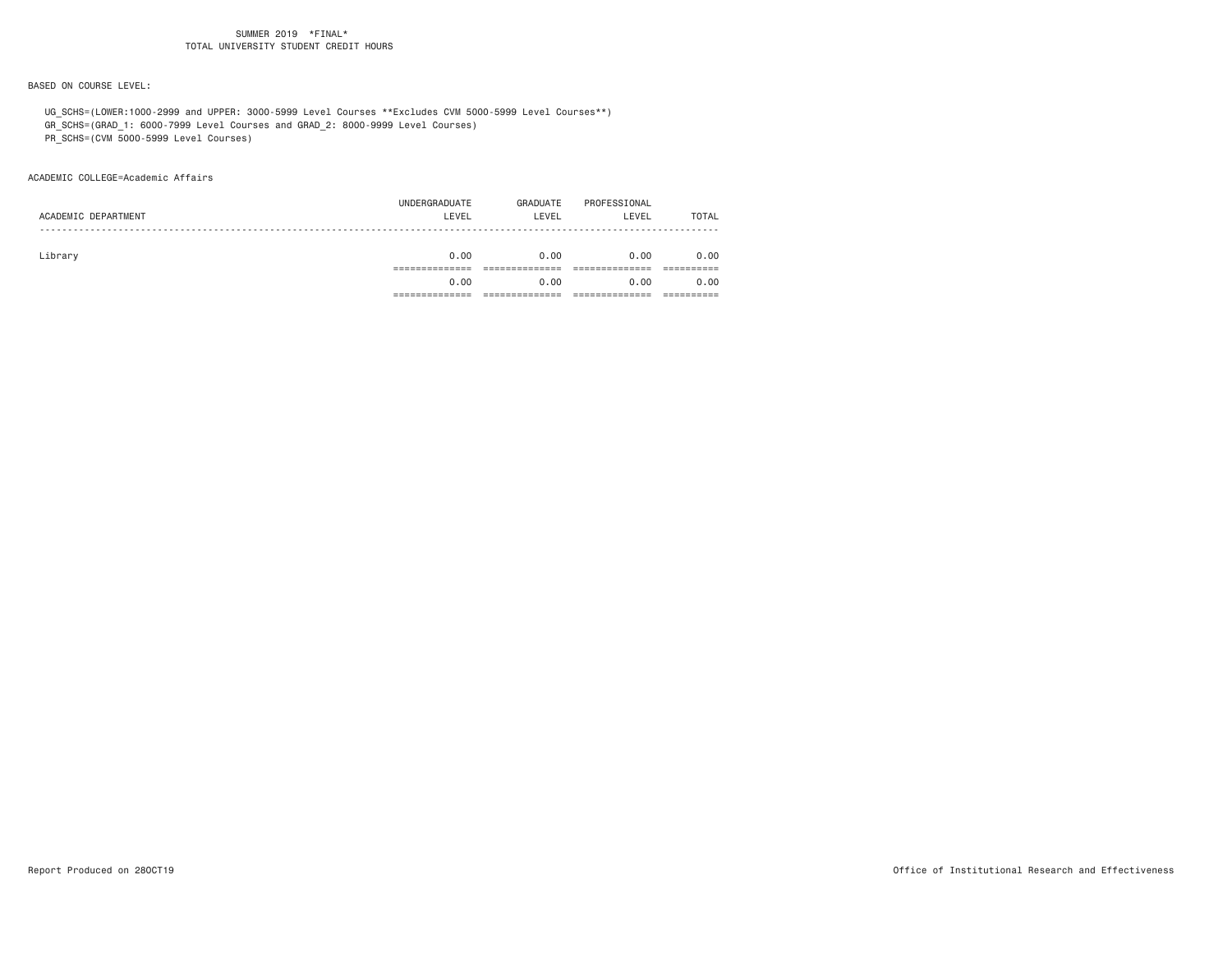BASED ON COURSE LEVEL:

UG\_SCHS=(LOWER:1000-2999 and UPPER: 3000-5999 Level Courses \*\*Excludes CVM 5000-5999 Level Courses\*\*)

GR\_SCHS=(GRAD\_1: 6000-7999 Level Courses and GRAD\_2: 8000-9999 Level Courses)

PR\_SCHS=(CVM 5000-5999 Level Courses)

#### ACADEMIC COLLEGE=Academic Affairs

| ACADEMIC DEPARTMENT | UNDERGRADUATE<br>LEVEL | GRADUATE<br>LEVEL | PROFESSIONAL<br>LEVEL | TOTAL |
|---------------------|------------------------|-------------------|-----------------------|-------|
| Library             | 0.00                   | 0.00              | 0.00                  | 0.00  |
|                     |                        |                   |                       |       |
|                     | 0.00                   | 0.00              | 0.00                  | 0.00  |
|                     |                        |                   |                       |       |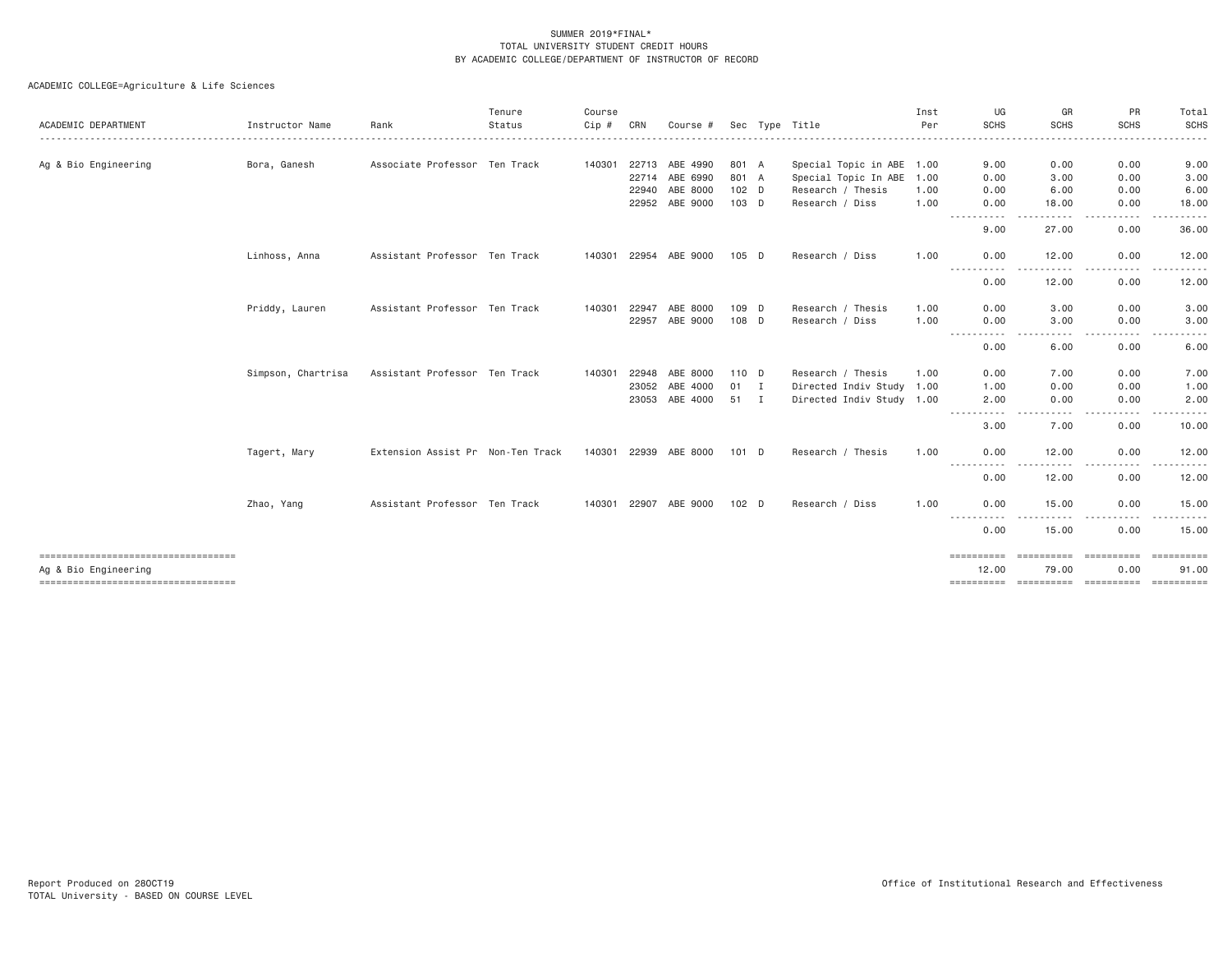| ACADEMIC DEPARTMENT                                          | Instructor Name    | Rank                              | Tenure<br>Status | Course<br>Cip# | CRN   | Course #              |                  | Sec Type Title            | Inst<br>Per | UG<br><b>SCHS</b>            | GR<br><b>SCHS</b>                                                                                                                 | PR<br><b>SCHS</b>                                                                                               | Total<br><b>SCHS</b> |
|--------------------------------------------------------------|--------------------|-----------------------------------|------------------|----------------|-------|-----------------------|------------------|---------------------------|-------------|------------------------------|-----------------------------------------------------------------------------------------------------------------------------------|-----------------------------------------------------------------------------------------------------------------|----------------------|
| Ag & Bio Engineering                                         | Bora, Ganesh       | Associate Professor Ten Track     |                  |                |       | 140301 22713 ABE 4990 | 801 A            | Special Topic in ABE 1.00 |             | 9.00                         | 0.00                                                                                                                              | 0.00                                                                                                            | 9.00                 |
|                                                              |                    |                                   |                  |                |       | 22714 ABE 6990        | 801 A            | Special Topic In ABE 1.00 |             | 0.00                         | 3.00                                                                                                                              | 0.00                                                                                                            | 3.00                 |
|                                                              |                    |                                   |                  |                | 22940 | ABE 8000              | 102 D            | Research / Thesis         | 1.00        | 0.00                         | 6.00                                                                                                                              | 0.00                                                                                                            | 6.00                 |
|                                                              |                    |                                   |                  |                |       | 22952 ABE 9000        | 103 D            | Research / Diss           | 1.00        | 0.00                         | 18.00                                                                                                                             | 0.00                                                                                                            | 18.00                |
|                                                              |                    |                                   |                  |                |       |                       |                  |                           |             | $\sim$ $\sim$ $\sim$<br>9.00 | 27.00                                                                                                                             | .<br>0.00                                                                                                       | 36.00                |
|                                                              | Linhoss, Anna      | Assistant Professor Ten Track     |                  |                |       | 140301 22954 ABE 9000 | 105 D            | Research / Diss           | 1.00        | 0.00                         | 12.00                                                                                                                             | 0.00                                                                                                            | 12.00                |
|                                                              |                    |                                   |                  |                |       |                       |                  |                           |             | .<br>0.00                    | 12.00                                                                                                                             | 0.00                                                                                                            | 12.00                |
|                                                              | Priddy, Lauren     | Assistant Professor Ten Track     |                  | 140301         | 22947 | ABE 8000              | 109 D            | Research / Thesis         | 1,00        | 0.00                         | 3,00                                                                                                                              | 0.00                                                                                                            | 3.00                 |
|                                                              |                    |                                   |                  |                | 22957 | ABE 9000              | 108 D            | Research / Diss           | 1.00        | 0.00                         | 3.00<br>$\frac{1}{2} \left( \frac{1}{2} \right) \left( \frac{1}{2} \right) \left( \frac{1}{2} \right) \left( \frac{1}{2} \right)$ | 0.00<br>.                                                                                                       | 3.00                 |
|                                                              |                    |                                   |                  |                |       |                       |                  |                           |             | -----------<br>0.00          | 6.00                                                                                                                              | 0.00                                                                                                            | 6.00                 |
|                                                              | Simpson, Chartrisa | Assistant Professor Ten Track     |                  | 140301         | 22948 | ABE 8000              | 110 D            | Research / Thesis         | 1.00        | 0.00                         | 7.00                                                                                                                              | 0.00                                                                                                            | 7.00                 |
|                                                              |                    |                                   |                  |                |       | 23052 ABE 4000        | $01$ I           | Directed Indiv Study 1.00 |             | 1.00                         | 0.00                                                                                                                              | 0.00                                                                                                            | 1.00                 |
|                                                              |                    |                                   |                  |                |       | 23053 ABE 4000        | 51 I             | Directed Indiv Study 1.00 |             | 2.00<br>-----------          | 0.00<br>.                                                                                                                         | 0.00<br>$\frac{1}{2} \left( \frac{1}{2} \right) \left( \frac{1}{2} \right) \left( \frac{1}{2} \right)$<br>----- | 2.00<br>.            |
|                                                              |                    |                                   |                  |                |       |                       |                  |                           |             | 3.00                         | 7.00                                                                                                                              | 0.00                                                                                                            | 10.00                |
|                                                              | Tagert, Mary       | Extension Assist Pr Non-Ten Track |                  |                |       | 140301 22939 ABE 8000 | $101$ D          | Research / Thesis         | 1.00        | 0.00                         | 12.00                                                                                                                             | 0.00                                                                                                            | 12.00                |
|                                                              |                    |                                   |                  |                |       |                       |                  |                           |             | .<br>0.00                    | .<br>12.00                                                                                                                        | $\cdots$<br>-----<br>0.00                                                                                       | .<br>12.00           |
|                                                              | Zhao, Yang         | Assistant Professor Ten Track     |                  |                |       | 140301 22907 ABE 9000 | 102 <sub>D</sub> | Research / Diss           | 1.00        | 0.00<br>$- - -$              | 15.00                                                                                                                             | 0.00                                                                                                            | 15.00                |
|                                                              |                    |                                   |                  |                |       |                       |                  |                           |             | 0.00                         | 15.00                                                                                                                             | 0.00                                                                                                            | 15.00                |
| ====================================                         |                    |                                   |                  |                |       |                       |                  |                           |             | ==========                   | <b>ESSESSESSE</b>                                                                                                                 | <b>ESSESSEES</b>                                                                                                | EEEEEEEEE            |
| Ag & Bio Engineering<br>------------------------------------ |                    |                                   |                  |                |       |                       |                  |                           |             | 12.00<br>==========          | 79.00<br>==========                                                                                                               | 0.00<br>==========                                                                                              | 91.00<br>==========  |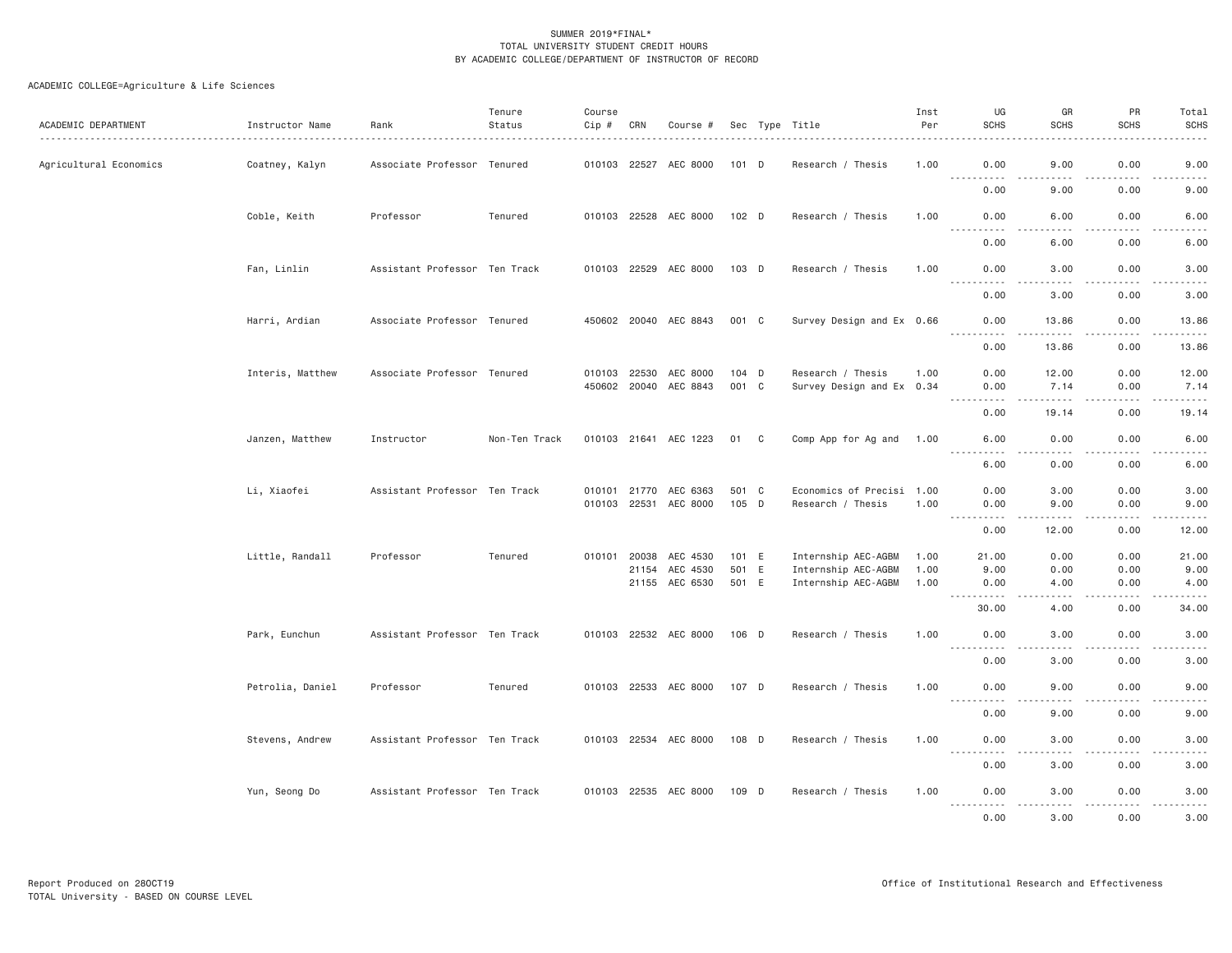| ACADEMIC DEPARTMENT    | Instructor Name  | Rank                          | Tenure<br>Status | Course<br>Cip # | CRN          | Course #              |         | Sec Type Title            | Inst<br>Per | UG<br><b>SCHS</b>                                                                                                                                | GR<br><b>SCHS</b>                                                                                                                                             | PR<br><b>SCHS</b>                                                                                                                                            | Total<br><b>SCHS</b>                                                                                                              |
|------------------------|------------------|-------------------------------|------------------|-----------------|--------------|-----------------------|---------|---------------------------|-------------|--------------------------------------------------------------------------------------------------------------------------------------------------|---------------------------------------------------------------------------------------------------------------------------------------------------------------|--------------------------------------------------------------------------------------------------------------------------------------------------------------|-----------------------------------------------------------------------------------------------------------------------------------|
| Agricultural Economics | Coatney, Kalyn   | Associate Professor Tenured   |                  |                 |              | 010103 22527 AEC 8000 | 101 D   | Research / Thesis         | 1.00        | 0.00                                                                                                                                             | 9.00                                                                                                                                                          | 0.00                                                                                                                                                         | 9.00                                                                                                                              |
|                        |                  |                               |                  |                 |              |                       |         |                           |             | <b></b><br>0.00                                                                                                                                  | .<br>9.00                                                                                                                                                     | $\frac{1}{2} \left( \frac{1}{2} \right) \left( \frac{1}{2} \right) \left( \frac{1}{2} \right) \left( \frac{1}{2} \right) \left( \frac{1}{2} \right)$<br>0.00 | . <b>.</b> .<br>9.00                                                                                                              |
|                        | Coble, Keith     | Professor                     | Tenured          |                 |              | 010103 22528 AEC 8000 | 102 D   | Research / Thesis         | 1.00        | 0.00<br>$- - -$<br>.                                                                                                                             | 6.00                                                                                                                                                          | 0.00                                                                                                                                                         | 6.00                                                                                                                              |
|                        |                  |                               |                  |                 |              |                       |         |                           |             | 0.00                                                                                                                                             | 6.00                                                                                                                                                          | 0.00                                                                                                                                                         | 6.00                                                                                                                              |
|                        | Fan, Linlin      | Assistant Professor Ten Track |                  |                 |              | 010103 22529 AEC 8000 | 103 D   | Research / Thesis         | 1.00        | 0.00<br>$- - - - -$<br>$\frac{1}{2} \left( \frac{1}{2} \right) \left( \frac{1}{2} \right) \left( \frac{1}{2} \right) \left( \frac{1}{2} \right)$ | 3.00<br>$\frac{1}{2}$                                                                                                                                         | 0.00<br>.                                                                                                                                                    | 3.00<br>-----                                                                                                                     |
|                        |                  |                               |                  |                 |              |                       |         |                           |             | 0.00                                                                                                                                             | 3.00                                                                                                                                                          | 0.00                                                                                                                                                         | 3.00                                                                                                                              |
|                        | Harri, Ardian    | Associate Professor Tenured   |                  |                 |              | 450602 20040 AEC 8843 | 001 C   | Survey Design and Ex 0.66 |             | 0.00<br>.                                                                                                                                        | 13.86<br>.                                                                                                                                                    | 0.00<br>2.2.2.2.2<br>$\frac{1}{2}$                                                                                                                           | 13.86<br>.                                                                                                                        |
|                        |                  |                               |                  |                 |              |                       |         |                           |             | 0.00                                                                                                                                             | 13.86                                                                                                                                                         | 0.00                                                                                                                                                         | 13.86                                                                                                                             |
|                        | Interis, Matthew | Associate Professor Tenured   |                  |                 | 010103 22530 | AEC 8000              | $104$ D | Research / Thesis         | 1.00        | 0.00                                                                                                                                             | 12.00                                                                                                                                                         | 0.00                                                                                                                                                         | 12.00                                                                                                                             |
|                        |                  |                               |                  |                 |              | 450602 20040 AEC 8843 | 001 C   | Survey Design and Ex 0.34 |             | 0.00                                                                                                                                             | 7.14                                                                                                                                                          | 0.00                                                                                                                                                         | 7.14                                                                                                                              |
|                        |                  |                               |                  |                 |              |                       |         |                           |             | $\frac{1}{2}$<br>.<br>0.00                                                                                                                       | . <u>.</u><br>19.14                                                                                                                                           | $- - - - -$<br>0.00                                                                                                                                          | <u>.</u><br>19.14                                                                                                                 |
|                        | Janzen, Matthew  | Instructor                    | Non-Ten Track    |                 |              | 010103 21641 AEC 1223 | 01 C    | Comp App for Ag and       | 1.00        | 6.00                                                                                                                                             | 0.00                                                                                                                                                          | 0.00                                                                                                                                                         | 6.00                                                                                                                              |
|                        |                  |                               |                  |                 |              |                       |         |                           |             | 6.00                                                                                                                                             | 0.00                                                                                                                                                          | 0.00                                                                                                                                                         | 6.00                                                                                                                              |
|                        | Li, Xiaofei      | Assistant Professor Ten Track |                  |                 | 010101 21770 | AEC 6363              | 501 C   | Economics of Precisi 1.00 |             | 0.00                                                                                                                                             | 3.00                                                                                                                                                          | 0.00                                                                                                                                                         | 3.00                                                                                                                              |
|                        |                  |                               |                  |                 |              | 010103 22531 AEC 8000 | 105 D   | Research / Thesis         | 1.00        | 0.00                                                                                                                                             | 9.00                                                                                                                                                          | 0.00                                                                                                                                                         | 9.00                                                                                                                              |
|                        |                  |                               |                  |                 |              |                       |         |                           |             | <b></b><br>0.00                                                                                                                                  | $\frac{1}{2} \left( \frac{1}{2} \right) \left( \frac{1}{2} \right) \left( \frac{1}{2} \right) \left( \frac{1}{2} \right) \left( \frac{1}{2} \right)$<br>12.00 | .<br>0.00                                                                                                                                                    | .<br>12.00                                                                                                                        |
|                        | Little, Randall  | Professor                     | Tenured          |                 | 010101 20038 | AEC 4530              | 101 E   | Internship AEC-AGBM       | 1.00        | 21.00                                                                                                                                            | 0.00                                                                                                                                                          | 0.00                                                                                                                                                         | 21.00                                                                                                                             |
|                        |                  |                               |                  |                 | 21154        | AEC 4530              | 501 E   | Internship AEC-AGBM       | 1.00        | 9.00                                                                                                                                             | 0.00                                                                                                                                                          | 0.00                                                                                                                                                         | 9.00                                                                                                                              |
|                        |                  |                               |                  |                 |              | 21155 AEC 6530        | 501 E   | Internship AEC-AGBM       | 1.00        | 0.00<br><u> - - - - - - - - - -</u>                                                                                                              | 4.00<br>$   -$                                                                                                                                                | 0.00<br>.                                                                                                                                                    | 4.00<br>.                                                                                                                         |
|                        |                  |                               |                  |                 |              |                       |         |                           |             | 30.00                                                                                                                                            | 4.00                                                                                                                                                          | 0.00                                                                                                                                                         | 34,00                                                                                                                             |
|                        | Park, Eunchun    | Assistant Professor Ten Track |                  |                 |              | 010103 22532 AEC 8000 | 106 D   | Research / Thesis         | 1.00        | 0.00                                                                                                                                             | 3.00                                                                                                                                                          | 0.00                                                                                                                                                         | 3.00                                                                                                                              |
|                        |                  |                               |                  |                 |              |                       |         |                           |             | <u>.</u><br>0.00                                                                                                                                 | .<br>3.00                                                                                                                                                     | -----<br>0.00                                                                                                                                                | -----<br>3.00                                                                                                                     |
|                        | Petrolia, Daniel | Professor                     | Tenured          |                 |              | 010103 22533 AEC 8000 | 107 D   | Research / Thesis         | 1.00        | 0.00                                                                                                                                             | 9.00                                                                                                                                                          | 0.00                                                                                                                                                         | 9.00                                                                                                                              |
|                        |                  |                               |                  |                 |              |                       |         |                           |             | $\sim$ $\sim$ $\sim$ $\sim$<br>.<br>0.00                                                                                                         | $\frac{1}{2}$<br>9.00                                                                                                                                         | .<br>0.00                                                                                                                                                    | $\frac{1}{2} \left( \frac{1}{2} \right) \left( \frac{1}{2} \right) \left( \frac{1}{2} \right) \left( \frac{1}{2} \right)$<br>9.00 |
|                        | Stevens, Andrew  | Assistant Professor Ten Track |                  |                 |              | 010103 22534 AEC 8000 | 108 D   | Research / Thesis         | 1.00        | 0.00                                                                                                                                             | 3.00                                                                                                                                                          | 0.00                                                                                                                                                         | 3.00                                                                                                                              |
|                        |                  |                               |                  |                 |              |                       |         |                           |             | <b></b><br>0.00                                                                                                                                  | .<br>3.00                                                                                                                                                     | -----<br>0.00                                                                                                                                                | 3.00                                                                                                                              |
|                        | Yun, Seong Do    | Assistant Professor Ten Track |                  |                 |              | 010103 22535 AEC 8000 | 109 D   | Research / Thesis         | 1.00        | 0.00                                                                                                                                             | 3.00                                                                                                                                                          | 0.00                                                                                                                                                         | 3.00                                                                                                                              |
|                        |                  |                               |                  |                 |              |                       |         |                           |             | .<br>0.00                                                                                                                                        | .<br>3.00                                                                                                                                                     | .<br>0.00                                                                                                                                                    | .<br>3.00                                                                                                                         |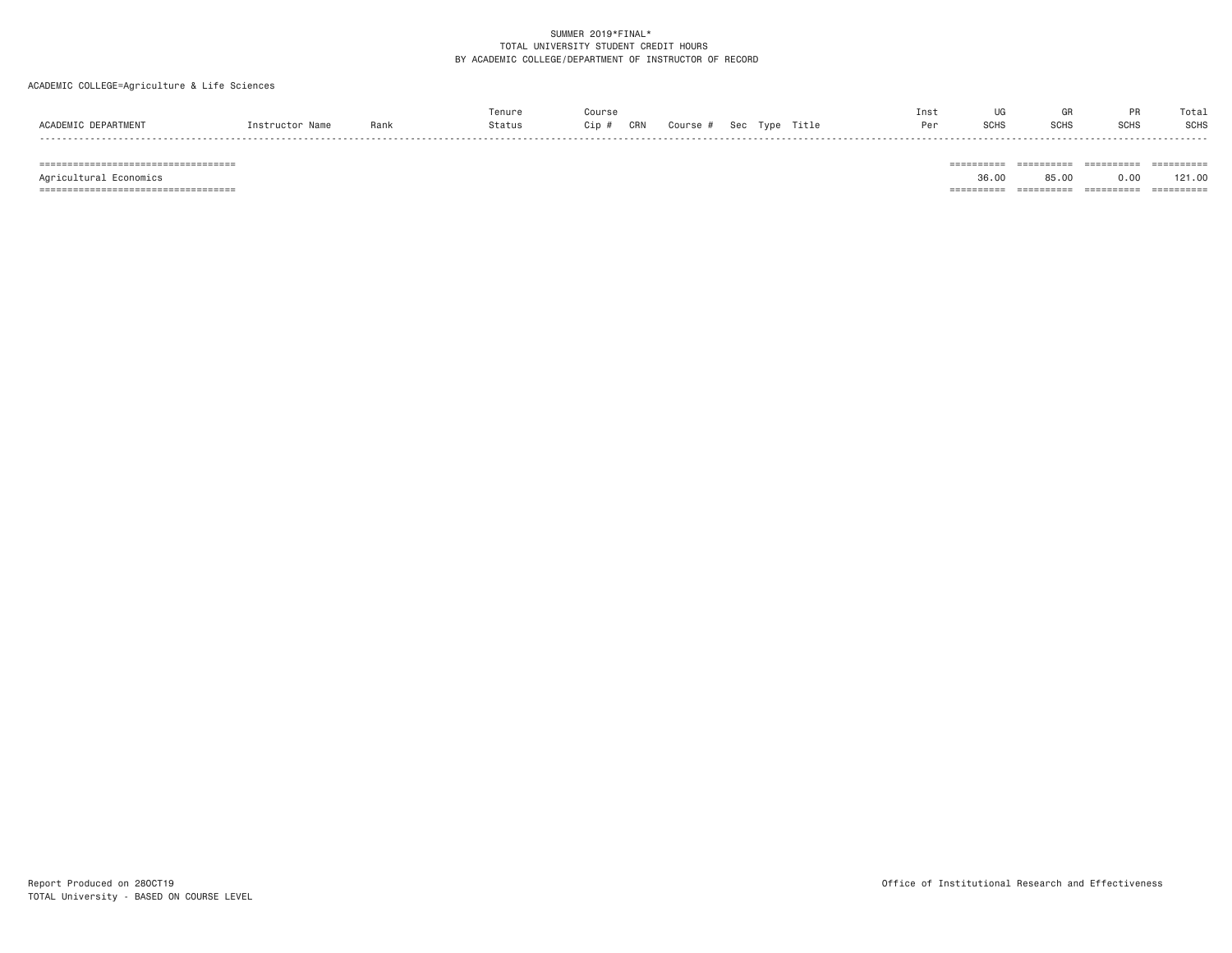# ACADEMIC COLLEGE=Agriculture & Life Sciences

|                                           |               |      | Tenure | Course     |                                  | Ins. |             |                      | $\sim$      | Total       |
|-------------------------------------------|---------------|------|--------|------------|----------------------------------|------|-------------|----------------------|-------------|-------------|
| <b>ACADEMTO</b><br>DEPARTMEN <sup>®</sup> | Name<br>nstrı | Rank | Status | CRN<br>Cin | Title<br>Sec<br>Course #<br>Type |      | <b>SCHS</b> | <b>COLC</b><br>יווטט | <b>SUHL</b> | <b>SCHS</b> |
|                                           |               |      |        |            |                                  |      |             |                      |             |             |

=================================== ========== ========== ========== ==========

Agricultural Economics 36.00 85.00 0.00 121.00

=================================== ========== ========== ========== ==========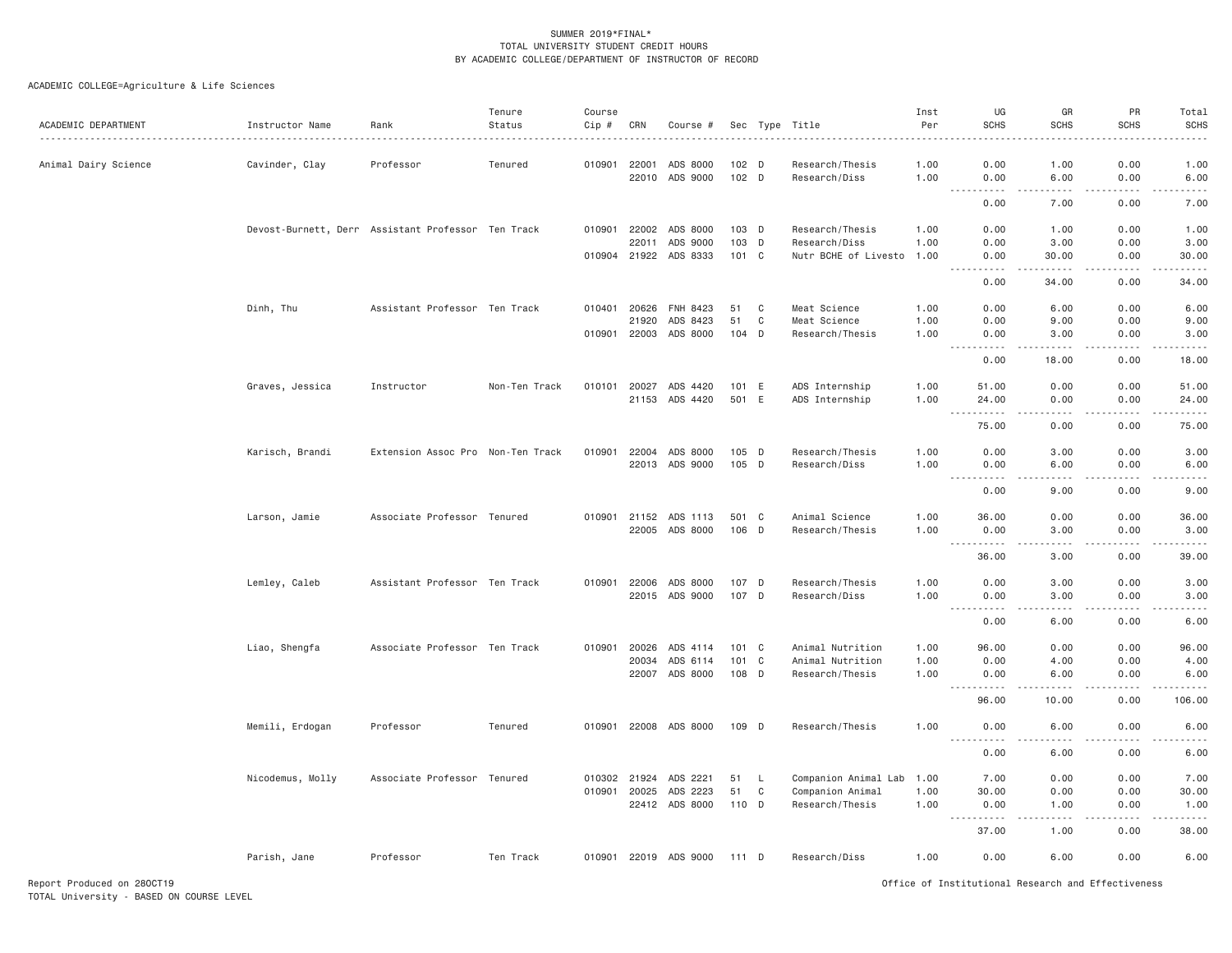| ACADEMIC DEPARTMENT  | Instructor Name  | Rank                                               | Tenure<br>Status<br>. | Course<br>Cip #<br>. | CRN                          | Course #              |                |                         | Sec Type Title                                | Inst<br>Per<br>. | UG<br>SCHS                                                                                                                                                | GR<br><b>SCHS</b><br>$- - - - -$     | PR<br><b>SCHS</b> | Total<br><b>SCHS</b><br>.         |
|----------------------|------------------|----------------------------------------------------|-----------------------|----------------------|------------------------------|-----------------------|----------------|-------------------------|-----------------------------------------------|------------------|-----------------------------------------------------------------------------------------------------------------------------------------------------------|--------------------------------------|-------------------|-----------------------------------|
| Animal Dairy Science | Cavinder, Clay   | Professor                                          | Tenured               |                      | 010901 22001<br>22010        | ADS 8000<br>ADS 9000  | 102 D<br>102 D |                         | Research/Thesis<br>Research/Diss              | 1.00<br>1.00     | 0.00<br>0.00                                                                                                                                              | 1.00<br>6.00                         | 0.00<br>0.00      | 1.00<br>6.00                      |
|                      |                  |                                                    |                       |                      |                              |                       |                |                         |                                               |                  | $\sim$ $\sim$ $\sim$<br>$\frac{1}{2} \left( \frac{1}{2} \right) \left( \frac{1}{2} \right) \left( \frac{1}{2} \right) \left( \frac{1}{2} \right)$<br>0.00 | .<br>7.00                            | .<br>0.00         | $- - - - -$<br>7.00               |
|                      |                  |                                                    |                       | 010901               | 22002                        |                       | 103 D          |                         |                                               | 1.00             | 0.00                                                                                                                                                      |                                      | 0.00              |                                   |
|                      |                  | Devost-Burnett, Derr Assistant Professor Ten Track |                       |                      | 22011                        | ADS 8000<br>ADS 9000  | 103 D          |                         | Research/Thesis<br>Research/Diss              | 1.00             | 0.00                                                                                                                                                      | 1.00<br>3.00                         | 0.00              | 1.00<br>3.00                      |
|                      |                  |                                                    |                       |                      |                              | 010904 21922 ADS 8333 | $101 \quad C$  |                         | Nutr BCHE of Livesto                          | 1.00             | 0.00                                                                                                                                                      | 30.00                                | 0.00              | 30.00                             |
|                      |                  |                                                    |                       |                      |                              |                       |                |                         |                                               |                  | 0.00                                                                                                                                                      | 34.00                                | 0.00              | 34.00                             |
|                      | Dinh, Thu        | Assistant Professor Ten Track                      |                       |                      | 010401 20626                 | FNH 8423              | 51             | C                       | Meat Science                                  | 1.00             | 0.00                                                                                                                                                      | 6.00                                 | 0.00              | 6.00                              |
|                      |                  |                                                    |                       |                      | 21920                        | ADS 8423              | 51             | C                       | Meat Science                                  | 1.00             | 0.00                                                                                                                                                      | 9.00                                 | 0.00              | 9.00                              |
|                      |                  |                                                    |                       |                      |                              | 010901 22003 ADS 8000 | 104 D          |                         | Research/Thesis                               | 1.00             | 0.00                                                                                                                                                      | 3.00                                 | 0.00              | 3.00                              |
|                      |                  |                                                    |                       |                      |                              |                       |                |                         |                                               |                  | $\sim$ $\sim$ $\sim$<br>.<br>0.00                                                                                                                         | -----<br>18.00                       | .<br>0.00         | .<br>18.00                        |
|                      | Graves, Jessica  | Instructor                                         | Non-Ten Track         |                      |                              | 010101 20027 ADS 4420 | 101 E          |                         | ADS Internship                                | 1.00             | 51.00                                                                                                                                                     | 0.00                                 | 0.00              | 51.00                             |
|                      |                  |                                                    |                       |                      | 21153                        | ADS 4420              | 501 E          |                         | ADS Internship                                | 1.00             | 24.00                                                                                                                                                     | 0.00                                 | 0.00              | 24.00                             |
|                      |                  |                                                    |                       |                      |                              |                       |                |                         |                                               |                  | $\sim$ $\sim$ $\sim$<br>.<br>75.00                                                                                                                        | $\sim$ $\sim$ $\sim$ $\sim$<br>0.00  | .<br>0.00         | .<br>75.00                        |
|                      |                  |                                                    |                       |                      |                              |                       |                |                         |                                               |                  |                                                                                                                                                           |                                      |                   |                                   |
|                      | Karisch, Brandi  | Extension Assoc Pro Non-Ten Track                  |                       | 010901               | 22004                        | ADS 8000              | 105 D          |                         | Research/Thesis                               | 1.00             | 0.00                                                                                                                                                      | 3.00                                 | 0.00              | 3.00                              |
|                      |                  |                                                    |                       |                      |                              | 22013 ADS 9000        | 105 D          |                         | Research/Diss                                 | 1.00             | 0.00<br>$\sim$ $\sim$ $\sim$<br>.                                                                                                                         | 6.00<br>.                            | 0.00<br>.         | 6.00<br>$\omega$ is $\omega$ in . |
|                      |                  |                                                    |                       |                      |                              |                       |                |                         |                                               |                  | 0.00                                                                                                                                                      | 9.00                                 | 0.00              | 9.00                              |
|                      | Larson, Jamie    | Associate Professor Tenured                        |                       |                      | 010901 21152                 | ADS 1113              | 501 C          |                         | Animal Science                                | 1.00             | 36.00                                                                                                                                                     | 0.00                                 | 0.00              | 36.00                             |
|                      |                  |                                                    |                       |                      |                              | 22005 ADS 8000        | 106 D          |                         | Research/Thesis                               | 1.00             | 0.00                                                                                                                                                      | 3.00                                 | 0.00              | 3.00                              |
|                      |                  |                                                    |                       |                      |                              |                       |                |                         |                                               |                  | $\sim 100$<br>36.00                                                                                                                                       | .<br>3.00                            | -----<br>0.00     | .<br>39.00                        |
|                      | Lemley, Caleb    | Assistant Professor Ten Track                      |                       |                      | 010901 22006                 | ADS 8000              | 107 D          |                         | Research/Thesis                               | 1.00             | 0.00                                                                                                                                                      | 3.00                                 | 0.00              | 3.00                              |
|                      |                  |                                                    |                       |                      | 22015                        | ADS 9000              | 107 D          |                         | Research/Diss                                 | 1.00             | 0.00                                                                                                                                                      | 3.00                                 | 0.00              | 3.00                              |
|                      |                  |                                                    |                       |                      |                              |                       |                |                         |                                               |                  | .<br>0.00                                                                                                                                                 | $\sim$ $\sim$ $\sim$ $\sim$<br>6.00  | .<br>0.00         | $- - - - -$<br>6.00               |
|                      | Liao, Shengfa    | Associate Professor Ten Track                      |                       | 010901               | 20026                        | ADS 4114              | $101 \quad C$  |                         | Animal Nutrition                              | 1.00             | 96.00                                                                                                                                                     | 0.00                                 | 0.00              | 96.00                             |
|                      |                  |                                                    |                       |                      | 20034                        | ADS 6114              | $101 \quad C$  |                         | Animal Nutrition                              | 1.00             | 0.00                                                                                                                                                      | 4.00                                 | 0.00              | 4.00                              |
|                      |                  |                                                    |                       |                      |                              | 22007 ADS 8000        | 108 D          |                         | Research/Thesis                               | 1,00             | 0.00                                                                                                                                                      | 6.00                                 | 0.00              | 6.00                              |
|                      |                  |                                                    |                       |                      |                              |                       |                |                         |                                               |                  | $\sim$ $\sim$<br>-----<br>96.00                                                                                                                           | $\sim$ $\sim$ $\sim$ $\sim$<br>10.00 | .<br>0.00         | .<br>106.00                       |
|                      | Memili, Erdogan  | Professor                                          | Tenured               |                      |                              | 010901 22008 ADS 8000 | 109 D          |                         | Research/Thesis                               | 1.00             | 0.00                                                                                                                                                      | 6.00                                 | 0.00              | 6.00                              |
|                      |                  |                                                    |                       |                      |                              |                       |                |                         |                                               |                  | .<br>0.00                                                                                                                                                 | .<br>6.00                            | .<br>0.00         | .<br>6.00                         |
|                      |                  |                                                    |                       |                      |                              |                       |                |                         |                                               |                  |                                                                                                                                                           |                                      |                   |                                   |
|                      | Nicodemus, Molly | Associate Professor Tenured                        |                       |                      | 010302 21924<br>010901 20025 | ADS 2221<br>ADS 2223  | 51<br>51       | <b>L</b><br>$\mathbf C$ | Companion Animal Lab 1.00<br>Companion Animal | 1.00             | 7.00<br>30.00                                                                                                                                             | 0.00<br>0.00                         | 0.00<br>0.00      | 7.00<br>30.00                     |
|                      |                  |                                                    |                       |                      |                              | 22412 ADS 8000        | 110 D          |                         | Research/Thesis                               | 1.00             | 0.00                                                                                                                                                      | 1.00                                 | 0.00              | 1.00                              |
|                      |                  |                                                    |                       |                      |                              |                       |                |                         |                                               |                  | $ -$                                                                                                                                                      |                                      |                   |                                   |
|                      |                  |                                                    |                       |                      |                              |                       |                |                         |                                               |                  | 37.00                                                                                                                                                     | 1.00                                 | 0.00              | 38.00                             |
|                      | Parish, Jane     | Professor                                          | Ten Track             |                      |                              | 010901 22019 ADS 9000 | 111 D          |                         | Research/Diss                                 | 1.00             | 0.00                                                                                                                                                      | 6.00                                 | 0.00              | 6.00                              |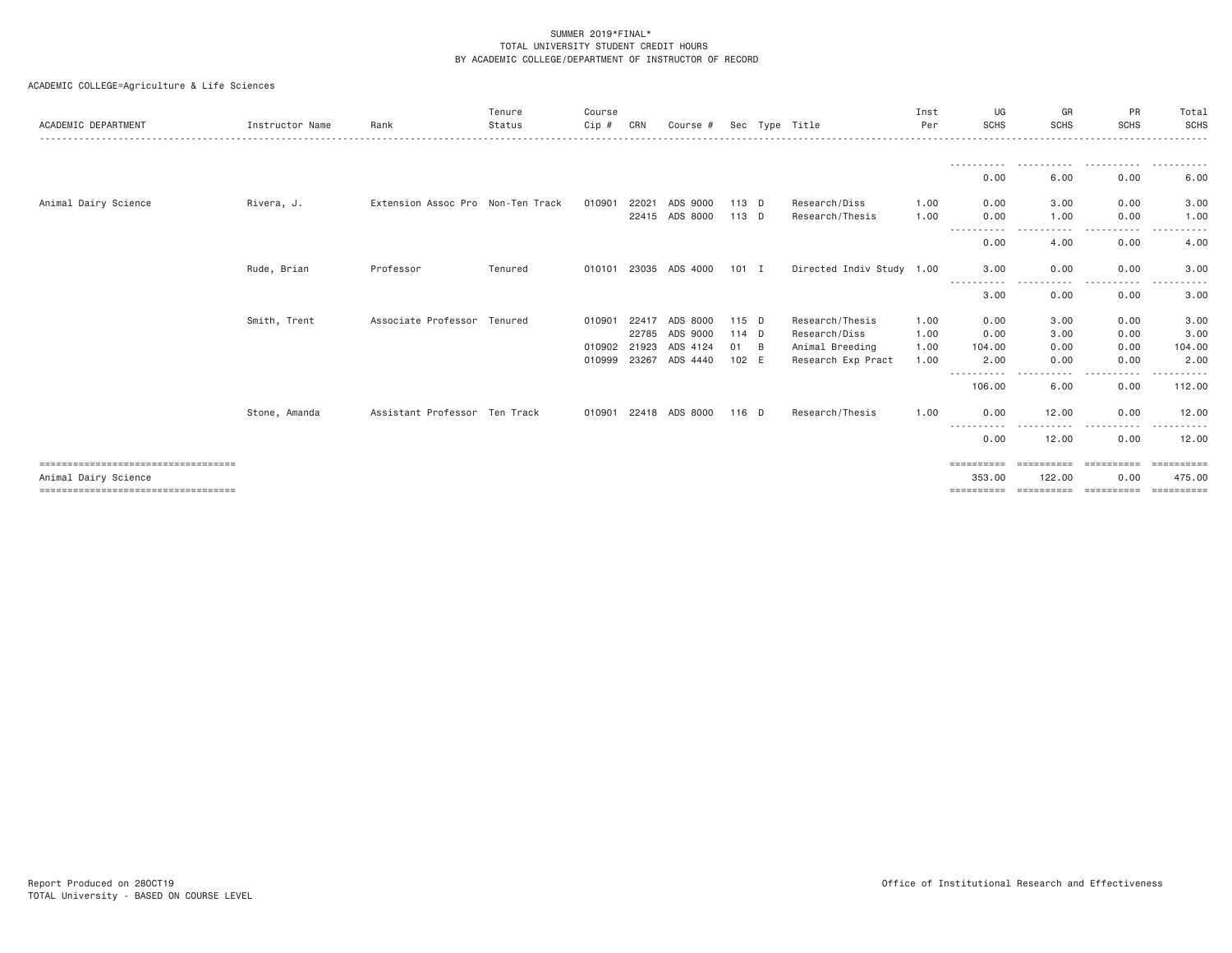| ACADEMIC DEPARTMENT                  | Instructor Name | Rank                              | Tenure<br>Status | Course<br>Cip # | CRN   | Course #              |         |   | Sec Type Title            | Inst<br>Per | UG<br><b>SCHS</b>               | GR<br><b>SCHS</b>      | PR<br><b>SCHS</b> | Total<br>SCHS         |
|--------------------------------------|-----------------|-----------------------------------|------------------|-----------------|-------|-----------------------|---------|---|---------------------------|-------------|---------------------------------|------------------------|-------------------|-----------------------|
|                                      |                 |                                   |                  |                 |       |                       |         |   |                           |             |                                 |                        |                   |                       |
|                                      |                 |                                   |                  |                 |       |                       |         |   |                           |             | 0.00                            | 6.00                   | 0.00              | 6.00                  |
| Animal Dairy Science                 | Rivera, J.      | Extension Assoc Pro Non-Ten Track |                  | 010901          | 22021 | ADS 9000              | $113$ D |   | Research/Diss             | 1.00        | 0.00                            | 3,00                   | 0.00              | 3.00                  |
|                                      |                 |                                   |                  |                 |       | 22415 ADS 8000        | 113 D   |   | Research/Thesis           | 1.00        | 0.00                            | 1.00                   | 0.00              | 1.00                  |
|                                      |                 |                                   |                  |                 |       |                       |         |   |                           |             | 0.00                            | 4.00                   | 0.00              | 4.00                  |
|                                      | Rude, Brian     | Professor                         | Tenured          | 010101          |       | 23035 ADS 4000        | $101$ I |   | Directed Indiv Study 1.00 |             | 3,00                            | 0.00                   | 0.00              | 3.00                  |
|                                      |                 |                                   |                  |                 |       |                       |         |   |                           |             | 3.00                            | .<br>0.00              | 0.00              | 3.00                  |
|                                      | Smith, Trent    | Associate Professor Tenured       |                  | 010901          | 22417 | ADS 8000              | $115$ D |   | Research/Thesis           | 1.00        | 0.00                            | 3,00                   | 0.00              | 3.00                  |
|                                      |                 |                                   |                  |                 | 22785 | ADS 9000              | $114$ D |   | Research/Diss             | 1.00        | 0.00                            | 3.00                   | 0.00              | 3.00                  |
|                                      |                 |                                   |                  | 010902          | 21923 | ADS 4124              | 01      | B | Animal Breeding           | 1.00        | 104.00                          | 0.00                   | 0.00              | 104.00                |
|                                      |                 |                                   |                  | 010999          |       | 23267 ADS 4440        | 102 E   |   | Research Exp Pract        | 1.00        | 2.00                            | 0.00                   | 0.00              | 2.00                  |
|                                      |                 |                                   |                  |                 |       |                       |         |   |                           |             | - - - - - - - - - - -<br>106.00 | $\frac{1}{2}$<br>6.00  | - - - - -<br>0.00 | 112.00                |
|                                      | Stone, Amanda   | Assistant Professor Ten Track     |                  |                 |       | 010901 22418 ADS 8000 | 116 D   |   | Research/Thesis           | 1.00        | 0.00                            | 12.00                  | 0.00              | 12.00                 |
|                                      |                 |                                   |                  |                 |       |                       |         |   |                           |             | -----<br>0.00                   | 12.00                  | 0.00              | 12.00                 |
| ==================================== |                 |                                   |                  |                 |       |                       |         |   |                           |             |                                 |                        |                   | $=$ = = = = = = = = = |
| Animal Dairy Science                 |                 |                                   |                  |                 |       |                       |         |   |                           |             | 353,00                          | 122,00                 | 0.00              | 475.00                |
|                                      |                 |                                   |                  |                 |       |                       |         |   |                           |             | ==========                      | ====================== |                   | ==========            |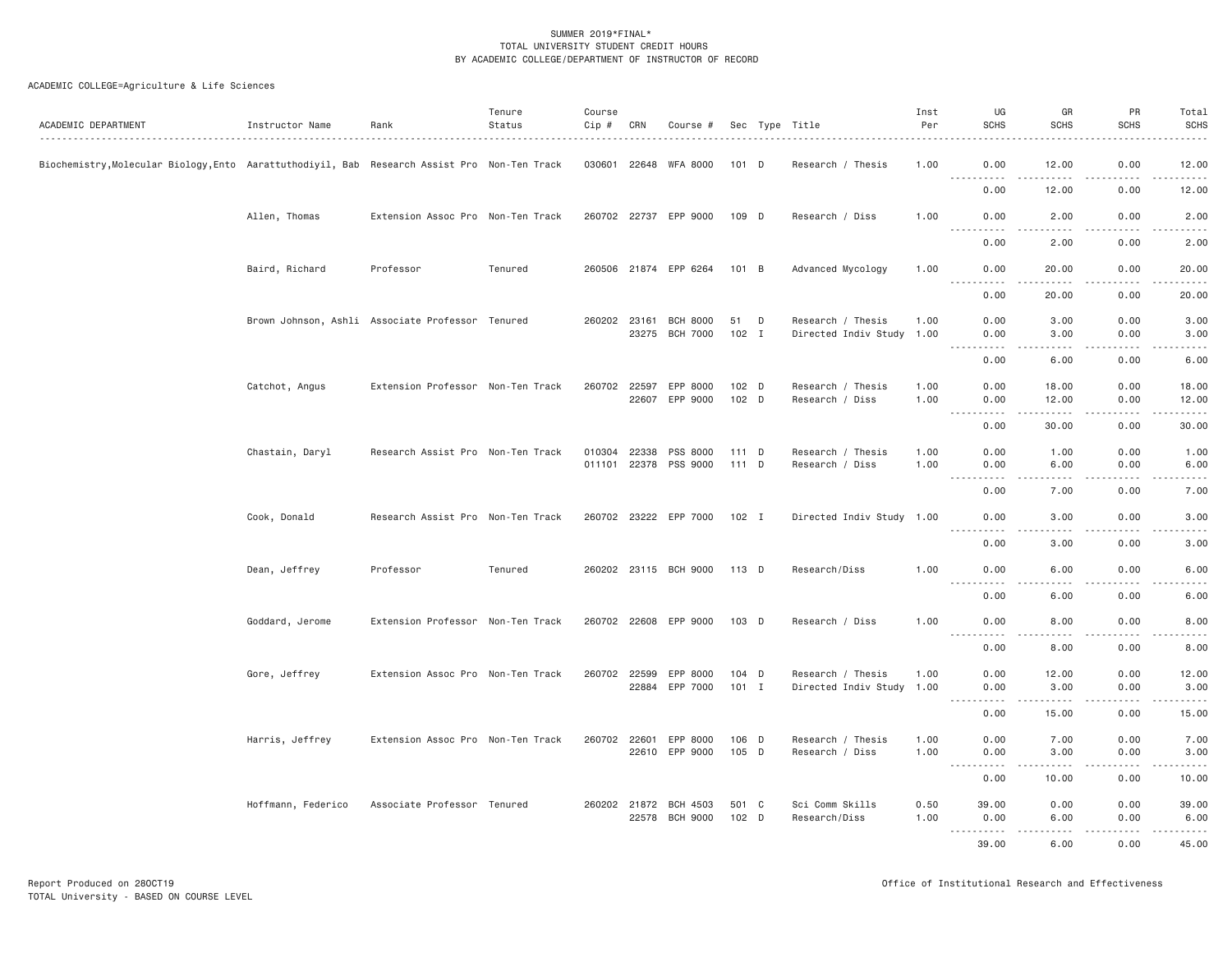| ACADEMIC DEPARTMENT                                                                          | Instructor Name    | Rank                                             | Tenure<br>Status | Course<br>Cip #              | CRN   | Course #                                |                    |   | Sec Type Title                                 | Inst<br>Per  | UG<br><b>SCHS</b>                                                                                           | GR<br><b>SCHS</b>      | <b>PR</b><br><b>SCHS</b>     | Total<br><b>SCHS</b> |
|----------------------------------------------------------------------------------------------|--------------------|--------------------------------------------------|------------------|------------------------------|-------|-----------------------------------------|--------------------|---|------------------------------------------------|--------------|-------------------------------------------------------------------------------------------------------------|------------------------|------------------------------|----------------------|
| Biochemistry, Molecular Biology, Ento Aarattuthodiyil, Bab Research Assist Pro Non-Ten Track |                    |                                                  |                  | 030601 22648                 |       | WFA 8000                                | $101$ D            |   | Research / Thesis                              | 1.00         | 0.00<br>.                                                                                                   | 12.00                  | 0.00<br>$\sim$ $\sim$ $\sim$ | 12.00<br>والمستحدث   |
|                                                                                              |                    |                                                  |                  |                              |       |                                         |                    |   |                                                |              | 0.00                                                                                                        | 12.00                  | 0.00                         | 12.00                |
|                                                                                              | Allen, Thomas      | Extension Assoc Pro Non-Ten Track                |                  |                              |       | 260702 22737 EPP 9000                   | 109 D              |   | Research / Diss                                | 1.00         | 0.00<br>.                                                                                                   | 2.00<br>.              | 0.00<br>.                    | 2.00<br>$    -$      |
|                                                                                              |                    |                                                  |                  |                              |       |                                         |                    |   |                                                |              | 0.00                                                                                                        | 2.00                   | 0.00                         | 2.00                 |
|                                                                                              | Baird, Richard     | Professor                                        | Tenured          |                              |       | 260506 21874 EPP 6264                   | 101 B              |   | Advanced Mycology                              | 1.00         | 0.00<br>.                                                                                                   | 20.00<br>$- - - - -$   | 0.00<br>.                    | 20.00<br>.           |
|                                                                                              |                    |                                                  |                  |                              |       |                                         |                    |   |                                                |              | 0.00                                                                                                        | 20.00                  | 0.00                         | 20.00                |
|                                                                                              |                    | Brown Johnson, Ashli Associate Professor Tenured |                  | 260202 23161                 |       | <b>BCH 8000</b><br>23275 BCH 7000       | 51<br>$102$ I      | D | Research / Thesis<br>Directed Indiv Study 1.00 | 1.00         | 0.00<br>0.00<br>.                                                                                           | 3.00<br>3.00<br>$   -$ | 0.00<br>0.00<br>.            | 3.00<br>3.00<br>.    |
|                                                                                              |                    |                                                  |                  |                              |       |                                         |                    |   |                                                |              | 0.00                                                                                                        | 6.00                   | 0.00                         | 6.00                 |
|                                                                                              | Catchot, Angus     | Extension Professor Non-Ten Track                |                  | 260702 22597                 | 22607 | EPP 8000<br>EPP 9000                    | $102$ D<br>$102$ D |   | Research / Thesis<br>Research / Diss           | 1,00<br>1.00 | 0.00<br>0.00                                                                                                | 18.00<br>12.00         | 0.00<br>0.00                 | 18.00<br>12.00       |
|                                                                                              |                    |                                                  |                  |                              |       |                                         |                    |   |                                                |              | .<br>0.00                                                                                                   | .<br>30.00             | $- - - -$<br>0.00            | .<br>30.00           |
|                                                                                              | Chastain, Daryl    | Research Assist Pro Non-Ten Track                |                  | 010304 22338<br>011101 22378 |       | PSS 8000<br>PSS 9000                    | $111$ D<br>111 D   |   | Research / Thesis<br>Research / Diss           | 1.00<br>1.00 | 0.00<br>0.00                                                                                                | 1.00<br>6.00           | 0.00<br>0.00                 | 1.00<br>6.00         |
|                                                                                              |                    |                                                  |                  |                              |       |                                         |                    |   |                                                |              | $\sim$ $\sim$ $\sim$<br>$\sim$ $\sim$ $\sim$<br>0.00                                                        | .<br>7.00              | 0.00                         | .<br>7.00            |
|                                                                                              | Cook, Donald       | Research Assist Pro Non-Ten Track                |                  |                              |       | 260702 23222 EPP 7000 102 I             |                    |   | Directed Indiv Study 1.00                      |              | 0.00                                                                                                        | 3.00                   | 0.00                         | 3.00                 |
|                                                                                              |                    |                                                  |                  |                              |       |                                         |                    |   |                                                |              | ----------<br>0.00                                                                                          | $- - - -$<br>3.00      | .<br>0.00                    | .<br>3.00            |
|                                                                                              | Dean, Jeffrey      | Professor                                        | Tenured          |                              |       | 260202 23115 BCH 9000 113 D             |                    |   | Research/Diss                                  | 1.00         | 0.00<br>. <u>.</u><br>$- - -$                                                                               | 6.00<br>.              | 0.00<br>.                    | 6.00<br>$- - - - -$  |
|                                                                                              |                    |                                                  |                  |                              |       |                                         |                    |   |                                                |              | 0.00                                                                                                        | 6.00                   | 0.00                         | 6.00                 |
|                                                                                              | Goddard, Jerome    | Extension Professor Non-Ten Track                |                  |                              |       | 260702 22608 EPP 9000                   | $103$ D            |   | Research / Diss                                | 1,00         | 0.00<br><u>.</u>                                                                                            | 8,00                   | 0.00                         | 8.00                 |
|                                                                                              |                    |                                                  |                  |                              |       |                                         |                    |   |                                                |              | 0.00                                                                                                        | 8.00                   | 0.00                         | 8.00                 |
|                                                                                              | Gore, Jeffrey      | Extension Assoc Pro Non-Ten Track                |                  | 260702 22599                 |       | EPP 8000<br>22884 EPP 7000              | $104$ D<br>$101$ I |   | Research / Thesis<br>Directed Indiv Study 1.00 | 1.00         | 0.00<br>0.00                                                                                                | 12.00<br>3.00          | 0.00<br>0.00                 | 12.00<br>3.00        |
|                                                                                              |                    |                                                  |                  |                              |       |                                         |                    |   |                                                |              | .<br>$\frac{1}{2} \left( \frac{1}{2} \right) \left( \frac{1}{2} \right) \left( \frac{1}{2} \right)$<br>0.00 | $- - - - -$<br>15.00   | .<br>0.00                    | .<br>15.00           |
|                                                                                              | Harris, Jeffrey    | Extension Assoc Pro Non-Ten Track                |                  |                              |       | 260702 22601 EPP 8000<br>22610 EPP 9000 | 106 D<br>105 D     |   | Research / Thesis<br>Research / Diss           | 1.00<br>1.00 | 0.00<br>0.00                                                                                                | 7.00<br>3,00           | 0.00<br>0.00                 | 7.00<br>3.00         |
|                                                                                              |                    |                                                  |                  |                              |       |                                         |                    |   |                                                |              | .<br>$\frac{1}{2} \left( \frac{1}{2} \right) \left( \frac{1}{2} \right) \left( \frac{1}{2} \right)$<br>0.00 | .<br>10.00             | .<br>0.00                    | .<br>10.00           |
|                                                                                              | Hoffmann, Federico | Associate Professor Tenured                      |                  |                              |       | 260202 21872 BCH 4503                   | 501 C              |   | Sci Comm Skills                                | 0.50         | 39.00                                                                                                       | 0.00                   | 0.00                         | 39.00                |
|                                                                                              |                    |                                                  |                  |                              |       | 22578 BCH 9000                          | $102$ D            |   | Research/Diss                                  | 1.00         | 0.00<br>.                                                                                                   | 6.00<br>.              | 0.00<br>.                    | 6.00<br>.            |
|                                                                                              |                    |                                                  |                  |                              |       |                                         |                    |   |                                                |              | 39.00                                                                                                       | 6.00                   | 0.00                         | 45.00                |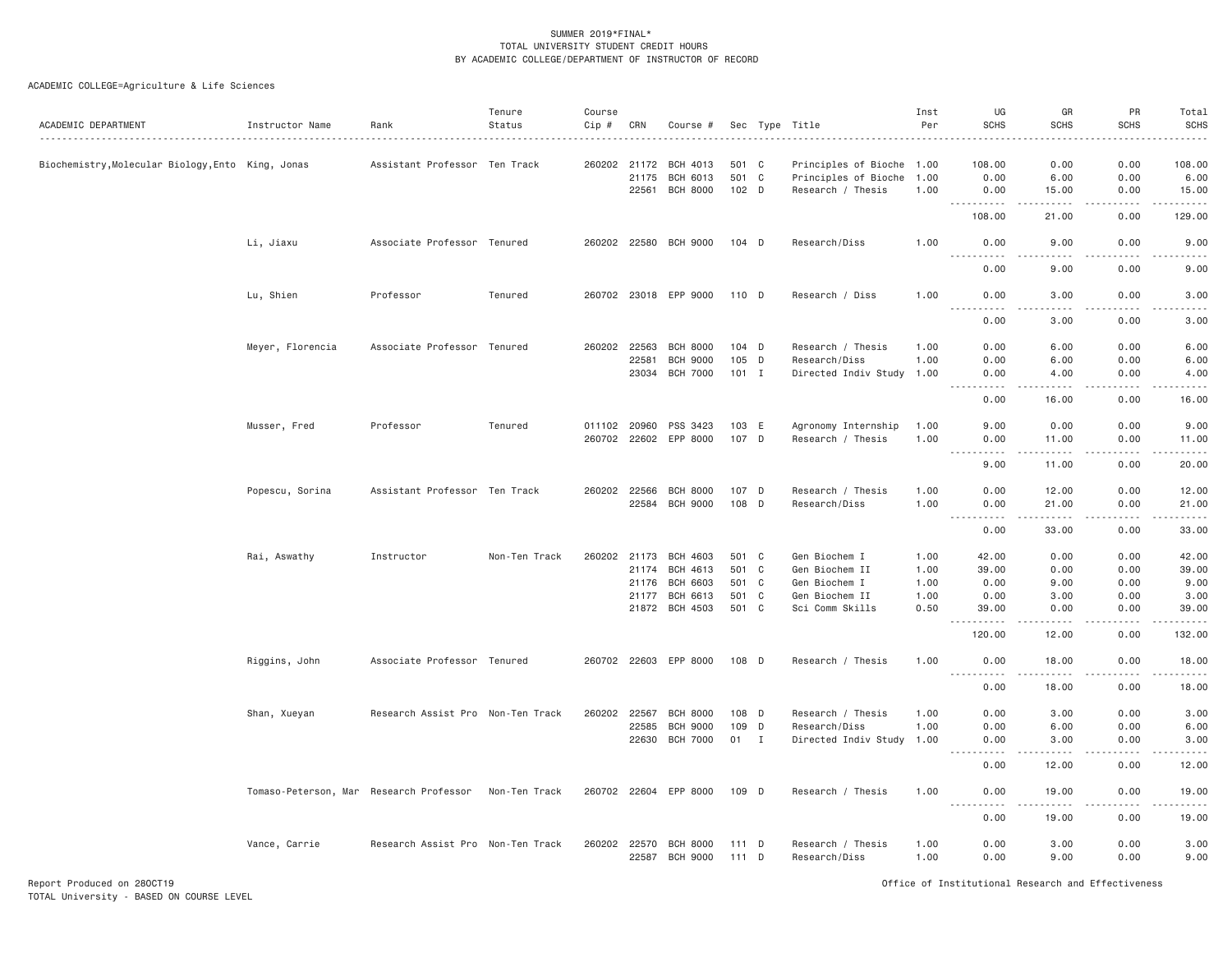| ACADEMIC DEPARTMENT                               | Instructor Name                         | Rank                              | Tenure<br>Status | Course<br>Cip # | CRN          | Course #              |         |   | Sec Type Title            | Inst<br>Per | UG<br><b>SCHS</b>                                                                                                                                                                    | GR<br><b>SCHS</b>                                                                                                                                             | PR<br><b>SCHS</b> | Total<br><b>SCHS</b><br>. |
|---------------------------------------------------|-----------------------------------------|-----------------------------------|------------------|-----------------|--------------|-----------------------|---------|---|---------------------------|-------------|--------------------------------------------------------------------------------------------------------------------------------------------------------------------------------------|---------------------------------------------------------------------------------------------------------------------------------------------------------------|-------------------|---------------------------|
| Biochemistry, Molecular Biology, Ento King, Jonas |                                         | Assistant Professor Ten Track     |                  |                 | 260202 21172 | BCH 4013              | 501 C   |   | Principles of Bioche 1.00 |             | 108.00                                                                                                                                                                               | 0.00                                                                                                                                                          | 0.00              | 108.00                    |
|                                                   |                                         |                                   |                  |                 | 21175        | BCH 6013              | 501 C   |   | Principles of Bioche      | 1.00        | 0.00                                                                                                                                                                                 | 6.00                                                                                                                                                          | 0.00              | 6.00                      |
|                                                   |                                         |                                   |                  |                 | 22561        | <b>BCH 8000</b>       | 102 D   |   | Research / Thesis         | 1.00        | 0.00<br>.                                                                                                                                                                            | 15.00<br>$\frac{1}{2} \left( \frac{1}{2} \right) \left( \frac{1}{2} \right) \left( \frac{1}{2} \right) \left( \frac{1}{2} \right) \left( \frac{1}{2} \right)$ | 0.00<br>.         | 15.00<br>.                |
|                                                   |                                         |                                   |                  |                 |              |                       |         |   |                           |             | 108.00                                                                                                                                                                               | 21.00                                                                                                                                                         | 0.00              | 129.00                    |
|                                                   | Li, Jiaxu                               | Associate Professor Tenured       |                  |                 |              | 260202 22580 BCH 9000 | $104$ D |   | Research/Diss             | 1.00        | 0.00<br><b>.</b>                                                                                                                                                                     | 9.00<br>.                                                                                                                                                     | 0.00<br>.         | 9.00<br>.                 |
|                                                   |                                         |                                   |                  |                 |              |                       |         |   |                           |             | 0.00                                                                                                                                                                                 | 9.00                                                                                                                                                          | 0.00              | 9.00                      |
|                                                   | Lu, Shien                               | Professor                         | Tenured          |                 |              | 260702 23018 EPP 9000 | 110 D   |   | Research / Diss           | 1.00        | 0.00                                                                                                                                                                                 | 3.00                                                                                                                                                          | 0.00              | 3.00                      |
|                                                   |                                         |                                   |                  |                 |              |                       |         |   |                           |             | 0.00                                                                                                                                                                                 | 3.00                                                                                                                                                          | 0.00              | 3.00                      |
|                                                   | Meyer, Florencia                        | Associate Professor Tenured       |                  |                 | 260202 22563 | <b>BCH 8000</b>       | 104 D   |   | Research / Thesis         | 1.00        | 0.00                                                                                                                                                                                 | 6.00                                                                                                                                                          | 0.00              | 6.00                      |
|                                                   |                                         |                                   |                  |                 | 22581        | <b>BCH 9000</b>       | 105 D   |   | Research/Diss             | 1.00        | 0.00                                                                                                                                                                                 | 6.00                                                                                                                                                          | 0.00              | 6.00                      |
|                                                   |                                         |                                   |                  |                 |              | 23034 BCH 7000        | $101$ I |   | Directed Indiv Study 1.00 |             | 0.00<br>$\frac{1}{2} \left( \frac{1}{2} \right) \left( \frac{1}{2} \right) \left( \frac{1}{2} \right) \left( \frac{1}{2} \right) \left( \frac{1}{2} \right)$<br>$\sim$ $\sim$ $\sim$ | 4.00<br><u>.</u>                                                                                                                                              | 0.00<br>.         | 4.00<br>.                 |
|                                                   |                                         |                                   |                  |                 |              |                       |         |   |                           |             | 0.00                                                                                                                                                                                 | 16.00                                                                                                                                                         | 0.00              | 16.00                     |
|                                                   | Musser, Fred                            | Professor                         | Tenured          |                 |              | 011102 20960 PSS 3423 | 103 E   |   | Agronomy Internship       | 1.00        | 9.00                                                                                                                                                                                 | 0.00                                                                                                                                                          | 0.00              | 9.00                      |
|                                                   |                                         |                                   |                  |                 |              | 260702 22602 EPP 8000 | 107 D   |   | Research / Thesis         | 1.00        | 0.00                                                                                                                                                                                 | 11.00                                                                                                                                                         | 0.00              | 11.00                     |
|                                                   |                                         |                                   |                  |                 |              |                       |         |   |                           |             | $\cdots$<br>. <b>.</b> .<br>9.00                                                                                                                                                     | $\cdots \cdots \cdots$<br>11.00                                                                                                                               | .<br>0.00         | .<br>20.00                |
|                                                   | Popescu, Sorina                         | Assistant Professor Ten Track     |                  |                 | 260202 22566 | <b>BCH 8000</b>       | 107 D   |   | Research / Thesis         | 1.00        | 0.00                                                                                                                                                                                 | 12.00                                                                                                                                                         | 0.00              | 12.00                     |
|                                                   |                                         |                                   |                  |                 |              | 22584 BCH 9000        | 108 D   |   | Research/Diss             | 1.00        | 0.00<br>$\sim$ $\sim$<br>$\frac{1}{2} \left( \frac{1}{2} \right) \left( \frac{1}{2} \right) \left( \frac{1}{2} \right) \left( \frac{1}{2} \right)$                                   | 21.00<br>.                                                                                                                                                    | 0.00<br>.         | 21.00<br>.                |
|                                                   |                                         |                                   |                  |                 |              |                       |         |   |                           |             | 0.00                                                                                                                                                                                 | 33.00                                                                                                                                                         | 0.00              | 33.00                     |
|                                                   | Rai, Aswathy                            | Instructor                        | Non-Ten Track    |                 |              | 260202 21173 BCH 4603 | 501 C   |   | Gen Biochem I             | 1.00        | 42.00                                                                                                                                                                                | 0.00                                                                                                                                                          | 0.00              | 42.00                     |
|                                                   |                                         |                                   |                  |                 | 21174        | BCH 4613              | 501 C   |   | Gen Biochem II            | 1.00        | 39.00                                                                                                                                                                                | 0.00                                                                                                                                                          | 0.00              | 39.00                     |
|                                                   |                                         |                                   |                  |                 | 21176        | <b>BCH 6603</b>       | 501 C   |   | Gen Biochem I             | 1.00        | 0.00                                                                                                                                                                                 | 9.00                                                                                                                                                          | 0.00              | 9.00                      |
|                                                   |                                         |                                   |                  |                 | 21177        | <b>BCH 6613</b>       | 501 C   |   | Gen Biochem II            | 1.00        | 0.00                                                                                                                                                                                 | 3.00                                                                                                                                                          | 0.00              | 3.00                      |
|                                                   |                                         |                                   |                  |                 |              | 21872 BCH 4503        | 501 C   |   | Sci Comm Skills           | 0.50        | 39.00<br>.                                                                                                                                                                           | 0.00<br>.                                                                                                                                                     | 0.00<br>-----     | 39.00<br>.                |
|                                                   |                                         |                                   |                  |                 |              |                       |         |   |                           |             | 120.00                                                                                                                                                                               | 12.00                                                                                                                                                         | 0.00              | 132.00                    |
|                                                   | Riggins, John                           | Associate Professor Tenured       |                  |                 |              | 260702 22603 EPP 8000 | 108 D   |   | Research / Thesis         | 1.00        | 0.00<br>.                                                                                                                                                                            | 18.00<br>.                                                                                                                                                    | 0.00<br>.         | 18.00<br>.                |
|                                                   |                                         |                                   |                  |                 |              |                       |         |   |                           |             | 0.00                                                                                                                                                                                 | 18.00                                                                                                                                                         | 0.00              | 18.00                     |
|                                                   | Shan, Xueyan                            | Research Assist Pro Non-Ten Track |                  | 260202          | 22567        | <b>BCH 8000</b>       | 108     | D | Research / Thesis         | 1.00        | 0.00                                                                                                                                                                                 | 3.00                                                                                                                                                          | 0.00              | 3.00                      |
|                                                   |                                         |                                   |                  |                 | 22585        | <b>BCH 9000</b>       | 109     | D | Research/Diss             | 1.00        | 0.00                                                                                                                                                                                 | 6.00                                                                                                                                                          | 0.00              | 6.00                      |
|                                                   |                                         |                                   |                  |                 |              | 22630 BCH 7000        | 01 I    |   | Directed Indiv Study 1.00 |             | 0.00<br>$  -$<br>-----                                                                                                                                                               | 3.00<br>-----                                                                                                                                                 | 0.00<br>.         | 3.00<br>.                 |
|                                                   |                                         |                                   |                  |                 |              |                       |         |   |                           |             | 0.00                                                                                                                                                                                 | 12.00                                                                                                                                                         | 0.00              | 12.00                     |
|                                                   | Tomaso-Peterson, Mar Research Professor |                                   | Non-Ten Track    |                 |              | 260702 22604 EPP 8000 | 109 D   |   | Research / Thesis         | 1.00        | 0.00<br>.                                                                                                                                                                            | 19.00<br>.                                                                                                                                                    | 0.00<br>.         | 19.00<br>.                |
|                                                   |                                         |                                   |                  |                 |              |                       |         |   |                           |             | 0.00                                                                                                                                                                                 | 19.00                                                                                                                                                         | 0.00              | 19.00                     |
|                                                   | Vance, Carrie                           | Research Assist Pro Non-Ten Track |                  |                 | 260202 22570 | BCH 8000              | 111 D   |   | Research / Thesis         | 1.00        | 0.00                                                                                                                                                                                 | 3.00                                                                                                                                                          | 0.00              | 3.00                      |
|                                                   |                                         |                                   |                  |                 | 22587        | <b>BCH 9000</b>       | 111 D   |   | Research/Diss             | 1.00        | 0.00                                                                                                                                                                                 | 9.00                                                                                                                                                          | 0.00              | 9.00                      |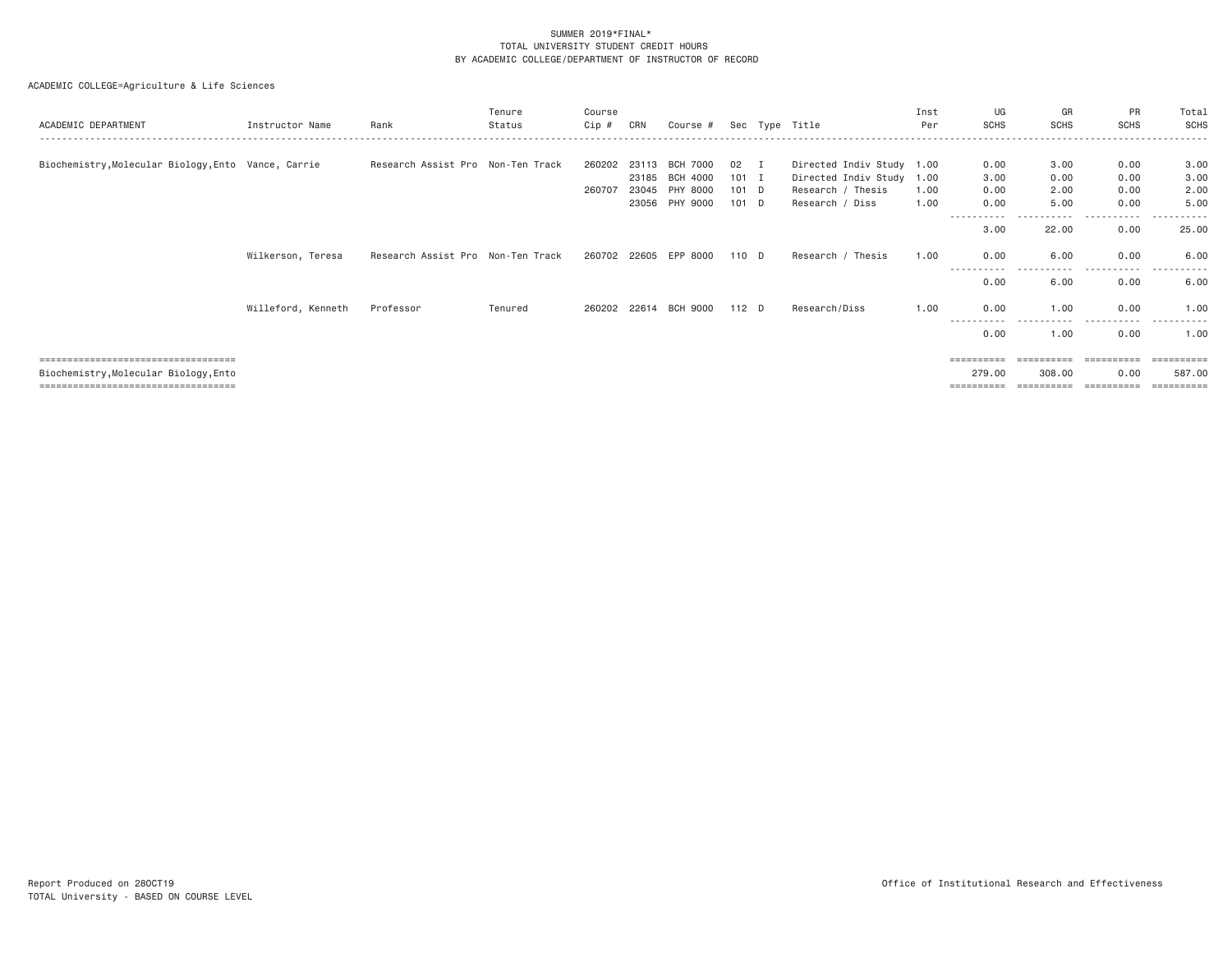| ACADEMIC DEPARTMENT                                 | Instructor Name    | Rank                              | Tenure<br>Status | Course<br>Cip # | CRN   | Course #              |         |          | Sec Type Title            | Inst<br>Per | UG<br><b>SCHS</b>             | GR<br><b>SCHS</b>   | PR<br><b>SCHS</b> | Total<br>SCHS |
|-----------------------------------------------------|--------------------|-----------------------------------|------------------|-----------------|-------|-----------------------|---------|----------|---------------------------|-------------|-------------------------------|---------------------|-------------------|---------------|
|                                                     |                    |                                   |                  |                 |       |                       |         |          |                           |             |                               |                     |                   |               |
| Biochemistry, Molecular Biology, Ento Vance, Carrie |                    | Research Assist Pro Non-Ten Track |                  | 260202          | 23113 | <b>BCH 7000</b>       | 02      | <b>I</b> | Directed Indiv Study 1.00 |             | 0.00                          | 3.00                | 0.00              | 3.00          |
|                                                     |                    |                                   |                  |                 | 23185 | BCH 4000              | $101$ I |          | Directed Indiv Study 1.00 |             | 3.00                          | 0.00                | 0.00              | 3.00          |
|                                                     |                    |                                   |                  | 260707          | 23045 | PHY 8000              | 101 D   |          | Research / Thesis         | 1.00        | 0.00                          | 2.00                | 0.00              | 2.00          |
|                                                     |                    |                                   |                  |                 |       | 23056 PHY 9000        | 101 D   |          | Research / Diss           | 1.00        | 0.00                          | 5.00                | 0.00              | 5.00          |
|                                                     |                    |                                   |                  |                 |       |                       |         |          |                           |             | - - - - - - - - - - -<br>3.00 | .<br>22.00          | .<br>0.00         | 25.00         |
|                                                     | Wilkerson, Teresa  | Research Assist Pro Non-Ten Track |                  |                 |       | 260702 22605 EPP 8000 | 110 D   |          | Research / Thesis         | 1.00        | 0.00                          | 6.00                | 0.00              | 6,00          |
|                                                     |                    |                                   |                  |                 |       |                       |         |          |                           |             | 0.00                          | -----------<br>6.00 | .<br>0.00         | .<br>6.00     |
|                                                     | Willeford, Kenneth | Professor                         | Tenured          |                 |       | 260202 22614 BCH 9000 | 112 D   |          | Research/Diss             | 1.00        | 0.00                          | 1.00<br><u>.</u>    | 0.00              | 1.00          |
|                                                     |                    |                                   |                  |                 |       |                       |         |          |                           |             | 0.00                          | 1.00                | 0.00              | 1.00          |
| ======================================              |                    |                                   |                  |                 |       |                       |         |          |                           |             | ==========                    | ==========          | ==========        | ==========    |
| Biochemistry, Molecular Biology, Ento               |                    |                                   |                  |                 |       |                       |         |          |                           |             | 279.00                        | 308.00              | 0.00              | 587.00        |
| ===================================                 |                    |                                   |                  |                 |       |                       |         |          |                           |             | ==========                    | ==========          | ==========        | ==========    |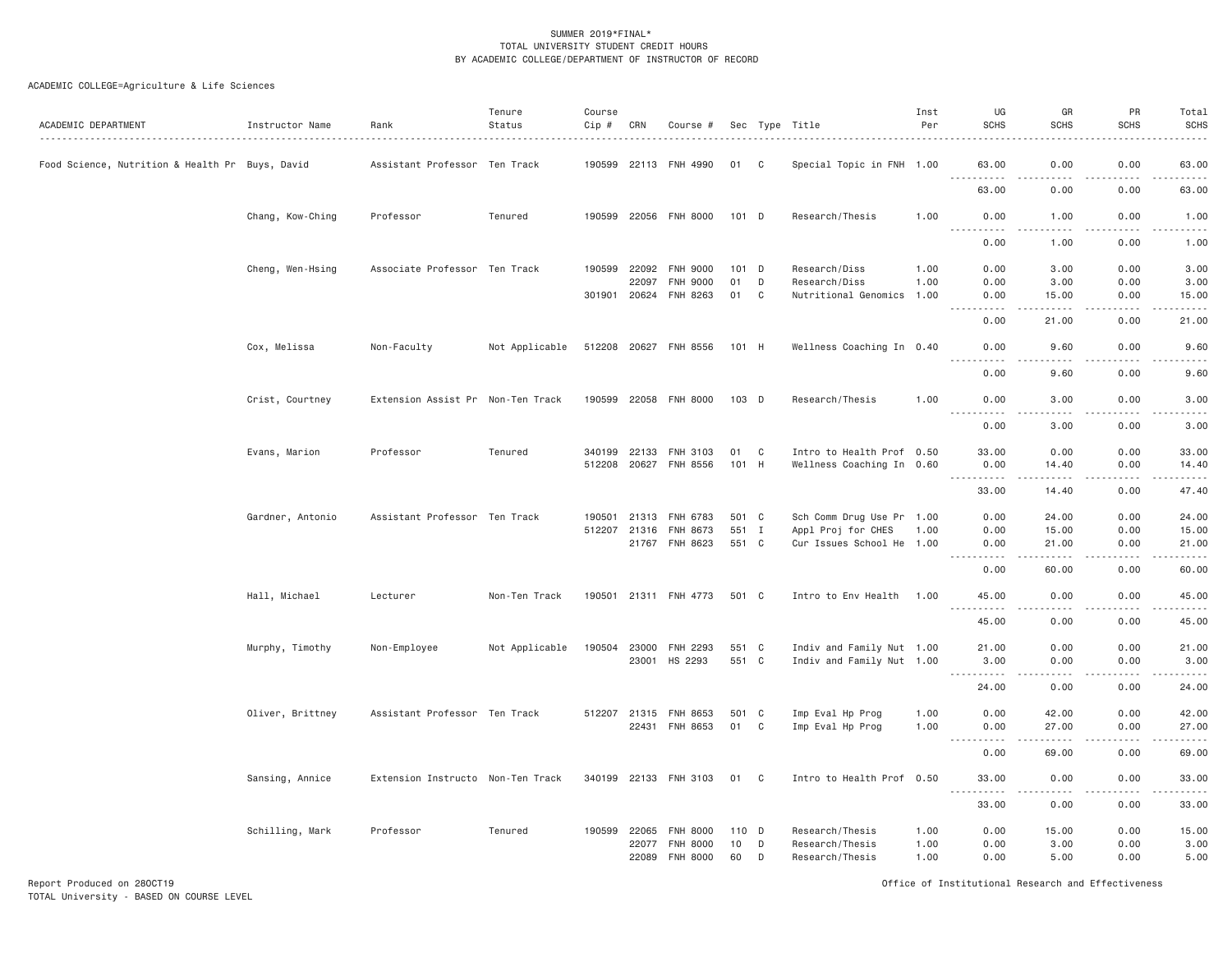| ACADEMIC DEPARTMENT                             | Instructor Name  | Rank                              | Tenure<br>Status | Course<br>Cip # | CRN   | Course #              |         |   | Sec Type Title            | Inst<br>Per | UG<br><b>SCHS</b>                  | GR<br><b>SCHS</b>      | PR<br><b>SCHS</b>            | Total<br><b>SCHS</b><br>.                                                                                                                                                               |
|-------------------------------------------------|------------------|-----------------------------------|------------------|-----------------|-------|-----------------------|---------|---|---------------------------|-------------|------------------------------------|------------------------|------------------------------|-----------------------------------------------------------------------------------------------------------------------------------------------------------------------------------------|
| Food Science, Nutrition & Health Pr Buys, David |                  | Assistant Professor Ten Track     |                  | 190599          | 22113 | FNH 4990              | 01      | C | Special Topic in FNH 1.00 |             | 63.00                              | 0.00                   | 0.00                         | 63.00                                                                                                                                                                                   |
|                                                 |                  |                                   |                  |                 |       |                       |         |   |                           |             | <u>.</u><br>63.00                  | .<br>0.00              | 0.00                         | .<br>63.00                                                                                                                                                                              |
|                                                 | Chang, Kow-Ching | Professor                         | Tenured          |                 |       | 190599 22056 FNH 8000 | 101 D   |   | Research/Thesis           | 1.00        | 0.00<br>$\frac{1}{2}$<br><u>.</u>  | 1.00<br>.              | 0.00<br>.                    | 1.00<br>$    -$                                                                                                                                                                         |
|                                                 |                  |                                   |                  |                 |       |                       |         |   |                           |             | 0.00                               | 1.00                   | 0.00                         | 1.00                                                                                                                                                                                    |
|                                                 | Cheng, Wen-Hsing | Associate Professor Ten Track     |                  | 190599          | 22092 | <b>FNH 9000</b>       | $101$ D |   | Research/Diss             | 1.00        | 0.00                               | 3.00                   | 0.00                         | 3.00                                                                                                                                                                                    |
|                                                 |                  |                                   |                  |                 | 22097 | <b>FNH 9000</b>       | 01      | D | Research/Diss             | 1.00        | 0.00                               | 3.00                   | 0.00                         | 3.00                                                                                                                                                                                    |
|                                                 |                  |                                   |                  | 301901 20624    |       | FNH 8263              | 01      | C | Nutritional Genomics      | 1,00        | 0.00                               | 15.00<br>$\frac{1}{2}$ | 0.00<br>.                    | 15.00<br>$    -$                                                                                                                                                                        |
|                                                 |                  |                                   |                  |                 |       |                       |         |   |                           |             | 0.00                               | 21.00                  | 0.00                         | 21.00                                                                                                                                                                                   |
|                                                 | Cox, Melissa     | Non-Faculty                       | Not Applicable   |                 |       | 512208 20627 FNH 8556 | 101 H   |   | Wellness Coaching In 0.40 |             | 0.00<br><u>.</u>                   | 9.60<br>.              | 0.00<br><u>.</u>             | 9.60<br>. <u>.</u> .                                                                                                                                                                    |
|                                                 |                  |                                   |                  |                 |       |                       |         |   |                           |             | 0.00                               | 9.60                   | 0.00                         | 9.60                                                                                                                                                                                    |
|                                                 | Crist, Courtney  | Extension Assist Pr Non-Ten Track |                  |                 |       | 190599 22058 FNH 8000 | 103 D   |   | Research/Thesis           | 1.00        | 0.00<br>-----                      | 3.00<br>.              | 0.00<br>.                    | 3.00<br>$\frac{1}{2} \left( \frac{1}{2} \right) \left( \frac{1}{2} \right) \left( \frac{1}{2} \right) \left( \frac{1}{2} \right) \left( \frac{1}{2} \right) \left( \frac{1}{2} \right)$ |
|                                                 |                  |                                   |                  |                 |       |                       |         |   |                           |             | 0.00                               | 3.00                   | 0.00                         | 3.00                                                                                                                                                                                    |
|                                                 | Evans, Marion    | Professor                         | Tenured          | 340199          | 22133 | FNH 3103              | 01      | C | Intro to Health Prof 0.50 |             | 33.00                              | 0.00                   | 0.00                         | 33.00                                                                                                                                                                                   |
|                                                 |                  |                                   |                  | 512208          | 20627 | <b>FNH 8556</b>       | 101 H   |   | Wellness Coaching In 0.60 |             | 0.00                               | 14.40                  | 0.00                         | 14.40                                                                                                                                                                                   |
|                                                 |                  |                                   |                  |                 |       |                       |         |   |                           |             | 2.2.2.2.2.2<br>33.00               | .<br>14.40             | .<br>0.00                    | .<br>47.40                                                                                                                                                                              |
|                                                 |                  |                                   |                  |                 |       |                       |         |   |                           |             |                                    |                        |                              |                                                                                                                                                                                         |
|                                                 | Gardner, Antonio | Assistant Professor Ten Track     |                  | 190501          | 21313 | FNH 6783              | 501 C   |   | Sch Comm Drug Use Pr 1.00 |             | 0.00                               | 24.00                  | 0.00                         | 24.00                                                                                                                                                                                   |
|                                                 |                  |                                   |                  | 512207 21316    |       | <b>FNH 8673</b>       | 551 I   |   | Appl Proj for CHES        | 1.00        | 0.00                               | 15.00                  | 0.00                         | 15.00                                                                                                                                                                                   |
|                                                 |                  |                                   |                  |                 |       | 21767 FNH 8623        | 551 C   |   | Cur Issues School He 1.00 |             | 0.00<br>.                          | 21.00<br>.             | 0.00<br>د د د د              | 21.00<br>$    -$                                                                                                                                                                        |
|                                                 |                  |                                   |                  |                 |       |                       |         |   |                           |             | 0.00                               | 60,00                  | 0.00                         | 60.00                                                                                                                                                                                   |
|                                                 | Hall, Michael    | Lecturer                          | Non-Ten Track    |                 |       | 190501 21311 FNH 4773 | 501 C   |   | Intro to Env Health 1.00  |             | 45.00<br>$- - -$<br>.              | 0.00<br>.              | 0.00<br>-----                | 45.00<br>.                                                                                                                                                                              |
|                                                 |                  |                                   |                  |                 |       |                       |         |   |                           |             | 45.00                              | 0.00                   | 0.00                         | 45.00                                                                                                                                                                                   |
|                                                 | Murphy, Timothy  | Non-Employee                      | Not Applicable   | 190504          | 23000 | <b>FNH 2293</b>       | 551 C   |   | Indiv and Family Nut 1.00 |             | 21.00                              | 0.00                   | 0.00                         | 21.00                                                                                                                                                                                   |
|                                                 |                  |                                   |                  |                 | 23001 | HS 2293               | 551 C   |   | Indiv and Family Nut 1.00 |             | 3.00                               | 0.00                   | 0.00                         | 3,00                                                                                                                                                                                    |
|                                                 |                  |                                   |                  |                 |       |                       |         |   |                           |             | -----<br>24.00                     | 0.00                   | د د د د<br>0.00              | $   -$<br>24.00                                                                                                                                                                         |
|                                                 |                  |                                   |                  |                 |       |                       |         |   |                           |             |                                    |                        |                              |                                                                                                                                                                                         |
|                                                 | Oliver, Brittney | Assistant Professor Ten Track     |                  | 512207 21315    |       | <b>FNH 8653</b>       | 501 C   |   | Imp Eval Hp Prog          | 1.00        | 0.00                               | 42.00                  | 0.00                         | 42.00                                                                                                                                                                                   |
|                                                 |                  |                                   |                  |                 | 22431 | FNH 8653              | 01 C    |   | Imp Eval Hp Prog          | 1.00        | 0.00                               | 27.00                  | 0.00                         | 27.00                                                                                                                                                                                   |
|                                                 |                  |                                   |                  |                 |       |                       |         |   |                           |             | 0.00                               | 69.00                  | $\sim$ $\sim$ $\sim$<br>0.00 | $   -$<br>69.00                                                                                                                                                                         |
|                                                 | Sansing, Annice  | Extension Instructo Non-Ten Track |                  |                 |       | 340199 22133 FNH 3103 | 01 C    |   | Intro to Health Prof 0.50 |             | 33.00                              | 0.00                   | 0.00                         | 33.00                                                                                                                                                                                   |
|                                                 |                  |                                   |                  |                 |       |                       |         |   |                           |             | $\sim$ $\sim$ $\sim$<br>.<br>33.00 | .<br>0.00              | -----<br>0.00                | .<br>33.00                                                                                                                                                                              |
|                                                 | Schilling, Mark  | Professor                         | Tenured          | 190599          | 22065 | <b>FNH 8000</b>       | 110 D   |   | Research/Thesis           | 1.00        | 0.00                               | 15.00                  | 0.00                         | 15.00                                                                                                                                                                                   |
|                                                 |                  |                                   |                  |                 | 22077 | <b>FNH 8000</b>       | 10      | D | Research/Thesis           | 1.00        | 0.00                               | 3.00                   | 0.00                         | 3.00                                                                                                                                                                                    |
|                                                 |                  |                                   |                  |                 | 22089 | <b>FNH 8000</b>       | 60      | D | Research/Thesis           | 1.00        | 0.00                               | 5.00                   | 0.00                         | 5.00                                                                                                                                                                                    |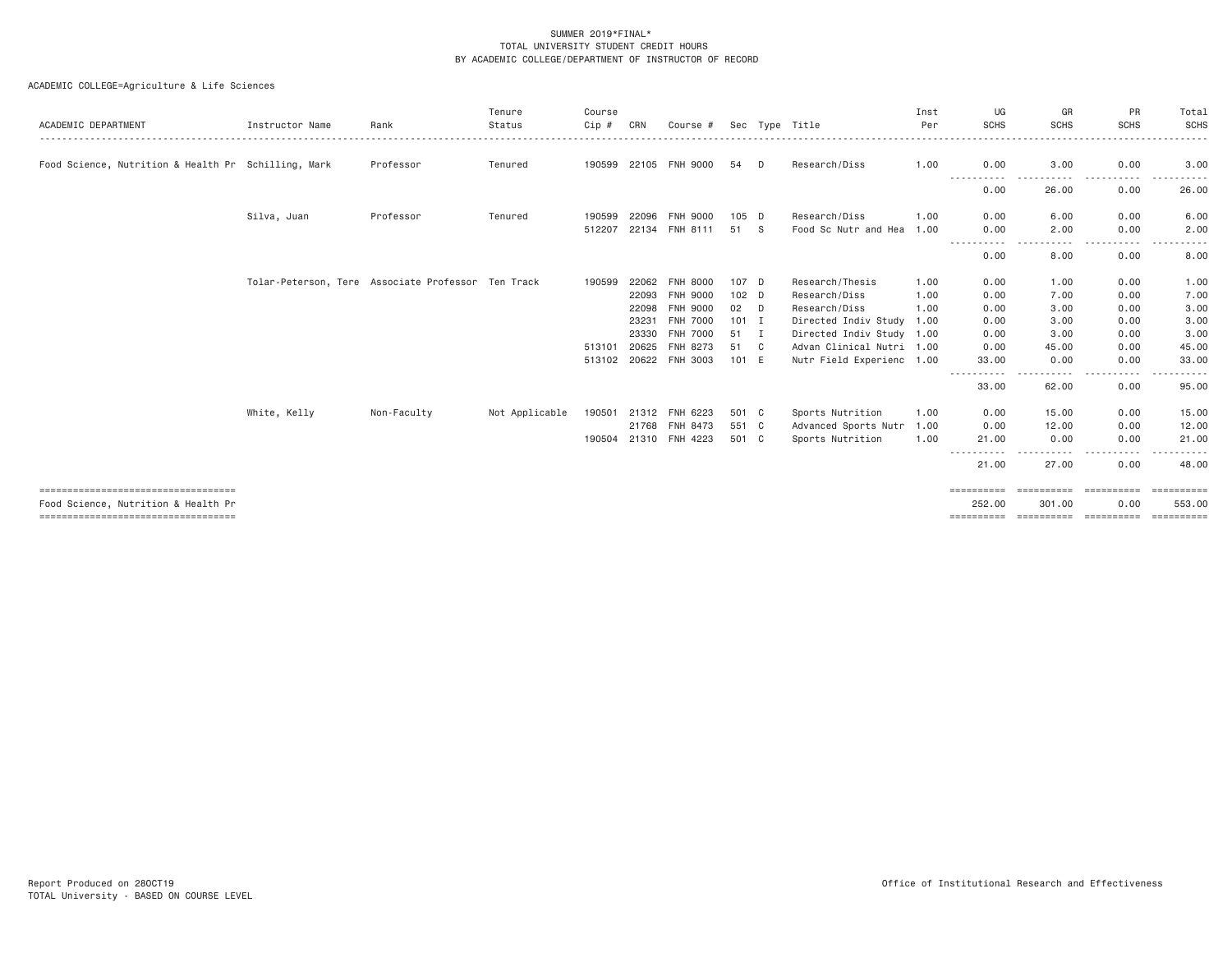| ACADEMIC DEPARTMENT                                                         | Instructor Name | Rank                                               | Tenure<br>Status | Course<br>Cip# | CRN   | Course #              |         |     | Sec Type Title            | Inst<br>Per | UG<br><b>SCHS</b>    | GR<br><b>SCHS</b>    | <b>PR</b><br><b>SCHS</b>  | Total<br><b>SCHS</b> |
|-----------------------------------------------------------------------------|-----------------|----------------------------------------------------|------------------|----------------|-------|-----------------------|---------|-----|---------------------------|-------------|----------------------|----------------------|---------------------------|----------------------|
| Food Science, Nutrition & Health Pr Schilling, Mark                         |                 | Professor                                          | Tenured          | 190599         |       | 22105 FNH 9000        | 54      | D   | Research/Diss             | 1.00        | 0.00                 | 3,00                 | 0.00                      | 3.00                 |
|                                                                             |                 |                                                    |                  |                |       |                       |         |     |                           |             | -----<br>.<br>0.00   | $\cdots$<br>26.00    | .<br>$\cdots$<br>0.00     | 26.00                |
|                                                                             | Silva, Juan     | Professor                                          | Tenured          | 190599         | 22096 | FNH 9000              | $105$ D |     | Research/Diss             | 1.00        | 0.00                 | 6.00                 | 0.00                      | 6.00                 |
|                                                                             |                 |                                                    |                  | 512207         | 22134 | FNH 8111              | 51      | - S | Food Sc Nutr and Hea      | 1,00        | 0.00                 | 2.00<br>.            | 0.00<br>-----<br>$\cdots$ | 2.00<br>$- - -$<br>. |
|                                                                             |                 |                                                    |                  |                |       |                       |         |     |                           |             | 0.00                 | 8.00                 | 0.00                      | 8.00                 |
|                                                                             |                 | Tolar-Peterson, Tere Associate Professor Ten Track |                  | 190599         | 22062 | <b>FNH 8000</b>       | 107 D   |     | Research/Thesis           | 1.00        | 0.00                 | 1.00                 | 0.00                      | 1.00                 |
|                                                                             |                 |                                                    |                  |                | 22093 | <b>FNH 9000</b>       | $102$ D |     | Research/Diss             | 1.00        | 0.00                 | 7.00                 | 0.00                      | 7.00                 |
|                                                                             |                 |                                                    |                  |                | 22098 | <b>FNH 9000</b>       | 02      | D   | Research/Diss             | 1.00        | 0.00                 | 3.00                 | 0.00                      | 3.00                 |
|                                                                             |                 |                                                    |                  |                | 23231 | <b>FNH 7000</b>       | $101$ I |     | Directed Indiv Study 1.00 |             | 0.00                 | 3,00                 | 0.00                      | 3.00                 |
|                                                                             |                 |                                                    |                  |                | 23330 | <b>FNH 7000</b>       | 51      | Ι.  | Directed Indiv Study 1.00 |             | 0.00                 | 3,00                 | 0.00                      | 3.00                 |
|                                                                             |                 |                                                    |                  | 513101         | 20625 | FNH 8273              | 51      | C   | Advan Clinical Nutri 1.00 |             | 0.00                 | 45.00                | 0.00                      | 45.00                |
|                                                                             |                 |                                                    |                  |                |       | 513102 20622 FNH 3003 | 101 E   |     | Nutr Field Experienc 1.00 |             | 33.00                | 0.00                 | 0.00                      | 33.00                |
|                                                                             |                 |                                                    |                  |                |       |                       |         |     |                           |             | -----------<br>33.00 | .<br>62.00           | $\cdots$<br>-----<br>0.00 | .<br>95.00           |
|                                                                             | White, Kelly    | Non-Faculty                                        | Not Applicable   | 190501         |       | 21312 FNH 6223        | 501 C   |     | Sports Nutrition          | 1.00        | 0.00                 | 15.00                | 0.00                      | 15.00                |
|                                                                             |                 |                                                    |                  |                |       | 21768 FNH 8473        | 551 C   |     | Advanced Sports Nutr      | 1.00        | 0.00                 | 12.00                | 0.00                      | 12.00                |
|                                                                             |                 |                                                    |                  | 190504         |       | 21310 FNH 4223        | 501 C   |     | Sports Nutrition          | 1.00        | 21.00                | 0.00                 | 0.00                      | 21.00                |
|                                                                             |                 |                                                    |                  |                |       |                       |         |     |                           |             | .<br>21.00           | -----<br>27.00       | $\cdots$<br>-----<br>0.00 | .<br>48.00           |
| ====================================<br>Food Science, Nutrition & Health Pr |                 |                                                    |                  |                |       |                       |         |     |                           |             | ==========<br>252.00 | ==========<br>301,00 | ==========<br>0.00        | 553,00               |
| ======================================                                      |                 |                                                    |                  |                |       |                       |         |     |                           |             | ==========           | ==========           | -----------               | ==========           |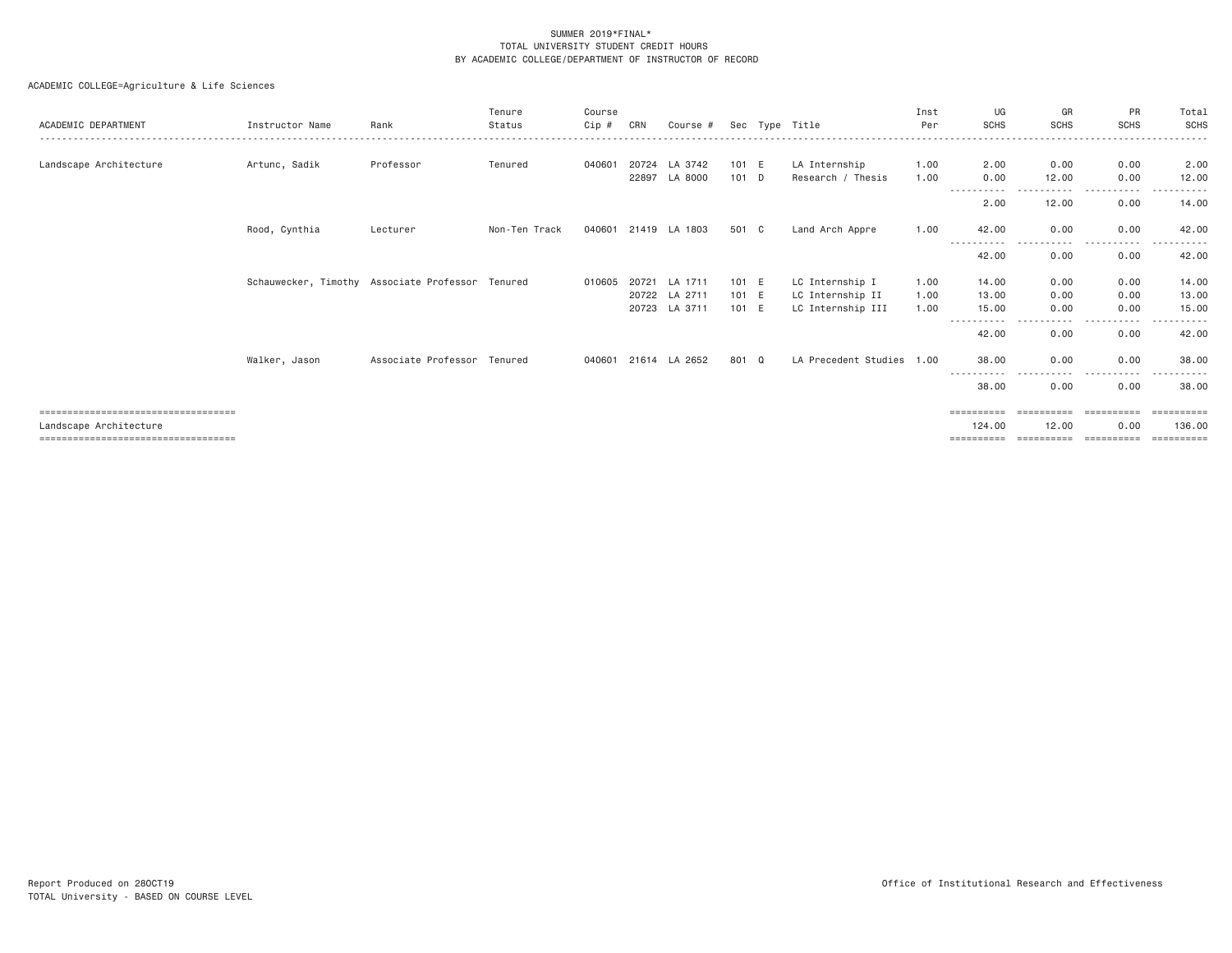| ACADEMIC DEPARTMENT                  | Instructor Name | Rank                                             | Tenure<br>Status | Course<br>Cip# | CRN   | Course #                 |                | Sec Type Title                        | Inst<br>Per  | UG<br><b>SCHS</b>    | GR<br><b>SCHS</b> | PR<br><b>SCHS</b>     | Total<br>SCHS         |
|--------------------------------------|-----------------|--------------------------------------------------|------------------|----------------|-------|--------------------------|----------------|---------------------------------------|--------------|----------------------|-------------------|-----------------------|-----------------------|
| Landscape Architecture               | Artunc, Sadik   | Professor                                        | Tenured          | 040601         | 20724 | LA 3742                  | 101 E          | LA Internship                         | 1.00         | 2.00                 | 0.00              | 0.00                  | 2.00                  |
|                                      |                 |                                                  |                  |                | 22897 | LA 8000                  | 101 D          | Research / Thesis                     | 1,00         | 0.00                 | 12.00             | 0.00                  | 12.00                 |
|                                      |                 |                                                  |                  |                |       |                          |                |                                       |              | 2.00                 | 12.00             | 0.00                  | 14.00                 |
|                                      | Rood, Cynthia   | Lecturer                                         | Non-Ten Track    |                |       | 040601 21419 LA 1803     | 501 C          | Land Arch Appre                       | 1.00         | 42.00                | 0.00              | 0.00                  | 42.00                 |
|                                      |                 |                                                  |                  |                |       |                          |                |                                       |              | 42.00                | ----<br>0.00      | 0.00                  | 42.00                 |
|                                      |                 | Schauwecker, Timothy Associate Professor Tenured |                  | 010605         | 20721 | LA 1711                  | 101 E          | LC Internship I                       | 1.00         | 14.00                | 0.00              | 0.00                  | 14.00                 |
|                                      |                 |                                                  |                  |                | 20723 | 20722 LA 2711<br>LA 3711 | 101 E<br>101 E | LC Internship II<br>LC Internship III | 1.00<br>1.00 | 13.00<br>15.00       | 0.00<br>0.00      | 0.00<br>0.00          | 13.00<br>15.00        |
|                                      |                 |                                                  |                  |                |       |                          |                |                                       |              |                      |                   |                       |                       |
|                                      |                 |                                                  |                  |                |       |                          |                |                                       |              | 42.00                | 0.00              | 0.00                  | 42.00                 |
|                                      | Walker, Jason   | Associate Professor Tenured                      |                  |                |       | 040601 21614 LA 2652     | 801 Q          | LA Precedent Studies 1.00             |              | 38.00<br>----------- | 0.00<br>.         | 0.00<br>$\cdots$<br>. | 38,00                 |
|                                      |                 |                                                  |                  |                |       |                          |                |                                       |              | 38.00                | 0.00              | 0.00                  | 38.00                 |
| ==================================== |                 |                                                  |                  |                |       |                          |                |                                       |              | ==========           |                   | ==========            |                       |
| Landscape Architecture               |                 |                                                  |                  |                |       |                          |                |                                       |              | 124,00               | 12.00             | 0.00                  | 136,00                |
| ==================================== |                 |                                                  |                  |                |       |                          |                |                                       |              | ==========           | ==========        | ==========            | $=$ = = = = = = = = = |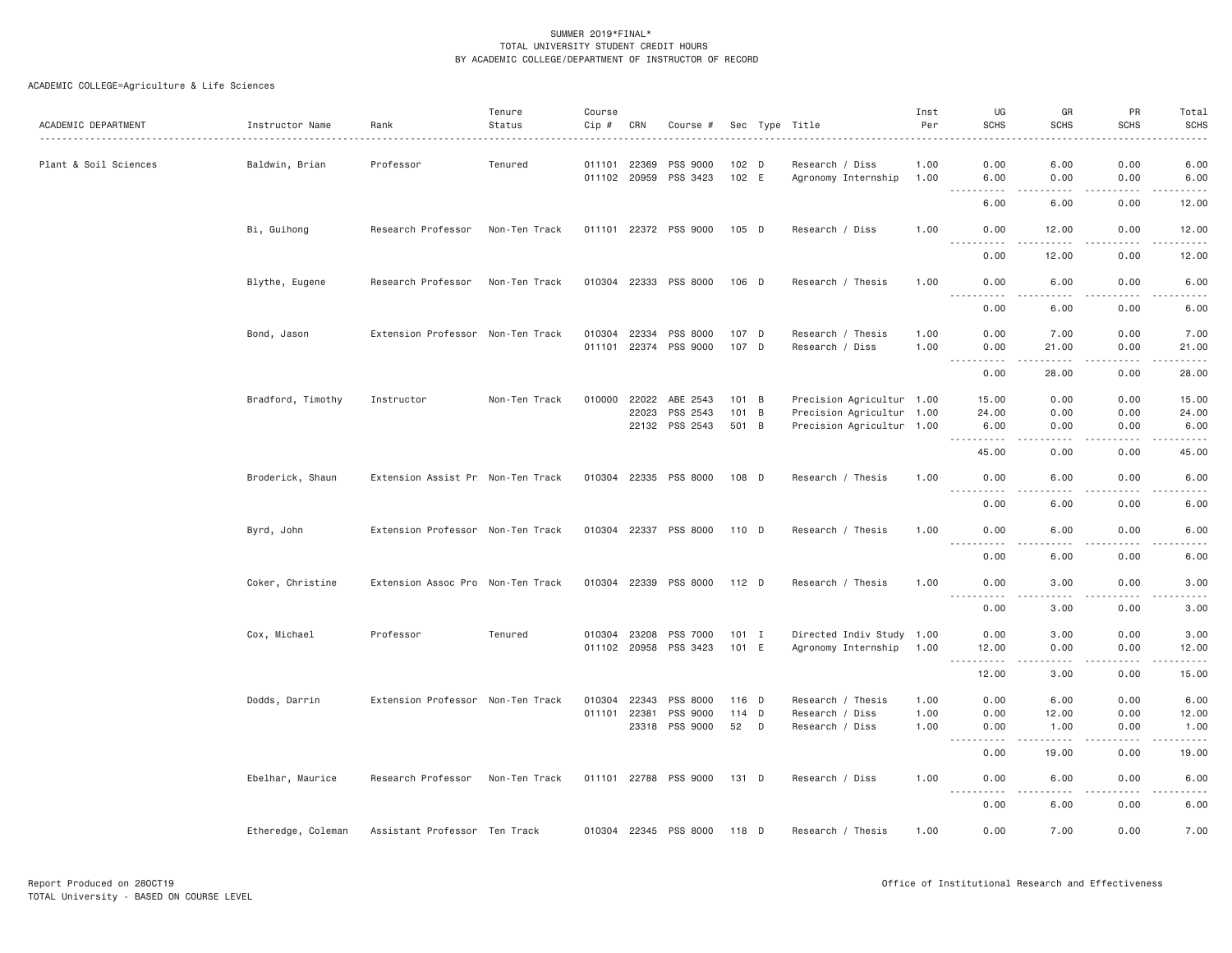| ACADEMIC DEPARTMENT   | Instructor Name    | Rank                              | Tenure<br>Status | Course<br>Cip #              | CRN            | Course #              |                  |                           | Sec Type Title                                        | Inst<br>Per  | UG<br><b>SCHS</b>                           | GR<br><b>SCHS</b>   | PR<br><b>SCHS</b>                                                                                                                                            | Total<br><b>SCHS</b> |
|-----------------------|--------------------|-----------------------------------|------------------|------------------------------|----------------|-----------------------|------------------|---------------------------|-------------------------------------------------------|--------------|---------------------------------------------|---------------------|--------------------------------------------------------------------------------------------------------------------------------------------------------------|----------------------|
| Plant & Soil Sciences | Baldwin, Brian     | Professor                         | Tenured          | 011101<br>011102 20959       | 22369          | PSS 9000<br>PSS 3423  |                  | 102 <sub>D</sub><br>102 E | Research / Diss<br>Agronomy Internship                | 1.00<br>1.00 | 0.00<br>6.00                                | 6.00<br>0.00        | 0.00<br>0.00                                                                                                                                                 | 6.00<br>6.00         |
|                       |                    |                                   |                  |                              |                |                       |                  |                           |                                                       |              | .<br>6.00                                   | الدامات بال<br>6.00 | .<br>0.00                                                                                                                                                    | .<br>12.00           |
|                       | Bi, Guihong        | Research Professor                | Non-Ten Track    |                              |                | 011101 22372 PSS 9000 | 105 D            |                           | Research / Diss                                       | 1,00         | 0.00<br>$\frac{1}{2}$                       | 12.00               | 0.00                                                                                                                                                         | 12.00                |
|                       |                    |                                   |                  |                              |                |                       |                  |                           |                                                       |              | 0.00                                        | 12.00               | 0.00                                                                                                                                                         | 12.00                |
|                       | Blythe, Eugene     | Research Professor                | Non-Ten Track    |                              |                | 010304 22333 PSS 8000 | 106 D            |                           | Research / Thesis                                     | 1.00         | 0.00<br>.                                   | 6.00<br>.           | 0.00<br>.                                                                                                                                                    | 6.00<br>$- - - - -$  |
|                       |                    |                                   |                  |                              |                |                       |                  |                           |                                                       |              | 0.00                                        | 6.00                | 0.00                                                                                                                                                         | 6.00                 |
|                       | Bond, Jason        | Extension Professor Non-Ten Track |                  | 010304 22334                 |                | PSS 8000              |                  | 107 D                     | Research / Thesis                                     | 1.00         | 0.00                                        | 7.00                | 0.00                                                                                                                                                         | 7.00                 |
|                       |                    |                                   |                  | 011101                       | 22374          | PSS 9000              |                  | 107 D                     | Research / Diss                                       | 1.00         | 0.00                                        | 21.00               | 0.00                                                                                                                                                         | 21.00                |
|                       |                    |                                   |                  |                              |                |                       |                  |                           |                                                       |              | 0.00                                        | 28.00               | 0.00                                                                                                                                                         | 28.00                |
|                       | Bradford, Timothy  | Instructor                        | Non-Ten Track    | 010000                       | 22022          | ABE 2543              |                  | $101 \quad B$             | Precision Agricultur 1.00                             |              | 15.00                                       | 0.00                | 0.00                                                                                                                                                         | 15.00                |
|                       |                    |                                   |                  |                              | 22023          | PSS 2543              |                  | 101 B                     | Precision Agricultur 1.00                             |              | 24.00                                       | 0.00                | 0.00                                                                                                                                                         | 24.00                |
|                       |                    |                                   |                  |                              | 22132          | PSS 2543              | 501 B            |                           | Precision Agricultur 1.00                             |              | 6.00<br>.                                   | 0.00<br>.           | 0.00                                                                                                                                                         | 6.00                 |
|                       |                    |                                   |                  |                              |                |                       |                  |                           |                                                       |              | 45.00                                       | 0.00                | 0.00                                                                                                                                                         | 45.00                |
|                       | Broderick, Shaun   | Extension Assist Pr Non-Ten Track |                  | 010304 22335                 |                | PSS 8000              | 108 D            |                           | Research / Thesis                                     | 1.00         | 0.00<br><u>.</u>                            | 6.00                | 0.00                                                                                                                                                         | 6.00                 |
|                       |                    |                                   |                  |                              |                |                       |                  |                           |                                                       |              | 0.00                                        | 6.00                | 0.00                                                                                                                                                         | 6.00                 |
|                       | Byrd, John         | Extension Professor Non-Ten Track |                  | 010304 22337                 |                | PSS 8000              | 110 D            |                           | Research / Thesis                                     | 1.00         | 0.00                                        | 6.00                | 0.00                                                                                                                                                         | 6.00                 |
|                       |                    |                                   |                  |                              |                |                       |                  |                           |                                                       |              | 0.00                                        | 6.00                | 0.00                                                                                                                                                         | 6.00                 |
|                       | Coker, Christine   | Extension Assoc Pro Non-Ten Track |                  | 010304 22339                 |                | PSS 8000              | 112 D            |                           | Research / Thesis                                     | 1.00         | 0.00<br>.                                   | 3.00<br>.           | 0.00<br>.                                                                                                                                                    | 3.00<br>.            |
|                       |                    |                                   |                  |                              |                |                       |                  |                           |                                                       |              | 0.00                                        | 3.00                | 0.00                                                                                                                                                         | 3.00                 |
|                       | Cox, Michael       | Professor                         | Tenured          | 010304 23208<br>011102 20958 |                | PSS 7000<br>PSS 3423  | $101$ I<br>101 E |                           | Directed Indiv Study 1.00<br>Agronomy Internship 1.00 |              | 0.00<br>12.00                               | 3.00<br>0.00        | 0.00<br>0.00                                                                                                                                                 | 3.00<br>12.00        |
|                       |                    |                                   |                  |                              |                |                       |                  |                           |                                                       |              | <u>.</u><br>12.00                           | $   -$<br>3.00      | .<br>0.00                                                                                                                                                    | .<br>15.00           |
|                       |                    |                                   |                  |                              |                |                       |                  |                           |                                                       |              |                                             |                     |                                                                                                                                                              |                      |
|                       | Dodds, Darrin      | Extension Professor Non-Ten Track |                  | 010304                       | 22343          | PSS 8000              |                  | 116 D                     | Research / Thesis                                     | 1.00         | 0.00                                        | 6.00                | 0.00                                                                                                                                                         | 6.00                 |
|                       |                    |                                   |                  | 011101                       | 22381<br>23318 | PSS 9000<br>PSS 9000  | 52               | 114 D<br>D                | Research / Diss<br>Research / Diss                    | 1.00<br>1.00 | 0.00<br>0.00                                | 12.00<br>1.00       | 0.00<br>0.00                                                                                                                                                 | 12.00<br>1.00        |
|                       |                    |                                   |                  |                              |                |                       |                  |                           |                                                       |              | <b><i><u>.</u></i></b><br>$- - - -$<br>0.00 | .<br>19.00          | $\frac{1}{2} \left( \frac{1}{2} \right) \left( \frac{1}{2} \right) \left( \frac{1}{2} \right) \left( \frac{1}{2} \right) \left( \frac{1}{2} \right)$<br>0.00 | .<br>19.00           |
|                       | Ebelhar, Maurice   | Research Professor                | Non-Ten Track    |                              |                | 011101 22788 PSS 9000 | 131 D            |                           | Research / Diss                                       | 1.00         | 0.00                                        | 6.00                | 0.00                                                                                                                                                         | 6.00                 |
|                       |                    |                                   |                  |                              |                |                       |                  |                           |                                                       |              | $\sim 100$<br>$\frac{1}{2}$                 | .                   | $- - - - -$                                                                                                                                                  | .                    |
|                       |                    |                                   |                  |                              |                |                       |                  |                           |                                                       |              | 0.00                                        | 6.00                | 0.00                                                                                                                                                         | 6.00                 |
|                       | Etheredge, Coleman | Assistant Professor Ten Track     |                  |                              |                | 010304 22345 PSS 8000 | 118 D            |                           | Research / Thesis                                     | 1.00         | 0.00                                        | 7.00                | 0.00                                                                                                                                                         | 7.00                 |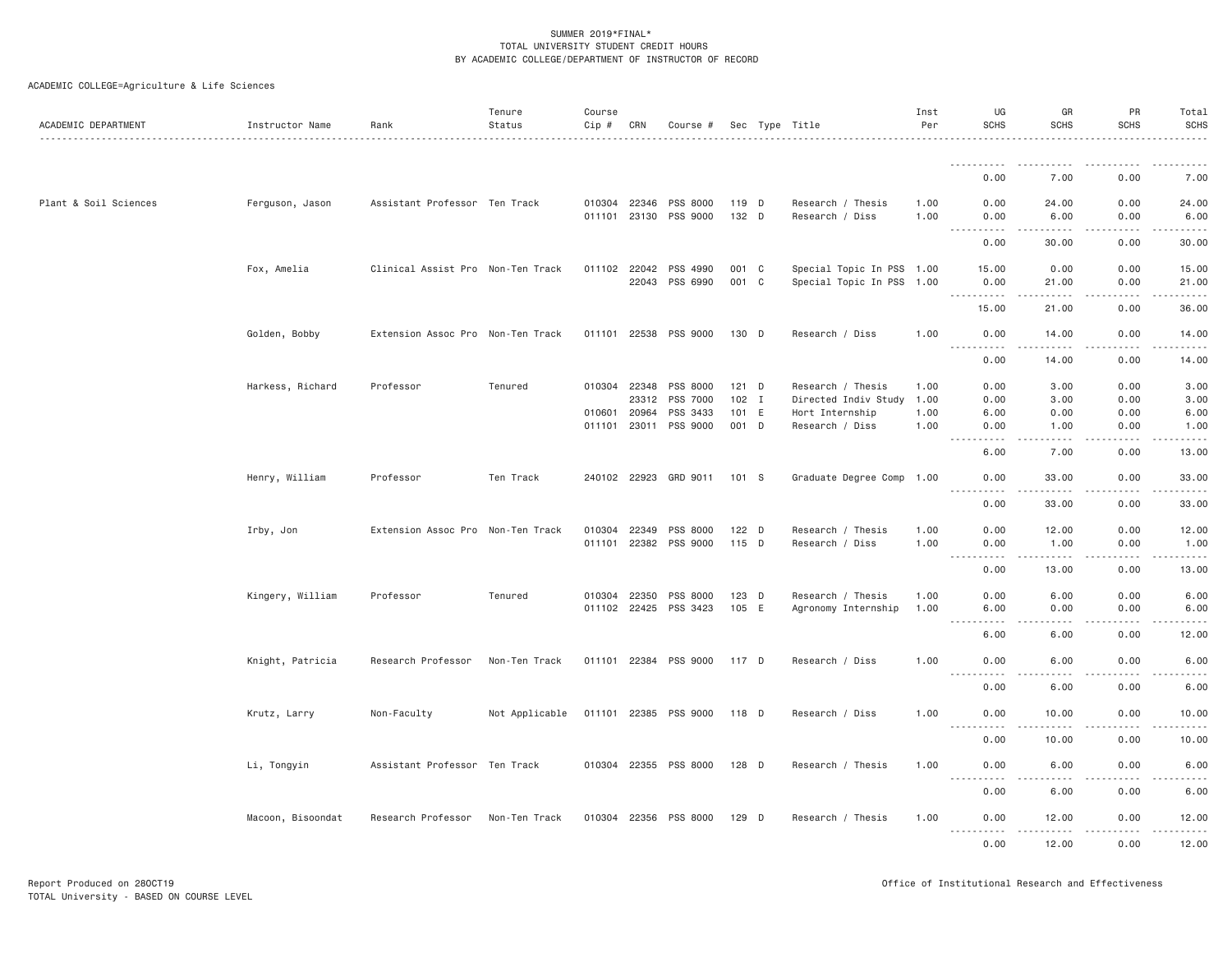| 0.00<br>7.00<br>0.00<br>Plant & Soil Sciences<br>Ferguson, Jason<br>Assistant Professor Ten Track<br>010304 22346<br>PSS 8000<br>119 D<br>Research / Thesis<br>1.00<br>0.00<br>24.00<br>0.00<br>011101 23130 PSS 9000<br>132 D<br>Research / Diss<br>0.00<br>1.00<br>0.00<br>6.00<br>.<br>.<br>$\frac{1}{2}$<br>$\frac{1}{2}$<br>.<br>0.00<br>0.00<br>30.00<br>Fox, Amelia<br>Clinical Assist Pro Non-Ten Track<br>001 C<br>Special Topic In PSS 1.00<br>0.00<br>011102 22042<br>PSS 4990<br>15.00<br>0.00<br>22043<br>PSS 6990<br>001 C<br>Special Topic In PSS 1.00<br>0.00<br>21.00<br>0.00<br>.<br>.<br>0.00<br>15.00<br>21.00<br>Golden, Bobby<br>Extension Assoc Pro Non-Ten Track<br>011101 22538<br>PSS 9000<br>130 D<br>Research / Diss<br>0.00<br>0.00<br>1.00<br>14.00<br>$- - - -$<br>.<br>. <u>.</u><br>.<br>.<br>0.00<br>14.00<br>0.00<br>Harkess, Richard<br>Professor<br>Tenured<br>010304 22348<br>PSS 8000<br>$121$ D<br>Research / Thesis<br>0.00<br>1.00<br>0.00<br>3.00<br>23312<br>PSS 7000<br>$102$ I<br>Directed Indiv Study<br>1.00<br>0.00<br>3.00<br>0.00<br>010601 20964<br>PSS 3433<br>101 E<br>0.00<br>0.00<br>Hort Internship<br>1.00<br>6.00<br>PSS 9000<br>011101 23011<br>001 D<br>Research / Diss<br>1.00<br>0.00<br>1.00<br>0.00<br><u>.</u><br>.<br>-----<br>المستماما<br>6.00<br>7.00<br>0.00<br>Henry, William<br>Professor<br>Ten Track<br>240102 22923 GRD 9011<br>Graduate Degree Comp 1.00<br>0.00<br>101 S<br>0.00<br>33.00<br><u>.</u><br>$\sim$ $\sim$ $\sim$ $\sim$ $\sim$<br>.<br>.<br>0.00<br>33.00<br>0.00<br>Irby, Jon<br>Extension Assoc Pro Non-Ten Track<br>010304 22349<br>PSS 8000<br>$122$ D<br>Research / Thesis<br>1.00<br>0.00<br>12.00<br>0.00<br>011101 22382<br>PSS 9000<br>115 D<br>Research / Diss<br>1.00<br>0.00<br>1.00<br>0.00<br>.<br>1.1.1.1.1<br>.<br>.<br>0.00<br>0.00<br>13.00<br>Kingery, William<br>Professor<br>Tenured<br>010304 22350<br>PSS 8000<br>$123$ D<br>Research / Thesis<br>1.00<br>0.00<br>6.00<br>0.00<br>011102 22425<br>PSS 3423<br>105 E<br>Agronomy Internship<br>6.00<br>0.00<br>0.00<br>1.00<br>.<br>.<br>-----<br>.<br>0.00<br>6.00<br>6.00<br>Knight, Patricia<br>Research Professor<br>011101 22384 PSS 9000<br>0.00<br>Non-Ten Track<br>117 D<br>Research / Diss<br>1.00<br>0.00<br>6.00<br>.<br>0.00<br>0.00<br>6.00<br>Krutz, Larry<br>Non-Faculty<br>Not Applicable<br>011101 22385 PSS 9000<br>118 D<br>Research / Diss<br>1.00<br>0.00<br>10.00<br>0.00<br><u>.</u><br>$- - - - -$<br>.<br>.<br>0.00<br>10.00<br>0.00<br>Assistant Professor Ten Track<br>010304 22355 PSS 8000<br>Li, Tongyin<br>128 D<br>Research / Thesis<br>1.00<br>0.00<br>6.00<br>0.00<br>$\sim$ $\sim$ $\sim$<br>. | ACADEMIC DEPARTMENT | Instructor Name | Rank | Tenure<br>Status | Course<br>Cip # | CRN | Course # |  | Sec Type Title | Inst<br>Per | UG<br><b>SCHS</b> | GR<br><b>SCHS</b> | PR<br><b>SCHS</b> | Total<br><b>SCHS</b> |
|----------------------------------------------------------------------------------------------------------------------------------------------------------------------------------------------------------------------------------------------------------------------------------------------------------------------------------------------------------------------------------------------------------------------------------------------------------------------------------------------------------------------------------------------------------------------------------------------------------------------------------------------------------------------------------------------------------------------------------------------------------------------------------------------------------------------------------------------------------------------------------------------------------------------------------------------------------------------------------------------------------------------------------------------------------------------------------------------------------------------------------------------------------------------------------------------------------------------------------------------------------------------------------------------------------------------------------------------------------------------------------------------------------------------------------------------------------------------------------------------------------------------------------------------------------------------------------------------------------------------------------------------------------------------------------------------------------------------------------------------------------------------------------------------------------------------------------------------------------------------------------------------------------------------------------------------------------------------------------------------------------------------------------------------------------------------------------------------------------------------------------------------------------------------------------------------------------------------------------------------------------------------------------------------------------------------------------------------------------------------------------------------------------------------------------------------------------------------------------------------------------------------------------------------------------------------------------------------------------------------------------------------------------------------------------------------------|---------------------|-----------------|------|------------------|-----------------|-----|----------|--|----------------|-------------|-------------------|-------------------|-------------------|----------------------|
| 7.00<br>24.00<br>6.00<br>30.00<br>15.00<br>21.00<br>36.00<br>14.00<br>14.00<br>3.00<br>3.00<br>6.00<br>1.00<br>13.00<br>33.00<br>33.00<br>12.00<br>1.00<br>13.00<br>6.00<br>6.00<br>12.00<br>6.00<br>6.00<br>10.00<br>10.00<br>6,00                                                                                                                                                                                                                                                                                                                                                                                                                                                                                                                                                                                                                                                                                                                                                                                                                                                                                                                                                                                                                                                                                                                                                                                                                                                                                                                                                                                                                                                                                                                                                                                                                                                                                                                                                                                                                                                                                                                                                                                                                                                                                                                                                                                                                                                                                                                                                                                                                                                                |                     |                 |      |                  |                 |     |          |  |                |             |                   |                   |                   |                      |
|                                                                                                                                                                                                                                                                                                                                                                                                                                                                                                                                                                                                                                                                                                                                                                                                                                                                                                                                                                                                                                                                                                                                                                                                                                                                                                                                                                                                                                                                                                                                                                                                                                                                                                                                                                                                                                                                                                                                                                                                                                                                                                                                                                                                                                                                                                                                                                                                                                                                                                                                                                                                                                                                                                    |                     |                 |      |                  |                 |     |          |  |                |             |                   |                   |                   |                      |
|                                                                                                                                                                                                                                                                                                                                                                                                                                                                                                                                                                                                                                                                                                                                                                                                                                                                                                                                                                                                                                                                                                                                                                                                                                                                                                                                                                                                                                                                                                                                                                                                                                                                                                                                                                                                                                                                                                                                                                                                                                                                                                                                                                                                                                                                                                                                                                                                                                                                                                                                                                                                                                                                                                    |                     |                 |      |                  |                 |     |          |  |                |             |                   |                   |                   |                      |
|                                                                                                                                                                                                                                                                                                                                                                                                                                                                                                                                                                                                                                                                                                                                                                                                                                                                                                                                                                                                                                                                                                                                                                                                                                                                                                                                                                                                                                                                                                                                                                                                                                                                                                                                                                                                                                                                                                                                                                                                                                                                                                                                                                                                                                                                                                                                                                                                                                                                                                                                                                                                                                                                                                    |                     |                 |      |                  |                 |     |          |  |                |             |                   |                   |                   |                      |
|                                                                                                                                                                                                                                                                                                                                                                                                                                                                                                                                                                                                                                                                                                                                                                                                                                                                                                                                                                                                                                                                                                                                                                                                                                                                                                                                                                                                                                                                                                                                                                                                                                                                                                                                                                                                                                                                                                                                                                                                                                                                                                                                                                                                                                                                                                                                                                                                                                                                                                                                                                                                                                                                                                    |                     |                 |      |                  |                 |     |          |  |                |             |                   |                   |                   |                      |
|                                                                                                                                                                                                                                                                                                                                                                                                                                                                                                                                                                                                                                                                                                                                                                                                                                                                                                                                                                                                                                                                                                                                                                                                                                                                                                                                                                                                                                                                                                                                                                                                                                                                                                                                                                                                                                                                                                                                                                                                                                                                                                                                                                                                                                                                                                                                                                                                                                                                                                                                                                                                                                                                                                    |                     |                 |      |                  |                 |     |          |  |                |             |                   |                   |                   |                      |
|                                                                                                                                                                                                                                                                                                                                                                                                                                                                                                                                                                                                                                                                                                                                                                                                                                                                                                                                                                                                                                                                                                                                                                                                                                                                                                                                                                                                                                                                                                                                                                                                                                                                                                                                                                                                                                                                                                                                                                                                                                                                                                                                                                                                                                                                                                                                                                                                                                                                                                                                                                                                                                                                                                    |                     |                 |      |                  |                 |     |          |  |                |             |                   |                   |                   |                      |
|                                                                                                                                                                                                                                                                                                                                                                                                                                                                                                                                                                                                                                                                                                                                                                                                                                                                                                                                                                                                                                                                                                                                                                                                                                                                                                                                                                                                                                                                                                                                                                                                                                                                                                                                                                                                                                                                                                                                                                                                                                                                                                                                                                                                                                                                                                                                                                                                                                                                                                                                                                                                                                                                                                    |                     |                 |      |                  |                 |     |          |  |                |             |                   |                   |                   |                      |
|                                                                                                                                                                                                                                                                                                                                                                                                                                                                                                                                                                                                                                                                                                                                                                                                                                                                                                                                                                                                                                                                                                                                                                                                                                                                                                                                                                                                                                                                                                                                                                                                                                                                                                                                                                                                                                                                                                                                                                                                                                                                                                                                                                                                                                                                                                                                                                                                                                                                                                                                                                                                                                                                                                    |                     |                 |      |                  |                 |     |          |  |                |             |                   |                   |                   |                      |
|                                                                                                                                                                                                                                                                                                                                                                                                                                                                                                                                                                                                                                                                                                                                                                                                                                                                                                                                                                                                                                                                                                                                                                                                                                                                                                                                                                                                                                                                                                                                                                                                                                                                                                                                                                                                                                                                                                                                                                                                                                                                                                                                                                                                                                                                                                                                                                                                                                                                                                                                                                                                                                                                                                    |                     |                 |      |                  |                 |     |          |  |                |             |                   |                   |                   |                      |
|                                                                                                                                                                                                                                                                                                                                                                                                                                                                                                                                                                                                                                                                                                                                                                                                                                                                                                                                                                                                                                                                                                                                                                                                                                                                                                                                                                                                                                                                                                                                                                                                                                                                                                                                                                                                                                                                                                                                                                                                                                                                                                                                                                                                                                                                                                                                                                                                                                                                                                                                                                                                                                                                                                    |                     |                 |      |                  |                 |     |          |  |                |             |                   |                   |                   |                      |
|                                                                                                                                                                                                                                                                                                                                                                                                                                                                                                                                                                                                                                                                                                                                                                                                                                                                                                                                                                                                                                                                                                                                                                                                                                                                                                                                                                                                                                                                                                                                                                                                                                                                                                                                                                                                                                                                                                                                                                                                                                                                                                                                                                                                                                                                                                                                                                                                                                                                                                                                                                                                                                                                                                    |                     |                 |      |                  |                 |     |          |  |                |             |                   |                   |                   |                      |
|                                                                                                                                                                                                                                                                                                                                                                                                                                                                                                                                                                                                                                                                                                                                                                                                                                                                                                                                                                                                                                                                                                                                                                                                                                                                                                                                                                                                                                                                                                                                                                                                                                                                                                                                                                                                                                                                                                                                                                                                                                                                                                                                                                                                                                                                                                                                                                                                                                                                                                                                                                                                                                                                                                    |                     |                 |      |                  |                 |     |          |  |                |             |                   |                   |                   |                      |
|                                                                                                                                                                                                                                                                                                                                                                                                                                                                                                                                                                                                                                                                                                                                                                                                                                                                                                                                                                                                                                                                                                                                                                                                                                                                                                                                                                                                                                                                                                                                                                                                                                                                                                                                                                                                                                                                                                                                                                                                                                                                                                                                                                                                                                                                                                                                                                                                                                                                                                                                                                                                                                                                                                    |                     |                 |      |                  |                 |     |          |  |                |             |                   |                   |                   |                      |
|                                                                                                                                                                                                                                                                                                                                                                                                                                                                                                                                                                                                                                                                                                                                                                                                                                                                                                                                                                                                                                                                                                                                                                                                                                                                                                                                                                                                                                                                                                                                                                                                                                                                                                                                                                                                                                                                                                                                                                                                                                                                                                                                                                                                                                                                                                                                                                                                                                                                                                                                                                                                                                                                                                    |                     |                 |      |                  |                 |     |          |  |                |             |                   |                   |                   |                      |
|                                                                                                                                                                                                                                                                                                                                                                                                                                                                                                                                                                                                                                                                                                                                                                                                                                                                                                                                                                                                                                                                                                                                                                                                                                                                                                                                                                                                                                                                                                                                                                                                                                                                                                                                                                                                                                                                                                                                                                                                                                                                                                                                                                                                                                                                                                                                                                                                                                                                                                                                                                                                                                                                                                    |                     |                 |      |                  |                 |     |          |  |                |             |                   |                   |                   |                      |
|                                                                                                                                                                                                                                                                                                                                                                                                                                                                                                                                                                                                                                                                                                                                                                                                                                                                                                                                                                                                                                                                                                                                                                                                                                                                                                                                                                                                                                                                                                                                                                                                                                                                                                                                                                                                                                                                                                                                                                                                                                                                                                                                                                                                                                                                                                                                                                                                                                                                                                                                                                                                                                                                                                    |                     |                 |      |                  |                 |     |          |  |                |             |                   |                   |                   |                      |
|                                                                                                                                                                                                                                                                                                                                                                                                                                                                                                                                                                                                                                                                                                                                                                                                                                                                                                                                                                                                                                                                                                                                                                                                                                                                                                                                                                                                                                                                                                                                                                                                                                                                                                                                                                                                                                                                                                                                                                                                                                                                                                                                                                                                                                                                                                                                                                                                                                                                                                                                                                                                                                                                                                    |                     |                 |      |                  |                 |     |          |  |                |             |                   |                   |                   |                      |
|                                                                                                                                                                                                                                                                                                                                                                                                                                                                                                                                                                                                                                                                                                                                                                                                                                                                                                                                                                                                                                                                                                                                                                                                                                                                                                                                                                                                                                                                                                                                                                                                                                                                                                                                                                                                                                                                                                                                                                                                                                                                                                                                                                                                                                                                                                                                                                                                                                                                                                                                                                                                                                                                                                    |                     |                 |      |                  |                 |     |          |  |                |             |                   |                   |                   |                      |
|                                                                                                                                                                                                                                                                                                                                                                                                                                                                                                                                                                                                                                                                                                                                                                                                                                                                                                                                                                                                                                                                                                                                                                                                                                                                                                                                                                                                                                                                                                                                                                                                                                                                                                                                                                                                                                                                                                                                                                                                                                                                                                                                                                                                                                                                                                                                                                                                                                                                                                                                                                                                                                                                                                    |                     |                 |      |                  |                 |     |          |  |                |             |                   |                   |                   |                      |
|                                                                                                                                                                                                                                                                                                                                                                                                                                                                                                                                                                                                                                                                                                                                                                                                                                                                                                                                                                                                                                                                                                                                                                                                                                                                                                                                                                                                                                                                                                                                                                                                                                                                                                                                                                                                                                                                                                                                                                                                                                                                                                                                                                                                                                                                                                                                                                                                                                                                                                                                                                                                                                                                                                    |                     |                 |      |                  |                 |     |          |  |                |             |                   |                   |                   |                      |
|                                                                                                                                                                                                                                                                                                                                                                                                                                                                                                                                                                                                                                                                                                                                                                                                                                                                                                                                                                                                                                                                                                                                                                                                                                                                                                                                                                                                                                                                                                                                                                                                                                                                                                                                                                                                                                                                                                                                                                                                                                                                                                                                                                                                                                                                                                                                                                                                                                                                                                                                                                                                                                                                                                    |                     |                 |      |                  |                 |     |          |  |                |             |                   |                   |                   |                      |
|                                                                                                                                                                                                                                                                                                                                                                                                                                                                                                                                                                                                                                                                                                                                                                                                                                                                                                                                                                                                                                                                                                                                                                                                                                                                                                                                                                                                                                                                                                                                                                                                                                                                                                                                                                                                                                                                                                                                                                                                                                                                                                                                                                                                                                                                                                                                                                                                                                                                                                                                                                                                                                                                                                    |                     |                 |      |                  |                 |     |          |  |                |             |                   |                   |                   |                      |
|                                                                                                                                                                                                                                                                                                                                                                                                                                                                                                                                                                                                                                                                                                                                                                                                                                                                                                                                                                                                                                                                                                                                                                                                                                                                                                                                                                                                                                                                                                                                                                                                                                                                                                                                                                                                                                                                                                                                                                                                                                                                                                                                                                                                                                                                                                                                                                                                                                                                                                                                                                                                                                                                                                    |                     |                 |      |                  |                 |     |          |  |                |             |                   |                   |                   |                      |
|                                                                                                                                                                                                                                                                                                                                                                                                                                                                                                                                                                                                                                                                                                                                                                                                                                                                                                                                                                                                                                                                                                                                                                                                                                                                                                                                                                                                                                                                                                                                                                                                                                                                                                                                                                                                                                                                                                                                                                                                                                                                                                                                                                                                                                                                                                                                                                                                                                                                                                                                                                                                                                                                                                    |                     |                 |      |                  |                 |     |          |  |                |             |                   |                   |                   |                      |
|                                                                                                                                                                                                                                                                                                                                                                                                                                                                                                                                                                                                                                                                                                                                                                                                                                                                                                                                                                                                                                                                                                                                                                                                                                                                                                                                                                                                                                                                                                                                                                                                                                                                                                                                                                                                                                                                                                                                                                                                                                                                                                                                                                                                                                                                                                                                                                                                                                                                                                                                                                                                                                                                                                    |                     |                 |      |                  |                 |     |          |  |                |             |                   |                   |                   |                      |
|                                                                                                                                                                                                                                                                                                                                                                                                                                                                                                                                                                                                                                                                                                                                                                                                                                                                                                                                                                                                                                                                                                                                                                                                                                                                                                                                                                                                                                                                                                                                                                                                                                                                                                                                                                                                                                                                                                                                                                                                                                                                                                                                                                                                                                                                                                                                                                                                                                                                                                                                                                                                                                                                                                    |                     |                 |      |                  |                 |     |          |  |                |             |                   |                   |                   |                      |
|                                                                                                                                                                                                                                                                                                                                                                                                                                                                                                                                                                                                                                                                                                                                                                                                                                                                                                                                                                                                                                                                                                                                                                                                                                                                                                                                                                                                                                                                                                                                                                                                                                                                                                                                                                                                                                                                                                                                                                                                                                                                                                                                                                                                                                                                                                                                                                                                                                                                                                                                                                                                                                                                                                    |                     |                 |      |                  |                 |     |          |  |                |             |                   |                   |                   |                      |
| 0.00<br>6.00<br>0.00<br>6.00                                                                                                                                                                                                                                                                                                                                                                                                                                                                                                                                                                                                                                                                                                                                                                                                                                                                                                                                                                                                                                                                                                                                                                                                                                                                                                                                                                                                                                                                                                                                                                                                                                                                                                                                                                                                                                                                                                                                                                                                                                                                                                                                                                                                                                                                                                                                                                                                                                                                                                                                                                                                                                                                       |                     |                 |      |                  |                 |     |          |  |                |             |                   |                   |                   |                      |
| Research Professor<br>010304 22356 PSS 8000<br>$129$ D<br>Research / Thesis<br>Macoon, Bisoondat<br>Non-Ten Track<br>1.00<br>0.00<br>12.00<br>0.00<br>12.00                                                                                                                                                                                                                                                                                                                                                                                                                                                                                                                                                                                                                                                                                                                                                                                                                                                                                                                                                                                                                                                                                                                                                                                                                                                                                                                                                                                                                                                                                                                                                                                                                                                                                                                                                                                                                                                                                                                                                                                                                                                                                                                                                                                                                                                                                                                                                                                                                                                                                                                                        |                     |                 |      |                  |                 |     |          |  |                |             |                   |                   |                   |                      |
| .<br><b><i><u></u></i></b><br>$\frac{1}{2} \left( \frac{1}{2} \right) \left( \frac{1}{2} \right) \left( \frac{1}{2} \right) \left( \frac{1}{2} \right) \left( \frac{1}{2} \right)$<br>.<br>$\frac{1}{2} \left( \frac{1}{2} \right) \left( \frac{1}{2} \right) \left( \frac{1}{2} \right) \left( \frac{1}{2} \right)$<br>0.00<br>12.00<br>0.00<br>12.00                                                                                                                                                                                                                                                                                                                                                                                                                                                                                                                                                                                                                                                                                                                                                                                                                                                                                                                                                                                                                                                                                                                                                                                                                                                                                                                                                                                                                                                                                                                                                                                                                                                                                                                                                                                                                                                                                                                                                                                                                                                                                                                                                                                                                                                                                                                                             |                     |                 |      |                  |                 |     |          |  |                |             |                   |                   |                   |                      |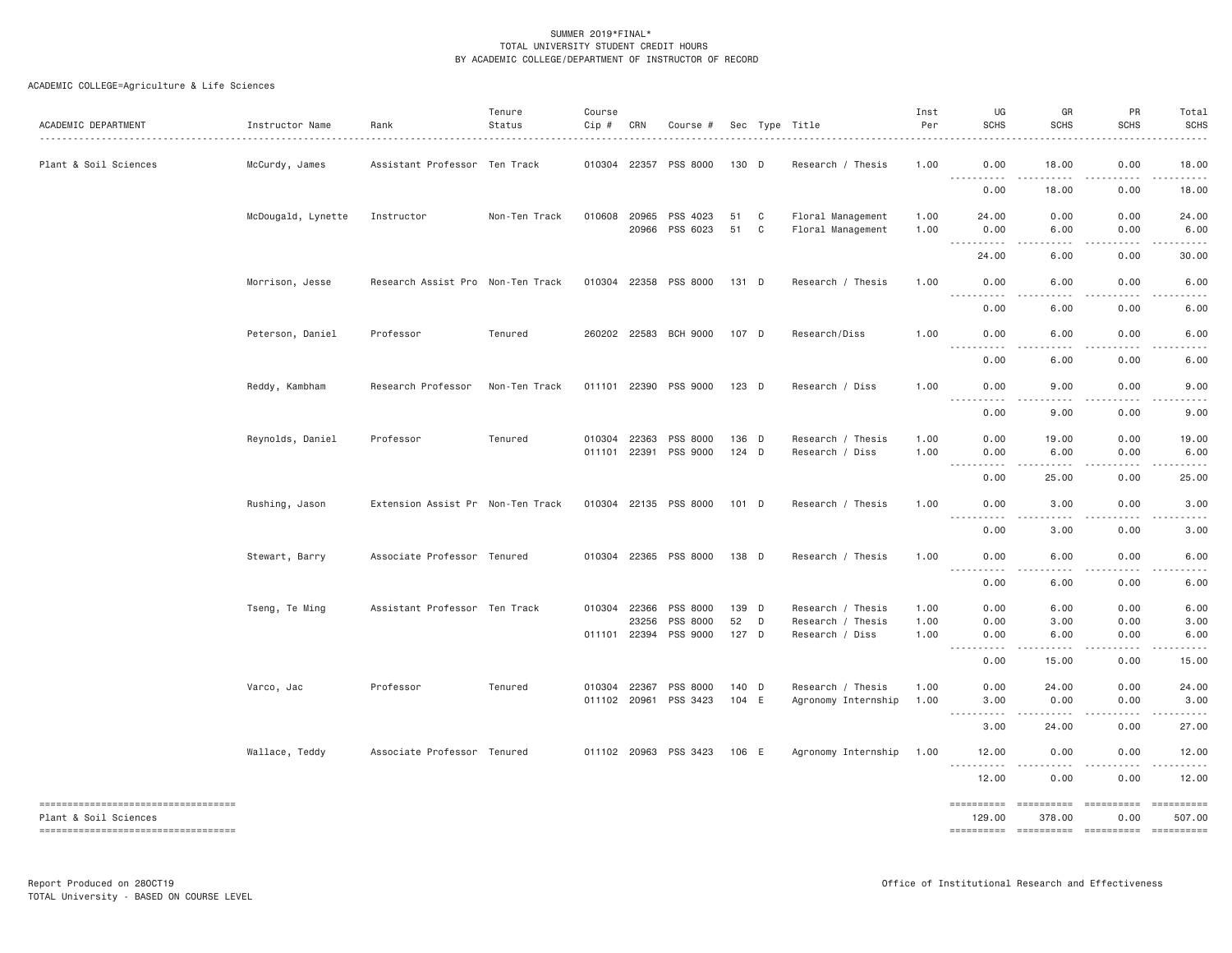| ACADEMIC DEPARTMENT                                                                                      | Instructor Name    | Rank                              | Tenure<br>Status | Course<br>Cip # | CRN   | Course #                          |                  |        | Sec Type Title                         | Inst<br>Per  | UG<br><b>SCHS</b>                                                                                                                                                              | GR<br><b>SCHS</b> | PR<br><b>SCHS</b>   | Total<br><b>SCHS</b>  |
|----------------------------------------------------------------------------------------------------------|--------------------|-----------------------------------|------------------|-----------------|-------|-----------------------------------|------------------|--------|----------------------------------------|--------------|--------------------------------------------------------------------------------------------------------------------------------------------------------------------------------|-------------------|---------------------|-----------------------|
| Plant & Soil Sciences                                                                                    | McCurdy, James     | Assistant Professor Ten Track     |                  |                 |       | 010304 22357 PSS 8000             | 130 D            |        | Research / Thesis                      | 1.00         | 0.00<br>.                                                                                                                                                                      | 18.00<br>.        | 0.00                | 18.00                 |
|                                                                                                          |                    |                                   |                  |                 |       |                                   |                  |        |                                        |              | 0.00                                                                                                                                                                           | 18.00             | -----<br>0.00       | 18.00                 |
|                                                                                                          | McDougald, Lynette | Instructor                        | Non-Ten Track    | 010608 20965    |       | PSS 4023<br>20966 PSS 6023        | 51<br>51         | C<br>C | Floral Management<br>Floral Management | 1.00<br>1.00 | 24.00<br>0.00                                                                                                                                                                  | 0.00<br>6.00      | 0.00<br>0.00        | 24.00<br>6.00         |
|                                                                                                          |                    |                                   |                  |                 |       |                                   |                  |        |                                        |              | $\frac{1}{2}$<br>$\frac{1}{2} \left( \frac{1}{2} \right) \left( \frac{1}{2} \right) \left( \frac{1}{2} \right) \left( \frac{1}{2} \right) \left( \frac{1}{2} \right)$<br>24.00 | 6.00              | 0.00                | 30.00                 |
|                                                                                                          | Morrison, Jesse    | Research Assist Pro Non-Ten Track |                  |                 |       | 010304 22358 PSS 8000             | 131 D            |        | Research / Thesis                      | 1.00         | 0.00<br><u>.</u>                                                                                                                                                               | 6.00<br>.         | 0.00<br>.           | 6.00<br>-----         |
|                                                                                                          |                    |                                   |                  |                 |       |                                   |                  |        |                                        |              | 0.00                                                                                                                                                                           | 6.00              | 0.00                | 6.00                  |
|                                                                                                          | Peterson, Daniel   | Professor                         | Tenured          |                 |       | 260202 22583 BCH 9000             | 107 D            |        | Research/Diss                          | 1.00         | 0.00<br>$\frac{1}{2}$                                                                                                                                                          | 6.00<br>.         | 0.00<br>.           | 6.00                  |
|                                                                                                          |                    |                                   |                  |                 |       |                                   |                  |        |                                        |              | 0.00                                                                                                                                                                           | 6.00              | 0.00                | 6.00                  |
|                                                                                                          | Reddy, Kambham     | Research Professor                | Non-Ten Track    |                 |       | 011101 22390 PSS 9000             | $123$ D          |        | Research / Diss                        | 1.00         | 0.00<br><u>.</u>                                                                                                                                                               | 9.00<br>.         | 0.00<br>$- - - - -$ | 9.00<br>-----         |
|                                                                                                          |                    |                                   |                  |                 |       |                                   |                  |        |                                        |              | 0.00                                                                                                                                                                           | 9.00              | 0.00                | 9.00                  |
|                                                                                                          | Reynolds, Daniel   | Professor                         | Tenured          | 010304 22363    |       | PSS 8000<br>011101 22391 PSS 9000 | 136 D<br>$124$ D |        | Research / Thesis<br>Research / Diss   | 1.00<br>1.00 | 0.00<br>0.00                                                                                                                                                                   | 19.00<br>6.00     | 0.00<br>0.00        | 19.00<br>6.00         |
|                                                                                                          |                    |                                   |                  |                 |       |                                   |                  |        |                                        |              | .<br>$\frac{1}{2} \left( \frac{1}{2} \right) \left( \frac{1}{2} \right) \left( \frac{1}{2} \right) \left( \frac{1}{2} \right)$<br>0.00                                         | .<br>25.00        | .<br>0.00           | 25.00                 |
|                                                                                                          | Rushing, Jason     | Extension Assist Pr Non-Ten Track |                  |                 |       | 010304 22135 PSS 8000             | 101 D            |        | Research / Thesis                      | 1.00         | 0.00                                                                                                                                                                           | 3.00              | 0.00                | 3.00                  |
|                                                                                                          |                    |                                   |                  |                 |       |                                   |                  |        |                                        |              | .<br>$\frac{1}{2}$<br>0.00                                                                                                                                                     | .<br>3.00         | -----<br>0.00       | $\frac{1}{2}$<br>3.00 |
|                                                                                                          | Stewart, Barry     | Associate Professor Tenured       |                  |                 |       | 010304 22365 PSS 8000             | 138 D            |        | Research / Thesis                      | 1.00         | 0.00                                                                                                                                                                           | 6.00              | 0.00                | 6.00                  |
|                                                                                                          |                    |                                   |                  |                 |       |                                   |                  |        |                                        |              | <u>.</u><br>0.00                                                                                                                                                               | .<br>6.00         | .<br>0.00           | 6.00                  |
|                                                                                                          | Tseng, Te Ming     | Assistant Professor Ten Track     |                  | 010304 22366    |       | PSS 8000                          | 139 D            |        | Research / Thesis                      | 1.00         | 0.00                                                                                                                                                                           | 6.00              | 0.00                | 6.00                  |
|                                                                                                          |                    |                                   |                  | 011101 22394    | 23256 | PSS 8000<br>PSS 9000              | 52<br>127 D      | D      | Research / Thesis<br>Research / Diss   | 1.00<br>1.00 | 0.00<br>0.00                                                                                                                                                                   | 3.00<br>6.00      | 0.00<br>0.00        | 3.00<br>6.00          |
|                                                                                                          |                    |                                   |                  |                 |       |                                   |                  |        |                                        |              | .<br>0.00                                                                                                                                                                      | .<br>15.00        | -----<br>0.00       | .<br>15.00            |
|                                                                                                          | Varco, Jac         | Professor                         | Tenured          | 010304 22367    |       | PSS 8000                          | 140 D            |        | Research / Thesis                      | 1.00         | 0.00                                                                                                                                                                           | 24.00             | 0.00                | 24.00                 |
|                                                                                                          |                    |                                   |                  |                 |       | 011102 20961 PSS 3423             | 104 E            |        | Agronomy Internship                    | 1.00         | 3,00<br><u> - - - - - - - - - -</u>                                                                                                                                            | 0.00<br>.         | 0.00<br>.           | 3.00<br>. <u>.</u> .  |
|                                                                                                          |                    |                                   |                  |                 |       |                                   |                  |        |                                        |              | 3.00                                                                                                                                                                           | 24.00             | 0.00                | 27.00                 |
|                                                                                                          | Wallace, Teddy     | Associate Professor Tenured       |                  |                 |       | 011102 20963 PSS 3423             | 106 E            |        | Agronomy Internship                    | 1.00         | 12.00<br><u>.</u>                                                                                                                                                              | 0.00<br>.         | 0.00<br>$- - - - -$ | 12.00<br>.            |
|                                                                                                          |                    |                                   |                  |                 |       |                                   |                  |        |                                        |              | 12.00                                                                                                                                                                          | 0.00              | 0.00                | 12.00                 |
| -------------------------------------<br>Plant & Soil Sciences<br>====================================== |                    |                                   |                  |                 |       |                                   |                  |        |                                        |              | ==========<br>129.00                                                                                                                                                           | 378.00            | ==========<br>0.00  | 507.00                |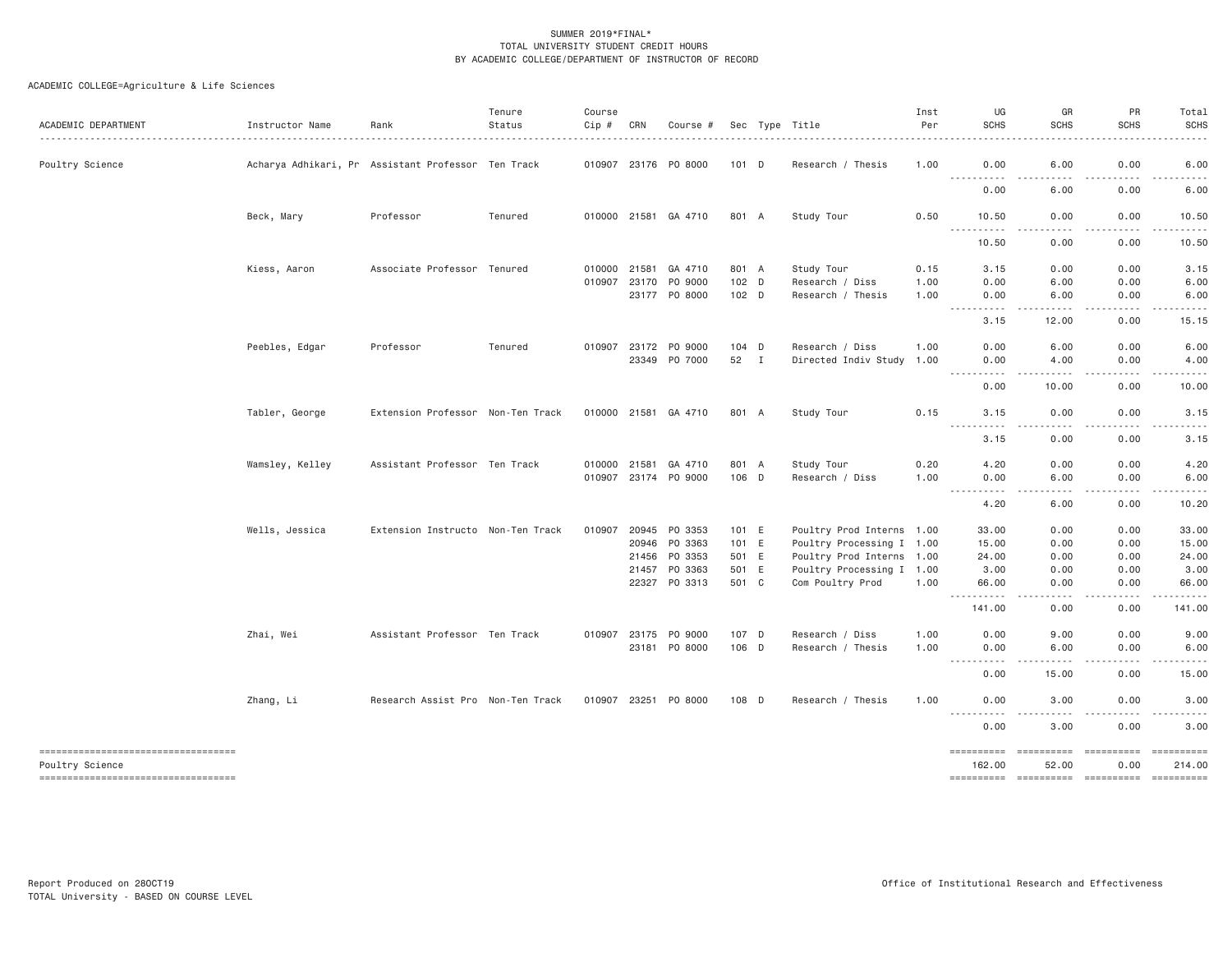| ACADEMIC DEPARTMENT                                   | Instructor Name | Rank                                               | Tenure<br>Status | Course<br>Cip # | CRN            | Course #                 |                  | Sec Type Title                                | Inst<br>Per  | UG<br><b>SCHS</b>                 | GR<br><b>SCHS</b>            | PR<br><b>SCHS</b> | Total<br><b>SCHS</b>                                                                                                                                                                                                                                                                                                                                                                                                                                                                                                      |
|-------------------------------------------------------|-----------------|----------------------------------------------------|------------------|-----------------|----------------|--------------------------|------------------|-----------------------------------------------|--------------|-----------------------------------|------------------------------|-------------------|---------------------------------------------------------------------------------------------------------------------------------------------------------------------------------------------------------------------------------------------------------------------------------------------------------------------------------------------------------------------------------------------------------------------------------------------------------------------------------------------------------------------------|
| Poultry Science                                       |                 | Acharya Adhikari, Pra Ssistant Professor Ten Track |                  |                 |                | 010907 23176 PO 8000     | 101 D            | Research / Thesis                             | 1.00         | 0.00                              | 6.00                         | 0.00              | 6.00                                                                                                                                                                                                                                                                                                                                                                                                                                                                                                                      |
|                                                       |                 |                                                    |                  |                 |                |                          |                  |                                               |              | <u>.</u><br>0.00                  | $- - -$<br>6.00              | .<br>0.00         | .<br>6.00                                                                                                                                                                                                                                                                                                                                                                                                                                                                                                                 |
|                                                       | Beck, Mary      | Professor                                          | Tenured          |                 |                | 010000 21581 GA 4710     | 801 A            | Study Tour                                    | 0.50         | 10.50<br><u>.</u>                 | 0.00<br>.                    | 0.00<br>.         | 10.50<br>.                                                                                                                                                                                                                                                                                                                                                                                                                                                                                                                |
|                                                       |                 |                                                    |                  |                 |                |                          |                  |                                               |              | 10.50                             | 0.00                         | 0.00              | 10.50                                                                                                                                                                                                                                                                                                                                                                                                                                                                                                                     |
|                                                       | Kiess, Aaron    | Associate Professor Tenured                        |                  | 010000 21581    |                | GA 4710                  | 801 A            | Study Tour                                    | 0.15         | 3.15                              | 0.00                         | 0.00              | 3.15                                                                                                                                                                                                                                                                                                                                                                                                                                                                                                                      |
|                                                       |                 |                                                    |                  |                 | 010907 23170   | PO 9000<br>23177 PO 8000 | $102$ D<br>102 D | Research / Diss<br>Research / Thesis          | 1.00<br>1.00 | 0.00<br>0.00                      | 6.00<br>6.00                 | 0.00<br>0.00      | 6.00<br>6.00                                                                                                                                                                                                                                                                                                                                                                                                                                                                                                              |
|                                                       |                 |                                                    |                  |                 |                |                          |                  |                                               |              | $- - - - -$<br>.<br>3.15          | $- - - - -$<br>12.00         | .<br>0.00         | .<br>15.15                                                                                                                                                                                                                                                                                                                                                                                                                                                                                                                |
|                                                       | Peebles, Edgar  | Professor                                          | Tenured          | 010907          | 23172          | PO 9000                  | 104 D            | Research / Diss                               | 1.00         | 0.00                              | 6.00                         | 0.00              | 6.00                                                                                                                                                                                                                                                                                                                                                                                                                                                                                                                      |
|                                                       |                 |                                                    |                  |                 | 23349          | P0 7000                  | 52 I             | Directed Indiv Study 1.00                     |              | 0.00<br>----------                | 4.00<br>.                    | 0.00<br>-----     | 4.00<br>.                                                                                                                                                                                                                                                                                                                                                                                                                                                                                                                 |
|                                                       |                 |                                                    |                  |                 |                |                          |                  |                                               |              | 0.00                              | 10.00                        | 0.00              | 10.00                                                                                                                                                                                                                                                                                                                                                                                                                                                                                                                     |
|                                                       | Tabler, George  | Extension Professor Non-Ten Track                  |                  | 010000 21581    |                | GA 4710                  | 801 A            | Study Tour                                    | 0.15         | 3.15<br>.                         | 0.00                         | 0.00              | 3.15<br>$\frac{1}{2}$                                                                                                                                                                                                                                                                                                                                                                                                                                                                                                     |
|                                                       |                 |                                                    |                  |                 |                |                          |                  |                                               |              | 3.15                              | 0.00                         | 0.00              | 3.15                                                                                                                                                                                                                                                                                                                                                                                                                                                                                                                      |
|                                                       | Wamsley, Kelley | Assistant Professor Ten Track                      |                  | 010000          | 21581          | GA 4710                  | 801 A            | Study Tour                                    | 0.20         | 4.20                              | 0.00                         | 0.00              | 4.20                                                                                                                                                                                                                                                                                                                                                                                                                                                                                                                      |
|                                                       |                 |                                                    |                  |                 |                | 010907 23174 PO 9000     | 106 D            | Research / Diss                               | 1.00         | 0.00<br>$\sim$ $\sim$ $\sim$<br>. | 6.00<br>$\sim$ $\sim$ $\sim$ | 0.00<br>-----     | 6.00<br>.                                                                                                                                                                                                                                                                                                                                                                                                                                                                                                                 |
|                                                       |                 |                                                    |                  |                 |                |                          |                  |                                               |              | 4.20                              | 6.00                         | 0.00              | 10.20                                                                                                                                                                                                                                                                                                                                                                                                                                                                                                                     |
|                                                       | Wells, Jessica  | Extension Instructo Non-Ten Track                  |                  | 010907          | 20945          | PO 3353                  | 101 E            | Poultry Prod Interns 1.00                     |              | 33.00                             | 0.00                         | 0.00              | 33.00                                                                                                                                                                                                                                                                                                                                                                                                                                                                                                                     |
|                                                       |                 |                                                    |                  |                 | 20946          | PO 3363                  | 101 E            | Poultry Processing I 1.00                     |              | 15.00                             | 0.00                         | 0.00              | 15.00                                                                                                                                                                                                                                                                                                                                                                                                                                                                                                                     |
|                                                       |                 |                                                    |                  |                 | 21456          | PO 3353                  | 501 E            | Poultry Prod Interns 1.00                     |              | 24.00                             | 0.00                         | 0.00              | 24.00                                                                                                                                                                                                                                                                                                                                                                                                                                                                                                                     |
|                                                       |                 |                                                    |                  |                 | 21457<br>22327 | PO 3363<br>PO 3313       | 501 E<br>501 C   | Poultry Processing I 1.00<br>Com Poultry Prod | 1.00         | 3.00<br>66.00                     | 0.00<br>0.00                 | 0.00<br>0.00      | 3.00<br>66.00                                                                                                                                                                                                                                                                                                                                                                                                                                                                                                             |
|                                                       |                 |                                                    |                  |                 |                |                          |                  |                                               |              | $- - -$<br><u>.</u><br>141.00     | .<br>0.00                    | -----<br>0.00     | .<br>141.00                                                                                                                                                                                                                                                                                                                                                                                                                                                                                                               |
|                                                       | Zhai, Wei       | Assistant Professor Ten Track                      |                  |                 | 010907 23175   | PO 9000                  | 107 D            | Research / Diss                               | 1.00         | 0.00                              | 9.00                         | 0.00              | 9.00                                                                                                                                                                                                                                                                                                                                                                                                                                                                                                                      |
|                                                       |                 |                                                    |                  |                 | 23181          | PO 8000                  | 106 D            | Research / Thesis                             | 1.00         | 0.00<br><u>.</u>                  | 6.00<br>.                    | 0.00<br>.         | 6.00<br>$\cdots$                                                                                                                                                                                                                                                                                                                                                                                                                                                                                                          |
|                                                       |                 |                                                    |                  |                 |                |                          |                  |                                               |              | 0.00                              | 15.00                        | 0.00              | 15.00                                                                                                                                                                                                                                                                                                                                                                                                                                                                                                                     |
|                                                       | Zhang, Li       | Research Assist Pro Non-Ten Track                  |                  | 010907 23251    |                | PO 8000                  | 108 D            | Research / Thesis                             | 1.00         | 0.00                              | 3.00                         | 0.00              | 3.00                                                                                                                                                                                                                                                                                                                                                                                                                                                                                                                      |
|                                                       |                 |                                                    |                  |                 |                |                          |                  |                                               |              | 0.00                              | 3.00                         | 0.00              | 3.00                                                                                                                                                                                                                                                                                                                                                                                                                                                                                                                      |
| ----------------------------------<br>Poultry Science |                 |                                                    |                  |                 |                |                          |                  |                                               |              | ==========<br>162,00              | ==========<br>52.00          | 0.00              | ==========<br>214,00                                                                                                                                                                                                                                                                                                                                                                                                                                                                                                      |
| ----------------------------------                    |                 |                                                    |                  |                 |                |                          |                  |                                               |              | $=$ ==========                    | ==========                   | ==========        | $\begin{array}{c} \multicolumn{3}{c} {\small \texttt{m}} = \multicolumn{3}{c} {\small \texttt{m}} = \multicolumn{3}{c} {\small \texttt{m}} = \multicolumn{3}{c} {\small \texttt{m}} = \multicolumn{3}{c} {\small \texttt{m}} = \multicolumn{3}{c} {\small \texttt{m}} = \multicolumn{3}{c} {\small \texttt{m}} = \multicolumn{3}{c} {\small \texttt{m}} = \multicolumn{3}{c} {\small \texttt{m}} = \multicolumn{3}{c} {\small \texttt{m}} = \multicolumn{3}{c} {\small \texttt{m}} = \multicolumn{3}{c} {\small \texttt{$ |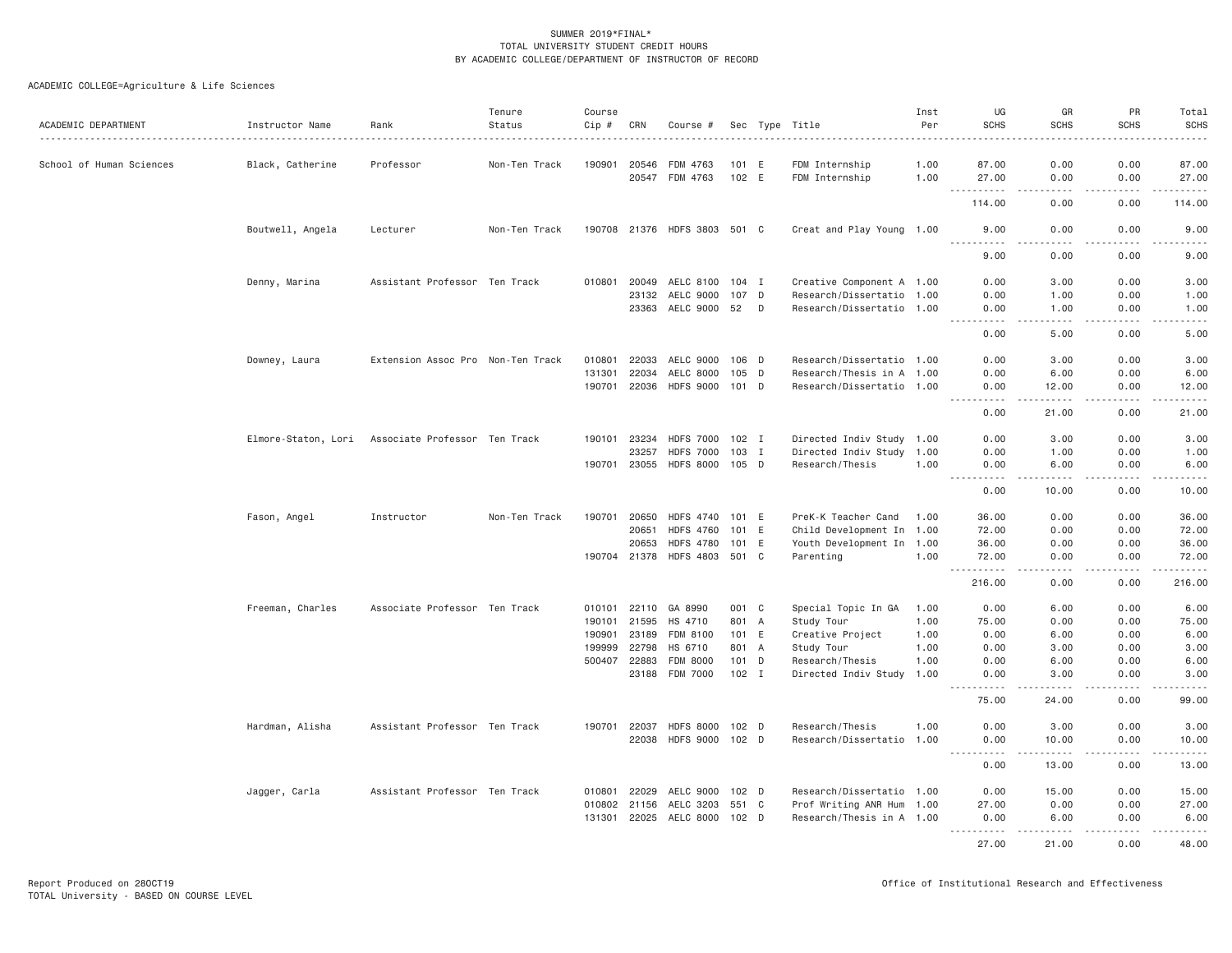| ACADEMIC DEPARTMENT      | Instructor Name  | Rank                                              | Tenure<br>Status | Course<br>Cip # | CRN          | Course #                     |         |   | Sec Type Title            | Inst<br>Per | UG<br><b>SCHS</b>                                                                                                                 | GR<br><b>SCHS</b>                                                                                                                                            | <b>PR</b><br><b>SCHS</b>                                                                                                                                     | Total<br><b>SCHS</b><br>.                                                                                                                                                                 |
|--------------------------|------------------|---------------------------------------------------|------------------|-----------------|--------------|------------------------------|---------|---|---------------------------|-------------|-----------------------------------------------------------------------------------------------------------------------------------|--------------------------------------------------------------------------------------------------------------------------------------------------------------|--------------------------------------------------------------------------------------------------------------------------------------------------------------|-------------------------------------------------------------------------------------------------------------------------------------------------------------------------------------------|
| School of Human Sciences | Black, Catherine | Professor                                         | Non-Ten Track    | 190901          | 20546        | FDM 4763                     | 101 E   |   | FDM Internship            | 1.00        | 87.00                                                                                                                             | 0.00                                                                                                                                                         | 0.00                                                                                                                                                         | 87.00                                                                                                                                                                                     |
|                          |                  |                                                   |                  |                 |              | 20547 FDM 4763               | 102 E   |   | FDM Internship            | 1.00        | 27.00                                                                                                                             | 0.00                                                                                                                                                         | 0.00                                                                                                                                                         | 27.00                                                                                                                                                                                     |
|                          |                  |                                                   |                  |                 |              |                              |         |   |                           |             | <b></b><br>114.00                                                                                                                 | -----<br>0.00                                                                                                                                                | -----<br>0.00                                                                                                                                                | $\frac{1}{2} \left( \frac{1}{2} \right) \left( \frac{1}{2} \right) \left( \frac{1}{2} \right) \left( \frac{1}{2} \right) \left( \frac{1}{2} \right) \left( \frac{1}{2} \right)$<br>114.00 |
|                          | Boutwell, Angela | Lecturer                                          | Non-Ten Track    |                 |              | 190708 21376 HDFS 3803 501 C |         |   | Creat and Play Young 1.00 |             | 9.00                                                                                                                              | 0.00                                                                                                                                                         | 0.00                                                                                                                                                         | 9.00                                                                                                                                                                                      |
|                          |                  |                                                   |                  |                 |              |                              |         |   |                           |             | .<br>9.00                                                                                                                         | .<br>0.00                                                                                                                                                    | . <b>.</b><br>0.00                                                                                                                                           | .<br>9.00                                                                                                                                                                                 |
|                          | Denny, Marina    | Assistant Professor Ten Track                     |                  | 010801          | 20049        | AELC 8100 104 I              |         |   | Creative Component A 1.00 |             | 0.00                                                                                                                              | 3.00                                                                                                                                                         | 0.00                                                                                                                                                         | 3.00                                                                                                                                                                                      |
|                          |                  |                                                   |                  |                 |              | 23132 AELC 9000              | 107 D   |   | Research/Dissertatio 1.00 |             | 0.00                                                                                                                              | 1.00                                                                                                                                                         | 0.00                                                                                                                                                         | 1.00                                                                                                                                                                                      |
|                          |                  |                                                   |                  |                 |              | 23363 AELC 9000 52 D         |         |   | Research/Dissertatio 1.00 |             | 0.00<br>$\frac{1}{2} \left( \frac{1}{2} \right) \left( \frac{1}{2} \right) \left( \frac{1}{2} \right) \left( \frac{1}{2} \right)$ | 1.00<br>. <b>.</b>                                                                                                                                           | 0.00<br>. <b>.</b>                                                                                                                                           | 1.00<br>.                                                                                                                                                                                 |
|                          |                  |                                                   |                  |                 |              |                              |         |   |                           |             | 0.00                                                                                                                              | 5.00                                                                                                                                                         | 0.00                                                                                                                                                         | 5.00                                                                                                                                                                                      |
|                          | Downey, Laura    | Extension Assoc Pro Non-Ten Track                 |                  | 010801          | 22033        | AELC 9000 106 D              |         |   | Research/Dissertatio 1.00 |             | 0.00                                                                                                                              | 3.00                                                                                                                                                         | 0.00                                                                                                                                                         | 3.00                                                                                                                                                                                      |
|                          |                  |                                                   |                  | 131301          | 22034        | AELC 8000                    | 105 D   |   | Research/Thesis in A 1.00 |             | 0.00                                                                                                                              | 6.00                                                                                                                                                         | 0.00                                                                                                                                                         | 6.00                                                                                                                                                                                      |
|                          |                  |                                                   |                  | 190701          |              | 22036 HDFS 9000 101 D        |         |   | Research/Dissertatio 1.00 |             | 0.00<br><b><i><u>.</u></i></b>                                                                                                    | 12.00<br>د د د د د                                                                                                                                           | 0.00<br>$\frac{1}{2} \left( \frac{1}{2} \right) \left( \frac{1}{2} \right) \left( \frac{1}{2} \right) \left( \frac{1}{2} \right) \left( \frac{1}{2} \right)$ | 12.00<br>.                                                                                                                                                                                |
|                          |                  |                                                   |                  |                 |              |                              |         |   |                           |             | 0.00                                                                                                                              | 21.00                                                                                                                                                        | 0.00                                                                                                                                                         | 21.00                                                                                                                                                                                     |
|                          |                  | Elmore-Staton, Lori Associate Professor Ten Track |                  |                 | 190101 23234 | HDFS 7000 102 I              |         |   | Directed Indiv Study 1.00 |             | 0.00                                                                                                                              | 3,00                                                                                                                                                         | 0.00                                                                                                                                                         | 3.00                                                                                                                                                                                      |
|                          |                  |                                                   |                  |                 | 23257        | <b>HDFS 7000</b>             | 103 I   |   | Directed Indiv Study 1.00 |             | 0.00                                                                                                                              | 1.00                                                                                                                                                         | 0.00                                                                                                                                                         | 1.00                                                                                                                                                                                      |
|                          |                  |                                                   |                  | 190701          | 23055        | HDFS 8000 105 D              |         |   | Research/Thesis           | 1.00        | 0.00<br>.                                                                                                                         | 6.00<br>.                                                                                                                                                    | 0.00<br>.                                                                                                                                                    | 6.00<br>.                                                                                                                                                                                 |
|                          |                  |                                                   |                  |                 |              |                              |         |   |                           |             | 0.00                                                                                                                              | 10.00                                                                                                                                                        | 0.00                                                                                                                                                         | 10.00                                                                                                                                                                                     |
|                          | Fason, Angel     | Instructor                                        | Non-Ten Track    | 190701          | 20650        | HDFS 4740 101 E              |         |   | PreK-K Teacher Cand       | 1.00        | 36.00                                                                                                                             | 0.00                                                                                                                                                         | 0.00                                                                                                                                                         | 36.00                                                                                                                                                                                     |
|                          |                  |                                                   |                  |                 | 20651        | <b>HDFS 4760</b>             | 101     | E | Child Development In 1.00 |             | 72.00                                                                                                                             | 0.00                                                                                                                                                         | 0.00                                                                                                                                                         | 72.00                                                                                                                                                                                     |
|                          |                  |                                                   |                  |                 | 20653        | <b>HDFS 4780</b>             | 101 E   |   | Youth Development In 1.00 |             | 36.00                                                                                                                             | 0.00                                                                                                                                                         | 0.00                                                                                                                                                         | 36.00                                                                                                                                                                                     |
|                          |                  |                                                   |                  |                 |              | 190704 21378 HDFS 4803 501 C |         |   | Parenting                 | 1.00        | 72.00                                                                                                                             | 0.00                                                                                                                                                         | 0.00                                                                                                                                                         | 72.00                                                                                                                                                                                     |
|                          |                  |                                                   |                  |                 |              |                              |         |   |                           |             | $  -$<br>.<br>216.00                                                                                                              | .<br>0.00                                                                                                                                                    | $\frac{1}{2} \left( \frac{1}{2} \right) \left( \frac{1}{2} \right) \left( \frac{1}{2} \right) \left( \frac{1}{2} \right) \left( \frac{1}{2} \right)$<br>0.00 | $\frac{1}{2} \left( \frac{1}{2} \right) \left( \frac{1}{2} \right) \left( \frac{1}{2} \right) \left( \frac{1}{2} \right) \left( \frac{1}{2} \right) \left( \frac{1}{2} \right)$<br>216.00 |
|                          | Freeman, Charles | Associate Professor Ten Track                     |                  | 010101          | 22110        | GA 8990                      | 001 C   |   | Special Topic In GA       | 1.00        | 0.00                                                                                                                              | 6.00                                                                                                                                                         | 0.00                                                                                                                                                         | 6.00                                                                                                                                                                                      |
|                          |                  |                                                   |                  | 190101          | 21595        | HS 4710                      | 801 A   |   | Study Tour                | 1.00        | 75.00                                                                                                                             | 0.00                                                                                                                                                         | 0.00                                                                                                                                                         | 75.00                                                                                                                                                                                     |
|                          |                  |                                                   |                  | 190901          | 23189        | FDM 8100                     | 101 E   |   | Creative Project          | 1.00        | 0.00                                                                                                                              | 6.00                                                                                                                                                         | 0.00                                                                                                                                                         | 6.00                                                                                                                                                                                      |
|                          |                  |                                                   |                  | 199999          | 22798        | HS 6710                      | 801 A   |   | Study Tour                | 1.00        | 0.00                                                                                                                              | 3.00                                                                                                                                                         | 0.00                                                                                                                                                         | 3.00                                                                                                                                                                                      |
|                          |                  |                                                   |                  | 500407          | 22883        | FDM 8000                     | $101$ D |   | Research/Thesis           | 1.00        | 0.00                                                                                                                              | 6.00                                                                                                                                                         | 0.00                                                                                                                                                         | 6.00                                                                                                                                                                                      |
|                          |                  |                                                   |                  |                 |              | 23188 FDM 7000               | 102 I   |   | Directed Indiv Study 1.00 |             | 0.00<br>.                                                                                                                         | 3.00<br>$\frac{1}{2} \left( \frac{1}{2} \right) \left( \frac{1}{2} \right) \left( \frac{1}{2} \right) \left( \frac{1}{2} \right) \left( \frac{1}{2} \right)$ | 0.00<br>.                                                                                                                                                    | 3.00<br>.                                                                                                                                                                                 |
|                          |                  |                                                   |                  |                 |              |                              |         |   |                           |             | 75.00                                                                                                                             | 24.00                                                                                                                                                        | 0.00                                                                                                                                                         | 99.00                                                                                                                                                                                     |
|                          | Hardman, Alisha  | Assistant Professor Ten Track                     |                  |                 | 190701 22037 | HDFS 8000 102 D              |         |   | Research/Thesis           | 1.00        | 0.00                                                                                                                              | 3.00                                                                                                                                                         | 0.00                                                                                                                                                         | 3.00                                                                                                                                                                                      |
|                          |                  |                                                   |                  |                 | 22038        | <b>HDFS 9000</b>             | $102$ D |   | Research/Dissertatio 1.00 |             | 0.00<br>.                                                                                                                         | 10.00<br>.                                                                                                                                                   | 0.00<br>. <b>.</b>                                                                                                                                           | 10.00<br>.                                                                                                                                                                                |
|                          |                  |                                                   |                  |                 |              |                              |         |   |                           |             | 0.00                                                                                                                              | 13.00                                                                                                                                                        | 0.00                                                                                                                                                         | 13.00                                                                                                                                                                                     |
|                          | Jagger, Carla    | Assistant Professor Ten Track                     |                  | 010801          | 22029        | AELC 9000                    | 102 D   |   | Research/Dissertatio 1.00 |             | 0.00                                                                                                                              | 15.00                                                                                                                                                        | 0.00                                                                                                                                                         | 15.00                                                                                                                                                                                     |
|                          |                  |                                                   |                  | 010802          | 21156        | AELC 3203                    | 551 C   |   | Prof Writing ANR Hum 1.00 |             | 27.00                                                                                                                             | 0.00                                                                                                                                                         | 0.00                                                                                                                                                         | 27.00                                                                                                                                                                                     |
|                          |                  |                                                   |                  | 131301          |              | 22025 AELC 8000              | 102 D   |   | Research/Thesis in A 1.00 |             | 0.00<br><u>.</u>                                                                                                                  | 6.00<br>.                                                                                                                                                    | 0.00<br>. <sub>.</sub>                                                                                                                                       | 6.00<br>$\begin{array}{cccccccccccccc} \bullet & \bullet & \bullet & \bullet & \bullet & \bullet & \bullet & \bullet \end{array}$                                                         |
|                          |                  |                                                   |                  |                 |              |                              |         |   |                           |             | 27,00                                                                                                                             | 21.00                                                                                                                                                        | 0.00                                                                                                                                                         | 48.00                                                                                                                                                                                     |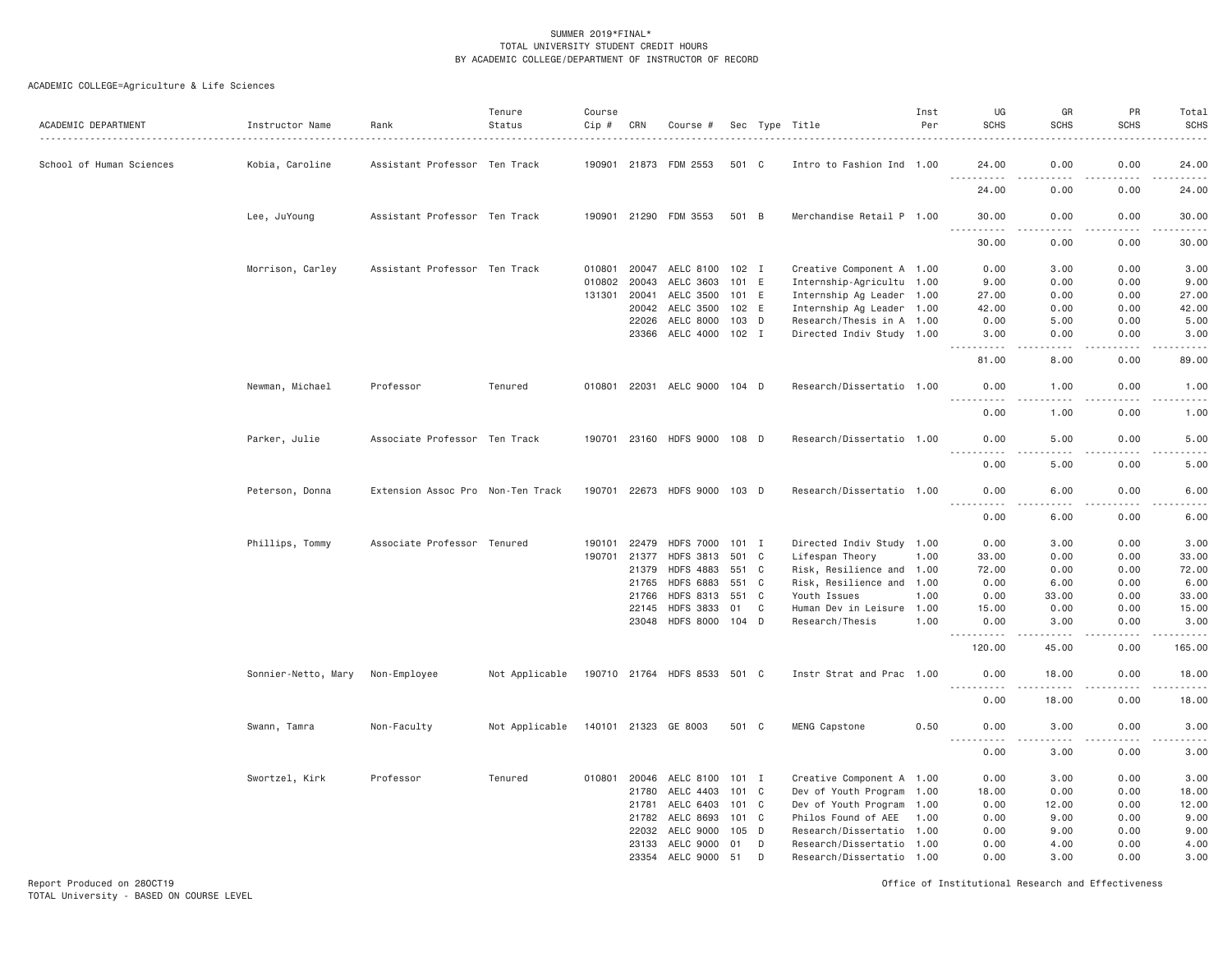# ACADEMIC COLLEGE=Agriculture & Life Sciences

| ACADEMIC DEPARTMENT      | Instructor Name     | Rank                              | Tenure<br>Status | Course<br>Cip # | CRN   | Course #                     |         |   | Sec Type Title            | Inst<br>Per | UG<br><b>SCHS</b>                                                                                                                 | GR<br><b>SCHS</b><br><u>.</u>       | PR<br><b>SCHS</b><br>.              | Total<br><b>SCHS</b><br>.                                                                                                                                                                |
|--------------------------|---------------------|-----------------------------------|------------------|-----------------|-------|------------------------------|---------|---|---------------------------|-------------|-----------------------------------------------------------------------------------------------------------------------------------|-------------------------------------|-------------------------------------|------------------------------------------------------------------------------------------------------------------------------------------------------------------------------------------|
| School of Human Sciences | Kobia, Caroline     | Assistant Professor Ten Track     |                  |                 |       | 190901 21873 FDM 2553        | 501 C   |   | Intro to Fashion Ind 1.00 |             | 24.00                                                                                                                             | 0.00                                | 0.00                                | 24.00                                                                                                                                                                                    |
|                          |                     |                                   |                  |                 |       |                              |         |   |                           |             | 24.00                                                                                                                             | 0.00                                | 0.00                                | .<br>24.00                                                                                                                                                                               |
|                          | Lee, JuYoung        | Assistant Professor Ten Track     |                  |                 |       | 190901 21290 FDM 3553        | 501 B   |   | Merchandise Retail P 1.00 |             | 30.00<br>.                                                                                                                        | 0.00<br>.                           | 0.00<br>.                           | 30.00<br>.                                                                                                                                                                               |
|                          |                     |                                   |                  |                 |       |                              |         |   |                           |             | 30.00                                                                                                                             | 0.00                                | 0.00                                | 30.00                                                                                                                                                                                    |
|                          | Morrison, Carley    | Assistant Professor Ten Track     |                  | 010801          | 20047 | AELC 8100                    | 102 I   |   | Creative Component A 1.00 |             | 0.00                                                                                                                              | 3.00                                | 0.00                                | 3.00                                                                                                                                                                                     |
|                          |                     |                                   |                  | 010802          | 20043 | AELC 3603                    | 101 E   |   | Internship-Agricultu 1.00 |             | 9.00                                                                                                                              | 0.00                                | 0.00                                | 9.00                                                                                                                                                                                     |
|                          |                     |                                   |                  | 131301          | 20041 | AELC 3500                    | 101 E   |   | Internship Ag Leader 1.00 |             | 27.00                                                                                                                             | 0.00                                | 0.00                                | 27.00                                                                                                                                                                                    |
|                          |                     |                                   |                  |                 |       | 20042 AELC 3500              | 102 E   |   | Internship Ag Leader 1.00 |             | 42.00                                                                                                                             | 0.00                                | 0.00                                | 42.00                                                                                                                                                                                    |
|                          |                     |                                   |                  |                 | 22026 | AELC 8000                    | 103 D   |   | Research/Thesis in A 1.00 |             | 0.00                                                                                                                              | 5.00                                | 0.00                                | 5.00                                                                                                                                                                                     |
|                          |                     |                                   |                  |                 |       | 23366 AELC 4000              | $102$ I |   | Directed Indiv Study 1.00 |             | 3.00<br><u>.</u>                                                                                                                  | 0.00<br>.                           | 0.00<br>.                           | 3.00<br>. <u>.</u>                                                                                                                                                                       |
|                          |                     |                                   |                  |                 |       |                              |         |   |                           |             | 81.00                                                                                                                             | 8.00                                | 0.00                                | 89.00                                                                                                                                                                                    |
|                          | Newman, Michael     | Professor                         | Tenured          | 010801 22031    |       | AELC 9000                    | 104 D   |   | Research/Dissertatio 1.00 |             | 0.00<br>$\begin{array}{cccccccccccccc} \bullet & \bullet & \bullet & \bullet & \bullet & \bullet & \bullet & \bullet \end{array}$ | 1.00<br>$\sim$ $\sim$ $\sim$ $\sim$ | 0.00<br>$\sim$ $\sim$ $\sim$ $\sim$ | 1.00<br>$\frac{1}{2} \left( \frac{1}{2} \right) \left( \frac{1}{2} \right) \left( \frac{1}{2} \right) \left( \frac{1}{2} \right) \left( \frac{1}{2} \right)$                             |
|                          |                     |                                   |                  |                 |       |                              |         |   |                           |             | 0.00                                                                                                                              | 1.00                                | 0.00                                | 1.00                                                                                                                                                                                     |
|                          | Parker, Julie       | Associate Professor Ten Track     |                  |                 |       | 190701 23160 HDFS 9000 108 D |         |   | Research/Dissertatio 1.00 |             | 0.00                                                                                                                              | 5.00                                | 0.00                                | 5.00                                                                                                                                                                                     |
|                          |                     |                                   |                  |                 |       |                              |         |   |                           |             | 0.00                                                                                                                              | 5.00                                | 0.00                                | 5.00                                                                                                                                                                                     |
|                          | Peterson, Donna     | Extension Assoc Pro Non-Ten Track |                  |                 |       | 190701 22673 HDFS 9000 103 D |         |   | Research/Dissertatio 1.00 |             | 0.00<br>.                                                                                                                         | 6.00                                | 0.00                                | 6.00<br>.                                                                                                                                                                                |
|                          |                     |                                   |                  |                 |       |                              |         |   |                           |             | 0.00                                                                                                                              | 6.00                                | 0.00                                | 6.00                                                                                                                                                                                     |
|                          | Phillips, Tommy     | Associate Professor Tenured       |                  | 190101          | 22479 | <b>HDFS 7000</b>             | 101 I   |   | Directed Indiv Study 1.00 |             | 0.00                                                                                                                              | 3.00                                | 0.00                                | 3.00                                                                                                                                                                                     |
|                          |                     |                                   |                  | 190701          | 21377 | <b>HDFS 3813</b>             | 501 C   |   | Lifespan Theory           | 1.00        | 33.00                                                                                                                             | 0.00                                | 0.00                                | 33.00                                                                                                                                                                                    |
|                          |                     |                                   |                  |                 | 21379 | <b>HDFS 4883</b>             | 551     | C | Risk, Resilience and 1.00 |             | 72.00                                                                                                                             | 0.00                                | 0.00                                | 72.00                                                                                                                                                                                    |
|                          |                     |                                   |                  |                 | 21765 | <b>HDFS 6883</b>             | 551 C   |   | Risk, Resilience and 1.00 |             | 0.00                                                                                                                              | 6.00                                | 0.00                                | 6.00                                                                                                                                                                                     |
|                          |                     |                                   |                  |                 | 21766 | <b>HDFS 8313</b>             | 551 C   |   | Youth Issues              | 1.00        | 0.00                                                                                                                              | 33,00                               | 0.00                                | 33.00                                                                                                                                                                                    |
|                          |                     |                                   |                  |                 | 22145 | <b>HDFS 3833</b>             | 01      | C | Human Dev in Leisure 1.00 |             | 15.00                                                                                                                             | 0.00                                | 0.00                                | 15.00                                                                                                                                                                                    |
|                          |                     |                                   |                  |                 |       | 23048 HDFS 8000              | 104 D   |   | Research/Thesis           | 1,00        | 0.00<br>-----                                                                                                                     | 3.00<br>.                           | 0.00<br>.                           | 3.00<br>.                                                                                                                                                                                |
|                          |                     |                                   |                  |                 |       |                              |         |   |                           |             | 120.00                                                                                                                            | 45.00                               | 0.00                                | 165.00                                                                                                                                                                                   |
|                          | Sonnier-Netto, Mary | Non-Employee                      | Not Applicable   |                 |       | 190710 21764 HDFS 8533 501 C |         |   | Instr Strat and Prac 1.00 |             | 0.00<br>.                                                                                                                         | 18.00<br>$- - - - -$                | 0.00<br>$- - -$<br>.                | 18.00<br>$\frac{1}{2} \left( \frac{1}{2} \right) \left( \frac{1}{2} \right) \left( \frac{1}{2} \right) \left( \frac{1}{2} \right) \left( \frac{1}{2} \right) \left( \frac{1}{2} \right)$ |
|                          |                     |                                   |                  |                 |       |                              |         |   |                           |             | 0.00                                                                                                                              | 18,00                               | 0.00                                | 18.00                                                                                                                                                                                    |
|                          | Swann, Tamra        | Non-Faculty                       | Not Applicable   |                 |       | 140101 21323 GE 8003         | 501 C   |   | MENG Capstone             | 0.50        | 0.00<br>.                                                                                                                         | 3.00<br>.                           | 0.00<br>.                           | 3.00<br>$\frac{1}{2} \left( \frac{1}{2} \right) \left( \frac{1}{2} \right) \left( \frac{1}{2} \right) \left( \frac{1}{2} \right) \left( \frac{1}{2} \right)$                             |
|                          |                     |                                   |                  |                 |       |                              |         |   |                           |             | 0.00                                                                                                                              | 3.00                                | 0.00                                | 3.00                                                                                                                                                                                     |
|                          | Swortzel, Kirk      | Professor                         | Tenured          | 010801          | 20046 | AELC 8100                    | 101 I   |   | Creative Component A 1.00 |             | 0.00                                                                                                                              | 3.00                                | 0.00                                | 3.00                                                                                                                                                                                     |
|                          |                     |                                   |                  |                 | 21780 | AELC 4403                    | 101 C   |   | Dev of Youth Program 1.00 |             | 18,00                                                                                                                             | 0.00                                | 0.00                                | 18.00                                                                                                                                                                                    |
|                          |                     |                                   |                  |                 | 21781 | AELC 6403                    | 101 C   |   | Dev of Youth Program 1.00 |             | 0.00                                                                                                                              | 12.00                               | 0.00                                | 12.00                                                                                                                                                                                    |
|                          |                     |                                   |                  |                 | 21782 | AELC 8693                    | 101 C   |   | Philos Found of AEE       | 1.00        | 0.00                                                                                                                              | 9.00                                | 0.00                                | 9.00                                                                                                                                                                                     |
|                          |                     |                                   |                  |                 | 22032 | AELC 9000                    | 105 D   |   | Research/Dissertatio 1.00 |             | 0.00                                                                                                                              | 9.00                                | 0.00                                | 9.00                                                                                                                                                                                     |
|                          |                     |                                   |                  |                 | 23133 | AELC 9000                    | 01      | D | Research/Dissertatio 1.00 |             | 0.00                                                                                                                              | 4.00                                | 0.00                                | 4.00                                                                                                                                                                                     |
|                          |                     |                                   |                  |                 |       | 23354 AELC 9000              | 51      | D | Research/Dissertatio 1.00 |             | 0.00                                                                                                                              | 3.00                                | 0.00                                | 3.00                                                                                                                                                                                     |

Report Produced on 28OCT19 Office of Institutional Research and Effectiveness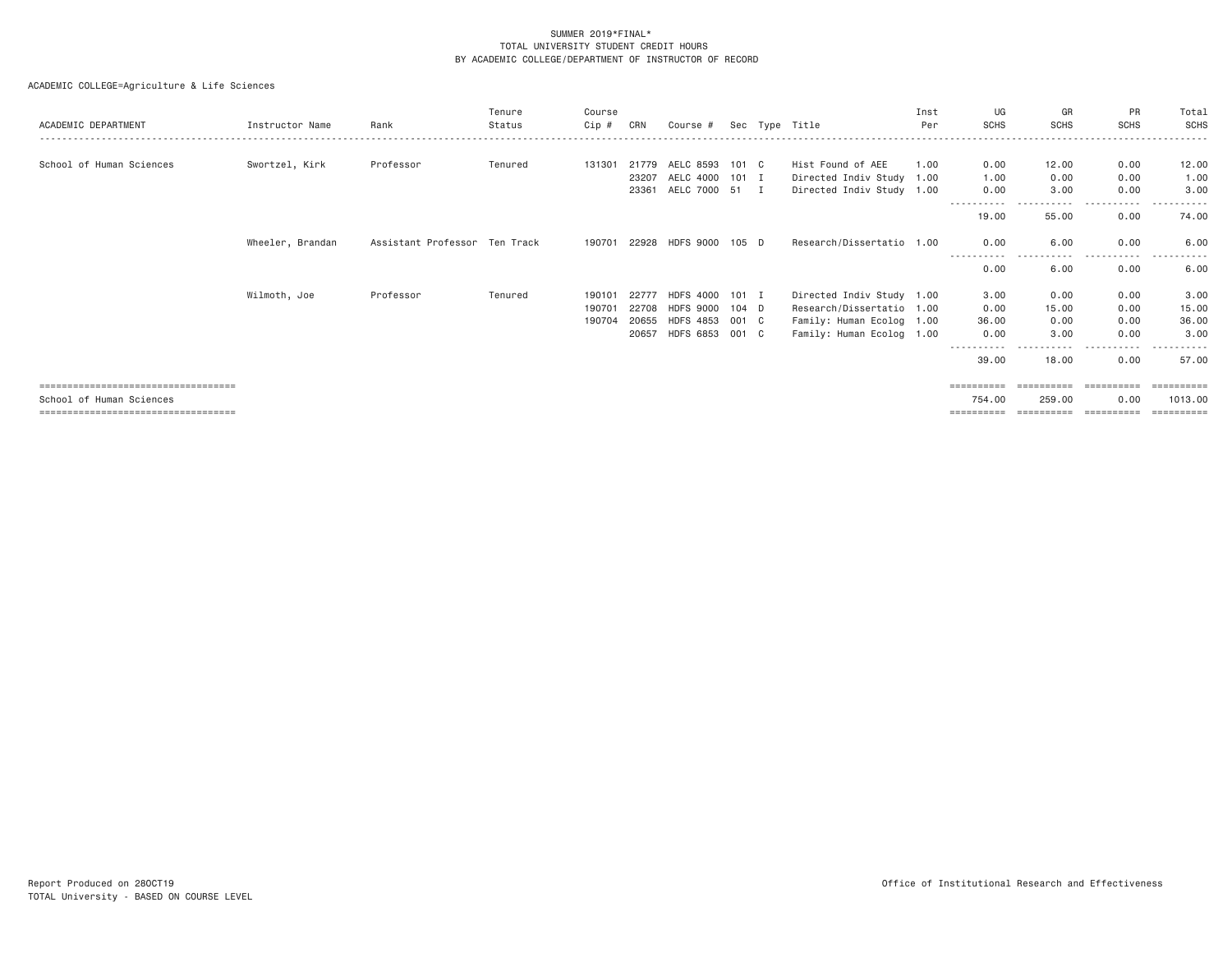| ACADEMIC DEPARTMENT                    | Instructor Name  | Rank                          | Tenure<br>Status | Course<br>Cip # | CRN   | Course #         |         | Sec Type Title            | Inst<br>Per | UG<br><b>SCHS</b> | GR<br><b>SCHS</b> | <b>PR</b><br><b>SCHS</b> | Total<br>SCHS         |
|----------------------------------------|------------------|-------------------------------|------------------|-----------------|-------|------------------|---------|---------------------------|-------------|-------------------|-------------------|--------------------------|-----------------------|
|                                        |                  |                               |                  |                 |       |                  |         |                           |             |                   |                   |                          |                       |
| School of Human Sciences               | Swortzel, Kirk   | Professor                     | Tenured          | 131301          | 21779 | AELC 8593        | 101 C   | Hist Found of AEE         | 1.00        | 0.00              | 12.00             | 0.00                     | 12.00                 |
|                                        |                  |                               |                  |                 | 23207 | AELC 4000        | $101$ I | Directed Indiv Study 1.00 |             | 1.00              | 0.00              | 0.00                     | 1.00                  |
|                                        |                  |                               |                  |                 | 23361 | AELC 7000 51 I   |         | Directed Indiv Study 1.00 |             | 0.00              | 3.00              | 0.00                     | 3.00                  |
|                                        |                  |                               |                  |                 |       |                  |         |                           |             | 19.00             | 55.00             | 0.00                     | 74.00                 |
|                                        | Wheeler, Brandan | Assistant Professor Ten Track |                  | 190701          |       | 22928 HDFS 9000  | 105 D   | Research/Dissertatio 1.00 |             | 0.00              | 6.00              | 0.00                     | 6,00                  |
|                                        |                  |                               |                  |                 |       |                  |         |                           |             | 0.00              | -----<br>6.00     | -------<br>0.00          | 6.00                  |
|                                        | Wilmoth, Joe     | Professor                     | Tenured          | 190101          | 22777 | HDFS 4000        | $101$ I | Directed Indiv Study 1.00 |             | 3,00              | 0.00              | 0.00                     | 3.00                  |
|                                        |                  |                               |                  | 190701          | 22708 | <b>HDFS 9000</b> | $104$ D | Research/Dissertatio 1.00 |             | 0.00              | 15.00             | 0.00                     | 15.00                 |
|                                        |                  |                               |                  | 190704          | 20655 | <b>HDFS 4853</b> | 001 C   | Family: Human Ecolog 1.00 |             | 36,00             | 0.00              | 0.00                     | 36.00                 |
|                                        |                  |                               |                  |                 | 20657 | <b>HDFS 6853</b> | 001 C   | Family: Human Ecolog 1.00 |             | 0.00              | 3.00              | 0.00                     | 3.00                  |
|                                        |                  |                               |                  |                 |       |                  |         |                           |             | 39,00             | 18.00             | 0.00                     | 57.00                 |
| ====================================   |                  |                               |                  |                 |       |                  |         |                           |             | ==========        | ==========        | ==========               | $=$ = = = = = = = = = |
| School of Human Sciences               |                  |                               |                  |                 |       |                  |         |                           |             | 754.00            | 259.00            | 0.00                     | 1013,00               |
| ====================================== |                  |                               |                  |                 |       |                  |         |                           |             | ==========        | ==========        | ==========               | =========             |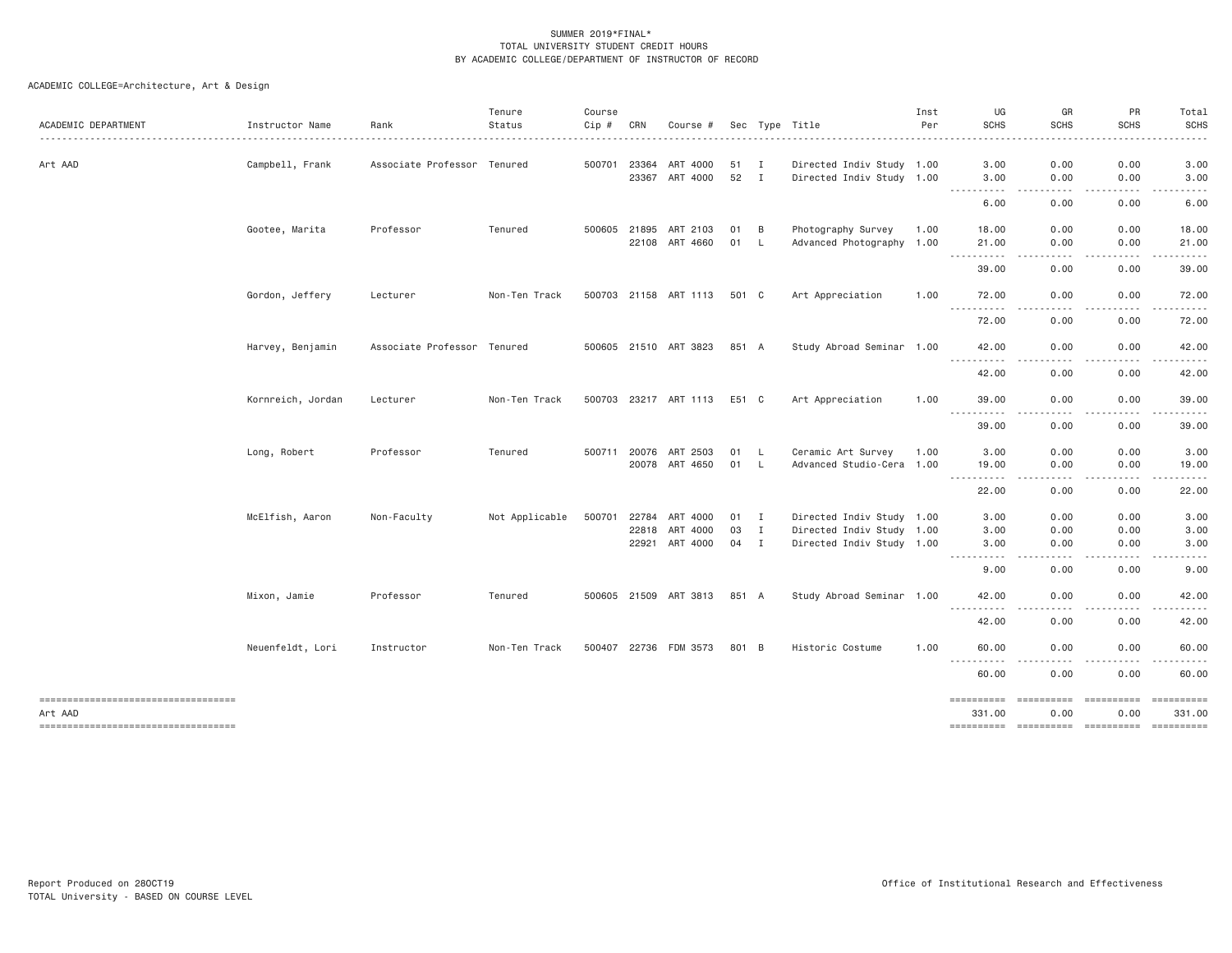| ACADEMIC DEPARTMENT                           | Instructor Name   | Rank                        | Tenure<br>Status | Course<br>$Cip \#$ | CRN                            | Course #                                |                      |              | Sec Type Title                                                                      | Inst<br>Per | UG<br><b>SCHS</b>      | GR<br><b>SCHS</b>                                                                                                                 | PR<br><b>SCHS</b>                                                                                                                                                                                                                                                                                                                                                                                                                                                                              | Total<br><b>SCHS</b> |
|-----------------------------------------------|-------------------|-----------------------------|------------------|--------------------|--------------------------------|-----------------------------------------|----------------------|--------------|-------------------------------------------------------------------------------------|-------------|------------------------|-----------------------------------------------------------------------------------------------------------------------------------|------------------------------------------------------------------------------------------------------------------------------------------------------------------------------------------------------------------------------------------------------------------------------------------------------------------------------------------------------------------------------------------------------------------------------------------------------------------------------------------------|----------------------|
| Art AAD                                       | Campbell, Frank   | Associate Professor Tenured |                  |                    | 500701 23364                   | ART 4000<br>23367 ART 4000              | 51 I<br>52           | $\mathbf{I}$ | Directed Indiv Study 1.00<br>Directed Indiv Study 1.00                              |             | 3.00<br>3.00           | 0.00<br>0.00                                                                                                                      | 0.00<br>0.00                                                                                                                                                                                                                                                                                                                                                                                                                                                                                   | 3.00<br>3.00         |
|                                               |                   |                             |                  |                    |                                |                                         |                      |              |                                                                                     |             | .<br>6.00              | 0.00                                                                                                                              | 0.00                                                                                                                                                                                                                                                                                                                                                                                                                                                                                           | 6.00                 |
|                                               | Gootee, Marita    | Professor                   | Tenured          |                    | 500605 21895                   | ART 2103<br>22108 ART 4660              | 01<br>01             | B<br>L.      | Photography Survey<br>Advanced Photography 1.00                                     | 1.00        | 18.00<br>21.00         | 0.00<br>0.00                                                                                                                      | 0.00<br>0.00                                                                                                                                                                                                                                                                                                                                                                                                                                                                                   | 18.00<br>21.00       |
|                                               |                   |                             |                  |                    |                                |                                         |                      |              |                                                                                     |             | .<br>$\cdots$<br>39.00 | 0.00                                                                                                                              | 0.00                                                                                                                                                                                                                                                                                                                                                                                                                                                                                           | 39.00                |
|                                               | Gordon, Jeffery   | Lecturer                    | Non-Ten Track    |                    |                                | 500703 21158 ART 1113                   | 501 C                |              | Art Appreciation                                                                    | 1.00        | 72.00                  | 0.00                                                                                                                              | 0.00                                                                                                                                                                                                                                                                                                                                                                                                                                                                                           | 72.00                |
|                                               |                   |                             |                  |                    |                                |                                         |                      |              |                                                                                     |             | <b></b><br>72.00       | 0.00                                                                                                                              | 0.00                                                                                                                                                                                                                                                                                                                                                                                                                                                                                           | 72.00                |
|                                               | Harvey, Benjamin  | Associate Professor Tenured |                  |                    |                                | 500605 21510 ART 3823                   | 851 A                |              | Study Abroad Seminar 1.00                                                           |             | 42.00                  | 0.00                                                                                                                              | 0.00                                                                                                                                                                                                                                                                                                                                                                                                                                                                                           | 42.00                |
|                                               |                   |                             |                  |                    |                                |                                         |                      |              |                                                                                     |             | .<br>42.00             | $\frac{1}{2}$<br>0.00                                                                                                             | . <b>.</b> .<br>0.00                                                                                                                                                                                                                                                                                                                                                                                                                                                                           | 42.00                |
|                                               | Kornreich, Jordan | Lecturer                    | Non-Ten Track    |                    |                                | 500703 23217 ART 1113                   | E51 C                |              | Art Appreciation                                                                    | 1.00        | 39.00                  | 0.00                                                                                                                              | 0.00                                                                                                                                                                                                                                                                                                                                                                                                                                                                                           | 39.00                |
|                                               |                   |                             |                  |                    |                                |                                         |                      |              |                                                                                     |             | <b></b><br>39.00       | $\frac{1}{2} \left( \frac{1}{2} \right) \left( \frac{1}{2} \right) \left( \frac{1}{2} \right) \left( \frac{1}{2} \right)$<br>0.00 | -----<br>0.00                                                                                                                                                                                                                                                                                                                                                                                                                                                                                  | .<br>39.00           |
|                                               | Long, Robert      | Professor                   | Tenured          |                    |                                | 500711 20076 ART 2503<br>20078 ART 4650 | 01 L<br>01           | <b>L</b>     | Ceramic Art Survey<br>Advanced Studio-Cera 1.00                                     | 1.00        | 3.00<br>19.00          | 0.00<br>0.00                                                                                                                      | 0.00<br>0.00                                                                                                                                                                                                                                                                                                                                                                                                                                                                                   | 3.00<br>19.00        |
|                                               |                   |                             |                  |                    |                                |                                         |                      |              |                                                                                     |             | <b></b><br>22.00       | $- - - -$<br>0.00                                                                                                                 | .<br>0.00                                                                                                                                                                                                                                                                                                                                                                                                                                                                                      | .<br>22.00           |
|                                               | McElfish, Aaron   | Non-Faculty                 | Not Applicable   |                    | 500701 22784<br>22818<br>22921 | ART 4000<br>ART 4000<br>ART 4000        | $01$ I<br>03<br>04 I | $\mathbf{I}$ | Directed Indiv Study 1.00<br>Directed Indiv Study 1.00<br>Directed Indiv Study 1.00 |             | 3.00<br>3.00<br>3.00   | 0.00<br>0.00<br>0.00                                                                                                              | 0.00<br>0.00<br>0.00                                                                                                                                                                                                                                                                                                                                                                                                                                                                           | 3.00<br>3.00<br>3.00 |
|                                               |                   |                             |                  |                    |                                |                                         |                      |              |                                                                                     |             | .<br>9.00              | د د د د<br>0.00                                                                                                                   | -----<br>0.00                                                                                                                                                                                                                                                                                                                                                                                                                                                                                  | 9.00                 |
|                                               | Mixon, Jamie      | Professor                   | Tenured          |                    |                                | 500605 21509 ART 3813                   | 851 A                |              | Study Abroad Seminar 1.00                                                           |             | 42.00                  | 0.00                                                                                                                              | 0.00                                                                                                                                                                                                                                                                                                                                                                                                                                                                                           | 42.00                |
|                                               |                   |                             |                  |                    |                                |                                         |                      |              |                                                                                     |             | $\frac{1}{2}$<br>42.00 | 0.00                                                                                                                              | 0.00                                                                                                                                                                                                                                                                                                                                                                                                                                                                                           | 42.00                |
|                                               | Neuenfeldt, Lori  | Instructor                  | Non-Ten Track    |                    |                                | 500407 22736 FDM 3573                   | 801 B                |              | Historic Costume                                                                    | 1.00        | 60.00                  | 0.00                                                                                                                              | 0.00                                                                                                                                                                                                                                                                                                                                                                                                                                                                                           | 60.00                |
|                                               |                   |                             |                  |                    |                                |                                         |                      |              |                                                                                     |             | 60.00                  | 0.00                                                                                                                              | 0.00                                                                                                                                                                                                                                                                                                                                                                                                                                                                                           | 60.00                |
| ----------------------------------<br>Art AAD |                   |                             |                  |                    |                                |                                         |                      |              |                                                                                     |             | ==========<br>331.00   | ==========<br>0.00                                                                                                                | $\begin{array}{cccccccccc} \multicolumn{2}{c}{} & \multicolumn{2}{c}{} & \multicolumn{2}{c}{} & \multicolumn{2}{c}{} & \multicolumn{2}{c}{} & \multicolumn{2}{c}{} & \multicolumn{2}{c}{} & \multicolumn{2}{c}{} & \multicolumn{2}{c}{} & \multicolumn{2}{c}{} & \multicolumn{2}{c}{} & \multicolumn{2}{c}{} & \multicolumn{2}{c}{} & \multicolumn{2}{c}{} & \multicolumn{2}{c}{} & \multicolumn{2}{c}{} & \multicolumn{2}{c}{} & \multicolumn{2}{c}{} & \multicolumn{2}{c}{} & \mult$<br>0.00 | 331.00               |
| -----------------------------------           |                   |                             |                  |                    |                                |                                         |                      |              |                                                                                     |             | ==========             |                                                                                                                                   |                                                                                                                                                                                                                                                                                                                                                                                                                                                                                                |                      |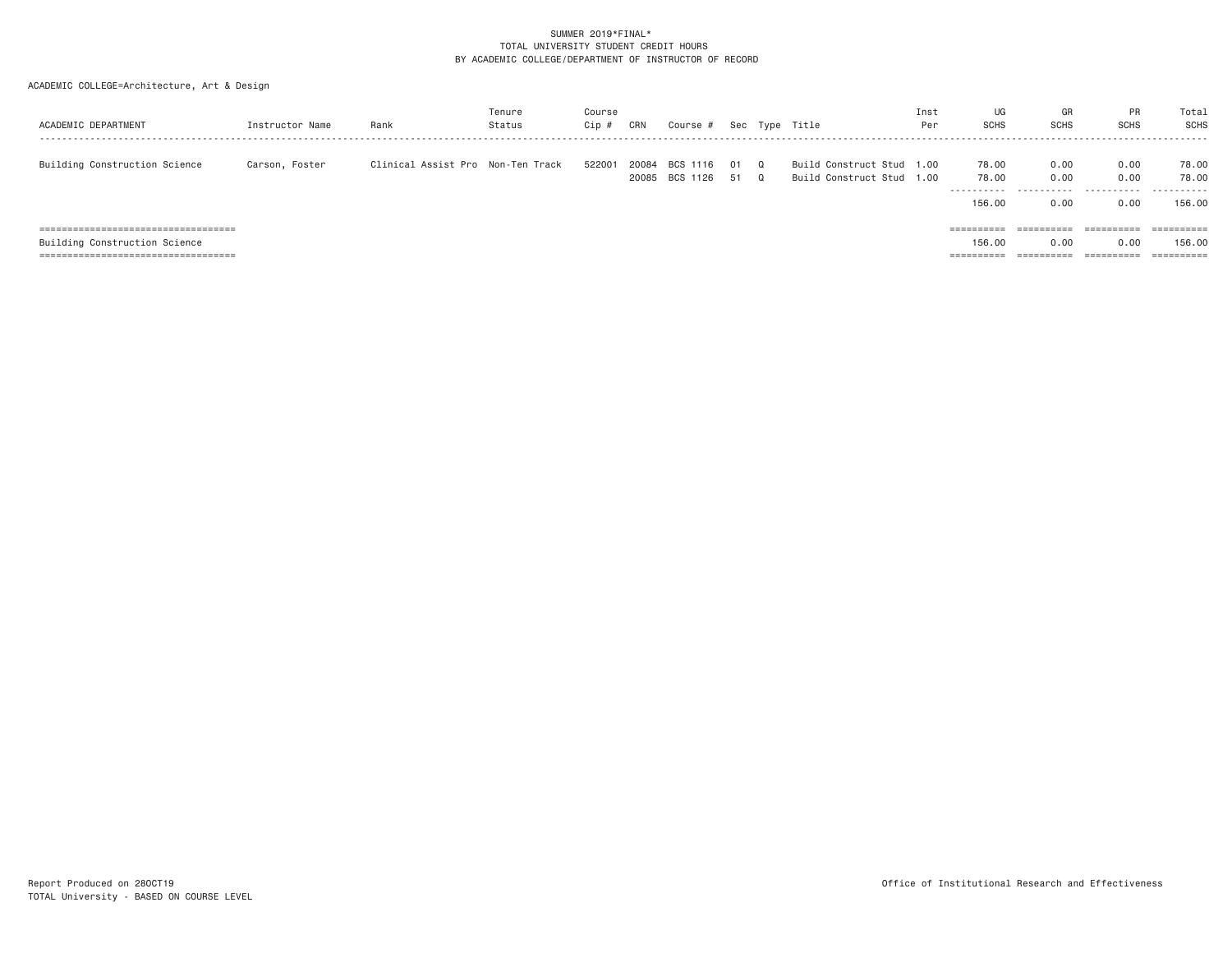| ACADEMIC DEPARTMENT                    | Instructor Name | Rank                              | Tenure<br>Status | Course<br>$Cip$ # | CRN            | Course #             |          |                      | Sec Type Title                                         | Inst<br>Per | UG<br><b>SCHS</b>                       | GR<br><b>SCHS</b>         | PR<br><b>SCHS</b>         | Total<br>SCHS                 |
|----------------------------------------|-----------------|-----------------------------------|------------------|-------------------|----------------|----------------------|----------|----------------------|--------------------------------------------------------|-------------|-----------------------------------------|---------------------------|---------------------------|-------------------------------|
| Building Construction Science          | Carson, Foster  | Clinical Assist Pro Non-Ten Track |                  | 522001            | 20084<br>20085 | BCS 1116<br>BCS 1126 | 01<br>51 | $\Omega$<br>$\Omega$ | Build Construct Stud 1.00<br>Build Construct Stud 1.00 |             | 78.00<br>78.00<br>-----------<br>156,00 | 0.00<br>0.00<br>.<br>0.00 | 0.00<br>0.00<br>.<br>0.00 | 78.00<br>78.00<br>.<br>156.00 |
| =====================================  |                 |                                   |                  |                   |                |                      |          |                      |                                                        |             | $=$ = = = = = = = = =                   | $=$ = = = = = = = = =     | $=$ = = = = = = = = =     | ==========                    |
| Building Construction Science          |                 |                                   |                  |                   |                |                      |          |                      |                                                        |             | 156,00                                  | 0.00                      | 0.00                      | 156.00                        |
| ====================================== |                 |                                   |                  |                   |                |                      |          |                      |                                                        |             | ==========                              | ==========                | ==========                |                               |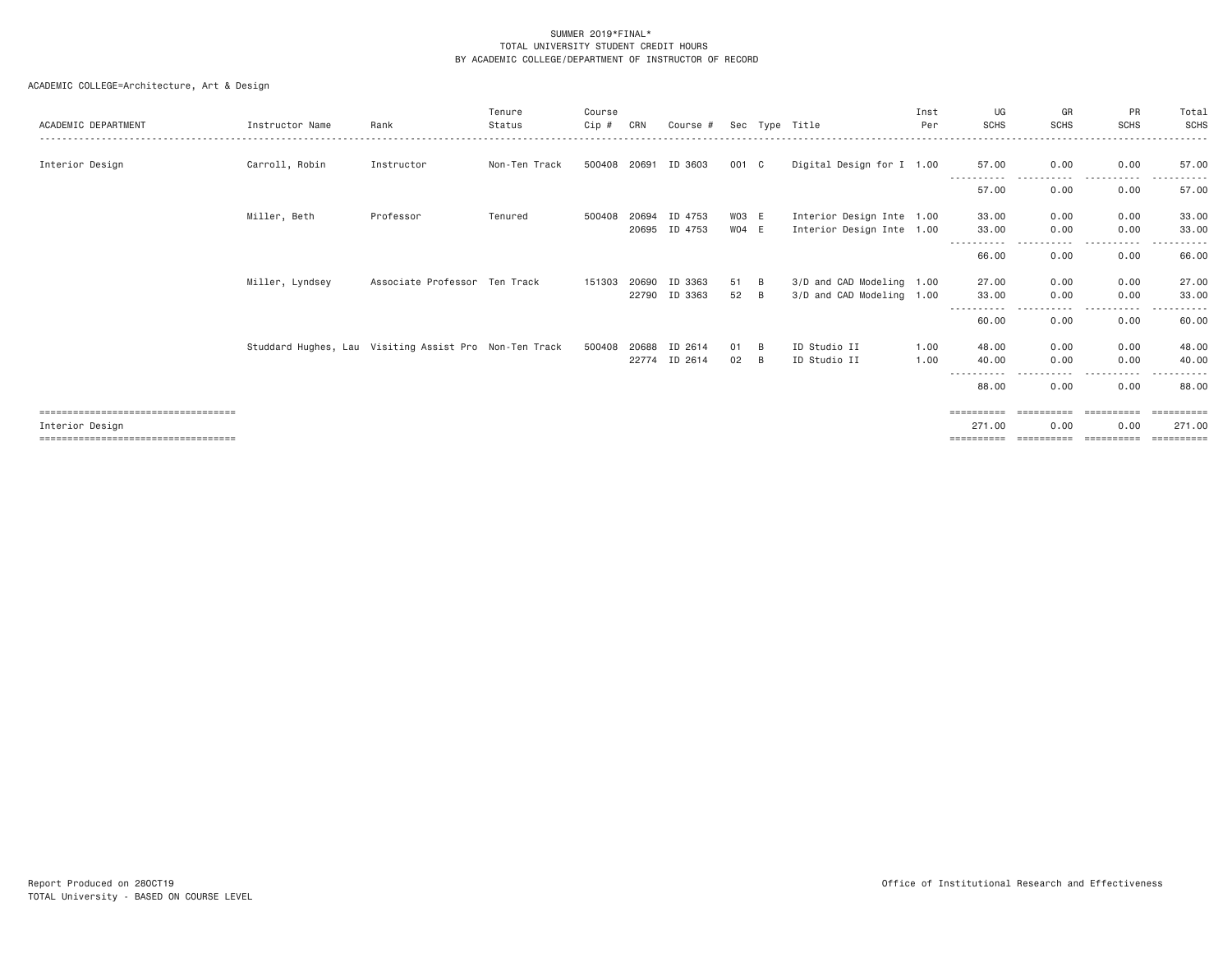| ACADEMIC DEPARTMENT                                                                               | Instructor Name                                        | Rank                          | Tenure<br>Status | Course<br>Cip # | CRN            | Course #                 |                  |         | Sec Type Title                                         | Inst<br>Per  | UG<br><b>SCHS</b>                  | GR<br>SCHS            | <b>PR</b><br><b>SCHS</b>         | Total<br>SCHS                       |
|---------------------------------------------------------------------------------------------------|--------------------------------------------------------|-------------------------------|------------------|-----------------|----------------|--------------------------|------------------|---------|--------------------------------------------------------|--------------|------------------------------------|-----------------------|----------------------------------|-------------------------------------|
| Interior Design                                                                                   | Carroll, Robin                                         | Instructor                    | Non-Ten Track    | 500408          | 20691          | ID 3603                  | 001 C            |         | Digital Design for I 1.00                              |              | 57.00                              | 0.00<br>$\frac{1}{2}$ | 0.00<br>. <u>.</u> .             | 57.00                               |
|                                                                                                   |                                                        |                               |                  |                 |                |                          |                  |         |                                                        |              | 57.00                              | 0.00                  | 0.00                             | 57.00                               |
|                                                                                                   | Miller, Beth                                           | Professor                     | Tenured          | 500408          | 20694          | ID 4753<br>20695 ID 4753 | WO3 E<br>$W04$ E |         | Interior Design Inte 1.00<br>Interior Design Inte 1.00 |              | 33.00<br>33.00                     | 0.00<br>0.00          | 0.00<br>0.00                     | 33.00<br>33.00                      |
|                                                                                                   |                                                        |                               |                  |                 |                |                          |                  |         |                                                        |              | 66.00                              | 0.00                  | ----<br>0.00                     | 66.00                               |
|                                                                                                   | Miller, Lyndsey                                        | Associate Professor Ten Track |                  | 151303          | 20690<br>22790 | ID 3363<br>ID 3363       | 51<br>52         | B<br>B  | 3/D and CAD Modeling 1.00<br>3/D and CAD Modeling 1.00 |              | 27,00<br>33.00                     | 0.00<br>0.00          | 0.00<br>0.00                     | 27,00<br>33.00                      |
|                                                                                                   |                                                        |                               |                  |                 |                |                          |                  |         |                                                        |              | -----------<br>60.00               | ----<br>0.00          | . <b>.</b><br>0.00               | 60.00                               |
|                                                                                                   | Studdard Hughes, Lau Visiting Assist Pro Non-Ten Track |                               |                  | 500408          | 20688<br>22774 | ID 2614<br>ID 2614       | 01<br>02         | -B<br>B | ID Studio II<br>ID Studio II                           | 1.00<br>1.00 | 48.00<br>40.00<br>-----------      | 0.00<br>0.00<br>.     | 0.00<br>0.00<br>-----------      | 48,00<br>40.00                      |
|                                                                                                   |                                                        |                               |                  |                 |                |                          |                  |         |                                                        |              | 88.00                              | 0.00                  | 0.00                             | 88.00                               |
| =====================================<br>Interior Design<br>===================================== |                                                        |                               |                  |                 |                |                          |                  |         |                                                        |              | ==========<br>271,00<br>========== | 0.00<br>==========    | ==========<br>0.00<br>========== | ==========<br>271.00<br>-========== |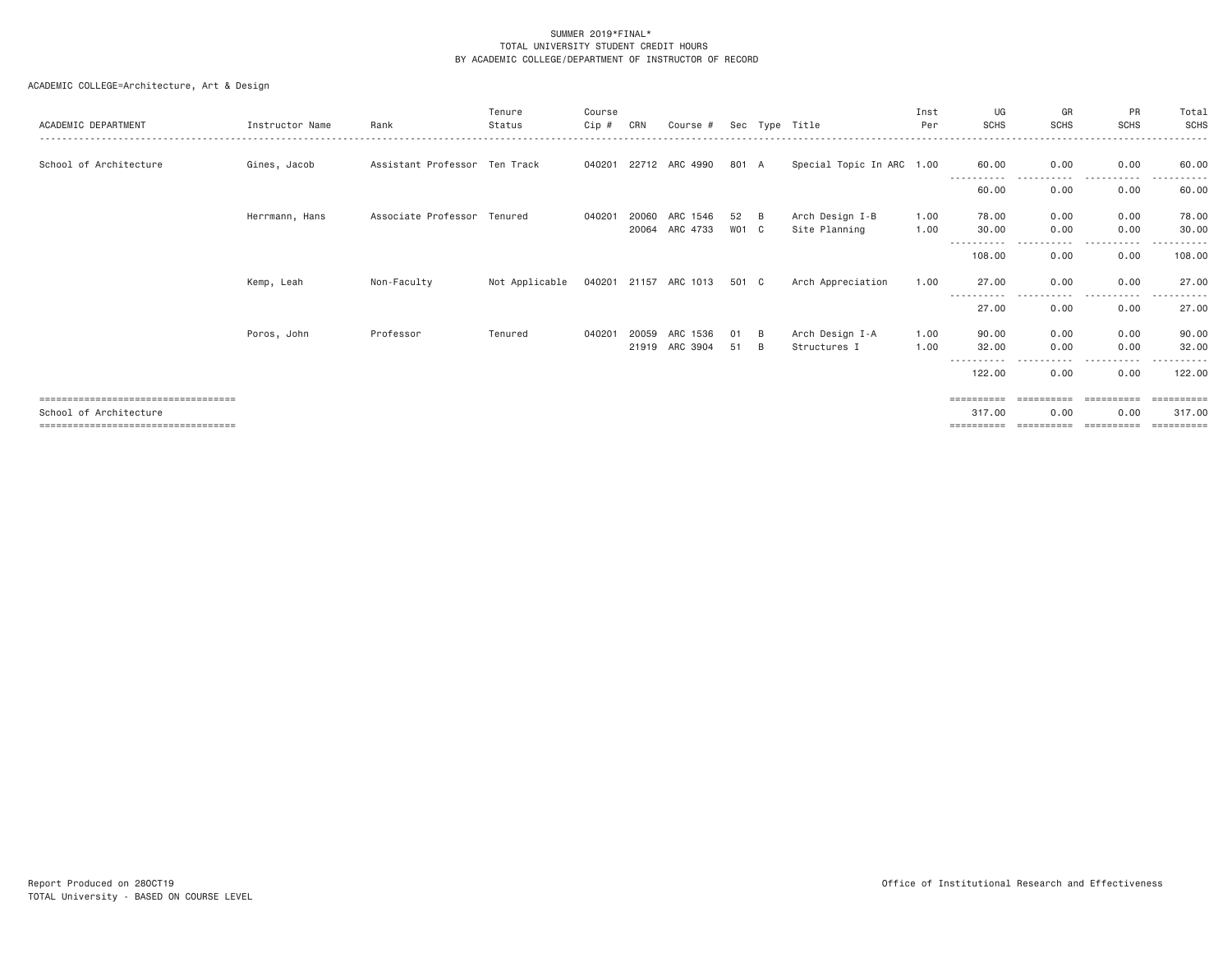| ACADEMIC DEPARTMENT                                                                                    | Instructor Name | Rank                          | Tenure<br>Status | Course<br>Cip # | CRN            | Course #              |             |               | Sec Type Title                   | Inst<br>Per  | UG<br><b>SCHS</b>                             | GR<br><b>SCHS</b>                                                                                                                 | PR<br><b>SCHS</b>    | Total<br>SCHS                                 |
|--------------------------------------------------------------------------------------------------------|-----------------|-------------------------------|------------------|-----------------|----------------|-----------------------|-------------|---------------|----------------------------------|--------------|-----------------------------------------------|-----------------------------------------------------------------------------------------------------------------------------------|----------------------|-----------------------------------------------|
| School of Architecture                                                                                 | Gines, Jacob    | Assistant Professor Ten Track |                  | 040201          |                | 22712 ARC 4990        | 801 A       |               | Special Topic In ARC 1.00        |              | 60.00<br>-----------                          | 0.00<br>-----                                                                                                                     | 0.00<br>.            | 60,00<br>.                                    |
|                                                                                                        |                 |                               |                  |                 |                |                       |             |               |                                  |              | 60.00                                         | 0.00                                                                                                                              | 0.00                 | 60.00                                         |
|                                                                                                        | Herrmann, Hans  | Associate Professor Tenured   |                  | 040201          | 20060<br>20064 | ARC 1546<br>ARC 4733  | 52<br>WO1 C | B             | Arch Design I-B<br>Site Planning | 1.00<br>1.00 | 78.00<br>30,00                                | 0.00<br>0.00                                                                                                                      | 0.00<br>0.00         | 78.00<br>30.00                                |
|                                                                                                        |                 |                               |                  |                 |                |                       |             |               |                                  |              | -----------<br>108.00                         | $\frac{1}{2} \left( \frac{1}{2} \right) \left( \frac{1}{2} \right) \left( \frac{1}{2} \right) \left( \frac{1}{2} \right)$<br>0.00 | . <b>.</b> .<br>0.00 | . <u>.</u> .<br>108.00                        |
|                                                                                                        | Kemp, Leah      | Non-Faculty                   | Not Applicable   |                 |                | 040201 21157 ARC 1013 | 501 C       |               | Arch Appreciation                | 1.00         | 27.00                                         | 0.00                                                                                                                              | 0.00                 | 27.00                                         |
|                                                                                                        |                 |                               |                  |                 |                |                       |             |               |                                  |              | 27.00                                         | 0.00                                                                                                                              | 0.00                 | 27.00                                         |
|                                                                                                        | Poros, John     | Professor                     | Tenured          | 040201          | 20059<br>21919 | ARC 1536<br>ARC 3904  | 01<br>51    | B<br><b>B</b> | Arch Design I-A<br>Structures I  | 1.00<br>1.00 | 90.00<br>32.00                                | 0.00<br>0.00                                                                                                                      | 0.00<br>0.00         | 90.00<br>32,00                                |
|                                                                                                        |                 |                               |                  |                 |                |                       |             |               |                                  |              | 122,00                                        | 0.00                                                                                                                              | 0.00                 | 122,00                                        |
| ====================================<br>School of Architecture<br>==================================== |                 |                               |                  |                 |                |                       |             |               |                                  |              | $=$ = = = = = = = = =<br>317,00<br>========== | ==========<br>0.00<br>==========                                                                                                  | ==========<br>0.00   | ==========<br>317,00<br>$=$ = = = = = = = = = |
|                                                                                                        |                 |                               |                  |                 |                |                       |             |               |                                  |              |                                               |                                                                                                                                   |                      |                                               |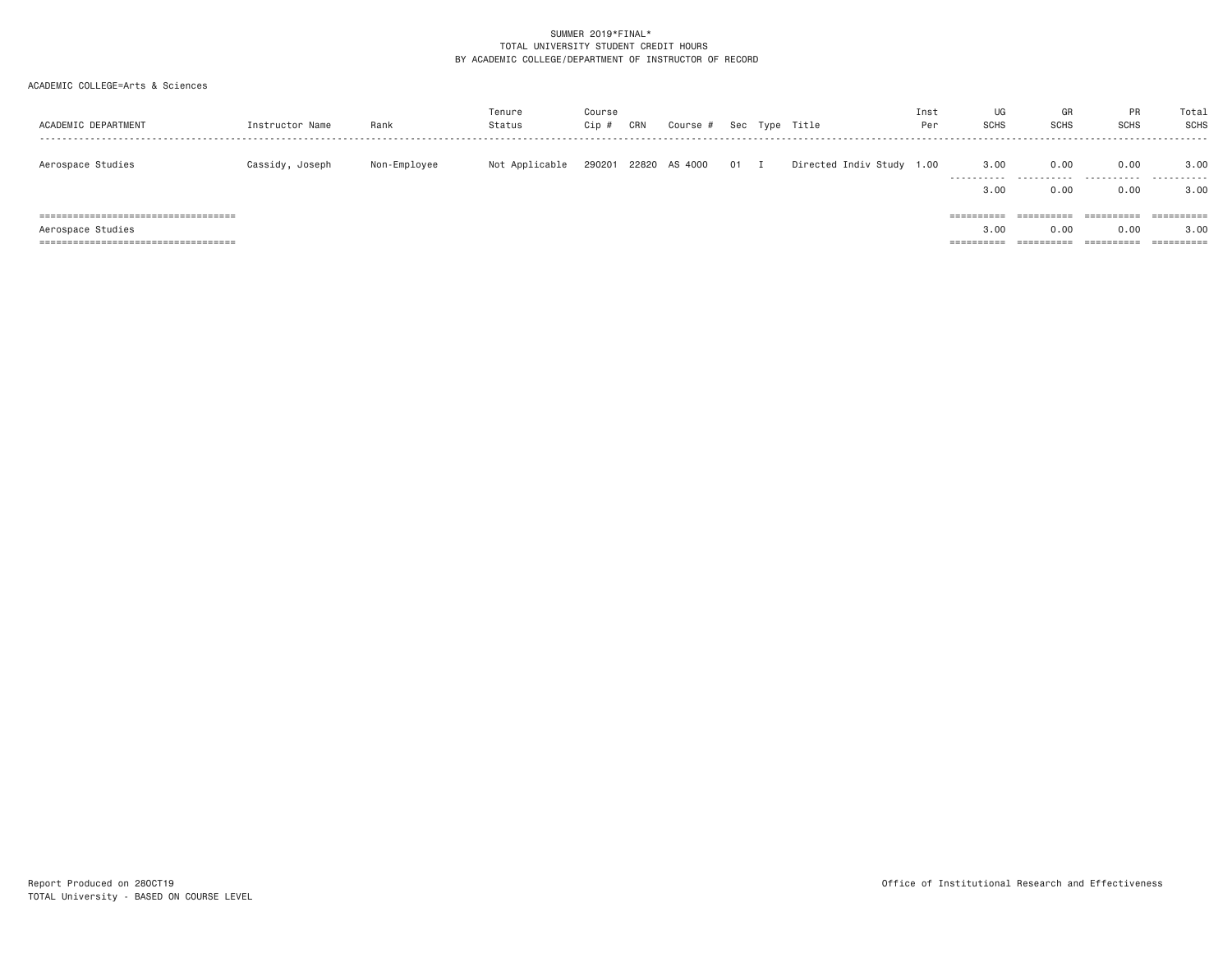# ACADEMIC COLLEGE=Arts & Sciences

| ACADEMIC DEPARTMENT                                        | Instructor Name | Rank         | Tenure<br>Status | Course<br>Cip # | CRN | Course #      |        | Sec Type Title            | Inst<br>Per | UG<br><b>SCHS</b>               | GR<br><b>SCHS</b>                | <b>PR</b><br><b>SCHS</b>         | Total<br><b>SCHS</b>                                                                                                                                                                                                                                                                                                                                                                                                                                                                                         |
|------------------------------------------------------------|-----------------|--------------|------------------|-----------------|-----|---------------|--------|---------------------------|-------------|---------------------------------|----------------------------------|----------------------------------|--------------------------------------------------------------------------------------------------------------------------------------------------------------------------------------------------------------------------------------------------------------------------------------------------------------------------------------------------------------------------------------------------------------------------------------------------------------------------------------------------------------|
| Aerospace Studies                                          | Cassidy, Joseph | Non-Employee | Not Applicable   | 290201          |     | 22820 AS 4000 | $01$ I | Directed Indiv Study 1.00 |             | 3,00<br>.<br>3,00               | 0.00<br>.<br>0.00                | 0.00<br>.<br>0.00                | 3,00<br>.<br>3,00                                                                                                                                                                                                                                                                                                                                                                                                                                                                                            |
| Aerospace Studies<br>------------------------------------- |                 |              |                  |                 |     |               |        |                           |             | ==========<br>3,00<br>========= | ==========<br>0.00<br>========== | ==========<br>0.00<br>========== | $\begin{array}{cccccccccc} \multicolumn{2}{c}{} & \multicolumn{2}{c}{} & \multicolumn{2}{c}{} & \multicolumn{2}{c}{} & \multicolumn{2}{c}{} & \multicolumn{2}{c}{} & \multicolumn{2}{c}{} & \multicolumn{2}{c}{} & \multicolumn{2}{c}{} & \multicolumn{2}{c}{} & \multicolumn{2}{c}{} & \multicolumn{2}{c}{} & \multicolumn{2}{c}{} & \multicolumn{2}{c}{} & \multicolumn{2}{c}{} & \multicolumn{2}{c}{} & \multicolumn{2}{c}{} & \multicolumn{2}{c}{} & \multicolumn{2}{c}{} & \mult$<br>3.00<br>========== |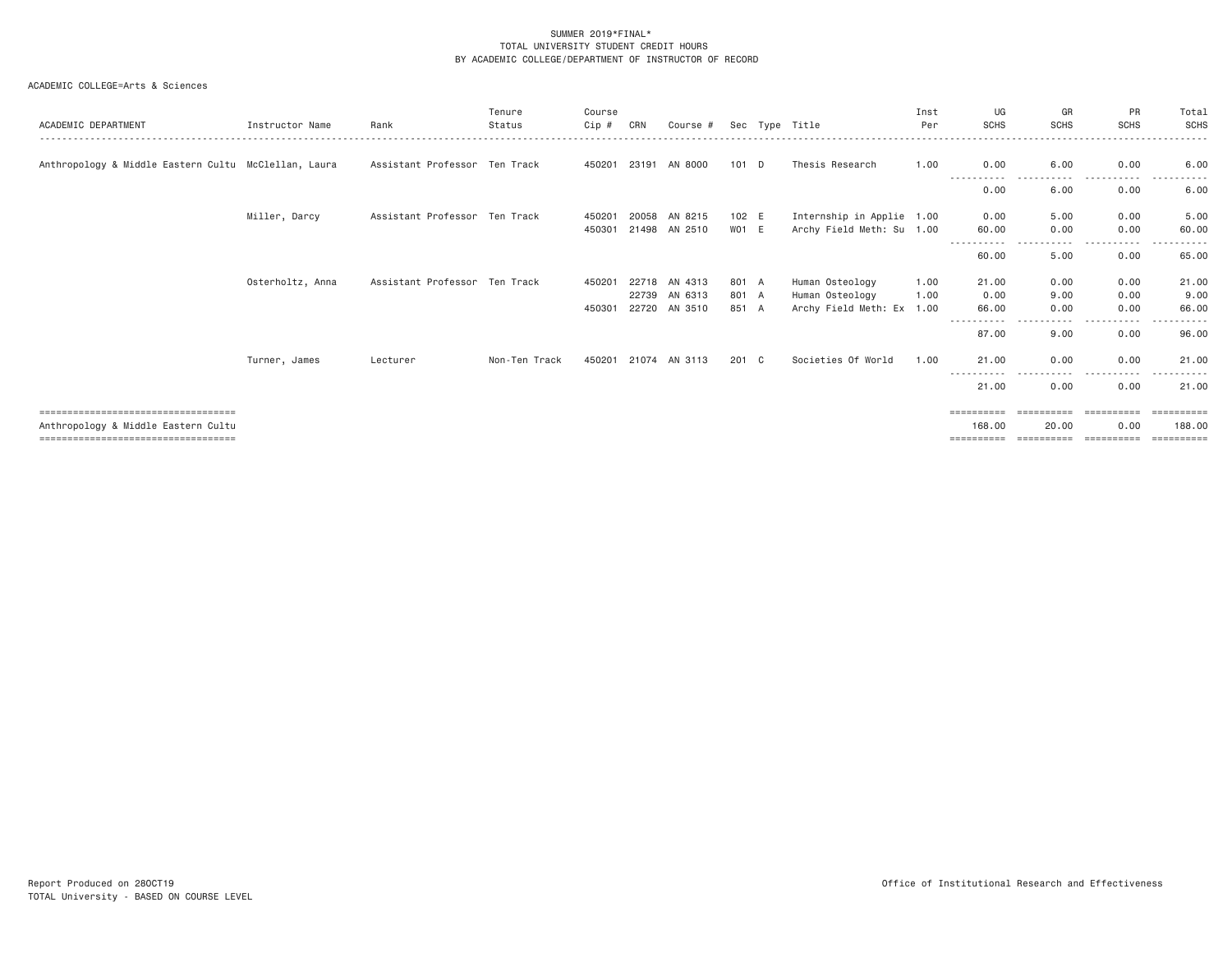| ACADEMIC DEPARTMENT                                                                                                 | Instructor Name  | Rank                          | Tenure<br>Status | Course<br>Cip #  | CRN                     | Course #                      |                         | Sec Type Title                                                  | Inst<br>Per  | UG<br><b>SCHS</b>                             | GR<br><b>SCHS</b>                 | <b>PR</b><br><b>SCHS</b>         | Total<br>SCHS                      |
|---------------------------------------------------------------------------------------------------------------------|------------------|-------------------------------|------------------|------------------|-------------------------|-------------------------------|-------------------------|-----------------------------------------------------------------|--------------|-----------------------------------------------|-----------------------------------|----------------------------------|------------------------------------|
| Anthropology & Middle Eastern Cultu McClellan, Laura                                                                |                  | Assistant Professor Ten Track |                  | 450201           | 23191                   | AN 8000                       | $101$ D                 | Thesis Research                                                 | 1.00         | 0.00                                          | 6.00                              | 0.00                             | 6.00                               |
|                                                                                                                     |                  |                               |                  |                  |                         |                               |                         |                                                                 |              | 0.00                                          | 6.00                              | 0.00                             | 6.00                               |
|                                                                                                                     | Miller, Darcy    | Assistant Professor Ten Track |                  | 450201<br>450301 | 20058<br>21498          | AN 8215<br>AN 2510            | 102 E<br>WO1 E          | Internship in Applie 1.00<br>Archy Field Meth: Su 1.00          |              | 0.00<br>60.00                                 | 5.00<br>0.00                      | 0.00<br>0.00                     | 5.00<br>60.00                      |
|                                                                                                                     |                  |                               |                  |                  |                         |                               |                         |                                                                 |              | 60.00                                         | 5.00                              | 0.00                             | 65.00                              |
|                                                                                                                     | Osterholtz, Anna | Assistant Professor Ten Track |                  | 450201<br>450301 | 22718<br>22739<br>22720 | AN 4313<br>AN 6313<br>AN 3510 | 801 A<br>801 A<br>851 A | Human Osteology<br>Human Osteology<br>Archy Field Meth: Ex 1.00 | 1.00<br>1.00 | 21.00<br>0.00<br>66.00                        | 0.00<br>9.00<br>0.00              | 0.00<br>0.00<br>0.00             | 21.00<br>9.00<br>66.00             |
|                                                                                                                     |                  |                               |                  |                  |                         |                               |                         |                                                                 |              | -----------<br>87.00                          | $\cdots$<br>9.00                  | -----<br>0.00                    | 96.00                              |
|                                                                                                                     | Turner, James    | Lecturer                      | Non-Ten Track    | 450201           | 21074                   | AN 3113                       | 201 C                   | Societies Of World                                              | 1.00         | 21.00                                         | 0.00                              | 0.00                             | 21.00                              |
|                                                                                                                     |                  |                               |                  |                  |                         |                               |                         |                                                                 |              | 21.00                                         | $\cdots$<br>0.00                  | .<br>0.00                        | 21.00                              |
| ====================================<br>Anthropology & Middle Eastern Cultu<br>------------------------------------ |                  |                               |                  |                  |                         |                               |                         |                                                                 |              | $=$ = = = = = = = = =<br>168,00<br>========== | ==========<br>20,00<br>========== | ==========<br>0.00<br>========== | ==========<br>188,00<br>========== |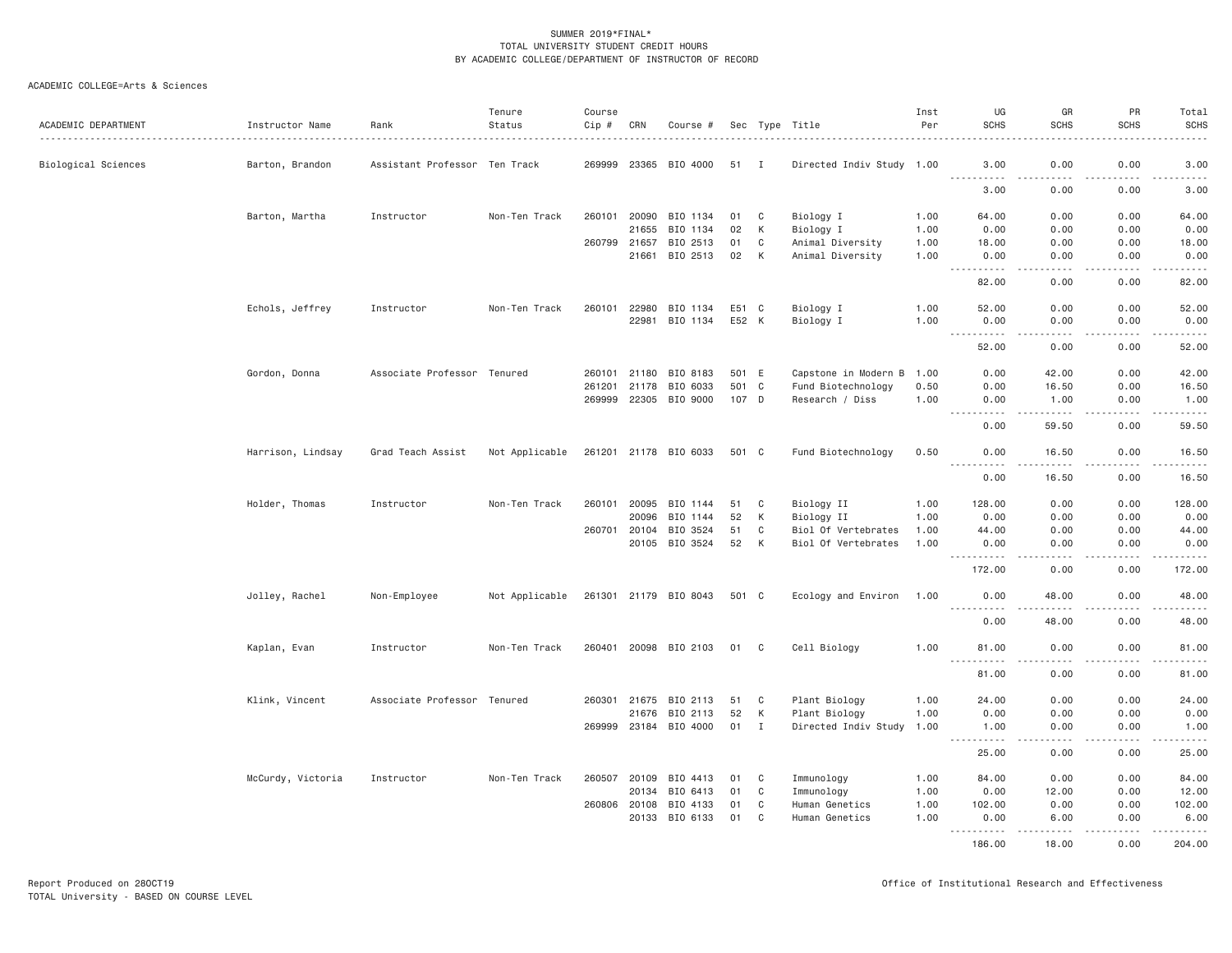| ACADEMIC DEPARTMENT | Instructor Name   | Rank                          | Tenure<br>Status | Course<br>Cip # | CRN          | Course #              |       |              | Sec Type Title            | Inst<br>Per | UG<br><b>SCHS</b>     | GR<br><b>SCHS</b>     | PR<br><b>SCHS</b>            | Total<br><b>SCHS</b>                                                                                                                                                                    |
|---------------------|-------------------|-------------------------------|------------------|-----------------|--------------|-----------------------|-------|--------------|---------------------------|-------------|-----------------------|-----------------------|------------------------------|-----------------------------------------------------------------------------------------------------------------------------------------------------------------------------------------|
| Biological Sciences | Barton, Brandon   | Assistant Professor Ten Track |                  | 269999          |              | 23365 BIO 4000        | 51 I  |              | Directed Indiv Study 1.00 |             | 3,00                  | 0.00                  | 0.00                         | 3.00                                                                                                                                                                                    |
|                     |                   |                               |                  |                 |              |                       |       |              |                           |             | <u>.</u><br>3.00      | .<br>0.00             | .<br>0.00                    | $\frac{1}{2} \left( \frac{1}{2} \right) \left( \frac{1}{2} \right) \left( \frac{1}{2} \right) \left( \frac{1}{2} \right) \left( \frac{1}{2} \right) \left( \frac{1}{2} \right)$<br>3.00 |
|                     | Barton, Martha    | Instructor                    | Non-Ten Track    | 260101          | 20090        | BIO 1134              | 01    | C            | Biology I                 | 1.00        | 64.00                 | 0.00                  | 0.00                         | 64.00                                                                                                                                                                                   |
|                     |                   |                               |                  |                 | 21655        | BIO 1134              | 02    | K            | Biology I                 | 1.00        | 0.00                  | 0.00                  | 0.00                         | 0.00                                                                                                                                                                                    |
|                     |                   |                               |                  | 260799          | 21657        | BIO 2513              | 01    | C            | Animal Diversity          | 1.00        | 18.00                 | 0.00                  | 0.00                         | 18.00                                                                                                                                                                                   |
|                     |                   |                               |                  |                 | 21661        | BIO 2513              | 02    | K            | Animal Diversity          | 1.00        | 0.00<br>$- - - - -$   | 0.00<br>$\frac{1}{2}$ | 0.00<br>.                    | 0.00<br>$    -$                                                                                                                                                                         |
|                     |                   |                               |                  |                 |              |                       |       |              |                           |             | 82.00                 | 0.00                  | 0.00                         | 82.00                                                                                                                                                                                   |
|                     | Echols, Jeffrey   | Instructor                    | Non-Ten Track    | 260101          | 22980        | BIO 1134              | E51 C |              | Biology I                 | 1.00        | 52.00                 | 0.00                  | 0.00                         | 52.00                                                                                                                                                                                   |
|                     |                   |                               |                  |                 | 22981        | BIO 1134              | E52 K |              | Biology I                 | 1.00        | 0.00<br>.             | 0.00                  | 0.00<br>.                    | 0.00<br>$- - - - -$                                                                                                                                                                     |
|                     |                   |                               |                  |                 |              |                       |       |              |                           |             | 52.00                 | 0.00                  | 0.00                         | 52.00                                                                                                                                                                                   |
|                     | Gordon, Donna     | Associate Professor Tenured   |                  |                 | 260101 21180 | BIO 8183              | 501 E |              | Capstone in Modern B 1.00 |             | 0.00                  | 42.00                 | 0.00                         | 42.00                                                                                                                                                                                   |
|                     |                   |                               |                  | 261201          | 21178        | BIO 6033              | 501 C |              | Fund Biotechnology        | 0.50        | 0.00                  | 16.50                 | 0.00                         | 16.50                                                                                                                                                                                   |
|                     |                   |                               |                  | 269999          | 22305        | BIO 9000              | 107 D |              | Research / Diss           | 1.00        | 0.00                  | 1.00<br>د د د د       | 0.00<br>$\sim$ $\sim$ $\sim$ | 1.00<br>.                                                                                                                                                                               |
|                     |                   |                               |                  |                 |              |                       |       |              |                           |             | 0.00                  | 59.50                 | 0.00                         | 59.50                                                                                                                                                                                   |
|                     | Harrison, Lindsay | Grad Teach Assist             | Not Applicable   |                 |              | 261201 21178 BIO 6033 | 501 C |              | Fund Biotechnology        | 0.50        | 0.00<br>.             | 16.50                 | 0.00<br>.                    | 16.50<br>.                                                                                                                                                                              |
|                     |                   |                               |                  |                 |              |                       |       |              |                           |             | 0.00                  | 16.50                 | 0.00                         | 16.50                                                                                                                                                                                   |
|                     | Holder, Thomas    | Instructor                    | Non-Ten Track    | 260101          | 20095        | BIO 1144              | 51    | C            | Biology II                | 1.00        | 128.00                | 0.00                  | 0.00                         | 128.00                                                                                                                                                                                  |
|                     |                   |                               |                  |                 | 20096        | BIO 1144              | 52    | К            | Biology II                | 1.00        | 0.00                  | 0.00                  | 0.00                         | 0.00                                                                                                                                                                                    |
|                     |                   |                               |                  | 260701          | 20104        | BIO 3524              | 51    | C            | Biol Of Vertebrates       | 1.00        | 44.00                 | 0.00                  | 0.00                         | 44.00                                                                                                                                                                                   |
|                     |                   |                               |                  |                 |              | 20105 BIO 3524        | 52    | K            | Biol Of Vertebrates       | 1.00        | 0.00<br>$- - - - -$   | 0.00<br>$- - - -$     | 0.00<br>.                    | 0.00<br>.                                                                                                                                                                               |
|                     |                   |                               |                  |                 |              |                       |       |              |                           |             | 172.00                | 0.00                  | 0.00                         | 172.00                                                                                                                                                                                  |
|                     | Jolley, Rachel    | Non-Employee                  | Not Applicable   |                 |              | 261301 21179 BIO 8043 | 501 C |              | Ecology and Environ       | 1.00        | 0.00<br>.             | 48.00<br>-----        | 0.00<br>.                    | 48.00<br>.                                                                                                                                                                              |
|                     |                   |                               |                  |                 |              |                       |       |              |                           |             | 0.00                  | 48.00                 | 0.00                         | 48.00                                                                                                                                                                                   |
|                     | Kaplan, Evan      | Instructor                    | Non-Ten Track    | 260401          |              | 20098 BIO 2103        | 01    | C            | Cell Biology              | 1.00        | 81.00                 | 0.00                  | 0.00                         | 81.00                                                                                                                                                                                   |
|                     |                   |                               |                  |                 |              |                       |       |              |                           |             | 81.00                 | 0.00                  | $\frac{1}{2}$<br>0.00        | $    -$<br>81.00                                                                                                                                                                        |
|                     | Klink, Vincent    | Associate Professor Tenured   |                  | 260301          | 21675        | BIO 2113              | 51    | C            | Plant Biology             | 1.00        | 24.00                 | 0.00                  | 0.00                         | 24.00                                                                                                                                                                                   |
|                     |                   |                               |                  |                 | 21676        | BIO 2113              | 52    | К            | Plant Biology             | 1.00        | 0.00                  | 0.00                  | 0.00                         | 0.00                                                                                                                                                                                    |
|                     |                   |                               |                  |                 |              | 269999 23184 BIO 4000 | 01    | $\mathbf{I}$ | Directed Indiv Study      | 1.00        | 1.00                  | 0.00                  | 0.00                         | 1.00                                                                                                                                                                                    |
|                     |                   |                               |                  |                 |              |                       |       |              |                           |             | .<br>$- - -$<br>25.00 | $   -$<br>0.00        | .<br>0.00                    | المتمامين<br>25.00                                                                                                                                                                      |
|                     | McCurdy, Victoria | Instructor                    | Non-Ten Track    | 260507          | 20109        | BIO 4413              | 01    | C            | Immunology                | 1.00        | 84.00                 | 0.00                  | 0.00                         | 84.00                                                                                                                                                                                   |
|                     |                   |                               |                  |                 | 20134        | BIO 6413              | 01    | $\mathbb C$  | Immunology                | 1.00        | 0.00                  | 12.00                 | 0.00                         | 12.00                                                                                                                                                                                   |
|                     |                   |                               |                  | 260806          | 20108        | BIO 4133              | 01    | $\mathbb C$  | Human Genetics            | 1.00        | 102.00                | 0.00                  | 0.00                         | 102.00                                                                                                                                                                                  |
|                     |                   |                               |                  |                 | 20133        | BIO 6133              | 01    | C            | Human Genetics            | 1.00        | 0.00<br>.             | 6.00                  | 0.00<br>.                    | 6.00<br>.                                                                                                                                                                               |
|                     |                   |                               |                  |                 |              |                       |       |              |                           |             | 186.00                | 18,00                 | 0.00                         | 204.00                                                                                                                                                                                  |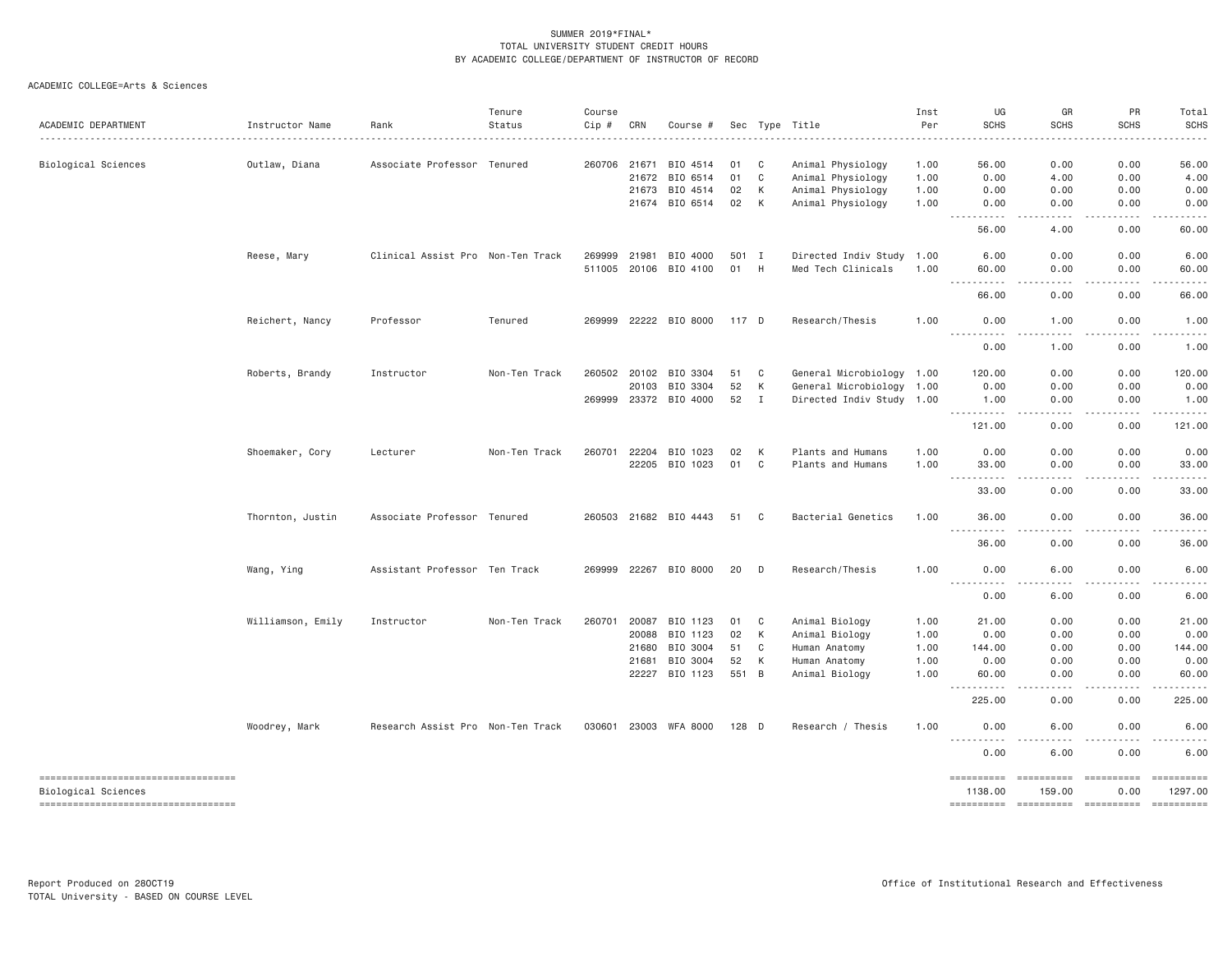| ACADEMIC DEPARTMENT                                        | Instructor Name   | Rank                              | Tenure<br>Status | Course<br>Cip # | CRN          | Course #              |         |                | Sec Type Title            | Inst<br>Per | UG<br><b>SCHS</b>                                                                                                                       | GR<br>SCHS                                                                                         | PR<br><b>SCHS</b> | Total<br><b>SCHS</b>                                                                                                                                                                                                                                                                                                                                                                                                                                                                              |
|------------------------------------------------------------|-------------------|-----------------------------------|------------------|-----------------|--------------|-----------------------|---------|----------------|---------------------------|-------------|-----------------------------------------------------------------------------------------------------------------------------------------|----------------------------------------------------------------------------------------------------|-------------------|---------------------------------------------------------------------------------------------------------------------------------------------------------------------------------------------------------------------------------------------------------------------------------------------------------------------------------------------------------------------------------------------------------------------------------------------------------------------------------------------------|
|                                                            |                   |                                   |                  |                 |              |                       |         |                |                           |             |                                                                                                                                         |                                                                                                    |                   |                                                                                                                                                                                                                                                                                                                                                                                                                                                                                                   |
| Biological Sciences                                        | Outlaw, Diana     | Associate Professor Tenured       |                  |                 | 260706 21671 | BIO 4514              | 01      | C              | Animal Physiology         | 1.00        | 56.00                                                                                                                                   | 0.00                                                                                               | 0.00              | 56.00                                                                                                                                                                                                                                                                                                                                                                                                                                                                                             |
|                                                            |                   |                                   |                  |                 | 21672        | BIO 6514              | 01      | C              | Animal Physiology         | 1.00        | 0.00                                                                                                                                    | 4.00                                                                                               | 0.00              | 4.00                                                                                                                                                                                                                                                                                                                                                                                                                                                                                              |
|                                                            |                   |                                   |                  |                 |              | 21673 BIO 4514        | 02      | К              | Animal Physiology         | 1.00        | 0.00                                                                                                                                    | 0.00                                                                                               | 0.00              | 0.00                                                                                                                                                                                                                                                                                                                                                                                                                                                                                              |
|                                                            |                   |                                   |                  |                 |              | 21674 BIO 6514        | 02      | K              | Animal Physiology         | 1.00        | 0.00<br>.<br>$\sim$ $\sim$ $\sim$ $\sim$ $\sim$                                                                                         | 0.00<br>الأعامات                                                                                   | 0.00<br>.         | 0.00<br>$   -$                                                                                                                                                                                                                                                                                                                                                                                                                                                                                    |
|                                                            |                   |                                   |                  |                 |              |                       |         |                |                           |             | 56.00                                                                                                                                   | 4.00                                                                                               | 0.00              | 60.00                                                                                                                                                                                                                                                                                                                                                                                                                                                                                             |
|                                                            | Reese, Mary       | Clinical Assist Pro Non-Ten Track |                  |                 | 269999 21981 | BIO 4000              | 501 I   |                | Directed Indiv Study 1.00 |             | 6.00                                                                                                                                    | 0.00                                                                                               | 0.00              | 6.00                                                                                                                                                                                                                                                                                                                                                                                                                                                                                              |
|                                                            |                   |                                   |                  |                 |              | 511005 20106 BIO 4100 | 01      | H              | Med Tech Clinicals        | 1.00        | 60.00<br>.                                                                                                                              | 0.00<br>.                                                                                          | 0.00<br>.         | 60.00<br>.                                                                                                                                                                                                                                                                                                                                                                                                                                                                                        |
|                                                            |                   |                                   |                  |                 |              |                       |         |                |                           |             | 66,00                                                                                                                                   | 0.00                                                                                               | 0.00              | 66.00                                                                                                                                                                                                                                                                                                                                                                                                                                                                                             |
|                                                            | Reichert, Nancy   | Professor                         | Tenured          |                 |              | 269999 22222 BIO 8000 | 117 D   |                | Research/Thesis           | 1.00        | 0.00<br>$  -$                                                                                                                           | 1.00                                                                                               | 0.00              | 1.00                                                                                                                                                                                                                                                                                                                                                                                                                                                                                              |
|                                                            |                   |                                   |                  |                 |              |                       |         |                |                           |             | 0.00                                                                                                                                    | 1.00                                                                                               | 0.00              | 1.00                                                                                                                                                                                                                                                                                                                                                                                                                                                                                              |
|                                                            | Roberts, Brandy   | Instructor                        | Non-Ten Track    |                 | 260502 20102 | BIO 3304              | 51      | C              | General Microbiology 1.00 |             | 120.00                                                                                                                                  | 0.00                                                                                               | 0.00              | 120.00                                                                                                                                                                                                                                                                                                                                                                                                                                                                                            |
|                                                            |                   |                                   |                  |                 | 20103        | BIO 3304              | 52      | К              | General Microbiology      | 1.00        | 0.00                                                                                                                                    | 0.00                                                                                               | 0.00              | 0.00                                                                                                                                                                                                                                                                                                                                                                                                                                                                                              |
|                                                            |                   |                                   |                  |                 |              | 269999 23372 BIO 4000 | 52      | $\blacksquare$ | Directed Indiv Study 1.00 |             | 1.00<br><b></b>                                                                                                                         | 0.00<br>$\omega$ $\omega$ $\omega$ $\omega$                                                        | 0.00<br>.         | 1.00                                                                                                                                                                                                                                                                                                                                                                                                                                                                                              |
|                                                            |                   |                                   |                  |                 |              |                       |         |                |                           |             | 121.00                                                                                                                                  | 0.00                                                                                               | 0.00              | 121.00                                                                                                                                                                                                                                                                                                                                                                                                                                                                                            |
|                                                            | Shoemaker, Cory   | Lecturer                          | Non-Ten Track    | 260701          | 22204        | BIO 1023              | 02      | К              | Plants and Humans         | 1.00        | 0.00                                                                                                                                    | 0.00                                                                                               | 0.00              | 0.00                                                                                                                                                                                                                                                                                                                                                                                                                                                                                              |
|                                                            |                   |                                   |                  |                 |              | 22205 BIO 1023        | 01      | C              | Plants and Humans         | 1.00        | 33.00<br>.<br>$\frac{1}{2} \left( \frac{1}{2} \right) \left( \frac{1}{2} \right) \left( \frac{1}{2} \right) \left( \frac{1}{2} \right)$ | 0.00                                                                                               | 0.00              | 33.00                                                                                                                                                                                                                                                                                                                                                                                                                                                                                             |
|                                                            |                   |                                   |                  |                 |              |                       |         |                |                           |             | 33.00                                                                                                                                   | 0.00                                                                                               | 0.00              | 33.00                                                                                                                                                                                                                                                                                                                                                                                                                                                                                             |
|                                                            | Thornton, Justin  | Associate Professor Tenured       |                  |                 |              | 260503 21682 BIO 4443 | 51      | C              | Bacterial Genetics        | 1.00        | 36.00<br>.                                                                                                                              | 0.00<br>$\frac{1}{2}$                                                                              | 0.00<br>.         | 36.00<br>.                                                                                                                                                                                                                                                                                                                                                                                                                                                                                        |
|                                                            |                   |                                   |                  |                 |              |                       |         |                |                           |             | 36.00                                                                                                                                   | 0.00                                                                                               | 0.00              | 36.00                                                                                                                                                                                                                                                                                                                                                                                                                                                                                             |
|                                                            | Wang, Ying        | Assistant Professor Ten Track     |                  |                 |              | 269999 22267 BIO 8000 | 20      | D              | Research/Thesis           | 1.00        | 0.00                                                                                                                                    | 6.00                                                                                               | 0.00              | 6.00                                                                                                                                                                                                                                                                                                                                                                                                                                                                                              |
|                                                            |                   |                                   |                  |                 |              |                       |         |                |                           |             | .<br>0.00                                                                                                                               | 6.00                                                                                               | 0.00              | 6.00                                                                                                                                                                                                                                                                                                                                                                                                                                                                                              |
|                                                            | Williamson, Emily | Instructor                        | Non-Ten Track    | 260701          | 20087        | BIO 1123              | 01      | C              | Animal Biology            | 1.00        | 21.00                                                                                                                                   | 0.00                                                                                               | 0.00              | 21.00                                                                                                                                                                                                                                                                                                                                                                                                                                                                                             |
|                                                            |                   |                                   |                  |                 | 20088        | BIO 1123              | 02      | К              | Animal Biology            | 1.00        | 0.00                                                                                                                                    | 0.00                                                                                               | 0.00              | 0.00                                                                                                                                                                                                                                                                                                                                                                                                                                                                                              |
|                                                            |                   |                                   |                  |                 | 21680        | BIO 3004              | 51      | C              | Human Anatomy             | 1.00        | 144.00                                                                                                                                  | 0.00                                                                                               | 0.00              | 144.00                                                                                                                                                                                                                                                                                                                                                                                                                                                                                            |
|                                                            |                   |                                   |                  |                 | 21681        | BIO 3004              | 52      | К              | Human Anatomy             | 1.00        | 0.00                                                                                                                                    | 0.00                                                                                               | 0.00              | 0.00                                                                                                                                                                                                                                                                                                                                                                                                                                                                                              |
|                                                            |                   |                                   |                  |                 | 22227        | BIO 1123              | 551 B   |                | Animal Biology            | 1.00        | 60.00<br>$\frac{1}{2} \left( \frac{1}{2} \right) \left( \frac{1}{2} \right) \left( \frac{1}{2} \right)$<br>.                            | 0.00<br>$\sim$ $\sim$ $\sim$ $\sim$                                                                | 0.00<br>.         | 60.00                                                                                                                                                                                                                                                                                                                                                                                                                                                                                             |
|                                                            |                   |                                   |                  |                 |              |                       |         |                |                           |             | 225.00                                                                                                                                  | 0.00                                                                                               | 0.00              | 225.00                                                                                                                                                                                                                                                                                                                                                                                                                                                                                            |
|                                                            | Woodrey, Mark     | Research Assist Pro Non-Ten Track |                  |                 |              | 030601 23003 WFA 8000 | $128$ D |                | Research / Thesis         | 1.00        | 0.00<br><b></b>                                                                                                                         | 6.00<br>$\frac{1}{2}$<br>$\frac{1}{2} \frac{1}{2} \frac{1}{2} \frac{1}{2} \frac{1}{2} \frac{1}{2}$ | 0.00<br>.         | 6.00<br>.                                                                                                                                                                                                                                                                                                                                                                                                                                                                                         |
|                                                            |                   |                                   |                  |                 |              |                       |         |                |                           |             | 0.00                                                                                                                                    | 6.00                                                                                               | 0.00              | 6.00                                                                                                                                                                                                                                                                                                                                                                                                                                                                                              |
| -----------------------------------<br>Biological Sciences |                   |                                   |                  |                 |              |                       |         |                |                           |             | ==========<br>1138.00                                                                                                                   | 159,00                                                                                             | 0.00              | $\begin{array}{cccccccccc} \multicolumn{2}{c}{} & \multicolumn{2}{c}{} & \multicolumn{2}{c}{} & \multicolumn{2}{c}{} & \multicolumn{2}{c}{} & \multicolumn{2}{c}{} & \multicolumn{2}{c}{} & \multicolumn{2}{c}{} & \multicolumn{2}{c}{} & \multicolumn{2}{c}{} & \multicolumn{2}{c}{} & \multicolumn{2}{c}{} & \multicolumn{2}{c}{} & \multicolumn{2}{c}{} & \multicolumn{2}{c}{} & \multicolumn{2}{c}{} & \multicolumn{2}{c}{} & \multicolumn{2}{c}{} & \multicolumn{2}{c}{} & \mult$<br>1297.00 |
| -----------------------------------                        |                   |                                   |                  |                 |              |                       |         |                |                           |             | ==========                                                                                                                              | -----------                                                                                        | -----------       | ==========                                                                                                                                                                                                                                                                                                                                                                                                                                                                                        |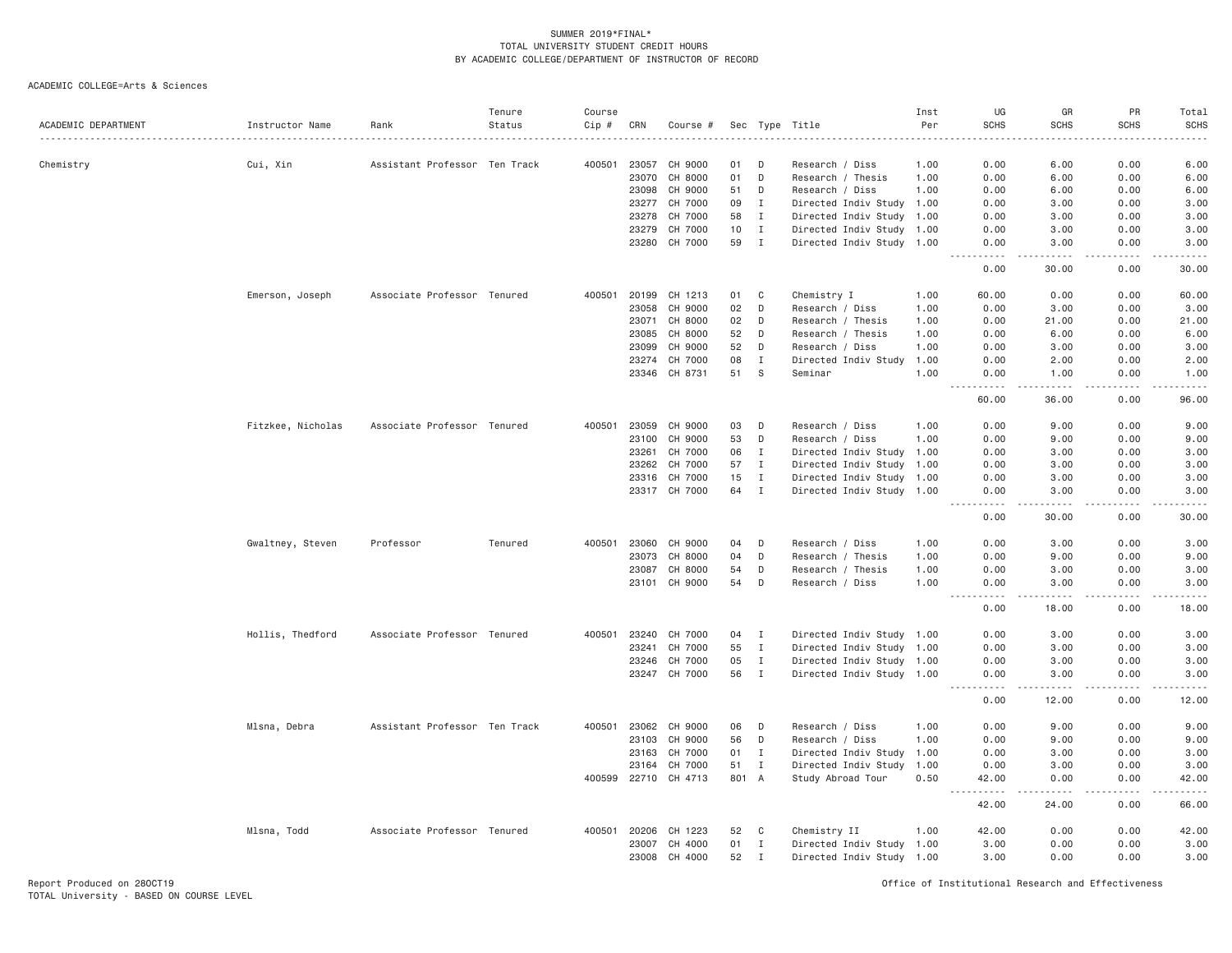| ACADEMIC DEPARTMENT | Instructor Name   | Rank                          | Tenure<br>Status | Course<br>Cip # | CRN   | Course #      |       |              | Sec Type Title            | Inst<br>Per | UG<br><b>SCHS</b>                                                                                                                                            | GR<br><b>SCHS</b>                                                                                                                                            | PR<br><b>SCHS</b> | Total<br><b>SCHS</b>                                                                                                                                         |
|---------------------|-------------------|-------------------------------|------------------|-----------------|-------|---------------|-------|--------------|---------------------------|-------------|--------------------------------------------------------------------------------------------------------------------------------------------------------------|--------------------------------------------------------------------------------------------------------------------------------------------------------------|-------------------|--------------------------------------------------------------------------------------------------------------------------------------------------------------|
|                     |                   |                               |                  |                 |       |               |       |              |                           |             |                                                                                                                                                              |                                                                                                                                                              |                   |                                                                                                                                                              |
| Chemistry           | Cui, Xin          | Assistant Professor Ten Track |                  | 400501          | 23057 | CH 9000       | 01    | D            | Research / Diss           | 1.00        | 0.00                                                                                                                                                         | 6.00                                                                                                                                                         | 0.00              | 6.00                                                                                                                                                         |
|                     |                   |                               |                  |                 | 23070 | CH 8000       | 01    | D            | Research / Thesis         | 1.00        | 0.00                                                                                                                                                         | 6.00                                                                                                                                                         | 0.00              | 6.00                                                                                                                                                         |
|                     |                   |                               |                  |                 | 23098 | CH 9000       | 51    | D            | Research / Diss           | 1.00        | 0.00                                                                                                                                                         | 6.00                                                                                                                                                         | 0.00              | 6.00                                                                                                                                                         |
|                     |                   |                               |                  |                 | 23277 | CH 7000       | 09    | $\mathbf{I}$ | Directed Indiv Study 1.00 |             | 0.00                                                                                                                                                         | 3.00                                                                                                                                                         | 0.00              | 3.00                                                                                                                                                         |
|                     |                   |                               |                  |                 | 23278 | CH 7000       | 58    | $\mathbf I$  | Directed Indiv Study 1.00 |             | 0.00                                                                                                                                                         | 3.00                                                                                                                                                         | 0.00              | 3.00                                                                                                                                                         |
|                     |                   |                               |                  |                 | 23279 | CH 7000       | 10    | I            | Directed Indiv Study 1.00 |             | 0.00                                                                                                                                                         | 3.00                                                                                                                                                         | 0.00              | 3.00                                                                                                                                                         |
|                     |                   |                               |                  |                 | 23280 | CH 7000       | 59    | $\mathbf{I}$ | Directed Indiv Study 1.00 |             | 0.00<br>.                                                                                                                                                    | 3.00<br>$\frac{1}{2} \left( \frac{1}{2} \right) \left( \frac{1}{2} \right) \left( \frac{1}{2} \right) \left( \frac{1}{2} \right) \left( \frac{1}{2} \right)$ | 0.00<br>د د د د   | 3.00<br>$\frac{1}{2} \left( \frac{1}{2} \right) \left( \frac{1}{2} \right) \left( \frac{1}{2} \right) \left( \frac{1}{2} \right) \left( \frac{1}{2} \right)$ |
|                     |                   |                               |                  |                 |       |               |       |              |                           |             | 0.00                                                                                                                                                         | 30.00                                                                                                                                                        | 0.00              | 30.00                                                                                                                                                        |
|                     | Emerson, Joseph   | Associate Professor Tenured   |                  | 400501          | 20199 | CH 1213       | 01    | C            | Chemistry I               | 1.00        | 60.00                                                                                                                                                        | 0.00                                                                                                                                                         | 0.00              | 60.00                                                                                                                                                        |
|                     |                   |                               |                  |                 | 23058 | CH 9000       | 02    | D            | Research / Diss           | 1.00        | 0.00                                                                                                                                                         | 3.00                                                                                                                                                         | 0.00              | 3.00                                                                                                                                                         |
|                     |                   |                               |                  |                 | 23071 | CH 8000       | 02    | D            | Research / Thesis         | 1.00        | 0.00                                                                                                                                                         | 21.00                                                                                                                                                        | 0.00              | 21.00                                                                                                                                                        |
|                     |                   |                               |                  |                 | 23085 | CH 8000       | 52    | D            | Research / Thesis         | 1.00        | 0.00                                                                                                                                                         | 6.00                                                                                                                                                         | 0.00              | 6.00                                                                                                                                                         |
|                     |                   |                               |                  |                 | 23099 | CH 9000       | 52    | D            | Research / Diss           | 1.00        | 0.00                                                                                                                                                         | 3.00                                                                                                                                                         | 0.00              | 3.00                                                                                                                                                         |
|                     |                   |                               |                  |                 | 23274 | CH 7000       | 08    | $\mathbf I$  | Directed Indiv Study      | 1.00        | 0.00                                                                                                                                                         | 2.00                                                                                                                                                         | 0.00              | 2.00                                                                                                                                                         |
|                     |                   |                               |                  |                 |       | 23346 CH 8731 | 51    | <b>S</b>     | Seminar                   | 1.00        | 0.00<br>$\frac{1}{2} \left( \frac{1}{2} \right) \left( \frac{1}{2} \right) \left( \frac{1}{2} \right) \left( \frac{1}{2} \right) \left( \frac{1}{2} \right)$ | 1.00<br>$- - - - -$                                                                                                                                          | 0.00<br>.         | 1.00<br>$   -$                                                                                                                                               |
|                     |                   |                               |                  |                 |       |               |       |              |                           |             | 60.00                                                                                                                                                        | 36.00                                                                                                                                                        | 0.00              | 96.00                                                                                                                                                        |
|                     | Fitzkee, Nicholas | Associate Professor Tenured   |                  | 400501          | 23059 | CH 9000       | 03    | D            | Research / Diss           | 1.00        | 0.00                                                                                                                                                         | 9.00                                                                                                                                                         | 0.00              | 9.00                                                                                                                                                         |
|                     |                   |                               |                  |                 | 23100 | CH 9000       | 53    | D            | Research / Diss           | 1.00        | 0.00                                                                                                                                                         | 9.00                                                                                                                                                         | 0.00              | 9.00                                                                                                                                                         |
|                     |                   |                               |                  |                 | 23261 | CH 7000       | 06    | $\mathbf{I}$ | Directed Indiv Study 1.00 |             | 0.00                                                                                                                                                         | 3.00                                                                                                                                                         | 0.00              | 3.00                                                                                                                                                         |
|                     |                   |                               |                  |                 | 23262 | CH 7000       | 57    | $\mathbf I$  | Directed Indiv Study 1.00 |             | 0.00                                                                                                                                                         | 3,00                                                                                                                                                         | 0.00              | 3.00                                                                                                                                                         |
|                     |                   |                               |                  |                 | 23316 | CH 7000       | 15    | $\mathbf{I}$ | Directed Indiv Study 1.00 |             | 0.00                                                                                                                                                         | 3.00                                                                                                                                                         | 0.00              | 3.00                                                                                                                                                         |
|                     |                   |                               |                  |                 |       | 23317 CH 7000 | 64    | $\mathbf I$  | Directed Indiv Study 1.00 |             | 0.00                                                                                                                                                         | 3.00                                                                                                                                                         | 0.00              | 3.00                                                                                                                                                         |
|                     |                   |                               |                  |                 |       |               |       |              |                           |             | $\frac{1}{2} \left( \frac{1}{2} \right) \left( \frac{1}{2} \right) \left( \frac{1}{2} \right) \left( \frac{1}{2} \right) \left( \frac{1}{2} \right)$<br>0.00 | .<br>30.00                                                                                                                                                   | .<br>0.00         | $   -$<br>30.00                                                                                                                                              |
|                     | Gwaltney, Steven  | Professor                     | Tenured          | 400501          | 23060 | CH 9000       | 04    | D            | Research / Diss           | 1.00        | 0.00                                                                                                                                                         | 3.00                                                                                                                                                         | 0.00              | 3.00                                                                                                                                                         |
|                     |                   |                               |                  |                 | 23073 | CH 8000       | 04    | D            | Research / Thesis         | 1.00        | 0.00                                                                                                                                                         | 9.00                                                                                                                                                         | 0.00              | 9.00                                                                                                                                                         |
|                     |                   |                               |                  |                 | 23087 | CH 8000       | 54    | D            | Research / Thesis         | 1.00        | 0.00                                                                                                                                                         | 3.00                                                                                                                                                         | 0.00              | 3.00                                                                                                                                                         |
|                     |                   |                               |                  |                 | 23101 | CH 9000       | 54    | D            | Research / Diss           | 1.00        | 0.00                                                                                                                                                         | 3.00<br>د د د د                                                                                                                                              | 0.00              | 3.00                                                                                                                                                         |
|                     |                   |                               |                  |                 |       |               |       |              |                           |             | 0.00                                                                                                                                                         | 18.00                                                                                                                                                        | 0.00              | 18.00                                                                                                                                                        |
|                     | Hollis, Thedford  | Associate Professor Tenured   |                  | 400501          | 23240 | CH 7000       | 04    | Ι.           | Directed Indiv Study 1.00 |             | 0.00                                                                                                                                                         | 3.00                                                                                                                                                         | 0.00              | 3.00                                                                                                                                                         |
|                     |                   |                               |                  |                 | 23241 | CH 7000       | 55    | $\mathbf I$  | Directed Indiv Study 1.00 |             | 0.00                                                                                                                                                         | 3.00                                                                                                                                                         | 0.00              | 3.00                                                                                                                                                         |
|                     |                   |                               |                  |                 | 23246 | CH 7000       | 05    | $\mathbf{I}$ | Directed Indiv Study 1.00 |             | 0.00                                                                                                                                                         | 3.00                                                                                                                                                         | 0.00              | 3.00                                                                                                                                                         |
|                     |                   |                               |                  |                 | 23247 | CH 7000       | 56    | $\mathbf I$  | Directed Indiv Study 1.00 |             | 0.00                                                                                                                                                         | 3.00<br>.                                                                                                                                                    | 0.00              | 3.00                                                                                                                                                         |
|                     |                   |                               |                  |                 |       |               |       |              |                           |             | 0.00                                                                                                                                                         | 12.00                                                                                                                                                        | 0.00              | -----<br>12.00                                                                                                                                               |
|                     | Mlsna, Debra      | Assistant Professor Ten Track |                  | 400501          | 23062 | CH 9000       | 06    | D            | Research / Diss           | 1.00        | 0.00                                                                                                                                                         | 9.00                                                                                                                                                         | 0.00              | 9.00                                                                                                                                                         |
|                     |                   |                               |                  |                 | 23103 | CH 9000       | 56    | D            | Research / Diss           | 1.00        | 0.00                                                                                                                                                         | 9.00                                                                                                                                                         | 0.00              | 9.00                                                                                                                                                         |
|                     |                   |                               |                  |                 | 23163 | CH 7000       | 01    | $\mathbf I$  | Directed Indiv Study      | 1.00        | 0.00                                                                                                                                                         | 3.00                                                                                                                                                         | 0.00              | 3.00                                                                                                                                                         |
|                     |                   |                               |                  |                 | 23164 | CH 7000       | 51    | $\mathbf I$  | Directed Indiv Study      | 1.00        | 0.00                                                                                                                                                         | 3.00                                                                                                                                                         | 0.00              | 3.00                                                                                                                                                         |
|                     |                   |                               |                  | 400599          | 22710 | CH 4713       | 801 A |              | Study Abroad Tour         | 0.50        | 42.00                                                                                                                                                        | 0.00                                                                                                                                                         | 0.00              | 42.00<br>-----                                                                                                                                               |
|                     |                   |                               |                  |                 |       |               |       |              |                           |             | 42.00                                                                                                                                                        | 24.00                                                                                                                                                        | 0.00              | 66.00                                                                                                                                                        |
|                     | Mlsna, Todd       | Associate Professor Tenured   |                  | 400501          | 20206 | CH 1223       | 52    | C            | Chemistry II              | 1.00        | 42.00                                                                                                                                                        | 0.00                                                                                                                                                         | 0.00              | 42.00                                                                                                                                                        |
|                     |                   |                               |                  |                 | 23007 | CH 4000       | 01    | I            | Directed Indiv Study 1.00 |             | 3.00                                                                                                                                                         | 0.00                                                                                                                                                         | 0.00              | 3.00                                                                                                                                                         |
|                     |                   |                               |                  |                 | 23008 | CH 4000       | 52    | $\mathbf{I}$ | Directed Indiv Study 1.00 |             | 3.00                                                                                                                                                         | 0.00                                                                                                                                                         | 0.00              | 3.00                                                                                                                                                         |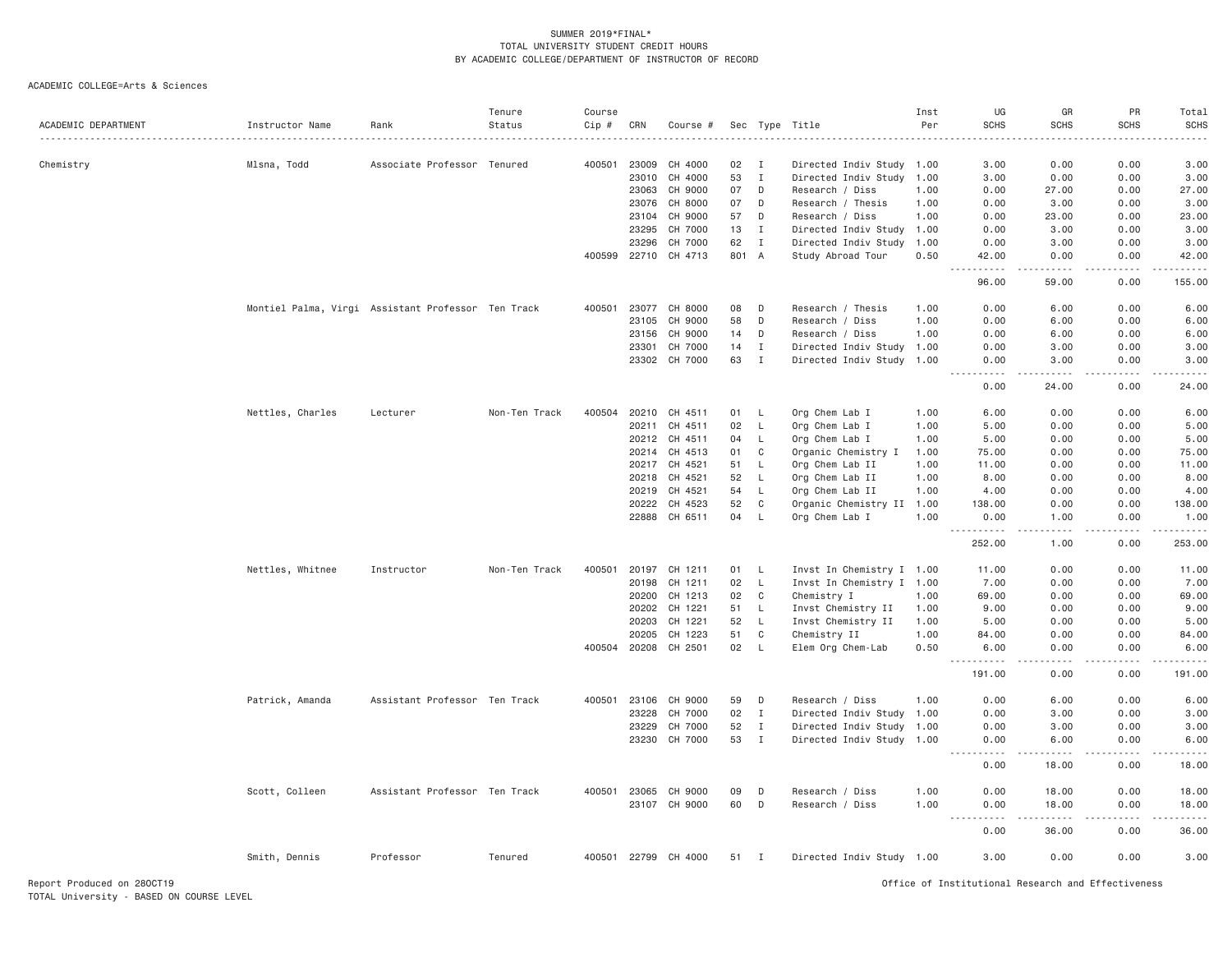| ACADEMIC DEPARTMENT | Instructor Name  | Rank                                               | Tenure<br>Status | Course<br>Cip # | CRN   | Course #      |        |              | Sec Type Title            | Inst<br>Per | UG<br><b>SCHS</b>                 | GR<br><b>SCHS</b>      | PR<br><b>SCHS</b>            | Total<br><b>SCHS</b><br>د د د د د                                                                                                 |
|---------------------|------------------|----------------------------------------------------|------------------|-----------------|-------|---------------|--------|--------------|---------------------------|-------------|-----------------------------------|------------------------|------------------------------|-----------------------------------------------------------------------------------------------------------------------------------|
| Chemistry           | Mlsna, Todd      | Associate Professor Tenured                        |                  | 400501          | 23009 | CH 4000       | 02     | <b>I</b>     | Directed Indiv Study 1.00 |             | 3.00                              | 0.00                   | 0.00                         | 3.00                                                                                                                              |
|                     |                  |                                                    |                  |                 | 23010 | CH 4000       | 53     | $\mathbf I$  | Directed Indiv Study 1.00 |             | 3.00                              | 0.00                   | 0.00                         | 3.00                                                                                                                              |
|                     |                  |                                                    |                  |                 | 23063 | CH 9000       | 07     | D            | Research / Diss           | 1.00        | 0.00                              | 27.00                  | 0.00                         | 27.00                                                                                                                             |
|                     |                  |                                                    |                  |                 | 23076 | CH 8000       | 07     | D            | Research / Thesis         | 1.00        | 0.00                              | 3.00                   | 0.00                         | 3.00                                                                                                                              |
|                     |                  |                                                    |                  |                 | 23104 | CH 9000       | 57     | D            | Research / Diss           | 1.00        | 0.00                              | 23.00                  | 0.00                         | 23.00                                                                                                                             |
|                     |                  |                                                    |                  |                 | 23295 | CH 7000       | 13     | $\mathbf{I}$ | Directed Indiv Study      | 1.00        | 0.00                              | 3.00                   | 0.00                         | 3.00                                                                                                                              |
|                     |                  |                                                    |                  |                 | 23296 | CH 7000       | 62     | $\mathbf I$  | Directed Indiv Study      | 1.00        | 0.00                              | 3.00                   | 0.00                         | 3.00                                                                                                                              |
|                     |                  |                                                    |                  | 400599          | 22710 | CH 4713       | 801    | A            | Study Abroad Tour         | 0.50        | 42.00<br>$\sim$ $\sim$ .<br>.     | 0.00<br>$- - - -$      | 0.00<br>د د د د              | 42.00<br>$    -$                                                                                                                  |
|                     |                  |                                                    |                  |                 |       |               |        |              |                           |             | 96.00                             | 59.00                  | 0.00                         | 155.00                                                                                                                            |
|                     |                  | Montiel Palma, Virgi Assistant Professor Ten Track |                  | 400501          | 23077 | CH 8000       | 08     | D            | Research / Thesis         | 1.00        | 0.00                              | 6.00                   | 0.00                         | 6.00                                                                                                                              |
|                     |                  |                                                    |                  |                 | 23105 | CH 9000       | 58     | D            | Research / Diss           | 1.00        | 0.00                              | 6.00                   | 0.00                         | 6.00                                                                                                                              |
|                     |                  |                                                    |                  |                 | 23156 | CH 9000       | 14     | D            | Research / Diss           | 1.00        | 0.00                              | 6.00                   | 0.00                         | 6.00                                                                                                                              |
|                     |                  |                                                    |                  |                 | 23301 | CH 7000       | 14     | $\mathbf I$  | Directed Indiv Study 1.00 |             | 0.00                              | 3.00                   | 0.00                         | 3.00                                                                                                                              |
|                     |                  |                                                    |                  |                 |       | 23302 CH 7000 | 63     | $\mathbf I$  | Directed Indiv Study 1.00 |             | 0.00<br>$\frac{1}{2}$             | 3.00<br>.              | 0.00<br>.                    | 3.00<br>. <u>.</u> .                                                                                                              |
|                     |                  |                                                    |                  |                 |       |               |        |              |                           |             | 0.00                              | 24.00                  | 0.00                         | 24.00                                                                                                                             |
|                     | Nettles, Charles | Lecturer                                           | Non-Ten Track    | 400504          | 20210 | CH 4511       | 01     | L            | Org Chem Lab I            | 1.00        | 6.00                              | 0.00                   | 0.00                         | 6.00                                                                                                                              |
|                     |                  |                                                    |                  |                 | 20211 | CH 4511       | $02\,$ | L            | Org Chem Lab I            | 1.00        | 5.00                              | 0.00                   | 0.00                         | 5.00                                                                                                                              |
|                     |                  |                                                    |                  |                 | 20212 | CH 4511       | 04     | L            | Org Chem Lab I            | 1.00        | 5.00                              | 0.00                   | 0.00                         | 5.00                                                                                                                              |
|                     |                  |                                                    |                  |                 | 20214 | CH 4513       | 01     | C            | Organic Chemistry I       | 1.00        | 75.00                             | 0.00                   | 0.00                         | 75.00                                                                                                                             |
|                     |                  |                                                    |                  |                 | 20217 | CH 4521       | 51     | L            | Org Chem Lab II           | 1.00        | 11.00                             | 0.00                   | 0.00                         | 11.00                                                                                                                             |
|                     |                  |                                                    |                  |                 | 20218 | CH 4521       | 52     | L.           | Org Chem Lab II           | 1.00        | 8.00                              | 0.00                   | 0.00                         | 8.00                                                                                                                              |
|                     |                  |                                                    |                  |                 | 20219 | CH 4521       | 54     | L            | Org Chem Lab II           | 1.00        | 4.00                              | 0.00                   | 0.00                         | 4.00                                                                                                                              |
|                     |                  |                                                    |                  |                 | 20222 | CH 4523       | 52     | C            | Organic Chemistry II 1.00 |             | 138.00                            | 0.00                   | 0.00                         | 138.00                                                                                                                            |
|                     |                  |                                                    |                  |                 | 22888 | CH 6511       | 04     | L            | Org Chem Lab I            | 1.00        | 0.00<br>.                         | 1.00<br>$\frac{1}{2}$  | 0.00<br>.                    | 1.00<br>$- - - - - - -$                                                                                                           |
|                     |                  |                                                    |                  |                 |       |               |        |              |                           |             | 252.00                            | 1.00                   | 0.00                         | 253.00                                                                                                                            |
|                     | Nettles, Whitnee | Instructor                                         | Non-Ten Track    | 400501          | 20197 | CH 1211       | 01     | L,           | Invst In Chemistry I 1.00 |             | 11.00                             | 0.00                   | 0.00                         | 11.00                                                                                                                             |
|                     |                  |                                                    |                  |                 | 20198 | CH 1211       | $02\,$ | L            | Invst In Chemistry I 1.00 |             | 7.00                              | 0.00                   | 0.00                         | 7.00                                                                                                                              |
|                     |                  |                                                    |                  |                 | 20200 | CH 1213       | 02     | C            | Chemistry I               | 1.00        | 69.00                             | 0.00                   | 0.00                         | 69.00                                                                                                                             |
|                     |                  |                                                    |                  |                 | 20202 | CH 1221       | 51     | L            | Invst Chemistry II        | 1.00        | 9.00                              | 0.00                   | 0.00                         | 9.00                                                                                                                              |
|                     |                  |                                                    |                  |                 | 20203 | CH 1221       | 52     | L            | Invst Chemistry II        | 1.00        | 5.00                              | 0.00                   | 0.00                         | 5.00                                                                                                                              |
|                     |                  |                                                    |                  |                 | 20205 | CH 1223       | 51     | $\mathbf C$  | Chemistry II              | 1.00        | 84.00                             | 0.00                   | 0.00                         | 84.00                                                                                                                             |
|                     |                  |                                                    |                  | 400504          |       | 20208 CH 2501 | 02     | <b>L</b>     | Elem Org Chem-Lab         | 0.50        | 6.00                              | 0.00                   | 0.00                         | 6.00                                                                                                                              |
|                     |                  |                                                    |                  |                 |       |               |        |              |                           |             | -----<br>191.00                   | .<br>0.00              | -----<br>0.00                | .<br>191.00                                                                                                                       |
|                     | Patrick, Amanda  | Assistant Professor Ten Track                      |                  | 400501          | 23106 | CH 9000       | 59     | D            | Research / Diss           | 1.00        | 0.00                              | 6.00                   | 0.00                         | 6.00                                                                                                                              |
|                     |                  |                                                    |                  |                 | 23228 | CH 7000       | 02     | $\mathbf I$  | Directed Indiv Study 1.00 |             | 0.00                              | 3.00                   | 0.00                         | 3.00                                                                                                                              |
|                     |                  |                                                    |                  |                 | 23229 | CH 7000       | 52     | $\mathbf I$  | Directed Indiv Study 1.00 |             | 0.00                              | 3.00                   | 0.00                         | 3.00                                                                                                                              |
|                     |                  |                                                    |                  |                 | 23230 | CH 7000       | 53     | Ι            | Directed Indiv Study 1.00 |             | 0.00<br>$\sim$ $\sim$ $\sim$      | 6.00<br>د د د د        | 0.00<br>$\sim$ $\sim$ $\sim$ | 6.00<br>$\frac{1}{2} \left( \frac{1}{2} \right) \left( \frac{1}{2} \right) \left( \frac{1}{2} \right) \left( \frac{1}{2} \right)$ |
|                     |                  |                                                    |                  |                 |       |               |        |              |                           |             | 0.00                              | 18,00                  | 0.00                         | 18.00                                                                                                                             |
|                     | Scott, Colleen   | Assistant Professor Ten Track                      |                  | 400501          | 23065 | CH 9000       | 09     | D            | Research / Diss           | 1.00        | 0.00                              | 18.00                  | 0.00                         | 18.00                                                                                                                             |
|                     |                  |                                                    |                  |                 |       | 23107 CH 9000 | 60     | D            | Research / Diss           | 1.00        | 0.00                              | 18.00                  | 0.00                         | 18.00                                                                                                                             |
|                     |                  |                                                    |                  |                 |       |               |        |              |                           |             | $\sim$ $\sim$ $\sim$<br>.<br>0.00 | $\frac{1}{2}$<br>36.00 | .<br>0.00                    | .<br>36.00                                                                                                                        |
|                     | Smith, Dennis    | Professor                                          | Tenured          | 400501          | 22799 | CH 4000       | 51 I   |              | Directed Indiv Study 1.00 |             | 3.00                              | 0.00                   | 0.00                         | 3.00                                                                                                                              |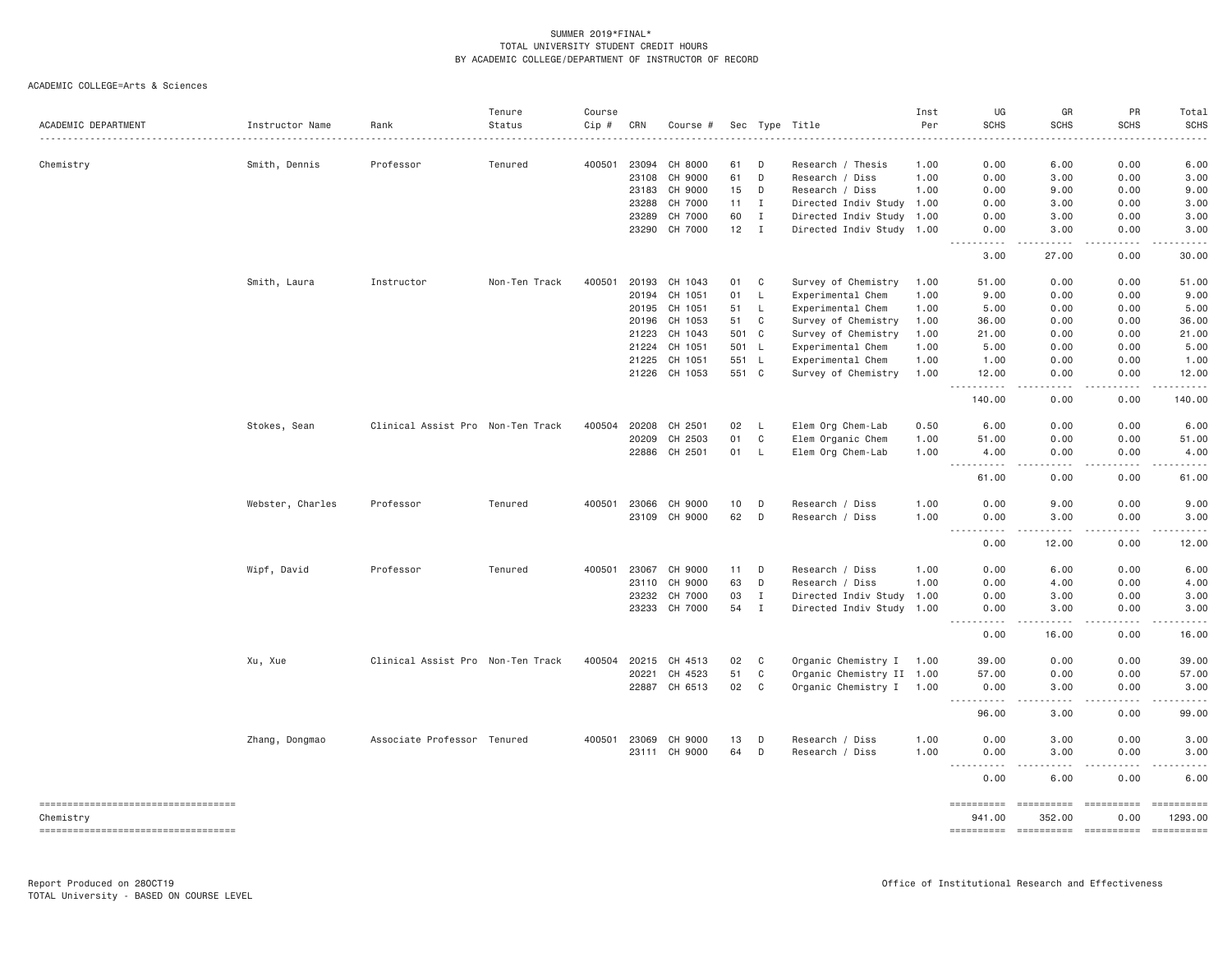| ACADEMIC DEPARTMENT                             | Instructor Name  | Rank                              | Tenure<br>Status | Course<br>Cip # | CRN            | Course #           |                |              | Sec Type Title                           | Inst<br>Per  | UG<br><b>SCHS</b>                                                                                                                                                               | GR<br><b>SCHS</b>    | PR<br><b>SCHS</b>                                                                                                                                            | Total<br><b>SCHS</b>             |
|-------------------------------------------------|------------------|-----------------------------------|------------------|-----------------|----------------|--------------------|----------------|--------------|------------------------------------------|--------------|---------------------------------------------------------------------------------------------------------------------------------------------------------------------------------|----------------------|--------------------------------------------------------------------------------------------------------------------------------------------------------------|----------------------------------|
|                                                 |                  |                                   |                  |                 |                |                    |                |              |                                          |              |                                                                                                                                                                                 |                      |                                                                                                                                                              |                                  |
| Chemistry                                       | Smith, Dennis    | Professor                         | Tenured          | 400501          | 23094<br>23108 | CH 8000<br>CH 9000 | 61<br>61       | D<br>D       | Research / Thesis                        | 1.00<br>1.00 | 0.00<br>0.00                                                                                                                                                                    | 6.00<br>3.00         | 0.00<br>0.00                                                                                                                                                 | 6.00                             |
|                                                 |                  |                                   |                  |                 | 23183          | CH 9000            | 15             | D            | Research / Diss<br>Research / Diss       | 1.00         | 0.00                                                                                                                                                                            | 9.00                 | 0.00                                                                                                                                                         | 3.00<br>9.00                     |
|                                                 |                  |                                   |                  |                 | 23288          | CH 7000            | 11             | I            | Directed Indiv Study 1.00                |              | 0.00                                                                                                                                                                            | 3.00                 | 0.00                                                                                                                                                         | 3.00                             |
|                                                 |                  |                                   |                  |                 | 23289          | CH 7000            | 60             | $\mathbf I$  | Directed Indiv Study 1.00                |              | 0.00                                                                                                                                                                            | 3.00                 | 0.00                                                                                                                                                         | 3.00                             |
|                                                 |                  |                                   |                  |                 | 23290          | CH 7000            | 12             | $\mathbf{I}$ | Directed Indiv Study 1.00                |              | 0.00                                                                                                                                                                            | 3.00                 | 0.00                                                                                                                                                         | 3.00                             |
|                                                 |                  |                                   |                  |                 |                |                    |                |              |                                          |              | .<br>3.00                                                                                                                                                                       | .<br>27.00           | .<br>0.00                                                                                                                                                    | .<br>30.00                       |
|                                                 | Smith, Laura     | Instructor                        | Non-Ten Track    | 400501          | 20193          | CH 1043            | 01             | C            | Survey of Chemistry                      | 1.00         | 51.00                                                                                                                                                                           | 0.00                 | 0.00                                                                                                                                                         | 51.00                            |
|                                                 |                  |                                   |                  |                 | 20194          | CH 1051            | 01             | L            | Experimental Chem                        | 1.00         | 9.00                                                                                                                                                                            | 0.00                 | 0.00                                                                                                                                                         | 9.00                             |
|                                                 |                  |                                   |                  |                 | 20195          | CH 1051            | 51             | L            | Experimental Chem                        | 1.00         | 5.00                                                                                                                                                                            | 0.00                 | 0.00                                                                                                                                                         | 5.00                             |
|                                                 |                  |                                   |                  |                 | 20196          | CH 1053            | 51             | C            | Survey of Chemistry                      | 1.00         | 36,00                                                                                                                                                                           | 0.00                 | 0.00                                                                                                                                                         | 36.00                            |
|                                                 |                  |                                   |                  |                 | 21223<br>21224 | CH 1043<br>CH 1051 | 501 C<br>501 L |              | Survey of Chemistry<br>Experimental Chem | 1.00<br>1.00 | 21.00<br>5.00                                                                                                                                                                   | 0.00<br>0.00         | 0.00<br>0.00                                                                                                                                                 | 21.00<br>5.00                    |
|                                                 |                  |                                   |                  |                 | 21225          | CH 1051            | 551            | - L          | Experimental Chem                        | 1.00         | 1.00                                                                                                                                                                            | 0.00                 | 0.00                                                                                                                                                         | 1.00                             |
|                                                 |                  |                                   |                  |                 | 21226          | CH 1053            | 551 C          |              | Survey of Chemistry                      | 1.00         | 12.00                                                                                                                                                                           | 0.00                 | 0.00                                                                                                                                                         | 12.00                            |
|                                                 |                  |                                   |                  |                 |                |                    |                |              |                                          |              | <u>.</u><br>140.00                                                                                                                                                              | .<br>0.00            | <b>.</b><br>0.00                                                                                                                                             | $- - - - - -$<br>140.00          |
|                                                 | Stokes, Sean     | Clinical Assist Pro Non-Ten Track |                  | 400504          | 20208          | CH 2501            | 02             | L            | Elem Org Chem-Lab                        | 0.50         | 6.00                                                                                                                                                                            | 0.00                 | 0.00                                                                                                                                                         | 6.00                             |
|                                                 |                  |                                   |                  |                 | 20209          | CH 2503            | 01             | C            | Elem Organic Chem                        | 1.00         | 51.00                                                                                                                                                                           | 0.00                 | 0.00                                                                                                                                                         | 51.00                            |
|                                                 |                  |                                   |                  |                 | 22886          | CH 2501            | 01             | <b>L</b>     | Elem Org Chem-Lab                        | 1.00         | 4.00<br>$  -$<br>.                                                                                                                                                              | 0.00<br>.            | 0.00<br>-----                                                                                                                                                | 4.00<br>.                        |
|                                                 |                  |                                   |                  |                 |                |                    |                |              |                                          |              | 61.00                                                                                                                                                                           | 0.00                 | 0.00                                                                                                                                                         | 61.00                            |
|                                                 | Webster, Charles | Professor                         | Tenured          | 400501          | 23066          | CH 9000            | 10             | D            | Research / Diss                          | 1.00         | 0.00                                                                                                                                                                            | 9.00                 | 0.00                                                                                                                                                         | 9.00                             |
|                                                 |                  |                                   |                  |                 | 23109          | CH 9000            | 62             | D            | Research / Diss                          | 1.00         | 0.00<br>$2 - 2 - 2 - 2$<br>$\frac{1}{2} \left( \frac{1}{2} \right) \left( \frac{1}{2} \right) \left( \frac{1}{2} \right) \left( \frac{1}{2} \right) \left( \frac{1}{2} \right)$ | 3.00<br>.            | 0.00<br>$\frac{1}{2} \left( \frac{1}{2} \right) \left( \frac{1}{2} \right) \left( \frac{1}{2} \right) \left( \frac{1}{2} \right) \left( \frac{1}{2} \right)$ | 3.00<br>.                        |
|                                                 |                  |                                   |                  |                 |                |                    |                |              |                                          |              | 0.00                                                                                                                                                                            | 12.00                | 0.00                                                                                                                                                         | 12.00                            |
|                                                 | Wipf, David      | Professor                         | Tenured          | 400501          | 23067          | CH 9000            | 11             | D            | Research / Diss                          | 1.00         | 0.00                                                                                                                                                                            | 6.00                 | 0.00                                                                                                                                                         | 6.00                             |
|                                                 |                  |                                   |                  |                 | 23110          | CH 9000            | 63             | D            | Research / Diss                          | 1.00         | 0.00                                                                                                                                                                            | 4.00                 | 0.00                                                                                                                                                         | 4.00                             |
|                                                 |                  |                                   |                  |                 | 23232          | CH 7000            | 03             | $\mathbf{I}$ | Directed Indiv Study 1.00                |              | 0.00                                                                                                                                                                            | 3.00                 | 0.00                                                                                                                                                         | 3.00                             |
|                                                 |                  |                                   |                  |                 | 23233          | CH 7000            | 54             | $\mathbf{I}$ | Directed Indiv Study 1.00                |              | 0.00<br>$\sim$ $\sim$ $\sim$ $\sim$                                                                                                                                             | 3.00<br>.            | 0.00<br>.                                                                                                                                                    | 3.00<br>.                        |
|                                                 |                  |                                   |                  |                 |                |                    |                |              |                                          |              | 0.00                                                                                                                                                                            | 16.00                | 0.00                                                                                                                                                         | 16.00                            |
|                                                 | Xu, Xue          | Clinical Assist Pro Non-Ten Track |                  | 400504          | 20215          | CH 4513            | 02             | C            | Organic Chemistry I 1.00                 |              | 39.00                                                                                                                                                                           | 0.00                 | 0.00                                                                                                                                                         | 39.00                            |
|                                                 |                  |                                   |                  |                 | 20221          | CH 4523            | 51             | $\mathbb C$  | Organic Chemistry II 1.00                |              | 57.00                                                                                                                                                                           | 0.00                 | 0.00                                                                                                                                                         | 57.00                            |
|                                                 |                  |                                   |                  |                 |                | 22887 CH 6513      | 02             | C            | Organic Chemistry I 1.00                 |              | 0.00<br><u>.</u>                                                                                                                                                                | 3.00<br>.            | 0.00<br>$\frac{1}{2} \left( \frac{1}{2} \right) \left( \frac{1}{2} \right) \left( \frac{1}{2} \right) \left( \frac{1}{2} \right) \left( \frac{1}{2} \right)$ | 3.00<br>.                        |
|                                                 |                  |                                   |                  |                 |                |                    |                |              |                                          |              | 96.00                                                                                                                                                                           | 3.00                 | 0.00                                                                                                                                                         | 99.00                            |
|                                                 | Zhang, Dongmao   | Associate Professor Tenured       |                  | 400501          | 23069          | CH 9000            | 13             | D            | Research / Diss                          | 1.00         | 0.00                                                                                                                                                                            | 3.00                 | 0.00                                                                                                                                                         | 3.00                             |
|                                                 |                  |                                   |                  |                 |                | 23111 CH 9000      | 64             | D            | Research / Diss                          | 1.00         | 0.00<br>$\frac{1}{2}$<br>$- - - -$                                                                                                                                              | 3.00<br>.            | 0.00<br>.                                                                                                                                                    | 3.00<br>$- - - -$                |
|                                                 |                  |                                   |                  |                 |                |                    |                |              |                                          |              | 0.00                                                                                                                                                                            | 6.00                 | 0.00                                                                                                                                                         | 6.00                             |
| ----------------------------------<br>Chemistry |                  |                                   |                  |                 |                |                    |                |              |                                          |              | ==========<br>941.00                                                                                                                                                            | ==========<br>352.00 | 0.00                                                                                                                                                         | $=$ = = = = = = = = =<br>1293.00 |
| ----------------------------------              |                  |                                   |                  |                 |                |                    |                |              |                                          |              | ---------- ---------- ---------                                                                                                                                                 |                      |                                                                                                                                                              | $= 22222222222$                  |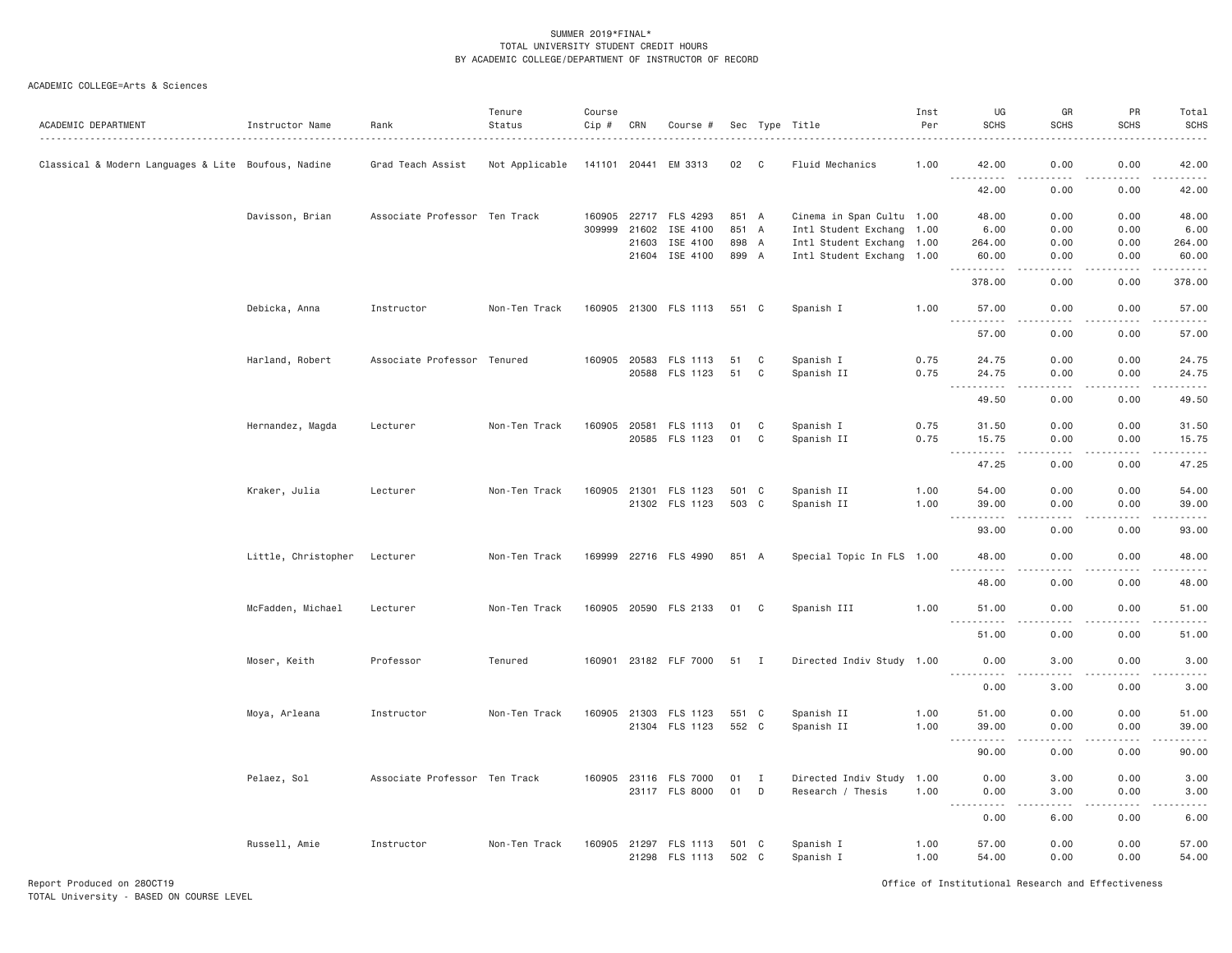# ACADEMIC COLLEGE=Arts & Sciences

| ACADEMIC DEPARTMENT                                 | Instructor Name     | Rank                          | Tenure<br>Status | Course<br>Cip # | CRN          | Course #              |       |              | Sec Type Title            | Inst<br>Per | UG<br><b>SCHS</b>                                                                                                                                                                                                                                                                                                                                                                                          | GR<br><b>SCHS</b>                                                                                                                                            | PR<br><b>SCHS</b>                                                                                                                                            | Total<br><b>SCHS</b>                                                                                                                                                                     |
|-----------------------------------------------------|---------------------|-------------------------------|------------------|-----------------|--------------|-----------------------|-------|--------------|---------------------------|-------------|------------------------------------------------------------------------------------------------------------------------------------------------------------------------------------------------------------------------------------------------------------------------------------------------------------------------------------------------------------------------------------------------------------|--------------------------------------------------------------------------------------------------------------------------------------------------------------|--------------------------------------------------------------------------------------------------------------------------------------------------------------|------------------------------------------------------------------------------------------------------------------------------------------------------------------------------------------|
| Classical & Modern Languages & Lite Boufous, Nadine |                     | Grad Teach Assist             | Not Applicable   | 141101 20441    |              | EM 3313               | 02 C  |              | Fluid Mechanics           | 1.00        | 42.00                                                                                                                                                                                                                                                                                                                                                                                                      | 0.00                                                                                                                                                         | 0.00                                                                                                                                                         | 42.00                                                                                                                                                                                    |
|                                                     |                     |                               |                  |                 |              |                       |       |              |                           |             | .<br>42.00                                                                                                                                                                                                                                                                                                                                                                                                 | 0.00                                                                                                                                                         | 0.00                                                                                                                                                         | 42.00                                                                                                                                                                                    |
|                                                     | Davisson, Brian     | Associate Professor Ten Track |                  |                 |              | 160905 22717 FLS 4293 | 851 A |              | Cinema in Span Cultu 1.00 |             | 48.00                                                                                                                                                                                                                                                                                                                                                                                                      | 0.00                                                                                                                                                         | 0.00                                                                                                                                                         | 48.00                                                                                                                                                                                    |
|                                                     |                     |                               |                  |                 | 309999 21602 | ISE 4100              | 851 A |              | Intl Student Exchang 1.00 |             | 6.00                                                                                                                                                                                                                                                                                                                                                                                                       | 0.00                                                                                                                                                         | 0.00                                                                                                                                                         | 6.00                                                                                                                                                                                     |
|                                                     |                     |                               |                  |                 | 21603        | ISE 4100              | 898 A |              | Intl Student Exchang 1.00 |             | 264.00                                                                                                                                                                                                                                                                                                                                                                                                     | 0.00                                                                                                                                                         | 0.00                                                                                                                                                         | 264.00                                                                                                                                                                                   |
|                                                     |                     |                               |                  |                 |              | 21604 ISE 4100        | 899 A |              | Intl Student Exchang 1.00 |             | 60.00                                                                                                                                                                                                                                                                                                                                                                                                      | 0.00                                                                                                                                                         | 0.00                                                                                                                                                         | 60.00                                                                                                                                                                                    |
|                                                     |                     |                               |                  |                 |              |                       |       |              |                           |             | 378.00                                                                                                                                                                                                                                                                                                                                                                                                     | 0.00                                                                                                                                                         | 0.00                                                                                                                                                         | 378.00                                                                                                                                                                                   |
|                                                     | Debicka, Anna       | Instructor                    | Non-Ten Track    |                 |              | 160905 21300 FLS 1113 | 551 C |              | Spanish I                 | 1.00        | 57.00                                                                                                                                                                                                                                                                                                                                                                                                      | 0.00                                                                                                                                                         | 0.00                                                                                                                                                         | 57.00                                                                                                                                                                                    |
|                                                     |                     |                               |                  |                 |              |                       |       |              |                           |             | .<br>57.00                                                                                                                                                                                                                                                                                                                                                                                                 | .<br>0.00                                                                                                                                                    | .<br>0.00                                                                                                                                                    | .<br>57.00                                                                                                                                                                               |
|                                                     | Harland, Robert     | Associate Professor Tenured   |                  |                 |              | 160905 20583 FLS 1113 | 51    | C            | Spanish I                 | 0.75        | 24.75                                                                                                                                                                                                                                                                                                                                                                                                      | 0.00                                                                                                                                                         | 0.00                                                                                                                                                         | 24.75                                                                                                                                                                                    |
|                                                     |                     |                               |                  |                 |              | 20588 FLS 1123        | 51    | C            | Spanish II                | 0.75        | 24.75                                                                                                                                                                                                                                                                                                                                                                                                      | 0.00                                                                                                                                                         | 0.00                                                                                                                                                         | 24.75                                                                                                                                                                                    |
|                                                     |                     |                               |                  |                 |              |                       |       |              |                           |             | .<br>49.50                                                                                                                                                                                                                                                                                                                                                                                                 | د د د د<br>0.00                                                                                                                                              | $- - - - -$<br>0.00                                                                                                                                          | .<br>49.50                                                                                                                                                                               |
|                                                     | Hernandez, Magda    | Lecturer                      | Non-Ten Track    | 160905          |              | 20581 FLS 1113        | 01    | C            | Spanish I                 | 0.75        | 31.50                                                                                                                                                                                                                                                                                                                                                                                                      | 0.00                                                                                                                                                         | 0.00                                                                                                                                                         | 31.50                                                                                                                                                                                    |
|                                                     |                     |                               |                  |                 |              | 20585 FLS 1123        | 01    | C            | Spanish II                | 0.75        | 15.75                                                                                                                                                                                                                                                                                                                                                                                                      | 0.00                                                                                                                                                         | 0.00                                                                                                                                                         | 15.75                                                                                                                                                                                    |
|                                                     |                     |                               |                  |                 |              |                       |       |              |                           |             | $\frac{1}{2} \frac{1}{2} \frac{1}{2} \frac{1}{2} \frac{1}{2} \frac{1}{2} \frac{1}{2} \frac{1}{2} \frac{1}{2} \frac{1}{2} \frac{1}{2} \frac{1}{2} \frac{1}{2} \frac{1}{2} \frac{1}{2} \frac{1}{2} \frac{1}{2} \frac{1}{2} \frac{1}{2} \frac{1}{2} \frac{1}{2} \frac{1}{2} \frac{1}{2} \frac{1}{2} \frac{1}{2} \frac{1}{2} \frac{1}{2} \frac{1}{2} \frac{1}{2} \frac{1}{2} \frac{1}{2} \frac{$<br>.<br>47.25 | 0.00                                                                                                                                                         | 0.00                                                                                                                                                         | .<br>47.25                                                                                                                                                                               |
|                                                     | Kraker, Julia       | Lecturer                      | Non-Ten Track    |                 | 160905 21301 | FLS 1123              | 501 C |              | Spanish II                | 1.00        | 54.00                                                                                                                                                                                                                                                                                                                                                                                                      | 0.00                                                                                                                                                         | 0.00                                                                                                                                                         | 54.00                                                                                                                                                                                    |
|                                                     |                     |                               |                  |                 |              | 21302 FLS 1123        | 503 C |              | Spanish II                | 1.00        | 39.00<br>$\sim$ $\sim$ $\sim$<br>.                                                                                                                                                                                                                                                                                                                                                                         | 0.00<br>$\sim$ $\sim$ $\sim$ $\sim$                                                                                                                          | 0.00<br>$\frac{1}{2} \left( \frac{1}{2} \right) \left( \frac{1}{2} \right) \left( \frac{1}{2} \right) \left( \frac{1}{2} \right) \left( \frac{1}{2} \right)$ | 39.00<br>.                                                                                                                                                                               |
|                                                     |                     |                               |                  |                 |              |                       |       |              |                           |             | 93,00                                                                                                                                                                                                                                                                                                                                                                                                      | 0.00                                                                                                                                                         | 0.00                                                                                                                                                         | 93.00                                                                                                                                                                                    |
|                                                     | Little, Christopher | Lecturer                      | Non-Ten Track    |                 |              | 169999 22716 FLS 4990 | 851 A |              | Special Topic In FLS 1.00 |             | 48.00<br><u>.</u>                                                                                                                                                                                                                                                                                                                                                                                          | 0.00<br>.                                                                                                                                                    | 0.00<br>.                                                                                                                                                    | 48.00<br>$\frac{1}{2} \left( \frac{1}{2} \right) \left( \frac{1}{2} \right) \left( \frac{1}{2} \right) \left( \frac{1}{2} \right) \left( \frac{1}{2} \right) \left( \frac{1}{2} \right)$ |
|                                                     |                     |                               |                  |                 |              |                       |       |              |                           |             | 48.00                                                                                                                                                                                                                                                                                                                                                                                                      | 0.00                                                                                                                                                         | 0.00                                                                                                                                                         | 48.00                                                                                                                                                                                    |
|                                                     | McFadden, Michael   | Lecturer                      | Non-Ten Track    |                 |              | 160905 20590 FLS 2133 | 01    | C            | Spanish III               | 1.00        | 51.00<br>.                                                                                                                                                                                                                                                                                                                                                                                                 | 0.00<br>$\sim$ $\sim$ $\sim$ $\sim$                                                                                                                          | 0.00                                                                                                                                                         | 51.00<br>.                                                                                                                                                                               |
|                                                     |                     |                               |                  |                 |              |                       |       |              |                           |             | 51.00                                                                                                                                                                                                                                                                                                                                                                                                      | 0.00                                                                                                                                                         | 0.00                                                                                                                                                         | 51.00                                                                                                                                                                                    |
|                                                     | Moser, Keith        | Professor                     | Tenured          | 160901          |              | 23182 FLF 7000        | 51 I  |              | Directed Indiv Study 1.00 |             | 0.00                                                                                                                                                                                                                                                                                                                                                                                                       | 3.00                                                                                                                                                         | 0.00                                                                                                                                                         | 3.00                                                                                                                                                                                     |
|                                                     |                     |                               |                  |                 |              |                       |       |              |                           |             | .<br>0.00                                                                                                                                                                                                                                                                                                                                                                                                  | د د د د<br>3.00                                                                                                                                              | .<br>0.00                                                                                                                                                    | .<br>3.00                                                                                                                                                                                |
|                                                     | Moya, Arleana       | Instructor                    | Non-Ten Track    | 160905          |              | 21303 FLS 1123        | 551 C |              | Spanish II                | 1.00        | 51.00                                                                                                                                                                                                                                                                                                                                                                                                      | 0.00                                                                                                                                                         | 0.00                                                                                                                                                         | 51.00                                                                                                                                                                                    |
|                                                     |                     |                               |                  |                 |              | 21304 FLS 1123        | 552 C |              | Spanish II                | 1.00        | 39.00<br><u>.</u>                                                                                                                                                                                                                                                                                                                                                                                          | 0.00<br>$\frac{1}{2} \left( \frac{1}{2} \right) \left( \frac{1}{2} \right) \left( \frac{1}{2} \right) \left( \frac{1}{2} \right) \left( \frac{1}{2} \right)$ | 0.00<br>$- - - - - -$                                                                                                                                        | 39.00<br>.                                                                                                                                                                               |
|                                                     |                     |                               |                  |                 |              |                       |       |              |                           |             | 90.00                                                                                                                                                                                                                                                                                                                                                                                                      | 0.00                                                                                                                                                         | 0.00                                                                                                                                                         | 90.00                                                                                                                                                                                    |
|                                                     | Pelaez, Sol         | Associate Professor Ten Track |                  |                 |              | 160905 23116 FLS 7000 | 01    | $\mathbf{I}$ | Directed Indiv Study 1.00 |             | 0.00                                                                                                                                                                                                                                                                                                                                                                                                       | 3.00                                                                                                                                                         | 0.00                                                                                                                                                         | 3.00                                                                                                                                                                                     |
|                                                     |                     |                               |                  |                 |              | 23117 FLS 8000        | 01    | D            | Research / Thesis         | 1.00        | 0.00<br>$\frac{1}{2} \left( \frac{1}{2} \right) \left( \frac{1}{2} \right) \left( \frac{1}{2} \right) \left( \frac{1}{2} \right) \left( \frac{1}{2} \right)$                                                                                                                                                                                                                                               | 3.00<br>د د د د                                                                                                                                              | 0.00<br>$\frac{1}{2} \left( \frac{1}{2} \right) \left( \frac{1}{2} \right) \left( \frac{1}{2} \right) \left( \frac{1}{2} \right) \left( \frac{1}{2} \right)$ | 3.00<br>المستما                                                                                                                                                                          |
|                                                     |                     |                               |                  |                 |              |                       |       |              |                           |             | 0.00                                                                                                                                                                                                                                                                                                                                                                                                       | 6.00                                                                                                                                                         | 0.00                                                                                                                                                         | 6.00                                                                                                                                                                                     |
|                                                     | Russell, Amie       | Instructor                    | Non-Ten Track    |                 |              | 160905 21297 FLS 1113 | 501 C |              | Spanish I                 | 1.00        | 57.00                                                                                                                                                                                                                                                                                                                                                                                                      | 0.00                                                                                                                                                         | 0.00                                                                                                                                                         | 57.00                                                                                                                                                                                    |
|                                                     |                     |                               |                  |                 |              | 21298 FLS 1113        | 502 C |              | Spanish I                 | 1.00        | 54.00                                                                                                                                                                                                                                                                                                                                                                                                      | 0.00                                                                                                                                                         | 0.00                                                                                                                                                         | 54.00                                                                                                                                                                                    |

Report Produced on 28OCT19 Office of Institutional Research and Effectiveness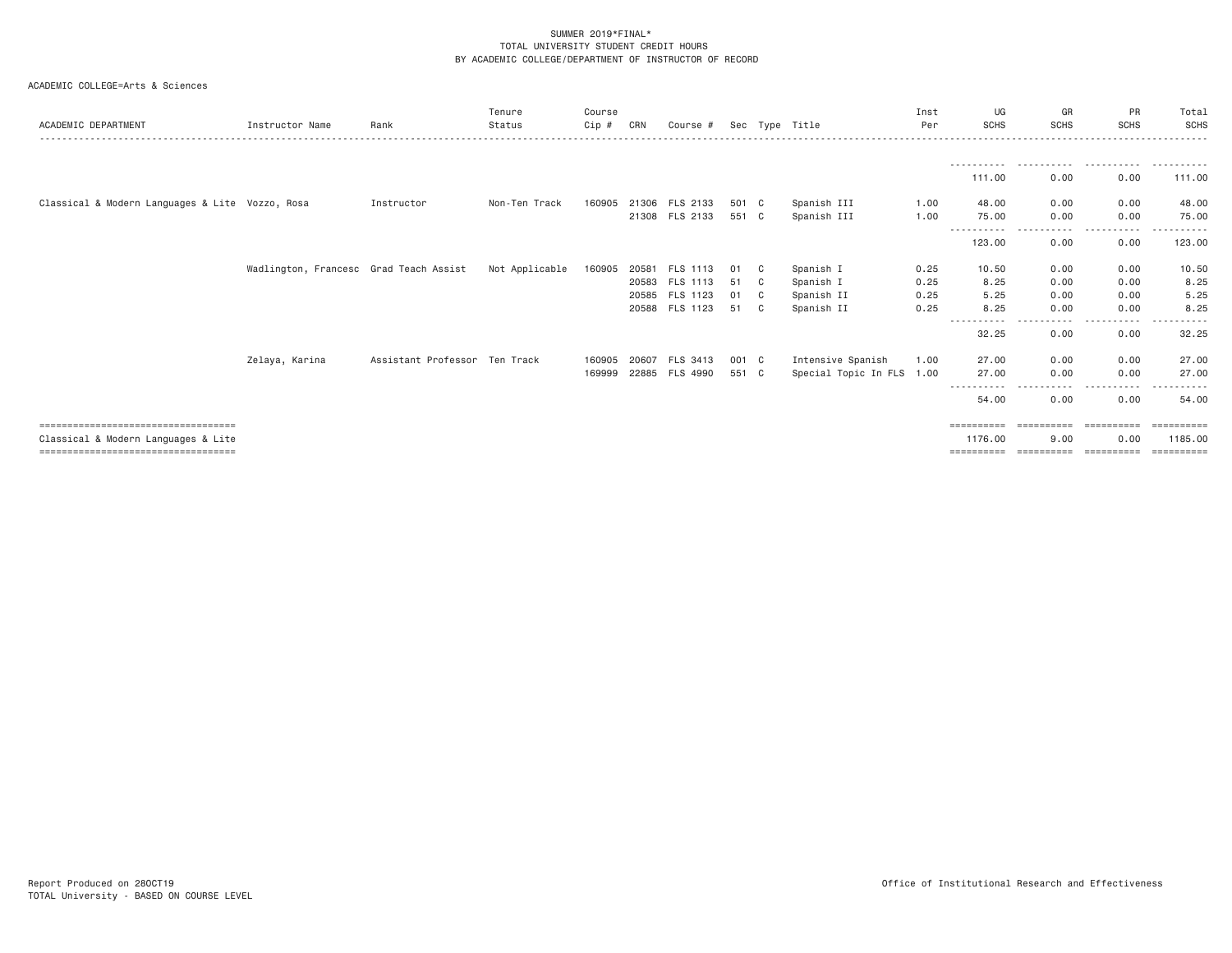| ACADEMIC DEPARTMENT                             | Instructor Name                        | Rank                          | Tenure<br>Status | Course<br>$Cip$ # | CRN   | Course #       |       |    | Sec Type Title            | Inst<br>Per | UG<br><b>SCHS</b>   | GR<br><b>SCHS</b> | <b>PR</b><br><b>SCHS</b> | Total<br>SCHS |
|-------------------------------------------------|----------------------------------------|-------------------------------|------------------|-------------------|-------|----------------|-------|----|---------------------------|-------------|---------------------|-------------------|--------------------------|---------------|
|                                                 |                                        |                               |                  |                   |       |                |       |    |                           |             |                     |                   |                          |               |
|                                                 |                                        |                               |                  |                   |       |                |       |    |                           |             | 111.00              | 0.00              | 0.00                     | 111.00        |
| Classical & Modern Languages & Lite Vozzo, Rosa |                                        | Instructor                    | Non-Ten Track    | 160905            |       | 21306 FLS 2133 | 501 C |    | Spanish III               | 1.00        | 48,00               | 0.00              | 0.00                     | 48.00         |
|                                                 |                                        |                               |                  |                   |       | 21308 FLS 2133 | 551 C |    | Spanish III               | 1.00        | 75.00               | 0.00              | 0.00                     | 75.00         |
|                                                 |                                        |                               |                  |                   |       |                |       |    |                           |             | 123.00              | 0.00              | 0.00                     | 123.00        |
|                                                 | Wadlington, Francesc Grad Teach Assist |                               | Not Applicable   | 160905            | 20581 | FLS 1113       | 01    | C  | Spanish I                 | 0.25        | 10.50               | 0.00              | 0.00                     | 10.50         |
|                                                 |                                        |                               |                  |                   |       | 20583 FLS 1113 | 51    | C. | Spanish I                 | 0.25        | 8.25                | 0.00              | 0.00                     | 8.25          |
|                                                 |                                        |                               |                  |                   |       | 20585 FLS 1123 | 01    | C. | Spanish II                | 0.25        | 5.25                | 0.00              | 0.00                     | 5.25          |
|                                                 |                                        |                               |                  |                   |       | 20588 FLS 1123 | 51    | C. | Spanish II                | 0.25        | 8.25                | 0.00              | 0.00                     | 8.25          |
|                                                 |                                        |                               |                  |                   |       |                |       |    |                           |             | 32.25               | 0.00              | 0.00                     | 32.25         |
|                                                 | Zelaya, Karina                         | Assistant Professor Ten Track |                  | 160905            | 20607 | FLS 3413       | 001 C |    | Intensive Spanish         | 1.00        | 27.00               | 0.00              | 0.00                     | 27.00         |
|                                                 |                                        |                               |                  | 169999            |       | 22885 FLS 4990 | 551 C |    | Special Topic In FLS 1.00 |             | 27,00               | 0.00              | 0.00                     | 27.00         |
|                                                 |                                        |                               |                  |                   |       |                |       |    |                           |             | ----------<br>54.00 | 0.00              | 0.00                     | 54.00         |
| =====================================           |                                        |                               |                  |                   |       |                |       |    |                           |             | ==========          | ==========        | -----------              | ==========    |
| Classical & Modern Languages & Lite             |                                        |                               |                  |                   |       |                |       |    |                           |             | 1176.00             | 9.00              | 0.00                     | 1185.00       |
| =====================================           |                                        |                               |                  |                   |       |                |       |    |                           |             | ==========          | ==========        | -----------              |               |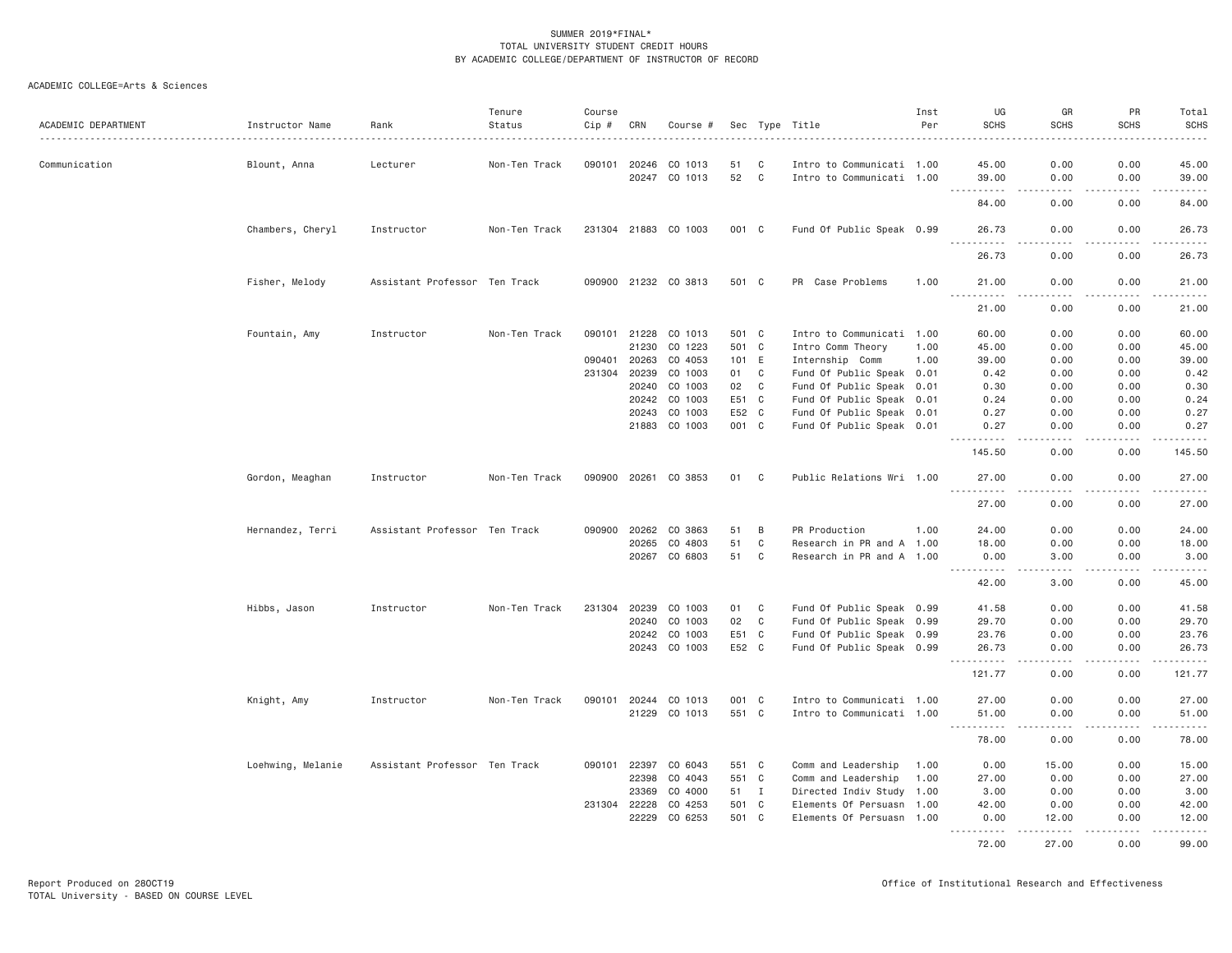| ACADEMIC DEPARTMENT | Instructor Name   | Rank                          | Tenure<br>Status | Course<br>Cip # | CRN          | Course #             |       |                | Sec Type Title            | Inst<br>Per | UG<br><b>SCHS</b>    | GR<br><b>SCHS</b>                   | PR<br><b>SCHS</b> | Total<br><b>SCHS</b><br>$- - - - -$ |
|---------------------|-------------------|-------------------------------|------------------|-----------------|--------------|----------------------|-------|----------------|---------------------------|-------------|----------------------|-------------------------------------|-------------------|-------------------------------------|
| Communication       | Blount, Anna      | Lecturer                      | Non-Ten Track    | 090101          | 20246        | CO 1013              | 51    | C              | Intro to Communicati 1.00 |             | 45.00                | 0.00                                | 0.00              | 45.00                               |
|                     |                   |                               |                  |                 |              | 20247 CO 1013        | 52    | $\mathbf{C}$   | Intro to Communicati 1.00 |             | 39.00                | 0.00                                | 0.00              | 39.00                               |
|                     |                   |                               |                  |                 |              |                      |       |                |                           |             | .<br>84.00           | د د د د<br>0.00                     | -----<br>0.00     | .<br>84.00                          |
|                     | Chambers, Cheryl  | Instructor                    | Non-Ten Track    |                 |              | 231304 21883 CO 1003 | 001 C |                | Fund Of Public Speak 0.99 |             | 26.73                | 0.00                                | 0.00              | 26.73                               |
|                     |                   |                               |                  |                 |              |                      |       |                |                           |             | .<br>26.73           | $- - - -$<br>0.00                   | .<br>0.00         | .<br>26.73                          |
|                     | Fisher, Melody    | Assistant Professor Ten Track |                  |                 |              | 090900 21232 CO 3813 | 501 C |                | PR Case Problems          | 1.00        | 21,00                | 0.00                                | 0.00              | 21.00                               |
|                     |                   |                               |                  |                 |              |                      |       |                |                           |             | 21.00                | 0.00                                | 0.00              | .<br>21.00                          |
|                     | Fountain, Amy     | Instructor                    | Non-Ten Track    |                 | 090101 21228 | CO 1013              | 501 C |                | Intro to Communicati 1.00 |             | 60.00                | 0.00                                | 0.00              | 60.00                               |
|                     |                   |                               |                  |                 | 21230        | CO 1223              | 501 C |                | Intro Comm Theory         | 1.00        | 45.00                | 0.00                                | 0.00              | 45.00                               |
|                     |                   |                               |                  | 090401          | 20263        | CO 4053              | 101   | E.             | Internship Comm           | 1.00        | 39.00                | 0.00                                | 0.00              | 39.00                               |
|                     |                   |                               |                  | 231304          | 20239        | CO 1003              | 01    | C              | Fund Of Public Speak 0.01 |             | 0.42                 | 0.00                                | 0.00              | 0.42                                |
|                     |                   |                               |                  |                 | 20240        | CO 1003              | 02    | C <sub>1</sub> | Fund Of Public Speak 0.01 |             | 0.30                 | 0.00                                | 0.00              | 0.30                                |
|                     |                   |                               |                  |                 | 20242        | CO 1003              | E51   | $\mathbf{C}$   | Fund Of Public Speak 0.01 |             | 0.24                 | 0.00                                | 0.00              | 0.24                                |
|                     |                   |                               |                  |                 | 20243        | CO 1003              | E52 C |                | Fund Of Public Speak 0.01 |             | 0.27                 | 0.00                                | 0.00              | 0.27                                |
|                     |                   |                               |                  |                 | 21883        | CO 1003              | 001 C |                | Fund Of Public Speak 0.01 |             | 0.27                 | 0.00                                | 0.00              | 0.27                                |
|                     |                   |                               |                  |                 |              |                      |       |                |                           |             | 145.50               | 0.00                                | 0.00              | 145.50                              |
|                     | Gordon, Meaghan   | Instructor                    | Non-Ten Track    |                 | 090900 20261 | CO 3853              | 01    | C              | Public Relations Wri 1.00 |             | 27.00                | 0.00<br>$\sim$ $\sim$ $\sim$ $\sim$ | 0.00<br>.         | 27.00<br>.                          |
|                     |                   |                               |                  |                 |              |                      |       |                |                           |             | 27.00                | 0.00                                | 0.00              | 27.00                               |
|                     | Hernandez, Terri  | Assistant Professor Ten Track |                  | 090900          | 20262        | CO 3863              | 51    | B              | PR Production             | 1.00        | 24.00                | 0.00                                | 0.00              | 24.00                               |
|                     |                   |                               |                  |                 | 20265        | CO 4803              | 51    | C              | Research in PR and A 1.00 |             | 18.00                | 0.00                                | 0.00              | 18.00                               |
|                     |                   |                               |                  |                 | 20267        | CO 6803              | 51    | C              | Research in PR and A 1.00 |             | 0.00<br>.            | 3,00<br>.                           | 0.00<br>-----     | 3.00<br>.                           |
|                     |                   |                               |                  |                 |              |                      |       |                |                           |             | 42.00                | 3.00                                | 0.00              | 45.00                               |
|                     | Hibbs, Jason      | Instructor                    | Non-Ten Track    | 231304          | 20239        | CO 1003              | 01    | C              | Fund Of Public Speak 0.99 |             | 41.58                | 0.00                                | 0.00              | 41.58                               |
|                     |                   |                               |                  |                 | 20240        | CO 1003              | 02    | C              | Fund Of Public Speak 0.99 |             | 29.70                | 0.00                                | 0.00              | 29.70                               |
|                     |                   |                               |                  |                 | 20242        | CO 1003              | E51 C |                | Fund Of Public Speak 0.99 |             | 23.76                | 0.00                                | 0.00              | 23.76                               |
|                     |                   |                               |                  |                 |              | 20243 CO 1003        | E52 C |                | Fund Of Public Speak 0.99 |             | 26.73<br>2.2.2.2.2.2 | 0.00<br>د د د د                     | 0.00<br>.         | 26.73<br>.                          |
|                     |                   |                               |                  |                 |              |                      |       |                |                           |             | 121.77               | 0.00                                | 0.00              | 121.77                              |
|                     | Knight, Amy       | Instructor                    | Non-Ten Track    | 090101          | 20244        | CO 1013              | 001 C |                | Intro to Communicati 1.00 |             | 27.00                | 0.00                                | 0.00              | 27.00                               |
|                     |                   |                               |                  |                 | 21229        | CO 1013              | 551 C |                | Intro to Communicati 1.00 |             | 51.00                | 0.00<br>22222                       | 0.00<br>.         | 51.00<br>.                          |
|                     |                   |                               |                  |                 |              |                      |       |                |                           |             | 78.00                | 0.00                                | 0.00              | 78.00                               |
|                     | Loehwing, Melanie | Assistant Professor Ten Track |                  | 090101          | 22397        | CO 6043              | 551 C |                | Comm and Leadership       | 1.00        | 0.00                 | 15.00                               | 0.00              | 15.00                               |
|                     |                   |                               |                  |                 | 22398        | CO 4043              | 551 C |                | Comm and Leadership       | 1.00        | 27.00                | 0.00                                | 0.00              | 27.00                               |
|                     |                   |                               |                  |                 | 23369        | CO 4000              | 51    | $\blacksquare$ | Directed Indiv Study 1.00 |             | 3.00                 | 0.00                                | 0.00              | 3.00                                |
|                     |                   |                               |                  | 231304          | 22228        | CO 4253              | 501 C |                | Elements Of Persuasn 1.00 |             | 42.00                | 0.00                                | 0.00              | 42.00                               |
|                     |                   |                               |                  |                 | 22229        | CO 6253              | 501 C |                | Elements Of Persuasn 1.00 |             | 0.00<br>.            | 12.00<br>.                          | 0.00<br>.         | 12.00<br>.                          |
|                     |                   |                               |                  |                 |              |                      |       |                |                           |             | 72.00                | 27,00                               | 0.00              | 99.00                               |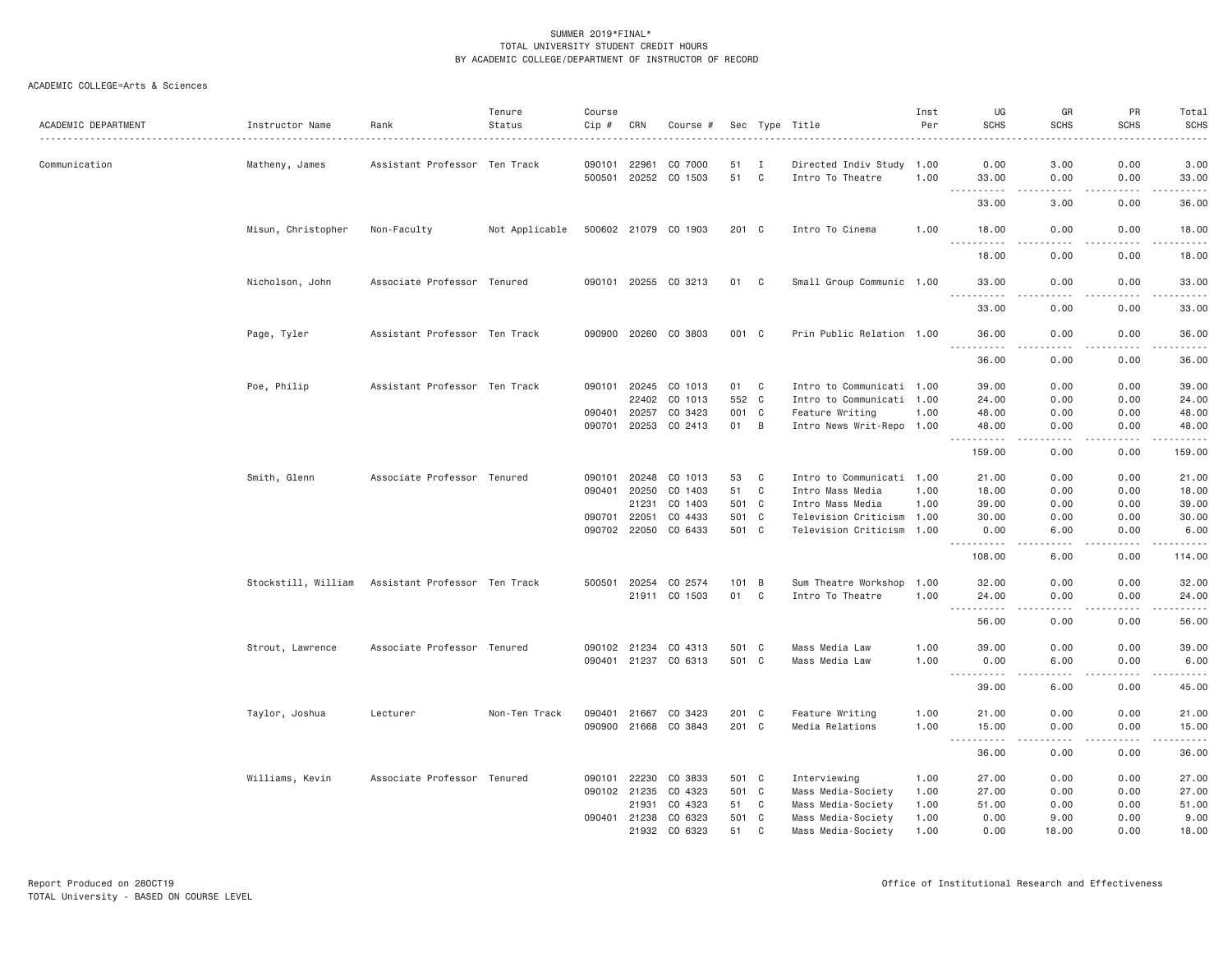| ACADEMIC DEPARTMENT | Instructor Name     | Rank                          | Tenure<br>Status | Course<br>Cip # | CRN          | Course #             |       |                | Sec Type Title            | Inst<br>Per | UG<br><b>SCHS</b>                                                                                                                  | GR<br><b>SCHS</b>     | PR<br><b>SCHS</b> | Total<br><b>SCHS</b><br>$    -$                                                                                                                               |
|---------------------|---------------------|-------------------------------|------------------|-----------------|--------------|----------------------|-------|----------------|---------------------------|-------------|------------------------------------------------------------------------------------------------------------------------------------|-----------------------|-------------------|---------------------------------------------------------------------------------------------------------------------------------------------------------------|
| Communication       | Matheny, James      | Assistant Professor Ten Track |                  | 090101          | 22961        | CO 7000              | 51    | $\blacksquare$ | Directed Indiv Study 1.00 |             | 0.00                                                                                                                               | 3.00                  | 0.00              | 3.00                                                                                                                                                          |
|                     |                     |                               |                  | 500501          |              | 20252 CO 1503        | 51    | $\mathbf{C}$   | Intro To Theatre          | 1.00        | 33.00                                                                                                                              | 0.00                  | 0.00              | 33.00                                                                                                                                                         |
|                     |                     |                               |                  |                 |              |                      |       |                |                           |             | .<br>33.00                                                                                                                         | 3.00                  | بالمحام<br>0.00   | $\sim$ $\sim$ $\sim$ $\sim$<br>36.00                                                                                                                          |
|                     | Misun, Christopher  | Non-Faculty                   | Not Applicable   |                 |              | 500602 21079 CO 1903 | 201 C |                | Intro To Cinema           | 1.00        | 18.00                                                                                                                              | 0.00                  | 0.00              | 18.00                                                                                                                                                         |
|                     |                     |                               |                  |                 |              |                      |       |                |                           |             | .<br>18.00                                                                                                                         | 0.00                  | .<br>0.00         | .<br>18.00                                                                                                                                                    |
|                     | Nicholson, John     | Associate Professor Tenured   |                  |                 |              | 090101 20255 CO 3213 | 01 C  |                | Small Group Communic 1.00 |             | 33.00                                                                                                                              | 0.00                  | 0.00              | 33.00                                                                                                                                                         |
|                     |                     |                               |                  |                 |              |                      |       |                |                           |             | <u>.</u><br>33.00                                                                                                                  | $- - - -$<br>0.00     | .<br>0.00         | .<br>33.00                                                                                                                                                    |
|                     | Page, Tyler         | Assistant Professor Ten Track |                  |                 |              | 090900 20260 CO 3803 | 001 C |                | Prin Public Relation 1.00 |             | 36.00                                                                                                                              | 0.00                  | 0.00              | 36.00                                                                                                                                                         |
|                     |                     |                               |                  |                 |              |                      |       |                |                           |             | $\begin{array}{cccccccccccccc} \bullet & \bullet & \bullet & \bullet & \bullet & \bullet & \bullet & \bullet \end{array}$<br>36.00 | .<br>0.00             | .<br>0.00         | .<br>36.00                                                                                                                                                    |
|                     | Poe, Philip         | Assistant Professor Ten Track |                  | 090101          | 20245        | CO 1013              | 01    | C              | Intro to Communicati 1.00 |             | 39.00                                                                                                                              | 0.00                  | 0.00              | 39.00                                                                                                                                                         |
|                     |                     |                               |                  |                 | 22402        | CO 1013              | 552 C |                | Intro to Communicati 1.00 |             | 24.00                                                                                                                              | 0.00                  | 0.00              | 24.00                                                                                                                                                         |
|                     |                     |                               |                  | 090401          | 20257        | CO 3423              | 001   | C              | Feature Writing           | 1.00        | 48.00                                                                                                                              | 0.00                  | 0.00              | 48.00                                                                                                                                                         |
|                     |                     |                               |                  | 090701          |              | 20253 CO 2413        | 01    | B              | Intro News Writ-Repo 1.00 |             | 48.00<br><u>.</u>                                                                                                                  | 0.00<br>$\frac{1}{2}$ | 0.00<br>.         | 48.00<br>.                                                                                                                                                    |
|                     |                     |                               |                  |                 |              |                      |       |                |                           |             | 159.00                                                                                                                             | 0.00                  | 0.00              | 159.00                                                                                                                                                        |
|                     | Smith, Glenn        | Associate Professor Tenured   |                  | 090101          | 20248        | CO 1013              | 53    | C              | Intro to Communicati 1.00 |             | 21.00                                                                                                                              | 0.00                  | 0.00              | 21.00                                                                                                                                                         |
|                     |                     |                               |                  | 090401          | 20250        | CO 1403              | 51    | C              | Intro Mass Media          | 1.00        | 18.00                                                                                                                              | 0.00                  | 0.00              | 18.00                                                                                                                                                         |
|                     |                     |                               |                  |                 | 21231        | CO 1403              | 501 C |                | Intro Mass Media          | 1.00        | 39.00                                                                                                                              | 0.00                  | 0.00              | 39.00                                                                                                                                                         |
|                     |                     |                               |                  | 090701          | 22051        | CO 4433              | 501 C |                | Television Criticism 1.00 |             | 30.00                                                                                                                              | 0.00                  | 0.00              | 30.00                                                                                                                                                         |
|                     |                     |                               |                  |                 | 090702 22050 | CO 6433              | 501 C |                | Television Criticism 1.00 |             | 0.00<br>.                                                                                                                          | 6.00<br>$   -$        | 0.00<br>.         | 6.00<br><u>.</u>                                                                                                                                              |
|                     |                     |                               |                  |                 |              |                      |       |                |                           |             | 108.00                                                                                                                             | 6.00                  | 0.00              | 114.00                                                                                                                                                        |
|                     | Stockstill, William | Assistant Professor Ten Track |                  | 500501          |              | 20254 CO 2574        | 101 B |                | Sum Theatre Workshop      | 1.00        | 32.00                                                                                                                              | 0.00                  | 0.00              | 32.00                                                                                                                                                         |
|                     |                     |                               |                  |                 |              | 21911 CO 1503        | 01    | C              | Intro To Theatre          | 1.00        | 24.00                                                                                                                              | 0.00                  | 0.00              | 24.00<br>$\frac{1}{2} \left( \frac{1}{2} \right) \left( \frac{1}{2} \right) \left( \frac{1}{2} \right) \left( \frac{1}{2} \right) \left( \frac{1}{2} \right)$ |
|                     |                     |                               |                  |                 |              |                      |       |                |                           |             | 56.00                                                                                                                              | 0.00                  | 0.00              | 56.00                                                                                                                                                         |
|                     | Strout, Lawrence    | Associate Professor Tenured   |                  | 090102 21234    |              | CO 4313              | 501 C |                | Mass Media Law            | 1.00        | 39.00                                                                                                                              | 0.00                  | 0.00              | 39.00                                                                                                                                                         |
|                     |                     |                               |                  |                 |              | 090401 21237 CO 6313 | 501 C |                | Mass Media Law            | 1.00        | 0.00<br>$\sim$ $\sim$ $\sim$<br>.                                                                                                  | 6.00<br>$\frac{1}{2}$ | 0.00<br>.         | 6.00<br>$   -$                                                                                                                                                |
|                     |                     |                               |                  |                 |              |                      |       |                |                           |             | 39.00                                                                                                                              | 6.00                  | 0.00              | 45.00                                                                                                                                                         |
|                     | Taylor, Joshua      | Lecturer                      | Non-Ten Track    | 090401          | 21667        | CO 3423              | 201 C |                | Feature Writing           | 1.00        | 21.00                                                                                                                              | 0.00                  | 0.00              | 21.00                                                                                                                                                         |
|                     |                     |                               |                  |                 |              | 090900 21668 CO 3843 | 201 C |                | Media Relations           | 1.00        | 15.00<br>.                                                                                                                         | 0.00<br>$- - - -$     | 0.00<br>.         | 15.00<br>.                                                                                                                                                    |
|                     |                     |                               |                  |                 |              |                      |       |                |                           |             | 36.00                                                                                                                              | 0.00                  | 0.00              | 36.00                                                                                                                                                         |
|                     | Williams, Kevin     | Associate Professor Tenured   |                  | 090101          | 22230        | CO 3833              | 501 C |                | Interviewing              | 1.00        | 27.00                                                                                                                              | 0.00                  | 0.00              | 27.00                                                                                                                                                         |
|                     |                     |                               |                  | 090102 21235    |              | CO 4323              | 501 C |                | Mass Media-Society        | 1.00        | 27.00                                                                                                                              | 0.00                  | 0.00              | 27.00                                                                                                                                                         |
|                     |                     |                               |                  |                 | 21931        | CO 4323              | 51    | C              | Mass Media-Society        | 1.00        | 51.00                                                                                                                              | 0.00                  | 0.00              | 51.00                                                                                                                                                         |
|                     |                     |                               |                  |                 |              | 090401 21238 CO 6323 | 501 C |                | Mass Media-Society        | 1.00        | 0.00                                                                                                                               | 9.00                  | 0.00              | 9.00                                                                                                                                                          |
|                     |                     |                               |                  |                 | 21932        | CO 6323              | 51    | C              | Mass Media-Society        | 1.00        | 0.00                                                                                                                               | 18,00                 | 0.00              | 18.00                                                                                                                                                         |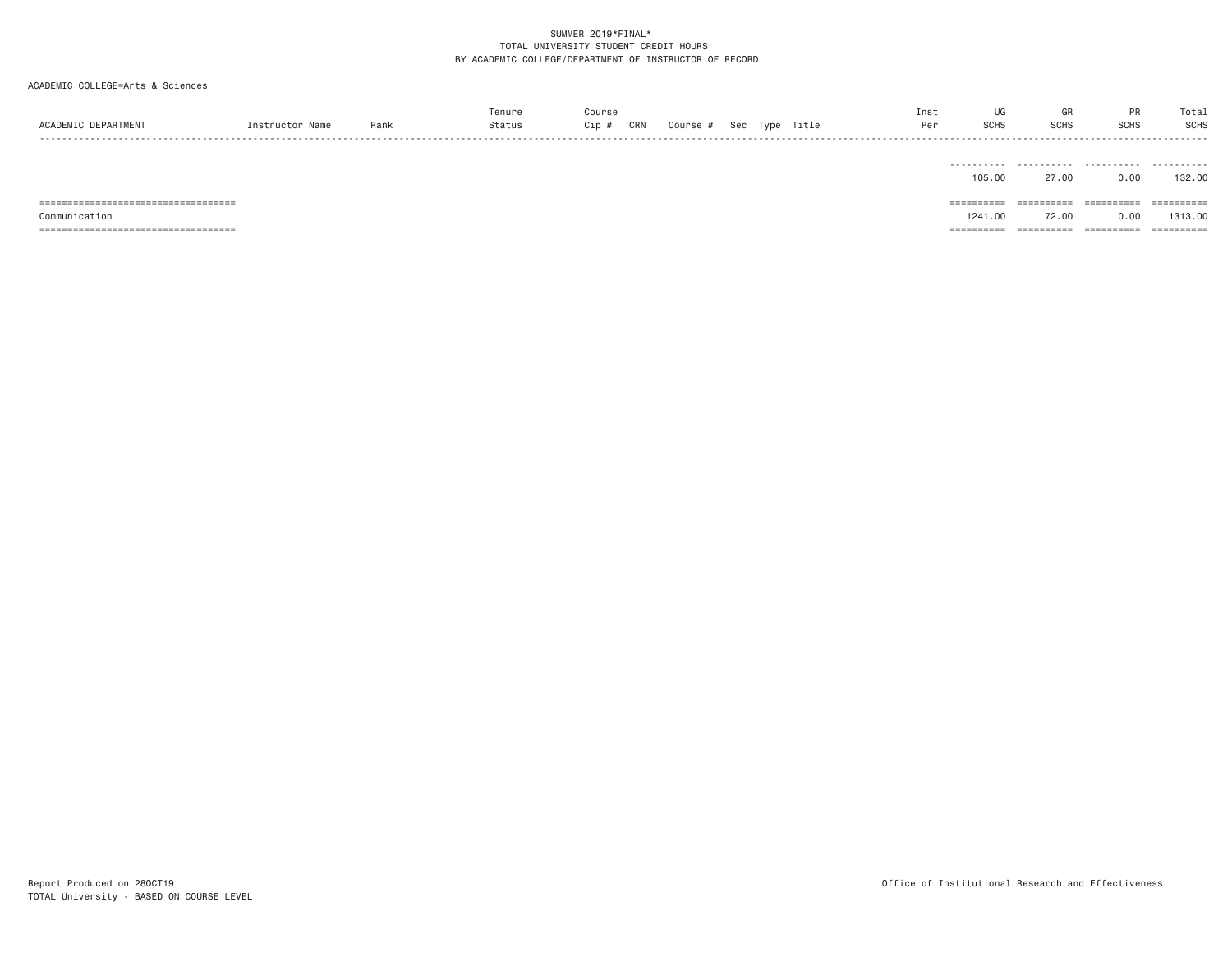#### ACADEMIC COLLEGE=Arts & Sciences

| ACADEMIC DEPARTMENT | Instructor Name | Rank | Tenure<br>Status | Course<br>CRN<br>Cip # | Course # |  | Sec Type Title | Inst<br>Per | SCHS                | GR<br><b>SCHS</b> | PR<br><b>SCHS</b>           | Total<br>SCHS             |
|---------------------|-----------------|------|------------------|------------------------|----------|--|----------------|-------------|---------------------|-------------------|-----------------------------|---------------------------|
|                     |                 |      |                  |                        |          |  |                |             | ---------<br>105.00 | 27.00             | - - - - - - - - - -<br>0.00 | .<br>----------<br>132,00 |

=================================== ========== ========== ========== ==========

Communication 1241.00 72.00 0.00 1313.00

=================================== ========== ========== ========== ==========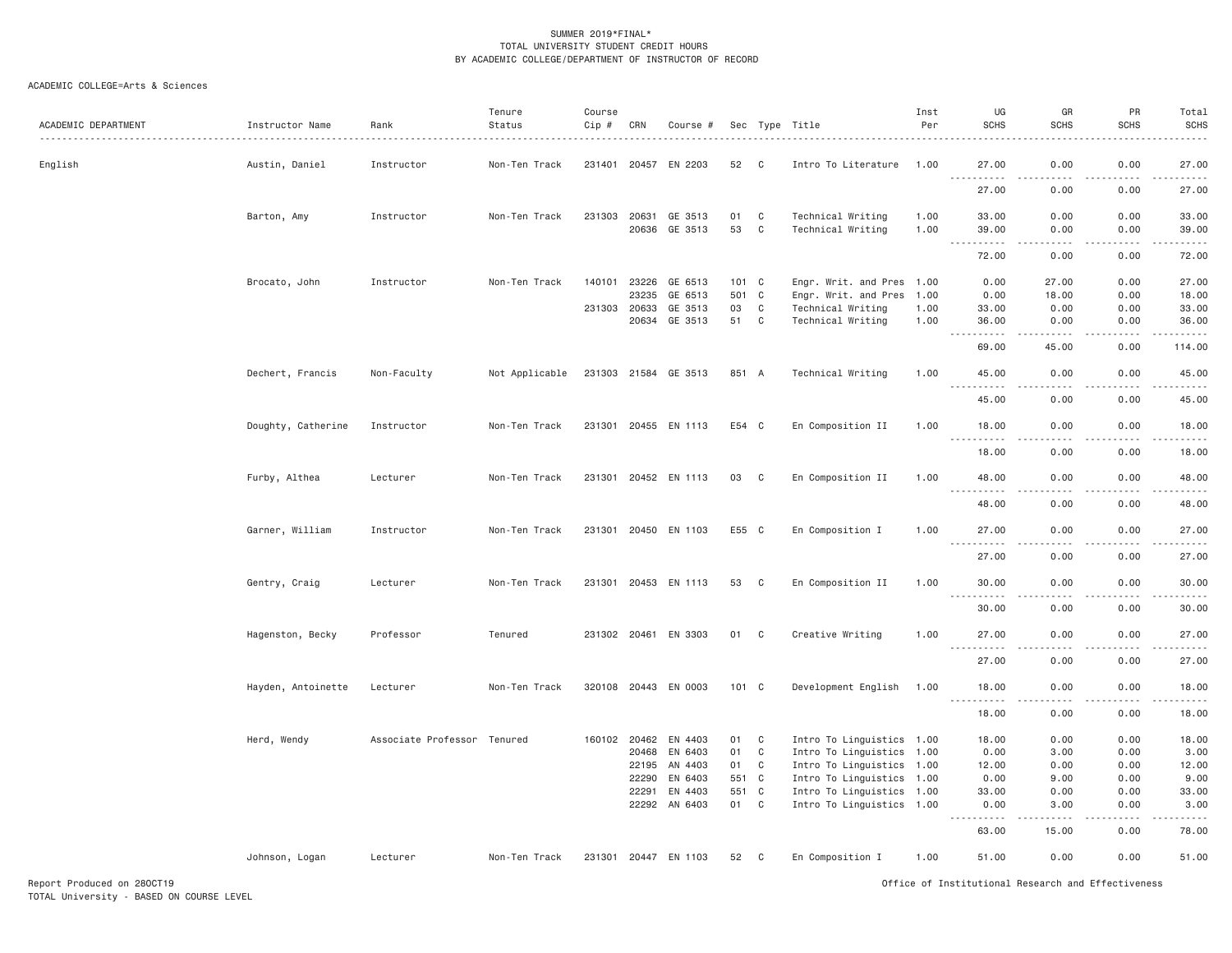| ACADEMIC DEPARTMENT | Instructor Name    | Rank                        | Tenure<br>Status | Course<br>$Cip$ # | CRN                   | Course #             |          |                         | Sec Type Title                                         | Inst<br>Per | UG<br><b>SCHS</b>                  | GR<br><b>SCHS</b>                   | PR<br><b>SCHS</b> | Total<br><b>SCHS</b><br>. |
|---------------------|--------------------|-----------------------------|------------------|-------------------|-----------------------|----------------------|----------|-------------------------|--------------------------------------------------------|-------------|------------------------------------|-------------------------------------|-------------------|---------------------------|
| English             | Austin, Daniel     | Instructor                  | Non-Ten Track    |                   | 231401 20457          | EN 2203              | 52       | C                       | Intro To Literature                                    | 1.00        | 27.00                              | 0.00                                | 0.00              | 27.00                     |
|                     |                    |                             |                  |                   |                       |                      |          |                         |                                                        |             | 27.00                              | 0.00                                | 0.00              | .<br>27.00                |
|                     | Barton, Amy        | Instructor                  | Non-Ten Track    | 231303            | 20631                 | GE 3513              | 01       | C                       | Technical Writing                                      | 1.00        | 33.00                              | 0.00                                | 0.00              | 33.00                     |
|                     |                    |                             |                  |                   | 20636                 | GE 3513              | 53       | C                       | Technical Writing                                      | 1.00        | 39.00<br>$\sim$ $\sim$ $\sim$<br>. | 0.00<br>د د د د                     | 0.00<br>.         | 39.00<br>.                |
|                     |                    |                             |                  |                   |                       |                      |          |                         |                                                        |             | 72.00                              | 0.00                                | 0.00              | 72.00                     |
|                     | Brocato, John      | Instructor                  | Non-Ten Track    | 140101            | 23226                 | GE 6513              | 101 C    |                         | Engr. Writ. and Pres 1.00                              |             | 0.00                               | 27.00                               | 0.00              | 27.00                     |
|                     |                    |                             |                  |                   | 23235                 | GE 6513              | 501      | C                       | Engr. Writ. and Pres                                   | 1.00        | 0.00                               | 18.00                               | 0.00              | 18.00                     |
|                     |                    |                             |                  | 231303            | 20633                 | GE 3513              | 03       | $\mathbf C$             | Technical Writing                                      | 1.00        | 33.00                              | 0.00                                | 0.00              | 33.00                     |
|                     |                    |                             |                  |                   | 20634                 | GE 3513              | 51       | $\overline{\mathbf{C}}$ | Technical Writing                                      | 1.00        | 36.00                              | 0.00                                | 0.00              | 36.00                     |
|                     |                    |                             |                  |                   |                       |                      |          |                         |                                                        |             | 69.00                              | 45.00                               | 0.00              | 114.00                    |
|                     | Dechert, Francis   | Non-Faculty                 | Not Applicable   |                   |                       | 231303 21584 GE 3513 | 851 A    |                         | Technical Writing                                      | 1.00        | 45.00<br>$\omega \sim 1$<br>.      | 0.00<br>$\sim$ $\sim$ $\sim$ $\sim$ | 0.00<br>.         | 45.00<br>.                |
|                     |                    |                             |                  |                   |                       |                      |          |                         |                                                        |             | 45.00                              | 0.00                                | 0.00              | 45.00                     |
|                     | Doughty, Catherine | Instructor                  | Non-Ten Track    |                   |                       | 231301 20455 EN 1113 | E54 C    |                         | En Composition II                                      | 1.00        | 18.00                              | 0.00                                | 0.00              | 18.00                     |
|                     |                    |                             |                  |                   |                       |                      |          |                         |                                                        |             | .<br>18.00                         | $- - - -$<br>0.00                   | .<br>0.00         | .<br>18.00                |
|                     | Furby, Althea      | Lecturer                    | Non-Ten Track    |                   |                       | 231301 20452 EN 1113 | 03       | C                       | En Composition II                                      | 1.00        | 48.00                              | 0.00                                | 0.00              | 48.00                     |
|                     |                    |                             |                  |                   |                       |                      |          |                         |                                                        |             | . <b>.</b><br>48.00                | $\frac{1}{2}$<br>0.00               | .<br>0.00         | .<br>48.00                |
|                     | Garner, William    | Instructor                  | Non-Ten Track    |                   |                       | 231301 20450 EN 1103 | E55 C    |                         | En Composition I                                       | 1.00        | 27.00                              | 0.00                                | 0.00              | 27.00                     |
|                     |                    |                             |                  |                   |                       |                      |          |                         |                                                        |             | .<br>$\sim$ $\sim$ $\sim$<br>27.00 | د د د د<br>0.00                     | .<br>0.00         | .<br>27.00                |
|                     | Gentry, Craig      | Lecturer                    | Non-Ten Track    |                   |                       | 231301 20453 EN 1113 | 53       | C                       | En Composition II                                      | 1.00        | 30.00                              | 0.00                                | 0.00              | 30.00                     |
|                     |                    |                             |                  |                   |                       |                      |          |                         |                                                        |             | $\sim$ $\sim$ $\sim$<br>30.00      | .<br>0.00                           | د د د د<br>0.00   | .<br>30.00                |
|                     | Hagenston, Becky   | Professor                   | Tenured          |                   | 231302 20461          | EN 3303              | 01       | C                       | Creative Writing                                       | 1.00        | 27.00                              | 0.00                                | 0.00              | 27.00                     |
|                     |                    |                             |                  |                   |                       |                      |          |                         |                                                        |             | $\sim$ $\sim$ $\sim$               |                                     |                   |                           |
|                     |                    |                             |                  |                   |                       |                      |          |                         |                                                        |             | 27.00                              | 0.00                                | 0.00              | 27.00                     |
|                     | Hayden, Antoinette | Lecturer                    | Non-Ten Track    |                   |                       | 320108 20443 EN 0003 | 101 C    |                         | Development English                                    | 1.00        | 18.00<br>. <u>.</u> .              | 0.00                                | 0.00              | 18.00<br>.                |
|                     |                    |                             |                  |                   |                       |                      |          |                         |                                                        |             | 18.00                              | 0.00                                | 0.00              | 18.00                     |
|                     | Herd, Wendy        | Associate Professor Tenured |                  |                   | 160102 20462<br>20468 | EN 4403<br>EN 6403   | 01<br>01 | C<br>$\mathbb C$        | Intro To Linguistics 1.00<br>Intro To Linguistics 1.00 |             | 18.00<br>0.00                      | 0.00<br>3.00                        | 0.00<br>0.00      | 18.00<br>3.00             |
|                     |                    |                             |                  |                   |                       |                      |          |                         |                                                        |             |                                    |                                     |                   |                           |
|                     |                    |                             |                  |                   | 22195                 | AN 4403              | 01       | C                       | Intro To Linguistics 1.00                              |             | 12.00                              | 0.00                                | 0.00              | 12.00                     |
|                     |                    |                             |                  |                   | 22290                 | EN 6403              | 551      | C                       | Intro To Linguistics 1.00                              |             | 0.00                               | 9.00                                | 0.00              | 9.00                      |
|                     |                    |                             |                  |                   | 22291                 | EN 4403              | 551 C    |                         | Intro To Linguistics 1.00                              |             | 33.00                              | 0.00                                | 0.00              | 33.00                     |
|                     |                    |                             |                  |                   |                       | 22292 AN 6403        | 01       | C                       | Intro To Linguistics 1.00                              |             | 0.00<br>.                          | 3,00<br>.                           | 0.00<br>.         | 3.00<br>والمناصبات        |
|                     |                    |                             |                  |                   |                       |                      |          |                         |                                                        |             | 63.00                              | 15.00                               | 0.00              | 78.00                     |
|                     | Johnson, Logan     | Lecturer                    | Non-Ten Track    |                   |                       | 231301 20447 EN 1103 | 52       | C                       | En Composition I                                       | 1.00        | 51.00                              | 0.00                                | 0.00              | 51.00                     |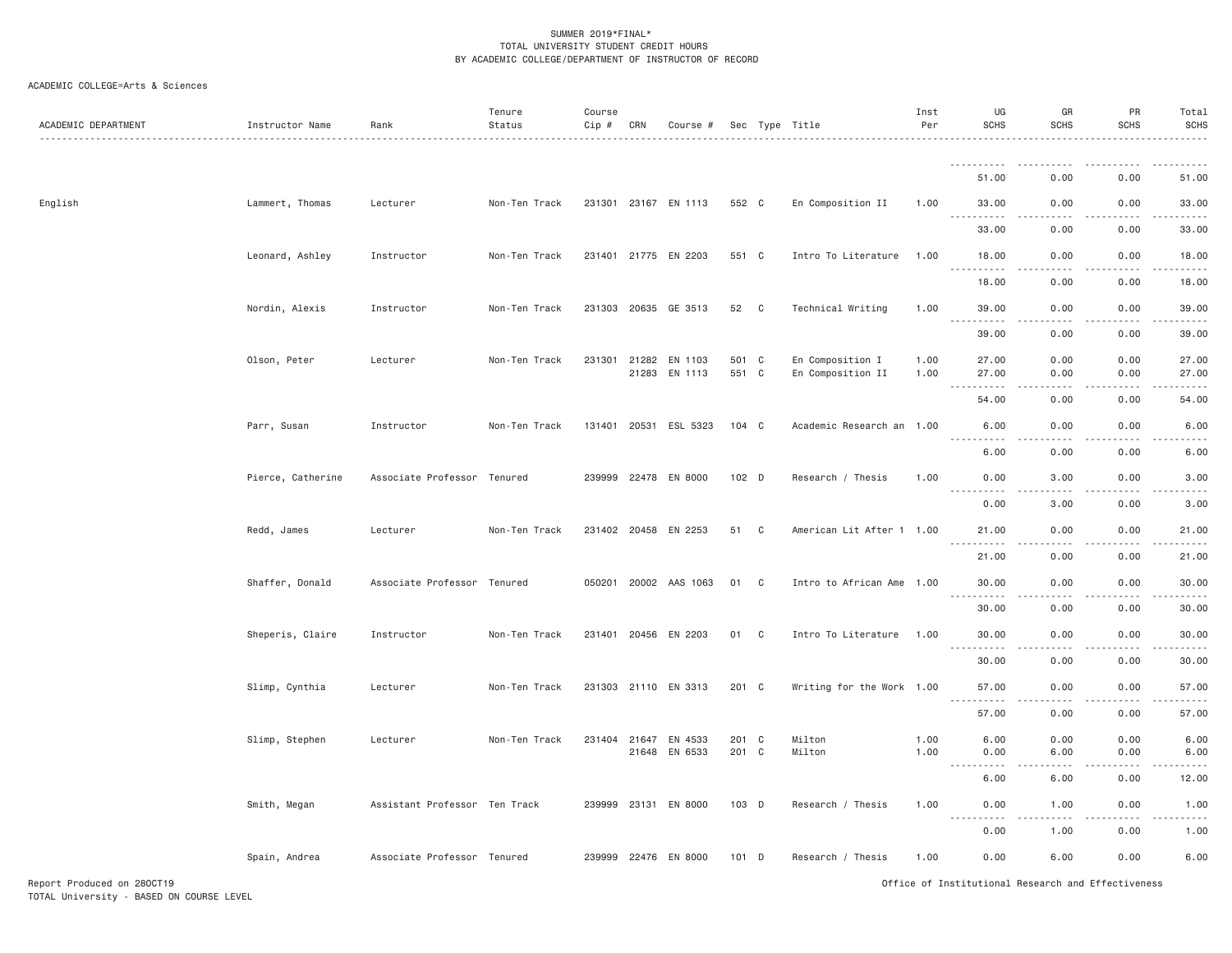| ACADEMIC DEPARTMENT | Instructor Name   | Rank                          | Tenure<br>Status | Course<br>Cip # | CRN          | Course #                 |                |              | Sec Type Title            | Inst<br>Per  | UG<br><b>SCHS</b>                 | GR<br><b>SCHS</b>                                                                                                                                                 | PR<br><b>SCHS</b>            | Total<br><b>SCHS</b>  |
|---------------------|-------------------|-------------------------------|------------------|-----------------|--------------|--------------------------|----------------|--------------|---------------------------|--------------|-----------------------------------|-------------------------------------------------------------------------------------------------------------------------------------------------------------------|------------------------------|-----------------------|
|                     |                   |                               |                  |                 |              |                          |                |              |                           |              | .                                 |                                                                                                                                                                   |                              |                       |
|                     |                   |                               |                  |                 |              |                          |                |              |                           |              | 51.00                             | 0.00                                                                                                                                                              | 0.00                         | 51.00                 |
| English             | Lammert, Thomas   | Lecturer                      | Non-Ten Track    |                 |              | 231301 23167 EN 1113     | 552 C          |              | En Composition II         | 1.00         | 33.00                             | 0.00                                                                                                                                                              | 0.00                         | 33.00                 |
|                     |                   |                               |                  |                 |              |                          |                |              |                           |              | 33.00                             | 0.00                                                                                                                                                              | 0.00                         | 33.00                 |
|                     | Leonard, Ashley   | Instructor                    | Non-Ten Track    |                 |              | 231401 21775 EN 2203     | 551 C          |              | Intro To Literature       | 1.00         | 18.00                             | 0.00                                                                                                                                                              | 0.00                         | 18.00                 |
|                     |                   |                               |                  |                 |              |                          |                |              |                           |              | 18.00                             | 0.00                                                                                                                                                              | 0.00                         | 18.00                 |
|                     | Nordin, Alexis    | Instructor                    | Non-Ten Track    |                 |              | 231303 20635 GE 3513     | 52 C           |              | Technical Writing         | 1.00         | 39.00                             | 0.00                                                                                                                                                              | 0.00                         | 39.00                 |
|                     |                   |                               |                  |                 |              |                          |                |              |                           |              | 39.00                             | 0.00                                                                                                                                                              | 0.00                         | 39.00                 |
|                     | Olson, Peter      | Lecturer                      | Non-Ten Track    |                 |              | 231301 21282 EN 1103     | 501 C          |              | En Composition I          | 1.00         | 27.00                             | 0.00                                                                                                                                                              | 0.00                         | 27.00                 |
|                     |                   |                               |                  |                 |              | 21283 EN 1113            | 551 C          |              | En Composition II         | 1.00         | 27.00<br>. <b>.</b>               | 0.00                                                                                                                                                              | 0.00                         | 27.00                 |
|                     |                   |                               |                  |                 |              |                          |                |              |                           |              | 54.00                             | 0.00                                                                                                                                                              | 0.00                         | 54.00                 |
|                     | Parr, Susan       | Instructor                    | Non-Ten Track    |                 |              | 131401 20531 ESL 5323    | $104 \quad C$  |              | Academic Research an 1.00 |              | 6.00<br>.                         | 0.00<br>.                                                                                                                                                         | 0.00<br>.                    | 6.00                  |
|                     |                   |                               |                  |                 |              |                          |                |              |                           |              | 6.00                              | 0.00                                                                                                                                                              | 0.00                         | 6.00                  |
|                     | Pierce, Catherine | Associate Professor Tenured   |                  |                 |              | 239999 22478 EN 8000     | 102 D          |              | Research / Thesis         | 1.00         | 0.00<br>.                         | 3.00<br>.                                                                                                                                                         | 0.00<br>.                    | 3.00<br>$\frac{1}{2}$ |
|                     |                   |                               |                  |                 |              |                          |                |              |                           |              | 0.00                              | 3.00                                                                                                                                                              | 0.00                         | 3.00                  |
|                     | Redd, James       | Lecturer                      | Non-Ten Track    |                 | 231402 20458 | EN 2253                  | 51             | C            | American Lit After 1 1.00 |              | 21.00<br><u>.</u>                 | 0.00<br>.                                                                                                                                                         | 0.00<br>$\omega$ is a set of | 21.00<br>.            |
|                     |                   |                               |                  |                 |              |                          |                |              |                           |              | 21.00                             | 0.00                                                                                                                                                              | 0.00                         | 21.00                 |
|                     | Shaffer, Donald   | Associate Professor Tenured   |                  |                 |              | 050201 20002 AAS 1063    | 01 C           |              | Intro to African Ame 1.00 |              | 30.00<br>.                        | 0.00<br>.                                                                                                                                                         | 0.00<br>.                    | 30.00<br>.            |
|                     |                   |                               |                  |                 |              |                          |                |              |                           |              | 30.00                             | 0.00                                                                                                                                                              | 0.00                         | 30.00                 |
|                     | Sheperis, Claire  | Instructor                    | Non-Ten Track    |                 |              | 231401 20456 EN 2203     | 01             | $\mathbf{C}$ | Intro To Literature       | 1.00         | 30.00<br>$- - - - - - -$          | 0.00<br>د د د د                                                                                                                                                   | 0.00<br>.                    | 30.00<br>.            |
|                     |                   |                               |                  |                 |              |                          |                |              |                           |              | 30.00                             | 0.00                                                                                                                                                              | 0.00                         | 30.00                 |
|                     | Slimp, Cynthia    | Lecturer                      | Non-Ten Track    |                 |              | 231303 21110 EN 3313     | 201 C          |              | Writing for the Work 1.00 |              | 57.00<br>$\frac{1}{2}$            | 0.00<br>$- - -$                                                                                                                                                   | 0.00                         | 57.00                 |
|                     |                   |                               |                  |                 |              |                          |                |              |                           |              | 57.00                             | 0.00                                                                                                                                                              | 0.00                         | 57.00                 |
|                     | Slimp, Stephen    | Lecturer                      | Non-Ten Track    |                 | 231404 21647 | EN 4533<br>21648 EN 6533 | 201 C<br>201 C |              | Milton<br>Milton          | 1.00<br>1.00 | 6.00<br>0.00                      | 0.00<br>6.00                                                                                                                                                      | 0.00<br>0.00                 | 6.00<br>6.00          |
|                     |                   |                               |                  |                 |              |                          |                |              |                           |              | .<br>$\sim$ $\sim$ $\sim$<br>6.00 | 6.00                                                                                                                                                              | 0.00                         | 12.00                 |
|                     | Smith, Megan      | Assistant Professor Ten Track |                  |                 |              | 239999 23131 EN 8000     | 103 D          |              | Research / Thesis         | 1.00         | 0.00                              | 1.00                                                                                                                                                              | 0.00                         | 1.00                  |
|                     |                   |                               |                  |                 |              |                          |                |              |                           |              | .                                 | $\frac{1}{2} \left( \frac{1}{2} \right) \left( \frac{1}{2} \right) \left( \frac{1}{2} \right) \left( \frac{1}{2} \right) \left( \frac{1}{2} \right)$<br>$- - - -$ | .                            | .                     |
|                     |                   |                               |                  |                 |              |                          |                |              |                           |              | 0.00                              | 1.00                                                                                                                                                              | 0.00                         | 1.00                  |
|                     | Spain, Andrea     | Associate Professor Tenured   |                  |                 |              | 239999 22476 EN 8000     | 101 D          |              | Research / Thesis         | 1.00         | 0.00                              | 6.00                                                                                                                                                              | 0.00                         | 6.00                  |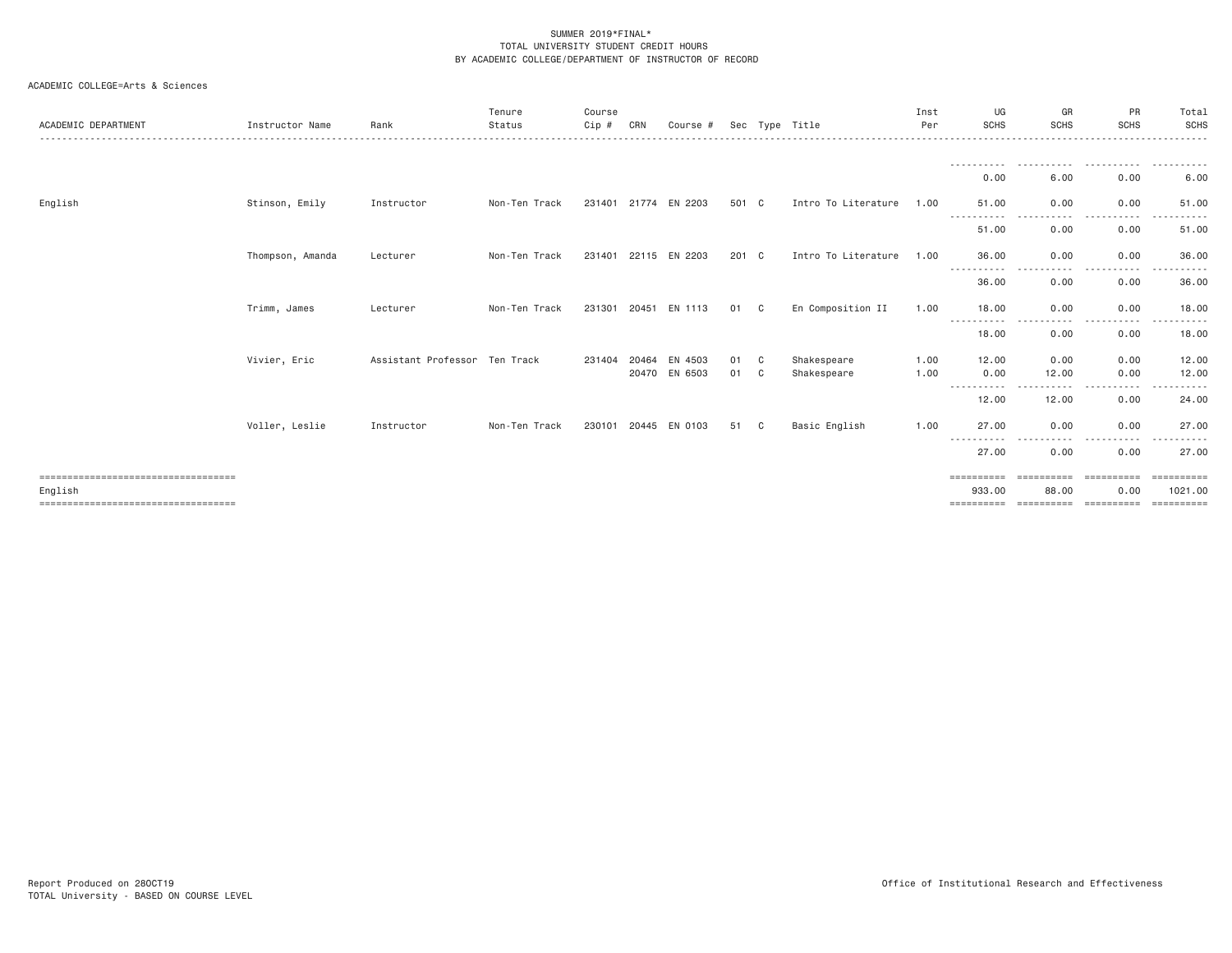| ACADEMIC DEPARTMENT                              | Instructor Name  | Rank                          | Tenure<br>Status | Course<br>Cip # | CRN | Course #                 |          |              | Sec Type Title             | Inst<br>Per  | UG<br><b>SCHS</b>                  | GR<br><b>SCHS</b>     | PR<br><b>SCHS</b>                 | Total<br><b>SCHS</b>             |
|--------------------------------------------------|------------------|-------------------------------|------------------|-----------------|-----|--------------------------|----------|--------------|----------------------------|--------------|------------------------------------|-----------------------|-----------------------------------|----------------------------------|
|                                                  |                  |                               |                  |                 |     |                          |          |              |                            |              | 0.00                               | 6.00                  | 0.00                              | 6.00                             |
| English                                          | Stinson, Emily   | Instructor                    | Non-Ten Track    |                 |     | 231401 21774 EN 2203     | 501 C    |              | Intro To Literature        | 1.00         | 51.00                              | 0.00                  | 0.00                              | 51.00                            |
|                                                  |                  |                               |                  |                 |     |                          |          |              |                            |              | 51.00                              | .<br>0.00             | 0.00                              | 51.00                            |
|                                                  | Thompson, Amanda | Lecturer                      | Non-Ten Track    |                 |     | 231401 22115 EN 2203     | 201 C    |              | Intro To Literature        | 1.00         | 36.00                              | 0.00<br>- - - -       | 0.00                              | 36.00                            |
|                                                  |                  |                               |                  |                 |     |                          |          |              |                            |              | 36.00                              | 0.00                  | 0.00                              | 36.00                            |
|                                                  | Trimm, James     | Lecturer                      | Non-Ten Track    | 231301 20451    |     | EN 1113                  | 01       | $\mathbf{C}$ | En Composition II          | 1.00         | 18.00<br>-----------<br>$  -$      | 0.00<br>$\frac{1}{2}$ | 0.00<br>.                         | 18.00                            |
|                                                  |                  |                               |                  |                 |     |                          |          |              |                            |              | 18.00                              | 0.00                  | 0.00                              | 18.00                            |
|                                                  | Vivier, Eric     | Assistant Professor Ten Track |                  | 231404 20464    |     | EN 4503<br>20470 EN 6503 | 01<br>01 | C.<br>C      | Shakespeare<br>Shakespeare | 1.00<br>1.00 | 12.00<br>0.00<br>-----------       | 0.00<br>12.00         | 0.00<br>0.00                      | 12.00<br>12.00                   |
|                                                  |                  |                               |                  |                 |     |                          |          |              |                            |              | 12.00                              | 12.00                 | 0.00                              | 24.00                            |
|                                                  | Voller, Leslie   | Instructor                    | Non-Ten Track    |                 |     | 230101 20445 EN 0103     | 51       | C.           | Basic English              | 1.00         | 27.00<br>-----------               | 0.00<br>$\frac{1}{2}$ | 0.00                              | 27.00                            |
|                                                  |                  |                               |                  |                 |     |                          |          |              |                            |              | 27.00                              | 0.00                  | 0.00                              | 27.00                            |
| =====================================<br>English |                  |                               |                  |                 |     |                          |          |              |                            |              | ==========<br>933.00<br>========== | 88.00<br>==========   | ----------<br>0.00<br>----------- | $=$ = = = = = = = = =<br>1021.00 |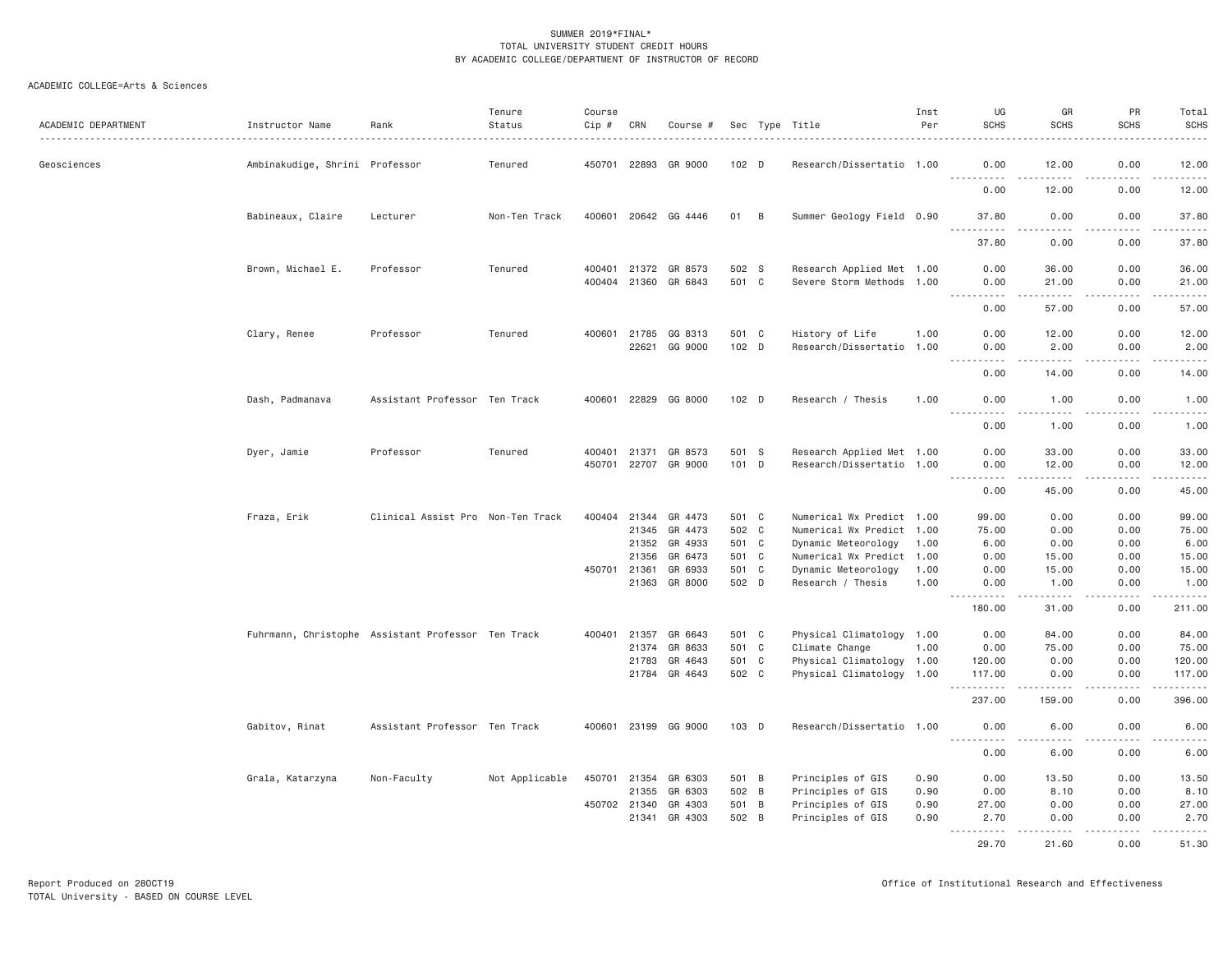| ACADEMIC DEPARTMENT | Instructor Name                                    | Rank                              | Tenure<br>Status | Course<br>Cip # | CRN   | Course #             |                  |              | Sec Type Title            | Inst<br>Per | UG<br><b>SCHS</b>   | GR<br><b>SCHS</b>    | PR<br><b>SCHS</b>     | Total<br><b>SCHS</b><br>$- - - - -$                                                                                                                           |
|---------------------|----------------------------------------------------|-----------------------------------|------------------|-----------------|-------|----------------------|------------------|--------------|---------------------------|-------------|---------------------|----------------------|-----------------------|---------------------------------------------------------------------------------------------------------------------------------------------------------------|
| Geosciences         | Ambinakudige, Shrini Professor                     |                                   | Tenured          | 450701          | 22893 | GR 9000              | 102 <sub>D</sub> |              | Research/Dissertatio 1.00 |             | 0.00                | 12.00                | 0.00                  | 12.00                                                                                                                                                         |
|                     |                                                    |                                   |                  |                 |       |                      |                  |              |                           |             | .<br>0.00           | 12.00                | .<br>0.00             | .<br>12.00                                                                                                                                                    |
|                     | Babineaux, Claire                                  | Lecturer                          | Non-Ten Track    | 400601          |       | 20642 GG 4446        | 01               | B            | Summer Geology Field 0.90 |             | 37.80               | 0.00                 | 0.00                  | 37.80<br>والمناصبات                                                                                                                                           |
|                     |                                                    |                                   |                  |                 |       |                      |                  |              |                           |             | 37.80               | 0.00                 | 0.00                  | 37.80                                                                                                                                                         |
|                     | Brown, Michael E.                                  | Professor                         | Tenured          | 400401          | 21372 | GR 8573              | 502 S            |              | Research Applied Met 1.00 |             | 0.00                | 36.00                | 0.00                  | 36.00                                                                                                                                                         |
|                     |                                                    |                                   |                  | 400404 21360    |       | GR 6843              | 501 C            |              | Severe Storm Methods 1.00 |             | 0.00                | 21.00                | 0.00                  | 21.00                                                                                                                                                         |
|                     |                                                    |                                   |                  |                 |       |                      |                  |              |                           |             | $- - - - -$<br>0.00 | 57.00                | .<br>0.00             | .<br>57.00                                                                                                                                                    |
|                     | Clary, Renee                                       | Professor                         | Tenured          | 400601          | 21785 | GG 8313              | 501 C            |              | History of Life           | 1.00        | 0.00                | 12.00                | 0.00                  | 12.00                                                                                                                                                         |
|                     |                                                    |                                   |                  |                 |       | 22621 GG 9000        | 102 D            |              | Research/Dissertatio 1.00 |             | 0.00                | 2.00                 | 0.00<br>.             | 2.00<br>$- - - - -$                                                                                                                                           |
|                     |                                                    |                                   |                  |                 |       |                      |                  |              |                           |             | <u>.</u><br>0.00    | $- - - - -$<br>14.00 | 0.00                  | 14.00                                                                                                                                                         |
|                     | Dash, Padmanava                                    | Assistant Professor Ten Track     |                  | 400601          |       | 22829 GG 8000        | $102$ D          |              | Research / Thesis         | 1.00        | 0.00                | 1.00                 | 0.00<br>.             | 1.00                                                                                                                                                          |
|                     |                                                    |                                   |                  |                 |       |                      |                  |              |                           |             | .<br>0.00           | .<br>1.00            | 0.00                  | $- - - - -$<br>1.00                                                                                                                                           |
|                     | Dyer, Jamie                                        | Professor                         | Tenured          | 400401          | 21371 | GR 8573              | 501 S            |              | Research Applied Met 1.00 |             | 0.00                | 33.00                | 0.00                  | 33.00                                                                                                                                                         |
|                     |                                                    |                                   |                  | 450701          | 22707 | GR 9000              | 101 D            |              | Research/Dissertatio 1.00 |             | 0.00<br>.           | 12.00                | 0.00<br>$\frac{1}{2}$ | 12.00<br>$\frac{1}{2} \left( \frac{1}{2} \right) \left( \frac{1}{2} \right) \left( \frac{1}{2} \right) \left( \frac{1}{2} \right) \left( \frac{1}{2} \right)$ |
|                     |                                                    |                                   |                  |                 |       |                      |                  |              |                           |             | 0.00                | 45.00                | 0.00                  | 45.00                                                                                                                                                         |
|                     | Fraza, Erik                                        | Clinical Assist Pro Non-Ten Track |                  | 400404 21344    |       | GR 4473              | 501 C            |              | Numerical Wx Predict 1.00 |             | 99.00               | 0.00                 | 0.00                  | 99.00                                                                                                                                                         |
|                     |                                                    |                                   |                  |                 | 21345 | GR 4473              | 502              | $\mathbf{C}$ | Numerical Wx Predict 1.00 |             | 75.00               | 0.00                 | 0.00                  | 75.00                                                                                                                                                         |
|                     |                                                    |                                   |                  |                 | 21352 | GR 4933              | 501 C            |              | Dynamic Meteorology       | 1.00        | 6.00                | 0.00                 | 0.00                  | 6.00                                                                                                                                                          |
|                     |                                                    |                                   |                  |                 | 21356 | GR 6473              | 501 C            |              | Numerical Wx Predict 1.00 |             | 0.00                | 15.00                | 0.00                  | 15.00                                                                                                                                                         |
|                     |                                                    |                                   |                  | 450701          | 21361 | GR 6933              | 501              | C            | Dynamic Meteorology       | 1.00        | 0.00                | 15.00                | 0.00                  | 15.00                                                                                                                                                         |
|                     |                                                    |                                   |                  |                 | 21363 | GR 8000              | 502 D            |              | Research / Thesis         | 1.00        | 0.00<br>2.2.2.2.2.2 | 1.00<br>.            | 0.00<br>.             | 1.00<br><u>.</u>                                                                                                                                              |
|                     |                                                    |                                   |                  |                 |       |                      |                  |              |                           |             | 180.00              | 31.00                | 0.00                  | 211.00                                                                                                                                                        |
|                     | Fuhrmann, Christophe Assistant Professor Ten Track |                                   |                  | 400401          | 21357 | GR 6643              | 501 C            |              | Physical Climatology 1.00 |             | 0.00                | 84.00                | 0.00                  | 84.00                                                                                                                                                         |
|                     |                                                    |                                   |                  |                 | 21374 | GR 8633              | 501 C            |              | Climate Change            | 1.00        | 0.00                | 75.00                | 0.00                  | 75.00                                                                                                                                                         |
|                     |                                                    |                                   |                  |                 | 21783 | GR 4643              | 501 C            |              | Physical Climatology 1.00 |             | 120.00              | 0.00                 | 0.00                  | 120.00                                                                                                                                                        |
|                     |                                                    |                                   |                  |                 | 21784 | GR 4643              | 502 C            |              | Physical Climatology 1.00 |             | 117.00<br>.         | 0.00                 | 0.00<br>$  -$         | 117.00<br>.                                                                                                                                                   |
|                     |                                                    |                                   |                  |                 |       |                      |                  |              |                           |             | 237.00              | 159.00               | 0.00                  | 396.00                                                                                                                                                        |
|                     | Gabitov, Rinat                                     | Assistant Professor Ten Track     |                  |                 |       | 400601 23199 GG 9000 | 103 D            |              | Research/Dissertatio 1.00 |             | 0.00<br>.           | 6.00<br>د د د د      | 0.00<br>.             | 6.00<br>$\frac{1}{2} \left( \frac{1}{2} \right) \left( \frac{1}{2} \right) \left( \frac{1}{2} \right) \left( \frac{1}{2} \right) \left( \frac{1}{2} \right)$  |
|                     |                                                    |                                   |                  |                 |       |                      |                  |              |                           |             | 0.00                | 6.00                 | 0.00                  | 6.00                                                                                                                                                          |
|                     | Grala, Katarzyna                                   | Non-Faculty                       | Not Applicable   | 450701          | 21354 | GR 6303              | 501 B            |              | Principles of GIS         | 0.90        | 0.00                | 13.50                | 0.00                  | 13.50                                                                                                                                                         |
|                     |                                                    |                                   |                  |                 | 21355 | GR 6303              | 502 B            |              | Principles of GIS         | 0.90        | 0.00                | 8.10                 | 0.00                  | 8.10                                                                                                                                                          |
|                     |                                                    |                                   |                  | 450702 21340    |       | GR 4303              | 501 B            |              | Principles of GIS         | 0.90        | 27.00               | 0.00                 | 0.00                  | 27.00                                                                                                                                                         |
|                     |                                                    |                                   |                  |                 | 21341 | GR 4303              | 502 B            |              | Principles of GIS         | 0.90        | 2.70<br>.           | 0.00<br>.            | 0.00<br>.             | 2.70<br><u>.</u>                                                                                                                                              |
|                     |                                                    |                                   |                  |                 |       |                      |                  |              |                           |             | 29.70               | 21.60                | 0.00                  | 51.30                                                                                                                                                         |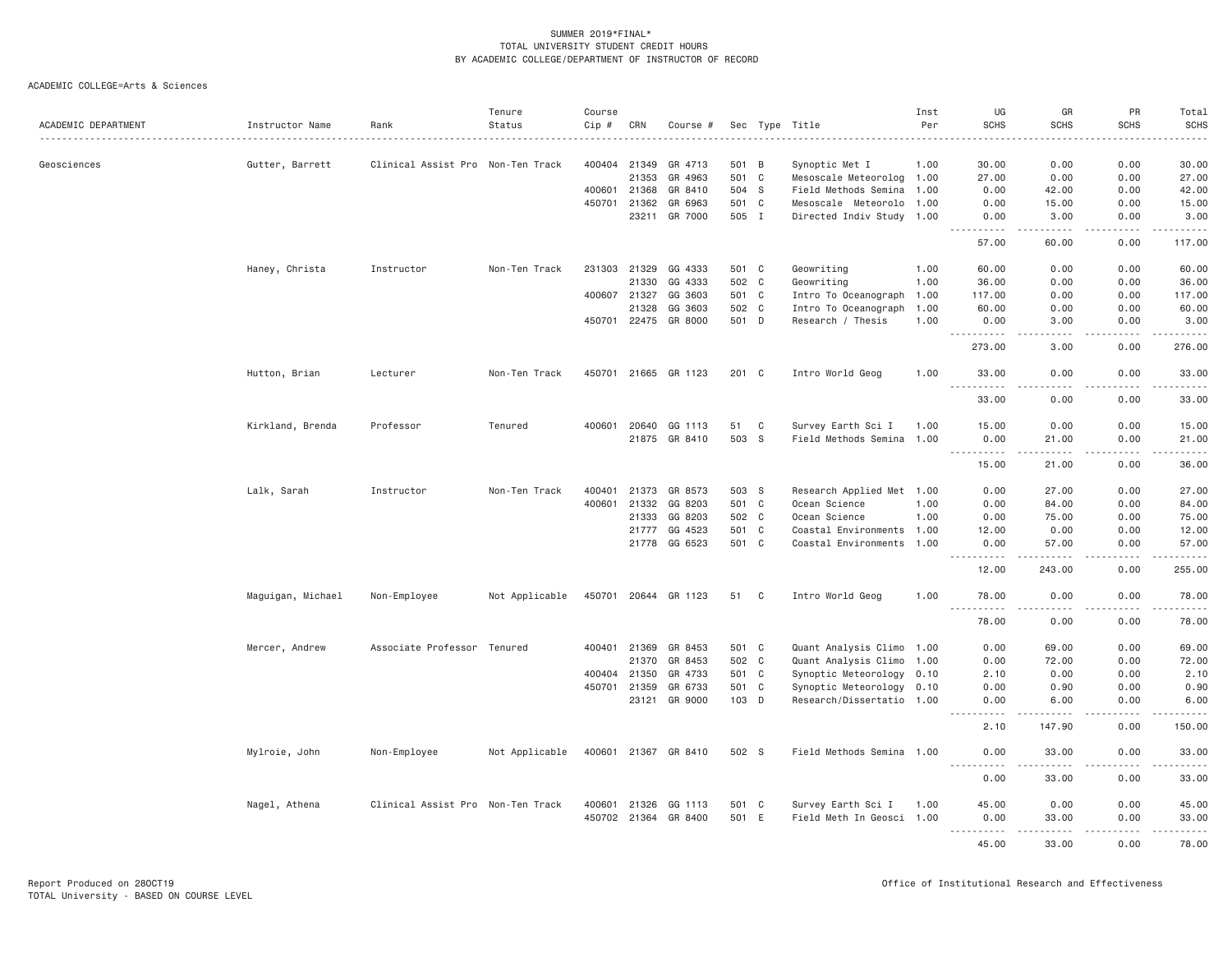| ACADEMIC DEPARTMENT | Instructor Name   | Rank                              | Tenure<br>Status | Course<br>Cip # | CRN   | Course #             |             |              | Sec Type Title                                  | Inst<br>Per | UG<br><b>SCHS</b>  | GR<br><b>SCHS</b>                   | PR<br><b>SCHS</b> | Total<br><b>SCHS</b><br>. |
|---------------------|-------------------|-----------------------------------|------------------|-----------------|-------|----------------------|-------------|--------------|-------------------------------------------------|-------------|--------------------|-------------------------------------|-------------------|---------------------------|
| Geosciences         | Gutter, Barrett   | Clinical Assist Pro Non-Ten Track |                  | 400404          | 21349 | GR 4713              | 501 B       |              | Synoptic Met I                                  | 1.00        | 30.00              | 0.00                                | 0.00              | 30.00                     |
|                     |                   |                                   |                  |                 | 21353 | GR 4963              | 501 C       |              | Mesoscale Meteorolog 1.00                       |             | 27.00              | 0.00                                | 0.00              | 27.00                     |
|                     |                   |                                   |                  | 400601          | 21368 | GR 8410              | 504 S       |              | Field Methods Semina                            | 1.00        | 0.00               | 42.00                               | 0.00              | 42.00                     |
|                     |                   |                                   |                  | 450701          | 21362 | GR 6963              | 501 C       |              | Mesoscale Meteorolo 1.00                        |             | 0.00               | 15.00                               | 0.00              | 15.00                     |
|                     |                   |                                   |                  |                 | 23211 | GR 7000              | 505 I       |              | Directed Indiv Study 1.00                       |             | 0.00               | 3.00                                | 0.00              | 3.00                      |
|                     |                   |                                   |                  |                 |       |                      |             |              |                                                 |             | -----<br>57.00     | .<br>60.00                          | .<br>0.00         | .<br>117.00               |
|                     | Haney, Christa    | Instructor                        | Non-Ten Track    | 231303          | 21329 | GG 4333              | 501 C       |              | Geowriting                                      | 1.00        | 60.00              | 0.00                                | 0.00              | 60.00                     |
|                     |                   |                                   |                  |                 | 21330 | GG 4333              | 502         | $\mathbf{C}$ | Geowriting                                      | 1.00        | 36.00              | 0.00                                | 0.00              | 36.00                     |
|                     |                   |                                   |                  | 400607 21327    |       | GG 3603              | 501 C       |              | Intro To Oceanograph 1.00                       |             | 117.00             | 0.00                                | 0.00              | 117.00                    |
|                     |                   |                                   |                  |                 | 21328 | GG 3603              | 502 C       |              | Intro To Oceanograph 1.00                       |             | 60.00              | 0.00                                | 0.00              | 60.00                     |
|                     |                   |                                   |                  | 450701          | 22475 | GR 8000              | 501 D       |              | Research / Thesis                               | 1.00        | 0.00               | 3.00                                | 0.00              | 3.00                      |
|                     |                   |                                   |                  |                 |       |                      |             |              |                                                 |             | <u>.</u><br>273.00 | $\sim$ $\sim$ $\sim$ $\sim$<br>3.00 | د د د د<br>0.00   | .<br>276.00               |
|                     | Hutton, Brian     | Lecturer                          | Non-Ten Track    |                 |       | 450701 21665 GR 1123 | 201 C       |              | Intro World Geog                                | 1.00        | 33.00              | 0.00                                | 0.00              | 33.00                     |
|                     |                   |                                   |                  |                 |       |                      |             |              |                                                 |             | 33.00              | 0.00                                | 0.00              | .<br>33.00                |
|                     |                   |                                   |                  | 400601          | 20640 | GG 1113              |             |              |                                                 |             |                    | 0.00                                |                   |                           |
|                     | Kirkland, Brenda  | Professor                         | Tenured          |                 | 21875 | GR 8410              | 51<br>503 S | C            | Survey Earth Sci I<br>Field Methods Semina 1.00 | 1.00        | 15.00<br>0.00      | 21.00                               | 0.00<br>0.00      | 15.00<br>21.00            |
|                     |                   |                                   |                  |                 |       |                      |             |              |                                                 |             | $- - - - -$        | $- - - - -$                         | .                 | .                         |
|                     |                   |                                   |                  |                 |       |                      |             |              |                                                 |             | 15.00              | 21.00                               | 0.00              | 36.00                     |
|                     | Lalk, Sarah       | Instructor                        | Non-Ten Track    | 400401          | 21373 | GR 8573              | 503 S       |              | Research Applied Met 1.00                       |             | 0.00               | 27.00                               | 0.00              | 27.00                     |
|                     |                   |                                   |                  | 400601          | 21332 | GG 8203              | 501 C       |              | Ocean Science                                   | 1.00        | 0.00               | 84,00                               | 0.00              | 84.00                     |
|                     |                   |                                   |                  |                 | 21333 | GG 8203              | 502 C       |              | Ocean Science                                   | 1.00        | 0.00               | 75.00                               | 0.00              | 75.00                     |
|                     |                   |                                   |                  |                 | 21777 | GG 4523              | 501 C       |              | Coastal Environments 1.00                       |             | 12.00              | 0.00                                | 0.00              | 12.00                     |
|                     |                   |                                   |                  |                 | 21778 | GG 6523              | 501 C       |              | Coastal Environments 1.00                       |             | 0.00               | 57.00                               | 0.00              | 57.00                     |
|                     |                   |                                   |                  |                 |       |                      |             |              |                                                 |             | .<br>12.00         | .<br>243.00                         | .<br>0.00         | .<br>255.00               |
|                     | Maguigan, Michael | Non-Employee                      | Not Applicable   |                 |       | 450701 20644 GR 1123 | 51          | $\mathbf{C}$ | Intro World Geog                                | 1.00        | 78.00<br>.         | 0.00<br>$- - - -$                   | 0.00<br>.         | 78.00<br>. <u>.</u> .     |
|                     |                   |                                   |                  |                 |       |                      |             |              |                                                 |             | 78.00              | 0.00                                | 0.00              | 78.00                     |
|                     | Mercer, Andrew    | Associate Professor Tenured       |                  | 400401          | 21369 | GR 8453              | 501 C       |              | Quant Analysis Climo 1.00                       |             | 0.00               | 69.00                               | 0.00              | 69.00                     |
|                     |                   |                                   |                  |                 | 21370 | GR 8453              | 502 C       |              | Quant Analysis Climo 1.00                       |             | 0.00               | 72.00                               | 0.00              | 72.00                     |
|                     |                   |                                   |                  | 400404          | 21350 | GR 4733              | 501 C       |              | Synoptic Meteorology 0.10                       |             | 2.10               | 0.00                                | 0.00              | 2.10                      |
|                     |                   |                                   |                  | 450701          | 21359 | GR 6733              | 501 C       |              | Synoptic Meteorology 0.10                       |             | 0.00               | 0.90                                | 0.00              | 0.90                      |
|                     |                   |                                   |                  |                 | 23121 | GR 9000              | 103 D       |              | Research/Dissertatio 1.00                       |             | 0.00<br><u>.</u>   | 6.00<br>.                           | 0.00<br>.         | 6.00<br>.                 |
|                     |                   |                                   |                  |                 |       |                      |             |              |                                                 |             | 2.10               | 147.90                              | 0.00              | 150.00                    |
|                     | Mylroie, John     | Non-Employee                      | Not Applicable   |                 |       | 400601 21367 GR 8410 | 502 S       |              | Field Methods Semina 1.00                       |             | 0.00<br><u>.</u>   | 33.00                               | 0.00<br>-----     | 33.00<br>.                |
|                     |                   |                                   |                  |                 |       |                      |             |              |                                                 |             | 0.00               | $- - - - -$<br>33.00                | 0.00              | 33.00                     |
|                     | Nagel, Athena     | Clinical Assist Pro Non-Ten Track |                  | 400601          | 21326 | GG 1113              | 501 C       |              | Survey Earth Sci I                              | 1.00        | 45.00              | 0.00                                | 0.00              | 45.00                     |
|                     |                   |                                   |                  |                 |       | 450702 21364 GR 8400 | 501 E       |              | Field Meth In Geosci 1.00                       |             | 0.00               | 33.00                               | 0.00              | 33.00                     |
|                     |                   |                                   |                  |                 |       |                      |             |              |                                                 |             | <u>.</u><br>45.00  | .<br>33.00                          | -----<br>0.00     | <u>.</u><br>78.00         |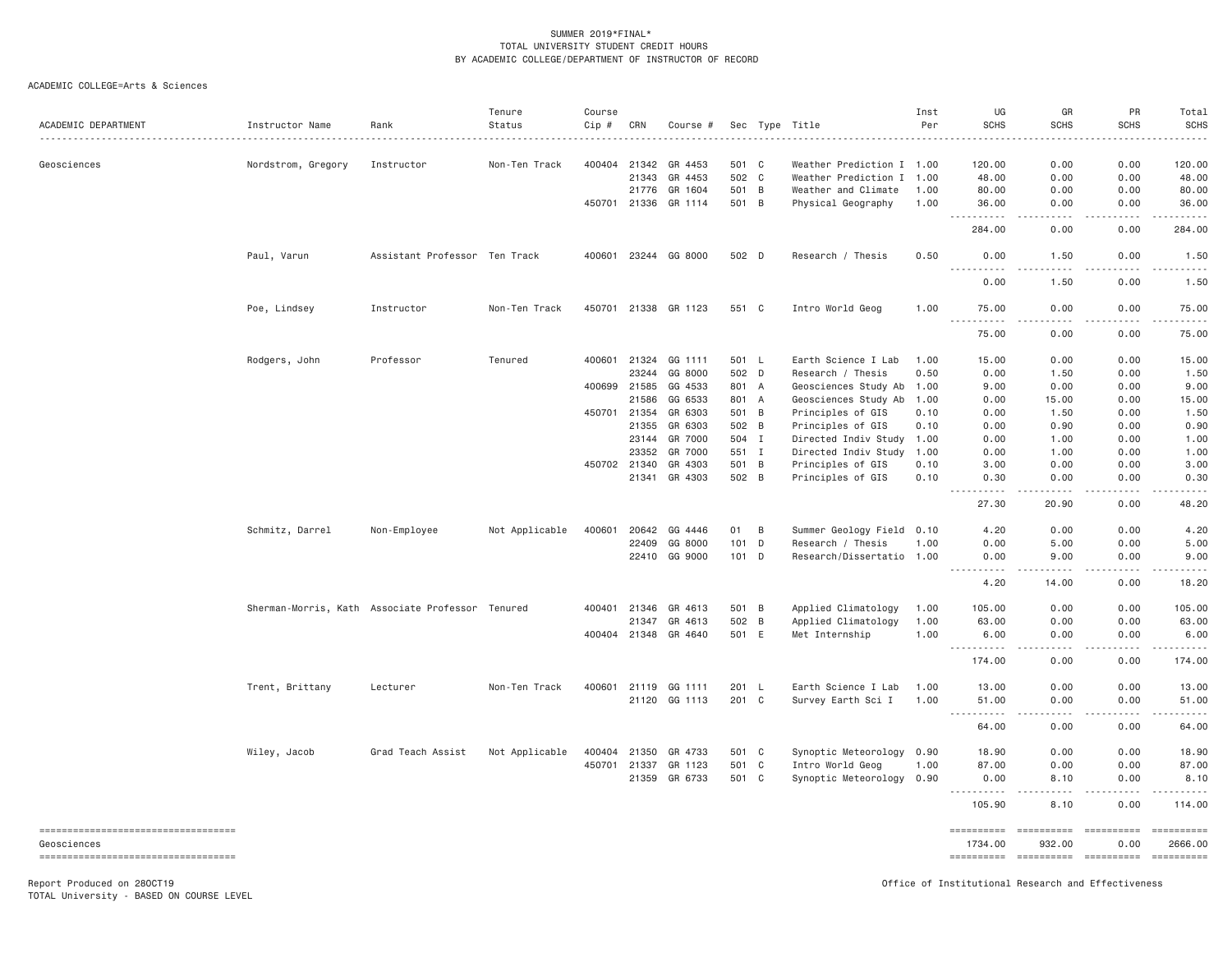ACADEMIC COLLEGE=Arts & Sciences

| ACADEMIC DEPARTMENT                               | Instructor Name    | Rank                                             | Tenure<br>Status | Course<br>Cip # | CRN   | Course #             |         |                | Sec Type Title            | Inst<br>Per | UG<br><b>SCHS</b>                                                                                                                                                                                                                                                                                                                                                                                    | GR<br><b>SCHS</b>                   | PR<br><b>SCHS</b> | Total<br><b>SCHS</b><br>. |
|---------------------------------------------------|--------------------|--------------------------------------------------|------------------|-----------------|-------|----------------------|---------|----------------|---------------------------|-------------|------------------------------------------------------------------------------------------------------------------------------------------------------------------------------------------------------------------------------------------------------------------------------------------------------------------------------------------------------------------------------------------------------|-------------------------------------|-------------------|---------------------------|
| Geosciences                                       | Nordstrom, Gregory | Instructor                                       | Non-Ten Track    | 400404          | 21342 | GR 4453              | 501 C   |                | Weather Prediction I 1.00 |             | 120.00                                                                                                                                                                                                                                                                                                                                                                                               | 0.00                                | 0.00              | 120.00                    |
|                                                   |                    |                                                  |                  |                 | 21343 | GR 4453              | 502 C   |                | Weather Prediction I 1.00 |             | 48.00                                                                                                                                                                                                                                                                                                                                                                                                | 0.00                                | 0.00              | 48.00                     |
|                                                   |                    |                                                  |                  |                 | 21776 | GR 1604              | 501 B   |                | Weather and Climate       | 1.00        | 80.00                                                                                                                                                                                                                                                                                                                                                                                                | 0.00                                | 0.00              | 80.00                     |
|                                                   |                    |                                                  |                  | 450701          | 21336 | GR 1114              | 501 B   |                | Physical Geography        | 1.00        | 36.00                                                                                                                                                                                                                                                                                                                                                                                                | 0.00                                | 0.00              | 36.00                     |
|                                                   |                    |                                                  |                  |                 |       |                      |         |                |                           |             | 284.00                                                                                                                                                                                                                                                                                                                                                                                               | 0.00                                | 0.00              | $    -$<br>284.00         |
|                                                   | Paul, Varun        | Assistant Professor Ten Track                    |                  | 400601          |       | 23244 GG 8000        | 502 D   |                | Research / Thesis         | 0.50        | 0.00                                                                                                                                                                                                                                                                                                                                                                                                 | 1.50                                | 0.00              | 1.50                      |
|                                                   |                    |                                                  |                  |                 |       |                      |         |                |                           |             | $- - -$<br>0.00                                                                                                                                                                                                                                                                                                                                                                                      | 1.50                                | 0.00              | .<br>1.50                 |
|                                                   | Poe, Lindsey       | Instructor                                       | Non-Ten Track    |                 |       | 450701 21338 GR 1123 | 551 C   |                | Intro World Geog          | 1.00        | 75.00<br>.                                                                                                                                                                                                                                                                                                                                                                                           | 0.00                                | 0.00              | 75.00<br>.                |
|                                                   |                    |                                                  |                  |                 |       |                      |         |                |                           |             | 75.00                                                                                                                                                                                                                                                                                                                                                                                                | 0.00                                | 0.00              | 75.00                     |
|                                                   | Rodgers, John      | Professor                                        | Tenured          | 400601          | 21324 | GG 1111              | 501 L   |                | Earth Science I Lab       | 1.00        | 15.00                                                                                                                                                                                                                                                                                                                                                                                                | 0.00                                | 0.00              | 15.00                     |
|                                                   |                    |                                                  |                  |                 | 23244 | GG 8000              | 502 D   |                | Research / Thesis         | 0.50        | 0.00                                                                                                                                                                                                                                                                                                                                                                                                 | 1.50                                | 0.00              | 1.50                      |
|                                                   |                    |                                                  |                  | 400699          | 21585 | GG 4533              | 801 A   |                | Geosciences Study Ab      | 1.00        | 9.00                                                                                                                                                                                                                                                                                                                                                                                                 | 0.00                                | 0.00              | 9.00                      |
|                                                   |                    |                                                  |                  |                 | 21586 | GG 6533              | 801 A   |                | Geosciences Study Ab      | 1.00        | 0.00                                                                                                                                                                                                                                                                                                                                                                                                 | 15.00                               | 0.00              | 15.00                     |
|                                                   |                    |                                                  |                  | 450701          | 21354 | GR 6303              | 501 B   |                | Principles of GIS         | 0.10        | 0.00                                                                                                                                                                                                                                                                                                                                                                                                 | 1.50                                | 0.00              | 1.50                      |
|                                                   |                    |                                                  |                  |                 | 21355 | GR 6303              | 502     | $\overline{B}$ | Principles of GIS         | 0.10        | 0.00                                                                                                                                                                                                                                                                                                                                                                                                 | 0.90                                | 0.00              | 0.90                      |
|                                                   |                    |                                                  |                  |                 | 23144 | GR 7000              | 504 I   |                | Directed Indiv Study      | 1.00        | 0.00                                                                                                                                                                                                                                                                                                                                                                                                 | 1.00                                | 0.00              | 1.00                      |
|                                                   |                    |                                                  |                  |                 | 23352 | GR 7000              | 551 I   |                | Directed Indiv Study      | 1.00        | 0.00                                                                                                                                                                                                                                                                                                                                                                                                 | 1.00                                | 0.00              | 1.00                      |
|                                                   |                    |                                                  |                  | 450702 21340    |       | GR 4303              | 501 B   |                | Principles of GIS         | 0.10        | 3.00                                                                                                                                                                                                                                                                                                                                                                                                 | 0.00                                | 0.00              | 3.00                      |
|                                                   |                    |                                                  |                  |                 | 21341 | GR 4303              | 502 B   |                | Principles of GIS         | 0.10        | 0.30<br>$\frac{1}{2} \frac{1}{2} \frac{1}{2} \frac{1}{2} \frac{1}{2} \frac{1}{2} \frac{1}{2} \frac{1}{2} \frac{1}{2} \frac{1}{2} \frac{1}{2} \frac{1}{2} \frac{1}{2} \frac{1}{2} \frac{1}{2} \frac{1}{2} \frac{1}{2} \frac{1}{2} \frac{1}{2} \frac{1}{2} \frac{1}{2} \frac{1}{2} \frac{1}{2} \frac{1}{2} \frac{1}{2} \frac{1}{2} \frac{1}{2} \frac{1}{2} \frac{1}{2} \frac{1}{2} \frac{1}{2} \frac{$ | 0.00<br>$\sim$ $\sim$ $\sim$        | 0.00<br>.         | 0.30<br>والمناصبات        |
|                                                   |                    |                                                  |                  |                 |       |                      |         |                |                           |             | 27.30                                                                                                                                                                                                                                                                                                                                                                                                | 20.90                               | 0.00              | 48.20                     |
|                                                   | Schmitz, Darrel    | Non-Employee                                     | Not Applicable   | 400601          | 20642 | GG 4446              | 01      | B              | Summer Geology Field 0.10 |             | 4.20                                                                                                                                                                                                                                                                                                                                                                                                 | 0.00                                | 0.00              | 4.20                      |
|                                                   |                    |                                                  |                  |                 | 22409 | GG 8000              | $101$ D |                | Research / Thesis         | 1.00        | 0.00                                                                                                                                                                                                                                                                                                                                                                                                 | 5.00                                | 0.00              | 5.00                      |
|                                                   |                    |                                                  |                  |                 | 22410 | GG 9000              | $101$ D |                | Research/Dissertatio 1.00 |             | 0.00                                                                                                                                                                                                                                                                                                                                                                                                 | 9.00                                | 0.00              | 9.00                      |
|                                                   |                    |                                                  |                  |                 |       |                      |         |                |                           |             | .<br>4.20                                                                                                                                                                                                                                                                                                                                                                                            | $- - - - -$<br>14.00                | .<br>0.00         | .<br>18.20                |
|                                                   |                    | Sherman-Morris, Kath Associate Professor Tenured |                  | 400401          | 21346 | GR 4613              | 501     | B              | Applied Climatology       | 1.00        | 105.00                                                                                                                                                                                                                                                                                                                                                                                               | 0.00                                | 0.00              | 105.00                    |
|                                                   |                    |                                                  |                  |                 | 21347 | GR 4613              | 502 B   |                | Applied Climatology       | 1.00        | 63.00                                                                                                                                                                                                                                                                                                                                                                                                | 0.00                                | 0.00              | 63.00                     |
|                                                   |                    |                                                  |                  | 400404 21348    |       | GR 4640              | 501 E   |                | Met Internship            | 1.00        | 6.00<br>$\sim$ $\sim$ $\sim$<br>.                                                                                                                                                                                                                                                                                                                                                                    | 0.00<br>$\sim$ $\sim$ $\sim$ $\sim$ | 0.00<br>.         | 6.00<br>.                 |
|                                                   |                    |                                                  |                  |                 |       |                      |         |                |                           |             | 174.00                                                                                                                                                                                                                                                                                                                                                                                               | 0.00                                | 0.00              | 174.00                    |
|                                                   | Trent, Brittany    | Lecturer                                         | Non-Ten Track    |                 |       | 400601 21119 GG 1111 | 201 L   |                | Earth Science I Lab       | 1.00        | 13.00                                                                                                                                                                                                                                                                                                                                                                                                | 0.00                                | 0.00              | 13.00                     |
|                                                   |                    |                                                  |                  |                 | 21120 | GG 1113              | 201 C   |                | Survey Earth Sci I        | 1.00        | 51.00                                                                                                                                                                                                                                                                                                                                                                                                | 0.00                                | 0.00              | 51.00                     |
|                                                   |                    |                                                  |                  |                 |       |                      |         |                |                           |             | $\sim$ $\sim$ $\sim$<br>64.00                                                                                                                                                                                                                                                                                                                                                                        | 0.00                                | لأعامل<br>0.00    | د د د د د<br>64.00        |
|                                                   | Wiley, Jacob       | Grad Teach Assist                                | Not Applicable   | 400404          | 21350 | GR 4733              | 501 C   |                | Synoptic Meteorology 0.90 |             | 18.90                                                                                                                                                                                                                                                                                                                                                                                                | 0.00                                | 0.00              | 18.90                     |
|                                                   |                    |                                                  |                  | 450701          | 21337 | GR 1123              | 501 C   |                | Intro World Geog          | 1.00        | 87.00                                                                                                                                                                                                                                                                                                                                                                                                | 0.00                                | 0.00              | 87.00                     |
|                                                   |                    |                                                  |                  |                 | 21359 | GR 6733              | 501 C   |                | Synoptic Meteorology 0.90 |             | 0.00                                                                                                                                                                                                                                                                                                                                                                                                 | 8.10                                | 0.00              | 8.10                      |
|                                                   |                    |                                                  |                  |                 |       |                      |         |                |                           |             | <u> - - - - - - - - - -</u><br>105.90                                                                                                                                                                                                                                                                                                                                                                | $\sim$ $\sim$ $\sim$ $\sim$<br>8.10 | .<br>0.00         | .<br>114.00               |
| ----------------------------------<br>Geosciences |                    |                                                  |                  |                 |       |                      |         |                |                           |             | ==========<br>1734.00                                                                                                                                                                                                                                                                                                                                                                                | 932.00                              | 0.00              | 2666.00                   |
| ======================================            |                    |                                                  |                  |                 |       |                      |         |                |                           |             | =======================                                                                                                                                                                                                                                                                                                                                                                              |                                     | ==========        |                           |

TOTAL University - BASED ON COURSE LEVEL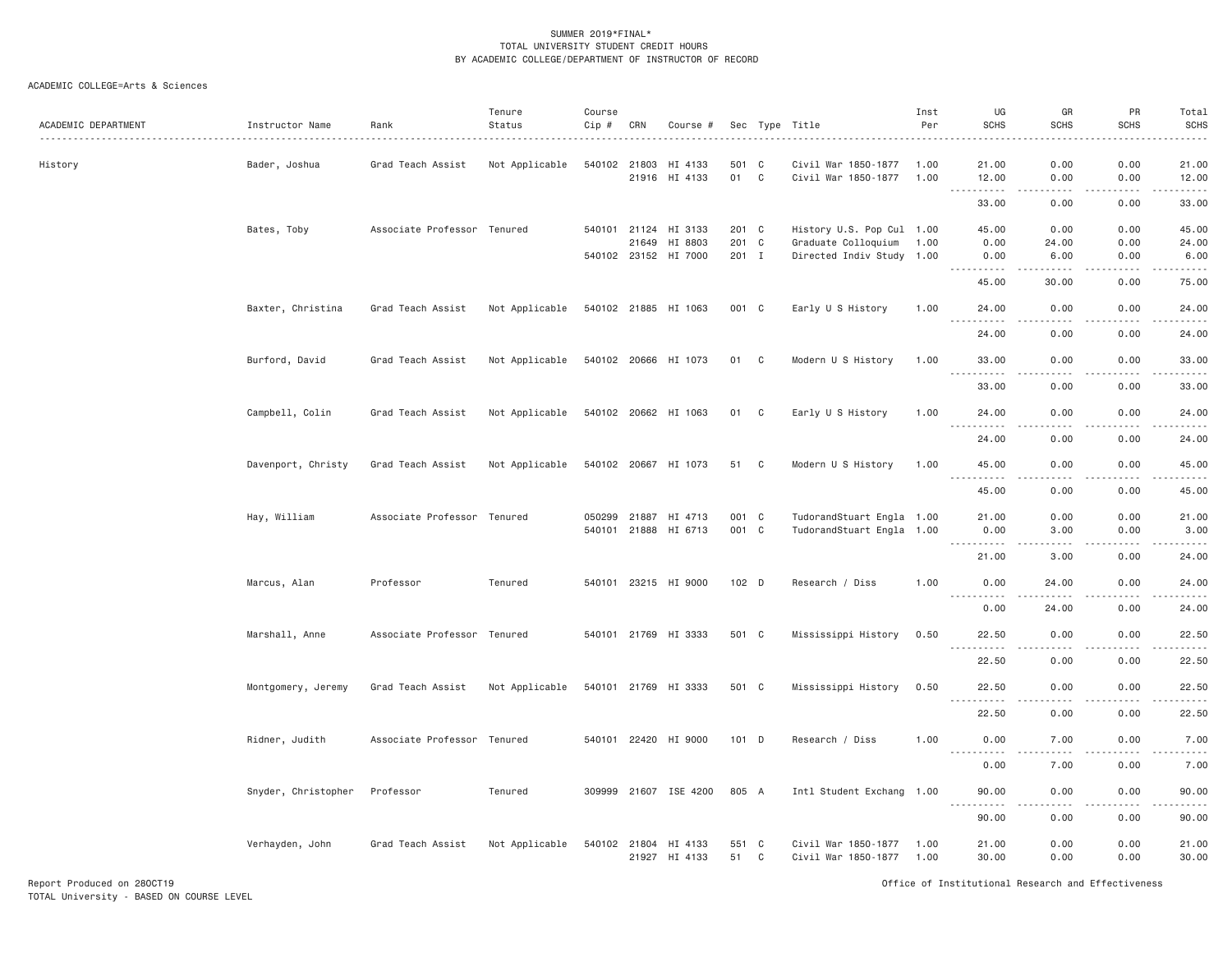| ACADEMIC DEPARTMENT | Instructor Name     | Rank                        | Tenure<br>Status | Course<br>Cip # | CRN   | Course #                              |               |             | Sec Type Title                                   | Inst<br>Per  | UG<br><b>SCHS</b>                                                                                                                                                                                                                                                                                                                                                                                          | GR<br><b>SCHS</b>     | PR<br><b>SCHS</b>            | Total<br>SCHS<br>$    -$ |
|---------------------|---------------------|-----------------------------|------------------|-----------------|-------|---------------------------------------|---------------|-------------|--------------------------------------------------|--------------|------------------------------------------------------------------------------------------------------------------------------------------------------------------------------------------------------------------------------------------------------------------------------------------------------------------------------------------------------------------------------------------------------------|-----------------------|------------------------------|--------------------------|
| History             | Bader, Joshua       | Grad Teach Assist           | Not Applicable   | 540102 21803    |       | HI 4133<br>21916 HI 4133              | 501 C<br>01 C |             | Civil War 1850-1877<br>Civil War 1850-1877       | 1.00<br>1.00 | 21.00<br>12.00                                                                                                                                                                                                                                                                                                                                                                                             | 0.00<br>0.00          | 0.00<br>0.00                 | 21.00<br>12.00           |
|                     |                     |                             |                  |                 |       |                                       |               |             |                                                  |              | .<br>33.00                                                                                                                                                                                                                                                                                                                                                                                                 | $\frac{1}{2}$<br>0.00 | $\sim$ $\sim$ $\sim$<br>0.00 | .<br>33.00               |
|                     |                     |                             |                  |                 |       |                                       |               |             |                                                  |              |                                                                                                                                                                                                                                                                                                                                                                                                            |                       |                              |                          |
|                     | Bates, Toby         | Associate Professor Tenured |                  |                 | 21649 | 540101 21124 HI 3133<br>HI 8803       | 201 C<br>201  | $\mathbf C$ | History U.S. Pop Cul 1.00<br>Graduate Colloquium | 1.00         | 45.00<br>0.00                                                                                                                                                                                                                                                                                                                                                                                              | 0.00<br>24.00         | 0.00<br>0.00                 | 45.00<br>24.00           |
|                     |                     |                             |                  |                 |       | 540102 23152 HI 7000                  | 201 I         |             | Directed Indiv Study 1.00                        |              | 0.00                                                                                                                                                                                                                                                                                                                                                                                                       | 6.00                  | 0.00                         | 6.00                     |
|                     |                     |                             |                  |                 |       |                                       |               |             |                                                  |              | 45.00                                                                                                                                                                                                                                                                                                                                                                                                      | 30.00                 | 0.00                         | وبالمحامي<br>75.00       |
|                     | Baxter, Christina   | Grad Teach Assist           | Not Applicable   |                 |       | 540102 21885 HI 1063                  | 001 C         |             | Early U S History                                | 1.00         | 24.00                                                                                                                                                                                                                                                                                                                                                                                                      | 0.00                  | 0.00                         | 24.00                    |
|                     |                     |                             |                  |                 |       |                                       |               |             |                                                  |              | 24.00                                                                                                                                                                                                                                                                                                                                                                                                      | 0.00                  | 0.00                         | .<br>24.00               |
|                     | Burford, David      | Grad Teach Assist           | Not Applicable   |                 |       | 540102 20666 HI 1073                  | 01            | C           | Modern U S History                               | 1.00         | 33.00                                                                                                                                                                                                                                                                                                                                                                                                      | 0.00                  | 0.00                         | 33.00                    |
|                     |                     |                             |                  |                 |       |                                       |               |             |                                                  |              | 33.00                                                                                                                                                                                                                                                                                                                                                                                                      | 0.00                  | 0.00                         | 33.00                    |
|                     | Campbell, Colin     | Grad Teach Assist           | Not Applicable   |                 |       | 540102 20662 HI 1063                  | 01 C          |             | Early U S History                                | 1.00         | 24.00                                                                                                                                                                                                                                                                                                                                                                                                      | 0.00                  | 0.00                         | 24.00                    |
|                     |                     |                             |                  |                 |       |                                       |               |             |                                                  |              | $\frac{1}{2} \frac{1}{2} \frac{1}{2} \frac{1}{2} \frac{1}{2} \frac{1}{2} \frac{1}{2} \frac{1}{2} \frac{1}{2} \frac{1}{2} \frac{1}{2} \frac{1}{2} \frac{1}{2} \frac{1}{2} \frac{1}{2} \frac{1}{2} \frac{1}{2} \frac{1}{2} \frac{1}{2} \frac{1}{2} \frac{1}{2} \frac{1}{2} \frac{1}{2} \frac{1}{2} \frac{1}{2} \frac{1}{2} \frac{1}{2} \frac{1}{2} \frac{1}{2} \frac{1}{2} \frac{1}{2} \frac{$<br>.<br>24.00 | .<br>0.00             | -----<br>0.00                | .<br>24.00               |
|                     | Davenport, Christy  | Grad Teach Assist           | Not Applicable   |                 |       | 540102 20667 HI 1073                  | 51            | C           | Modern U S History                               | 1.00         | 45.00                                                                                                                                                                                                                                                                                                                                                                                                      | 0.00                  | 0.00                         | 45.00                    |
|                     |                     |                             |                  |                 |       |                                       |               |             |                                                  |              | .<br>45.00                                                                                                                                                                                                                                                                                                                                                                                                 | .<br>0.00             | .<br>0.00                    | .<br>45.00               |
|                     | Hay, William        | Associate Professor Tenured |                  | 050299          | 21887 | HI 4713                               | 001 C         |             | TudorandStuart Engla 1.00                        |              | 21.00                                                                                                                                                                                                                                                                                                                                                                                                      | 0.00                  | 0.00                         | 21.00                    |
|                     |                     |                             |                  |                 |       | 540101 21888 HI 6713                  | 001 C         |             | TudorandStuart Engla 1.00                        |              | 0.00                                                                                                                                                                                                                                                                                                                                                                                                       | 3.00                  | 0.00                         | 3.00                     |
|                     |                     |                             |                  |                 |       |                                       |               |             |                                                  |              | ------<br>21.00                                                                                                                                                                                                                                                                                                                                                                                            | 3.00                  | 0.00                         | والمستحدث<br>24.00       |
|                     | Marcus, Alan        | Professor                   | Tenured          |                 |       | 540101 23215 HI 9000                  | 102 D         |             | Research / Diss                                  | 1.00         | 0.00                                                                                                                                                                                                                                                                                                                                                                                                       | 24.00                 | 0.00                         | 24.00                    |
|                     |                     |                             |                  |                 |       |                                       |               |             |                                                  |              | $- - - - -$<br>0.00                                                                                                                                                                                                                                                                                                                                                                                        | ----<br>24.00         | $  -$<br>0.00                | .<br>24.00               |
|                     | Marshall, Anne      | Associate Professor Tenured |                  |                 |       | 540101 21769 HI 3333                  | 501 C         |             | Mississippi History                              | 0.50         | 22.50                                                                                                                                                                                                                                                                                                                                                                                                      | 0.00                  | 0.00                         | 22.50                    |
|                     |                     |                             |                  |                 |       |                                       |               |             |                                                  |              | $\sim$ $\sim$ $\sim$<br>22.50                                                                                                                                                                                                                                                                                                                                                                              | 0.00                  | 0.00                         | د د د د د<br>22.50       |
|                     | Montgomery, Jeremy  | Grad Teach Assist           | Not Applicable   |                 |       | 540101 21769 HI 3333                  | 501 C         |             | Mississippi History                              | 0.50         | 22.50<br><u>.</u>                                                                                                                                                                                                                                                                                                                                                                                          | 0.00<br>.             | 0.00<br>.                    | 22.50<br>.               |
|                     |                     |                             |                  |                 |       |                                       |               |             |                                                  |              | 22.50                                                                                                                                                                                                                                                                                                                                                                                                      | 0.00                  | 0.00                         | 22.50                    |
|                     | Ridner, Judith      | Associate Professor Tenured |                  |                 |       | 540101 22420 HI 9000                  | $101$ D       |             | Research / Diss                                  | 1.00         | 0.00                                                                                                                                                                                                                                                                                                                                                                                                       | 7.00                  | 0.00<br>$- - - -$            | 7.00<br>.                |
|                     |                     |                             |                  |                 |       |                                       |               |             |                                                  |              | 0.00                                                                                                                                                                                                                                                                                                                                                                                                       | 7.00                  | 0.00                         | 7.00                     |
|                     | Snyder, Christopher | Professor                   | Tenured          |                 |       | 309999 21607 ISE 4200                 | 805 A         |             | Intl Student Exchang 1.00                        |              | 90.00<br>.                                                                                                                                                                                                                                                                                                                                                                                                 | 0.00<br>----          | 0.00<br>$  -$                | 90.00<br>.               |
|                     |                     |                             |                  |                 |       |                                       |               |             |                                                  |              | 90.00                                                                                                                                                                                                                                                                                                                                                                                                      | 0.00                  | 0.00                         | 90.00                    |
|                     | Verhayden, John     | Grad Teach Assist           | Not Applicable   |                 |       | 540102 21804 HI 4133<br>21927 HI 4133 | 551 C<br>51   | C           | Civil War 1850-1877<br>Civil War 1850-1877       | 1.00<br>1.00 | 21.00<br>30.00                                                                                                                                                                                                                                                                                                                                                                                             | 0.00<br>0.00          | 0.00<br>0.00                 | 21.00<br>30.00           |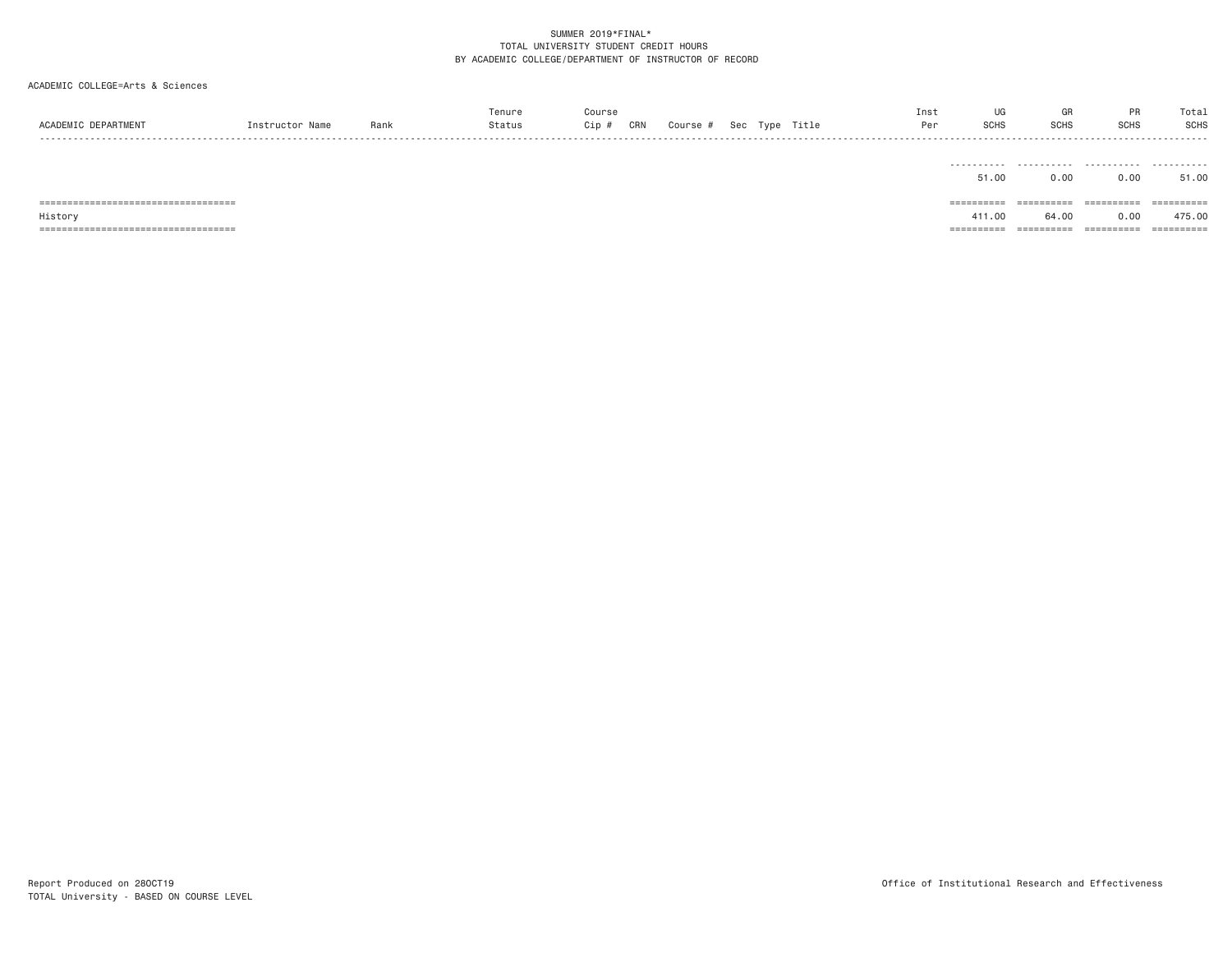| ACADEMIC DEPARTMENT                    | Instructor Name | Rank | Tenure<br>Status | Course<br>Cip #<br>CRN | Course # Sec Type Title |  | Inst<br>Per | UG<br>SCHS | GR<br><b>SCHS</b> | <b>PR</b><br><b>SCHS</b> | Total<br>SCHS |
|----------------------------------------|-----------------|------|------------------|------------------------|-------------------------|--|-------------|------------|-------------------|--------------------------|---------------|
|                                        |                 |      |                  |                        |                         |  |             | .<br>51.00 | 0.00              | 0.00                     | .<br>51.00    |
|                                        |                 |      |                  |                        |                         |  |             | ========== |                   | ==========               | -----------   |
| History                                |                 |      |                  |                        |                         |  |             | 411.00     | 64.00             | 0.00                     | 475.00        |
| ______________________________________ |                 |      |                  |                        |                         |  |             | ========== | ==========        | ==========               | ==========    |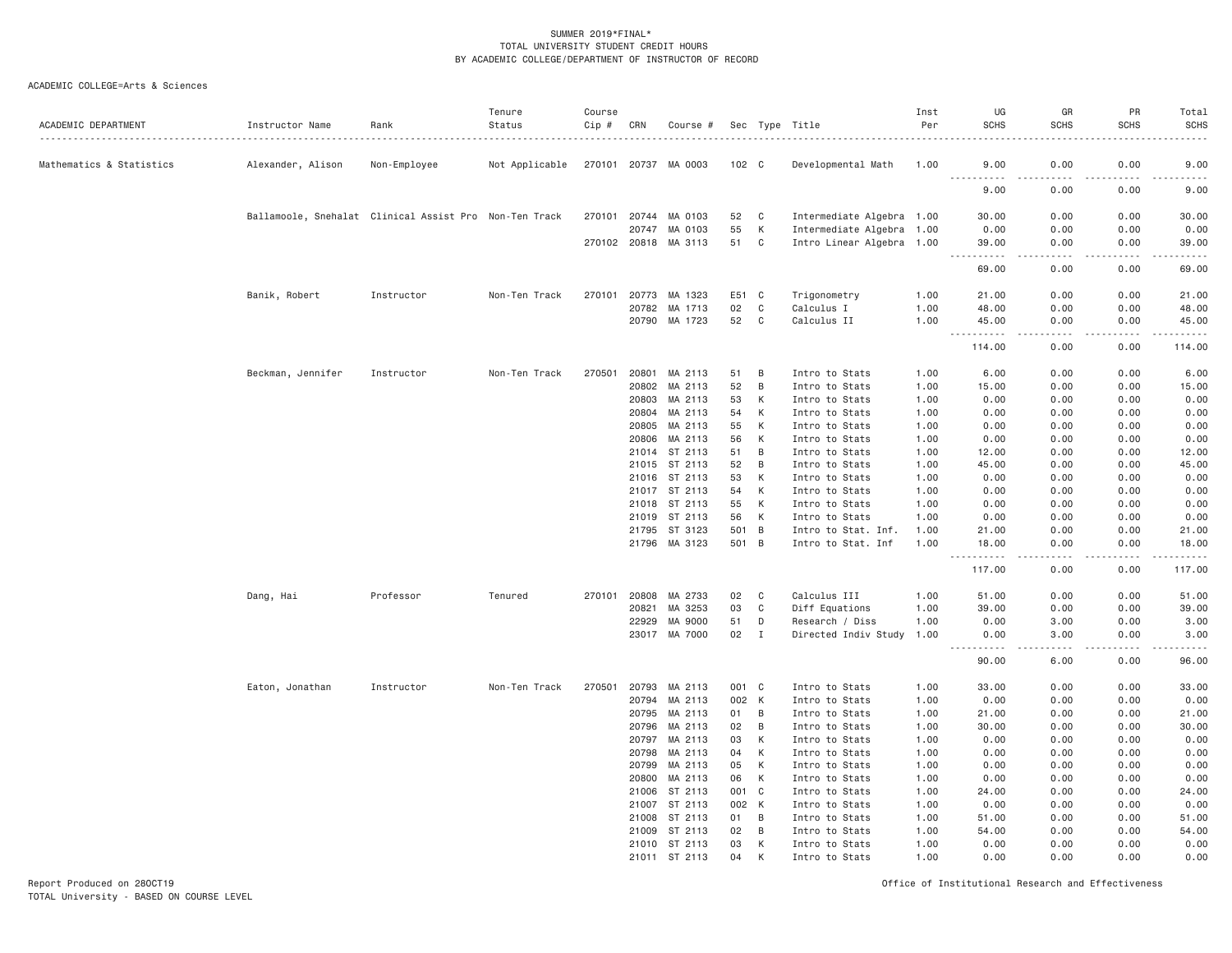ACADEMIC COLLEGE=Arts & Sciences

| ACADEMIC DEPARTMENT      | Instructor Name                                        | Rank         | Tenure<br>Status | Course<br>Cip # | CRN   | Course #             |       |                | Sec Type Title            | Inst<br>Per | UG<br><b>SCHS</b>                    | GR<br><b>SCHS</b> | PR<br><b>SCHS</b> | Total<br><b>SCHS</b>                                                                                                                                         |
|--------------------------|--------------------------------------------------------|--------------|------------------|-----------------|-------|----------------------|-------|----------------|---------------------------|-------------|--------------------------------------|-------------------|-------------------|--------------------------------------------------------------------------------------------------------------------------------------------------------------|
| Mathematics & Statistics | Alexander, Alison                                      | Non-Employee | Not Applicable   |                 |       | 270101 20737 MA 0003 | 102 C |                | Developmental Math        | 1.00        | 9.00                                 | 0.00              | 0.00              | 9.00                                                                                                                                                         |
|                          |                                                        |              |                  |                 |       |                      |       |                |                           |             | <u> - - - - - - - - - -</u><br>9.00  | .<br>0.00         | $- - - -$<br>0.00 | $\frac{1}{2} \left( \frac{1}{2} \right) \left( \frac{1}{2} \right) \left( \frac{1}{2} \right) \left( \frac{1}{2} \right) \left( \frac{1}{2} \right)$<br>9.00 |
|                          | Ballamoole, Snehalat Clinical Assist Pro Non-Ten Track |              |                  | 270101          | 20744 | MA 0103              | 52    | C              | Intermediate Algebra 1.00 |             | 30.00                                | 0.00              | 0.00              | 30.00                                                                                                                                                        |
|                          |                                                        |              |                  |                 | 20747 | MA 0103              | 55    | К              | Intermediate Algebra 1.00 |             | 0.00                                 | 0.00              | 0.00              | 0.00                                                                                                                                                         |
|                          |                                                        |              |                  |                 |       | 270102 20818 MA 3113 | 51    | C              | Intro Linear Algebra 1.00 |             | 39.00<br><u> - - - - - - - - - -</u> | 0.00<br>.         | 0.00              | 39.00<br>المتمامين                                                                                                                                           |
|                          |                                                        |              |                  |                 |       |                      |       |                |                           |             | 69.00                                | 0.00              | 0.00              | 69.00                                                                                                                                                        |
|                          | Banik, Robert                                          | Instructor   | Non-Ten Track    | 270101          | 20773 | MA 1323              | E51   | $\mathbf{C}$   | Trigonometry              | 1.00        | 21.00                                | 0.00              | 0.00              | 21.00                                                                                                                                                        |
|                          |                                                        |              |                  |                 | 20782 | MA 1713              | 02    | C              | Calculus I                | 1.00        | 48.00                                | 0.00              | 0.00              | 48.00                                                                                                                                                        |
|                          |                                                        |              |                  |                 | 20790 | MA 1723              | 52    | C              | Calculus II               | 1.00        | 45.00<br>.<br>$\sim$ $\sim$ $\sim$   | 0.00<br>.         | 0.00<br>.         | 45.00<br>.                                                                                                                                                   |
|                          |                                                        |              |                  |                 |       |                      |       |                |                           |             | 114.00                               | 0.00              | 0.00              | 114.00                                                                                                                                                       |
|                          | Beckman, Jennifer                                      | Instructor   | Non-Ten Track    | 270501          | 20801 | MA 2113              | 51    | B              | Intro to Stats            | 1.00        | 6.00                                 | 0.00              | 0.00              | 6.00                                                                                                                                                         |
|                          |                                                        |              |                  |                 | 20802 | MA 2113              | 52    | B              | Intro to Stats            | 1.00        | 15.00                                | 0.00              | 0.00              | 15.00                                                                                                                                                        |
|                          |                                                        |              |                  |                 | 20803 | MA 2113              | 53    | К              | Intro to Stats            | 1.00        | 0.00                                 | 0.00              | 0.00              | 0.00                                                                                                                                                         |
|                          |                                                        |              |                  |                 | 20804 | MA 2113              | 54    | К              | Intro to Stats            | 1.00        | 0.00                                 | 0.00              | 0.00              | 0.00                                                                                                                                                         |
|                          |                                                        |              |                  |                 | 20805 | MA 2113              | 55    | К              | Intro to Stats            | 1.00        | 0.00                                 | 0.00              | 0.00              | 0.00                                                                                                                                                         |
|                          |                                                        |              |                  |                 | 20806 | MA 2113              | 56    | К              | Intro to Stats            | 1.00        | 0.00                                 | 0.00              | 0.00              | 0.00                                                                                                                                                         |
|                          |                                                        |              |                  |                 |       | 21014 ST 2113        | 51    | B              | Intro to Stats            | 1.00        | 12.00                                | 0.00              | 0.00              | 12.00                                                                                                                                                        |
|                          |                                                        |              |                  |                 | 21015 | ST 2113              | 52    | B              | Intro to Stats            | 1.00        | 45.00                                | 0.00              | 0.00              | 45.00                                                                                                                                                        |
|                          |                                                        |              |                  |                 | 21016 | ST 2113              | 53    | К              | Intro to Stats            | 1.00        | 0.00                                 | 0.00              | 0.00              | 0.00                                                                                                                                                         |
|                          |                                                        |              |                  |                 | 21017 | ST 2113              | 54    | К              | Intro to Stats            | 1.00        | 0.00                                 | 0.00              | 0.00              | 0.00                                                                                                                                                         |
|                          |                                                        |              |                  |                 | 21018 | ST 2113              | 55    | К              | Intro to Stats            | 1.00        | 0.00                                 | 0.00              | 0.00              | 0.00                                                                                                                                                         |
|                          |                                                        |              |                  |                 | 21019 | ST 2113              | 56    | К              | Intro to Stats            | 1.00        | 0.00                                 | 0.00              | 0.00              | 0.00                                                                                                                                                         |
|                          |                                                        |              |                  |                 | 21795 | ST 3123              | 501   | $\overline{B}$ | Intro to Stat. Inf.       | 1.00        | 21.00                                | 0.00              | 0.00              | 21.00                                                                                                                                                        |
|                          |                                                        |              |                  |                 |       | 21796 MA 3123        | 501 B |                | Intro to Stat. Inf        | 1.00        | 18.00<br>.                           | 0.00<br>.         | 0.00<br>.         | 18.00<br>.                                                                                                                                                   |
|                          |                                                        |              |                  |                 |       |                      |       |                |                           |             | 117.00                               | 0.00              | 0.00              | 117.00                                                                                                                                                       |
|                          | Dang, Hai                                              | Professor    | Tenured          | 270101          | 20808 | MA 2733              | 02    | C              | Calculus III              | 1.00        | 51.00                                | 0.00              | 0.00              | 51.00                                                                                                                                                        |
|                          |                                                        |              |                  |                 | 20821 | MA 3253              | 03    | C              | Diff Equations            | 1.00        | 39,00                                | 0.00              | 0.00              | 39.00                                                                                                                                                        |
|                          |                                                        |              |                  |                 | 22929 | MA 9000              | 51    | D              | Research / Diss           | 1.00        | 0.00                                 | 3.00              | 0.00              | 3.00                                                                                                                                                         |
|                          |                                                        |              |                  |                 |       | 23017 MA 7000        | 02    | I              | Directed Indiv Study      | 1.00        | 0.00<br>.<br>$  -$                   | 3.00<br>.         | 0.00<br>-----     | 3.00<br>المستماما                                                                                                                                            |
|                          |                                                        |              |                  |                 |       |                      |       |                |                           |             | 90.00                                | 6.00              | 0.00              | 96.00                                                                                                                                                        |
|                          | Eaton, Jonathan                                        | Instructor   | Non-Ten Track    | 270501          | 20793 | MA 2113              | 001 C |                | Intro to Stats            | 1.00        | 33.00                                | 0.00              | 0.00              | 33.00                                                                                                                                                        |
|                          |                                                        |              |                  |                 | 20794 | MA 2113              | 002 K |                | Intro to Stats            | 1.00        | 0.00                                 | 0.00              | 0.00              | 0.00                                                                                                                                                         |
|                          |                                                        |              |                  |                 | 20795 | MA 2113              | 01    | B              | Intro to Stats            | 1.00        | 21.00                                | 0.00              | 0.00              | 21.00                                                                                                                                                        |
|                          |                                                        |              |                  |                 | 20796 | MA 2113              | 02    | B              | Intro to Stats            | 1.00        | 30.00                                | 0.00              | 0.00              | 30.00                                                                                                                                                        |
|                          |                                                        |              |                  |                 | 20797 | MA 2113              | 03    | К              | Intro to Stats            | 1.00        | 0.00                                 | 0.00              | 0.00              | 0.00                                                                                                                                                         |
|                          |                                                        |              |                  |                 | 20798 | MA 2113              | 04    | К              | Intro to Stats            | 1.00        | 0.00                                 | 0.00              | 0.00              | 0.00                                                                                                                                                         |
|                          |                                                        |              |                  |                 | 20799 | MA 2113              | 05    | К              | Intro to Stats            | 1.00        | 0.00                                 | 0.00              | 0.00              | 0.00                                                                                                                                                         |
|                          |                                                        |              |                  |                 | 20800 | MA 2113              | 06    | К              | Intro to Stats            | 1.00        | 0.00                                 | 0.00              | 0.00              | 0.00                                                                                                                                                         |
|                          |                                                        |              |                  |                 | 21006 | ST 2113              | 001   | C              | Intro to Stats            | 1.00        | 24.00                                | 0.00              | 0.00              | 24.00                                                                                                                                                        |
|                          |                                                        |              |                  |                 | 21007 | ST 2113              | 002   | K              | Intro to Stats            | 1.00        | 0.00                                 | 0.00              | 0.00              | 0.00                                                                                                                                                         |
|                          |                                                        |              |                  |                 | 21008 | ST 2113              | 01    | B              | Intro to Stats            | 1.00        | 51.00                                | 0.00              | 0.00              | 51.00                                                                                                                                                        |
|                          |                                                        |              |                  |                 | 21009 | ST 2113              | 02    | B              | Intro to Stats            | 1.00        | 54.00                                | 0.00              | 0.00              | 54.00                                                                                                                                                        |
|                          |                                                        |              |                  |                 |       | 21010 ST 2113        | 03    | К              | Intro to Stats            | 1.00        | 0.00                                 | 0.00              | 0.00              | 0.00                                                                                                                                                         |
|                          |                                                        |              |                  |                 |       | 21011 ST 2113        | 04    | K              | Intro to Stats            | 1.00        | 0.00                                 | 0.00              | 0.00              | 0.00                                                                                                                                                         |

Report Produced on 28OCT19 Office of Institutional Research and Effectiveness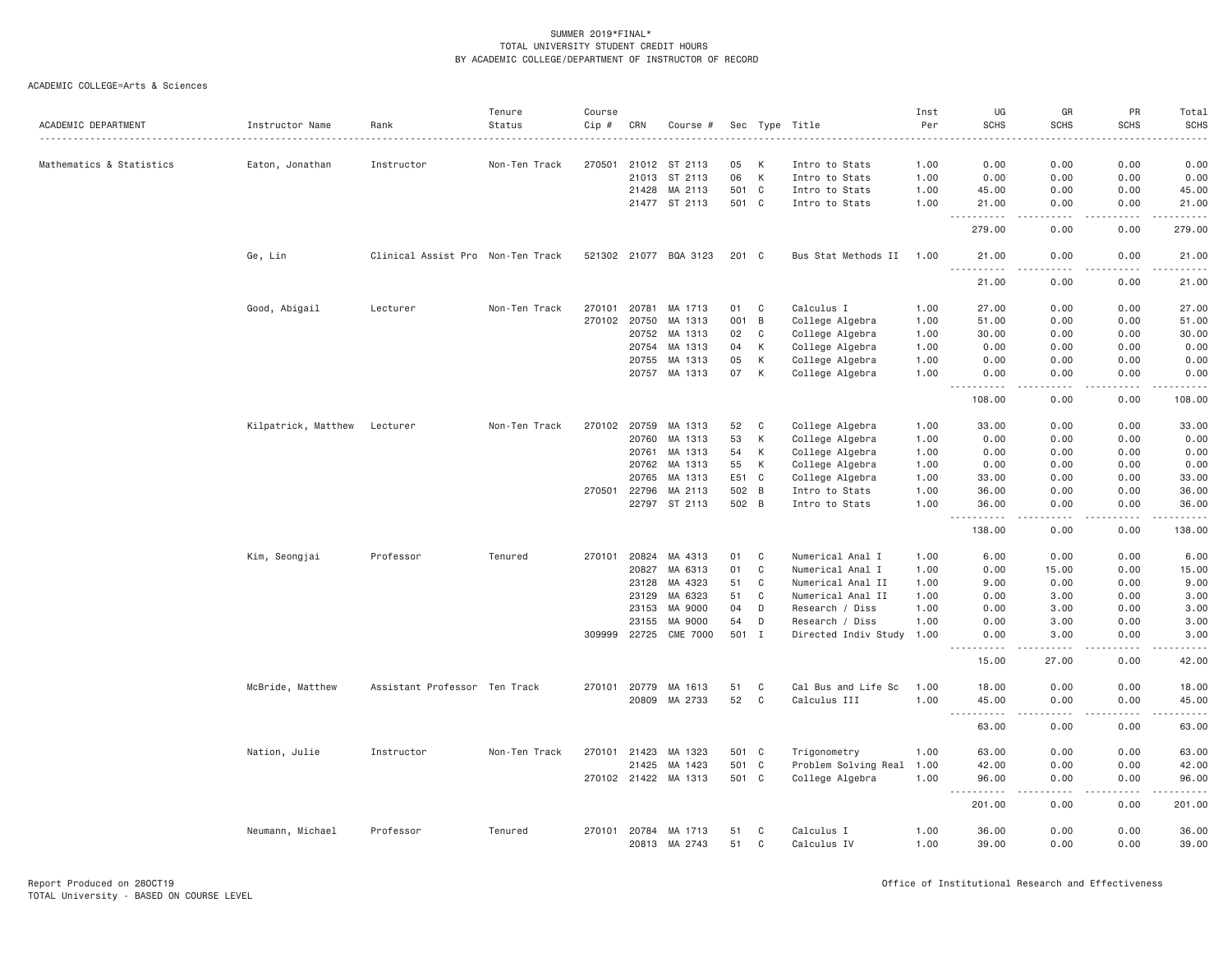| ACADEMIC DEPARTMENT      | Instructor Name     | Rank                              | Tenure<br>Status | Course<br>Cip # | CRN            | Course #              |          |                | Sec Type Title            | Inst<br>Per  | UG<br><b>SCHS</b>                                                                                                                                                                                                                                                                                                                                                                                          | GR<br><b>SCHS</b>                   | PR<br><b>SCHS</b> | Total<br><b>SCHS</b>                                                                                                                                         |
|--------------------------|---------------------|-----------------------------------|------------------|-----------------|----------------|-----------------------|----------|----------------|---------------------------|--------------|------------------------------------------------------------------------------------------------------------------------------------------------------------------------------------------------------------------------------------------------------------------------------------------------------------------------------------------------------------------------------------------------------------|-------------------------------------|-------------------|--------------------------------------------------------------------------------------------------------------------------------------------------------------|
|                          |                     |                                   | .                |                 |                |                       |          |                |                           | <u>.</u>     |                                                                                                                                                                                                                                                                                                                                                                                                            | .                                   |                   | $\frac{1}{2}$                                                                                                                                                |
| Mathematics & Statistics | Eaton, Jonathan     | Instructor                        | Non-Ten Track    | 270501          |                | 21012 ST 2113         | 05       | К              | Intro to Stats            | 1.00         | 0.00                                                                                                                                                                                                                                                                                                                                                                                                       | 0.00                                | 0.00              | 0.00                                                                                                                                                         |
|                          |                     |                                   |                  |                 | 21013          | ST 2113               | 06       | $\mathsf{K}$   | Intro to Stats            | 1.00         | 0.00                                                                                                                                                                                                                                                                                                                                                                                                       | 0.00                                | 0.00              | 0.00                                                                                                                                                         |
|                          |                     |                                   |                  |                 | 21428          | MA 2113               | 501 C    |                | Intro to Stats            | 1.00         | 45.00                                                                                                                                                                                                                                                                                                                                                                                                      | 0.00                                | 0.00              | 45.00                                                                                                                                                        |
|                          |                     |                                   |                  |                 |                | 21477 ST 2113         | 501 C    |                | Intro to Stats            | 1.00         | 21.00<br>$\sim$ $\sim$ $\sim$<br><b><i><u>.</u></i></b>                                                                                                                                                                                                                                                                                                                                                    | 0.00<br>$- - -$                     | 0.00<br>.         | 21.00<br>.                                                                                                                                                   |
|                          |                     |                                   |                  |                 |                |                       |          |                |                           |              | 279.00                                                                                                                                                                                                                                                                                                                                                                                                     | 0.00                                | 0.00              | 279.00                                                                                                                                                       |
|                          | Ge, Lin             | Clinical Assist Pro Non-Ten Track |                  |                 |                | 521302 21077 BQA 3123 | 201 C    |                | Bus Stat Methods II 1.00  |              | 21.00<br>$\frac{1}{2} \frac{1}{2} \frac{1}{2} \frac{1}{2} \frac{1}{2}$                                                                                                                                                                                                                                                                                                                                     | 0.00                                | 0.00              | 21.00                                                                                                                                                        |
|                          |                     |                                   |                  |                 |                |                       |          |                |                           |              | 21.00                                                                                                                                                                                                                                                                                                                                                                                                      | 0.00                                | 0.00              | 21.00                                                                                                                                                        |
|                          | Good, Abigail       | Lecturer                          | Non-Ten Track    | 270101          | 20781          | MA 1713               | 01       | C              | Calculus I                | 1.00         | 27.00                                                                                                                                                                                                                                                                                                                                                                                                      | 0.00                                | 0.00              | 27.00                                                                                                                                                        |
|                          |                     |                                   |                  | 270102          | 20750          | MA 1313               | 001      | B              | College Algebra           | 1.00         | 51.00                                                                                                                                                                                                                                                                                                                                                                                                      | 0.00                                | 0.00              | 51.00                                                                                                                                                        |
|                          |                     |                                   |                  |                 | 20752          | MA 1313               | 02       | $\mathbb C$    | College Algebra           | 1.00         | 30.00                                                                                                                                                                                                                                                                                                                                                                                                      | 0.00                                | 0.00              | 30.00                                                                                                                                                        |
|                          |                     |                                   |                  |                 | 20754          | MA 1313               | 04       | К              | College Algebra           | 1.00         | 0.00                                                                                                                                                                                                                                                                                                                                                                                                       | 0.00                                | 0.00              | 0.00                                                                                                                                                         |
|                          |                     |                                   |                  |                 | 20755          | MA 1313               | 05       | К              | College Algebra           | 1.00         | 0.00                                                                                                                                                                                                                                                                                                                                                                                                       | 0.00                                | 0.00              | 0.00                                                                                                                                                         |
|                          |                     |                                   |                  |                 | 20757          | MA 1313               | 07       | К              | College Algebra           | 1.00         | 0.00<br>.<br>$  -$                                                                                                                                                                                                                                                                                                                                                                                         | 0.00<br>.                           | 0.00<br>.         | 0.00<br>$- - - - - -$                                                                                                                                        |
|                          |                     |                                   |                  |                 |                |                       |          |                |                           |              | 108.00                                                                                                                                                                                                                                                                                                                                                                                                     | 0.00                                | 0.00              | 108.00                                                                                                                                                       |
|                          | Kilpatrick, Matthew | Lecturer                          | Non-Ten Track    |                 | 270102 20759   | MA 1313               | 52       | C              | College Algebra           | 1.00         | 33.00                                                                                                                                                                                                                                                                                                                                                                                                      | 0.00                                | 0.00              | 33.00                                                                                                                                                        |
|                          |                     |                                   |                  |                 | 20760          | MA 1313               | 53       | К              | College Algebra           | 1.00         | 0.00                                                                                                                                                                                                                                                                                                                                                                                                       | 0.00                                | 0.00              | 0.00                                                                                                                                                         |
|                          |                     |                                   |                  |                 | 20761          | MA 1313               | 54       | К              | College Algebra           | 1.00         | 0.00                                                                                                                                                                                                                                                                                                                                                                                                       | 0.00                                | 0.00              | 0.00                                                                                                                                                         |
|                          |                     |                                   |                  |                 | 20762          | MA 1313               | 55       | K              | College Algebra           | 1.00         | 0.00                                                                                                                                                                                                                                                                                                                                                                                                       | 0.00                                | 0.00              | 0.00                                                                                                                                                         |
|                          |                     |                                   |                  |                 | 20765          | MA 1313               | E51      | $\mathbf{C}$   | College Algebra           | 1.00         | 33.00                                                                                                                                                                                                                                                                                                                                                                                                      | 0.00                                | 0.00              | 33.00                                                                                                                                                        |
|                          |                     |                                   |                  | 270501          | 22796          | MA 2113               | 502      | $\overline{B}$ | Intro to Stats            | 1.00         | 36.00                                                                                                                                                                                                                                                                                                                                                                                                      | 0.00                                | 0.00              | 36.00                                                                                                                                                        |
|                          |                     |                                   |                  |                 |                | 22797 ST 2113         | 502 B    |                | Intro to Stats            | 1.00         | 36.00                                                                                                                                                                                                                                                                                                                                                                                                      | 0.00                                | 0.00              | 36.00                                                                                                                                                        |
|                          |                     |                                   |                  |                 |                |                       |          |                |                           |              | $\sim$ $\sim$ $\sim$<br>.<br>138.00                                                                                                                                                                                                                                                                                                                                                                        | 0.00                                | 0.00              | 138.00                                                                                                                                                       |
|                          | Kim, Seongjai       | Professor                         | Tenured          | 270101          | 20824          | MA 4313               | 01       | $\mathbf C$    | Numerical Anal I          | 1.00         | 6.00                                                                                                                                                                                                                                                                                                                                                                                                       | 0.00                                | 0.00              | 6.00                                                                                                                                                         |
|                          |                     |                                   |                  |                 | 20827          | MA 6313               | 01       | $\mathbf C$    | Numerical Anal I          | 1.00         | 0.00                                                                                                                                                                                                                                                                                                                                                                                                       | 15.00                               | 0.00              | 15.00                                                                                                                                                        |
|                          |                     |                                   |                  |                 | 23128          | MA 4323               | 51       | $\mathbf{C}$   | Numerical Anal II         | 1.00         | 9.00                                                                                                                                                                                                                                                                                                                                                                                                       | 0.00                                | 0.00              | 9.00                                                                                                                                                         |
|                          |                     |                                   |                  |                 | 23129          | MA 6323               | 51       | C              | Numerical Anal II         | 1.00         | 0.00                                                                                                                                                                                                                                                                                                                                                                                                       | 3.00                                | 0.00              | 3.00                                                                                                                                                         |
|                          |                     |                                   |                  |                 | 23153          | MA 9000               | 04       | D              | Research / Diss           | 1.00         | 0.00                                                                                                                                                                                                                                                                                                                                                                                                       | 3.00                                | 0.00              | 3.00                                                                                                                                                         |
|                          |                     |                                   |                  |                 | 23155          | MA 9000               | 54       | D              | Research / Diss           | 1.00         | 0.00                                                                                                                                                                                                                                                                                                                                                                                                       | 3.00                                | 0.00              | 3.00                                                                                                                                                         |
|                          |                     |                                   |                  | 309999          | 22725          | <b>CME 7000</b>       | 501 I    |                | Directed Indiv Study      | 1.00         | 0.00                                                                                                                                                                                                                                                                                                                                                                                                       | 3,00<br>-----                       | 0.00              | 3.00<br>$\frac{1}{2} \left( \frac{1}{2} \right) \left( \frac{1}{2} \right) \left( \frac{1}{2} \right) \left( \frac{1}{2} \right) \left( \frac{1}{2} \right)$ |
|                          |                     |                                   |                  |                 |                |                       |          |                |                           |              | 15.00                                                                                                                                                                                                                                                                                                                                                                                                      | 27.00                               | 0.00              | 42.00                                                                                                                                                        |
|                          | McBride, Matthew    | Assistant Professor Ten Track     |                  | 270101          | 20779          | MA 1613               | 51       | C              | Cal Bus and Life Sc       | 1.00         | 18.00                                                                                                                                                                                                                                                                                                                                                                                                      | 0.00                                | 0.00              | 18.00                                                                                                                                                        |
|                          |                     |                                   |                  |                 | 20809          | MA 2733               | 52       | C              | Calculus III              | 1.00         | 45.00<br>.<br>$\frac{1}{2} \frac{1}{2} \frac{1}{2} \frac{1}{2} \frac{1}{2} \frac{1}{2} \frac{1}{2} \frac{1}{2} \frac{1}{2} \frac{1}{2} \frac{1}{2} \frac{1}{2} \frac{1}{2} \frac{1}{2} \frac{1}{2} \frac{1}{2} \frac{1}{2} \frac{1}{2} \frac{1}{2} \frac{1}{2} \frac{1}{2} \frac{1}{2} \frac{1}{2} \frac{1}{2} \frac{1}{2} \frac{1}{2} \frac{1}{2} \frac{1}{2} \frac{1}{2} \frac{1}{2} \frac{1}{2} \frac{$ | 0.00<br>د د د د                     | 0.00<br>.         | 45.00<br>.                                                                                                                                                   |
|                          |                     |                                   |                  |                 |                |                       |          |                |                           |              | 63.00                                                                                                                                                                                                                                                                                                                                                                                                      | 0.00                                | 0.00              | 63.00                                                                                                                                                        |
|                          | Nation, Julie       | Instructor                        | Non-Ten Track    |                 | 270101 21423   | MA 1323               | 501 C    |                | Trigonometry              | 1.00         | 63.00                                                                                                                                                                                                                                                                                                                                                                                                      | 0.00                                | 0.00              | 63.00                                                                                                                                                        |
|                          |                     |                                   |                  |                 | 21425          | MA 1423               | 501 C    |                | Problem Solving Real      | 1.00         | 42.00                                                                                                                                                                                                                                                                                                                                                                                                      | 0.00                                | 0.00              | 42.00                                                                                                                                                        |
|                          |                     |                                   |                  |                 |                | 270102 21422 MA 1313  | 501 C    |                | College Algebra           | 1.00         | 96.00<br>.                                                                                                                                                                                                                                                                                                                                                                                                 | 0.00<br>$\sim$ $\sim$ $\sim$ $\sim$ | 0.00<br>.         | 96.00<br>.                                                                                                                                                   |
|                          |                     |                                   |                  |                 |                |                       |          |                |                           |              | 201.00                                                                                                                                                                                                                                                                                                                                                                                                     | 0.00                                | 0.00              | 201.00                                                                                                                                                       |
|                          | Neumann, Michael    | Professor                         | Tenured          | 270101          | 20784<br>20813 | MA 1713<br>MA 2743    | 51<br>51 | C<br>C         | Calculus I<br>Calculus IV | 1.00<br>1.00 | 36.00<br>39.00                                                                                                                                                                                                                                                                                                                                                                                             | 0.00<br>0.00                        | 0.00<br>0.00      | 36.00<br>39.00                                                                                                                                               |
|                          |                     |                                   |                  |                 |                |                       |          |                |                           |              |                                                                                                                                                                                                                                                                                                                                                                                                            |                                     |                   |                                                                                                                                                              |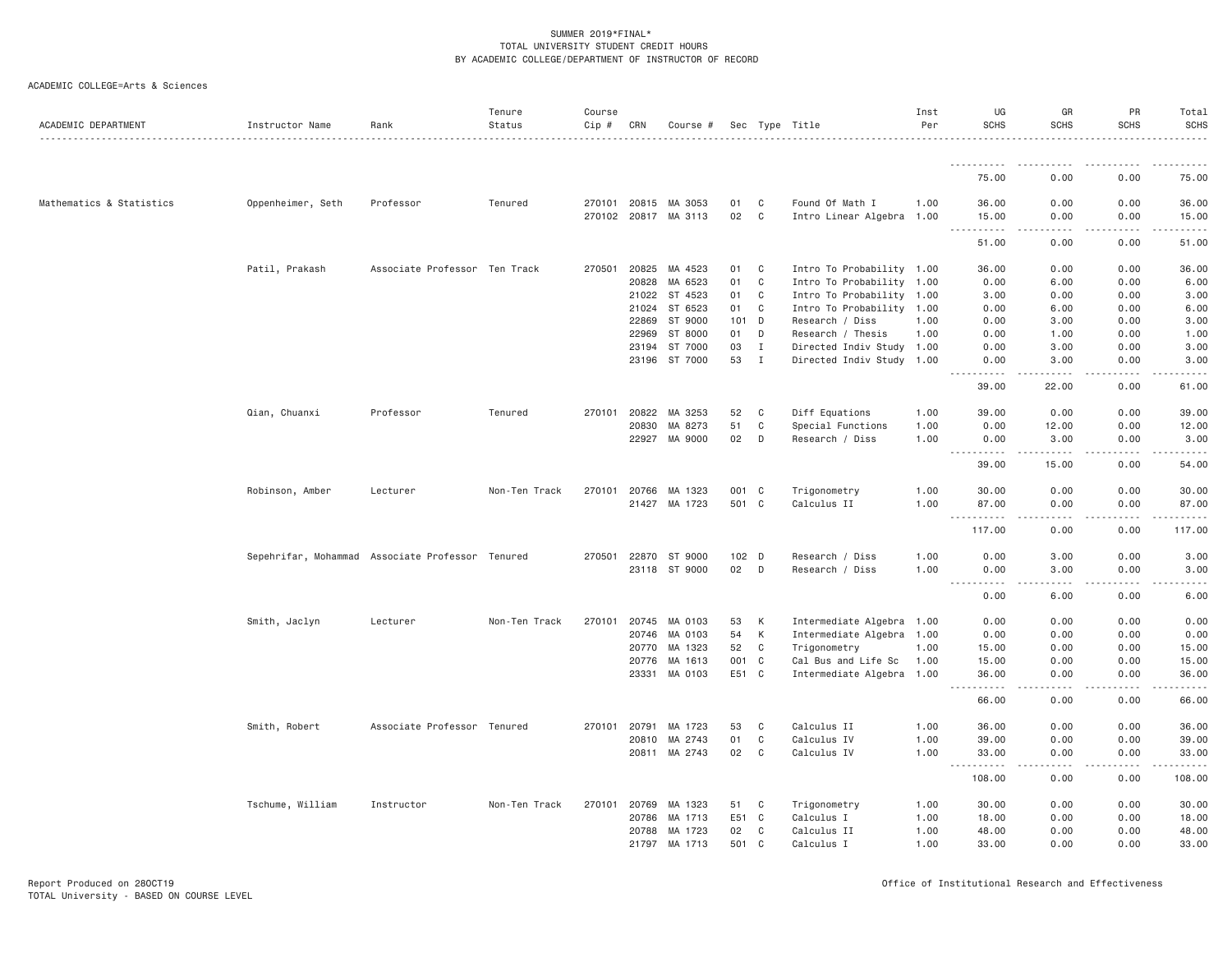| ACADEMIC DEPARTMENT      | Instructor Name   | Rank                                             | Tenure<br>Status | Course<br>$Cip$ # | CRN            | Course #             |                  |                             | Sec Type Title                                         | Inst<br>Per  | UG<br><b>SCHS</b>                                                                                                                                                                                                                                                                         | GR<br><b>SCHS</b> | PR<br><b>SCHS</b>                                                                                                                                            | Total<br><b>SCHS</b>     |
|--------------------------|-------------------|--------------------------------------------------|------------------|-------------------|----------------|----------------------|------------------|-----------------------------|--------------------------------------------------------|--------------|-------------------------------------------------------------------------------------------------------------------------------------------------------------------------------------------------------------------------------------------------------------------------------------------|-------------------|--------------------------------------------------------------------------------------------------------------------------------------------------------------|--------------------------|
|                          |                   |                                                  |                  |                   |                |                      |                  |                             |                                                        |              | -----------                                                                                                                                                                                                                                                                               | $\frac{1}{2}$     |                                                                                                                                                              |                          |
|                          |                   |                                                  |                  |                   |                |                      |                  |                             |                                                        |              | 75.00                                                                                                                                                                                                                                                                                     | 0.00              | 0.00                                                                                                                                                         | 75.00                    |
| Mathematics & Statistics | Oppenheimer, Seth | Professor                                        | Tenured          |                   |                | 270101 20815 MA 3053 | 01               | C                           | Found Of Math I                                        | 1.00         | 36.00                                                                                                                                                                                                                                                                                     | 0.00              | 0.00                                                                                                                                                         | 36.00                    |
|                          |                   |                                                  |                  |                   |                | 270102 20817 MA 3113 | 02               | C                           | Intro Linear Algebra 1.00                              |              | 15.00<br>.                                                                                                                                                                                                                                                                                | 0.00<br>.         | 0.00<br><u>.</u>                                                                                                                                             | 15.00<br>.               |
|                          |                   |                                                  |                  |                   |                |                      |                  |                             |                                                        |              | 51.00                                                                                                                                                                                                                                                                                     | 0.00              | 0.00                                                                                                                                                         | 51.00                    |
|                          | Patil, Prakash    | Associate Professor                              | Ten Track        | 270501            | 20825          | MA 4523              | 01               | C                           | Intro To Probability 1.00                              |              | 36.00                                                                                                                                                                                                                                                                                     | 0.00              | 0.00                                                                                                                                                         | 36.00                    |
|                          |                   |                                                  |                  |                   | 20828          | MA 6523              | 01               | C                           | Intro To Probability 1.00                              |              | 0.00                                                                                                                                                                                                                                                                                      | 6.00              | 0.00                                                                                                                                                         | 6.00                     |
|                          |                   |                                                  |                  |                   | 21022          | ST 4523              | 01               | C                           | Intro To Probability 1.00                              |              | 3.00                                                                                                                                                                                                                                                                                      | 0.00              | 0.00                                                                                                                                                         | 3.00                     |
|                          |                   |                                                  |                  |                   | 21024          | ST 6523              | 01               | C                           | Intro To Probability 1.00                              |              | 0.00                                                                                                                                                                                                                                                                                      | 6.00              | 0.00                                                                                                                                                         | 6.00                     |
|                          |                   |                                                  |                  |                   | 22869          | ST 9000              | 101              | D                           | Research / Diss                                        | 1.00         | 0.00                                                                                                                                                                                                                                                                                      | 3.00              | 0.00                                                                                                                                                         | 3.00                     |
|                          |                   |                                                  |                  |                   | 22969          | ST 8000              | 01               | D                           | Research / Thesis                                      | 1.00         | 0.00                                                                                                                                                                                                                                                                                      | 1.00              | 0.00                                                                                                                                                         | 1.00                     |
|                          |                   |                                                  |                  |                   | 23194<br>23196 | ST 7000<br>ST 7000   | 03<br>53         | $\mathbf I$<br>$\mathbf{I}$ | Directed Indiv Study 1.00<br>Directed Indiv Study 1.00 |              | 0.00<br>0.00                                                                                                                                                                                                                                                                              | 3.00<br>3.00      | 0.00<br>0.00                                                                                                                                                 | 3.00<br>3.00             |
|                          |                   |                                                  |                  |                   |                |                      |                  |                             |                                                        |              | $\frac{1}{2} \left( \frac{1}{2} \right) \left( \frac{1}{2} \right) \left( \frac{1}{2} \right) \left( \frac{1}{2} \right) \left( \frac{1}{2} \right)$                                                                                                                                      | .                 | .                                                                                                                                                            | .                        |
|                          |                   |                                                  |                  |                   |                |                      |                  |                             |                                                        |              | 39.00                                                                                                                                                                                                                                                                                     | 22.00             | 0.00                                                                                                                                                         | 61.00                    |
|                          | Qian, Chuanxi     | Professor                                        | Tenured          | 270101            | 20822          | MA 3253              | 52               | C                           | Diff Equations                                         | 1.00         | 39.00                                                                                                                                                                                                                                                                                     | 0.00              | 0.00                                                                                                                                                         | 39.00                    |
|                          |                   |                                                  |                  |                   | 20830          | MA 8273              | 51               | C                           | Special Functions                                      | 1.00         | 0.00                                                                                                                                                                                                                                                                                      | 12.00             | 0.00                                                                                                                                                         | 12.00                    |
|                          |                   |                                                  |                  |                   | 22927          | MA 9000              | 02               | D                           | Research / Diss                                        | 1.00         | 0.00<br>$- - - - -$                                                                                                                                                                                                                                                                       | 3.00<br>-----     | 0.00<br>.                                                                                                                                                    | 3.00<br>.                |
|                          |                   |                                                  |                  |                   |                |                      |                  |                             |                                                        |              | 39.00                                                                                                                                                                                                                                                                                     | 15.00             | 0.00                                                                                                                                                         | 54.00                    |
|                          | Robinson, Amber   | Lecturer                                         | Non-Ten Track    | 270101            | 20766          | MA 1323              | 001 C            |                             | Trigonometry                                           | 1.00         | 30.00                                                                                                                                                                                                                                                                                     | 0.00              | 0.00                                                                                                                                                         | 30.00                    |
|                          |                   |                                                  |                  |                   | 21427          | MA 1723              | 501 C            |                             | Calculus II                                            | 1.00         | 87.00                                                                                                                                                                                                                                                                                     | 0.00              | 0.00                                                                                                                                                         | 87.00                    |
|                          |                   |                                                  |                  |                   |                |                      |                  |                             |                                                        |              | .<br>$\sim$ $\sim$ $\sim$ $\sim$<br>117.00                                                                                                                                                                                                                                                | 0.00              | 0.00                                                                                                                                                         | 117.00                   |
|                          |                   | Sepehrifar, Mohammad Associate Professor Tenured |                  |                   |                | 270501 22870 ST 9000 | 102 <sub>D</sub> |                             | Research / Diss                                        | 1.00         | 0.00                                                                                                                                                                                                                                                                                      | 3.00              | 0.00                                                                                                                                                         | 3.00                     |
|                          |                   |                                                  |                  |                   |                | 23118 ST 9000        | 02 D             |                             | Research / Diss                                        | 1.00         | 0.00                                                                                                                                                                                                                                                                                      | 3.00              | 0.00                                                                                                                                                         | 3.00                     |
|                          |                   |                                                  |                  |                   |                |                      |                  |                             |                                                        |              | $\frac{1}{2} \left( \frac{1}{2} \right) \left( \frac{1}{2} \right) \left( \frac{1}{2} \right) \left( \frac{1}{2} \right) \left( \frac{1}{2} \right)$<br>$\frac{1}{2} \left( \frac{1}{2} \right) \left( \frac{1}{2} \right) \left( \frac{1}{2} \right) \left( \frac{1}{2} \right)$<br>0.00 | .<br>6.00         | $- - - - -$<br>0.00                                                                                                                                          | .<br>6.00                |
|                          |                   |                                                  |                  |                   |                |                      |                  |                             |                                                        |              |                                                                                                                                                                                                                                                                                           |                   |                                                                                                                                                              |                          |
|                          | Smith, Jaclyn     | Lecturer                                         | Non-Ten Track    | 270101            | 20745<br>20746 | MA 0103<br>MA 0103   | 53<br>54         | К<br>К                      | Intermediate Algebra<br>Intermediate Algebra           | 1.00<br>1.00 | 0.00<br>0.00                                                                                                                                                                                                                                                                              | 0.00<br>0.00      | 0.00<br>0.00                                                                                                                                                 | 0.00<br>0.00             |
|                          |                   |                                                  |                  |                   | 20770          | MA 1323              | 52               | C                           | Trigonometry                                           | 1.00         | 15.00                                                                                                                                                                                                                                                                                     | 0.00              | 0.00                                                                                                                                                         | 15.00                    |
|                          |                   |                                                  |                  |                   | 20776          | MA 1613              | 001 C            |                             | Cal Bus and Life Sc                                    | 1,00         | 15.00                                                                                                                                                                                                                                                                                     | 0.00              | 0.00                                                                                                                                                         | 15.00                    |
|                          |                   |                                                  |                  |                   | 23331          | MA 0103              | E51 C            |                             | Intermediate Algebra 1.00                              |              | 36.00                                                                                                                                                                                                                                                                                     | 0.00              | 0.00                                                                                                                                                         | 36.00                    |
|                          |                   |                                                  |                  |                   |                |                      |                  |                             |                                                        |              | -----<br>66.00                                                                                                                                                                                                                                                                            | .<br>0.00         | 0.00                                                                                                                                                         | 66.00                    |
|                          | Smith, Robert     | Associate Professor                              | Tenured          | 270101 20791      |                | MA 1723              | 53               | C                           | Calculus II                                            | 1.00         | 36,00                                                                                                                                                                                                                                                                                     | 0.00              | 0.00                                                                                                                                                         | 36.00                    |
|                          |                   |                                                  |                  |                   |                | 20810 MA 2743        | 01               | C                           | Calculus IV                                            | 1.00         | 39.00                                                                                                                                                                                                                                                                                     | 0.00              | 0.00                                                                                                                                                         | 39.00                    |
|                          |                   |                                                  |                  |                   | 20811          | MA 2743              | 02               | C                           | Calculus IV                                            | 1.00         | 33.00<br>$- - - - -$                                                                                                                                                                                                                                                                      | 0.00<br>.         | 0.00<br>$\frac{1}{2} \left( \frac{1}{2} \right) \left( \frac{1}{2} \right) \left( \frac{1}{2} \right) \left( \frac{1}{2} \right) \left( \frac{1}{2} \right)$ | 33.00<br>$- - - - - - -$ |
|                          |                   |                                                  |                  |                   |                |                      |                  |                             |                                                        |              | $- - -$<br>108.00                                                                                                                                                                                                                                                                         | 0.00              | 0.00                                                                                                                                                         | 108.00                   |
|                          | Tschume, William  | Instructor                                       | Non-Ten Track    | 270101            | 20769          | MA 1323              | 51               | C                           | Trigonometry                                           | 1.00         | 30.00                                                                                                                                                                                                                                                                                     | 0.00              | 0.00                                                                                                                                                         | 30.00                    |
|                          |                   |                                                  |                  |                   | 20786          | MA 1713              | E51 C            |                             | Calculus I                                             | 1.00         | 18.00                                                                                                                                                                                                                                                                                     | 0.00              | 0.00                                                                                                                                                         | 18.00                    |
|                          |                   |                                                  |                  |                   | 20788          | MA 1723              | 02               | C                           | Calculus II                                            | 1.00         | 48.00                                                                                                                                                                                                                                                                                     | 0.00              | 0.00                                                                                                                                                         | 48.00                    |
|                          |                   |                                                  |                  |                   | 21797          | MA 1713              | 501              | C                           | Calculus I                                             | 1.00         | 33.00                                                                                                                                                                                                                                                                                     | 0.00              | 0.00                                                                                                                                                         | 33.00                    |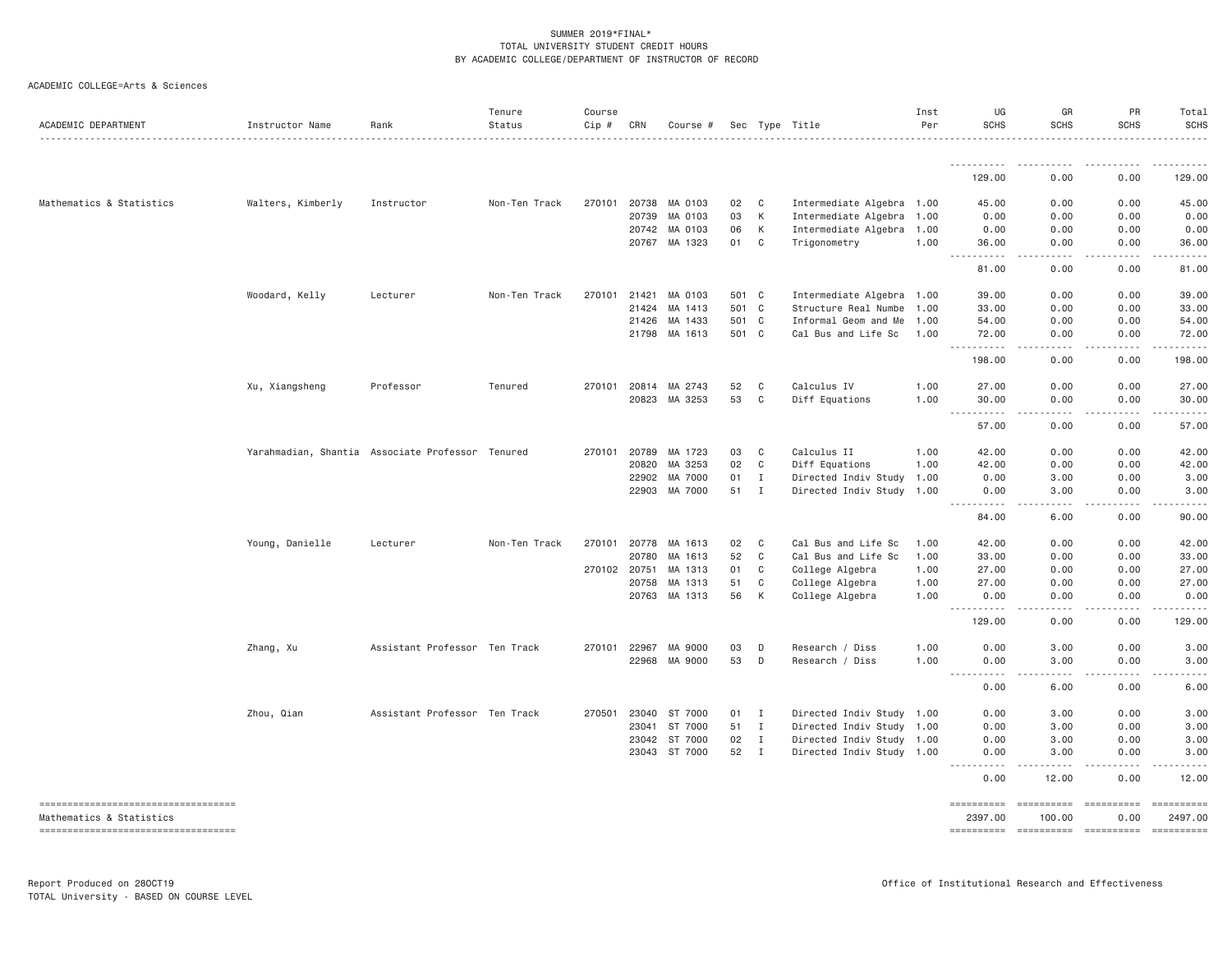| ACADEMIC COLLEGE=Arts & Sciences |  |
|----------------------------------|--|
|                                  |  |

| ACADEMIC DEPARTMENT                                             | Instructor Name   | Rank                                             | Tenure<br>Status | Course<br>Cip # | CRN            | Course #           |          |              | Sec Type Title                     | Inst<br>Per  | UG<br>SCHS                                                                                                                                                                                                                                                                                                                                                                                                                                                                                        | GR<br><b>SCHS</b>                                                                                                                                            | PR<br><b>SCHS</b>              | Total<br><b>SCHS</b>                                                                                                                                                                                                                                                                                                                                                                                                                                                                              |
|-----------------------------------------------------------------|-------------------|--------------------------------------------------|------------------|-----------------|----------------|--------------------|----------|--------------|------------------------------------|--------------|---------------------------------------------------------------------------------------------------------------------------------------------------------------------------------------------------------------------------------------------------------------------------------------------------------------------------------------------------------------------------------------------------------------------------------------------------------------------------------------------------|--------------------------------------------------------------------------------------------------------------------------------------------------------------|--------------------------------|---------------------------------------------------------------------------------------------------------------------------------------------------------------------------------------------------------------------------------------------------------------------------------------------------------------------------------------------------------------------------------------------------------------------------------------------------------------------------------------------------|
|                                                                 |                   |                                                  |                  |                 |                |                    |          |              |                                    |              |                                                                                                                                                                                                                                                                                                                                                                                                                                                                                                   | $\sim$ $\sim$ $\sim$ $\sim$                                                                                                                                  |                                | .                                                                                                                                                                                                                                                                                                                                                                                                                                                                                                 |
|                                                                 |                   |                                                  |                  |                 |                |                    |          |              |                                    |              | 129.00                                                                                                                                                                                                                                                                                                                                                                                                                                                                                            | 0.00                                                                                                                                                         | 0.00                           | 129.00                                                                                                                                                                                                                                                                                                                                                                                                                                                                                            |
| Mathematics & Statistics                                        | Walters, Kimberly | Instructor                                       | Non-Ten Track    |                 | 270101 20738   | MA 0103            | 02       | C            | Intermediate Algebra 1.00          |              | 45.00                                                                                                                                                                                                                                                                                                                                                                                                                                                                                             | 0.00                                                                                                                                                         | 0.00                           | 45.00                                                                                                                                                                                                                                                                                                                                                                                                                                                                                             |
|                                                                 |                   |                                                  |                  |                 | 20739          | MA 0103            | 03       | K            | Intermediate Algebra               | 1.00         | 0.00                                                                                                                                                                                                                                                                                                                                                                                                                                                                                              | 0.00                                                                                                                                                         | 0.00                           | 0.00                                                                                                                                                                                                                                                                                                                                                                                                                                                                                              |
|                                                                 |                   |                                                  |                  |                 | 20742          | MA 0103            | 06       | K            | Intermediate Algebra               | 1.00         | 0.00                                                                                                                                                                                                                                                                                                                                                                                                                                                                                              | 0.00                                                                                                                                                         | 0.00                           | 0.00                                                                                                                                                                                                                                                                                                                                                                                                                                                                                              |
|                                                                 |                   |                                                  |                  |                 | 20767          | MA 1323            | 01       | C            | Trigonometry                       | 1.00         | 36.00<br>. <b>.</b>                                                                                                                                                                                                                                                                                                                                                                                                                                                                               | 0.00<br>.                                                                                                                                                    | 0.00<br>.                      | 36.00<br>$- - - - -$                                                                                                                                                                                                                                                                                                                                                                                                                                                                              |
|                                                                 |                   |                                                  |                  |                 |                |                    |          |              |                                    |              | 81.00                                                                                                                                                                                                                                                                                                                                                                                                                                                                                             | 0.00                                                                                                                                                         | 0.00                           | 81.00                                                                                                                                                                                                                                                                                                                                                                                                                                                                                             |
|                                                                 | Woodard, Kelly    | Lecturer                                         | Non-Ten Track    |                 | 270101 21421   | MA 0103            | 501 C    |              | Intermediate Algebra 1.00          |              | 39.00                                                                                                                                                                                                                                                                                                                                                                                                                                                                                             | 0.00                                                                                                                                                         | 0.00                           | 39.00                                                                                                                                                                                                                                                                                                                                                                                                                                                                                             |
|                                                                 |                   |                                                  |                  |                 | 21424          | MA 1413            | 501      | $\mathbf{C}$ | Structure Real Numbe               | 1.00         | 33.00                                                                                                                                                                                                                                                                                                                                                                                                                                                                                             | 0.00                                                                                                                                                         | 0.00                           | 33.00                                                                                                                                                                                                                                                                                                                                                                                                                                                                                             |
|                                                                 |                   |                                                  |                  |                 | 21426          | MA 1433            | 501 C    |              | Informal Geom and Me               | 1.00         | 54.00                                                                                                                                                                                                                                                                                                                                                                                                                                                                                             | 0.00                                                                                                                                                         | 0.00                           | 54.00                                                                                                                                                                                                                                                                                                                                                                                                                                                                                             |
|                                                                 |                   |                                                  |                  |                 |                | 21798 MA 1613      | 501 C    |              | Cal Bus and Life Sc 1.00           |              | 72.00                                                                                                                                                                                                                                                                                                                                                                                                                                                                                             | 0.00<br>-----                                                                                                                                                | 0.00<br>-----                  | 72.00                                                                                                                                                                                                                                                                                                                                                                                                                                                                                             |
|                                                                 |                   |                                                  |                  |                 |                |                    |          |              |                                    |              | 198.00                                                                                                                                                                                                                                                                                                                                                                                                                                                                                            | 0.00                                                                                                                                                         | 0.00                           | 198.00                                                                                                                                                                                                                                                                                                                                                                                                                                                                                            |
|                                                                 | Xu, Xiangsheng    | Professor                                        | Tenured          | 270101          | 20814          | MA 2743            | 52       | C            | Calculus IV                        | 1.00         | 27.00                                                                                                                                                                                                                                                                                                                                                                                                                                                                                             | 0.00                                                                                                                                                         | 0.00                           | 27.00                                                                                                                                                                                                                                                                                                                                                                                                                                                                                             |
|                                                                 |                   |                                                  |                  |                 | 20823          | MA 3253            | 53       | $\mathbf C$  | Diff Equations                     | 1.00         | 30.00                                                                                                                                                                                                                                                                                                                                                                                                                                                                                             | 0.00                                                                                                                                                         | 0.00                           | 30.00                                                                                                                                                                                                                                                                                                                                                                                                                                                                                             |
|                                                                 |                   |                                                  |                  |                 |                |                    |          |              |                                    |              | 57.00                                                                                                                                                                                                                                                                                                                                                                                                                                                                                             | 0.00                                                                                                                                                         | 0.00                           | 57.00                                                                                                                                                                                                                                                                                                                                                                                                                                                                                             |
|                                                                 |                   | Yarahmadian, Shantia Associate Professor Tenured |                  |                 | 270101 20789   | MA 1723            | 03       | C            | Calculus II                        | 1.00         | 42.00                                                                                                                                                                                                                                                                                                                                                                                                                                                                                             | 0.00                                                                                                                                                         | 0.00                           | 42.00                                                                                                                                                                                                                                                                                                                                                                                                                                                                                             |
|                                                                 |                   |                                                  |                  |                 | 20820          | MA 3253            | 02       | C            | Diff Equations                     | 1.00         | 42.00                                                                                                                                                                                                                                                                                                                                                                                                                                                                                             | 0.00                                                                                                                                                         | 0.00                           | 42.00                                                                                                                                                                                                                                                                                                                                                                                                                                                                                             |
|                                                                 |                   |                                                  |                  |                 | 22902          | MA 7000            | 01       | $\mathbf{I}$ | Directed Indiv Study               | 1.00         | 0.00                                                                                                                                                                                                                                                                                                                                                                                                                                                                                              | 3.00                                                                                                                                                         | 0.00                           | 3.00                                                                                                                                                                                                                                                                                                                                                                                                                                                                                              |
|                                                                 |                   |                                                  |                  |                 | 22903          | MA 7000            | 51       | $\mathbf{I}$ | Directed Indiv Study 1.00          |              | 0.00<br><u>.</u>                                                                                                                                                                                                                                                                                                                                                                                                                                                                                  | 3.00<br>.                                                                                                                                                    | 0.00<br>.                      | 3.00                                                                                                                                                                                                                                                                                                                                                                                                                                                                                              |
|                                                                 |                   |                                                  |                  |                 |                |                    |          |              |                                    |              | 84.00                                                                                                                                                                                                                                                                                                                                                                                                                                                                                             | 6.00                                                                                                                                                         | 0.00                           | 90.00                                                                                                                                                                                                                                                                                                                                                                                                                                                                                             |
|                                                                 | Young, Danielle   | Lecturer                                         | Non-Ten Track    |                 | 270101 20778   | MA 1613            | 02       | C            | Cal Bus and Life Sc                | 1.00         | 42.00                                                                                                                                                                                                                                                                                                                                                                                                                                                                                             | 0.00                                                                                                                                                         | 0.00                           | 42.00                                                                                                                                                                                                                                                                                                                                                                                                                                                                                             |
|                                                                 |                   |                                                  |                  |                 | 20780          | MA 1613            | 52       | C            | Cal Bus and Life Sc                | 1.00         | 33.00                                                                                                                                                                                                                                                                                                                                                                                                                                                                                             | 0.00                                                                                                                                                         | 0.00                           | 33.00                                                                                                                                                                                                                                                                                                                                                                                                                                                                                             |
|                                                                 |                   |                                                  |                  | 270102 20751    |                | MA 1313            | 01       | C            | College Algebra                    | 1.00         | 27.00                                                                                                                                                                                                                                                                                                                                                                                                                                                                                             | 0.00                                                                                                                                                         | 0.00                           | 27.00                                                                                                                                                                                                                                                                                                                                                                                                                                                                                             |
|                                                                 |                   |                                                  |                  |                 | 20758<br>20763 | MA 1313<br>MA 1313 | 51<br>56 | C<br>K       | College Algebra<br>College Algebra | 1.00<br>1.00 | 27.00<br>0.00                                                                                                                                                                                                                                                                                                                                                                                                                                                                                     | 0.00<br>0.00                                                                                                                                                 | 0.00<br>0.00                   | 27.00<br>0.00                                                                                                                                                                                                                                                                                                                                                                                                                                                                                     |
|                                                                 |                   |                                                  |                  |                 |                |                    |          |              |                                    |              | <u>.</u>                                                                                                                                                                                                                                                                                                                                                                                                                                                                                          | .                                                                                                                                                            | .                              | <u>.</u>                                                                                                                                                                                                                                                                                                                                                                                                                                                                                          |
|                                                                 |                   |                                                  |                  |                 |                |                    |          |              |                                    |              | 129.00                                                                                                                                                                                                                                                                                                                                                                                                                                                                                            | 0.00                                                                                                                                                         | 0.00                           | 129.00                                                                                                                                                                                                                                                                                                                                                                                                                                                                                            |
|                                                                 | Zhang, Xu         | Assistant Professor Ten Track                    |                  | 270101 22967    |                | MA 9000            | 03       | D            | Research / Diss                    | 1,00         | 0.00                                                                                                                                                                                                                                                                                                                                                                                                                                                                                              | 3.00                                                                                                                                                         | 0.00                           | 3.00                                                                                                                                                                                                                                                                                                                                                                                                                                                                                              |
|                                                                 |                   |                                                  |                  |                 | 22968          | MA 9000            | 53       | D            | Research / Diss                    | 1.00         | 0.00<br><b></b>                                                                                                                                                                                                                                                                                                                                                                                                                                                                                   | 3.00<br>.                                                                                                                                                    | 0.00<br>. <b>.</b> .           | 3.00<br>.                                                                                                                                                                                                                                                                                                                                                                                                                                                                                         |
|                                                                 |                   |                                                  |                  |                 |                |                    |          |              |                                    |              | 0.00                                                                                                                                                                                                                                                                                                                                                                                                                                                                                              | 6.00                                                                                                                                                         | 0.00                           | 6.00                                                                                                                                                                                                                                                                                                                                                                                                                                                                                              |
|                                                                 | Zhou, Qian        | Assistant Professor Ten Track                    |                  |                 | 270501 23040   | ST 7000            | $01$ I   |              | Directed Indiv Study 1.00          |              | 0.00                                                                                                                                                                                                                                                                                                                                                                                                                                                                                              | 3.00                                                                                                                                                         | 0.00                           | 3.00                                                                                                                                                                                                                                                                                                                                                                                                                                                                                              |
|                                                                 |                   |                                                  |                  |                 | 23041          | ST 7000            | 51       | $\mathbf{I}$ | Directed Indiv Study               | 1.00         | 0.00                                                                                                                                                                                                                                                                                                                                                                                                                                                                                              | 3.00                                                                                                                                                         | 0.00                           | 3.00                                                                                                                                                                                                                                                                                                                                                                                                                                                                                              |
|                                                                 |                   |                                                  |                  |                 | 23042          | ST 7000            | 02       | $\mathbf{I}$ | Directed Indiv Study 1.00          |              | 0.00                                                                                                                                                                                                                                                                                                                                                                                                                                                                                              | 3.00                                                                                                                                                         | 0.00                           | 3.00                                                                                                                                                                                                                                                                                                                                                                                                                                                                                              |
|                                                                 |                   |                                                  |                  |                 |                | 23043 ST 7000      | 52 I     |              | Directed Indiv Study 1.00          |              | 0.00<br>$\frac{1}{2} \left( \frac{1}{2} \right) \left( \frac{1}{2} \right) \left( \frac{1}{2} \right) \left( \frac{1}{2} \right)$<br>-----                                                                                                                                                                                                                                                                                                                                                        | 3.00<br>$\frac{1}{2} \left( \frac{1}{2} \right) \left( \frac{1}{2} \right) \left( \frac{1}{2} \right) \left( \frac{1}{2} \right) \left( \frac{1}{2} \right)$ | 0.00<br>$\cdots \cdots \cdots$ | 3.00<br>------                                                                                                                                                                                                                                                                                                                                                                                                                                                                                    |
|                                                                 |                   |                                                  |                  |                 |                |                    |          |              |                                    |              | 0.00                                                                                                                                                                                                                                                                                                                                                                                                                                                                                              | 12.00                                                                                                                                                        | 0.00                           | 12.00                                                                                                                                                                                                                                                                                                                                                                                                                                                                                             |
| -----------------------------------<br>Mathematics & Statistics |                   |                                                  |                  |                 |                |                    |          |              |                                    |              | $\begin{array}{cccccccccc} \multicolumn{2}{c}{} & \multicolumn{2}{c}{} & \multicolumn{2}{c}{} & \multicolumn{2}{c}{} & \multicolumn{2}{c}{} & \multicolumn{2}{c}{} & \multicolumn{2}{c}{} & \multicolumn{2}{c}{} & \multicolumn{2}{c}{} & \multicolumn{2}{c}{} & \multicolumn{2}{c}{} & \multicolumn{2}{c}{} & \multicolumn{2}{c}{} & \multicolumn{2}{c}{} & \multicolumn{2}{c}{} & \multicolumn{2}{c}{} & \multicolumn{2}{c}{} & \multicolumn{2}{c}{} & \multicolumn{2}{c}{} & \mult$<br>2397.00 | ==========<br>100.00                                                                                                                                         | ==========<br>0.00             | $\begin{array}{cccccccccc} \multicolumn{2}{c}{} & \multicolumn{2}{c}{} & \multicolumn{2}{c}{} & \multicolumn{2}{c}{} & \multicolumn{2}{c}{} & \multicolumn{2}{c}{} & \multicolumn{2}{c}{} & \multicolumn{2}{c}{} & \multicolumn{2}{c}{} & \multicolumn{2}{c}{} & \multicolumn{2}{c}{} & \multicolumn{2}{c}{} & \multicolumn{2}{c}{} & \multicolumn{2}{c}{} & \multicolumn{2}{c}{} & \multicolumn{2}{c}{} & \multicolumn{2}{c}{} & \multicolumn{2}{c}{} & \multicolumn{2}{c}{} & \mult$<br>2497.00 |
| ======================================                          |                   |                                                  |                  |                 |                |                    |          |              |                                    |              |                                                                                                                                                                                                                                                                                                                                                                                                                                                                                                   |                                                                                                                                                              |                                | ==========                                                                                                                                                                                                                                                                                                                                                                                                                                                                                        |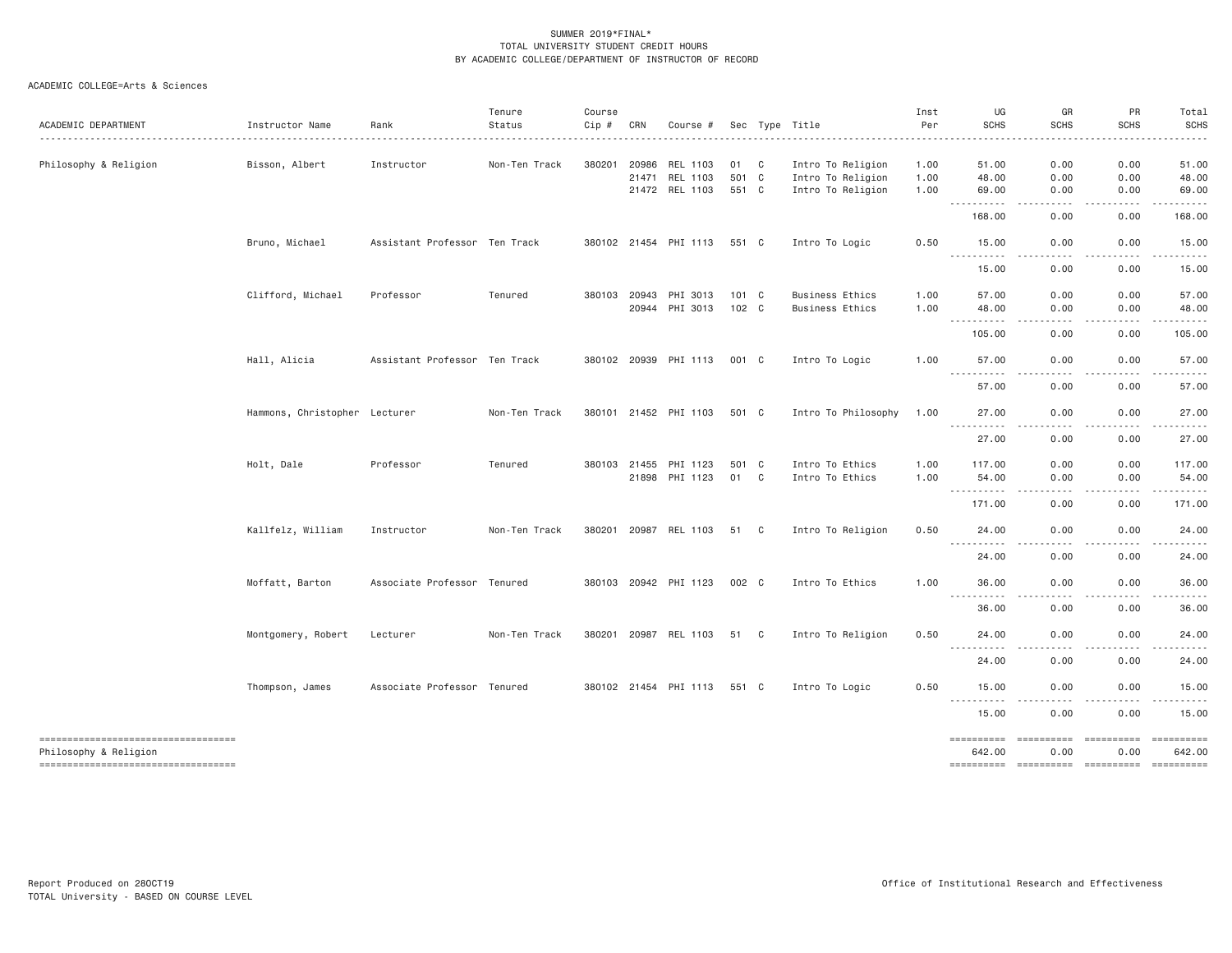| ACADEMIC DEPARTMENT                                                                               | Instructor Name               | Rank                          | Tenure<br>Status | Course<br>Cip # | CRN                   | Course #                               |                      |              | Sec Type Title                                              | Inst<br>Per          | UG<br><b>SCHS</b>                                                                                                         | GR<br><b>SCHS</b>                                                                                                                 | PR<br><b>SCHS</b>                                                                                                                                            | Total<br><b>SCHS</b>                                                                                                                                                    |
|---------------------------------------------------------------------------------------------------|-------------------------------|-------------------------------|------------------|-----------------|-----------------------|----------------------------------------|----------------------|--------------|-------------------------------------------------------------|----------------------|---------------------------------------------------------------------------------------------------------------------------|-----------------------------------------------------------------------------------------------------------------------------------|--------------------------------------------------------------------------------------------------------------------------------------------------------------|-------------------------------------------------------------------------------------------------------------------------------------------------------------------------|
| Philosophy & Religion                                                                             | Bisson, Albert                | Instructor                    | Non-Ten Track    | 380201          | 20986<br>21471        | REL 1103<br>REL 1103<br>21472 REL 1103 | 01<br>501 C<br>551 C | $\mathbf{C}$ | Intro To Religion<br>Intro To Religion<br>Intro To Religion | 1.00<br>1.00<br>1.00 | 51.00<br>48.00<br>69.00                                                                                                   | 0.00<br>0.00<br>0.00                                                                                                              | 0.00<br>0.00<br>0.00                                                                                                                                         | 51.00<br>48.00<br>69.00                                                                                                                                                 |
|                                                                                                   |                               |                               |                  |                 |                       |                                        |                      |              |                                                             |                      | .<br>$\sim$ $\sim$ $\sim$ .<br>168.00                                                                                     | $- - - -$<br>0.00                                                                                                                 | .<br>0.00                                                                                                                                                    | .<br>168.00                                                                                                                                                             |
|                                                                                                   | Bruno, Michael                | Assistant Professor Ten Track |                  |                 |                       | 380102 21454 PHI 1113                  | 551 C                |              | Intro To Logic                                              | 0.50                 | 15.00<br>.                                                                                                                | 0.00<br>.                                                                                                                         | 0.00<br>$\frac{1}{2} \left( \frac{1}{2} \right) \left( \frac{1}{2} \right) \left( \frac{1}{2} \right) \left( \frac{1}{2} \right) \left( \frac{1}{2} \right)$ | 15.00<br>.                                                                                                                                                              |
|                                                                                                   |                               |                               |                  |                 |                       |                                        |                      |              |                                                             |                      | 15.00                                                                                                                     | 0.00                                                                                                                              | 0.00                                                                                                                                                         | 15.00                                                                                                                                                                   |
|                                                                                                   | Clifford, Michael             | Professor                     | Tenured          |                 | 380103 20943<br>20944 | PHI 3013<br>PHI 3013                   | 101 C<br>102 C       |              | <b>Business Ethics</b><br><b>Business Ethics</b>            | 1.00<br>1.00         | 57.00<br>48.00<br>$\frac{1}{2} \left( \frac{1}{2} \right) \left( \frac{1}{2} \right) \left( \frac{1}{2} \right)$<br>----- | 0.00<br>0.00                                                                                                                      | 0.00<br>0.00<br>-----                                                                                                                                        | 57.00<br>48.00<br>.                                                                                                                                                     |
|                                                                                                   |                               |                               |                  |                 |                       |                                        |                      |              |                                                             |                      | 105.00                                                                                                                    | 0.00                                                                                                                              | 0.00                                                                                                                                                         | 105.00                                                                                                                                                                  |
|                                                                                                   | Hall, Alicia                  | Assistant Professor Ten Track |                  |                 |                       | 380102 20939 PHI 1113                  | 001 C                |              | Intro To Logic                                              | 1.00                 | 57.00                                                                                                                     | 0.00                                                                                                                              | 0.00                                                                                                                                                         | 57.00                                                                                                                                                                   |
|                                                                                                   |                               |                               |                  |                 |                       |                                        |                      |              |                                                             |                      | 57.00                                                                                                                     | 0.00                                                                                                                              | 0.00                                                                                                                                                         | 57.00                                                                                                                                                                   |
|                                                                                                   | Hammons, Christopher Lecturer |                               | Non-Ten Track    |                 |                       | 380101 21452 PHI 1103                  | 501 C                |              | Intro To Philosophy                                         | 1.00                 | 27.00<br><u>.</u>                                                                                                         | 0.00<br>.                                                                                                                         | 0.00<br>$-2222$                                                                                                                                              | 27.00<br>.                                                                                                                                                              |
|                                                                                                   |                               |                               |                  |                 |                       |                                        |                      |              |                                                             |                      | 27.00                                                                                                                     | 0.00                                                                                                                              | 0.00                                                                                                                                                         | 27.00                                                                                                                                                                   |
|                                                                                                   | Holt, Dale                    | Professor                     | Tenured          |                 | 380103 21455<br>21898 | PHI 1123<br>PHI 1123                   | 501 C<br>01          | $\mathbf{C}$ | Intro To Ethics<br>Intro To Ethics                          | 1.00<br>1.00         | 117,00<br>54.00<br>.                                                                                                      | 0.00<br>0.00                                                                                                                      | 0.00<br>0.00                                                                                                                                                 | 117.00<br>54.00                                                                                                                                                         |
|                                                                                                   |                               |                               |                  |                 |                       |                                        |                      |              |                                                             |                      | 171.00                                                                                                                    | 0.00                                                                                                                              | 0.00                                                                                                                                                         | 171.00                                                                                                                                                                  |
|                                                                                                   | Kallfelz, William             | Instructor                    | Non-Ten Track    |                 |                       | 380201 20987 REL 1103                  | 51 C                 |              | Intro To Religion                                           | 0.50                 | 24.00                                                                                                                     | 0.00                                                                                                                              | 0.00                                                                                                                                                         | 24.00                                                                                                                                                                   |
|                                                                                                   |                               |                               |                  |                 |                       |                                        |                      |              |                                                             |                      | 24.00                                                                                                                     | 0.00                                                                                                                              | 0.00                                                                                                                                                         | 24.00                                                                                                                                                                   |
|                                                                                                   | Moffatt, Barton               | Associate Professor Tenured   |                  |                 |                       | 380103 20942 PHI 1123                  | 002 C                |              | Intro To Ethics                                             | 1.00                 | 36.00<br>.                                                                                                                | 0.00<br>.                                                                                                                         | 0.00                                                                                                                                                         | 36.00<br>.                                                                                                                                                              |
|                                                                                                   |                               |                               |                  |                 |                       |                                        |                      |              |                                                             |                      | 36.00                                                                                                                     | 0.00                                                                                                                              | 0.00                                                                                                                                                         | 36.00                                                                                                                                                                   |
|                                                                                                   | Montgomery, Robert            | Lecturer                      | Non-Ten Track    |                 |                       | 380201 20987 REL 1103                  | 51 C                 |              | Intro To Religion                                           | 0.50                 | 24.00<br>.                                                                                                                | 0.00<br>$\frac{1}{2} \left( \frac{1}{2} \right) \left( \frac{1}{2} \right) \left( \frac{1}{2} \right) \left( \frac{1}{2} \right)$ | 0.00<br>.                                                                                                                                                    | 24.00<br>.                                                                                                                                                              |
|                                                                                                   |                               |                               |                  |                 |                       |                                        |                      |              |                                                             |                      | 24.00                                                                                                                     | 0.00                                                                                                                              | 0.00                                                                                                                                                         | 24.00                                                                                                                                                                   |
|                                                                                                   | Thompson, James               | Associate Professor Tenured   |                  |                 |                       | 380102 21454 PHI 1113                  | 551 C                |              | Intro To Logic                                              | 0.50                 | 15.00<br><u>.</u>                                                                                                         | 0.00<br>$\frac{1}{2}$                                                                                                             | 0.00<br>.                                                                                                                                                    | 15.00<br>.                                                                                                                                                              |
|                                                                                                   |                               |                               |                  |                 |                       |                                        |                      |              |                                                             |                      | 15.00                                                                                                                     | 0.00                                                                                                                              | 0.00                                                                                                                                                         | 15.00                                                                                                                                                                   |
| ----------------------------------<br>Philosophy & Religion<br>---------------------------------- |                               |                               |                  |                 |                       |                                        |                      |              |                                                             |                      | ==========<br>642.00<br>==========                                                                                        | ==========<br>0.00                                                                                                                | ==========<br>0.00                                                                                                                                           | 642.00<br>$\begin{array}{c} \multicolumn{3}{c} {\small \texttt{m}} = {\small \texttt{m}} = {\small \texttt{m}} = {\small \texttt{m}} = {\small \texttt{m}} \end{array}$ |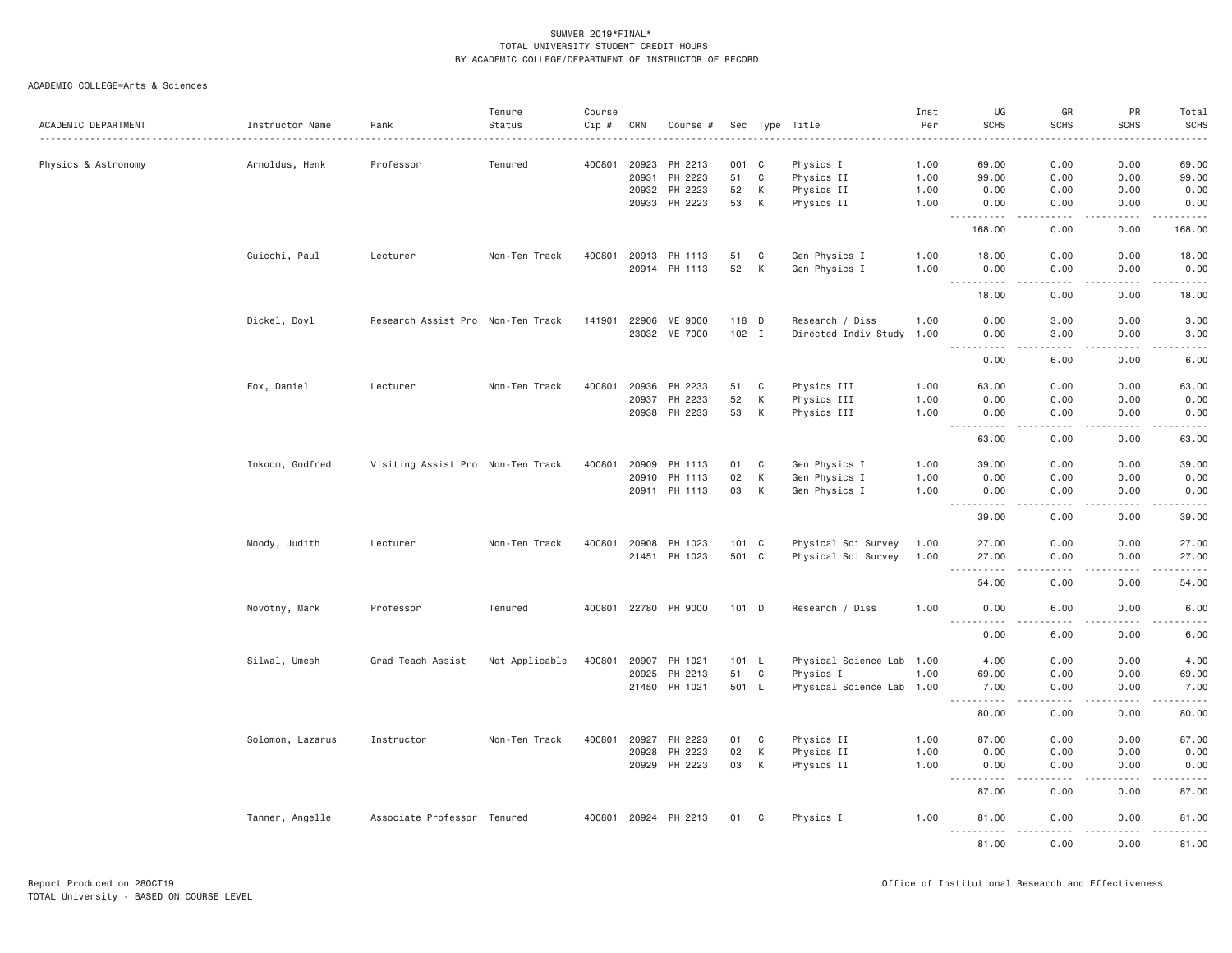| ACADEMIC DEPARTMENT | Instructor Name<br>. | Rank                              | Tenure<br>Status | Course<br>Cip # | CRN   | Course #             |         |             | Sec Type Title            | Inst<br>Per | UG<br><b>SCHS</b>                                                                                                                                                                                          | GR<br><b>SCHS</b>                   | PR<br><b>SCHS</b>                                                                                                                 | Total<br><b>SCHS</b><br>$\frac{1}{2} \left( \frac{1}{2} \right) \left( \frac{1}{2} \right) \left( \frac{1}{2} \right) \left( \frac{1}{2} \right) \left( \frac{1}{2} \right)$ |
|---------------------|----------------------|-----------------------------------|------------------|-----------------|-------|----------------------|---------|-------------|---------------------------|-------------|------------------------------------------------------------------------------------------------------------------------------------------------------------------------------------------------------------|-------------------------------------|-----------------------------------------------------------------------------------------------------------------------------------|------------------------------------------------------------------------------------------------------------------------------------------------------------------------------|
| Physics & Astronomy | Arnoldus, Henk       | Professor                         | Tenured          | 400801          | 20923 | PH 2213              | 001 C   |             | Physics I                 | 1.00        | 69.00                                                                                                                                                                                                      | 0.00                                | 0.00                                                                                                                              | 69.00                                                                                                                                                                        |
|                     |                      |                                   |                  |                 | 20931 | PH 2223              | 51      | $\mathbf C$ | Physics II                | 1.00        | 99.00                                                                                                                                                                                                      | 0.00                                | 0.00                                                                                                                              | 99.00                                                                                                                                                                        |
|                     |                      |                                   |                  |                 | 20932 | PH 2223              | 52      | К           | Physics II                | 1.00        | 0.00                                                                                                                                                                                                       | 0.00                                | 0.00                                                                                                                              | 0.00                                                                                                                                                                         |
|                     |                      |                                   |                  |                 | 20933 | PH 2223              | 53      | К           | Physics II                | 1.00        | 0.00<br>.                                                                                                                                                                                                  | 0.00                                | 0.00<br>.                                                                                                                         | 0.00<br>.                                                                                                                                                                    |
|                     |                      |                                   |                  |                 |       |                      |         |             |                           |             | 168.00                                                                                                                                                                                                     | 0.00                                | 0.00                                                                                                                              | 168.00                                                                                                                                                                       |
|                     | Cuicchi, Paul        | Lecturer                          | Non-Ten Track    | 400801          |       | 20913 PH 1113        | 51      | C           | Gen Physics I             | 1.00        | 18.00                                                                                                                                                                                                      | 0.00                                | 0.00                                                                                                                              | 18.00                                                                                                                                                                        |
|                     |                      |                                   |                  |                 |       | 20914 PH 1113        | 52      | К           | Gen Physics I             | 1.00        | 0.00<br>.<br>$- - -$                                                                                                                                                                                       | 0.00<br>.                           | 0.00<br>.                                                                                                                         | 0.00<br>.                                                                                                                                                                    |
|                     |                      |                                   |                  |                 |       |                      |         |             |                           |             | 18.00                                                                                                                                                                                                      | 0.00                                | 0.00                                                                                                                              | 18.00                                                                                                                                                                        |
|                     | Dickel, Doyl         | Research Assist Pro Non-Ten Track |                  | 141901          |       | 22906 ME 9000        | 118 D   |             | Research / Diss           | 1.00        | 0.00                                                                                                                                                                                                       | 3.00                                | 0.00                                                                                                                              | 3.00                                                                                                                                                                         |
|                     |                      |                                   |                  |                 |       | 23032 ME 7000        | $102$ I |             | Directed Indiv Study      | 1.00        | 0.00<br>.<br>$\frac{1}{2}$                                                                                                                                                                                 | 3.00<br>$- - - -$                   | 0.00                                                                                                                              | 3.00<br>والمستحدث                                                                                                                                                            |
|                     |                      |                                   |                  |                 |       |                      |         |             |                           |             | 0.00                                                                                                                                                                                                       | 6.00                                | 0.00                                                                                                                              | 6.00                                                                                                                                                                         |
|                     | Fox, Daniel          | Lecturer                          | Non-Ten Track    | 400801          | 20936 | PH 2233              | 51      | C           | Physics III               | 1.00        | 63.00                                                                                                                                                                                                      | 0.00                                | 0.00                                                                                                                              | 63.00                                                                                                                                                                        |
|                     |                      |                                   |                  |                 | 20937 | PH 2233              | 52      | К           | Physics III               | 1.00        | 0.00                                                                                                                                                                                                       | 0.00                                | 0.00                                                                                                                              | 0.00                                                                                                                                                                         |
|                     |                      |                                   |                  |                 |       | 20938 PH 2233        | 53      | К           | Physics III               | 1.00        | 0.00<br>$\sim$ $\sim$ $\sim$<br>.                                                                                                                                                                          | 0.00<br>$\sim$ $\sim$ $\sim$ $\sim$ | 0.00                                                                                                                              | 0.00<br>والمناصبات                                                                                                                                                           |
|                     |                      |                                   |                  |                 |       |                      |         |             |                           |             | 63.00                                                                                                                                                                                                      | 0.00                                | 0.00                                                                                                                              | 63.00                                                                                                                                                                        |
|                     | Inkoom, Godfred      | Visiting Assist Pro Non-Ten Track |                  | 400801          | 20909 | PH 1113              | 01      | C           | Gen Physics I             | 1.00        | 39.00                                                                                                                                                                                                      | 0.00                                | 0.00                                                                                                                              | 39.00                                                                                                                                                                        |
|                     |                      |                                   |                  |                 | 20910 | PH 1113              | 02      | K           | Gen Physics I             | 1.00        | 0.00                                                                                                                                                                                                       | 0.00                                | 0.00                                                                                                                              | 0.00                                                                                                                                                                         |
|                     |                      |                                   |                  |                 |       | 20911 PH 1113        | 03      | K           | Gen Physics I             | 1.00        | 0.00<br>.                                                                                                                                                                                                  | 0.00<br>$   -$                      | 0.00<br>$\frac{1}{2} \left( \frac{1}{2} \right) \left( \frac{1}{2} \right) \left( \frac{1}{2} \right) \left( \frac{1}{2} \right)$ | 0.00<br>.                                                                                                                                                                    |
|                     |                      |                                   |                  |                 |       |                      |         |             |                           |             | 39.00                                                                                                                                                                                                      | 0.00                                | 0.00                                                                                                                              | 39.00                                                                                                                                                                        |
|                     | Moody, Judith        | Lecturer                          | Non-Ten Track    | 400801          | 20908 | PH 1023              | 101 C   |             | Physical Sci Survey       | 1.00        | 27.00                                                                                                                                                                                                      | 0.00                                | 0.00                                                                                                                              | 27.00                                                                                                                                                                        |
|                     |                      |                                   |                  |                 |       | 21451 PH 1023        | 501 C   |             | Physical Sci Survey       | 1.00        | 27.00<br>.                                                                                                                                                                                                 | 0.00<br>.                           | 0.00<br>$\frac{1}{2}$                                                                                                             | 27.00<br>$\frac{1}{2} \left( \frac{1}{2} \right) \left( \frac{1}{2} \right) \left( \frac{1}{2} \right) \left( \frac{1}{2} \right) \left( \frac{1}{2} \right)$                |
|                     |                      |                                   |                  |                 |       |                      |         |             |                           |             | 54.00                                                                                                                                                                                                      | 0.00                                | 0.00                                                                                                                              | 54.00                                                                                                                                                                        |
|                     | Novotny, Mark        | Professor                         | Tenured          |                 |       | 400801 22780 PH 9000 | $101$ D |             | Research / Diss           | 1.00        | 0.00<br><u>.</u>                                                                                                                                                                                           | 6.00<br>.                           | 0.00<br>.                                                                                                                         | 6.00<br>.                                                                                                                                                                    |
|                     |                      |                                   |                  |                 |       |                      |         |             |                           |             | 0.00                                                                                                                                                                                                       | 6.00                                | 0.00                                                                                                                              | 6.00                                                                                                                                                                         |
|                     | Silwal, Umesh        | Grad Teach Assist                 | Not Applicable   | 400801          | 20907 | PH 1021              | 101 L   |             | Physical Science Lab 1.00 |             | 4.00                                                                                                                                                                                                       | 0.00                                | 0.00                                                                                                                              | 4.00                                                                                                                                                                         |
|                     |                      |                                   |                  |                 | 20925 | PH 2213              | 51      | C           | Physics I                 | 1.00        | 69.00                                                                                                                                                                                                      | 0.00                                | 0.00                                                                                                                              | 69.00                                                                                                                                                                        |
|                     |                      |                                   |                  |                 |       | 21450 PH 1021        | 501 L   |             | Physical Science Lab 1.00 |             | 7.00<br>$\sim$ $\sim$ .<br>$\frac{1}{2} \left( \frac{1}{2} \right) \left( \frac{1}{2} \right) \left( \frac{1}{2} \right) \left( \frac{1}{2} \right) \left( \frac{1}{2} \right) \left( \frac{1}{2} \right)$ | 0.00<br>.                           | 0.00<br>.                                                                                                                         | 7.00<br>المتمامين                                                                                                                                                            |
|                     |                      |                                   |                  |                 |       |                      |         |             |                           |             | 80.00                                                                                                                                                                                                      | 0.00                                | 0.00                                                                                                                              | 80.00                                                                                                                                                                        |
|                     | Solomon, Lazarus     | Instructor                        | Non-Ten Track    | 400801          | 20927 | PH 2223              | 01      | C           | Physics II                | 1.00        | 87.00                                                                                                                                                                                                      | 0.00                                | 0.00                                                                                                                              | 87.00                                                                                                                                                                        |
|                     |                      |                                   |                  |                 | 20928 | PH 2223              | 02      | K           | Physics II                | 1.00        | 0.00                                                                                                                                                                                                       | 0.00                                | 0.00                                                                                                                              | 0.00                                                                                                                                                                         |
|                     |                      |                                   |                  |                 |       | 20929 PH 2223        | 03      | К           | Physics II                | 1.00        | 0.00<br>.                                                                                                                                                                                                  | 0.00<br>.                           | 0.00<br>.                                                                                                                         | 0.00<br>.                                                                                                                                                                    |
|                     |                      |                                   |                  |                 |       |                      |         |             |                           |             | 87.00                                                                                                                                                                                                      | 0.00                                | 0.00                                                                                                                              | 87.00                                                                                                                                                                        |
|                     | Tanner, Angelle      | Associate Professor Tenured       |                  |                 |       | 400801 20924 PH 2213 | 01      | C           | Physics I                 | 1.00        | 81.00<br>.                                                                                                                                                                                                 | 0.00<br><u>.</u>                    | 0.00<br>.                                                                                                                         | 81.00<br>.                                                                                                                                                                   |
|                     |                      |                                   |                  |                 |       |                      |         |             |                           |             | 81.00                                                                                                                                                                                                      | 0.00                                | 0.00                                                                                                                              | 81.00                                                                                                                                                                        |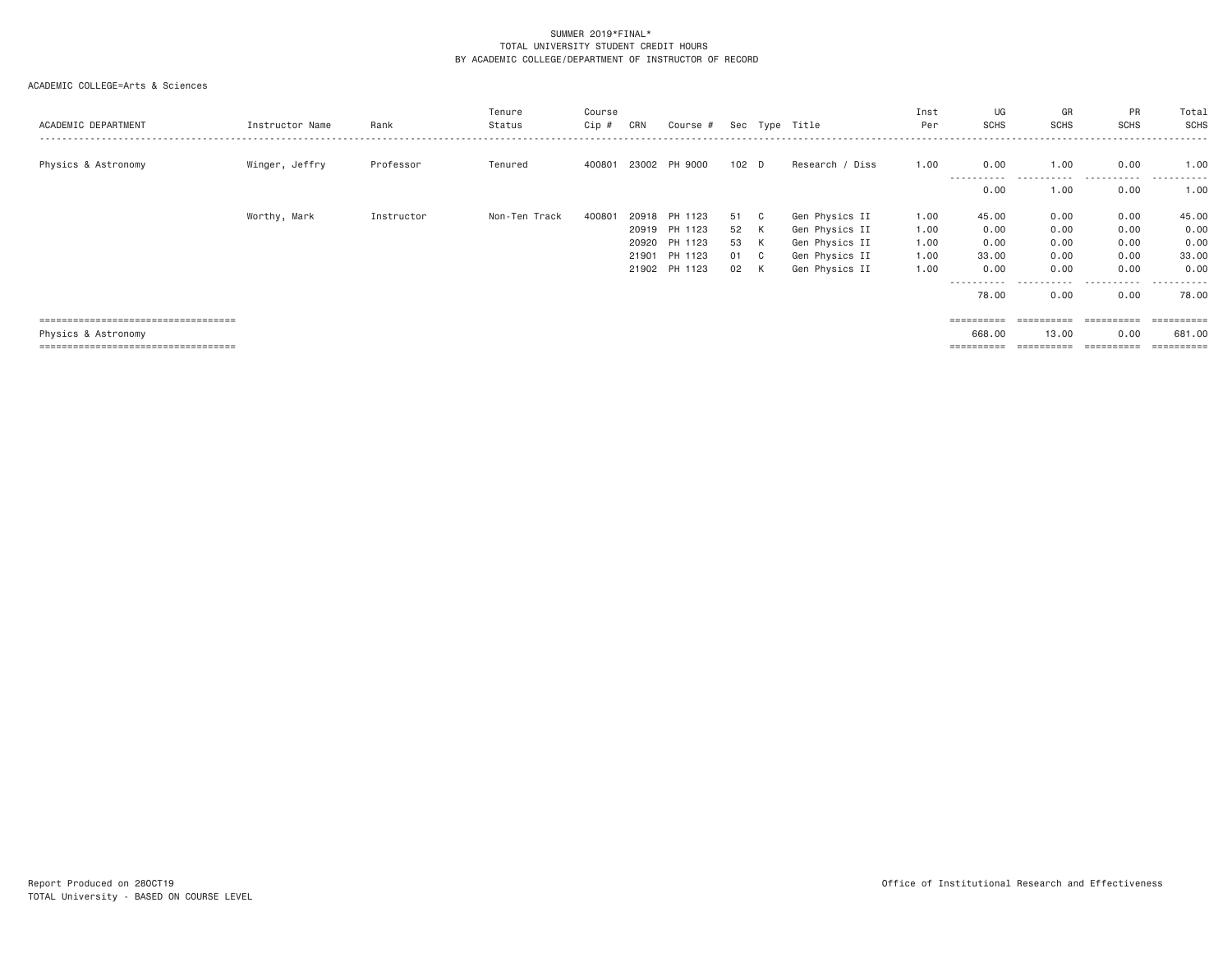| ACADEMIC DEPARTMENT                    | Instructor Name | Rank       | Tenure<br>Status | Course<br>Cip # | CRN   | Course #      |         |     | Sec Type Title  | Inst<br>Per | UG<br>SCHS      | GR<br><b>SCHS</b>   | PR<br>SCHS         | Total<br>SCHS         |
|----------------------------------------|-----------------|------------|------------------|-----------------|-------|---------------|---------|-----|-----------------|-------------|-----------------|---------------------|--------------------|-----------------------|
| Physics & Astronomy                    | Winger, Jeffry  | Professor  | Tenured          | 400801          |       | 23002 PH 9000 | $102$ D |     | Research / Diss | 1.00        | 0.00<br>.       | 1.00<br>.           | 0.00<br>.          | 1.00<br>.             |
|                                        |                 |            |                  |                 |       |               |         |     |                 |             | 0.00            | 1,00                | 0.00               | 1.00                  |
|                                        | Worthy, Mark    | Instructor | Non-Ten Track    | 400801          | 20918 | PH 1123       | 51      | C . | Gen Physics II  | 1.00        | 45.00           | 0.00                | 0.00               | 45.00                 |
|                                        |                 |            |                  |                 | 20919 | PH 1123       | 52      | K   | Gen Physics II  | 1.00        | 0.00            | 0.00                | 0.00               | 0.00                  |
|                                        |                 |            |                  |                 | 20920 | PH 1123       | 53      | K   | Gen Physics II  | 1.00        | 0.00            | 0.00                | 0.00               | 0.00                  |
|                                        |                 |            |                  |                 | 21901 | PH 1123       | 01 C    |     | Gen Physics II  | 1.00        | 33.00           | 0.00                | 0.00               | 33.00                 |
|                                        |                 |            |                  |                 | 21902 | PH 1123       | 02      | K   | Gen Physics II  | 1.00        | 0.00            | 0.00                | 0.00               | 0.00                  |
|                                        |                 |            |                  |                 |       |               |         |     |                 |             | ------<br>78.00 | -----------<br>0.00 | -----<br>.<br>0.00 | -------<br>78.00      |
| ;===================================   |                 |            |                  |                 |       |               |         |     |                 |             |                 | ==========          | ==========         | $=$ = = = = = = = = = |
| Physics & Astronomy                    |                 |            |                  |                 |       |               |         |     |                 |             | 668,00          | 13,00               | 0.00               | 681,00                |
| ====================================== |                 |            |                  |                 |       |               |         |     |                 |             | ==========      | ==========          | ==========         | ==========            |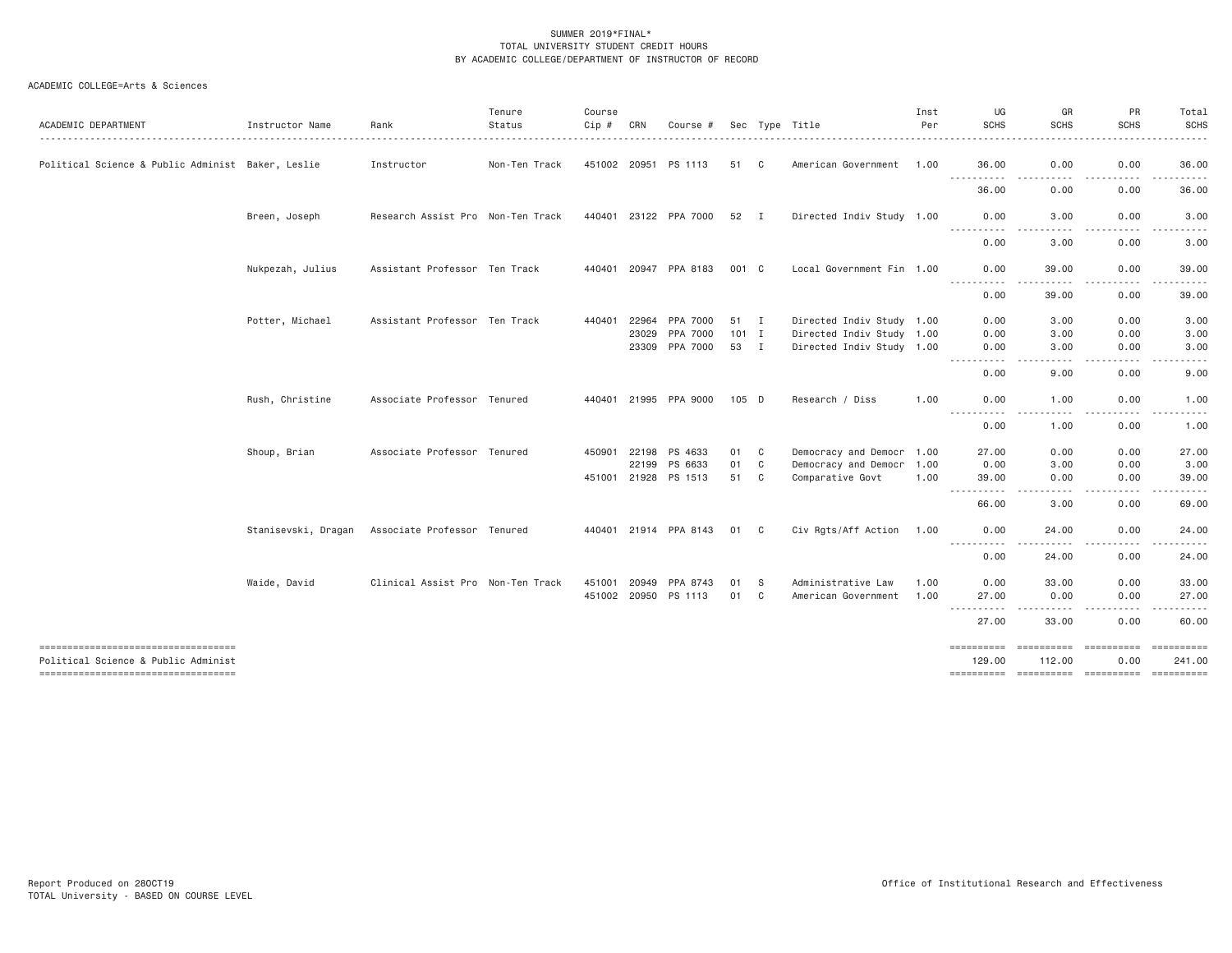| ACADEMIC DEPARTMENT                               | Instructor Name     | Rank                              | Tenure<br>Status | Course<br>$Cip$ # | CRN                     | Course #                         |                       |              | Sec Type Title                                                                      | Inst<br>Per | UG<br><b>SCHS</b>                                 | GR<br><b>SCHS</b>                                                                                                                                 | PR<br><b>SCHS</b>         | Total<br><b>SCHS</b><br>.                                                                                                                                                               |
|---------------------------------------------------|---------------------|-----------------------------------|------------------|-------------------|-------------------------|----------------------------------|-----------------------|--------------|-------------------------------------------------------------------------------------|-------------|---------------------------------------------------|---------------------------------------------------------------------------------------------------------------------------------------------------|---------------------------|-----------------------------------------------------------------------------------------------------------------------------------------------------------------------------------------|
| Political Science & Public Administ Baker, Leslie |                     | Instructor                        | Non-Ten Track    | 451002 20951      |                         | PS 1113                          | 51                    | C            | American Government 1.00                                                            |             | 36.00                                             | 0.00                                                                                                                                              | 0.00                      | 36.00                                                                                                                                                                                   |
|                                                   |                     |                                   |                  |                   |                         |                                  |                       |              |                                                                                     |             | ----------<br>36.00                               | .<br>0.00                                                                                                                                         | .<br>0.00                 | 36.00                                                                                                                                                                                   |
|                                                   | Breen, Joseph       | Research Assist Pro Non-Ten Track |                  |                   |                         | 440401 23122 PPA 7000            | 52 I                  |              | Directed Indiv Study 1.00                                                           |             | 0.00<br>.                                         | 3.00<br>$- - - -$                                                                                                                                 | 0.00<br>.                 | 3.00<br>$\frac{1}{2} \left( \frac{1}{2} \right) \left( \frac{1}{2} \right) \left( \frac{1}{2} \right) \left( \frac{1}{2} \right) \left( \frac{1}{2} \right)$                            |
|                                                   |                     |                                   |                  |                   |                         |                                  |                       |              |                                                                                     |             | 0.00                                              | 3.00                                                                                                                                              | 0.00                      | 3.00                                                                                                                                                                                    |
|                                                   | Nukpezah, Julius    | Assistant Professor Ten Track     |                  | 440401            | 20947                   | PPA 8183                         | 001 C                 |              | Local Government Fin 1.00                                                           |             | 0.00<br>.                                         | 39,00<br>----                                                                                                                                     | 0.00<br>.                 | 39.00<br>.                                                                                                                                                                              |
|                                                   |                     |                                   |                  |                   |                         |                                  |                       |              |                                                                                     |             | 0.00                                              | 39.00                                                                                                                                             | 0.00                      | 39.00                                                                                                                                                                                   |
|                                                   | Potter, Michael     | Assistant Professor Ten Track     |                  | 440401            | 22964<br>23029<br>23309 | PPA 7000<br>PPA 7000<br>PPA 7000 | 51 I<br>$101$ I<br>53 | $\mathbf{I}$ | Directed Indiv Study 1.00<br>Directed Indiv Study 1.00<br>Directed Indiv Study 1.00 |             | 0.00<br>0.00<br>0.00<br>$\cdots$<br>$\frac{1}{2}$ | 3.00<br>3.00<br>3.00<br>$\frac{1}{2} \left( \frac{1}{2} \right) \left( \frac{1}{2} \right) \left( \frac{1}{2} \right) \left( \frac{1}{2} \right)$ | 0.00<br>0.00<br>0.00<br>. | 3.00<br>3.00<br>3.00<br>-----                                                                                                                                                           |
|                                                   |                     |                                   |                  |                   |                         |                                  |                       |              |                                                                                     |             | 0.00                                              | 9,00                                                                                                                                              | 0.00                      | 9.00                                                                                                                                                                                    |
|                                                   | Rush, Christine     | Associate Professor Tenured       |                  | 440401            |                         | 21995 PPA 9000                   | 105 D                 |              | Research / Diss                                                                     | 1.00        | 0.00<br>----------                                | 1.00<br>$- - - -$<br>-----                                                                                                                        | 0.00<br>. <u>.</u>        | 1.00<br>$\frac{1}{2} \left( \frac{1}{2} \right) \left( \frac{1}{2} \right) \left( \frac{1}{2} \right) \left( \frac{1}{2} \right) \left( \frac{1}{2} \right) \left( \frac{1}{2} \right)$ |
|                                                   |                     |                                   |                  |                   |                         |                                  |                       |              |                                                                                     |             | 0.00                                              | 1.00                                                                                                                                              | 0.00                      | 1.00                                                                                                                                                                                    |
|                                                   | Shoup, Brian        | Associate Professor Tenured       |                  | 450901            | 22198                   | PS 4633                          | 01                    | C            | Democracy and Democr 1.00                                                           |             | 27,00                                             | 0.00                                                                                                                                              | 0.00                      | 27.00                                                                                                                                                                                   |
|                                                   |                     |                                   |                  | 451001            | 22199<br>21928          | PS 6633<br>PS 1513               | 01<br>51              | C<br>C       | Democracy and Democr 1.00<br>Comparative Govt                                       | 1.00        | 0.00<br>39,00                                     | 3.00<br>0.00                                                                                                                                      | 0.00<br>0.00              | 3.00<br>39.00                                                                                                                                                                           |
|                                                   |                     |                                   |                  |                   |                         |                                  |                       |              |                                                                                     |             | ----------<br>66.00                               | .<br>3.00                                                                                                                                         | 0.00                      | 69.00                                                                                                                                                                                   |
|                                                   | Stanisevski, Dragan | Associate Professor Tenured       |                  |                   |                         | 440401 21914 PPA 8143            | 01 C                  |              | Civ Rgts/Aff Action 1.00                                                            |             | 0.00                                              | 24.00                                                                                                                                             | 0.00                      | 24.00                                                                                                                                                                                   |
|                                                   |                     |                                   |                  |                   |                         |                                  |                       |              |                                                                                     |             | -----------                                       | <b>.</b>                                                                                                                                          | .                         | .                                                                                                                                                                                       |
|                                                   |                     |                                   |                  |                   |                         |                                  |                       |              |                                                                                     |             | 0.00                                              | 24.00                                                                                                                                             | 0.00                      | 24.00                                                                                                                                                                                   |
|                                                   | Waide, David        | Clinical Assist Pro Non-Ten Track |                  | 451001            | 20949                   | PPA 8743                         | 01                    | - S          | Administrative Law                                                                  | 1.00        | 0.00                                              | 33.00                                                                                                                                             | 0.00                      | 33.00                                                                                                                                                                                   |
|                                                   |                     |                                   |                  |                   | 451002 20950            | PS 1113                          | 01                    | C            | American Government                                                                 | 1.00        | 27.00                                             | 0.00                                                                                                                                              | 0.00                      | 27.00                                                                                                                                                                                   |
|                                                   |                     |                                   |                  |                   |                         |                                  |                       |              |                                                                                     |             | -----------<br>27.00                              | $\frac{1}{2}$<br>33.00                                                                                                                            | -----<br>0.00             | .<br>60.00                                                                                                                                                                              |
| Political Science & Public Administ               |                     |                                   |                  |                   |                         |                                  |                       |              |                                                                                     |             | ===========<br>129.00                             | 112.00                                                                                                                                            | ==========<br>0.00        | ==========<br>241.00                                                                                                                                                                    |
| ----------------------------------                |                     |                                   |                  |                   |                         |                                  |                       |              |                                                                                     |             |                                                   |                                                                                                                                                   |                           |                                                                                                                                                                                         |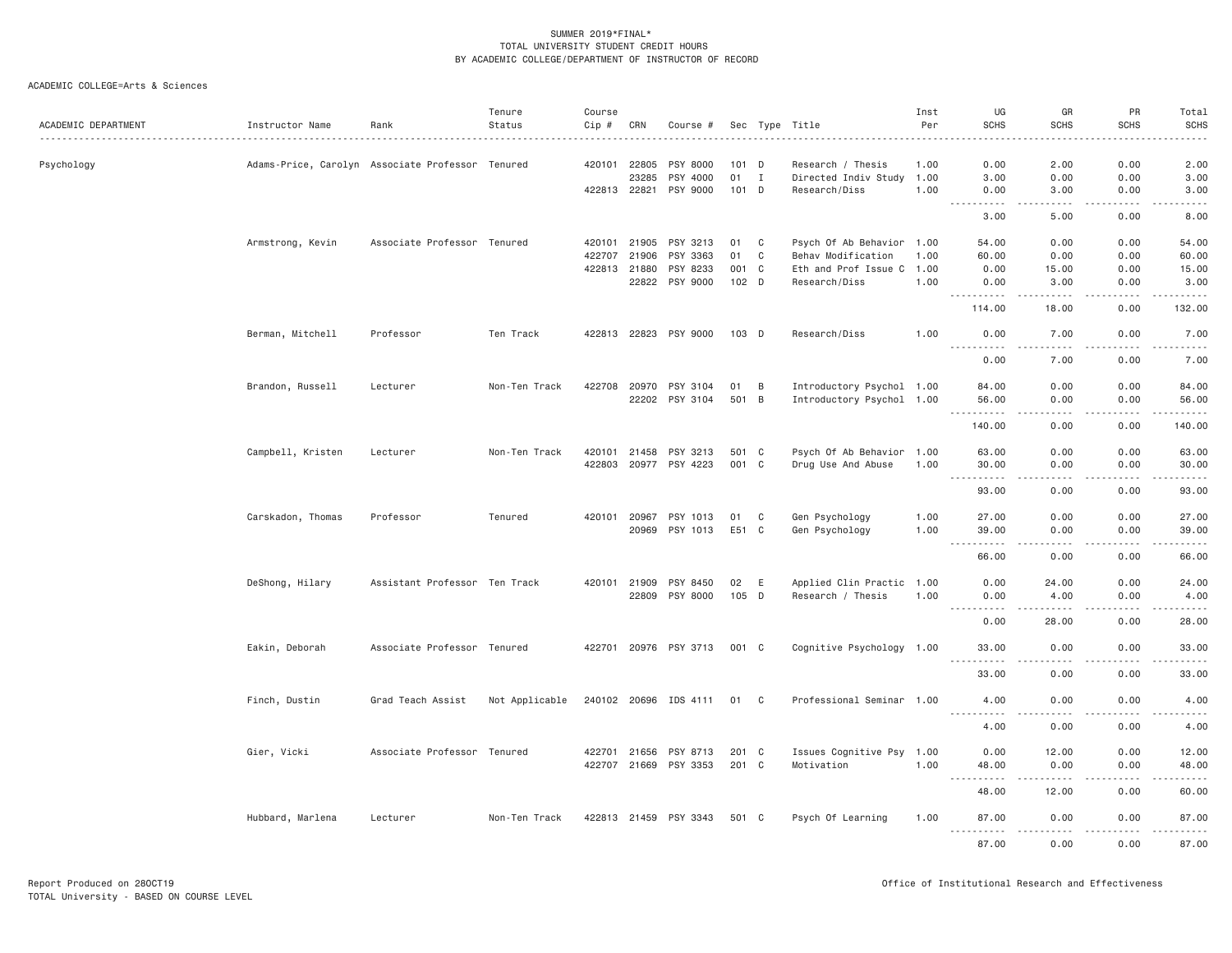| ACADEMIC DEPARTMENT | Instructor Name                                  | Rank                          | Tenure<br>Status | Course<br>Cip # | CRN                   | Course #              |             |                | Sec Type Title                             | Inst<br>Per | UG<br><b>SCHS</b>                                                                                                                                            | GR<br><b>SCHS</b>                                                                                                                                            | PR<br><b>SCHS</b>                                                                                                                                                                                                                                                                 | Total<br><b>SCHS</b> |
|---------------------|--------------------------------------------------|-------------------------------|------------------|-----------------|-----------------------|-----------------------|-------------|----------------|--------------------------------------------|-------------|--------------------------------------------------------------------------------------------------------------------------------------------------------------|--------------------------------------------------------------------------------------------------------------------------------------------------------------|-----------------------------------------------------------------------------------------------------------------------------------------------------------------------------------------------------------------------------------------------------------------------------------|----------------------|
|                     |                                                  |                               |                  |                 |                       |                       |             |                |                                            |             |                                                                                                                                                              |                                                                                                                                                              |                                                                                                                                                                                                                                                                                   |                      |
| Psychology          | Adams-Price, Carolyn Associate Professor Tenured |                               |                  |                 | 420101 22805          | PSY 8000              | 101 D       |                | Research / Thesis                          | 1.00        | 0.00                                                                                                                                                         | 2.00                                                                                                                                                         | 0.00                                                                                                                                                                                                                                                                              | 2.00                 |
|                     |                                                  |                               |                  |                 | 23285<br>422813 22821 | PSY 4000<br>PSY 9000  | 01<br>101 D | $\mathbf{I}$   | Directed Indiv Study 1.00<br>Research/Diss | 1.00        | 3.00<br>0.00                                                                                                                                                 | 0.00<br>3.00                                                                                                                                                 | 0.00<br>0.00                                                                                                                                                                                                                                                                      | 3.00<br>3.00         |
|                     |                                                  |                               |                  |                 |                       |                       |             |                |                                            |             | <u>.</u>                                                                                                                                                     | .                                                                                                                                                            | $\frac{1}{2} \left( \frac{1}{2} \right) \left( \frac{1}{2} \right) \left( \frac{1}{2} \right) \left( \frac{1}{2} \right) \left( \frac{1}{2} \right) \left( \frac{1}{2} \right)$<br>$\frac{1}{2} \left( \frac{1}{2} \right) \left( \frac{1}{2} \right) \left( \frac{1}{2} \right)$ | .                    |
|                     |                                                  |                               |                  |                 |                       |                       |             |                |                                            |             | 3.00                                                                                                                                                         | 5.00                                                                                                                                                         | 0.00                                                                                                                                                                                                                                                                              | 8.00                 |
|                     | Armstrong, Kevin                                 | Associate Professor Tenured   |                  |                 | 420101 21905          | PSY 3213              | 01          | $\mathbf{C}$   | Psych Of Ab Behavior 1.00                  |             | 54.00                                                                                                                                                        | 0.00                                                                                                                                                         | 0.00                                                                                                                                                                                                                                                                              | 54.00                |
|                     |                                                  |                               |                  |                 | 422707 21906          | PSY 3363              | 01          | $\mathbf C$    | Behav Modification                         | 1.00        | 60.00                                                                                                                                                        | 0.00                                                                                                                                                         | 0.00                                                                                                                                                                                                                                                                              | 60.00                |
|                     |                                                  |                               |                  |                 | 422813 21880          | PSY 8233              | 001 C       |                | Eth and Prof Issue C 1.00                  |             | 0.00                                                                                                                                                         | 15.00                                                                                                                                                        | 0.00                                                                                                                                                                                                                                                                              | 15.00                |
|                     |                                                  |                               |                  |                 | 22822                 | PSY 9000              | 102 D       |                | Research/Diss                              | 1.00        | 0.00<br>.                                                                                                                                                    | 3.00<br>.                                                                                                                                                    | 0.00<br>.                                                                                                                                                                                                                                                                         | 3.00<br>.            |
|                     |                                                  |                               |                  |                 |                       |                       |             |                |                                            |             | 114.00                                                                                                                                                       | 18.00                                                                                                                                                        | 0.00                                                                                                                                                                                                                                                                              | 132.00               |
|                     | Berman, Mitchell                                 | Professor                     | Ten Track        |                 |                       | 422813 22823 PSY 9000 | 103 D       |                | Research/Diss                              | 1.00        | 0.00<br>$\frac{1}{2} \left( \frac{1}{2} \right) \left( \frac{1}{2} \right) \left( \frac{1}{2} \right) \left( \frac{1}{2} \right) \left( \frac{1}{2} \right)$ | 7.00                                                                                                                                                         | 0.00                                                                                                                                                                                                                                                                              | 7.00<br>.            |
|                     |                                                  |                               |                  |                 |                       |                       |             |                |                                            |             | 0.00                                                                                                                                                         | 7.00                                                                                                                                                         | 0.00                                                                                                                                                                                                                                                                              | 7.00                 |
|                     | Brandon, Russell                                 | Lecturer                      | Non-Ten Track    |                 | 422708 20970          | PSY 3104              | 01          | $\overline{B}$ | Introductory Psychol 1.00                  |             | 84.00                                                                                                                                                        | 0.00                                                                                                                                                         | 0.00                                                                                                                                                                                                                                                                              | 84.00                |
|                     |                                                  |                               |                  |                 | 22202                 | PSY 3104              | 501 B       |                | Introductory Psychol 1.00                  |             | 56.00                                                                                                                                                        | 0.00                                                                                                                                                         | 0.00                                                                                                                                                                                                                                                                              | 56.00                |
|                     |                                                  |                               |                  |                 |                       |                       |             |                |                                            |             | . <b>.</b>                                                                                                                                                   | .                                                                                                                                                            | .                                                                                                                                                                                                                                                                                 | .                    |
|                     |                                                  |                               |                  |                 |                       |                       |             |                |                                            |             | 140.00                                                                                                                                                       | 0.00                                                                                                                                                         | 0.00                                                                                                                                                                                                                                                                              | 140.00               |
|                     | Campbell, Kristen                                | Lecturer                      | Non-Ten Track    |                 | 420101 21458          | PSY 3213              | 501 C       |                | Psych Of Ab Behavior 1.00                  |             | 63.00                                                                                                                                                        | 0.00                                                                                                                                                         | 0.00                                                                                                                                                                                                                                                                              | 63.00                |
|                     |                                                  |                               |                  |                 |                       | 422803 20977 PSY 4223 | 001 C       |                | Drug Use And Abuse                         | 1.00        | 30.00                                                                                                                                                        | 0.00                                                                                                                                                         | 0.00                                                                                                                                                                                                                                                                              | 30.00                |
|                     |                                                  |                               |                  |                 |                       |                       |             |                |                                            |             | $\sim$ $\sim$ $\sim$ $\sim$<br>. <b>.</b><br>93.00                                                                                                           | .<br>0.00                                                                                                                                                    | .<br>0.00                                                                                                                                                                                                                                                                         | .<br>93.00           |
|                     |                                                  |                               |                  |                 |                       |                       |             |                |                                            |             |                                                                                                                                                              |                                                                                                                                                              |                                                                                                                                                                                                                                                                                   |                      |
|                     | Carskadon, Thomas                                | Professor                     | Tenured          |                 | 420101 20967          | PSY 1013              | 01          | $\mathbf{C}$   | Gen Psychology                             | 1.00        | 27.00                                                                                                                                                        | 0.00                                                                                                                                                         | 0.00                                                                                                                                                                                                                                                                              | 27.00                |
|                     |                                                  |                               |                  |                 | 20969                 | PSY 1013              | E51 C       |                | Gen Psychology                             | 1.00        | 39.00<br>$- - -$<br>.                                                                                                                                        | 0.00<br>د د د د                                                                                                                                              | 0.00<br>.                                                                                                                                                                                                                                                                         | 39.00<br>.           |
|                     |                                                  |                               |                  |                 |                       |                       |             |                |                                            |             | 66.00                                                                                                                                                        | 0.00                                                                                                                                                         | 0.00                                                                                                                                                                                                                                                                              | 66.00                |
|                     | DeShong, Hilary                                  | Assistant Professor Ten Track |                  |                 | 420101 21909          | PSY 8450              | 02          | E              | Applied Clin Practic 1.00                  |             | 0.00                                                                                                                                                         | 24.00                                                                                                                                                        | 0.00                                                                                                                                                                                                                                                                              | 24.00                |
|                     |                                                  |                               |                  |                 |                       | 22809 PSY 8000        | 105 D       |                | Research / Thesis                          | 1.00        | 0.00                                                                                                                                                         | 4.00                                                                                                                                                         | 0.00                                                                                                                                                                                                                                                                              | 4.00                 |
|                     |                                                  |                               |                  |                 |                       |                       |             |                |                                            |             | .                                                                                                                                                            | -----                                                                                                                                                        | .                                                                                                                                                                                                                                                                                 | .                    |
|                     |                                                  |                               |                  |                 |                       |                       |             |                |                                            |             | 0.00                                                                                                                                                         | 28.00                                                                                                                                                        | 0.00                                                                                                                                                                                                                                                                              | 28.00                |
|                     | Eakin, Deborah                                   | Associate Professor Tenured   |                  |                 |                       | 422701 20976 PSY 3713 | 001 C       |                | Cognitive Psychology 1.00                  |             | 33.00<br>.                                                                                                                                                   | 0.00<br>$\sim$ $\sim$ $\sim$                                                                                                                                 | 0.00<br>.                                                                                                                                                                                                                                                                         | 33.00<br>.           |
|                     |                                                  |                               |                  |                 |                       |                       |             |                |                                            |             | 33.00                                                                                                                                                        | 0.00                                                                                                                                                         | 0.00                                                                                                                                                                                                                                                                              | 33.00                |
|                     | Finch, Dustin                                    | Grad Teach Assist             | Not Applicable   |                 |                       | 240102 20696 IDS 4111 | 01          | $\mathbf{C}$   | Professional Seminar 1.00                  |             | 4.00                                                                                                                                                         | 0.00                                                                                                                                                         | 0.00                                                                                                                                                                                                                                                                              | 4.00                 |
|                     |                                                  |                               |                  |                 |                       |                       |             |                |                                            |             | <u>.</u><br>4.00                                                                                                                                             | .<br>0.00                                                                                                                                                    | 0.00                                                                                                                                                                                                                                                                              | 4.00                 |
|                     |                                                  |                               |                  |                 |                       |                       |             |                |                                            |             |                                                                                                                                                              |                                                                                                                                                              |                                                                                                                                                                                                                                                                                   |                      |
|                     | Gier, Vicki                                      | Associate Professor Tenured   |                  |                 | 422701 21656          | PSY 8713              | 201 C       |                | Issues Cognitive Psy 1.00                  |             | 0.00                                                                                                                                                         | 12.00                                                                                                                                                        | 0.00                                                                                                                                                                                                                                                                              | 12.00                |
|                     |                                                  |                               |                  |                 |                       | 422707 21669 PSY 3353 | 201 C       |                | Motivation                                 | 1.00        | 48.00<br>$\sim$ $\sim$ $\sim$<br>.                                                                                                                           | 0.00<br>$\frac{1}{2} \left( \frac{1}{2} \right) \left( \frac{1}{2} \right) \left( \frac{1}{2} \right) \left( \frac{1}{2} \right) \left( \frac{1}{2} \right)$ | 0.00<br>.                                                                                                                                                                                                                                                                         | 48.00<br>.           |
|                     |                                                  |                               |                  |                 |                       |                       |             |                |                                            |             | 48.00                                                                                                                                                        | 12.00                                                                                                                                                        | 0.00                                                                                                                                                                                                                                                                              | 60.00                |
|                     | Hubbard, Marlena                                 | Lecturer                      | Non-Ten Track    |                 |                       | 422813 21459 PSY 3343 | 501 C       |                | Psych Of Learning                          | 1.00        | 87.00<br><u>.</u>                                                                                                                                            | 0.00<br><b><i><u>.</u></i></b>                                                                                                                               | 0.00<br>. <b>.</b>                                                                                                                                                                                                                                                                | 87.00<br>.           |
|                     |                                                  |                               |                  |                 |                       |                       |             |                |                                            |             | 87.00                                                                                                                                                        | 0.00                                                                                                                                                         | 0.00                                                                                                                                                                                                                                                                              | 87.00                |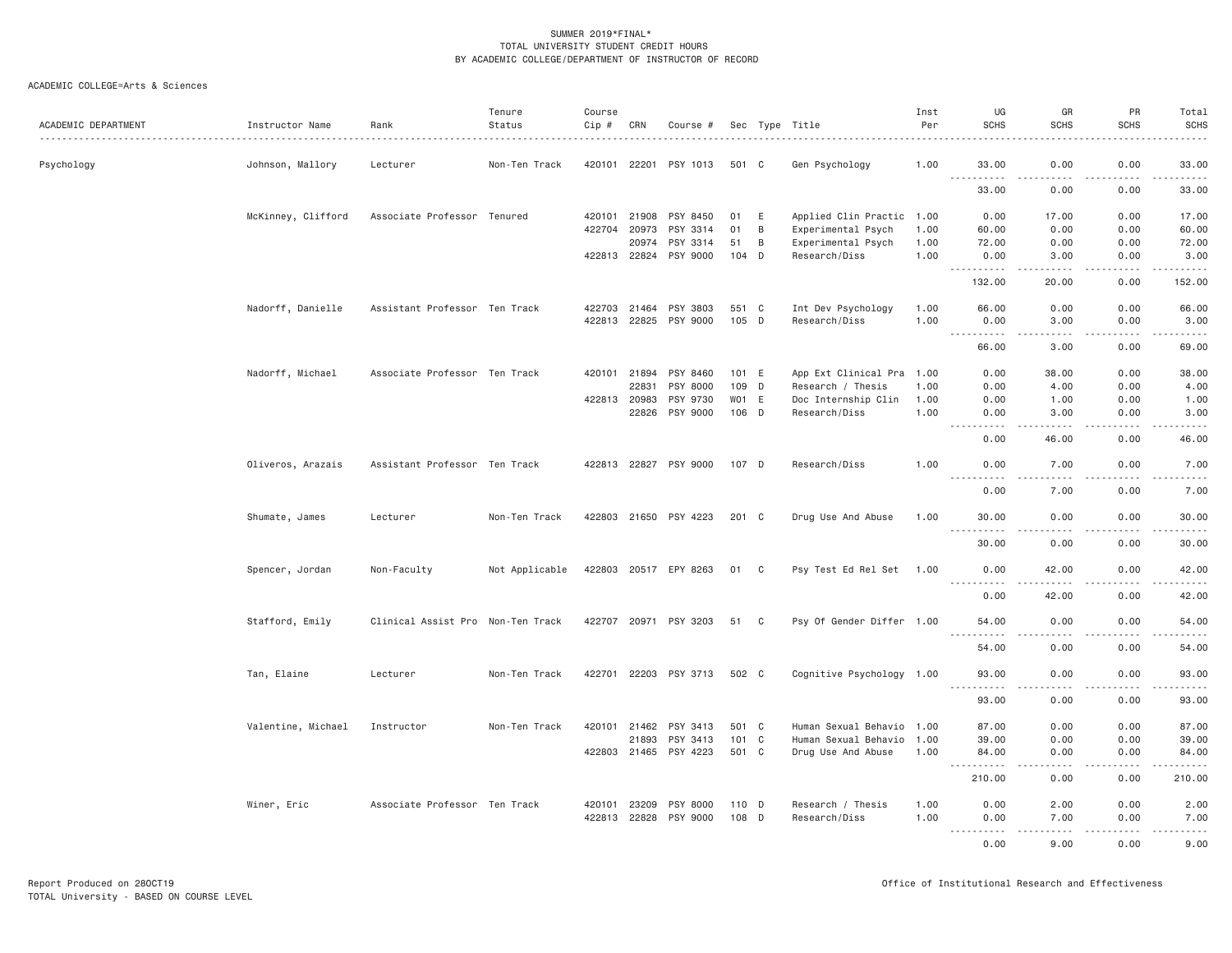| ACADEMIC DEPARTMENT | Instructor Name<br>. | Rank                              | Tenure<br>Status | Course<br>Cip # | CRN          | Course #              |                 |                | Sec Type Title            | Inst<br>Per | UG<br><b>SCHS</b>                 | GR<br>SCHS        | PR<br><b>SCHS</b>                   | Total<br><b>SCHS</b>                                                                                                                                                            |
|---------------------|----------------------|-----------------------------------|------------------|-----------------|--------------|-----------------------|-----------------|----------------|---------------------------|-------------|-----------------------------------|-------------------|-------------------------------------|---------------------------------------------------------------------------------------------------------------------------------------------------------------------------------|
| Psychology          | Johnson, Mallory     | Lecturer                          | Non-Ten Track    | 420101 22201    |              | PSY 1013              | 501 C           |                | Gen Psychology            | 1.00        | 33.00<br>.                        | 0.00<br>.         | 0.00<br>.<br>$\sim$ $\sim$ $\sim$   | 33.00<br>.                                                                                                                                                                      |
|                     |                      |                                   |                  |                 |              |                       |                 |                |                           |             | 33.00                             | 0.00              | 0.00                                | 33.00                                                                                                                                                                           |
|                     | McKinney, Clifford   | Associate Professor Tenured       |                  | 420101          | 21908        | PSY 8450              | 01              | E              | Applied Clin Practic 1.00 |             | 0.00                              | 17.00             | 0.00                                | 17.00                                                                                                                                                                           |
|                     |                      |                                   |                  | 422704          | 20973        | PSY 3314              | 01              | B              | Experimental Psych        | 1.00        | 60.00                             | 0.00              | 0.00                                | 60.00                                                                                                                                                                           |
|                     |                      |                                   |                  |                 | 20974        | PSY 3314              | 51              | $\overline{B}$ | Experimental Psych        | 1.00        | 72.00                             | 0.00              | 0.00                                | 72.00                                                                                                                                                                           |
|                     |                      |                                   |                  | 422813 22824    |              | PSY 9000              | 104 D           |                | Research/Diss             | 1.00        | 0.00<br>.                         | 3.00              | 0.00<br>$\sim$ $\sim$ $\sim$ $\sim$ | 3.00<br>$\sim$ $\sim$ $\sim$ $\sim$                                                                                                                                             |
|                     |                      |                                   |                  |                 |              |                       |                 |                |                           |             | 132.00                            | 20.00             | 0.00                                | 152.00                                                                                                                                                                          |
|                     | Nadorff, Danielle    | Assistant Professor Ten Track     |                  | 422703          | 21464        | PSY 3803              | 551 C           |                | Int Dev Psychology        | 1.00        | 66.00                             | 0.00              | 0.00                                | 66.00                                                                                                                                                                           |
|                     |                      |                                   |                  | 422813          | 22825        | PSY 9000              | 105 D           |                | Research/Diss             | 1.00        | 0.00<br>$\sim$ $\sim$ $\sim$<br>. | 3.00              | 0.00<br>.                           | 3.00<br>$   -$                                                                                                                                                                  |
|                     |                      |                                   |                  |                 |              |                       |                 |                |                           |             | 66.00                             | 3.00              | 0.00                                | 69.00                                                                                                                                                                           |
|                     | Nadorff, Michael     | Associate Professor Ten Track     |                  | 420101 21894    |              | PSY 8460              | 101 E           |                | App Ext Clinical Pra 1.00 |             | 0.00                              | 38.00             | 0.00                                | 38.00                                                                                                                                                                           |
|                     |                      |                                   |                  |                 | 22831        | PSY 8000              | 109 D           |                | Research / Thesis         | 1.00        | 0.00                              | 4.00              | 0.00                                | 4.00                                                                                                                                                                            |
|                     |                      |                                   |                  | 422813          | 20983        | PSY 9730              | WO <sub>1</sub> | E              | Doc Internship Clin       | 1.00        | 0.00                              | 1.00              | 0.00                                | 1.00                                                                                                                                                                            |
|                     |                      |                                   |                  |                 | 22826        | PSY 9000              | 106 D           |                | Research/Diss             | 1.00        | 0.00<br>----                      | 3.00              | 0.00<br>.                           | 3.00                                                                                                                                                                            |
|                     |                      |                                   |                  |                 |              |                       |                 |                |                           |             | 0.00                              | 46.00             | 0.00                                | 46.00                                                                                                                                                                           |
|                     | Oliveros, Arazais    | Assistant Professor Ten Track     |                  |                 |              | 422813 22827 PSY 9000 | 107 D           |                | Research/Diss             | 1.00        | 0.00                              | 7.00              | 0.00                                | 7.00                                                                                                                                                                            |
|                     |                      |                                   |                  |                 |              |                       |                 |                |                           |             | 0.00                              | 7.00              | $\frac{1}{2}$<br>0.00               | .<br>7.00                                                                                                                                                                       |
|                     | Shumate, James       | Lecturer                          | Non-Ten Track    |                 |              | 422803 21650 PSY 4223 | 201 C           |                | Drug Use And Abuse        | 1.00        | 30.00                             | 0.00              | 0.00                                | 30.00                                                                                                                                                                           |
|                     |                      |                                   |                  |                 |              |                       |                 |                |                           |             | .<br>30.00                        | .<br>0.00         | .<br>0.00                           | .<br>30.00                                                                                                                                                                      |
|                     | Spencer, Jordan      | Non-Faculty                       | Not Applicable   |                 |              | 422803 20517 EPY 8263 | 01 C            |                | Psy Test Ed Rel Set       | 1.00        | 0.00                              | 42.00             | 0.00                                | 42.00                                                                                                                                                                           |
|                     |                      |                                   |                  |                 |              |                       |                 |                |                           |             | -----<br>0.00                     | 42.00             | $  -$<br>0.00                       | .<br>42.00                                                                                                                                                                      |
|                     | Stafford, Emily      | Clinical Assist Pro Non-Ten Track |                  | 422707 20971    |              | PSY 3203              | 51              | C              | Psy Of Gender Differ 1.00 |             | 54.00                             | 0.00              | 0.00                                | 54.00                                                                                                                                                                           |
|                     |                      |                                   |                  |                 |              |                       |                 |                |                           |             | 54.00                             | 0.00              | 0.00                                | $- - - - -$<br>54.00                                                                                                                                                            |
|                     | Tan, Elaine          | Lecturer                          | Non-Ten Track    | 422701          |              | 22203 PSY 3713        | 502 C           |                | Cognitive Psychology 1.00 |             | 93.00                             | 0.00              | 0.00                                | 93.00                                                                                                                                                                           |
|                     |                      |                                   |                  |                 |              |                       |                 |                |                           |             | .<br>93.00                        | ----<br>0.00      | $\frac{1}{2}$<br>0.00               | $    -$<br>93.00                                                                                                                                                                |
|                     |                      |                                   |                  |                 |              |                       |                 |                |                           |             |                                   |                   |                                     |                                                                                                                                                                                 |
|                     | Valentine, Michael   | Instructor                        | Non-Ten Track    | 420101          | 21462        | PSY 3413              | 501 C           |                | Human Sexual Behavio 1.00 |             | 87.00                             | 0.00              | 0.00                                | 87.00                                                                                                                                                                           |
|                     |                      |                                   |                  |                 | 21893        | PSY 3413              | 101 C           |                | Human Sexual Behavio 1.00 |             | 39.00                             | 0.00              | 0.00                                | 39.00                                                                                                                                                                           |
|                     |                      |                                   |                  |                 |              | 422803 21465 PSY 4223 | 501 C           |                | Drug Use And Abuse        | 1.00        | 84.00<br>.                        | 0.00<br>$- - - -$ | 0.00<br>.                           | 84.00<br>.                                                                                                                                                                      |
|                     |                      |                                   |                  |                 |              |                       |                 |                |                           |             | 210.00                            | 0.00              | 0.00                                | 210.00                                                                                                                                                                          |
|                     | Winer, Eric          | Associate Professor Ten Track     |                  | 420101          | 23209        | PSY 8000              | 110 D           |                | Research / Thesis         | 1.00        | 0.00                              | 2.00              | 0.00                                | 2.00                                                                                                                                                                            |
|                     |                      |                                   |                  |                 | 422813 22828 | PSY 9000              | 108 D           |                | Research/Diss             | 1.00        | 0.00                              | 7.00              | 0.00                                | 7.00                                                                                                                                                                            |
|                     |                      |                                   |                  |                 |              |                       |                 |                |                           |             | .                                 | .                 | .                                   | $\frac{1}{2} \left( \frac{1}{2} \right) \left( \frac{1}{2} \right) \left( \frac{1}{2} \right) \left( \frac{1}{2} \right) \left( \frac{1}{2} \right) \left( \frac{1}{2} \right)$ |
|                     |                      |                                   |                  |                 |              |                       |                 |                |                           |             | 0.00                              | 9.00              | 0.00                                | 9.00                                                                                                                                                                            |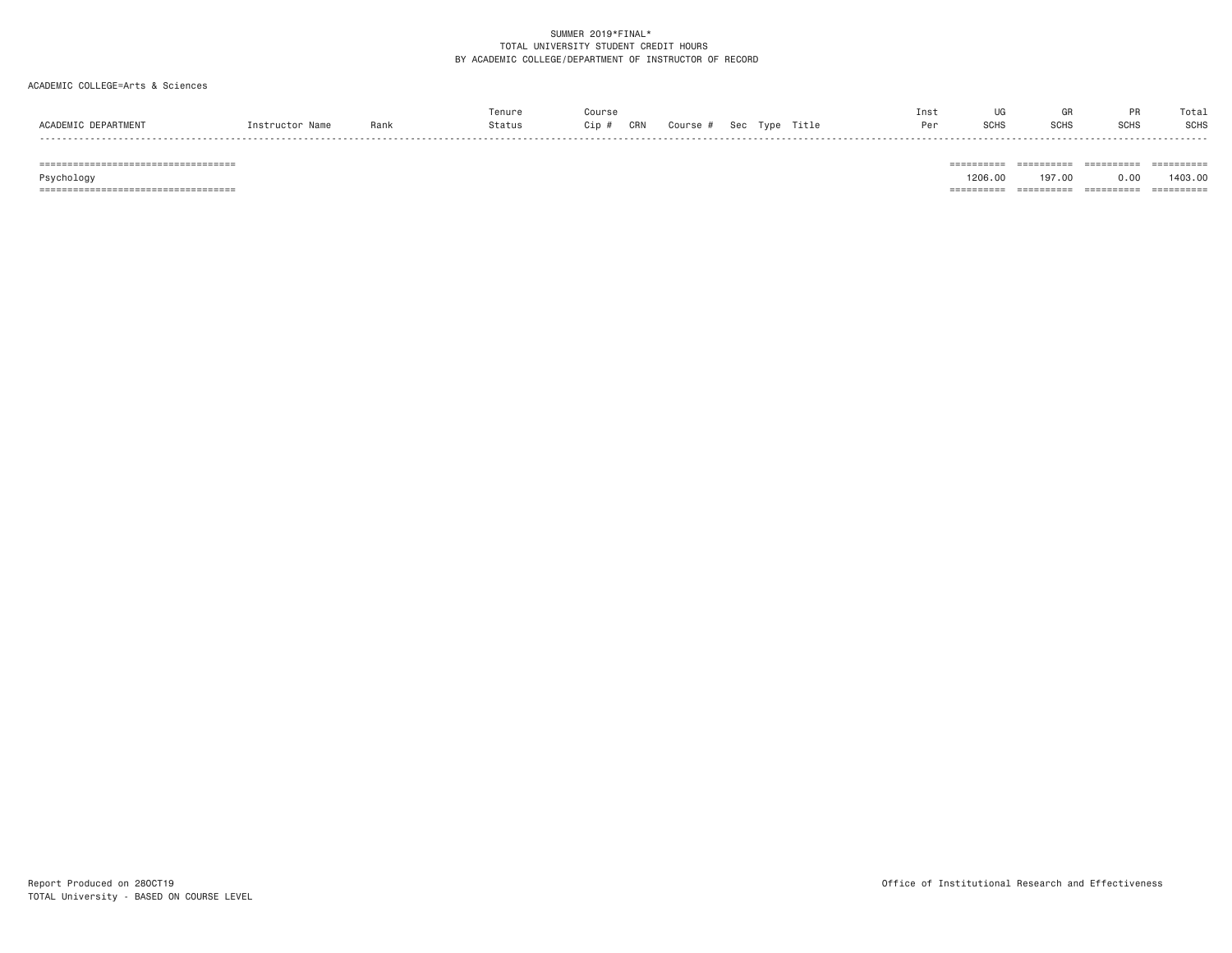# ACADEMIC COLLEGE=Arts & Sciences

|                               |                 |      | Tenure | Course       |                                  | Ins∖ |             |             | <b>DD</b>   | Tota.       |
|-------------------------------|-----------------|------|--------|--------------|----------------------------------|------|-------------|-------------|-------------|-------------|
| ACADEMIC<br><b>DEPARTMENT</b> | Instructor Name | Rank | Status | CRN<br>Cip # | Title<br>Type<br>Course #<br>Sec |      | <b>SCHS</b> | <b>SCHS</b> | <b>SCHS</b> | <b>SCHS</b> |
| -----                         |                 |      |        |              |                                  |      |             |             |             | - - - - - - |

=================================== ========== ========== ========== ==========

Psychology 1206.00 197.00 0.00 1403.00

=================================== ========== ========== ========== ==========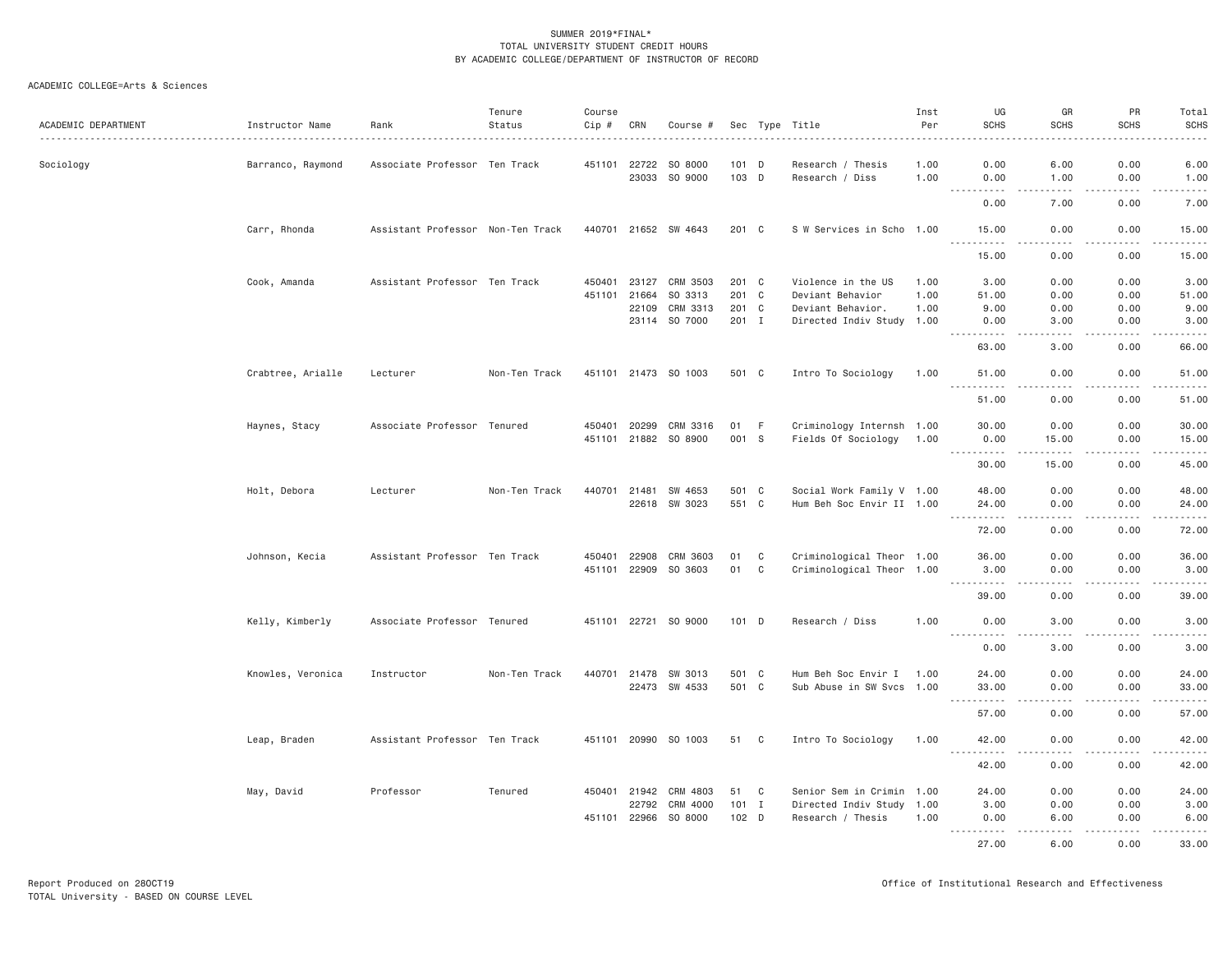| ACADEMIC DEPARTMENT | Instructor Name   | Rank                              | Tenure<br>Status | Course<br>Cip # | CRN          | Course #             |               |              | Sec Type Title            | Inst<br>Per | UG<br><b>SCHS</b>                                                                                                                                                            | GR<br><b>SCHS</b>                                                                                                         | PR<br><b>SCHS</b>  | Total<br><b>SCHS</b>                                                                                                                                                                    |
|---------------------|-------------------|-----------------------------------|------------------|-----------------|--------------|----------------------|---------------|--------------|---------------------------|-------------|------------------------------------------------------------------------------------------------------------------------------------------------------------------------------|---------------------------------------------------------------------------------------------------------------------------|--------------------|-----------------------------------------------------------------------------------------------------------------------------------------------------------------------------------------|
| Sociology           | Barranco, Raymond | Associate Professor Ten Track     |                  |                 | 451101 22722 | SO 8000              | $101$ D       |              | Research / Thesis         | 1.00        | 0.00                                                                                                                                                                         | 6.00                                                                                                                      | 0.00               | 6.00                                                                                                                                                                                    |
|                     |                   |                                   |                  |                 | 23033        | SO 9000              | 103 D         |              | Research / Diss           | 1.00        | 0.00                                                                                                                                                                         | 1.00                                                                                                                      | 0.00               | 1.00                                                                                                                                                                                    |
|                     |                   |                                   |                  |                 |              |                      |               |              |                           |             | .<br>$- - -$<br>0.00                                                                                                                                                         | $- - - -$<br>7.00                                                                                                         | .<br>0.00          | .<br>7.00                                                                                                                                                                               |
|                     | Carr, Rhonda      | Assistant Professor Non-Ten Track |                  |                 |              | 440701 21652 SW 4643 | 201 C         |              | S W Services in Scho 1.00 |             | 15.00                                                                                                                                                                        | 0.00                                                                                                                      | 0.00               | 15.00                                                                                                                                                                                   |
|                     |                   |                                   |                  |                 |              |                      |               |              |                           |             | $- - - - - - -$<br>$- - - -$<br>15.00                                                                                                                                        | $   -$<br>0.00                                                                                                            | .<br>0.00          | .<br>15.00                                                                                                                                                                              |
|                     | Cook, Amanda      | Assistant Professor Ten Track     |                  | 450401          | 23127        | CRM 3503             | 201 C         |              | Violence in the US        | 1.00        | 3.00                                                                                                                                                                         | 0.00                                                                                                                      | 0.00               | 3.00                                                                                                                                                                                    |
|                     |                   |                                   |                  | 451101          | 21664        | SO 3313              | 201 C         |              | Deviant Behavior          | 1.00        | 51.00                                                                                                                                                                        | 0.00                                                                                                                      | 0.00               | 51.00                                                                                                                                                                                   |
|                     |                   |                                   |                  |                 | 22109        | CRM 3313             | 201 C         |              | Deviant Behavior.         | 1.00        | 9.00                                                                                                                                                                         | 0.00                                                                                                                      | 0.00               | 9.00                                                                                                                                                                                    |
|                     |                   |                                   |                  |                 | 23114        | SO 7000              | 201 I         |              | Directed Indiv Study 1.00 |             | 0.00<br>.                                                                                                                                                                    | 3.00<br>$- - - -$                                                                                                         | 0.00<br>.          | 3.00<br>.                                                                                                                                                                               |
|                     |                   |                                   |                  |                 |              |                      |               |              |                           |             | 63.00                                                                                                                                                                        | 3.00                                                                                                                      | 0.00               | 66.00                                                                                                                                                                                   |
|                     | Crabtree, Arialle | Lecturer                          | Non-Ten Track    |                 |              | 451101 21473 SO 1003 | 501 C         |              | Intro To Sociology        | 1.00        | 51.00<br>$- - - - -$                                                                                                                                                         | 0.00<br>$\frac{1}{2}$                                                                                                     | 0.00<br>.          | 51.00<br>.                                                                                                                                                                              |
|                     |                   |                                   |                  |                 |              |                      |               |              |                           |             | 51.00                                                                                                                                                                        | 0.00                                                                                                                      | 0.00               | 51.00                                                                                                                                                                                   |
|                     | Haynes, Stacy     | Associate Professor Tenured       |                  | 450401          | 20299        | CRM 3316             | 01            | -F           | Criminology Internsh 1.00 |             | 30.00                                                                                                                                                                        | 0.00                                                                                                                      | 0.00               | 30.00                                                                                                                                                                                   |
|                     |                   |                                   |                  |                 | 451101 21882 | SO 8900              | 001 S         |              | Fields Of Sociology 1.00  |             | 0.00                                                                                                                                                                         | 15.00                                                                                                                     | 0.00               | 15.00                                                                                                                                                                                   |
|                     |                   |                                   |                  |                 |              |                      |               |              |                           |             | .                                                                                                                                                                            | <u>.</u>                                                                                                                  | .                  | .                                                                                                                                                                                       |
|                     |                   |                                   |                  |                 |              |                      |               |              |                           |             | 30.00                                                                                                                                                                        | 15.00                                                                                                                     | 0.00               | 45.00                                                                                                                                                                                   |
|                     | Holt, Debora      | Lecturer                          | Non-Ten Track    | 440701          | 21481        | SW 4653              | 501 C         |              | Social Work Family V 1.00 |             | 48.00                                                                                                                                                                        | 0.00                                                                                                                      | 0.00               | 48.00                                                                                                                                                                                   |
|                     |                   |                                   |                  |                 |              | 22618 SW 3023        | 551 C         |              | Hum Beh Soc Envir II 1.00 |             | 24.00                                                                                                                                                                        | 0.00<br>.                                                                                                                 | 0.00               | 24.00<br>$\frac{1}{2} \left( \frac{1}{2} \right) \left( \frac{1}{2} \right) \left( \frac{1}{2} \right) \left( \frac{1}{2} \right) \left( \frac{1}{2} \right)$                           |
|                     |                   |                                   |                  |                 |              |                      |               |              |                           |             | 72.00                                                                                                                                                                        | 0.00                                                                                                                      | 0.00               | 72.00                                                                                                                                                                                   |
|                     | Johnson, Kecia    | Assistant Professor Ten Track     |                  | 450401          | 22908        | CRM 3603             | 01            | C            | Criminological Theor 1.00 |             | 36.00                                                                                                                                                                        | 0.00                                                                                                                      | 0.00               | 36.00                                                                                                                                                                                   |
|                     |                   |                                   |                  |                 | 451101 22909 | SO 3603              | 01            | C            | Criminological Theor 1.00 |             | 3,00                                                                                                                                                                         | 0.00                                                                                                                      | 0.00               | 3.00                                                                                                                                                                                    |
|                     |                   |                                   |                  |                 |              |                      |               |              |                           |             | $\sim$ $\sim$ $\sim$<br>$\frac{1}{2} \left( \frac{1}{2} \right) \left( \frac{1}{2} \right) \left( \frac{1}{2} \right) \left( \frac{1}{2} \right) \left( \frac{1}{2} \right)$ | $\frac{1}{2} \left( \frac{1}{2} \right) \left( \frac{1}{2} \right) \left( \frac{1}{2} \right) \left( \frac{1}{2} \right)$ | .                  | .                                                                                                                                                                                       |
|                     |                   |                                   |                  |                 |              |                      |               |              |                           |             | 39.00                                                                                                                                                                        | 0.00                                                                                                                      | 0.00               | 39.00                                                                                                                                                                                   |
|                     | Kelly, Kimberly   | Associate Professor Tenured       |                  |                 | 451101 22721 | SO 9000              | $101$ D       |              | Research / Diss           | 1.00        | 0.00<br><u> - - - - - - - - - -</u>                                                                                                                                          | 3.00<br>.                                                                                                                 | 0.00<br>-----      | 3.00<br>$\frac{1}{2} \left( \frac{1}{2} \right) \left( \frac{1}{2} \right) \left( \frac{1}{2} \right) \left( \frac{1}{2} \right) \left( \frac{1}{2} \right) \left( \frac{1}{2} \right)$ |
|                     |                   |                                   |                  |                 |              |                      |               |              |                           |             | 0.00                                                                                                                                                                         | 3.00                                                                                                                      | 0.00               | 3.00                                                                                                                                                                                    |
|                     | Knowles, Veronica | Instructor                        | Non-Ten Track    |                 |              | 440701 21478 SW 3013 | 501 C         |              | Hum Beh Soc Envir I 1.00  |             | 24,00                                                                                                                                                                        | 0.00                                                                                                                      | 0.00               | 24,00                                                                                                                                                                                   |
|                     |                   |                                   |                  |                 | 22473        | SW 4533              | 501 C         |              | Sub Abuse in SW Svcs 1.00 |             | 33.00                                                                                                                                                                        | 0.00                                                                                                                      | 0.00               | 33.00                                                                                                                                                                                   |
|                     |                   |                                   |                  |                 |              |                      |               |              |                           |             | .<br>57.00                                                                                                                                                                   | $- - - -$<br>0.00                                                                                                         | . <b>.</b><br>0.00 | .<br>57.00                                                                                                                                                                              |
|                     | Leap, Braden      | Assistant Professor Ten Track     |                  |                 |              | 451101 20990 SO 1003 | 51 C          |              | Intro To Sociology        | 1.00        | 42.00                                                                                                                                                                        | 0.00                                                                                                                      | 0.00               | 42.00                                                                                                                                                                                   |
|                     |                   |                                   |                  |                 |              |                      |               |              |                           |             | $- - -$<br>42.00                                                                                                                                                             | 0.00                                                                                                                      | 0.00               | .<br>42.00                                                                                                                                                                              |
|                     |                   | Professor                         |                  |                 | 450401 21942 | CRM 4803             |               | $\mathbf{C}$ | Senior Sem in Crimin 1.00 |             | 24.00                                                                                                                                                                        | 0.00                                                                                                                      | 0.00               | 24.00                                                                                                                                                                                   |
|                     | May, David        |                                   | Tenured          |                 | 22792        | CRM 4000             | 51<br>$101$ I |              | Directed Indiv Study 1.00 |             | 3.00                                                                                                                                                                         | 0.00                                                                                                                      | 0.00               | 3.00                                                                                                                                                                                    |
|                     |                   |                                   |                  | 451101          | 22966        | SO 8000              | 102 D         |              | Research / Thesis         | 1.00        | 0.00<br>.                                                                                                                                                                    | 6.00<br>$\sim$ $\sim$ $\sim$ $\sim$                                                                                       | 0.00<br>.          | 6.00<br>.                                                                                                                                                                               |
|                     |                   |                                   |                  |                 |              |                      |               |              |                           |             | 27.00                                                                                                                                                                        | 6.00                                                                                                                      | 0.00               | 33,00                                                                                                                                                                                   |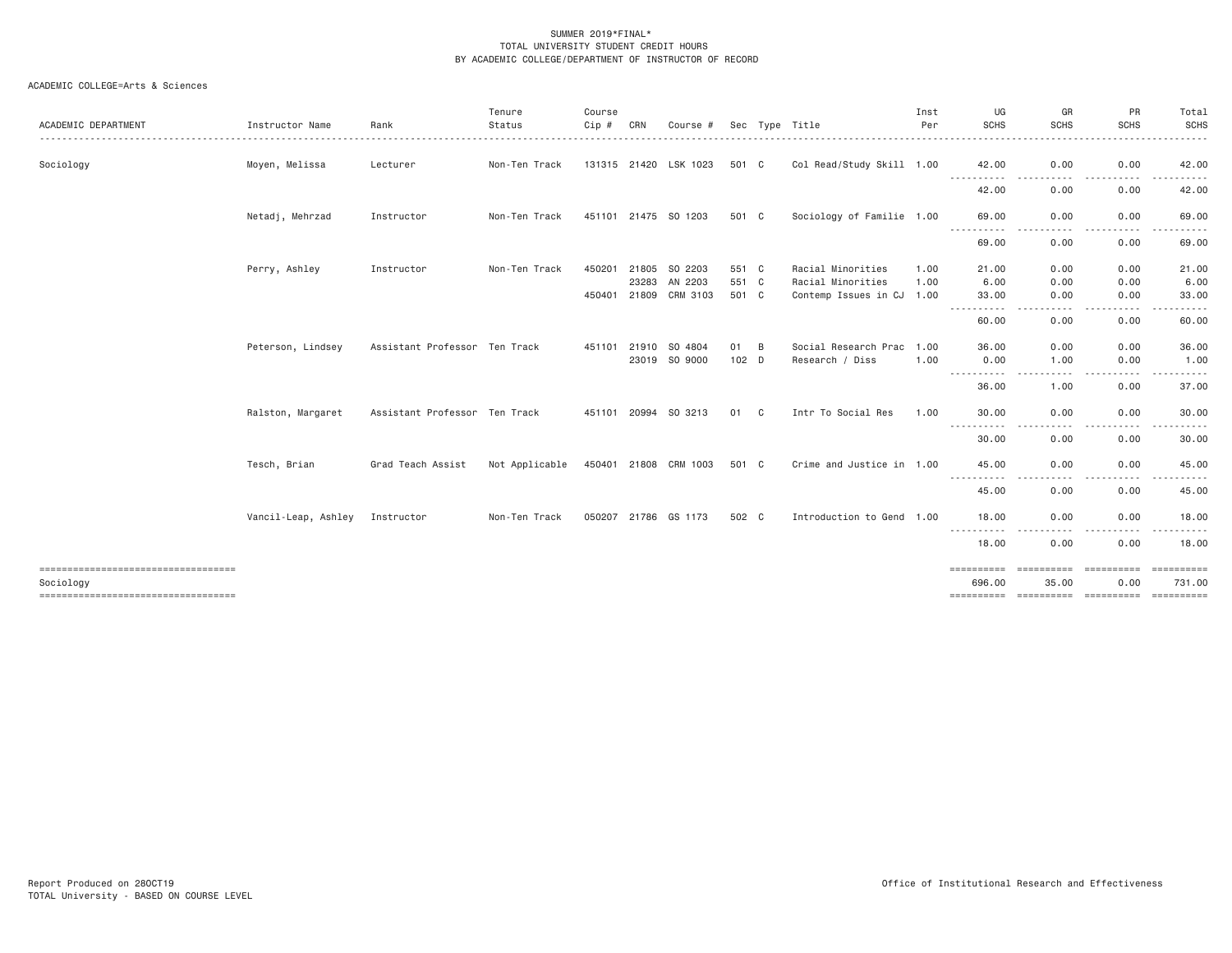| <b>ACADEMIC DEPARTMENT</b>                                                              | Instructor Name     | Rank                          | Tenure<br>Status | Course<br>$Cip$ # | CRN            | Course #                 |                |   | Sec Type Title                               | Inst<br>Per  | UG<br><b>SCHS</b>                          | GR<br><b>SCHS</b>   | <b>PR</b><br><b>SCHS</b>       | Total<br><b>SCHS</b><br>. <b>.</b> .     |
|-----------------------------------------------------------------------------------------|---------------------|-------------------------------|------------------|-------------------|----------------|--------------------------|----------------|---|----------------------------------------------|--------------|--------------------------------------------|---------------------|--------------------------------|------------------------------------------|
| Sociology                                                                               | Moyen, Melissa      | Lecturer                      | Non-Ten Track    |                   |                | 131315 21420 LSK 1023    | 501 C          |   | Col Read/Study Skill 1.00                    |              | 42.00<br>.                                 | 0.00<br>- - - -     | 0.00<br>.                      | 42.00<br>.                               |
|                                                                                         |                     |                               |                  |                   |                |                          |                |   |                                              |              | 42.00                                      | 0.00                | 0.00                           | 42.00                                    |
|                                                                                         | Netadj, Mehrzad     | Instructor                    | Non-Ten Track    |                   |                | 451101 21475 SO 1203     | 501 C          |   | Sociology of Familie 1.00                    |              | 69,00<br>. <b>.</b>                        | 0.00                | 0.00<br>.                      | 69.00<br>.                               |
|                                                                                         |                     |                               |                  |                   |                |                          |                |   |                                              |              | 69.00                                      | 0.00                | 0.00                           | 69.00                                    |
|                                                                                         | Perry, Ashley       | Instructor                    | Non-Ten Track    | 450201            | 21805<br>23283 | SO 2203<br>AN 2203       | 551 C<br>551 C |   | Racial Minorities<br>Racial Minorities       | 1.00<br>1.00 | 21,00<br>6.00                              | 0.00<br>0.00        | 0.00<br>0.00                   | 21.00<br>6.00                            |
|                                                                                         |                     |                               |                  | 450401            | 21809          | CRM 3103                 | 501 C          |   | Contemp Issues in CJ 1.00                    |              | 33,00                                      | 0.00                | 0.00<br>$\frac{1}{2}$          | 33.00                                    |
|                                                                                         |                     |                               |                  |                   |                |                          |                |   |                                              |              | -----------<br>60.00                       | -----<br>0.00       | $\cdots \cdots \cdots$<br>0.00 | .<br>60.00                               |
|                                                                                         | Peterson, Lindsey   | Assistant Professor Ten Track |                  | 451101            | 21910          | SO 4804<br>23019 SO 9000 | 01<br>$102$ D  | B | Social Research Prac 1.00<br>Research / Diss | 1,00         | 36,00<br>0.00                              | 0.00<br>1.00        | 0.00<br>0.00                   | 36.00<br>1.00                            |
|                                                                                         |                     |                               |                  |                   |                |                          |                |   |                                              |              | .<br>36.00                                 | .                   | .<br>$- - - -$                 | <u>.</u><br>37.00                        |
|                                                                                         | Ralston, Margaret   | Assistant Professor Ten Track |                  |                   |                | 451101 20994 SO 3213     | 01             | C | Intr To Social Res                           | 1.00         | 30,00                                      | 1.00<br>0.00        | 0.00<br>0.00                   | 30.00                                    |
|                                                                                         |                     |                               |                  |                   |                |                          |                |   |                                              |              |                                            |                     |                                | -----                                    |
|                                                                                         |                     |                               |                  |                   |                |                          |                |   |                                              |              | 30.00                                      | 0.00                | 0.00                           | 30.00                                    |
|                                                                                         | Tesch, Brian        | Grad Teach Assist             | Not Applicable   |                   |                | 450401 21808 CRM 1003    | 501 C          |   | Crime and Justice in 1.00                    |              | 45.00                                      | 0.00                | 0.00<br>$- - - -$              | 45.00                                    |
|                                                                                         |                     |                               |                  |                   |                |                          |                |   |                                              |              | 45.00                                      | 0.00                | 0.00                           | 45.00                                    |
|                                                                                         | Vancil-Leap, Ashley | Instructor                    | Non-Ten Track    |                   |                | 050207 21786 GS 1173     | 502 C          |   | Introduction to Gend 1.00                    |              | 18.00<br>- - - - - - - - - -               | 0.00<br>- - - -     | 0.00<br>. <b>.</b> .           | 18.00<br>.                               |
|                                                                                         |                     |                               |                  |                   |                |                          |                |   |                                              |              | 18.00                                      | 0.00                | 0.00                           | 18,00                                    |
| ------------------------------------<br>Sociology<br>---------------------------------- |                     |                               |                  |                   |                |                          |                |   |                                              |              | 696.00<br>---------- ---------- ---------- | ==========<br>35.00 | ==========<br>0.00             | <b>ESSESSEES</b><br>731.00<br>========== |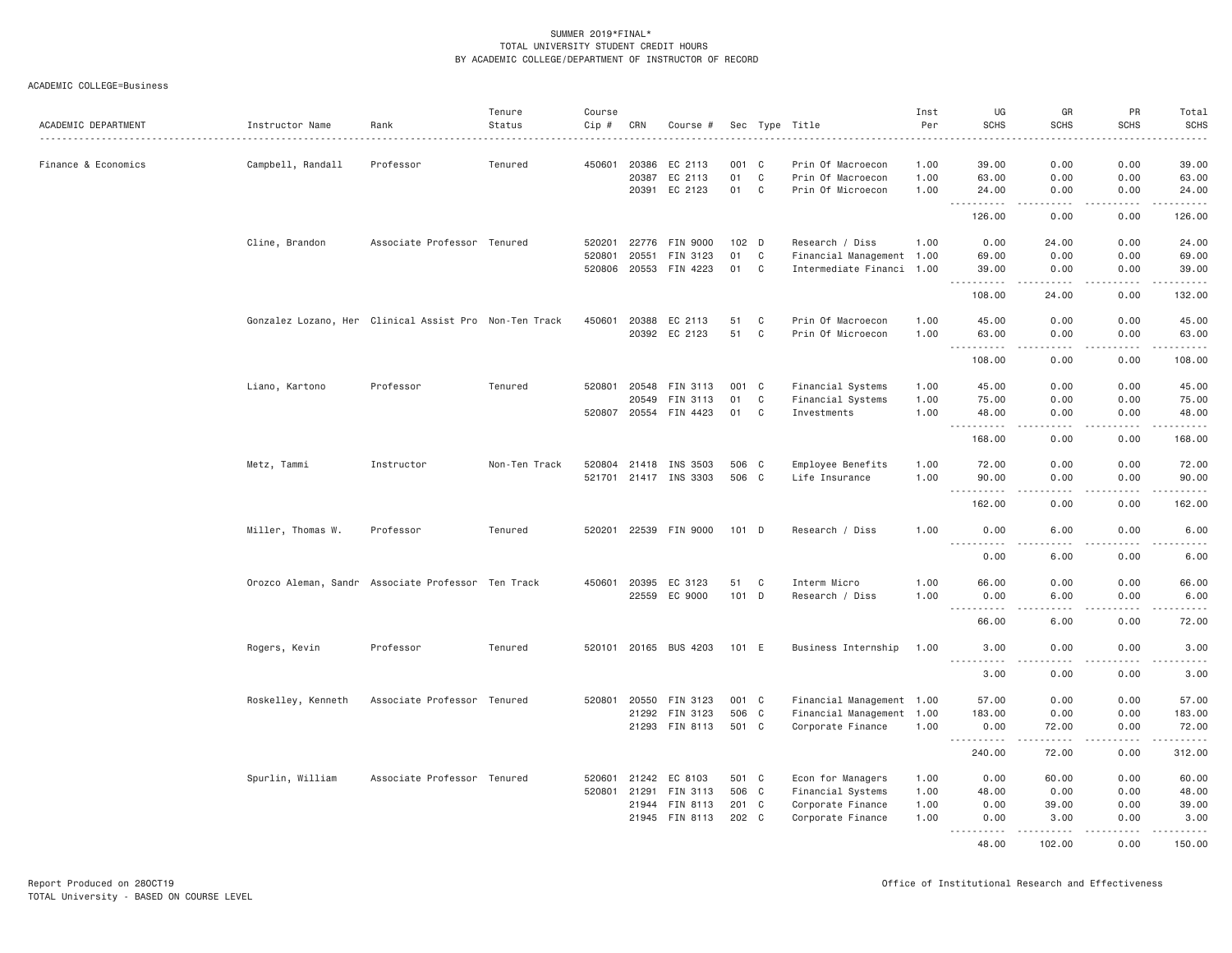ACADEMIC COLLEGE=Business

| ACADEMIC DEPARTMENT | Instructor Name    | Rank                                                   | Tenure<br>Status | Course<br>Cip # | CRN          | Course #                   |                |              | Sec Type Title                         | Inst<br>Per  | UG<br><b>SCHS</b>                    | GR<br><b>SCHS</b>                   | PR<br><b>SCHS</b>                   | Total<br><b>SCHS</b><br>$- - - - -$                                                                                                                          |
|---------------------|--------------------|--------------------------------------------------------|------------------|-----------------|--------------|----------------------------|----------------|--------------|----------------------------------------|--------------|--------------------------------------|-------------------------------------|-------------------------------------|--------------------------------------------------------------------------------------------------------------------------------------------------------------|
| Finance & Economics | Campbell, Randall  | Professor                                              | Tenured          | 450601          | 20386        | EC 2113                    | 001 C          |              | Prin Of Macroecon                      | 1.00         | 39.00                                | 0.00                                | 0.00                                | 39,00                                                                                                                                                        |
|                     |                    |                                                        |                  |                 | 20387        | EC 2113                    | 01             | $\mathbf C$  | Prin Of Macroecon                      | 1.00         | 63.00                                | 0.00                                | 0.00                                | 63.00                                                                                                                                                        |
|                     |                    |                                                        |                  |                 | 20391        | EC 2123                    | 01             | C            | Prin Of Microecon                      | 1.00         | 24.00                                | 0.00                                | 0.00                                | 24.00                                                                                                                                                        |
|                     |                    |                                                        |                  |                 |              |                            |                |              |                                        |              | 126.00                               | 0.00                                | 0.00                                | والمستحدث<br>126.00                                                                                                                                          |
|                     | Cline, Brandon     | Associate Professor Tenured                            |                  | 520201          | 22776        | FIN 9000                   | 102 D          |              | Research / Diss                        | 1.00         | 0.00                                 | 24.00                               | 0.00                                | 24.00                                                                                                                                                        |
|                     |                    |                                                        |                  | 520801          | 20551        | FIN 3123                   | 01             | C            | Financial Management 1.00              |              | 69.00                                | 0.00                                | 0.00                                | 69.00                                                                                                                                                        |
|                     |                    |                                                        |                  | 520806          |              | 20553 FIN 4223             | 01             | C            | Intermediate Financi 1.00              |              | 39.00<br>.                           | 0.00<br>-----                       | 0.00<br>.                           | 39.00<br>.                                                                                                                                                   |
|                     |                    |                                                        |                  |                 |              |                            |                |              |                                        |              | 108.00                               | 24.00                               | 0.00                                | 132.00                                                                                                                                                       |
|                     |                    | Gonzalez Lozano, Her Clinical Assist Pro Non-Ten Track |                  | 450601          | 20388        | EC 2113                    | 51             | C            | Prin Of Macroecon                      | 1.00         | 45.00                                | 0.00                                | 0.00                                | 45.00                                                                                                                                                        |
|                     |                    |                                                        |                  |                 |              | 20392 EC 2123              | 51             | $\mathbf{C}$ | Prin Of Microecon                      | 1.00         | 63.00<br>$  -$<br>.                  | 0.00<br>$\frac{1}{2}$               | 0.00<br>$- - - -$                   | 63.00<br>.                                                                                                                                                   |
|                     |                    |                                                        |                  |                 |              |                            |                |              |                                        |              | 108.00                               | 0.00                                | 0.00                                | 108.00                                                                                                                                                       |
|                     | Liano, Kartono     | Professor                                              | Tenured          | 520801          | 20548        | FIN 3113                   | 001 C          |              | Financial Systems                      | 1.00         | 45.00                                | 0.00                                | 0.00                                | 45.00                                                                                                                                                        |
|                     |                    |                                                        |                  |                 | 20549        | FIN 3113                   | 01             | C            | Financial Systems                      | 1.00         | 75.00                                | 0.00                                | 0.00                                | 75.00                                                                                                                                                        |
|                     |                    |                                                        |                  |                 |              | 520807 20554 FIN 4423      | 01             | C            | Investments                            | 1.00         | 48.00<br><u> - - - - - - - - - -</u> | 0.00<br>.                           | 0.00<br>.                           | 48.00<br>$\omega = \omega \omega + \omega \omega$                                                                                                            |
|                     |                    |                                                        |                  |                 |              |                            |                |              |                                        |              | 168.00                               | 0.00                                | 0.00                                | 168.00                                                                                                                                                       |
|                     | Metz, Tammi        | Instructor                                             | Non-Ten Track    |                 | 520804 21418 | INS 3503                   | 506 C          |              | Employee Benefits                      | 1.00         | 72.00                                | 0.00                                | 0.00                                | 72.00                                                                                                                                                        |
|                     |                    |                                                        |                  |                 |              | 521701 21417 INS 3303      | 506 C          |              | Life Insurance                         | 1.00         | 90.00<br>$\frac{1}{2}$<br>.          | 0.00<br>$- - - -$                   | 0.00<br>.                           | 90.00<br>.                                                                                                                                                   |
|                     |                    |                                                        |                  |                 |              |                            |                |              |                                        |              | 162.00                               | 0.00                                | 0.00                                | 162.00                                                                                                                                                       |
|                     | Miller, Thomas W.  | Professor                                              | Tenured          |                 |              | 520201 22539 FIN 9000      | 101 D          |              | Research / Diss                        | 1.00         | 0.00<br>.                            | 6.00                                | 0.00                                | 6.00<br>.                                                                                                                                                    |
|                     |                    |                                                        |                  |                 |              |                            |                |              |                                        |              | 0.00                                 | 6.00                                | 0.00                                | 6.00                                                                                                                                                         |
|                     |                    | Orozco Aleman, Sandr Associate Professor Ten Track     |                  | 450601          | 20395        | EC 3123                    | 51             | C            | Interm Micro                           | 1.00         | 66.00                                | 0.00                                | 0.00                                | 66.00                                                                                                                                                        |
|                     |                    |                                                        |                  |                 | 22559        | EC 9000                    | 101 D          |              | Research / Diss                        | 1.00         | 0.00                                 | 6.00                                | 0.00                                | 6.00                                                                                                                                                         |
|                     |                    |                                                        |                  |                 |              |                            |                |              |                                        |              | .<br>66.00                           | $\sim$ $\sim$ $\sim$ $\sim$<br>6.00 | .<br>0.00                           | .<br>72.00                                                                                                                                                   |
|                     |                    |                                                        |                  |                 |              |                            |                |              |                                        |              |                                      |                                     |                                     |                                                                                                                                                              |
|                     | Rogers, Kevin      | Professor                                              | Tenured          |                 |              | 520101 20165 BUS 4203      | 101 E          |              | Business Internship                    | 1.00         | 3.00<br>.                            | 0.00                                | 0.00<br>$\sim$ $\sim$ $\sim$ $\sim$ | 3.00<br>$\frac{1}{2} \left( \frac{1}{2} \right) \left( \frac{1}{2} \right) \left( \frac{1}{2} \right) \left( \frac{1}{2} \right) \left( \frac{1}{2} \right)$ |
|                     |                    |                                                        |                  |                 |              |                            |                |              |                                        |              | 3.00                                 | 0.00                                | 0.00                                | 3.00                                                                                                                                                         |
|                     | Roskelley, Kenneth | Associate Professor Tenured                            |                  | 520801          | 20550        | FIN 3123                   | 001 C          |              | Financial Management 1.00              |              | 57.00                                | 0.00                                | 0.00                                | 57.00                                                                                                                                                        |
|                     |                    |                                                        |                  |                 |              | 21292 FIN 3123             | 506 C          |              | Financial Management 1.00              |              | 183.00                               | 0.00                                | 0.00                                | 183.00                                                                                                                                                       |
|                     |                    |                                                        |                  |                 |              | 21293 FIN 8113             | 501 C          |              | Corporate Finance                      | 1.00         | 0.00<br>$\frac{1}{2}$<br>. <b>.</b>  | 72.00<br>.                          | 0.00<br>.                           | 72.00<br>.                                                                                                                                                   |
|                     |                    |                                                        |                  |                 |              |                            |                |              |                                        |              | 240.00                               | 72.00                               | 0.00                                | 312.00                                                                                                                                                       |
|                     | Spurlin, William   | Associate Professor Tenured                            |                  | 520601          | 21242        | EC 8103                    | 501 C          |              | Econ for Managers                      | 1.00         | 0.00                                 | 60.00                               | 0.00                                | 60.00                                                                                                                                                        |
|                     |                    |                                                        |                  | 520801          | 21291        | FIN 3113                   | 506 C          |              | Financial Systems                      | 1.00         | 48.00                                | 0.00                                | 0.00                                | 48.00                                                                                                                                                        |
|                     |                    |                                                        |                  |                 | 21945        | 21944 FIN 8113<br>FIN 8113 | 201 C<br>202 C |              | Corporate Finance<br>Corporate Finance | 1.00<br>1.00 | 0.00<br>0.00                         | 39.00<br>3.00                       | 0.00<br>0.00                        | 39.00<br>3.00                                                                                                                                                |
|                     |                    |                                                        |                  |                 |              |                            |                |              |                                        |              | <u> - - - - - - - - - -</u><br>48.00 | .<br>102.00                         | $- - - - -$<br>0.00                 | <b></b><br>150.00                                                                                                                                            |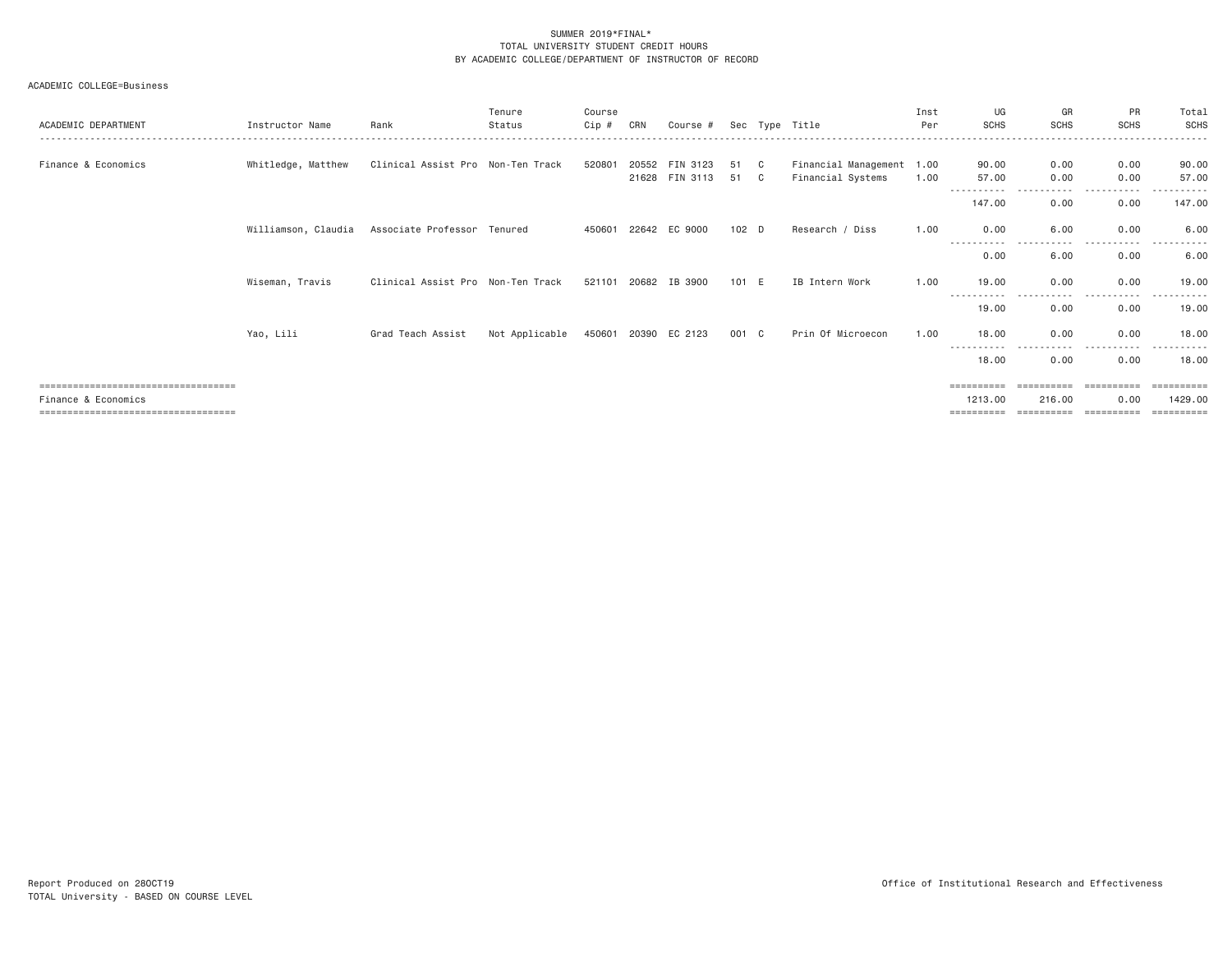ACADEMIC COLLEGE=Business

| ACADEMIC DEPARTMENT                                           | Instructor Name     | Rank                              | Tenure<br>Status | Course<br>Cip # | CRN            | Course #             |                  |          | Sec Type Title                                 | Inst<br>Per | UG<br><b>SCHS</b>     | GR<br><b>SCHS</b>    | PR<br><b>SCHS</b>  | Total<br>SCHS         |
|---------------------------------------------------------------|---------------------|-----------------------------------|------------------|-----------------|----------------|----------------------|------------------|----------|------------------------------------------------|-------------|-----------------------|----------------------|--------------------|-----------------------|
| Finance & Economics                                           | Whitledge, Matthew  | Clinical Assist Pro Non-Ten Track |                  | 520801          | 20552<br>21628 | FIN 3123<br>FIN 3113 | 51<br>51         | C.<br>C. | Financial Management 1.00<br>Financial Systems | 1.00        | 90.00<br>57.00        | 0.00<br>0.00         | 0.00<br>0.00       | 90.00<br>57.00        |
|                                                               |                     |                                   |                  |                 |                |                      |                  |          |                                                |             | ----------<br>147.00  | -----<br>0.00        | -----<br>0.00      | 147.00                |
|                                                               | Williamson, Claudia | Associate Professor Tenured       |                  | 450601          |                | 22642 EC 9000        | 102 <sub>D</sub> |          | Research / Diss                                | 1.00        | 0.00                  | 6.00                 | 0.00               | 6.00                  |
|                                                               |                     |                                   |                  |                 |                |                      |                  |          |                                                |             | 0.00                  | 6.00                 | 0.00               | 6.00                  |
|                                                               | Wiseman, Travis     | Clinical Assist Pro Non-Ten Track |                  | 521101          | 20682          | IB 3900              | $101$ E          |          | IB Intern Work                                 | 1.00        | 19,00                 | 0.00                 | 0.00<br>$- - - -$  | 19.00                 |
|                                                               |                     |                                   |                  |                 |                |                      |                  |          |                                                |             | 19,00                 | 0.00                 | 0.00               | 19.00                 |
|                                                               | Yao, Lili           | Grad Teach Assist                 | Not Applicable   | 450601          |                | 20390 EC 2123        | 001 C            |          | Prin Of Microecon                              | 1.00        | 18,00                 | 0.00                 | 0.00               | 18,00                 |
|                                                               |                     |                                   |                  |                 |                |                      |                  |          |                                                |             | 18,00                 | ----<br>0.00         | 0.00               | 18,00                 |
|                                                               |                     |                                   |                  |                 |                |                      |                  |          |                                                |             | ==========            | ==========           | ==========         | ==========            |
| Finance & Economics<br>====================================== |                     |                                   |                  |                 |                |                      |                  |          |                                                |             | 1213,00<br>========== | 216.00<br>========== | 0.00<br>========== | 1429,00<br>========== |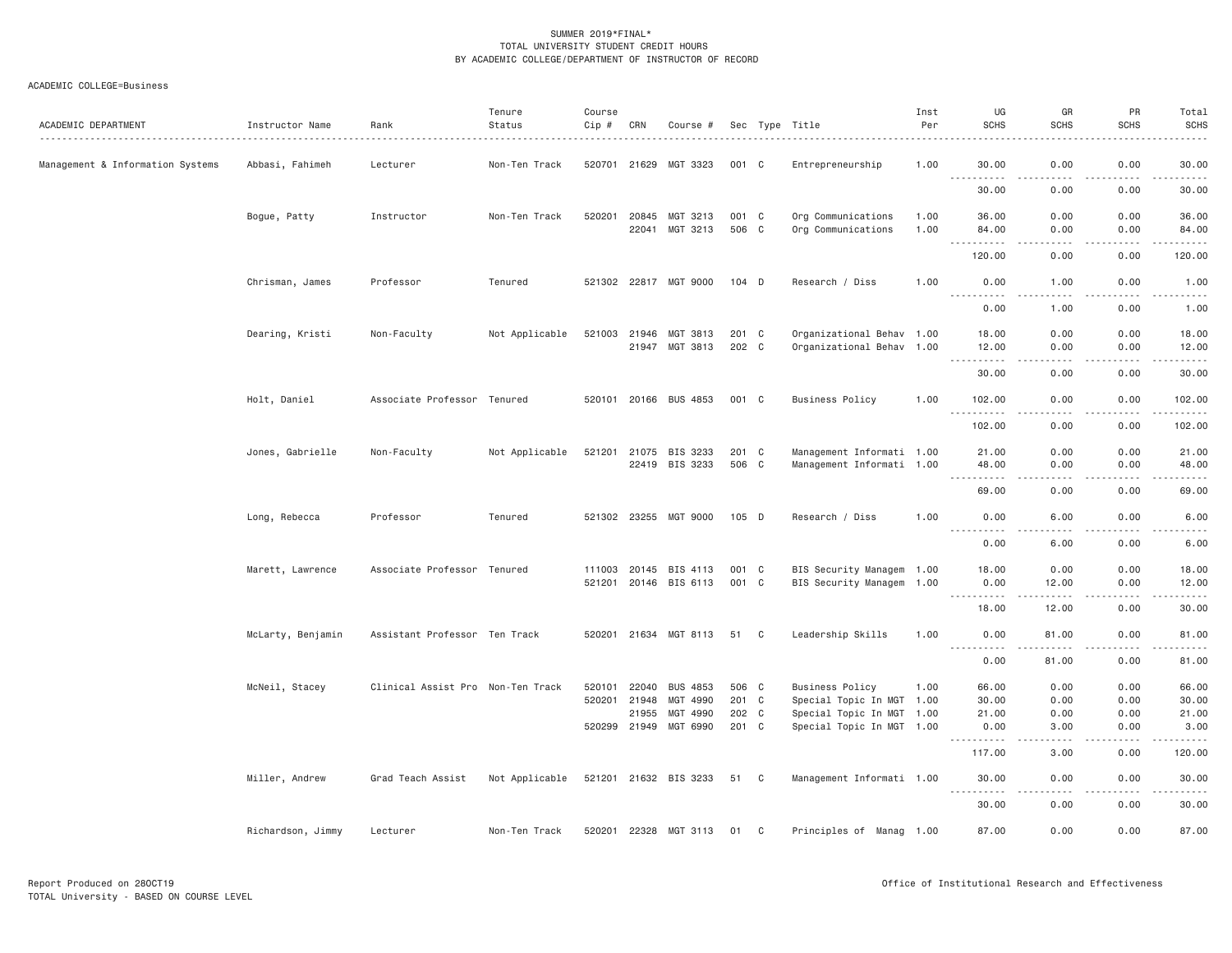# ACADEMIC COLLEGE=Business

| ACADEMIC DEPARTMENT              | Instructor Name   | Rank                              | Tenure<br>Status | Course<br>Cip #  | CRN                     | Course #                                                         |                                  |   | Sec Type Title                                                                                                | Inst<br>Per  | UG<br><b>SCHS</b>                                                                                                                                             | GR<br><b>SCHS</b>            | PR<br><b>SCHS</b>            | Total<br><b>SCHS</b>                                                                                                                                                                     |
|----------------------------------|-------------------|-----------------------------------|------------------|------------------|-------------------------|------------------------------------------------------------------|----------------------------------|---|---------------------------------------------------------------------------------------------------------------|--------------|---------------------------------------------------------------------------------------------------------------------------------------------------------------|------------------------------|------------------------------|------------------------------------------------------------------------------------------------------------------------------------------------------------------------------------------|
| Management & Information Systems | Abbasi, Fahimeh   | Lecturer                          | Non-Ten Track    |                  |                         | 520701 21629 MGT 3323                                            | 001 C                            |   | Entrepreneurship                                                                                              | 1.00         | 30.00<br><u>.</u>                                                                                                                                             | 0.00<br>$- - -$              | 0.00<br>$\sim$ $\sim$ $\sim$ | 30,00<br>.                                                                                                                                                                               |
|                                  |                   |                                   |                  |                  |                         |                                                                  |                                  |   |                                                                                                               |              | 30.00                                                                                                                                                         | 0.00                         | 0.00                         | 30.00                                                                                                                                                                                    |
|                                  | Bogue, Patty      | Instructor                        | Non-Ten Track    | 520201           | 22041                   | 20845 MGT 3213<br>MGT 3213                                       | 001 C<br>506 C                   |   | Org Communications<br>Org Communications                                                                      | 1.00<br>1.00 | 36.00<br>84.00                                                                                                                                                | 0.00<br>0.00                 | 0.00<br>0.00                 | 36.00<br>84.00                                                                                                                                                                           |
|                                  |                   |                                   |                  |                  |                         |                                                                  |                                  |   |                                                                                                               |              | $\sim$ $\sim$ $\sim$<br>.<br>120.00                                                                                                                           | $- - - -$<br>0.00            | .<br>0.00                    | .<br>120.00                                                                                                                                                                              |
|                                  | Chrisman, James   | Professor                         | Tenured          |                  |                         | 521302 22817 MGT 9000                                            | $104$ D                          |   | Research / Diss                                                                                               | 1.00         | 0.00<br>$- - - - - - -$                                                                                                                                       | 1.00                         | 0.00                         | 1.00                                                                                                                                                                                     |
|                                  |                   |                                   |                  |                  |                         |                                                                  |                                  |   |                                                                                                               |              | 0.00                                                                                                                                                          | 1.00                         | .<br>0.00                    | $\frac{1}{2} \left( \frac{1}{2} \right) \left( \frac{1}{2} \right) \left( \frac{1}{2} \right) \left( \frac{1}{2} \right) \left( \frac{1}{2} \right)$<br>1.00                             |
|                                  | Dearing, Kristi   | Non-Faculty                       | Not Applicable   |                  | 21947                   | 521003 21946 MGT 3813<br>MGT 3813                                | 201 C<br>202 C                   |   | Organizational Behav 1.00<br>Organizational Behav 1.00                                                        |              | 18.00<br>12.00                                                                                                                                                | 0.00<br>0.00                 | 0.00<br>0.00                 | 18.00<br>12.00                                                                                                                                                                           |
|                                  |                   |                                   |                  |                  |                         |                                                                  |                                  |   |                                                                                                               |              | 30.00                                                                                                                                                         | .<br>0.00                    | $\frac{1}{2}$<br>0.00        | $\frac{1}{2} \left( \frac{1}{2} \right) \left( \frac{1}{2} \right) \left( \frac{1}{2} \right) \left( \frac{1}{2} \right) \left( \frac{1}{2} \right)$<br>30.00                            |
|                                  | Holt, Daniel      | Associate Professor Tenured       |                  |                  |                         | 520101 20166 BUS 4853                                            | 001 C                            |   | <b>Business Policy</b>                                                                                        | 1.00         | 102.00                                                                                                                                                        | 0.00                         | 0.00                         | 102.00                                                                                                                                                                                   |
|                                  |                   |                                   |                  |                  |                         |                                                                  |                                  |   |                                                                                                               |              | $- - -$<br>102.00                                                                                                                                             | 0.00                         | 0.00                         | .<br>102.00                                                                                                                                                                              |
|                                  | Jones, Gabrielle  | Non-Faculty                       | Not Applicable   | 521201           | 22419                   | 21075 BIS 3233<br>BIS 3233                                       | 201 C<br>506 C                   |   | Management Informati 1.00<br>Management Informati 1.00                                                        |              | 21.00<br>48.00                                                                                                                                                | 0.00<br>0.00                 | 0.00<br>0.00                 | 21.00<br>48.00                                                                                                                                                                           |
|                                  |                   |                                   |                  |                  |                         |                                                                  |                                  |   |                                                                                                               |              | $\frac{1}{2} \left( \frac{1}{2} \right) \left( \frac{1}{2} \right) \left( \frac{1}{2} \right) \left( \frac{1}{2} \right) \left( \frac{1}{2} \right)$<br>69.00 | $- - - -$<br>0.00            | .<br>0.00                    | $\frac{1}{2} \left( \frac{1}{2} \right) \left( \frac{1}{2} \right) \left( \frac{1}{2} \right) \left( \frac{1}{2} \right) \left( \frac{1}{2} \right) \left( \frac{1}{2} \right)$<br>69.00 |
|                                  | Long, Rebecca     | Professor                         | Tenured          |                  |                         | 521302 23255 MGT 9000                                            | 105 D                            |   | Research / Diss                                                                                               | 1.00         | 0.00                                                                                                                                                          | 6.00                         | 0.00                         | 6.00                                                                                                                                                                                     |
|                                  |                   |                                   |                  |                  |                         |                                                                  |                                  |   |                                                                                                               |              | . <b>.</b><br>0.00                                                                                                                                            | 6.00                         | 0.00                         | 6.00                                                                                                                                                                                     |
|                                  | Marett, Lawrence  | Associate Professor Tenured       |                  | 111003           | 20145                   | BIS 4113<br>521201 20146 BIS 6113                                | 001 C<br>001 C                   |   | BIS Security Managem 1.00<br>BIS Security Managem 1.00                                                        |              | 18.00<br>0.00                                                                                                                                                 | 0.00<br>12.00                | 0.00<br>0.00                 | 18.00<br>12.00                                                                                                                                                                           |
|                                  |                   |                                   |                  |                  |                         |                                                                  |                                  |   |                                                                                                               |              | . <b>.</b><br>18.00                                                                                                                                           | .<br>12.00                   | .<br>0.00                    | .<br>30.00                                                                                                                                                                               |
|                                  | McLarty, Benjamin | Assistant Professor Ten Track     |                  |                  |                         | 520201 21634 MGT 8113                                            | 51                               | C | Leadership Skills                                                                                             | 1.00         | 0.00                                                                                                                                                          | 81.00                        | 0.00                         | 81.00                                                                                                                                                                                    |
|                                  |                   |                                   |                  |                  |                         |                                                                  |                                  |   |                                                                                                               |              | <u>.</u><br>0.00                                                                                                                                              | 81.00                        | 0.00                         | . <u>.</u> .<br>81.00                                                                                                                                                                    |
|                                  | McNeil, Stacey    | Clinical Assist Pro Non-Ten Track |                  | 520101<br>520201 | 22040<br>21948<br>21955 | <b>BUS 4853</b><br>MGT 4990<br>MGT 4990<br>520299 21949 MGT 6990 | 506 C<br>201 C<br>202 C<br>201 C |   | <b>Business Policy</b><br>Special Topic In MGT 1.00<br>Special Topic In MGT 1.00<br>Special Topic In MGT 1.00 | 1.00         | 66.00<br>30.00<br>21.00<br>0.00                                                                                                                               | 0.00<br>0.00<br>0.00<br>3.00 | 0.00<br>0.00<br>0.00<br>0.00 | 66.00<br>30.00<br>21.00<br>3.00                                                                                                                                                          |
|                                  |                   |                                   |                  |                  |                         |                                                                  |                                  |   |                                                                                                               |              | .<br>117.00                                                                                                                                                   | .<br>3.00                    | $\frac{1}{2}$<br>0.00        | .<br>120.00                                                                                                                                                                              |
|                                  | Miller, Andrew    | Grad Teach Assist                 | Not Applicable   |                  |                         | 521201 21632 BIS 3233                                            | 51 C                             |   | Management Informati 1.00                                                                                     |              | 30.00                                                                                                                                                         | 0.00                         | 0.00                         | 30.00                                                                                                                                                                                    |
|                                  |                   |                                   |                  |                  |                         |                                                                  |                                  |   |                                                                                                               |              | .<br>30.00                                                                                                                                                    | $\sim$ $\sim$ $\sim$<br>0.00 | د د د د<br>0.00              | .<br>30.00                                                                                                                                                                               |
|                                  | Richardson, Jimmy | Lecturer                          | Non-Ten Track    | 520201           | 22328                   | MGT 3113                                                         | 01                               | C | Principles of Manag 1.00                                                                                      |              | 87.00                                                                                                                                                         | 0.00                         | 0.00                         | 87.00                                                                                                                                                                                    |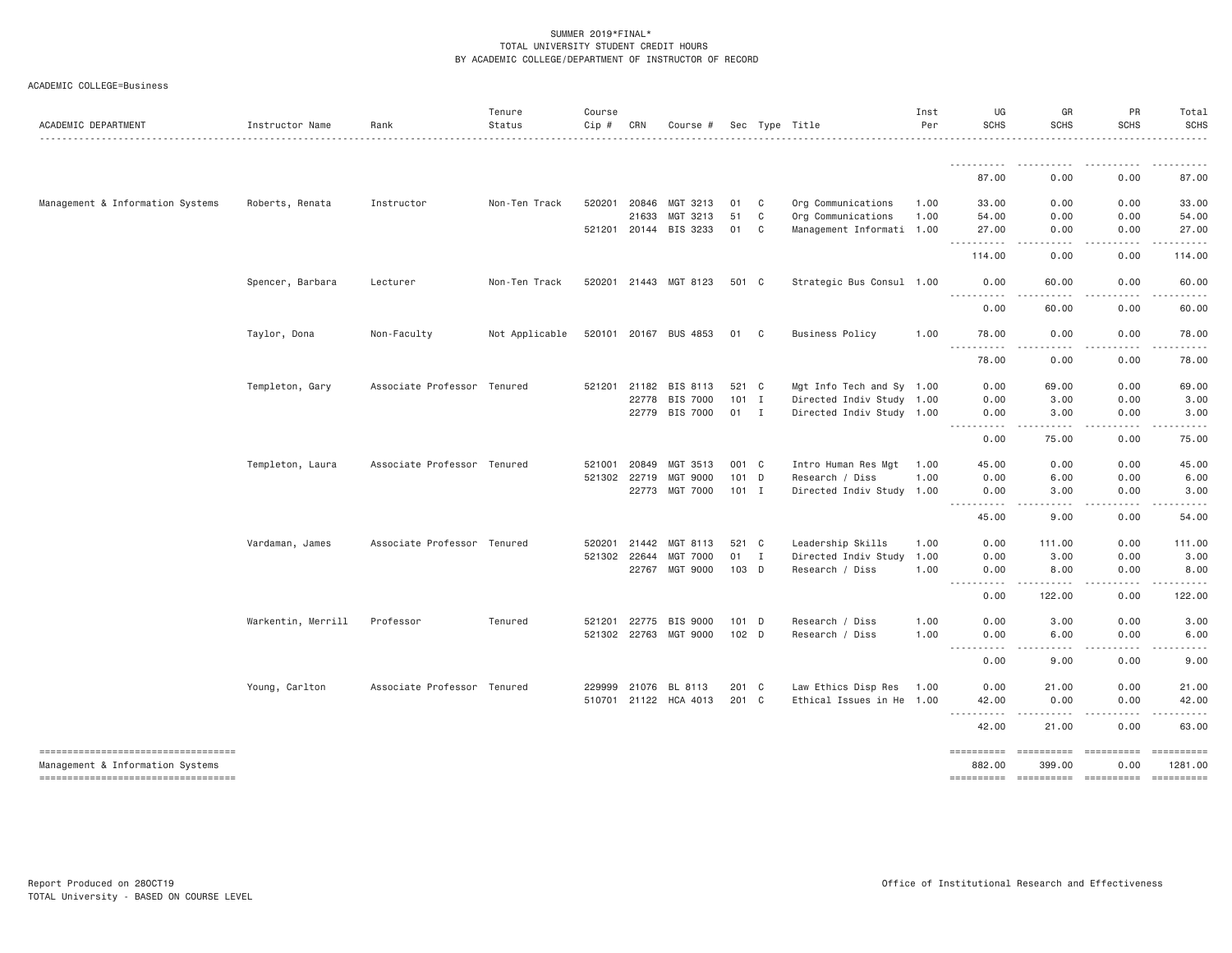|  | ACADEMIC COLLEGE=Business |
|--|---------------------------|
|--|---------------------------|

| ACADEMIC DEPARTMENT                                                     | Instructor Name    | Rank                        | Tenure<br>Status | Course<br>Cip # | CRN          | Course #              |                  |              | Sec Type Title            | Inst<br>Per | UG<br><b>SCHS</b>                                                                                                                                                                                                                                                                                                                                                                                                                                                                                | GR<br><b>SCHS</b>                                                                                                                                             | PR<br><b>SCHS</b>  | Total<br><b>SCHS</b>  |
|-------------------------------------------------------------------------|--------------------|-----------------------------|------------------|-----------------|--------------|-----------------------|------------------|--------------|---------------------------|-------------|--------------------------------------------------------------------------------------------------------------------------------------------------------------------------------------------------------------------------------------------------------------------------------------------------------------------------------------------------------------------------------------------------------------------------------------------------------------------------------------------------|---------------------------------------------------------------------------------------------------------------------------------------------------------------|--------------------|-----------------------|
|                                                                         |                    |                             | .                |                 |              |                       |                  |              |                           |             | -----                                                                                                                                                                                                                                                                                                                                                                                                                                                                                            |                                                                                                                                                               |                    | .                     |
|                                                                         |                    |                             |                  |                 |              |                       |                  |              |                           |             | 87.00                                                                                                                                                                                                                                                                                                                                                                                                                                                                                            | 0.00                                                                                                                                                          | 0.00               | 87.00                 |
| Management & Information Systems                                        | Roberts, Renata    | Instructor                  | Non-Ten Track    | 520201          | 20846        | MGT 3213              | 01               | C            | Org Communications        | 1.00        | 33,00                                                                                                                                                                                                                                                                                                                                                                                                                                                                                            | 0.00                                                                                                                                                          | 0.00               | 33.00                 |
|                                                                         |                    |                             |                  |                 | 21633        | MGT 3213              | 51               | C            | Org Communications        | 1.00        | 54.00                                                                                                                                                                                                                                                                                                                                                                                                                                                                                            | 0.00                                                                                                                                                          | 0.00               | 54.00                 |
|                                                                         |                    |                             |                  | 521201 20144    |              | BIS 3233              | 01               | C            | Management Informati 1.00 |             | 27.00<br>.                                                                                                                                                                                                                                                                                                                                                                                                                                                                                       | 0.00<br>$\sim$ $\sim$ $\sim$<br>.                                                                                                                             | 0.00               | 27.00<br>.            |
|                                                                         |                    |                             |                  |                 |              |                       |                  |              |                           |             | 114.00                                                                                                                                                                                                                                                                                                                                                                                                                                                                                           | 0.00                                                                                                                                                          | 0.00               | 114.00                |
|                                                                         | Spencer, Barbara   | Lecturer                    | Non-Ten Track    |                 |              | 520201 21443 MGT 8123 | 501 C            |              | Strategic Bus Consul 1.00 |             | 0.00<br><u>.</u>                                                                                                                                                                                                                                                                                                                                                                                                                                                                                 | 60.00<br>$- - - - -$                                                                                                                                          | 0.00               | 60.00                 |
|                                                                         |                    |                             |                  |                 |              |                       |                  |              |                           |             | 0.00                                                                                                                                                                                                                                                                                                                                                                                                                                                                                             | 60.00                                                                                                                                                         | 0.00               | 60.00                 |
|                                                                         | Taylor, Dona       | Non-Faculty                 | Not Applicable   |                 |              | 520101 20167 BUS 4853 | 01 C             |              | <b>Business Policy</b>    | 1.00        | 78.00                                                                                                                                                                                                                                                                                                                                                                                                                                                                                            | 0.00                                                                                                                                                          | 0.00               | 78.00                 |
|                                                                         |                    |                             |                  |                 |              |                       |                  |              |                           |             | .<br>78.00                                                                                                                                                                                                                                                                                                                                                                                                                                                                                       | . <b>.</b> .<br>0.00                                                                                                                                          | .<br>0.00          | .<br>78.00            |
|                                                                         | Templeton, Gary    | Associate Professor Tenured |                  |                 | 521201 21182 | BIS 8113              | 521 C            |              | Mgt Info Tech and Sy 1.00 |             | 0.00                                                                                                                                                                                                                                                                                                                                                                                                                                                                                             | 69.00                                                                                                                                                         | 0.00               | 69.00                 |
|                                                                         |                    |                             |                  |                 | 22778        | BIS 7000              | $101$ I          |              | Directed Indiv Study 1.00 |             | 0.00                                                                                                                                                                                                                                                                                                                                                                                                                                                                                             | 3.00                                                                                                                                                          | 0.00               | 3.00                  |
|                                                                         |                    |                             |                  |                 | 22779        | BIS 7000              | 01 I             |              | Directed Indiv Study 1.00 |             | 0.00                                                                                                                                                                                                                                                                                                                                                                                                                                                                                             | 3.00                                                                                                                                                          | 0.00               | 3.00                  |
|                                                                         |                    |                             |                  |                 |              |                       |                  |              |                           |             | <u> - - - - - - - - - -</u><br>0.00                                                                                                                                                                                                                                                                                                                                                                                                                                                              | 75.00                                                                                                                                                         | 0.00               | 75.00                 |
|                                                                         | Templeton, Laura   | Associate Professor Tenured |                  | 521001          | 20849        | MGT 3513              | 001 C            |              | Intro Human Res Mgt       | 1.00        | 45.00                                                                                                                                                                                                                                                                                                                                                                                                                                                                                            | 0.00                                                                                                                                                          | 0.00               | 45.00                 |
|                                                                         |                    |                             |                  | 521302 22719    |              | MGT 9000              | 101 D            |              | Research / Diss           | 1.00        | 0.00                                                                                                                                                                                                                                                                                                                                                                                                                                                                                             | 6.00                                                                                                                                                          | 0.00               | 6.00                  |
|                                                                         |                    |                             |                  |                 |              | 22773 MGT 7000        | $101$ I          |              | Directed Indiv Study 1.00 |             | 0.00<br><u> - - - - - - - - - -</u>                                                                                                                                                                                                                                                                                                                                                                                                                                                              | 3.00<br>-----<br>$\cdots$                                                                                                                                     | 0.00<br>.          | 3.00<br>.             |
|                                                                         |                    |                             |                  |                 |              |                       |                  |              |                           |             | 45.00                                                                                                                                                                                                                                                                                                                                                                                                                                                                                            | 9.00                                                                                                                                                          | 0.00               | 54.00                 |
|                                                                         | Vardaman, James    | Associate Professor Tenured |                  | 520201          | 21442        | MGT 8113              | 521              | $\mathbf{C}$ | Leadership Skills         | 1.00        | 0.00                                                                                                                                                                                                                                                                                                                                                                                                                                                                                             | 111.00                                                                                                                                                        | 0.00               | 111.00                |
|                                                                         |                    |                             |                  | 521302 22644    |              | <b>MGT 7000</b>       | 01               | $\mathbf{I}$ | Directed Indiv Study      | 1.00        | 0.00                                                                                                                                                                                                                                                                                                                                                                                                                                                                                             | 3.00                                                                                                                                                          | 0.00               | 3.00                  |
|                                                                         |                    |                             |                  |                 | 22767        | MGT 9000              | 103 D            |              | Research / Diss           | 1.00        | 0.00<br>.<br>$- - - -$                                                                                                                                                                                                                                                                                                                                                                                                                                                                           | 8.00                                                                                                                                                          | 0.00<br>.          | 8.00                  |
|                                                                         |                    |                             |                  |                 |              |                       |                  |              |                           |             | 0.00                                                                                                                                                                                                                                                                                                                                                                                                                                                                                             | 122.00                                                                                                                                                        | 0.00               | 122.00                |
|                                                                         | Warkentin, Merrill | Professor                   | Tenured          | 521201          | 22775        | BIS 9000              | 101 D            |              | Research / Diss           | 1.00        | 0.00                                                                                                                                                                                                                                                                                                                                                                                                                                                                                             | 3.00                                                                                                                                                          | 0.00               | 3.00                  |
|                                                                         |                    |                             |                  |                 |              | 521302 22763 MGT 9000 | 102 <sub>D</sub> |              | Research / Diss           | 1.00        | 0.00<br>.                                                                                                                                                                                                                                                                                                                                                                                                                                                                                        | 6.00                                                                                                                                                          | 0.00               | 6.00                  |
|                                                                         |                    |                             |                  |                 |              |                       |                  |              |                           |             | $\sim$ $\sim$ $\sim$ $\sim$ $\sim$<br>0.00                                                                                                                                                                                                                                                                                                                                                                                                                                                       | 9.00                                                                                                                                                          | 0.00               | 9.00                  |
|                                                                         | Young, Carlton     | Associate Professor Tenured |                  | 229999          | 21076        | BL 8113               | 201 C            |              | Law Ethics Disp Res       | 1.00        | 0.00                                                                                                                                                                                                                                                                                                                                                                                                                                                                                             | 21.00                                                                                                                                                         | 0.00               | 21.00                 |
|                                                                         |                    |                             |                  |                 |              | 510701 21122 HCA 4013 | 201 C            |              | Ethical Issues in He 1.00 |             | 42.00                                                                                                                                                                                                                                                                                                                                                                                                                                                                                            | 0.00                                                                                                                                                          | 0.00               | 42.00                 |
|                                                                         |                    |                             |                  |                 |              |                       |                  |              |                           |             | <u>.</u><br>42.00                                                                                                                                                                                                                                                                                                                                                                                                                                                                                | $\frac{1}{2} \left( \frac{1}{2} \right) \left( \frac{1}{2} \right) \left( \frac{1}{2} \right) \left( \frac{1}{2} \right) \left( \frac{1}{2} \right)$<br>21.00 | -----<br>0.00      | 63.00                 |
| -----------------------------------<br>Management & Information Systems |                    |                             |                  |                 |              |                       |                  |              |                           |             | $\begin{array}{cccccccccc} \multicolumn{3}{c}{} & \multicolumn{3}{c}{} & \multicolumn{3}{c}{} & \multicolumn{3}{c}{} & \multicolumn{3}{c}{} & \multicolumn{3}{c}{} & \multicolumn{3}{c}{} & \multicolumn{3}{c}{} & \multicolumn{3}{c}{} & \multicolumn{3}{c}{} & \multicolumn{3}{c}{} & \multicolumn{3}{c}{} & \multicolumn{3}{c}{} & \multicolumn{3}{c}{} & \multicolumn{3}{c}{} & \multicolumn{3}{c}{} & \multicolumn{3}{c}{} & \multicolumn{3}{c}{} & \multicolumn{3}{c}{} & \mult$<br>882.00 | ==========<br>399,00                                                                                                                                          | ==========<br>0.00 | ==========<br>1281.00 |
| ----------------------------------                                      |                    |                             |                  |                 |              |                       |                  |              |                           |             |                                                                                                                                                                                                                                                                                                                                                                                                                                                                                                  |                                                                                                                                                               |                    | - ==========          |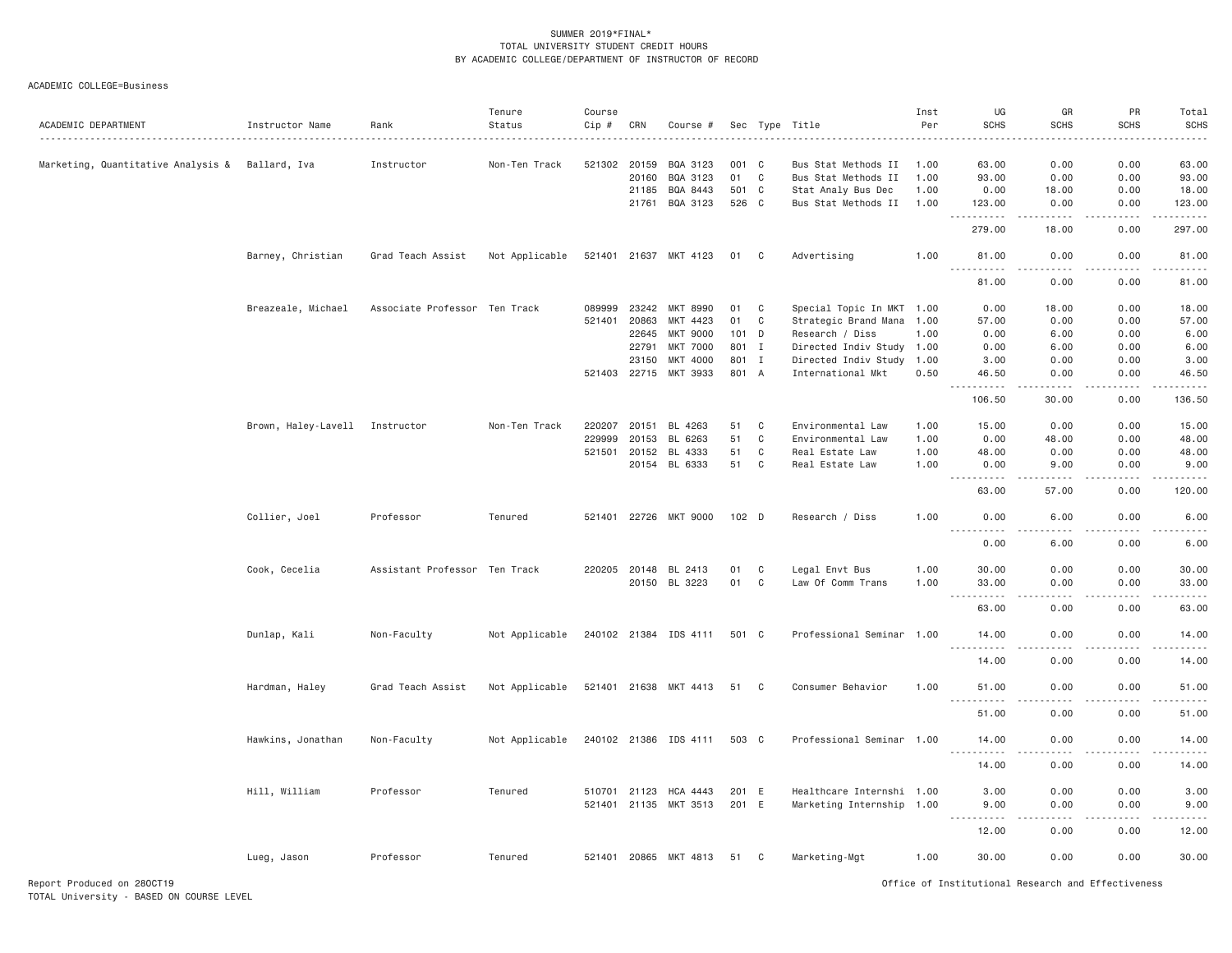ACADEMIC COLLEGE=Business

| ACADEMIC DEPARTMENT                | Instructor Name                | Rank                          | Tenure<br>Status | Course<br>Cip # | CRN   | Course #              |                  |              | Sec Type Title            | Inst<br>Per | UG<br><b>SCHS</b>                                                                                                                                             | GR<br><b>SCHS</b>            | PR<br><b>SCHS</b>            | Total<br><b>SCHS</b><br>$    -$ |
|------------------------------------|--------------------------------|-------------------------------|------------------|-----------------|-------|-----------------------|------------------|--------------|---------------------------|-------------|---------------------------------------------------------------------------------------------------------------------------------------------------------------|------------------------------|------------------------------|---------------------------------|
| Marketing, Quantitative Analysis & | Ballard, Iva                   | Instructor                    | Non-Ten Track    | 521302          | 20159 | BQA 3123              | 001 C            |              | Bus Stat Methods II       | 1.00        | 63.00                                                                                                                                                         | 0.00                         | 0.00                         | 63.00                           |
|                                    |                                |                               |                  |                 | 20160 | BQA 3123              | 01               | $\mathbf C$  | Bus Stat Methods II       | 1.00        | 93.00                                                                                                                                                         | 0.00                         | 0.00                         | 93.00                           |
|                                    |                                |                               |                  |                 | 21185 | BQA 8443              | 501 C            |              | Stat Analy Bus Dec        | 1.00        | 0.00                                                                                                                                                          | 18.00                        | 0.00                         | 18.00                           |
|                                    |                                |                               |                  |                 | 21761 | BQA 3123              | 526 C            |              | Bus Stat Methods II       | 1.00        | 123.00                                                                                                                                                        | 0.00<br>$   -$               | 0.00<br>$\sim$ $\sim$ $\sim$ | 123.00<br>.                     |
|                                    |                                |                               |                  |                 |       |                       |                  |              |                           |             | 279.00                                                                                                                                                        | 18.00                        | 0.00                         | 297.00                          |
|                                    | Barney, Christian              | Grad Teach Assist             | Not Applicable   |                 |       | 521401 21637 MKT 4123 | 01 C             |              | Advertising               | 1.00        | 81.00<br>$\sim$ $\sim$ $\sim$<br>.                                                                                                                            | 0.00                         | 0.00<br>.                    | 81.00<br>.                      |
|                                    |                                |                               |                  |                 |       |                       |                  |              |                           |             | 81.00                                                                                                                                                         | 0.00                         | 0.00                         | 81.00                           |
|                                    | Breazeale, Michael             | Associate Professor Ten Track |                  | 089999          | 23242 | MKT 8990              | 01               | C            | Special Topic In MKT 1.00 |             | 0.00                                                                                                                                                          | 18,00                        | 0.00                         | 18.00                           |
|                                    |                                |                               |                  | 521401          | 20863 | MKT 4423              | 01               | C            | Strategic Brand Mana 1.00 |             | 57.00                                                                                                                                                         | 0.00                         | 0.00                         | 57.00                           |
|                                    |                                |                               |                  |                 | 22645 | MKT 9000              | 101 D            |              | Research / Diss           | 1.00        | 0.00                                                                                                                                                          | 6.00                         | 0.00                         | 6.00                            |
|                                    |                                |                               |                  |                 | 22791 | <b>MKT 7000</b>       | 801              | $\mathbf{I}$ | Directed Indiv Study 1.00 |             | 0.00                                                                                                                                                          | 6.00                         | 0.00                         | 6.00                            |
|                                    |                                |                               |                  |                 | 23150 | MKT 4000              | 801 I            |              | Directed Indiv Study 1.00 |             | 3.00                                                                                                                                                          | 0.00                         | 0.00                         | 3.00                            |
|                                    |                                |                               |                  | 521403 22715    |       | MKT 3933              | 801 A            |              | International Mkt         | 0.50        | 46.50<br>$\frac{1}{2} \left( \frac{1}{2} \right) \left( \frac{1}{2} \right) \left( \frac{1}{2} \right) \left( \frac{1}{2} \right) \left( \frac{1}{2} \right)$ | 0.00<br>.                    | 0.00<br>.                    | 46.50<br>.                      |
|                                    |                                |                               |                  |                 |       |                       |                  |              |                           |             | 106.50                                                                                                                                                        | 30.00                        | 0.00                         | 136.50                          |
|                                    | Brown, Haley-Lavell Instructor |                               | Non-Ten Track    | 220207          | 20151 | BL 4263               | 51               | C            | Environmental Law         | 1.00        | 15.00                                                                                                                                                         | 0.00                         | 0.00                         | 15.00                           |
|                                    |                                |                               |                  | 229999          | 20153 | BL<br>6263            | 51               | C            | Environmental Law         | 1.00        | 0.00                                                                                                                                                          | 48.00                        | 0.00                         | 48.00                           |
|                                    |                                |                               |                  | 521501          | 20152 | BL 4333               | 51               | C            | Real Estate Law           | 1.00        | 48.00                                                                                                                                                         | 0.00                         | 0.00                         | 48.00                           |
|                                    |                                |                               |                  |                 |       | 20154 BL 6333         | 51               | C            | Real Estate Law           | 1.00        | 0.00                                                                                                                                                          | 9.00                         | 0.00                         | 9.00                            |
|                                    |                                |                               |                  |                 |       |                       |                  |              |                           |             | .                                                                                                                                                             |                              |                              | .                               |
|                                    |                                |                               |                  |                 |       |                       |                  |              |                           |             | 63.00                                                                                                                                                         | 57.00                        | 0.00                         | 120.00                          |
|                                    | Collier, Joel                  | Professor                     | Tenured          |                 |       | 521401 22726 MKT 9000 | 102 <sub>D</sub> |              | Research / Diss           | 1.00        | 0.00<br><u>.</u>                                                                                                                                              | 6.00<br>.                    | 0.00<br>.                    | 6.00<br>$- - - - -$             |
|                                    |                                |                               |                  |                 |       |                       |                  |              |                           |             | 0.00                                                                                                                                                          | 6.00                         | 0.00                         | 6.00                            |
|                                    | Cook, Cecelia                  | Assistant Professor Ten Track |                  | 220205 20148    |       | BL 2413               | 01               | C            | Legal Envt Bus            | 1.00        | 30.00                                                                                                                                                         | 0.00                         | 0.00                         | 30.00                           |
|                                    |                                |                               |                  |                 |       | 20150 BL 3223         | 01               | $\mathbf C$  | Law Of Comm Trans         | 1.00        | 33.00                                                                                                                                                         | 0.00                         | 0.00                         | 33.00                           |
|                                    |                                |                               |                  |                 |       |                       |                  |              |                           |             | .<br>$\sim$ $\sim$ $\sim$                                                                                                                                     | $- - - -$                    | .                            | .                               |
|                                    |                                |                               |                  |                 |       |                       |                  |              |                           |             | 63.00                                                                                                                                                         | 0.00                         | 0.00                         | 63.00                           |
|                                    | Dunlap, Kali                   | Non-Faculty                   | Not Applicable   |                 |       | 240102 21384 IDS 4111 | 501 C            |              | Professional Seminar 1.00 |             | 14.00<br><u>.</u>                                                                                                                                             | 0.00<br>د د د د              | 0.00<br>.                    | 14.00<br>.                      |
|                                    |                                |                               |                  |                 |       |                       |                  |              |                           |             | 14.00                                                                                                                                                         | 0.00                         | 0.00                         | 14.00                           |
|                                    | Hardman, Haley                 | Grad Teach Assist             | Not Applicable   |                 |       | 521401 21638 MKT 4413 | 51 C             |              | Consumer Behavior         | 1.00        | 51.00<br>$\sim$ $\sim$ $\sim$<br>.                                                                                                                            | 0.00<br>$\sim$ $\sim$ $\sim$ | 0.00<br>.                    | 51.00<br>.                      |
|                                    |                                |                               |                  |                 |       |                       |                  |              |                           |             | 51.00                                                                                                                                                         | 0.00                         | 0.00                         | 51.00                           |
|                                    | Hawkins, Jonathan              | Non-Faculty                   | Not Applicable   |                 |       | 240102 21386 IDS 4111 | 503 C            |              | Professional Seminar 1.00 |             | 14.00<br>.                                                                                                                                                    | 0.00<br>$- - - -$            | 0.00<br>.                    | 14.00<br>.                      |
|                                    |                                |                               |                  |                 |       |                       |                  |              |                           |             | 14.00                                                                                                                                                         | 0.00                         | 0.00                         | 14.00                           |
|                                    |                                |                               |                  |                 |       |                       |                  |              |                           |             |                                                                                                                                                               |                              |                              |                                 |
|                                    | Hill, William                  | Professor                     | Tenured          | 510701          | 21123 | HCA 4443              | 201 E            |              | Healthcare Internshi 1.00 |             | 3.00                                                                                                                                                          | 0.00                         | 0.00                         | 3.00                            |
|                                    |                                |                               |                  | 521401 21135    |       | MKT 3513              | 201 E            |              | Marketing Internship 1.00 |             | 9.00<br>$\frac{1}{2}$<br>.                                                                                                                                    | 0.00                         | 0.00                         | 9.00<br>.                       |
|                                    |                                |                               |                  |                 |       |                       |                  |              |                           |             | 12.00                                                                                                                                                         | 0.00                         | 0.00                         | 12.00                           |
|                                    | Lueg, Jason                    | Professor                     | Tenured          |                 |       | 521401 20865 MKT 4813 | 51               | C            | Marketing-Mgt             | 1.00        | 30.00                                                                                                                                                         | 0.00                         | 0.00                         | 30.00                           |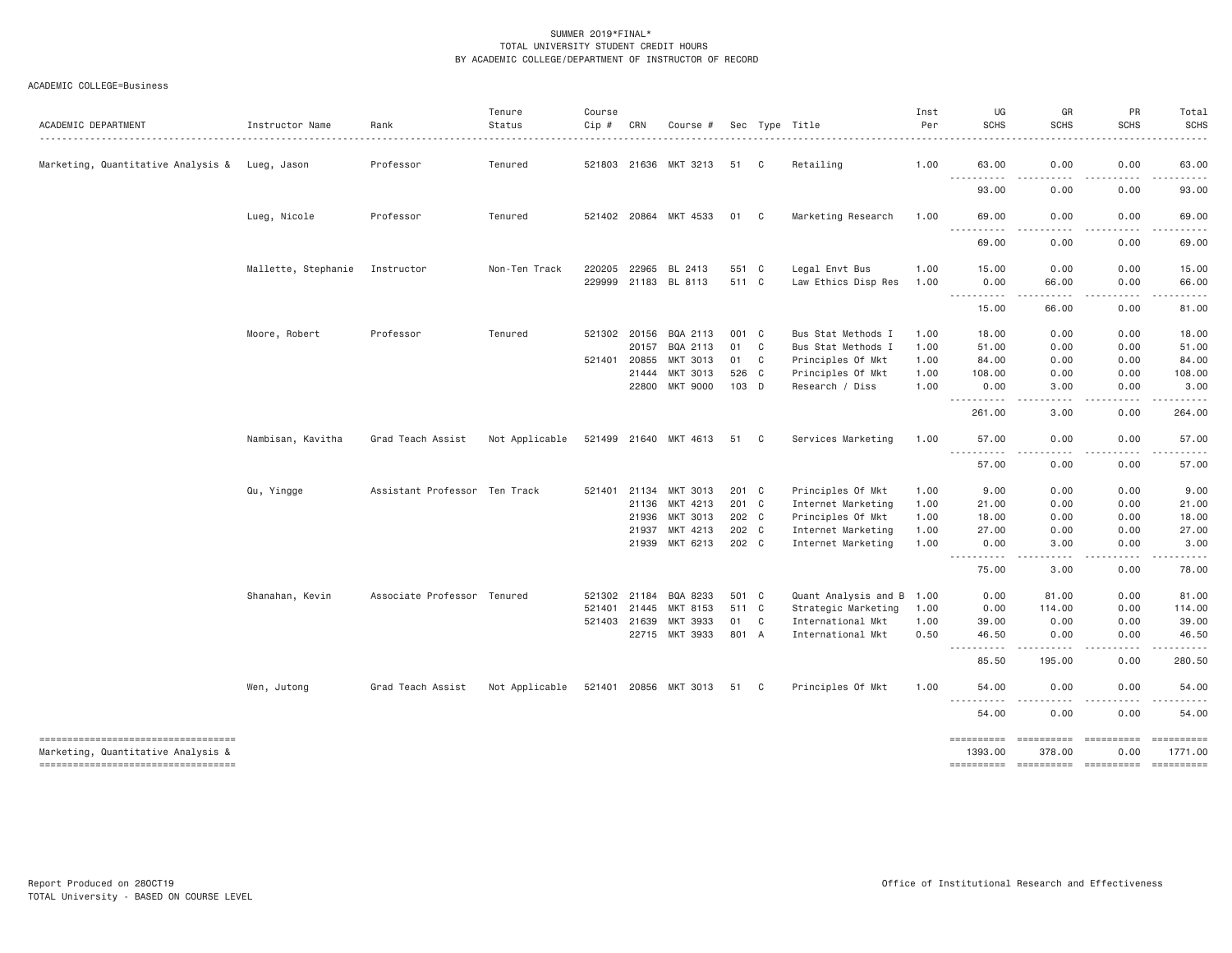# ACADEMIC COLLEGE=Business

| ACADEMIC DEPARTMENT                                                      | Instructor Name     | Rank<br>.                     | Tenure<br>Status<br>. | Course<br>Cip # | CRN          | Course #              |       |              | Sec Type Title            | Inst<br>Per | UG<br><b>SCHS</b>                                                                                                                                          | GR<br><b>SCHS</b><br>.           | PR<br><b>SCHS</b><br>. | Total<br><b>SCHS</b><br>$- - - - - -$                                                                                                                         |
|--------------------------------------------------------------------------|---------------------|-------------------------------|-----------------------|-----------------|--------------|-----------------------|-------|--------------|---------------------------|-------------|------------------------------------------------------------------------------------------------------------------------------------------------------------|----------------------------------|------------------------|---------------------------------------------------------------------------------------------------------------------------------------------------------------|
| Marketing, Quantitative Analysis & Lueg, Jason                           |                     | Professor                     | Tenured               |                 |              | 521803 21636 MKT 3213 | 51 C  |              | Retailing                 | 1.00        | 63.00                                                                                                                                                      | 0.00                             | 0.00                   | 63.00                                                                                                                                                         |
|                                                                          |                     |                               |                       |                 |              |                       |       |              |                           |             | $- - -$<br>----<br>93.00                                                                                                                                   | 0.00                             | 0.00                   | 93.00                                                                                                                                                         |
|                                                                          | Lueg, Nicole        | Professor                     | Tenured               |                 |              | 521402 20864 MKT 4533 | 01 C  |              | Marketing Research        | 1.00        | 69.00                                                                                                                                                      | 0.00                             | 0.00                   | 69.00                                                                                                                                                         |
|                                                                          |                     |                               |                       |                 |              |                       |       |              |                           |             | 69.00                                                                                                                                                      | 0.00                             | 0.00                   | 69.00                                                                                                                                                         |
|                                                                          | Mallette, Stephanie | Instructor                    | Non-Ten Track         | 220205          | 22965        | BL 2413               | 551 C |              | Legal Envt Bus            | 1.00        | 15,00                                                                                                                                                      | 0.00                             | 0.00                   | 15.00                                                                                                                                                         |
|                                                                          |                     |                               |                       |                 | 229999 21183 | BL 8113               | 511 C |              | Law Ethics Disp Res       | 1.00        | 0.00<br>.                                                                                                                                                  | 66.00<br>.                       | 0.00<br>.              | 66.00<br>$\frac{1}{2} \left( \frac{1}{2} \right) \left( \frac{1}{2} \right) \left( \frac{1}{2} \right) \left( \frac{1}{2} \right) \left( \frac{1}{2} \right)$ |
|                                                                          |                     |                               |                       |                 |              |                       |       |              |                           |             | 15.00                                                                                                                                                      | 66.00                            | 0.00                   | 81.00                                                                                                                                                         |
|                                                                          | Moore, Robert       | Professor                     | Tenured               |                 | 521302 20156 | BQA 2113              | 001 C |              | Bus Stat Methods I        | 1.00        | 18.00                                                                                                                                                      | 0.00                             | 0.00                   | 18.00                                                                                                                                                         |
|                                                                          |                     |                               |                       |                 | 20157        | BQA 2113              | 01    | $\mathbf{C}$ | Bus Stat Methods I        | 1.00        | 51.00                                                                                                                                                      | 0.00                             | 0.00                   | 51.00                                                                                                                                                         |
|                                                                          |                     |                               |                       | 521401          | 20855        | MKT 3013              | 01    | C            | Principles Of Mkt         | 1.00        | 84.00                                                                                                                                                      | 0.00                             | 0.00                   | 84.00                                                                                                                                                         |
|                                                                          |                     |                               |                       |                 | 21444        | MKT 3013              | 526 C |              | Principles Of Mkt         | 1.00        | 108.00                                                                                                                                                     | 0.00                             | 0.00                   | 108.00                                                                                                                                                        |
|                                                                          |                     |                               |                       |                 | 22800        | <b>MKT 9000</b>       | 103 D |              | Research / Diss           | 1,00        | 0.00<br>.                                                                                                                                                  | 3.00<br>.                        | 0.00                   | 3.00<br>.                                                                                                                                                     |
|                                                                          |                     |                               |                       |                 |              |                       |       |              |                           |             | 261.00                                                                                                                                                     | 3.00                             | 0.00                   | 264.00                                                                                                                                                        |
|                                                                          | Nambisan, Kavitha   | Grad Teach Assist             | Not Applicable        |                 |              | 521499 21640 MKT 4613 | 51 C  |              | Services Marketing        | 1.00        | 57.00<br>$\frac{1}{2} \left( \frac{1}{2} \right) \left( \frac{1}{2} \right) \left( \frac{1}{2} \right) \left( \frac{1}{2} \right)$<br>$\sim$ $\sim$ $\sim$ | 0.00                             | 0.00                   | 57.00                                                                                                                                                         |
|                                                                          |                     |                               |                       |                 |              |                       |       |              |                           |             | 57.00                                                                                                                                                      | 0.00                             | 0.00                   | 57.00                                                                                                                                                         |
|                                                                          | Qu, Yingge          | Assistant Professor Ten Track |                       |                 | 521401 21134 | MKT 3013              | 201 C |              | Principles Of Mkt         | 1.00        | 9.00                                                                                                                                                       | 0.00                             | 0.00                   | 9.00                                                                                                                                                          |
|                                                                          |                     |                               |                       |                 | 21136        | MKT 4213              | 201 C |              | Internet Marketing        | 1.00        | 21.00                                                                                                                                                      | 0.00                             | 0.00                   | 21.00                                                                                                                                                         |
|                                                                          |                     |                               |                       |                 | 21936        | MKT 3013              | 202 C |              | Principles Of Mkt         | 1.00        | 18.00                                                                                                                                                      | 0.00                             | 0.00                   | 18.00                                                                                                                                                         |
|                                                                          |                     |                               |                       |                 | 21937        | MKT 4213              | 202 C |              | Internet Marketing        | 1.00        | 27.00                                                                                                                                                      | 0.00                             | 0.00                   | 27.00                                                                                                                                                         |
|                                                                          |                     |                               |                       |                 |              | 21939 MKT 6213        | 202 C |              | Internet Marketing        | 1.00        | 0.00<br><u>.</u>                                                                                                                                           | 3.00<br>.                        | 0.00<br>.              | 3.00<br>.                                                                                                                                                     |
|                                                                          |                     |                               |                       |                 |              |                       |       |              |                           |             | 75.00                                                                                                                                                      | 3.00                             | 0.00                   | 78.00                                                                                                                                                         |
|                                                                          | Shanahan, Kevin     | Associate Professor Tenured   |                       |                 | 521302 21184 | BQA 8233              | 501 C |              | Quant Analysis and B 1.00 |             | 0.00                                                                                                                                                       | 81.00                            | 0.00                   | 81.00                                                                                                                                                         |
|                                                                          |                     |                               |                       | 521401          | 21445        | MKT 8153              | 511 C |              | Strategic Marketing       | 1.00        | 0.00                                                                                                                                                       | 114.00                           | 0.00                   | 114.00                                                                                                                                                        |
|                                                                          |                     |                               |                       |                 | 521403 21639 | MKT 3933              | 01    | $\mathbf{C}$ | International Mkt         | 1.00        | 39.00                                                                                                                                                      | 0.00                             | 0.00                   | 39.00                                                                                                                                                         |
|                                                                          |                     |                               |                       |                 | 22715        | MKT 3933              | 801 A |              | International Mkt         | 0.50        | 46.50<br>$  -$                                                                                                                                             | 0.00                             | 0.00                   | 46.50                                                                                                                                                         |
|                                                                          |                     |                               |                       |                 |              |                       |       |              |                           |             | 85.50                                                                                                                                                      | 195.00                           | 0.00                   | 280.50                                                                                                                                                        |
|                                                                          | Wen, Jutong         | Grad Teach Assist             | Not Applicable        |                 |              | 521401 20856 MKT 3013 | 51 C  |              | Principles Of Mkt         | 1.00        | 54.00<br>.                                                                                                                                                 | 0.00<br>$- - -$<br>$\frac{1}{2}$ | 0.00                   | 54.00<br>.                                                                                                                                                    |
|                                                                          |                     |                               |                       |                 |              |                       |       |              |                           |             | 54.00                                                                                                                                                      | 0.00                             | 0.00                   | 54.00                                                                                                                                                         |
| ----------------------------------<br>Marketing, Quantitative Analysis & |                     |                               |                       |                 |              |                       |       |              |                           |             | ==========<br>1393.00                                                                                                                                      | ==========<br>378.00             | ==========<br>0.00     | ==========<br>1771.00                                                                                                                                         |
| ----------------------------------                                       |                     |                               |                       |                 |              |                       |       |              |                           |             |                                                                                                                                                            | ---------- ---------- ---------- |                        | $\begin{array}{c} \multicolumn{3}{c} {\small \texttt{222222222}} \end{array}$                                                                                 |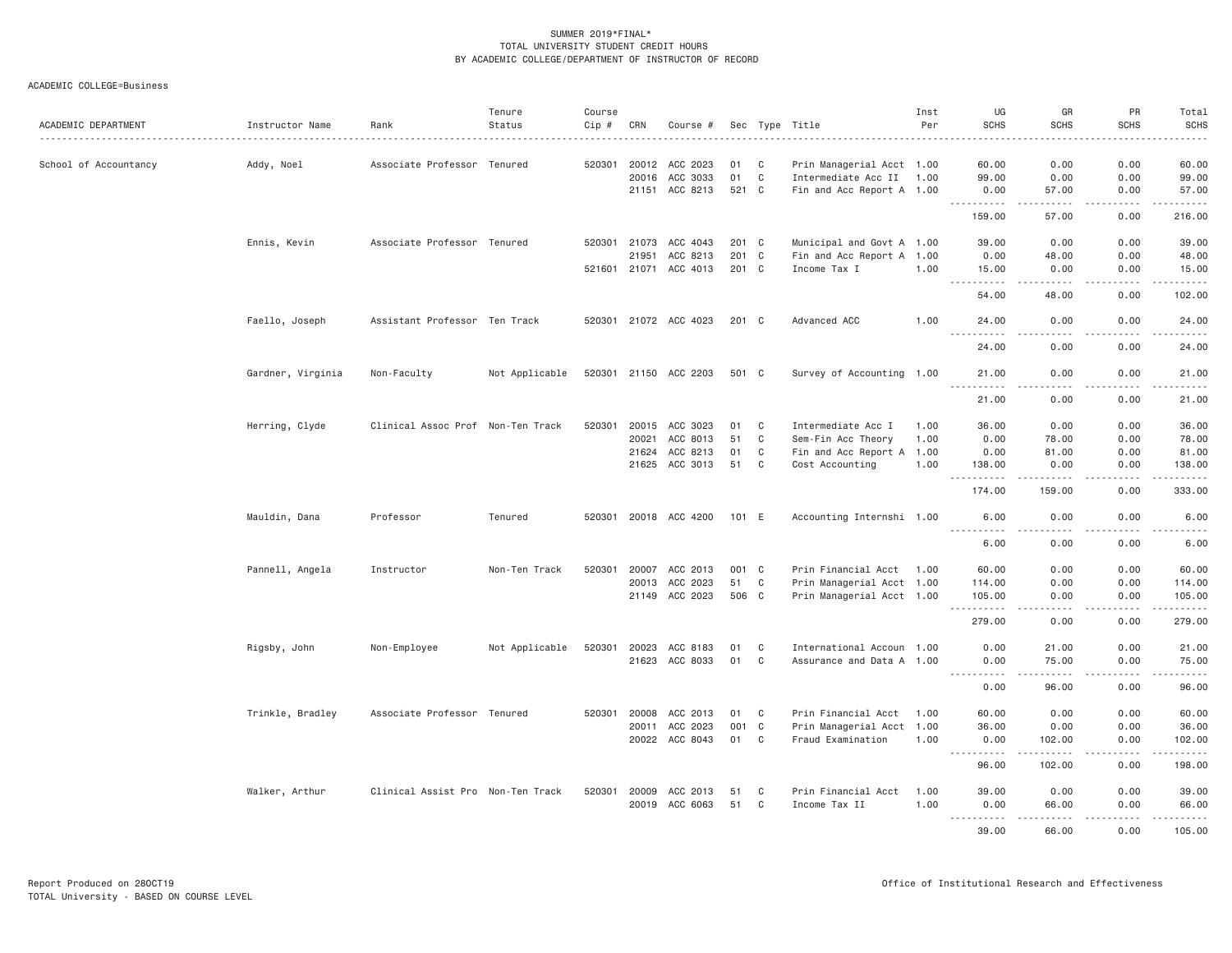ACADEMIC COLLEGE=Business

| ACADEMIC DEPARTMENT   | Instructor Name   | Rank                              | Tenure<br>Status | Course<br>Cip # | CRN   | Course #              |       |             | Sec Type Title            | Inst<br>Per | UG<br><b>SCHS</b>                                                                                      | GR<br><b>SCHS</b>                                                                                                                 | PR<br><b>SCHS</b>                   | Total<br><b>SCHS</b> |
|-----------------------|-------------------|-----------------------------------|------------------|-----------------|-------|-----------------------|-------|-------------|---------------------------|-------------|--------------------------------------------------------------------------------------------------------|-----------------------------------------------------------------------------------------------------------------------------------|-------------------------------------|----------------------|
|                       |                   |                                   |                  |                 |       |                       |       |             |                           |             |                                                                                                        |                                                                                                                                   |                                     |                      |
| School of Accountancy | Addy, Noel        | Associate Professor Tenured       |                  | 520301          | 20012 | ACC 2023              | 01    | C           | Prin Managerial Acct 1.00 |             | 60.00                                                                                                  | 0.00                                                                                                                              | 0.00                                | 60.00                |
|                       |                   |                                   |                  |                 | 20016 | ACC 3033              | 01    | C           | Intermediate Acc II 1.00  |             | 99.00                                                                                                  | 0.00                                                                                                                              | 0.00                                | 99.00                |
|                       |                   |                                   |                  |                 | 21151 | ACC 8213              | 521 C |             | Fin and Acc Report A 1.00 |             | 0.00<br>.                                                                                              | 57.00<br>.                                                                                                                        | 0.00<br>.                           | 57.00<br>.           |
|                       |                   |                                   |                  |                 |       |                       |       |             |                           |             | 159.00                                                                                                 | 57.00                                                                                                                             | 0.00                                | 216.00               |
|                       | Ennis, Kevin      | Associate Professor Tenured       |                  | 520301          | 21073 | ACC 4043              | 201 C |             | Municipal and Govt A 1.00 |             | 39.00                                                                                                  | 0.00                                                                                                                              | 0.00                                | 39.00                |
|                       |                   |                                   |                  |                 | 21951 | ACC 8213              | 201 C |             | Fin and Acc Report A 1.00 |             | 0.00                                                                                                   | 48.00                                                                                                                             | 0.00                                | 48.00                |
|                       |                   |                                   |                  |                 |       | 521601 21071 ACC 4013 | 201 C |             | Income Tax I              | 1.00        | 15.00                                                                                                  | 0.00                                                                                                                              | 0.00<br>.                           | 15.00<br>.           |
|                       |                   |                                   |                  |                 |       |                       |       |             |                           |             | 54.00                                                                                                  | 48.00                                                                                                                             | 0.00                                | 102.00               |
|                       | Faello, Joseph    | Assistant Professor Ten Track     |                  |                 |       | 520301 21072 ACC 4023 | 201 C |             | Advanced ACC              | 1.00        | 24.00<br>$\sim$ $\sim$ $\sim$<br>$- - - - -$                                                           | 0.00<br>.                                                                                                                         | 0.00<br>$\frac{1}{2}$               | 24.00<br>$- - - - -$ |
|                       |                   |                                   |                  |                 |       |                       |       |             |                           |             | 24.00                                                                                                  | 0.00                                                                                                                              | 0.00                                | 24.00                |
|                       | Gardner, Virginia | Non-Faculty                       | Not Applicable   |                 |       | 520301 21150 ACC 2203 | 501 C |             | Survey of Accounting 1.00 |             | 21.00<br>.                                                                                             | 0.00<br>$\frac{1}{2} \left( \frac{1}{2} \right) \left( \frac{1}{2} \right) \left( \frac{1}{2} \right) \left( \frac{1}{2} \right)$ | 0.00<br>.                           | 21.00<br>.           |
|                       |                   |                                   |                  |                 |       |                       |       |             |                           |             | 21.00                                                                                                  | 0.00                                                                                                                              | 0.00                                | 21.00                |
|                       | Herring, Clyde    | Clinical Assoc Prof               | Non-Ten Track    | 520301          | 20015 | ACC 3023              | 01    | C           | Intermediate Acc I        | 1.00        | 36.00                                                                                                  | 0.00                                                                                                                              | 0.00                                | 36.00                |
|                       |                   |                                   |                  |                 | 20021 | ACC 8013              | 51    | C           | Sem-Fin Acc Theory        | 1.00        | 0.00                                                                                                   | 78.00                                                                                                                             | 0.00                                | 78.00                |
|                       |                   |                                   |                  |                 | 21624 | ACC 8213              | 01    | C           | Fin and Acc Report A 1.00 |             | 0.00                                                                                                   | 81.00                                                                                                                             | 0.00                                | 81.00                |
|                       |                   |                                   |                  |                 |       | 21625 ACC 3013        | 51    | C           | Cost Accounting           | 1.00        | 138.00<br>.                                                                                            | 0.00                                                                                                                              | 0.00<br>.                           | 138.00<br>.          |
|                       |                   |                                   |                  |                 |       |                       |       |             |                           |             | 174.00                                                                                                 | 159.00                                                                                                                            | 0.00                                | 333.00               |
|                       | Mauldin, Dana     | Professor                         | Tenured          |                 |       | 520301 20018 ACC 4200 | 101 E |             | Accounting Internshi 1.00 |             | 6,00<br><u>.</u>                                                                                       | 0.00<br>$- - - -$                                                                                                                 | 0.00<br>.                           | 6.00<br>$- - - - -$  |
|                       |                   |                                   |                  |                 |       |                       |       |             |                           |             | 6.00                                                                                                   | 0.00                                                                                                                              | 0.00                                | 6.00                 |
|                       | Pannell, Angela   | Instructor                        | Non-Ten Track    | 520301          |       | 20007 ACC 2013        | 001 C |             | Prin Financial Acct 1.00  |             | 60.00                                                                                                  | 0.00                                                                                                                              | 0.00                                | 60.00                |
|                       |                   |                                   |                  |                 | 20013 | ACC 2023              | 51    | $\mathbb C$ | Prin Managerial Acct 1.00 |             | 114.00                                                                                                 | 0.00                                                                                                                              | 0.00                                | 114.00               |
|                       |                   |                                   |                  |                 |       | 21149 ACC 2023        | 506 C |             | Prin Managerial Acct 1.00 |             | 105.00<br>.                                                                                            | 0.00<br>.                                                                                                                         | 0.00<br>.                           | 105.00<br>.          |
|                       |                   |                                   |                  |                 |       |                       |       |             |                           |             | 279.00                                                                                                 | 0.00                                                                                                                              | 0.00                                | 279.00               |
|                       | Rigsby, John      | Non-Employee                      | Not Applicable   | 520301          | 20023 | ACC 8183              | 01    | C           | International Accoun 1.00 |             | 0.00                                                                                                   | 21.00                                                                                                                             | 0.00                                | 21.00                |
|                       |                   |                                   |                  |                 | 21623 | ACC 8033              | 01    | C           | Assurance and Data A 1.00 |             | 0.00                                                                                                   | 75.00                                                                                                                             | 0.00                                | 75.00                |
|                       |                   |                                   |                  |                 |       |                       |       |             |                           |             | $\sim$ $\sim$ $\sim$ $\sim$<br>0.00                                                                    | 96.00                                                                                                                             | $\sim$ $\sim$ $\sim$ $\sim$<br>0.00 | .<br>96.00           |
|                       | Trinkle, Bradley  | Associate Professor Tenured       |                  | 520301          | 20008 | ACC 2013              | 01    | C           | Prin Financial Acct       | 1.00        | 60.00                                                                                                  | 0.00                                                                                                                              | 0.00                                | 60.00                |
|                       |                   |                                   |                  |                 | 20011 | ACC 2023              | 001 C |             | Prin Managerial Acct 1.00 |             | 36.00                                                                                                  | 0.00                                                                                                                              | 0.00                                | 36.00                |
|                       |                   |                                   |                  |                 |       | 20022 ACC 8043        | 01    | C           | Fraud Examination         | 1.00        | 0.00<br>.<br>$\sim 100$ km s $^{-1}$                                                                   | 102.00<br>.                                                                                                                       | 0.00<br>.                           | 102.00<br>.          |
|                       |                   |                                   |                  |                 |       |                       |       |             |                           |             | 96.00                                                                                                  | 102.00                                                                                                                            | 0.00                                | 198.00               |
|                       | Walker, Arthur    | Clinical Assist Pro Non-Ten Track |                  | 520301          | 20009 | ACC 2013              | 51    | C           | Prin Financial Acct       | 1.00        | 39.00                                                                                                  | 0.00                                                                                                                              | 0.00                                | 39.00                |
|                       |                   |                                   |                  |                 |       | 20019 ACC 6063        | 51    | C           | Income Tax II             | 1.00        | 0.00<br>$\frac{1}{2} \left( \frac{1}{2} \right) \left( \frac{1}{2} \right) \left( \frac{1}{2} \right)$ | 66.00<br>. <u>.</u> .                                                                                                             | 0.00<br>.                           | 66.00                |
|                       |                   |                                   |                  |                 |       |                       |       |             |                           |             | 39.00                                                                                                  | 66.00                                                                                                                             | 0.00                                | 105.00               |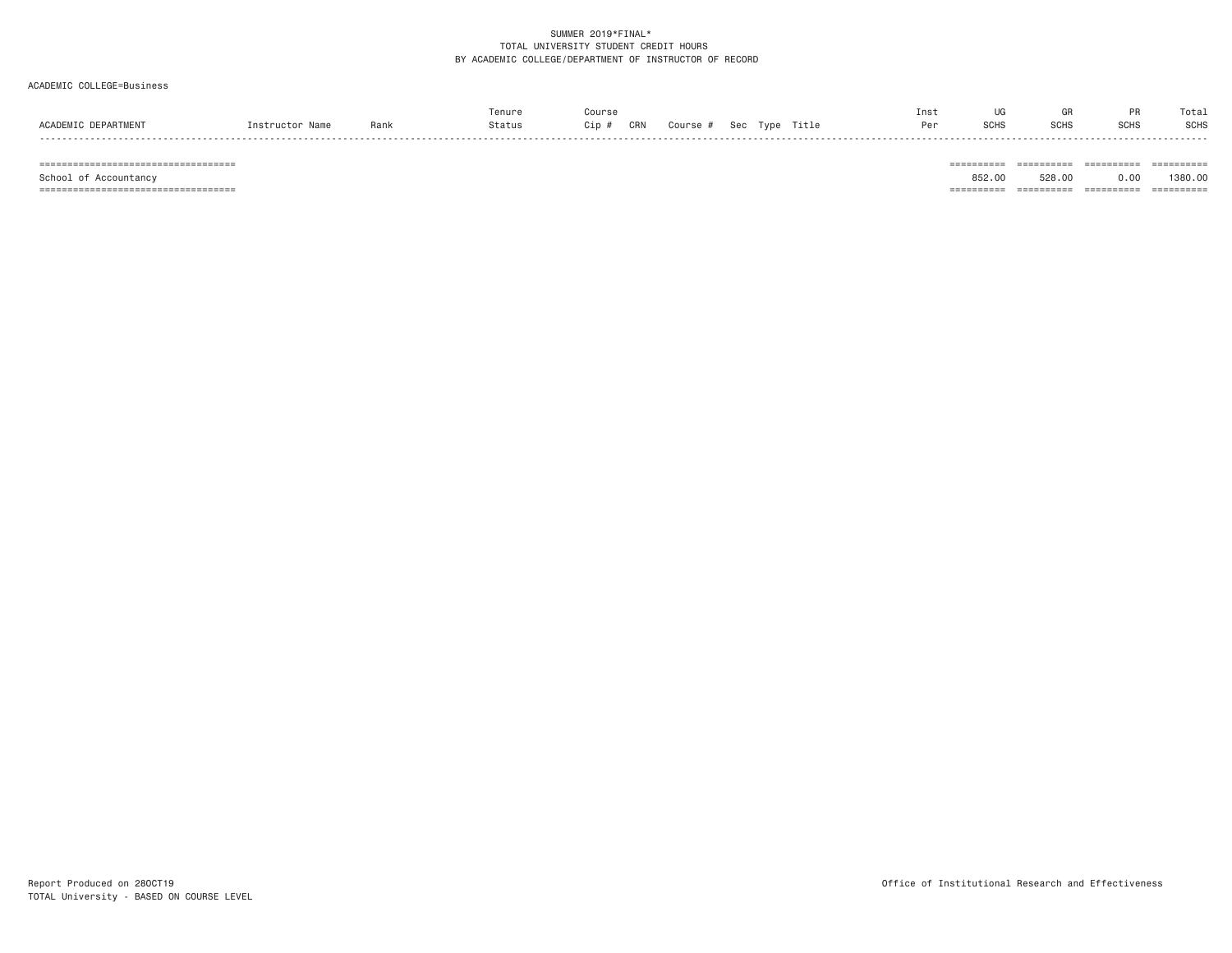# ACADEMIC COLLEGE=Business

|                    |         |      | enur   | ours;      |        |               |      | Ins <sup>.</sup> |             |                                  | Tota.       |
|--------------------|---------|------|--------|------------|--------|---------------|------|------------------|-------------|----------------------------------|-------------|
| ACADEM"<br>PARTMEN | $n + n$ | Rank | Status | CRN<br>ip: | Course | $\sim$ $\sim$ | itle | Per              | <b>SCHS</b> | $_{\text{C}^{\text{C}}}$<br>əuna | <b>SCHS</b> |
|                    |         |      |        |            |        |               |      |                  |             |                                  |             |

=================================== ========== ========== ========== ==========

School of Accountancy 852.00 528.00 0.00 1380.00

=================================== ========== ========== ========== ==========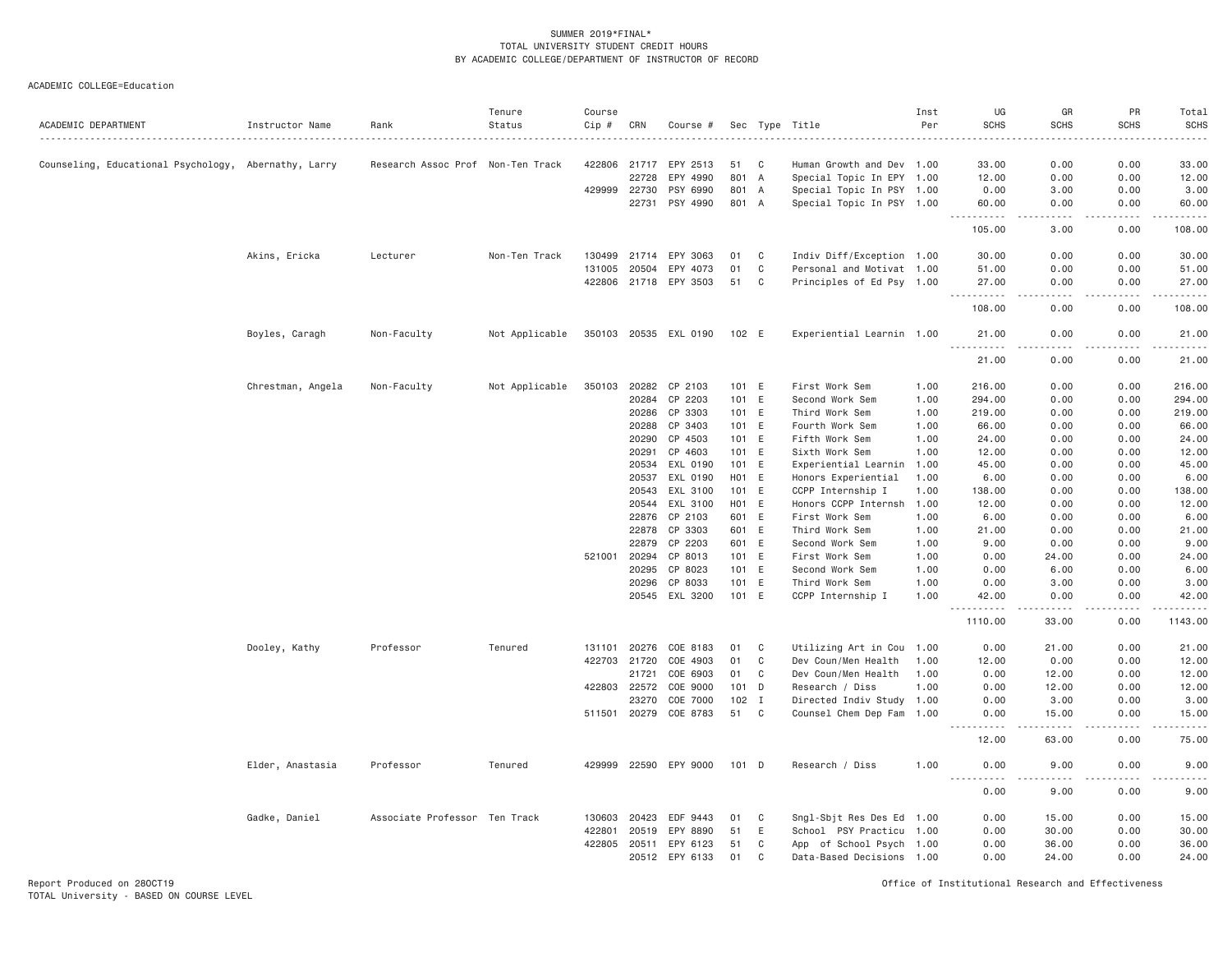| ACADEMIC DEPARTMENT                                  | Instructor Name   | Rank                              | Tenure<br>Status | Course<br>Cip # | CRN            | Course #              | Sec            |              | Type Title                        | Inst<br>Per  | UG<br><b>SCHS</b>        | GR<br><b>SCHS</b>                   | PR<br><b>SCHS</b> | Total<br><b>SCHS</b>   |
|------------------------------------------------------|-------------------|-----------------------------------|------------------|-----------------|----------------|-----------------------|----------------|--------------|-----------------------------------|--------------|--------------------------|-------------------------------------|-------------------|------------------------|
| Counseling, Educational Psychology, Abernathy, Larry |                   | Research Assoc Prof Non-Ten Track |                  | 422806          | 21717          | EPY 2513              | 51             | C            | Human Growth and Dev 1.00         |              | 33.00                    | 0.00                                | 0.00              | 33.00                  |
|                                                      |                   |                                   |                  |                 | 22728          | EPY 4990              | 801 A          |              | Special Topic In EPY 1.00         |              | 12.00                    | 0.00                                | 0.00              | 12.00                  |
|                                                      |                   |                                   |                  |                 | 429999 22730   | PSY 6990              | 801 A          |              | Special Topic In PSY 1.00         |              | 0.00                     | 3.00                                | 0.00              | 3.00                   |
|                                                      |                   |                                   |                  |                 | 22731          | PSY 4990              | 801            | A            | Special Topic In PSY 1.00         |              | 60.00<br>$- - - - -$     | 0.00<br>$\sim$ $\sim$ $\sim$ $\sim$ | 0.00<br>.         | 60.00<br>$\frac{1}{2}$ |
|                                                      |                   |                                   |                  |                 |                |                       |                |              |                                   |              | 105.00                   | 3.00                                | 0.00              | 108.00                 |
|                                                      | Akins, Ericka     | Lecturer                          | Non-Ten Track    | 130499          | 21714          | EPY 3063              | 01             | $\mathbf{C}$ | Indiv Diff/Exception 1.00         |              | 30,00                    | 0.00                                | 0.00              | 30.00                  |
|                                                      |                   |                                   |                  | 131005          | 20504          | EPY 4073              | 01             | $\mathbf C$  | Personal and Motivat 1.00         |              | 51.00                    | 0.00                                | 0.00              | 51.00                  |
|                                                      |                   |                                   |                  |                 |                | 422806 21718 EPY 3503 | 51             | C            | Principles of Ed Psy 1.00         |              | 27.00<br>------<br>$  -$ | 0.00<br>.                           | 0.00<br>-----     | 27.00<br>.             |
|                                                      |                   |                                   |                  |                 |                |                       |                |              |                                   |              | 108.00                   | 0.00                                | 0.00              | 108.00                 |
|                                                      | Boyles, Caragh    | Non-Faculty                       | Not Applicable   |                 |                | 350103 20535 EXL 0190 | 102 E          |              | Experiential Learnin 1.00         |              | 21.00<br>.               | 0.00<br>د د د د                     | 0.00<br>.         | 21.00<br>.             |
|                                                      |                   |                                   |                  |                 |                |                       |                |              |                                   |              | 21.00                    | 0.00                                | 0.00              | 21.00                  |
|                                                      | Chrestman, Angela | Non-Faculty                       | Not Applicable   | 350103          | 20282          | CP 2103               | 101 E          |              | First Work Sem                    | 1.00         | 216.00                   | 0.00                                | 0.00              | 216.00                 |
|                                                      |                   |                                   |                  |                 | 20284          | CP 2203               | 101            | E            | Second Work Sem                   | 1.00         | 294.00                   | 0.00                                | 0.00              | 294.00                 |
|                                                      |                   |                                   |                  |                 | 20286          | CP 3303               | 101 E          |              | Third Work Sem                    | 1.00         | 219.00                   | 0.00                                | 0.00              | 219.00                 |
|                                                      |                   |                                   |                  |                 | 20288          | CP 3403               | 101 E          |              | Fourth Work Sem                   | 1.00         | 66.00                    | 0.00                                | 0.00              | 66.00                  |
|                                                      |                   |                                   |                  |                 | 20290          | CP 4503               | 101 E          |              | Fifth Work Sem                    | 1.00         | 24.00                    | 0.00                                | 0.00              | 24.00                  |
|                                                      |                   |                                   |                  |                 | 20291          | CP 4603               | 101 E          |              | Sixth Work Sem                    | 1.00         | 12.00                    | 0.00                                | 0.00              | 12.00                  |
|                                                      |                   |                                   |                  |                 | 20534          | EXL 0190              | 101 E          |              | Experiential Learnin 1.00         |              | 45.00                    | 0.00                                | 0.00              | 45.00                  |
|                                                      |                   |                                   |                  |                 | 20537          | EXL 0190              | HO1            | E            | Honors Experiential               | 1.00         | 6.00                     | 0.00                                | 0.00              | 6.00                   |
|                                                      |                   |                                   |                  |                 | 20543          | EXL 3100              | 101            | E            | CCPP Internship I                 | 1.00         | 138.00                   | 0.00                                | 0.00              | 138.00                 |
|                                                      |                   |                                   |                  |                 | 20544          | EXL 3100              | H01 E          |              | Honors CCPP Internsh              | 1.00         | 12.00                    | 0.00                                | 0.00              | 12.00                  |
|                                                      |                   |                                   |                  |                 | 22876          | CP 2103               | 601 E          |              | First Work Sem                    | 1.00         | 6.00                     | 0.00                                | 0.00              | 6.00                   |
|                                                      |                   |                                   |                  |                 | 22878          | CP 3303               | 601            | E            | Third Work Sem                    | 1.00         | 21.00                    | 0.00                                | 0.00              | 21.00                  |
|                                                      |                   |                                   |                  |                 | 22879          | CP 2203               | 601 E<br>101 E |              | Second Work Sem                   | 1.00         | 9.00<br>0.00             | 0.00                                | 0.00              | 9.00                   |
|                                                      |                   |                                   |                  | 521001          | 20294<br>20295 | CP 8013<br>CP 8023    | 101            | E            | First Work Sem<br>Second Work Sem | 1.00         | 0.00                     | 24.00<br>6.00                       | 0.00<br>0.00      | 24.00<br>6.00          |
|                                                      |                   |                                   |                  |                 | 20296          | CP 8033               | 101            | E            | Third Work Sem                    | 1.00<br>1.00 | 0.00                     | 3.00                                | 0.00              | 3.00                   |
|                                                      |                   |                                   |                  |                 |                | 20545 EXL 3200        | 101 E          |              | CCPP Internship I                 | 1.00         | 42.00                    | 0.00                                | 0.00              | 42.00                  |
|                                                      |                   |                                   |                  |                 |                |                       |                |              |                                   |              | Ш.<br>1110.00            | 33.00                               | 0.00              | 1143.00                |
|                                                      | Dooley, Kathy     | Professor                         | Tenured          | 131101          | 20276          | COE 8183              | 01             | $\mathbf{C}$ | Utilizing Art in Cou 1.00         |              | 0.00                     | 21.00                               | 0.00              | 21.00                  |
|                                                      |                   |                                   |                  | 422703          | 21720          | COE 4903              | 01             | $\mathbf C$  | Dev Coun/Men Health               | 1.00         | 12.00                    | 0.00                                | 0.00              | 12.00                  |
|                                                      |                   |                                   |                  |                 | 21721          | COE 6903              | 01             | $\mathbf C$  | Dev Coun/Men Health               | 1.00         | 0.00                     | 12.00                               | 0.00              | 12.00                  |
|                                                      |                   |                                   |                  |                 | 422803 22572   | COE 9000              | 101            | D            | Research / Diss                   | 1.00         | 0.00                     | 12.00                               | 0.00              | 12.00                  |
|                                                      |                   |                                   |                  |                 | 23270          | COE 7000              | 102            | $\mathbf{I}$ | Directed Indiv Study 1.00         |              | 0.00                     | 3.00                                | 0.00              | 3.00                   |
|                                                      |                   |                                   |                  |                 | 511501 20279   | COE 8783              | 51             | C            | Counsel Chem Dep Fam 1.00         |              | 0.00                     | 15.00                               | 0.00              | 15.00                  |
|                                                      |                   |                                   |                  |                 |                |                       |                |              |                                   |              | 12.00                    | 63.00                               | 0.00              | 75.00                  |
|                                                      | Elder, Anastasia  | Professor                         | Tenured          | 429999          |                | 22590 EPY 9000        | 101 D          |              | Research / Diss                   | 1.00         | 0.00                     | 9.00                                | 0.00              | 9.00                   |
|                                                      |                   |                                   |                  |                 |                |                       |                |              |                                   |              | 0.00                     | 9.00                                | 0.00              | 9.00                   |
|                                                      | Gadke, Daniel     | Associate Professor Ten Track     |                  | 130603          | 20423          | EDF 9443              | 01             | C            | Sngl-Sbjt Res Des Ed 1.00         |              | 0.00                     | 15.00                               | 0.00              | 15.00                  |
|                                                      |                   |                                   |                  | 422801          | 20519          | EPY 8890              | 51             | E            | School PSY Practicu 1.00          |              | 0.00                     | 30.00                               | 0.00              | 30.00                  |
|                                                      |                   |                                   |                  | 422805          | 20511          | EPY 6123              | 51             | C            | App of School Psych 1.00          |              | 0.00                     | 36.00                               | 0.00              | 36.00                  |
|                                                      |                   |                                   |                  |                 |                | 20512 EPY 6133        | 01             | C            | Data-Based Decisions 1.00         |              | 0.00                     | 24.00                               | 0.00              | 24.00                  |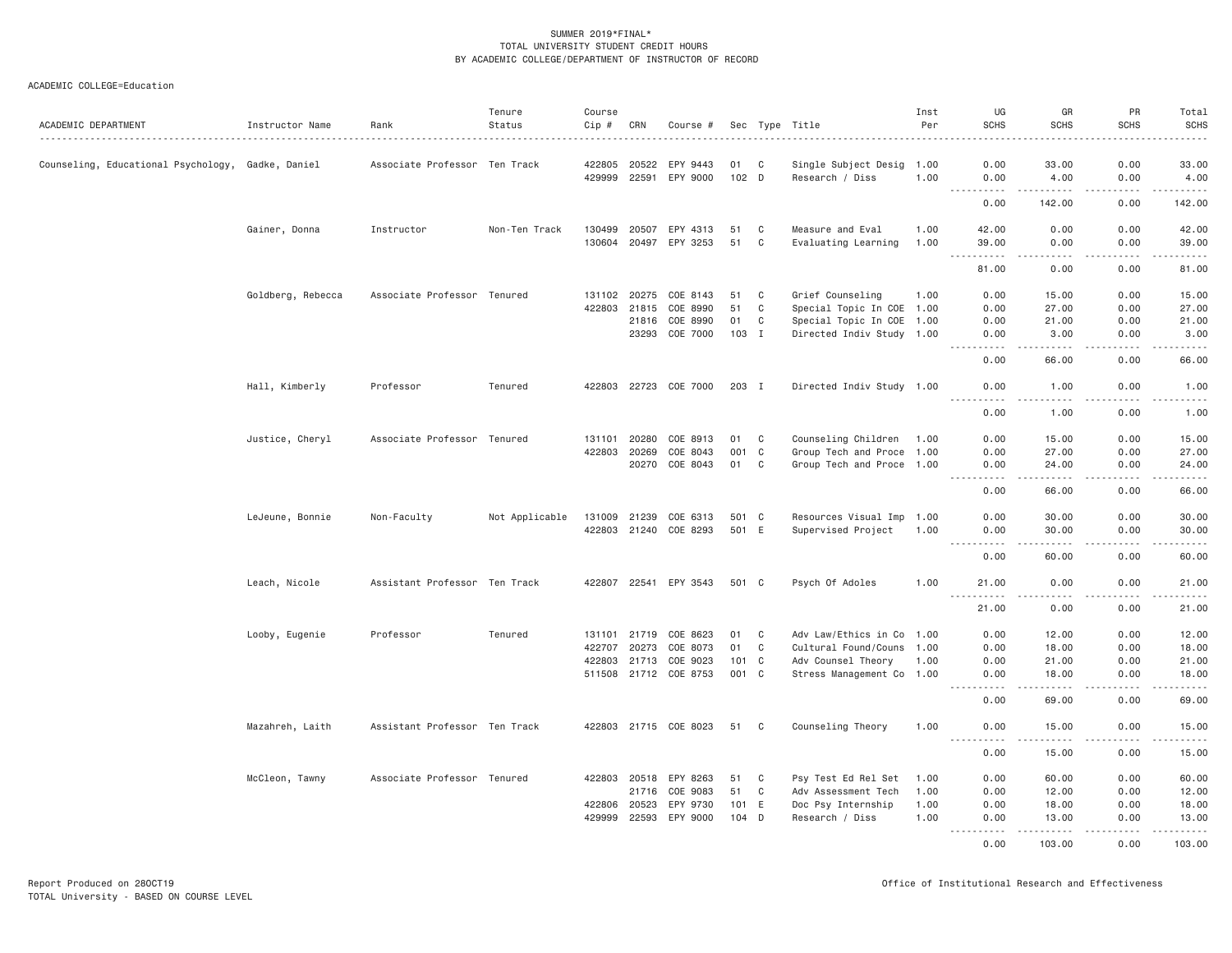| ACADEMIC DEPARTMENT                               | Instructor Name   | Rank                          | Tenure<br>Status | Course<br>Cip # | CRN   | Course #              |       |              | Sec Type Title            | Inst<br>Per | UG<br><b>SCHS</b>                                                                                                                                            | GR<br><b>SCHS</b>                                                                                                                                             | PR<br><b>SCHS</b> | Total<br>SCHS<br>. |
|---------------------------------------------------|-------------------|-------------------------------|------------------|-----------------|-------|-----------------------|-------|--------------|---------------------------|-------------|--------------------------------------------------------------------------------------------------------------------------------------------------------------|---------------------------------------------------------------------------------------------------------------------------------------------------------------|-------------------|--------------------|
| Counseling, Educational Psychology, Gadke, Daniel |                   | Associate Professor Ten Track |                  | 422805          | 20522 | EPY 9443              | 01    | $\mathbf{C}$ | Single Subject Desig      | 1.00        | 0.00                                                                                                                                                         | 33.00                                                                                                                                                         | 0.00              | 33.00              |
|                                                   |                   |                               |                  | 429999          | 22591 | EPY 9000              | 102 D |              | Research / Diss           | 1.00        | 0.00                                                                                                                                                         | 4.00                                                                                                                                                          | 0.00              | 4.00               |
|                                                   |                   |                               |                  |                 |       |                       |       |              |                           |             | $- - - - - -$<br>0.00                                                                                                                                        | .<br>142.00                                                                                                                                                   | .<br>0.00         | ------<br>142.00   |
|                                                   | Gainer, Donna     | Instructor                    | Non-Ten Track    | 130499          | 20507 | EPY 4313              | 51    | C            | Measure and Eval          | 1.00        | 42.00                                                                                                                                                        | 0.00                                                                                                                                                          | 0.00              | 42.00              |
|                                                   |                   |                               |                  | 130604          | 20497 | EPY 3253              | 51    | $\mathbf C$  | Evaluating Learning       | 1.00        | 39.00<br>$\sim$ $\sim$ $\sim$ $\sim$<br>.                                                                                                                    | 0.00<br>.                                                                                                                                                     | 0.00<br>.         | 39.00<br>.         |
|                                                   |                   |                               |                  |                 |       |                       |       |              |                           |             | 81.00                                                                                                                                                        | 0.00                                                                                                                                                          | 0.00              | 81.00              |
|                                                   | Goldberg, Rebecca | Associate Professor Tenured   |                  | 131102 20275    |       | COE 8143              | 51    | C            | Grief Counseling          | 1.00        | 0.00                                                                                                                                                         | 15.00                                                                                                                                                         | 0.00              | 15.00              |
|                                                   |                   |                               |                  | 422803          | 21815 | COE 8990              | 51    | $\mathbb C$  | Special Topic In COE 1.00 |             | 0.00                                                                                                                                                         | 27.00                                                                                                                                                         | 0.00              | 27.00              |
|                                                   |                   |                               |                  |                 | 21816 | COE 8990              | 01    | C            | Special Topic In COE 1.00 |             | 0.00                                                                                                                                                         | 21.00                                                                                                                                                         | 0.00              | 21.00              |
|                                                   |                   |                               |                  |                 | 23293 | COE 7000              | 103 I |              | Directed Indiv Study 1.00 |             | 0.00<br>.                                                                                                                                                    | 3.00                                                                                                                                                          | 0.00<br>.         | 3.00               |
|                                                   |                   |                               |                  |                 |       |                       |       |              |                           |             | 0.00                                                                                                                                                         | .<br>66.00                                                                                                                                                    | 0.00              | .<br>66.00         |
|                                                   | Hall, Kimberly    | Professor                     | Tenured          |                 |       | 422803 22723 COE 7000 | 203 I |              | Directed Indiv Study 1.00 |             | 0.00                                                                                                                                                         | 1.00                                                                                                                                                          | 0.00              | 1.00               |
|                                                   |                   |                               |                  |                 |       |                       |       |              |                           |             | .<br>$\frac{1}{2}$<br>0.00                                                                                                                                   | .<br>1.00                                                                                                                                                     | .<br>0.00         | .<br>1.00          |
|                                                   | Justice, Cheryl   | Associate Professor Tenured   |                  | 131101          | 20280 | COE 8913              | 01    | C            | Counseling Children       | 1.00        | 0.00                                                                                                                                                         | 15.00                                                                                                                                                         | 0.00              | 15.00              |
|                                                   |                   |                               |                  | 422803          | 20269 | COE 8043              | 001 C |              | Group Tech and Proce 1.00 |             | 0.00                                                                                                                                                         | 27.00                                                                                                                                                         | 0.00              | 27.00              |
|                                                   |                   |                               |                  |                 |       | 20270 COE 8043        | 01 C  |              | Group Tech and Proce 1.00 |             | 0.00                                                                                                                                                         | 24.00                                                                                                                                                         | 0.00              | 24.00              |
|                                                   |                   |                               |                  |                 |       |                       |       |              |                           |             | $\frac{1}{2} \left( \frac{1}{2} \right) \left( \frac{1}{2} \right) \left( \frac{1}{2} \right) \left( \frac{1}{2} \right) \left( \frac{1}{2} \right)$<br>0.00 | $\frac{1}{2} \left( \frac{1}{2} \right) \left( \frac{1}{2} \right) \left( \frac{1}{2} \right) \left( \frac{1}{2} \right) \left( \frac{1}{2} \right)$<br>66.00 | .<br>0.00         | .<br>66.00         |
|                                                   | LeJeune, Bonnie   | Non-Faculty                   | Not Applicable   | 131009          | 21239 | COE 6313              | 501 C |              | Resources Visual Imp 1.00 |             | 0.00                                                                                                                                                         | 30.00                                                                                                                                                         | 0.00              | 30.00              |
|                                                   |                   |                               |                  |                 |       | 422803 21240 COE 8293 | 501 E |              | Supervised Project        | 1.00        | 0.00<br>$- - - - -$                                                                                                                                          | 30.00<br>$\frac{1}{2} \left( \frac{1}{2} \right) \left( \frac{1}{2} \right) \left( \frac{1}{2} \right) \left( \frac{1}{2} \right) \left( \frac{1}{2} \right)$ | 0.00<br>.         | 30.00<br>.         |
|                                                   |                   |                               |                  |                 |       |                       |       |              |                           |             | 0.00                                                                                                                                                         | 60.00                                                                                                                                                         | 0.00              | 60.00              |
|                                                   | Leach, Nicole     | Assistant Professor Ten Track |                  |                 |       | 422807 22541 EPY 3543 | 501 C |              | Psych Of Adoles           | 1.00        | 21.00                                                                                                                                                        | 0.00                                                                                                                                                          | 0.00              | 21.00              |
|                                                   |                   |                               |                  |                 |       |                       |       |              |                           |             | <u>.</u><br>21.00                                                                                                                                            | .<br>0.00                                                                                                                                                     | .<br>0.00         | .<br>21.00         |
|                                                   | Looby, Eugenie    | Professor                     | Tenured          | 131101 21719    |       | COE 8623              | 01    | C            | Adv Law/Ethics in Co 1.00 |             | 0.00                                                                                                                                                         | 12.00                                                                                                                                                         | 0.00              | 12.00              |
|                                                   |                   |                               |                  | 422707          | 20273 | COE 8073              | 01    | C            | Cultural Found/Couns 1.00 |             | 0.00                                                                                                                                                         | 18.00                                                                                                                                                         | 0.00              | 18.00              |
|                                                   |                   |                               |                  | 422803          | 21713 | COE 9023              | 101 C |              | Adv Counsel Theory        | 1.00        | 0.00                                                                                                                                                         | 21.00                                                                                                                                                         | 0.00              | 21.00              |
|                                                   |                   |                               |                  |                 |       | 511508 21712 COE 8753 | 001 C |              | Stress Management Co 1.00 |             | 0.00<br>-----                                                                                                                                                | 18,00                                                                                                                                                         | 0.00<br>.         | 18.00<br>.         |
|                                                   |                   |                               |                  |                 |       |                       |       |              |                           |             | 0.00                                                                                                                                                         | $\cdots \cdots \cdots$<br>69.00                                                                                                                               | 0.00              | 69.00              |
|                                                   | Mazahreh, Laith   | Assistant Professor Ten Track |                  |                 |       | 422803 21715 COE 8023 | 51 C  |              | Counseling Theory         | 1.00        | 0.00<br>$- - - - - -$                                                                                                                                        | 15.00<br>. <u>.</u>                                                                                                                                           | 0.00<br>.         | 15.00<br>.         |
|                                                   |                   |                               |                  |                 |       |                       |       |              |                           |             | 0.00                                                                                                                                                         | 15.00                                                                                                                                                         | 0.00              | 15.00              |
|                                                   | McCleon, Tawny    | Associate Professor Tenured   |                  | 422803          | 20518 | EPY 8263              | 51    | $\mathbf{C}$ | Psy Test Ed Rel Set       | 1.00        | 0.00                                                                                                                                                         | 60.00                                                                                                                                                         | 0.00              | 60.00              |
|                                                   |                   |                               |                  |                 | 21716 | COE 9083              | 51    | $\mathbf{C}$ | Adv Assessment Tech       | 1.00        | 0.00                                                                                                                                                         | 12.00                                                                                                                                                         | 0.00              | 12.00              |
|                                                   |                   |                               |                  | 422806          | 20523 | EPY 9730              | 101 E |              | Doc Psy Internship        | 1.00        | 0.00                                                                                                                                                         | 18.00                                                                                                                                                         | 0.00              | 18.00              |
|                                                   |                   |                               |                  | 429999          | 22593 | EPY 9000              | 104   | D            | Research / Diss           | 1.00        | 0.00                                                                                                                                                         | 13.00                                                                                                                                                         | 0.00<br>.         | 13.00<br>.         |
|                                                   |                   |                               |                  |                 |       |                       |       |              |                           |             | 0.00                                                                                                                                                         | 103,00                                                                                                                                                        | 0.00              | 103,00             |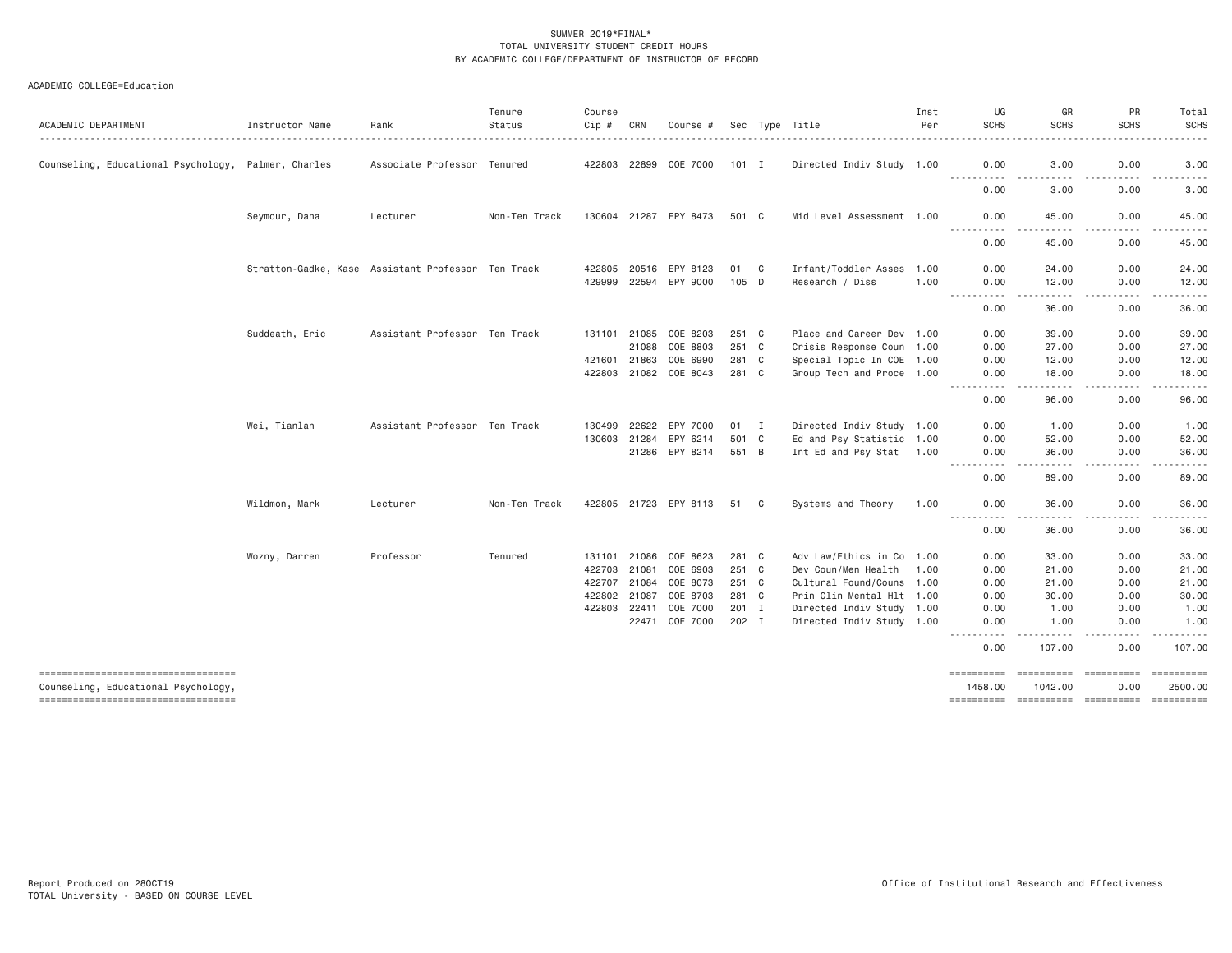| ACADEMIC DEPARTMENT                                                        | Instructor Name                                    | Rank                          | Tenure<br>Status | Course<br>Cip # | CRN   | Course #              |         |   | Sec Type Title            | Inst<br>Per | UG<br><b>SCHS</b>           | GR<br><b>SCHS</b>               | PR<br><b>SCHS</b>                                                                                                                 | Total<br><b>SCHS</b>                                                                                                                                          |
|----------------------------------------------------------------------------|----------------------------------------------------|-------------------------------|------------------|-----------------|-------|-----------------------|---------|---|---------------------------|-------------|-----------------------------|---------------------------------|-----------------------------------------------------------------------------------------------------------------------------------|---------------------------------------------------------------------------------------------------------------------------------------------------------------|
| Counseling, Educational Psychology, Palmer, Charles                        |                                                    | Associate Professor Tenured   |                  | 422803 22899    |       | COE 7000              | $101$ I |   | Directed Indiv Study 1.00 |             | 0.00<br><u>.</u>            | 3.00                            | 0.00<br>.                                                                                                                         | 3.00<br>-----                                                                                                                                                 |
|                                                                            |                                                    |                               |                  |                 |       |                       |         |   |                           |             | 0.00                        | 3.00                            | 0.00                                                                                                                              | 3.00                                                                                                                                                          |
|                                                                            | Seymour, Dana                                      | Lecturer                      | Non-Ten Track    |                 |       | 130604 21287 EPY 8473 | 501 C   |   | Mid Level Assessment 1.00 |             | 0.00<br><b></b>             | 45.00<br>$- - - - -$            | 0.00<br>.                                                                                                                         | 45.00<br>.                                                                                                                                                    |
|                                                                            |                                                    |                               |                  |                 |       |                       |         |   |                           |             | 0.00                        | 45.00                           | 0.00                                                                                                                              | 45.00                                                                                                                                                         |
|                                                                            | Stratton-Gadke, Kase Assistant Professor Ten Track |                               |                  | 422805          | 20516 | EPY 8123              | 01      | C | Infant/Toddler Asses      | 1.00        | 0.00                        | 24.00                           | 0.00                                                                                                                              | 24.00                                                                                                                                                         |
|                                                                            |                                                    |                               |                  | 429999          | 22594 | EPY 9000              | 105 D   |   | Research / Diss           | 1.00        | 0.00<br>.                   | 12.00<br>$- - - - -$            | 0.00<br>.                                                                                                                         | 12.00<br>.                                                                                                                                                    |
|                                                                            |                                                    |                               |                  |                 |       |                       |         |   |                           |             | 0.00                        | 36.00                           | 0.00                                                                                                                              | 36.00                                                                                                                                                         |
|                                                                            | Suddeath, Eric                                     | Assistant Professor Ten Track |                  | 131101          | 21085 | COE 8203              | 251 C   |   | Place and Career Dev 1.00 |             | 0.00                        | 39,00                           | 0.00                                                                                                                              | 39.00                                                                                                                                                         |
|                                                                            |                                                    |                               |                  |                 | 21088 | COE 8803              | 251 C   |   | Crisis Response Coun 1.00 |             | 0.00                        | 27.00                           | 0.00                                                                                                                              | 27.00                                                                                                                                                         |
|                                                                            |                                                    |                               |                  | 421601 21863    |       | COE 6990              | 281 C   |   | Special Topic In COE 1.00 |             | 0.00                        | 12.00                           | 0.00                                                                                                                              | 12.00                                                                                                                                                         |
|                                                                            |                                                    |                               |                  | 422803          |       | 21082 COE 8043        | 281 C   |   | Group Tech and Proce 1.00 |             | 0.00<br>.                   | 18,00<br>$- - - - -$            | 0.00<br>.                                                                                                                         | 18.00<br>$\frac{1}{2} \left( \frac{1}{2} \right) \left( \frac{1}{2} \right) \left( \frac{1}{2} \right) \left( \frac{1}{2} \right) \left( \frac{1}{2} \right)$ |
|                                                                            |                                                    |                               |                  |                 |       |                       |         |   |                           |             | 0.00                        | 96.00                           | 0.00                                                                                                                              | 96.00                                                                                                                                                         |
|                                                                            | Wei, Tianlan                                       | Assistant Professor Ten Track |                  | 130499          | 22622 | EPY 7000              | $01$ I  |   | Directed Indiv Study 1.00 |             | 0.00                        | 1.00                            | 0.00                                                                                                                              | 1.00                                                                                                                                                          |
|                                                                            |                                                    |                               |                  | 130603          | 21284 | EPY 6214              | 501 C   |   | Ed and Psy Statistic 1.00 |             | 0.00                        | 52.00                           | 0.00                                                                                                                              | 52.00                                                                                                                                                         |
|                                                                            |                                                    |                               |                  |                 |       | 21286 EPY 8214        | 551 B   |   | Int Ed and Psy Stat 1.00  |             | 0.00<br>----------          | 36.00<br>-----                  | 0.00<br>.                                                                                                                         | 36.00<br>.                                                                                                                                                    |
|                                                                            |                                                    |                               |                  |                 |       |                       |         |   |                           |             | 0.00                        | 89.00                           | 0.00                                                                                                                              | 89.00                                                                                                                                                         |
|                                                                            | Wildmon, Mark                                      | Lecturer                      | Non-Ten Track    |                 |       | 422805 21723 EPY 8113 | 51      | C | Systems and Theory        | 1.00        | 0.00                        | 36.00                           | 0.00<br>$\frac{1}{2} \left( \frac{1}{2} \right) \left( \frac{1}{2} \right) \left( \frac{1}{2} \right) \left( \frac{1}{2} \right)$ | 36.00<br>-----                                                                                                                                                |
|                                                                            |                                                    |                               |                  |                 |       |                       |         |   |                           |             | 0.00                        | 36.00                           | 0.00                                                                                                                              | 36.00                                                                                                                                                         |
|                                                                            | Wozny, Darren                                      | Professor                     | Tenured          | 131101          | 21086 | COE 8623              | 281 C   |   | Adv Law/Ethics in Co 1.00 |             | 0.00                        | 33,00                           | 0.00                                                                                                                              | 33.00                                                                                                                                                         |
|                                                                            |                                                    |                               |                  | 422703          | 21081 | COE 6903              | 251 C   |   | Dev Coun/Men Health 1.00  |             | 0.00                        | 21.00                           | 0.00                                                                                                                              | 21.00                                                                                                                                                         |
|                                                                            |                                                    |                               |                  | 422707          | 21084 | COE 8073              | 251 C   |   | Cultural Found/Couns 1.00 |             | 0.00                        | 21.00                           | 0.00                                                                                                                              | 21.00                                                                                                                                                         |
|                                                                            |                                                    |                               |                  | 422802          | 21087 | COE 8703              | 281 C   |   | Prin Clin Mental Hlt 1.00 |             | 0.00                        | 30.00                           | 0.00                                                                                                                              | 30.00                                                                                                                                                         |
|                                                                            |                                                    |                               |                  | 422803          | 22411 | COE 7000              | 201 I   |   | Directed Indiv Study 1.00 |             | 0.00                        | 1.00                            | 0.00                                                                                                                              | 1.00                                                                                                                                                          |
|                                                                            |                                                    |                               |                  |                 | 22471 | COE 7000              | 202 I   |   | Directed Indiv Study 1.00 |             | 0.00<br>----------          | 1.00                            | 0.00<br>.                                                                                                                         | 1.00<br>.                                                                                                                                                     |
|                                                                            |                                                    |                               |                  |                 |       |                       |         |   |                           |             | 0.00                        | 107.00                          | 0.00                                                                                                                              | 107.00                                                                                                                                                        |
| -----------------------------------<br>Counseling, Educational Psychology, |                                                    |                               |                  |                 |       |                       |         |   |                           |             | <b>EEEEEEEEE</b><br>1458.00 | ==========<br>1042.00           | 0.00                                                                                                                              | 2500,00                                                                                                                                                       |
| ----------------------------------                                         |                                                    |                               |                  |                 |       |                       |         |   |                           |             |                             | ---------- ---------- --------- |                                                                                                                                   | ==========                                                                                                                                                    |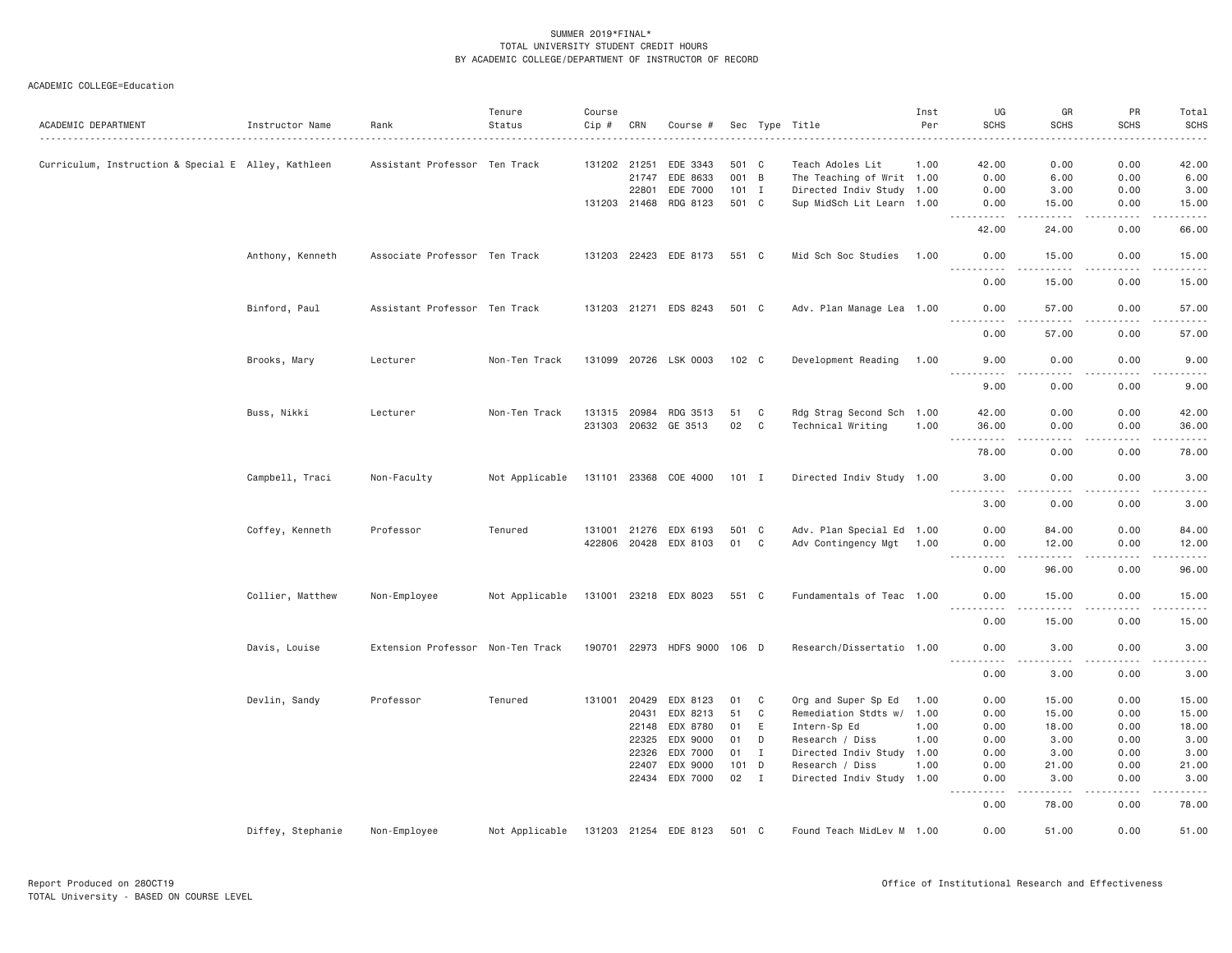| ACADEMIC DEPARTMENT                                 | Instructor Name   | Rank                              | Tenure<br>Status | Course<br>Cip # | CRN          | Course #              |         |                | Sec Type Title            | Inst<br>Per | UG<br><b>SCHS</b>                   | GR<br><b>SCHS</b>                                                                                                                                             | PR<br><b>SCHS</b>   | Total<br><b>SCHS</b>  |
|-----------------------------------------------------|-------------------|-----------------------------------|------------------|-----------------|--------------|-----------------------|---------|----------------|---------------------------|-------------|-------------------------------------|---------------------------------------------------------------------------------------------------------------------------------------------------------------|---------------------|-----------------------|
|                                                     |                   |                                   |                  |                 |              |                       |         |                |                           |             |                                     |                                                                                                                                                               |                     |                       |
| Curriculum, Instruction & Special E Alley, Kathleen |                   | Assistant Professor Ten Track     |                  | 131202 21251    |              | EDE 3343              | 501 C   |                | Teach Adoles Lit          | 1.00        | 42.00                               | 0.00                                                                                                                                                          | 0.00                | 42.00                 |
|                                                     |                   |                                   |                  |                 | 21747        | EDE 8633              | 001 B   |                | The Teaching of Writ 1.00 |             | 0.00                                | 6.00                                                                                                                                                          | 0.00                | 6.00                  |
|                                                     |                   |                                   |                  |                 | 22801        | EDE 7000              | $101$ I |                | Directed Indiv Study 1.00 |             | 0.00                                | 3.00                                                                                                                                                          | 0.00                | 3.00                  |
|                                                     |                   |                                   |                  |                 | 131203 21468 | RDG 8123              | 501 C   |                | Sup MidSch Lit Learn 1.00 |             | 0.00                                | 15.00                                                                                                                                                         | 0.00                | 15.00                 |
|                                                     |                   |                                   |                  |                 |              |                       |         |                |                           |             | .<br>42.00                          | .<br>24.00                                                                                                                                                    | .<br>0.00           | . <u>.</u> .<br>66.00 |
|                                                     | Anthony, Kenneth  | Associate Professor Ten Track     |                  |                 |              | 131203 22423 EDE 8173 | 551 C   |                | Mid Sch Soc Studies       | 1.00        | 0.00                                | 15.00                                                                                                                                                         | 0.00                | 15.00                 |
|                                                     |                   |                                   |                  |                 |              |                       |         |                |                           |             | .<br>0.00                           | -----<br>15.00                                                                                                                                                | .<br>0.00           | .<br>15.00            |
|                                                     | Binford, Paul     | Assistant Professor Ten Track     |                  |                 |              | 131203 21271 EDS 8243 | 501 C   |                | Adv. Plan Manage Lea 1.00 |             | 0.00                                | 57.00                                                                                                                                                         | 0.00                | 57.00                 |
|                                                     |                   |                                   |                  |                 |              |                       |         |                |                           |             | 0.00                                | 57.00                                                                                                                                                         | 0.00                | 57.00                 |
|                                                     | Brooks, Mary      | Lecturer                          | Non-Ten Track    |                 |              | 131099 20726 LSK 0003 | 102 C   |                | Development Reading       | 1.00        | 9.00<br>.                           | 0.00                                                                                                                                                          | 0.00                | 9.00<br>.             |
|                                                     |                   |                                   |                  |                 |              |                       |         |                |                           |             | 9.00                                | 0.00                                                                                                                                                          | 0.00                | 9.00                  |
|                                                     | Buss, Nikki       | Lecturer                          | Non-Ten Track    | 131315 20984    |              | RDG 3513              | 51      | C              | Rdg Strag Second Sch 1.00 |             | 42.00                               | 0.00                                                                                                                                                          | 0.00                | 42.00                 |
|                                                     |                   |                                   |                  |                 | 231303 20632 | GE 3513               | 02      | C              | Technical Writing         | 1.00        | 36.00                               | 0.00                                                                                                                                                          | 0.00                | 36.00                 |
|                                                     |                   |                                   |                  |                 |              |                       |         |                |                           |             | $- - - - -$                         | - - - -                                                                                                                                                       | .                   | $    -$               |
|                                                     |                   |                                   |                  |                 |              |                       |         |                |                           |             | 78.00                               | 0.00                                                                                                                                                          | 0.00                | 78.00                 |
|                                                     | Campbell, Traci   | Non-Faculty                       | Not Applicable   | 131101 23368    |              | COE 4000              | 101 I   |                | Directed Indiv Study 1.00 |             | 3.00<br>.                           | 0.00<br>.                                                                                                                                                     | 0.00<br>$- - - - -$ | 3.00<br>.             |
|                                                     |                   |                                   |                  |                 |              |                       |         |                |                           |             | 3.00                                | 0.00                                                                                                                                                          | 0.00                | 3.00                  |
|                                                     | Coffey, Kenneth   | Professor                         | Tenured          |                 | 131001 21276 | EDX 6193              | 501 C   |                | Adv. Plan Special Ed 1.00 |             | 0.00                                | 84.00                                                                                                                                                         | 0.00                | 84.00                 |
|                                                     |                   |                                   |                  |                 | 422806 20428 | EDX 8103              | 01      | C              | Adv Contingency Mgt 1.00  |             | 0.00                                | 12.00                                                                                                                                                         | 0.00                | 12.00                 |
|                                                     |                   |                                   |                  |                 |              |                       |         |                |                           |             | . <b>.</b><br>0.00                  | .<br>96.00                                                                                                                                                    | 22222<br>0.00       | .<br>96.00            |
|                                                     |                   |                                   |                  |                 |              |                       |         |                |                           |             |                                     |                                                                                                                                                               |                     |                       |
|                                                     | Collier, Matthew  | Non-Employee                      | Not Applicable   |                 |              | 131001 23218 EDX 8023 | 551 C   |                | Fundamentals of Teac 1.00 |             | 0.00                                | 15.00                                                                                                                                                         | 0.00                | 15.00                 |
|                                                     |                   |                                   |                  |                 |              |                       |         |                |                           |             | 0.00                                | 15.00                                                                                                                                                         | 0.00                | 15.00                 |
|                                                     | Davis, Louise     | Extension Professor Non-Ten Track |                  | 190701          | 22973        | <b>HDFS 9000</b>      | 106 D   |                | Research/Dissertatio 1.00 |             | 0.00                                | 3.00                                                                                                                                                          | 0.00                | 3.00                  |
|                                                     |                   |                                   |                  |                 |              |                       |         |                |                           |             | 0.00                                | 3.00                                                                                                                                                          | 0.00                | 3.00                  |
|                                                     | Devlin, Sandy     | Professor                         | Tenured          | 131001          | 20429        | EDX 8123              | 01      | C              | Org and Super Sp Ed       | 1.00        | 0.00                                | 15.00                                                                                                                                                         | 0.00                | 15.00                 |
|                                                     |                   |                                   |                  |                 | 20431        | EDX 8213              | 51      | C              | Remediation Stdts w/ 1.00 |             | 0.00                                | 15.00                                                                                                                                                         | 0.00                | 15.00                 |
|                                                     |                   |                                   |                  |                 | 22148        | EDX 8780              | 01      | E              | Intern-Sp Ed              | 1.00        | 0.00                                | 18.00                                                                                                                                                         | 0.00                | 18.00                 |
|                                                     |                   |                                   |                  |                 | 22325        | EDX 9000              | 01      | D              | Research / Diss           | 1.00        | 0.00                                | 3.00                                                                                                                                                          | 0.00                | 3.00                  |
|                                                     |                   |                                   |                  |                 | 22326        | EDX 7000              | 01      | $\mathbf I$    | Directed Indiv Study      | 1.00        | 0.00                                | 3.00                                                                                                                                                          | 0.00                | 3.00                  |
|                                                     |                   |                                   |                  |                 | 22407        | EDX 9000              | 101 D   |                | Research / Diss           | 1.00        | 0.00                                | 21.00                                                                                                                                                         | 0.00                | 21.00                 |
|                                                     |                   |                                   |                  |                 | 22434        | EDX 7000              | 02      | $\blacksquare$ | Directed Indiv Study 1.00 |             | 0.00                                | 3.00                                                                                                                                                          | 0.00                | 3.00                  |
|                                                     |                   |                                   |                  |                 |              |                       |         |                |                           |             | $\sim$ $\sim$ $\sim$ $\sim$<br>0.00 | $\frac{1}{2} \left( \frac{1}{2} \right) \left( \frac{1}{2} \right) \left( \frac{1}{2} \right) \left( \frac{1}{2} \right) \left( \frac{1}{2} \right)$<br>78.00 | .<br>0.00           | $   -$<br>78.00       |
|                                                     | Diffey, Stephanie | Non-Employee                      | Not Applicable   |                 |              | 131203 21254 EDE 8123 | 501 C   |                | Found Teach MidLev M 1.00 |             | 0.00                                | 51.00                                                                                                                                                         | 0.00                | 51.00                 |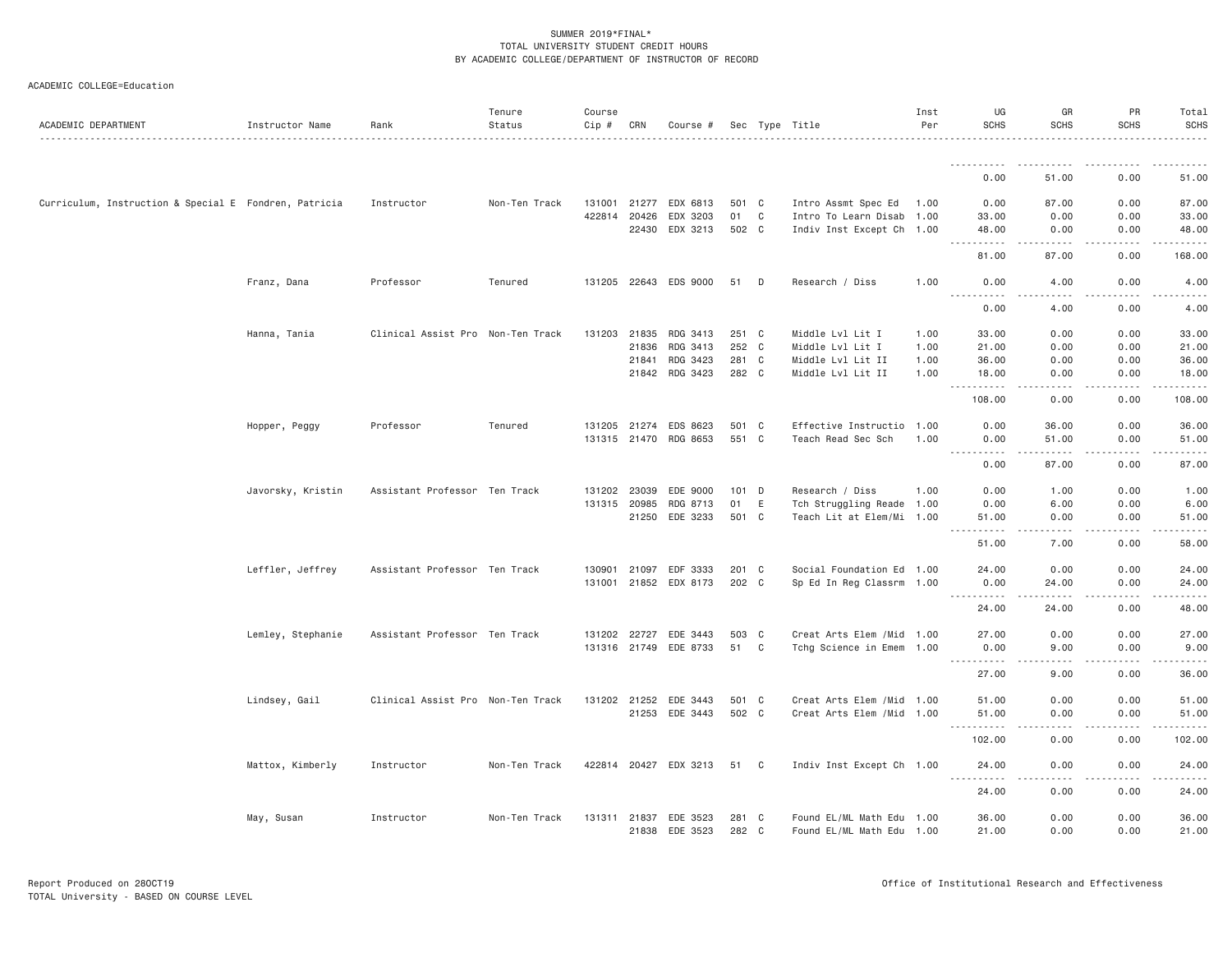| ACADEMIC DEPARTMENT                                   | Instructor Name   | Rank                              | Tenure<br>Status | Course<br>Cip # | CRN          | Course #              |         |             | Sec Type Title             | Inst<br>Per | UG<br><b>SCHS</b>                 | GR<br><b>SCHS</b>     | PR<br><b>SCHS</b> | Total<br><b>SCHS</b> |
|-------------------------------------------------------|-------------------|-----------------------------------|------------------|-----------------|--------------|-----------------------|---------|-------------|----------------------------|-------------|-----------------------------------|-----------------------|-------------------|----------------------|
|                                                       |                   |                                   |                  |                 |              |                       |         |             |                            |             |                                   |                       |                   |                      |
|                                                       |                   |                                   |                  |                 |              |                       |         |             |                            |             | 0.00                              | 51.00                 | 0.00              | 51.00                |
| Curriculum, Instruction & Special E Fondren, Patricia |                   | Instructor                        | Non-Ten Track    | 131001          | 21277        | EDX 6813              | 501 C   |             | Intro Assmt Spec Ed 1.00   |             | 0.00                              | 87.00                 | 0.00              | 87.00                |
|                                                       |                   |                                   |                  | 422814          | 20426        | EDX 3203              | 01      | $\mathbb C$ | Intro To Learn Disab 1.00  |             | 33.00                             | 0.00                  | 0.00              | 33.00                |
|                                                       |                   |                                   |                  |                 |              | 22430 EDX 3213        | 502 C   |             | Indiv Inst Except Ch 1.00  |             | 48.00<br>.                        | 0.00<br>.             | 0.00<br>-----     | 48.00<br>.           |
|                                                       |                   |                                   |                  |                 |              |                       |         |             |                            |             | 81.00                             | 87.00                 | 0.00              | 168.00               |
|                                                       | Franz, Dana       | Professor                         | Tenured          |                 |              | 131205 22643 EDS 9000 | 51      | D           | Research / Diss            | 1.00        | 0.00<br><u>.</u>                  | 4.00<br>$\frac{1}{2}$ | 0.00<br>.         | 4.00<br>$- - - - -$  |
|                                                       |                   |                                   |                  |                 |              |                       |         |             |                            |             | 0.00                              | 4.00                  | 0.00              | 4.00                 |
|                                                       | Hanna, Tania      | Clinical Assist Pro Non-Ten Track |                  | 131203          | 21835        | RDG 3413              | 251 C   |             | Middle Lvl Lit I           | 1.00        | 33.00                             | 0.00                  | 0.00              | 33.00                |
|                                                       |                   |                                   |                  |                 | 21836        | RDG 3413              | 252 C   |             | Middle Lvl Lit I           | 1.00        | 21.00                             | 0.00                  | 0.00              | 21.00                |
|                                                       |                   |                                   |                  |                 | 21841        | RDG 3423              | 281 C   |             | Middle Lvl Lit II          | 1.00        | 36.00                             | 0.00                  | 0.00              | 36.00                |
|                                                       |                   |                                   |                  |                 |              | 21842 RDG 3423        | 282 C   |             | Middle Lvl Lit II          | 1.00        | 18.00<br>.                        | 0.00<br>د د د د       | 0.00<br>.         | 18.00<br>.           |
|                                                       |                   |                                   |                  |                 |              |                       |         |             |                            |             | 108.00                            | 0.00                  | 0.00              | 108.00               |
|                                                       | Hopper, Peggy     | Professor                         | Tenured          |                 | 131205 21274 | EDS 8623              | 501 C   |             | Effective Instructio 1.00  |             | 0.00                              | 36.00                 | 0.00              | 36.00                |
|                                                       |                   |                                   |                  |                 |              | 131315 21470 RDG 8653 | 551 C   |             | Teach Read Sec Sch         | 1.00        | 0.00                              | 51.00                 | 0.00              | 51.00                |
|                                                       |                   |                                   |                  |                 |              |                       |         |             |                            |             | $\sim$ $\sim$ $\sim$<br>.<br>0.00 | .<br>87.00            | .<br>0.00         | .<br>87.00           |
|                                                       | Javorsky, Kristin | Assistant Professor Ten Track     |                  |                 | 131202 23039 | EDE 9000              | $101$ D |             | Research / Diss            | 1.00        | 0.00                              | 1.00                  | 0.00              | 1.00                 |
|                                                       |                   |                                   |                  | 131315          | 20985        | RDG 8713              | 01      | E           | Tch Struggling Reade 1.00  |             | 0.00                              | 6.00                  | 0.00              | 6.00                 |
|                                                       |                   |                                   |                  |                 | 21250        | EDE 3233              | 501 C   |             | Teach Lit at Elem/Mi 1.00  |             | 51.00<br>.<br>$\frac{1}{2}$       | 0.00<br>.             | 0.00<br>.         | 51.00<br>.           |
|                                                       |                   |                                   |                  |                 |              |                       |         |             |                            |             | 51.00                             | 7.00                  | 0.00              | 58.00                |
|                                                       | Leffler, Jeffrey  | Assistant Professor Ten Track     |                  | 130901          |              | 21097 EDF 3333        | 201 C   |             | Social Foundation Ed 1.00  |             | 24.00                             | 0.00                  | 0.00              | 24.00                |
|                                                       |                   |                                   |                  |                 |              | 131001 21852 EDX 8173 | 202 C   |             | Sp Ed In Reg Classrm 1.00  |             | 0.00                              | 24.00                 | 0.00              | 24.00                |
|                                                       |                   |                                   |                  |                 |              |                       |         |             |                            |             | <b></b><br>24.00                  | .<br>24.00            | -----<br>0.00     | .<br>48.00           |
|                                                       | Lemley, Stephanie | Assistant Professor Ten Track     |                  |                 | 131202 22727 | EDE 3443              | 503 C   |             | Creat Arts Elem / Mid 1.00 |             | 27.00                             | 0.00                  | 0.00              | 27.00                |
|                                                       |                   |                                   |                  |                 |              | 131316 21749 EDE 8733 | 51 C    |             | Tchg Science in Emem 1.00  |             | 0.00<br>.                         | 9.00<br>.             | 0.00<br>-----     | 9.00<br>.            |
|                                                       |                   |                                   |                  |                 |              |                       |         |             |                            |             | 27.00                             | 9.00                  | 0.00              | 36.00                |
|                                                       | Lindsey, Gail     | Clinical Assist Pro Non-Ten Track |                  |                 | 131202 21252 | EDE 3443              | 501 C   |             | Creat Arts Elem / Mid 1.00 |             | 51.00                             | 0.00                  | 0.00              | 51.00                |
|                                                       |                   |                                   |                  |                 |              | 21253 EDE 3443        | 502 C   |             | Creat Arts Elem / Mid 1.00 |             | 51.00                             | 0.00                  | 0.00              | 51.00                |
|                                                       |                   |                                   |                  |                 |              |                       |         |             |                            |             | <u> - - - - - - - - - -</u>       | .                     | .                 | .                    |
|                                                       |                   |                                   |                  |                 |              |                       |         |             |                            |             | 102.00                            | 0.00                  | 0.00              | 102.00               |
|                                                       | Mattox, Kimberly  | Instructor                        | Non-Ten Track    |                 |              | 422814 20427 EDX 3213 | 51 C    |             | Indiv Inst Except Ch 1.00  |             | 24.00<br>.                        | 0.00<br>$  -$         | 0.00<br>-----     | 24.00<br>.           |
|                                                       |                   |                                   |                  |                 |              |                       |         |             |                            |             | 24.00                             | 0.00                  | 0.00              | 24.00                |
|                                                       | May, Susan        | Instructor                        | Non-Ten Track    | 131311 21837    |              | EDE 3523              | 281 C   |             | Found EL/ML Math Edu 1.00  |             | 36.00                             | 0.00                  | 0.00              | 36.00                |
|                                                       |                   |                                   |                  |                 | 21838        | EDE 3523              | 282 C   |             | Found EL/ML Math Edu 1.00  |             | 21.00                             | 0.00                  | 0.00              | 21.00                |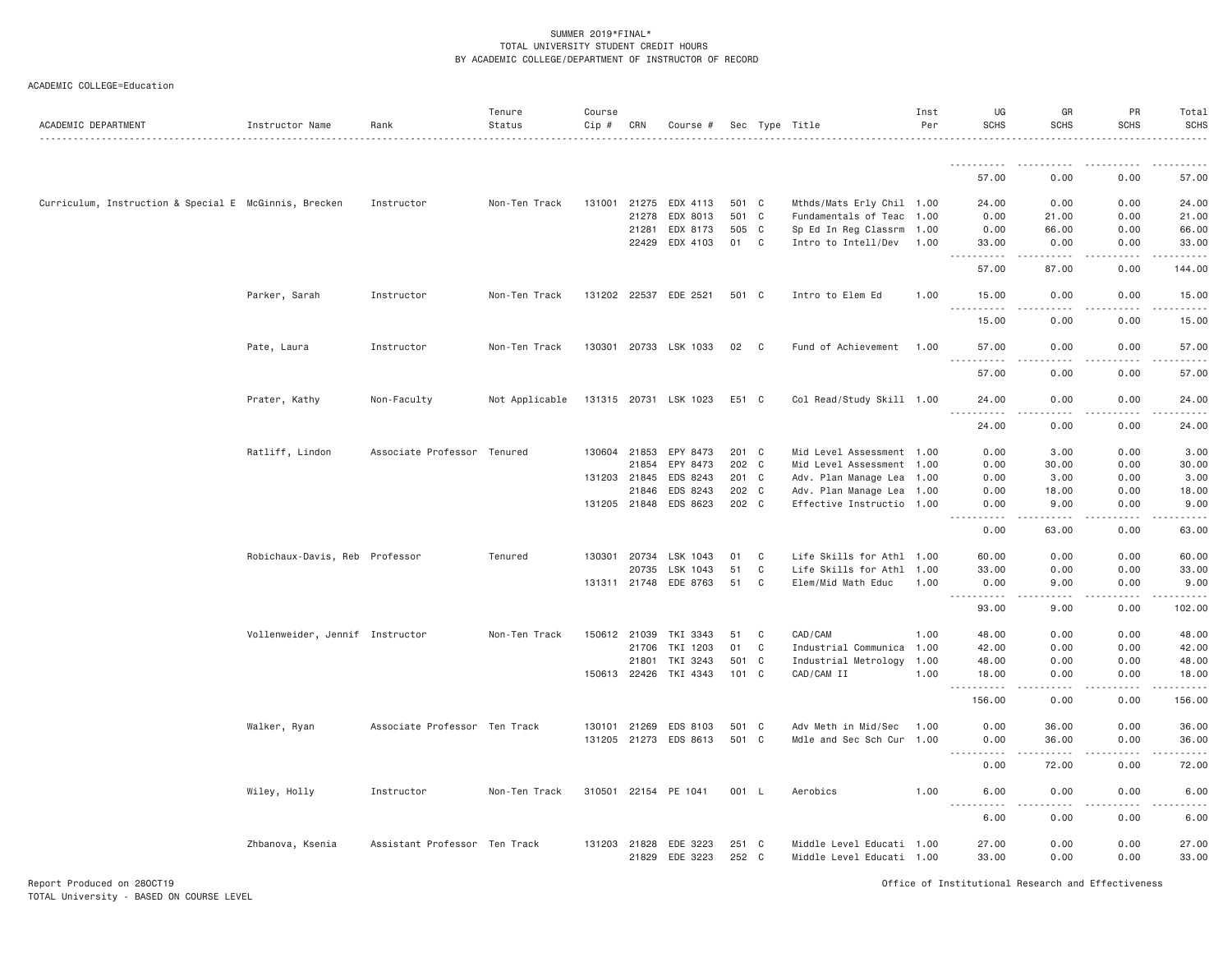| ACADEMIC DEPARTMENT                                   | Instructor Name                 | Rank                          | Tenure<br>Status | Course<br>Cip # | CRN   | Course #                   |                |              | Sec Type Title                                         | Inst<br>Per | UG<br><b>SCHS</b>          | GR<br>SCHS           | PR<br><b>SCHS</b> | Total<br><b>SCHS</b> |
|-------------------------------------------------------|---------------------------------|-------------------------------|------------------|-----------------|-------|----------------------------|----------------|--------------|--------------------------------------------------------|-------------|----------------------------|----------------------|-------------------|----------------------|
|                                                       |                                 |                               |                  |                 |       |                            |                |              |                                                        |             |                            |                      |                   |                      |
|                                                       |                                 |                               |                  |                 |       |                            |                |              |                                                        |             | 57.00                      | 0.00                 | 0.00              | 57.00                |
| Curriculum, Instruction & Special E McGinnis, Brecken |                                 | Instructor                    | Non-Ten Track    |                 |       | 131001 21275 EDX 4113      | 501 C          |              | Mthds/Mats Erly Chil 1.00                              |             | 24.00                      | 0.00                 | 0.00              | 24.00                |
|                                                       |                                 |                               |                  |                 | 21278 | EDX 8013                   | 501 C          |              | Fundamentals of Teac 1.00                              |             | 0.00                       | 21.00                | 0.00              | 21.00                |
|                                                       |                                 |                               |                  |                 | 21281 | EDX 8173                   | 505 C          |              | Sp Ed In Reg Classrm 1.00                              |             | 0.00                       | 66.00                | 0.00              | 66.00                |
|                                                       |                                 |                               |                  |                 | 22429 | EDX 4103                   | 01             | C            | Intro to Intell/Dev                                    | 1.00        | 33.00<br>.                 | 0.00                 | 0.00              | 33.00                |
|                                                       |                                 |                               |                  |                 |       |                            |                |              |                                                        |             | 57.00                      | 87.00                | 0.00              | 144.00               |
|                                                       | Parker, Sarah                   | Instructor                    | Non-Ten Track    |                 |       | 131202 22537 EDE 2521      | 501 C          |              | Intro to Elem Ed                                       | 1.00        | 15.00<br>.                 | 0.00                 | 0.00              | 15.00                |
|                                                       |                                 |                               |                  |                 |       |                            |                |              |                                                        |             | 15.00                      | 0.00                 | 0.00              | 15.00                |
|                                                       | Pate, Laura                     | Instructor                    | Non-Ten Track    |                 |       | 130301 20733 LSK 1033      | 02             | C            | Fund of Achievement                                    | 1.00        | 57.00<br><u>.</u>          | 0.00                 | 0.00              | 57.00                |
|                                                       |                                 |                               |                  |                 |       |                            |                |              |                                                        |             | 57.00                      | 0.00                 | 0.00              | 57.00                |
|                                                       | Prater, Kathy                   | Non-Faculty                   | Not Applicable   |                 |       | 131315 20731 LSK 1023      | E51 C          |              | Col Read/Study Skill 1.00                              |             | 24.00                      | 0.00                 | 0.00              | 24.00                |
|                                                       |                                 |                               |                  |                 |       |                            |                |              |                                                        |             | <u>.</u><br>24.00          | . <u>. .</u><br>0.00 | .<br>0.00         | .<br>24.00           |
|                                                       | Ratliff, Lindon                 | Associate Professor Tenured   |                  | 130604 21853    |       | EPY 8473                   | 201 C          |              | Mid Level Assessment 1.00                              |             | 0.00                       | 3.00                 | 0.00              | 3.00                 |
|                                                       |                                 |                               |                  |                 | 21854 | EPY 8473                   | 202 C          |              | Mid Level Assessment 1.00                              |             | 0.00                       | 30.00                | 0.00              | 30.00                |
|                                                       |                                 |                               |                  | 131203 21845    |       | EDS 8243                   | 201 C          |              | Adv. Plan Manage Lea                                   | 1.00        | 0.00                       | 3.00                 | 0.00              | 3.00                 |
|                                                       |                                 |                               |                  |                 | 21846 | EDS 8243                   | 202 C          |              | Adv. Plan Manage Lea 1.00                              |             | 0.00                       | 18.00                | 0.00              | 18.00                |
|                                                       |                                 |                               |                  |                 |       | 131205 21848 EDS 8623      | 202 C          |              | Effective Instructio 1.00                              |             | 0.00<br>$- - - -$<br>----- | 9.00<br><u>.</u>     | 0.00<br>-----     | 9.00<br>.            |
|                                                       |                                 |                               |                  |                 |       |                            |                |              |                                                        |             | 0.00                       | 63.00                | 0.00              | 63.00                |
|                                                       | Robichaux-Davis, Reb Professor  |                               | Tenured          | 130301 20734    |       | LSK 1043                   | 01             | C            | Life Skills for Athl 1.00                              |             | 60.00                      | 0.00                 | 0.00              | 60.00                |
|                                                       |                                 |                               |                  |                 | 20735 | LSK 1043                   | 51             | $\mathbf{C}$ | Life Skills for Athl 1.00                              |             | 33.00                      | 0.00                 | 0.00              | 33.00                |
|                                                       |                                 |                               |                  |                 |       | 131311 21748 EDE 8763      | 51             | C            | Elem/Mid Math Educ                                     | 1.00        | 0.00<br>.                  | 9.00<br>.            | 0.00<br>.         | 9.00<br>.            |
|                                                       |                                 |                               |                  |                 |       |                            |                |              |                                                        |             | 93.00                      | 9.00                 | 0.00              | 102.00               |
|                                                       | Vollenweider, Jennif Instructor |                               | Non-Ten Track    | 150612 21039    |       | TKI 3343                   | 51             | C            | CAD/CAM                                                | 1.00        | 48.00                      | 0.00                 | 0.00              | 48.00                |
|                                                       |                                 |                               |                  |                 |       | 21706 TKI 1203             | 01             | C            | Industrial Communica 1.00                              |             | 42.00                      | 0.00                 | 0.00              | 42.00                |
|                                                       |                                 |                               |                  |                 | 21801 | TKI 3243                   | 501            | $\mathbf{C}$ | Industrial Metrology                                   | 1.00        | 48.00                      | 0.00                 | 0.00              | 48.00                |
|                                                       |                                 |                               |                  |                 |       | 150613 22426 TKI 4343      | 101            | $\mathbf{C}$ | CAD/CAM II                                             | 1.00        | 18.00<br>- - - - -         | 0.00                 | 0.00              | 18.00                |
|                                                       |                                 |                               |                  |                 |       |                            |                |              |                                                        |             | 156.00                     | 0.00                 | 0.00              | 156.00               |
|                                                       | Walker, Ryan                    | Associate Professor Ten Track |                  | 130101 21269    |       | EDS 8103                   | 501 C          |              | Adv Meth in Mid/Sec                                    | 1.00        | 0.00                       | 36.00                | 0.00              | 36.00                |
|                                                       |                                 |                               |                  |                 |       | 131205 21273 EDS 8613      | 501 C          |              | Mdle and Sec Sch Cur 1.00                              |             | 0.00                       | 36.00                | 0.00              | 36.00                |
|                                                       |                                 |                               |                  |                 |       |                            |                |              |                                                        |             | <u>.</u><br>0.00           | $- - - - -$<br>72.00 | .<br>0.00         | .<br>72.00           |
|                                                       | Wiley, Holly                    | Instructor                    | Non-Ten Track    |                 |       | 310501 22154 PE 1041       | 001 L          |              | Aerobics                                               | 1.00        | 6.00                       | 0.00                 | 0.00              | 6.00                 |
|                                                       |                                 |                               |                  |                 |       |                            |                |              |                                                        |             | .<br>6.00                  | .<br>0.00            | -----<br>0.00     | .<br>6.00            |
|                                                       | Zhbanova, Ksenia                | Assistant Professor Ten Track |                  | 131203 21828    |       | EDE 3223<br>21829 EDE 3223 | 251 C<br>252 C |              | Middle Level Educati 1.00<br>Middle Level Educati 1.00 |             | 27.00<br>33.00             | 0.00<br>0.00         | 0.00<br>0.00      | 27.00<br>33.00       |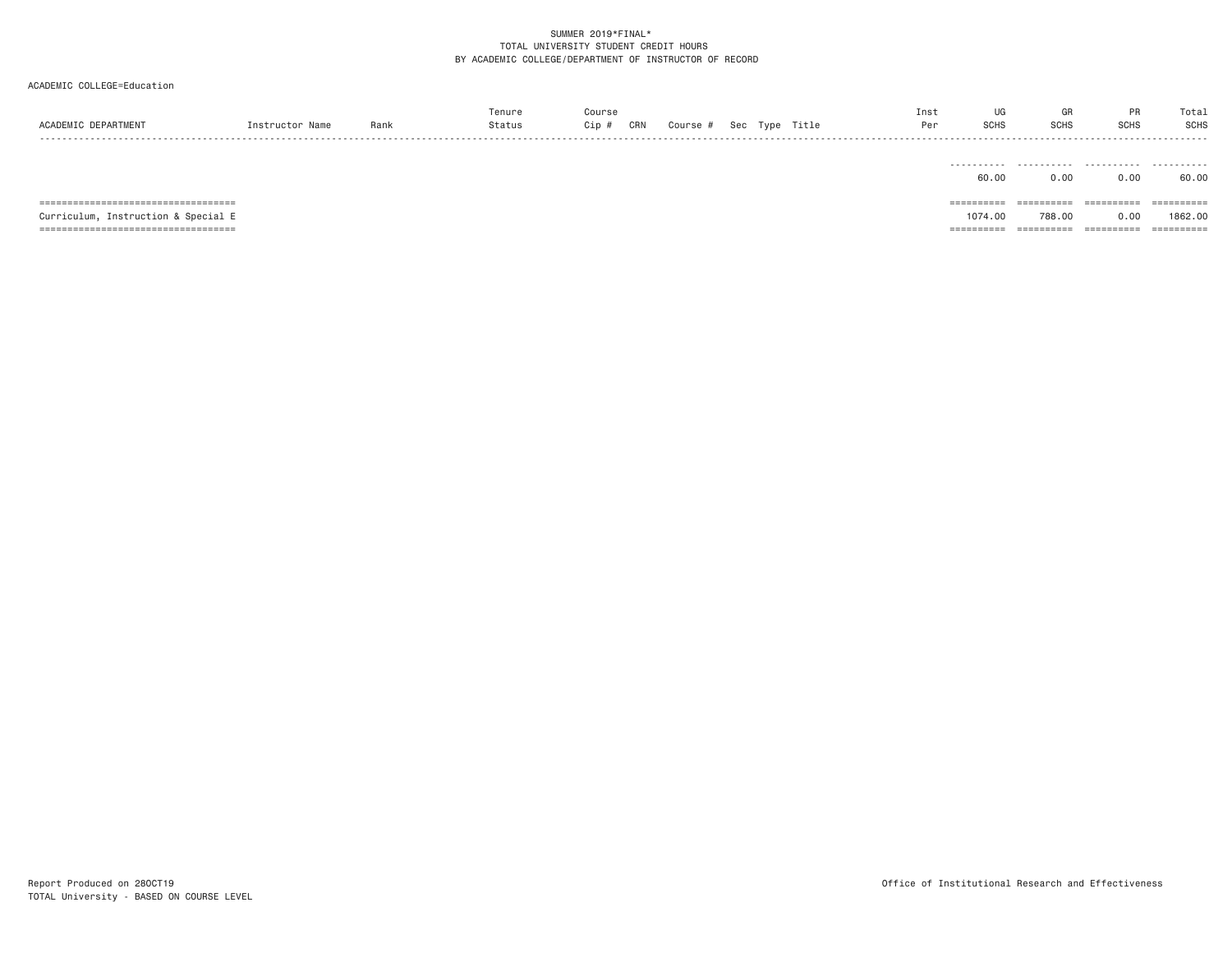ACADEMIC COLLEGE=Education

| ACADEMIC DEPARTMENT                    | Instructor Name | Rank | Tenure<br>Status | Course<br>Cip #<br>CRN | Course # Sec Type Title |  | Inst<br>Per | UG<br><b>SCHS</b> | GR<br><b>SCHS</b> | <b>PR</b><br><b>SCHS</b> | Total<br><b>SCHS</b> |
|----------------------------------------|-----------------|------|------------------|------------------------|-------------------------|--|-------------|-------------------|-------------------|--------------------------|----------------------|
|                                        |                 |      |                  |                        |                         |  |             | 60.00             | 0.00              | 0.00                     | 60.00                |
| ====================================   |                 |      |                  |                        |                         |  |             | ==========        | ==========        | $=$ = = = = = = = = =    |                      |
| Instruction & Special E<br>Curriculum, |                 |      |                  |                        |                         |  |             | 1074.00           | 788.00            | 0.00                     | 1862,00              |

=================================== ========== ========== ========== ==========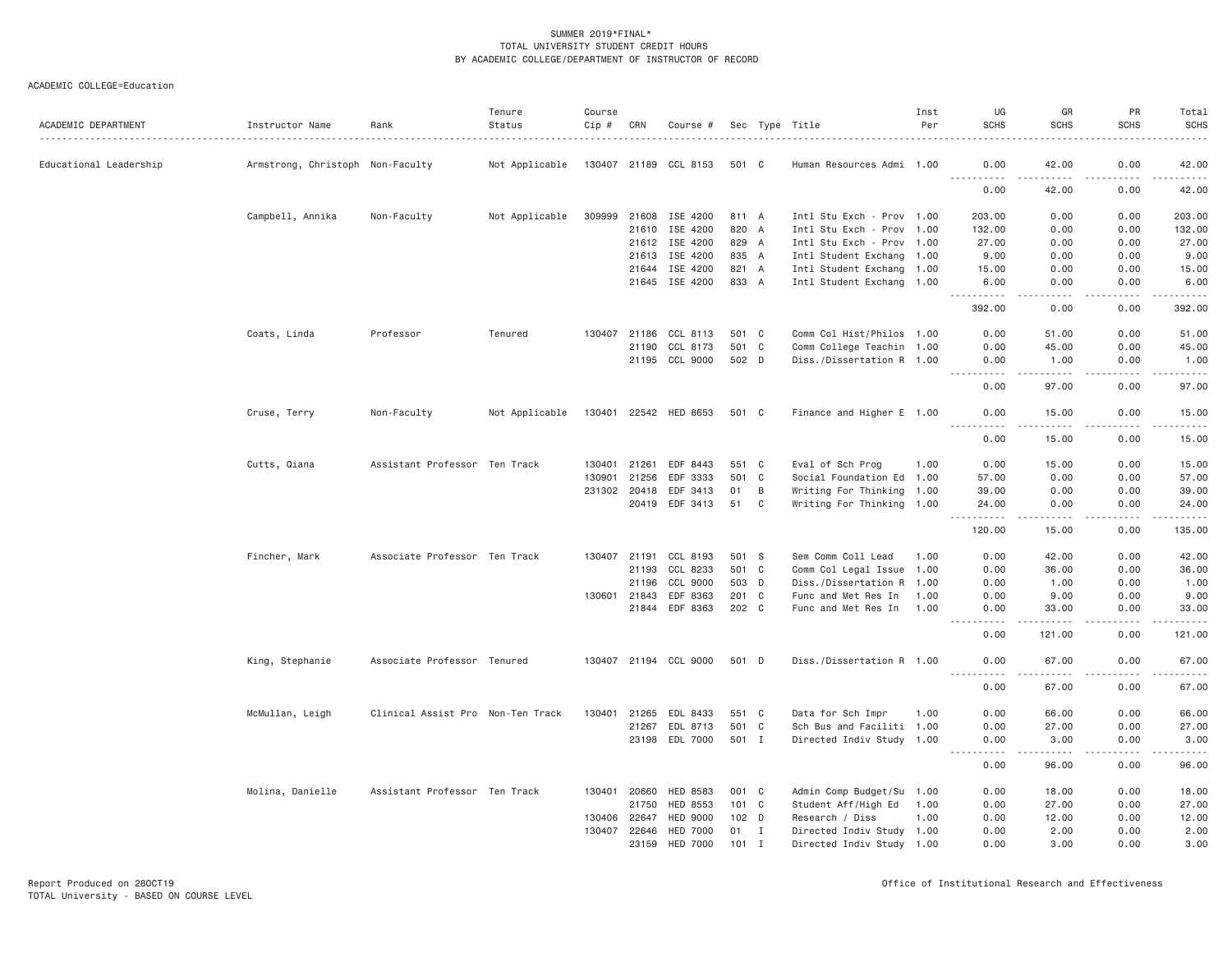| ACADEMIC DEPARTMENT    | Instructor Name                  | Rank                              | Tenure<br>Status | Course<br>Cip # | CRN          | Course #              |       |              | Sec Type Title            | Inst<br>Per | UG<br><b>SCHS</b>                                                                                                                                            | GR<br><b>SCHS</b>                                                                                                                                            | PR<br><b>SCHS</b>  | Total<br><b>SCHS</b> |
|------------------------|----------------------------------|-----------------------------------|------------------|-----------------|--------------|-----------------------|-------|--------------|---------------------------|-------------|--------------------------------------------------------------------------------------------------------------------------------------------------------------|--------------------------------------------------------------------------------------------------------------------------------------------------------------|--------------------|----------------------|
| Educational Leadership | Armstrong, Christoph Non-Faculty |                                   | Not Applicable   |                 |              | 130407 21189 CCL 8153 | 501 C |              | Human Resources Admi 1.00 |             | 0.00                                                                                                                                                         | 42.00                                                                                                                                                        | 0.00               | 42.00                |
|                        |                                  |                                   |                  |                 |              |                       |       |              |                           |             | .<br>0.00                                                                                                                                                    | .<br>42.00                                                                                                                                                   | . <b>.</b><br>0.00 | <u>.</u><br>42.00    |
|                        | Campbell, Annika                 | Non-Faculty                       | Not Applicable   |                 |              | 309999 21608 ISE 4200 | 811 A |              | Intl Stu Exch - Prov 1.00 |             | 203.00                                                                                                                                                       | 0.00                                                                                                                                                         | 0.00               | 203.00               |
|                        |                                  |                                   |                  |                 | 21610        | ISE 4200              | 820 A |              | Intl Stu Exch - Prov 1.00 |             | 132.00                                                                                                                                                       | 0.00                                                                                                                                                         | 0.00               | 132.00               |
|                        |                                  |                                   |                  |                 |              | 21612 ISE 4200        | 829 A |              | Intl Stu Exch - Prov 1.00 |             | 27.00                                                                                                                                                        | 0.00                                                                                                                                                         | 0.00               | 27.00                |
|                        |                                  |                                   |                  |                 | 21613        | ISE 4200              | 835 A |              | Intl Student Exchang 1.00 |             | 9.00                                                                                                                                                         | 0.00                                                                                                                                                         | 0.00               | 9.00                 |
|                        |                                  |                                   |                  |                 | 21644        | ISE 4200              | 821 A |              | Intl Student Exchang 1.00 |             | 15.00                                                                                                                                                        | 0.00                                                                                                                                                         | 0.00               | 15.00                |
|                        |                                  |                                   |                  |                 |              | 21645 ISE 4200        | 833 A |              | Intl Student Exchang 1.00 |             | 6.00<br>.                                                                                                                                                    | 0.00<br>.                                                                                                                                                    | 0.00<br>.          | 6.00<br>.            |
|                        |                                  |                                   |                  |                 |              |                       |       |              |                           |             | 392.00                                                                                                                                                       | 0.00                                                                                                                                                         | 0.00               | 392.00               |
|                        | Coats, Linda                     | Professor                         | Tenured          |                 |              | 130407 21186 CCL 8113 | 501 C |              | Comm Col Hist/Philos 1.00 |             | 0.00                                                                                                                                                         | 51.00                                                                                                                                                        | 0.00               | 51.00                |
|                        |                                  |                                   |                  |                 | 21190        | CCL 8173              | 501 C |              | Comm College Teachin 1.00 |             | 0.00                                                                                                                                                         | 45.00                                                                                                                                                        | 0.00               | 45.00                |
|                        |                                  |                                   |                  |                 | 21195        | CCL 9000              | 502 D |              | Diss./Dissertation R 1.00 |             | 0.00<br><u>.</u>                                                                                                                                             | 1.00                                                                                                                                                         | 0.00               | 1.00<br>.            |
|                        |                                  |                                   |                  |                 |              |                       |       |              |                           |             | 0.00                                                                                                                                                         | 97.00                                                                                                                                                        | 0.00               | 97.00                |
|                        | Cruse, Terry                     | Non-Faculty                       | Not Applicable   |                 |              | 130401 22542 HED 8653 | 501 C |              | Finance and Higher E 1.00 |             | 0.00<br>$\frac{1}{2} \left( \frac{1}{2} \right) \left( \frac{1}{2} \right) \left( \frac{1}{2} \right) \left( \frac{1}{2} \right) \left( \frac{1}{2} \right)$ | 15.00                                                                                                                                                        | 0.00               | 15.00<br>.           |
|                        |                                  |                                   |                  |                 |              |                       |       |              |                           |             | 0.00                                                                                                                                                         | 15.00                                                                                                                                                        | 0.00               | 15.00                |
|                        | Cutts, Qiana                     | Assistant Professor Ten Track     |                  | 130401          | 21261        | EDF 8443              | 551 C |              | Eval of Sch Prog          | 1.00        | 0.00                                                                                                                                                         | 15.00                                                                                                                                                        | 0.00               | 15.00                |
|                        |                                  |                                   |                  | 130901          | 21256        | EDF 3333              | 501   | $\mathbf{C}$ | Social Foundation Ed 1.00 |             | 57.00                                                                                                                                                        | 0.00                                                                                                                                                         | 0.00               | 57.00                |
|                        |                                  |                                   |                  |                 | 231302 20418 | EDF 3413              | 01    | B            | Writing For Thinking 1.00 |             | 39.00                                                                                                                                                        | 0.00                                                                                                                                                         | 0.00               | 39.00                |
|                        |                                  |                                   |                  |                 |              | 20419 EDF 3413        | 51    | $\mathbf{C}$ | Writing For Thinking 1.00 |             | 24.00<br>$ -$<br>.                                                                                                                                           | 0.00<br>$\frac{1}{2} \left( \frac{1}{2} \right) \left( \frac{1}{2} \right) \left( \frac{1}{2} \right) \left( \frac{1}{2} \right) \left( \frac{1}{2} \right)$ | 0.00<br>.          | 24.00<br>.           |
|                        |                                  |                                   |                  |                 |              |                       |       |              |                           |             | 120.00                                                                                                                                                       | 15.00                                                                                                                                                        | 0.00               | 135.00               |
|                        | Fincher, Mark                    | Associate Professor Ten Track     |                  |                 |              | 130407 21191 CCL 8193 | 501 S |              | Sem Comm Coll Lead        | 1.00        | 0.00                                                                                                                                                         | 42.00                                                                                                                                                        | 0.00               | 42.00                |
|                        |                                  |                                   |                  |                 | 21193        | CCL 8233              | 501 C |              | Comm Col Legal Issue 1.00 |             | 0.00                                                                                                                                                         | 36.00                                                                                                                                                        | 0.00               | 36.00                |
|                        |                                  |                                   |                  |                 | 21196        | CCL 9000              | 503 D |              | Diss./Dissertation R 1.00 |             | 0.00                                                                                                                                                         | 1.00                                                                                                                                                         | 0.00               | 1.00                 |
|                        |                                  |                                   |                  |                 | 130601 21843 | EDF 8363              | 201 C |              | Func and Met Res In       | 1.00        | 0.00                                                                                                                                                         | 9.00                                                                                                                                                         | 0.00               | 9.00                 |
|                        |                                  |                                   |                  |                 |              | 21844 EDF 8363        | 202 C |              | Func and Met Res In       | 1.00        | 0.00<br>.                                                                                                                                                    | 33.00<br>$- - - - -$                                                                                                                                         | 0.00<br>.          | 33.00<br>.           |
|                        |                                  |                                   |                  |                 |              |                       |       |              |                           |             | 0.00                                                                                                                                                         | 121.00                                                                                                                                                       | 0.00               | 121.00               |
|                        | King, Stephanie                  | Associate Professor Tenured       |                  |                 |              | 130407 21194 CCL 9000 | 501 D |              | Diss./Dissertation R 1.00 |             | 0.00<br><u>.</u>                                                                                                                                             | 67.00                                                                                                                                                        | 0.00               | 67.00<br>.           |
|                        |                                  |                                   |                  |                 |              |                       |       |              |                           |             | 0.00                                                                                                                                                         | 67.00                                                                                                                                                        | 0.00               | 67.00                |
|                        | McMullan, Leigh                  | Clinical Assist Pro Non-Ten Track |                  |                 |              | 130401 21265 EDL 8433 | 551 C |              | Data for Sch Impr         | 1.00        | 0.00                                                                                                                                                         | 66.00                                                                                                                                                        | 0.00               | 66.00                |
|                        |                                  |                                   |                  |                 | 21267        | EDL 8713              | 501 C |              | Sch Bus and Faciliti 1.00 |             | 0.00                                                                                                                                                         | 27.00                                                                                                                                                        | 0.00               | 27.00                |
|                        |                                  |                                   |                  |                 |              | 23198 EDL 7000        | 501 I |              | Directed Indiv Study 1.00 |             | 0.00<br>.                                                                                                                                                    | 3.00                                                                                                                                                         | 0.00               | 3.00<br>.            |
|                        |                                  |                                   |                  |                 |              |                       |       |              |                           |             | 0.00                                                                                                                                                         | 96.00                                                                                                                                                        | 0.00               | 96.00                |
|                        | Molina, Danielle                 | Assistant Professor Ten Track     |                  |                 | 130401 20660 | HED 8583              | 001 C |              | Admin Comp Budget/Su 1.00 |             | 0.00                                                                                                                                                         | 18.00                                                                                                                                                        | 0.00               | 18.00                |
|                        |                                  |                                   |                  |                 | 21750        | HED 8553              | 101 C |              | Student Aff/High Ed       | 1.00        | 0.00                                                                                                                                                         | 27.00                                                                                                                                                        | 0.00               | 27.00                |
|                        |                                  |                                   |                  |                 | 130406 22647 | HED 9000              | 102 D |              | Research / Diss           | 1.00        | 0.00                                                                                                                                                         | 12.00                                                                                                                                                        | 0.00               | 12.00                |
|                        |                                  |                                   |                  |                 | 130407 22646 | <b>HED 7000</b>       | 01    | I            | Directed Indiv Study 1.00 |             | 0.00                                                                                                                                                         | 2.00                                                                                                                                                         | 0.00               | 2.00                 |
|                        |                                  |                                   |                  |                 | 23159        | <b>HED 7000</b>       | 101   | I            | Directed Indiv Study 1.00 |             | 0.00                                                                                                                                                         | 3.00                                                                                                                                                         | 0.00               | 3.00                 |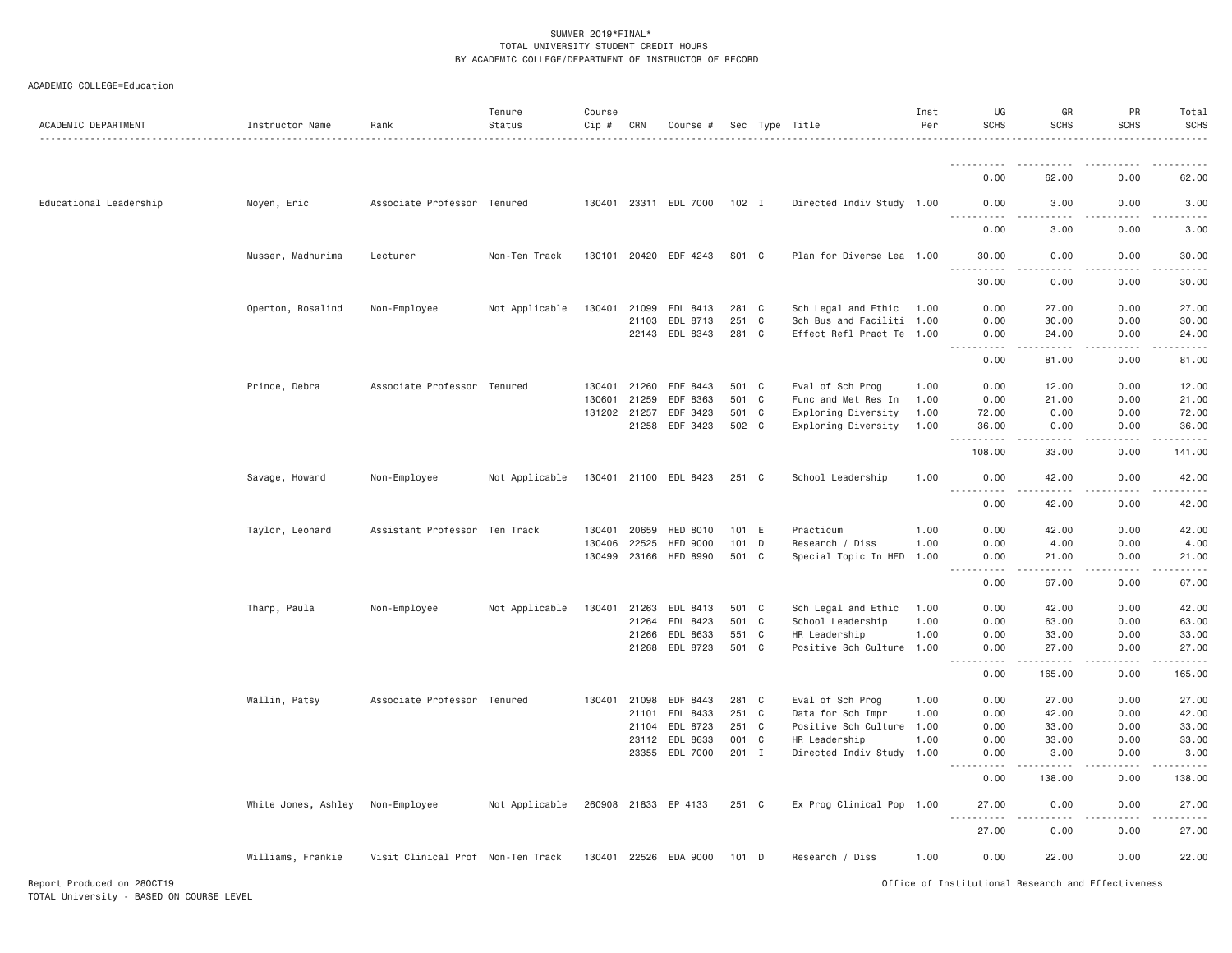| ACADEMIC DEPARTMENT    | Instructor Name     | Rank                              | Tenure<br>Status | Course<br>Cip # | CRN          | Course #                   |                |              | Sec Type Title                             | Inst<br>Per | UG<br><b>SCHS</b>                                                                                                                      | GR<br><b>SCHS</b> | PR<br><b>SCHS</b> | Total<br>SCHS |
|------------------------|---------------------|-----------------------------------|------------------|-----------------|--------------|----------------------------|----------------|--------------|--------------------------------------------|-------------|----------------------------------------------------------------------------------------------------------------------------------------|-------------------|-------------------|---------------|
|                        |                     |                                   |                  |                 |              |                            |                |              |                                            |             |                                                                                                                                        |                   |                   |               |
|                        |                     |                                   |                  |                 |              |                            |                |              |                                            |             | 0.00                                                                                                                                   | 62.00             | 0.00              | 62.00         |
| Educational Leadership | Moyen, Eric         | Associate Professor Tenured       |                  |                 |              | 130401 23311 EDL 7000      | $102$ I        |              | Directed Indiv Study 1.00                  |             | 0.00<br>.                                                                                                                              | 3.00              | 0.00              | 3.00          |
|                        |                     |                                   |                  |                 |              |                            |                |              |                                            |             | 0.00                                                                                                                                   | 3.00              | 0.00              | 3,00          |
|                        | Musser, Madhurima   | Lecturer                          | Non-Ten Track    |                 |              | 130101 20420 EDF 4243      | S01 C          |              | Plan for Diverse Lea 1.00                  |             | 30.00<br>.                                                                                                                             | 0.00              | 0.00              | 30.00         |
|                        |                     |                                   |                  |                 |              |                            |                |              |                                            |             | 30.00                                                                                                                                  | 0.00              | 0.00              | 30.00         |
|                        | Operton, Rosalind   | Non-Employee                      | Not Applicable   | 130401          | 21099        | EDL 8413                   | 281 C          |              | Sch Legal and Ethic                        | 1.00        | 0.00                                                                                                                                   | 27.00             | 0.00              | 27.00         |
|                        |                     |                                   |                  |                 | 21103        | EDL 8713                   | 251 C          |              | Sch Bus and Faciliti 1.00                  |             | 0.00                                                                                                                                   | 30.00             | 0.00              | 30.00         |
|                        |                     |                                   |                  |                 |              | 22143 EDL 8343             | 281 C          |              | Effect Refl Pract Te 1.00                  |             | 0.00<br>.                                                                                                                              | 24.00<br>.        | 0.00<br>.         | 24.00<br>.    |
|                        |                     |                                   |                  |                 |              |                            |                |              |                                            |             | 0.00                                                                                                                                   | 81.00             | 0.00              | 81.00         |
|                        | Prince, Debra       | Associate Professor Tenured       |                  | 130401          | 21260        | EDF 8443                   | 501 C          |              | Eval of Sch Prog                           | 1.00        | 0.00                                                                                                                                   | 12.00             | 0.00              | 12.00         |
|                        |                     |                                   |                  | 130601          | 21259        | EDF 8363                   | 501            | $\mathbf{C}$ | Func and Met Res In                        | 1.00        | 0.00                                                                                                                                   | 21.00             | 0.00              | 21.00         |
|                        |                     |                                   |                  |                 | 131202 21257 | EDF 3423                   | 501 C          |              | Exploring Diversity                        | 1.00        | 72.00                                                                                                                                  | 0.00              | 0.00              | 72.00         |
|                        |                     |                                   |                  |                 | 21258        | EDF 3423                   | 502 C          |              | Exploring Diversity                        | 1.00        | 36.00                                                                                                                                  | 0.00<br>.         | 0.00<br>.         | 36.00<br>.    |
|                        |                     |                                   |                  |                 |              |                            |                |              |                                            |             | 108.00                                                                                                                                 | 33.00             | 0.00              | 141.00        |
|                        | Savage, Howard      | Non-Employee                      | Not Applicable   |                 |              | 130401 21100 EDL 8423      | 251 C          |              | School Leadership                          | 1.00        | 0.00<br>.                                                                                                                              | 42.00<br>.        | 0.00<br>.         | 42.00<br>.    |
|                        |                     |                                   |                  |                 |              |                            |                |              |                                            |             | 0.00                                                                                                                                   | 42.00             | 0.00              | 42.00         |
|                        | Taylor, Leonard     | Assistant Professor Ten Track     |                  | 130401          | 20659        | HED 8010                   | 101 E          |              | Practicum                                  | 1.00        | 0.00                                                                                                                                   | 42.00             | 0.00              | 42.00         |
|                        |                     |                                   |                  | 130406          | 22525        | HED 9000                   | 101            | D            | Research / Diss                            | 1.00        | 0.00                                                                                                                                   | 4.00              | 0.00              | 4.00          |
|                        |                     |                                   |                  |                 | 130499 23166 | HED 8990                   | 501 C          |              | Special Topic In HED                       | 1.00        | 0.00<br>.<br>$\frac{1}{2} \left( \frac{1}{2} \right) \left( \frac{1}{2} \right) \left( \frac{1}{2} \right) \left( \frac{1}{2} \right)$ | 21.00<br>-----    | 0.00<br>.         | 21.00<br>.    |
|                        |                     |                                   |                  |                 |              |                            |                |              |                                            |             | 0.00                                                                                                                                   | 67.00             | 0.00              | 67.00         |
|                        | Tharp, Paula        | Non-Employee                      | Not Applicable   | 130401          | 21263        | EDL 8413                   | 501 C          |              | Sch Legal and Ethic                        | 1.00        | 0.00                                                                                                                                   | 42.00             | 0.00              | 42.00         |
|                        |                     |                                   |                  |                 | 21264        | EDL 8423                   | 501 C          |              | School Leadership                          | 1.00        | 0.00                                                                                                                                   | 63.00             | 0.00              | 63.00         |
|                        |                     |                                   |                  |                 | 21266        | EDL 8633                   | 551 C          |              | HR Leadership                              | 1.00        | 0.00                                                                                                                                   | 33.00             | 0.00              | 33.00         |
|                        |                     |                                   |                  |                 | 21268        | EDL 8723                   | 501 C          |              | Positive Sch Culture 1.00                  |             | 0.00<br>.                                                                                                                              | 27.00<br><u>.</u> | 0.00<br>.         | 27.00<br>.    |
|                        |                     |                                   |                  |                 |              |                            |                |              |                                            |             | 0.00                                                                                                                                   | 165.00            | 0.00              | 165.00        |
|                        | Wallin, Patsy       | Associate Professor Tenured       |                  |                 | 130401 21098 | EDF 8443                   | 281            | $\mathbf{C}$ | Eval of Sch Prog                           | 1.00        | 0.00                                                                                                                                   | 27.00             | 0.00              | 27.00         |
|                        |                     |                                   |                  |                 | 21101        | EDL 8433                   | 251 C          |              | Data for Sch Impr                          | 1.00        | 0.00                                                                                                                                   | 42.00             | 0.00              | 42.00         |
|                        |                     |                                   |                  |                 | 21104        | EDL 8723                   | 251 C          |              | Positive Sch Culture                       | 1.00        | 0.00                                                                                                                                   | 33.00             | 0.00              | 33.00         |
|                        |                     |                                   |                  |                 | 23112        | EDL 8633<br>23355 EDL 7000 | 001 C<br>201 I |              | HR Leadership<br>Directed Indiv Study 1.00 | 1.00        | 0.00<br>0.00                                                                                                                           | 33.00<br>3.00     | 0.00<br>0.00      | 33.00<br>3.00 |
|                        |                     |                                   |                  |                 |              |                            |                |              |                                            |             |                                                                                                                                        |                   | .                 |               |
|                        |                     |                                   |                  |                 |              |                            |                |              |                                            |             | 0.00                                                                                                                                   | 138.00            | 0.00              | 138.00        |
|                        | White Jones, Ashley | Non-Employee                      | Not Applicable   |                 |              | 260908 21833 EP 4133       | 251 C          |              | Ex Prog Clinical Pop 1.00                  |             | 27.00                                                                                                                                  | 0.00              | 0.00              | 27.00         |
|                        |                     |                                   |                  |                 |              |                            |                |              |                                            |             | 27.00                                                                                                                                  | 0.00              | 0.00              | 27.00         |
|                        | Williams, Frankie   | Visit Clinical Prof Non-Ten Track |                  |                 |              | 130401 22526 EDA 9000      | 101 D          |              | Research / Diss                            | 1.00        | 0.00                                                                                                                                   | 22.00             | 0.00              | 22.00         |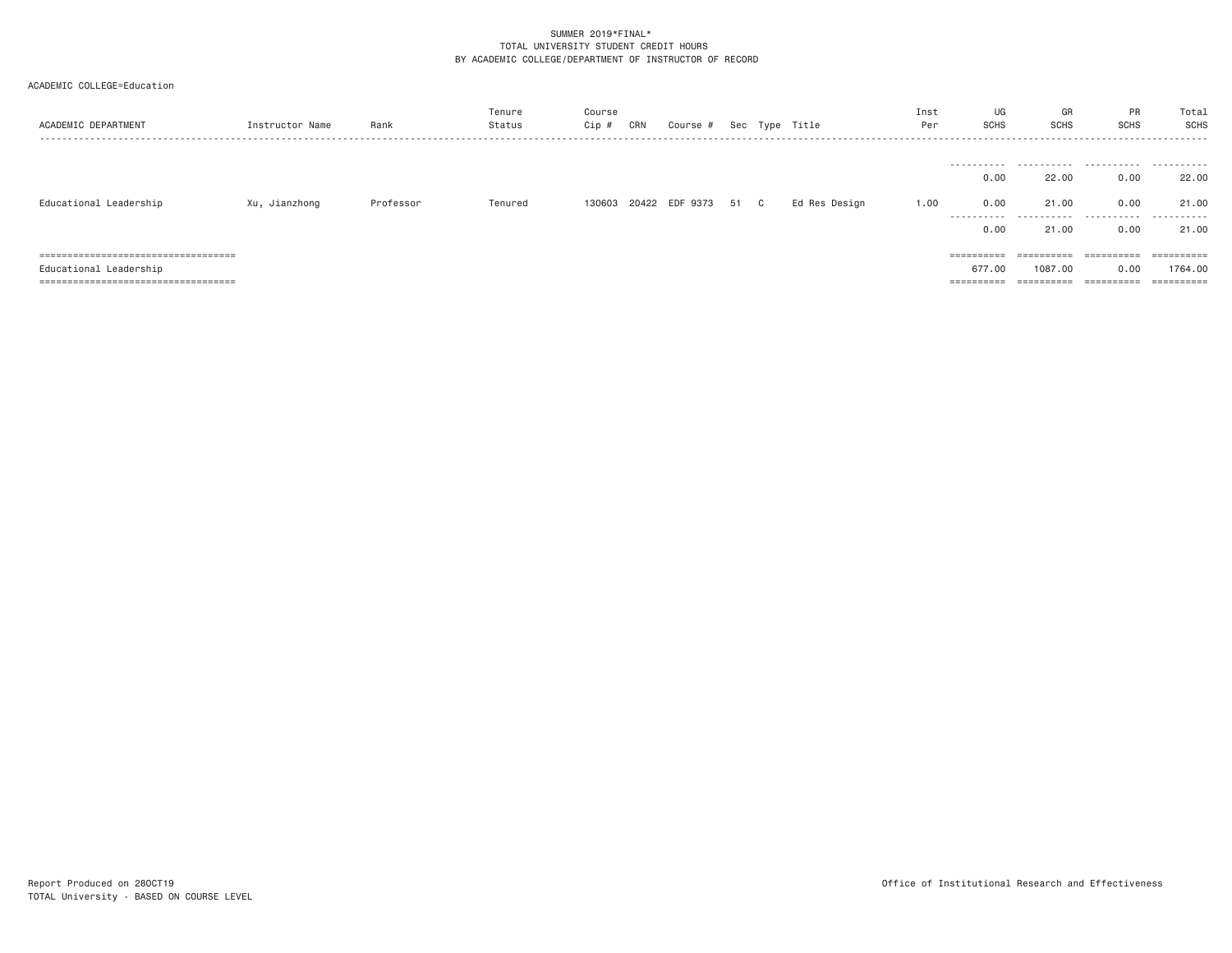|  |  | ACADEMIC COLLEGE=Education |
|--|--|----------------------------|
|--|--|----------------------------|

| ACADEMIC DEPARTMENT                    | Instructor Name | Rank      | Tenure<br>Status | Course<br>Cip # | CRN | Course #              |      | Sec Type Title | Inst<br>Per | UG<br><b>SCHS</b>         | GR<br><b>SCHS</b>       | PR<br><b>SCHS</b>        | Total<br><b>SCHS</b>    |
|----------------------------------------|-----------------|-----------|------------------|-----------------|-----|-----------------------|------|----------------|-------------|---------------------------|-------------------------|--------------------------|-------------------------|
| Educational Leadership                 | Xu, Jianzhong   | Professor | Tenured          |                 |     | 130603 20422 EDF 9373 | 51 C | Ed Res Design  | 1.00        | 0.00<br>0.00<br>.<br>0.00 | 22,00<br>21,00<br>21,00 | 0.00<br>0.00<br><br>0.00 | 22.00<br>21.00<br>21,00 |
| =====================================  |                 |           |                  |                 |     |                       |      |                |             | ==========                | ==========              | ==========               |                         |
| Educational Leadership                 |                 |           |                  |                 |     |                       |      |                |             | 677.00                    | 1087.00                 | 0.00                     | 1764.00                 |
| ====================================== |                 |           |                  |                 |     |                       |      |                |             | ==========                | ==========              | ==========               |                         |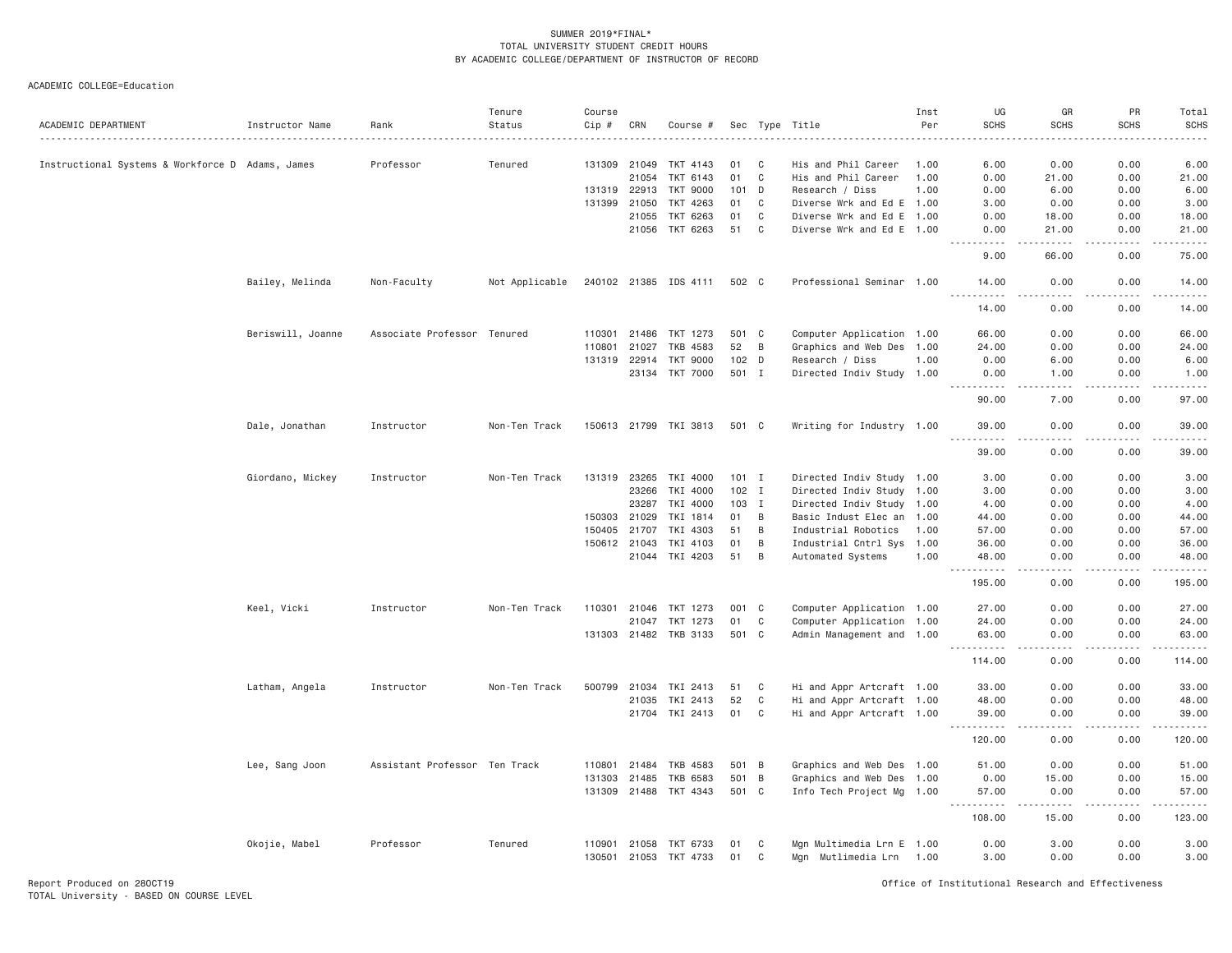| ACADEMIC DEPARTMENT                              | Instructor Name   | Rank                          | Tenure<br>Status | Course<br>$Cip \#$ | CRN          | Course #              |                  |                | Sec Type Title            | Inst<br>Per | UG<br><b>SCHS</b>                                                                                                                                                                                                                                                                                                                                                                                                                                                                               | GR<br><b>SCHS</b>                                                                                      | PR<br><b>SCHS</b> | Total<br><b>SCHS</b><br>$\omega$ is a $\omega$ |
|--------------------------------------------------|-------------------|-------------------------------|------------------|--------------------|--------------|-----------------------|------------------|----------------|---------------------------|-------------|-------------------------------------------------------------------------------------------------------------------------------------------------------------------------------------------------------------------------------------------------------------------------------------------------------------------------------------------------------------------------------------------------------------------------------------------------------------------------------------------------|--------------------------------------------------------------------------------------------------------|-------------------|------------------------------------------------|
| Instructional Systems & Workforce D Adams, James |                   | Professor                     | Tenured          |                    | 131309 21049 | TKT 4143              | 01               | C              | His and Phil Career       | 1.00        | 6.00                                                                                                                                                                                                                                                                                                                                                                                                                                                                                            | 0.00                                                                                                   | 0.00              | 6.00                                           |
|                                                  |                   |                               |                  |                    | 21054        | TKT 6143              | 01               | C              | His and Phil Career       | 1.00        | 0.00                                                                                                                                                                                                                                                                                                                                                                                                                                                                                            | 21.00                                                                                                  | 0.00              | 21.00                                          |
|                                                  |                   |                               |                  |                    | 131319 22913 | TKT 9000              |                  | 101 D          | Research / Diss           | 1.00        | 0.00                                                                                                                                                                                                                                                                                                                                                                                                                                                                                            | 6.00                                                                                                   | 0.00              | 6.00                                           |
|                                                  |                   |                               |                  | 131399             | 21050        | TKT 4263              | 01               | $\mathbf C$    | Diverse Wrk and Ed E 1.00 |             | 3.00                                                                                                                                                                                                                                                                                                                                                                                                                                                                                            | 0.00                                                                                                   | 0.00              | 3.00                                           |
|                                                  |                   |                               |                  |                    | 21055        | TKT 6263              | 01               | C              | Diverse Wrk and Ed E 1.00 |             | 0.00                                                                                                                                                                                                                                                                                                                                                                                                                                                                                            | 18.00                                                                                                  | 0.00              | 18.00                                          |
|                                                  |                   |                               |                  |                    |              | 21056 TKT 6263        | 51               | $\mathbf{C}$   | Diverse Wrk and Ed E 1.00 |             | 0.00                                                                                                                                                                                                                                                                                                                                                                                                                                                                                            | 21.00                                                                                                  | 0.00              | 21.00                                          |
|                                                  |                   |                               |                  |                    |              |                       |                  |                |                           |             | 9.00                                                                                                                                                                                                                                                                                                                                                                                                                                                                                            | 66,00                                                                                                  | 0.00              | 75.00                                          |
|                                                  | Bailey, Melinda   | Non-Faculty                   | Not Applicable   |                    |              | 240102 21385 IDS 4111 | 502 C            |                | Professional Seminar 1.00 |             | 14.00<br><u>.</u>                                                                                                                                                                                                                                                                                                                                                                                                                                                                               | 0.00<br>$- - -$                                                                                        | 0.00<br>.         | 14.00<br>.                                     |
|                                                  |                   |                               |                  |                    |              |                       |                  |                |                           |             | 14.00                                                                                                                                                                                                                                                                                                                                                                                                                                                                                           | 0.00                                                                                                   | 0.00              | 14.00                                          |
|                                                  | Beriswill, Joanne | Associate Professor Tenured   |                  | 110301             | 21486        | TKT 1273              |                  | 501 C          | Computer Application 1.00 |             | 66.00                                                                                                                                                                                                                                                                                                                                                                                                                                                                                           | 0.00                                                                                                   | 0.00              | 66.00                                          |
|                                                  |                   |                               |                  | 110801             | 21027        | TKB 4583              | 52               | B              | Graphics and Web Des 1.00 |             | 24.00                                                                                                                                                                                                                                                                                                                                                                                                                                                                                           | 0.00                                                                                                   | 0.00              | 24.00                                          |
|                                                  |                   |                               |                  |                    | 131319 22914 | <b>TKT 9000</b>       | 102 <sub>D</sub> |                | Research / Diss           | 1.00        | 0.00                                                                                                                                                                                                                                                                                                                                                                                                                                                                                            | 6.00                                                                                                   | 0.00              | 6.00                                           |
|                                                  |                   |                               |                  |                    |              | 23134 TKT 7000        |                  | 501 I          | Directed Indiv Study 1.00 |             | 0.00<br>$\sim$ $\sim$ $\sim$<br>. <b>.</b> .                                                                                                                                                                                                                                                                                                                                                                                                                                                    | 1.00<br>.                                                                                              | 0.00<br>-----     | 1.00<br>.                                      |
|                                                  |                   |                               |                  |                    |              |                       |                  |                |                           |             | 90.00                                                                                                                                                                                                                                                                                                                                                                                                                                                                                           | 7.00                                                                                                   | 0.00              | 97.00                                          |
|                                                  | Dale, Jonathan    | Instructor                    | Non-Ten Track    |                    |              | 150613 21799 TKI 3813 | 501 C            |                | Writing for Industry 1.00 |             | 39.00<br>.                                                                                                                                                                                                                                                                                                                                                                                                                                                                                      | 0.00<br>$\omega$ $\omega$ $\omega$ $\omega$                                                            | 0.00<br>.         | 39.00<br>.                                     |
|                                                  |                   |                               |                  |                    |              |                       |                  |                |                           |             | 39.00                                                                                                                                                                                                                                                                                                                                                                                                                                                                                           | 0.00                                                                                                   | 0.00              | 39.00                                          |
|                                                  | Giordano, Mickey  | Instructor                    | Non-Ten Track    | 131319             | 23265        | TKI 4000              | $101$ I          |                | Directed Indiv Study 1.00 |             | 3.00                                                                                                                                                                                                                                                                                                                                                                                                                                                                                            | 0.00                                                                                                   | 0.00              | 3.00                                           |
|                                                  |                   |                               |                  |                    | 23266        | TKI 4000              |                  | 102 I          | Directed Indiv Study 1.00 |             | 3.00                                                                                                                                                                                                                                                                                                                                                                                                                                                                                            | 0.00                                                                                                   | 0.00              | 3.00                                           |
|                                                  |                   |                               |                  |                    | 23287        | TKI 4000              |                  | 103 I          | Directed Indiv Study 1.00 |             | 4.00                                                                                                                                                                                                                                                                                                                                                                                                                                                                                            | 0.00                                                                                                   | 0.00              | 4.00                                           |
|                                                  |                   |                               |                  |                    | 150303 21029 | TKI 1814              | 01               | B              | Basic Indust Elec an 1.00 |             | 44.00                                                                                                                                                                                                                                                                                                                                                                                                                                                                                           | 0.00                                                                                                   | 0.00              | 44.00                                          |
|                                                  |                   |                               |                  | 150405             | 21707        | TKI 4303              | 51               | B              | Industrial Robotics       | 1.00        | 57.00                                                                                                                                                                                                                                                                                                                                                                                                                                                                                           | 0.00                                                                                                   | 0.00              | 57.00                                          |
|                                                  |                   |                               |                  |                    | 150612 21043 | TKI 4103              | 01               | B              | Industrial Cntrl Sys 1.00 |             | 36.00                                                                                                                                                                                                                                                                                                                                                                                                                                                                                           | 0.00                                                                                                   | 0.00              | 36.00                                          |
|                                                  |                   |                               |                  |                    |              | 21044 TKI 4203        | 51               | B              | Automated Systems         | 1.00        | 48.00                                                                                                                                                                                                                                                                                                                                                                                                                                                                                           | 0.00                                                                                                   | 0.00              | 48.00                                          |
|                                                  |                   |                               |                  |                    |              |                       |                  |                |                           |             | 195.00                                                                                                                                                                                                                                                                                                                                                                                                                                                                                          | 0.00                                                                                                   | 0.00              | 195.00                                         |
|                                                  | Keel, Vicki       | Instructor                    | Non-Ten Track    |                    |              | 110301 21046 TKT 1273 | 001 C            |                | Computer Application 1.00 |             | 27.00                                                                                                                                                                                                                                                                                                                                                                                                                                                                                           | 0.00                                                                                                   | 0.00              | 27.00                                          |
|                                                  |                   |                               |                  |                    | 21047        | TKT 1273              | 01               | $\mathsf{C}$   | Computer Application 1.00 |             | 24.00                                                                                                                                                                                                                                                                                                                                                                                                                                                                                           | 0.00                                                                                                   | 0.00              | 24.00                                          |
|                                                  |                   |                               |                  |                    |              | 131303 21482 TKB 3133 | 501 C            |                | Admin Management and 1.00 |             | 63.00<br>$ -$                                                                                                                                                                                                                                                                                                                                                                                                                                                                                   | 0.00                                                                                                   | 0.00              | 63.00                                          |
|                                                  |                   |                               |                  |                    |              |                       |                  |                |                           |             | 114.00                                                                                                                                                                                                                                                                                                                                                                                                                                                                                          | 0.00                                                                                                   | 0.00              | 114.00                                         |
|                                                  | Latham, Angela    | Instructor                    | Non-Ten Track    | 500799             | 21034        | TKI 2413              | 51               | C              | Hi and Appr Artcraft 1.00 |             | 33.00                                                                                                                                                                                                                                                                                                                                                                                                                                                                                           | 0.00                                                                                                   | 0.00              | 33.00                                          |
|                                                  |                   |                               |                  |                    | 21035        | TKI 2413              | 52               | $\mathbf C$    | Hi and Appr Artcraft 1.00 |             | 48.00                                                                                                                                                                                                                                                                                                                                                                                                                                                                                           | 0.00                                                                                                   | 0.00              | 48.00                                          |
|                                                  |                   |                               |                  |                    | 21704        | TKI 2413              | 01               | C              | Hi and Appr Artcraft 1.00 |             | 39.00                                                                                                                                                                                                                                                                                                                                                                                                                                                                                           | 0.00                                                                                                   | 0.00              | 39.00                                          |
|                                                  |                   |                               |                  |                    |              |                       |                  |                |                           |             | .<br>$- - -$<br>120.00                                                                                                                                                                                                                                                                                                                                                                                                                                                                          | $\frac{1}{2} \left( \frac{1}{2} \right) \left( \frac{1}{2} \right) \left( \frac{1}{2} \right)$<br>0.00 | .<br>0.00         | .<br>120.00                                    |
|                                                  | Lee, Sang Joon    | Assistant Professor Ten Track |                  | 110801             | 21484        | TKB 4583              | 501              | $\overline{B}$ | Graphics and Web Des 1.00 |             | 51.00                                                                                                                                                                                                                                                                                                                                                                                                                                                                                           | 0.00                                                                                                   | 0.00              | 51.00                                          |
|                                                  |                   |                               |                  |                    | 131303 21485 | TKB 6583              |                  | 501 B          | Graphics and Web Des 1.00 |             | 0.00                                                                                                                                                                                                                                                                                                                                                                                                                                                                                            | 15.00                                                                                                  | 0.00              | 15.00                                          |
|                                                  |                   |                               |                  |                    |              | 131309 21488 TKT 4343 | 501 C            |                | Info Tech Project Mg 1.00 |             | 57.00<br>$\begin{array}{cccccccccccccc} \multicolumn{2}{c}{} & \multicolumn{2}{c}{} & \multicolumn{2}{c}{} & \multicolumn{2}{c}{} & \multicolumn{2}{c}{} & \multicolumn{2}{c}{} & \multicolumn{2}{c}{} & \multicolumn{2}{c}{} & \multicolumn{2}{c}{} & \multicolumn{2}{c}{} & \multicolumn{2}{c}{} & \multicolumn{2}{c}{} & \multicolumn{2}{c}{} & \multicolumn{2}{c}{} & \multicolumn{2}{c}{} & \multicolumn{2}{c}{} & \multicolumn{2}{c}{} & \multicolumn{2}{c}{} & \multicolumn{2}{c}{} & \$ | 0.00<br>-----                                                                                          | 0.00<br>.         | 57.00<br>.                                     |
|                                                  |                   |                               |                  |                    |              |                       |                  |                |                           |             | 108.00                                                                                                                                                                                                                                                                                                                                                                                                                                                                                          | 15.00                                                                                                  | 0.00              | 123.00                                         |
|                                                  | Okojie, Mabel     | Professor                     | Tenured          |                    | 110901 21058 | TKT 6733              | 01               | C              | Mgn Multimedia Lrn E 1.00 |             | 0.00                                                                                                                                                                                                                                                                                                                                                                                                                                                                                            | 3.00                                                                                                   | 0.00              | 3.00                                           |
|                                                  |                   |                               |                  |                    | 130501 21053 | TKT 4733              | 01               | C              | Mgn Mutlimedia Lrn 1.00   |             | 3,00                                                                                                                                                                                                                                                                                                                                                                                                                                                                                            | 0.00                                                                                                   | 0.00              | 3.00                                           |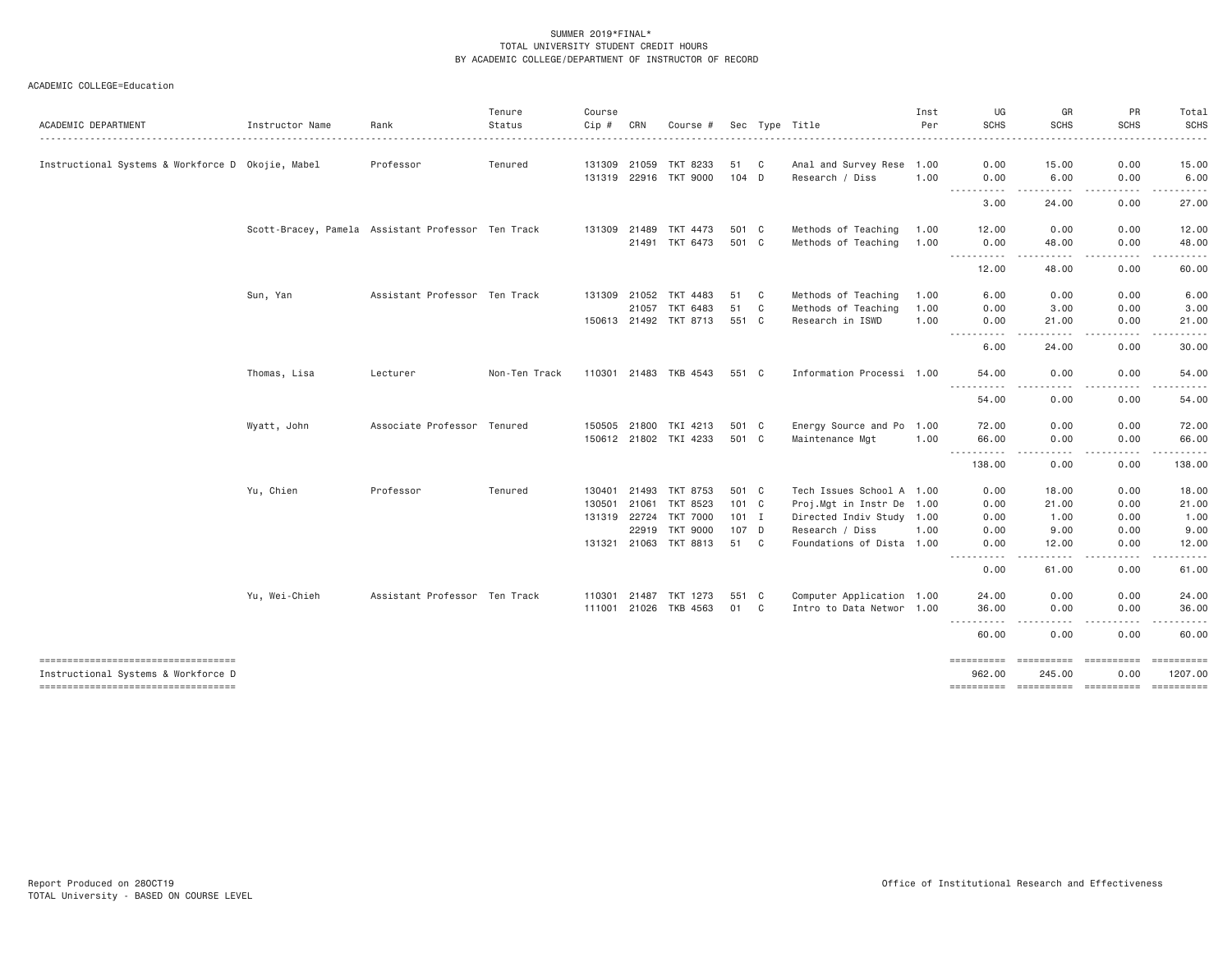| ACADEMIC DEPARTMENT                                                        | Instructor Name                                    | Rank                          | Tenure<br>Status | Course<br>Cip # | CRN   | Course #                          |                |              | Sec Type Title                               | Inst<br>Per | UG<br><b>SCHS</b>   | GR<br><b>SCHS</b>                                                                                                                                                                                                                                                                                                                             | PR<br><b>SCHS</b>                                                                                                                                            | Total<br><b>SCHS</b>                                                                                                               |
|----------------------------------------------------------------------------|----------------------------------------------------|-------------------------------|------------------|-----------------|-------|-----------------------------------|----------------|--------------|----------------------------------------------|-------------|---------------------|-----------------------------------------------------------------------------------------------------------------------------------------------------------------------------------------------------------------------------------------------------------------------------------------------------------------------------------------------|--------------------------------------------------------------------------------------------------------------------------------------------------------------|------------------------------------------------------------------------------------------------------------------------------------|
| Instructional Systems & Workforce D Okojie, Mabel                          |                                                    | Professor                     | Tenured          | 131309 21059    |       | TKT 8233                          | 51             | C            | Anal and Survey Rese 1.00                    |             | 0.00                | 15.00                                                                                                                                                                                                                                                                                                                                         | 0.00                                                                                                                                                         | 15.00                                                                                                                              |
|                                                                            |                                                    |                               |                  | 131319 22916    |       | <b>TKT 9000</b>                   | $104$ D        |              | Research / Diss                              | 1.00        | 0.00                | 6,00                                                                                                                                                                                                                                                                                                                                          | 0.00                                                                                                                                                         | 6.00                                                                                                                               |
|                                                                            |                                                    |                               |                  |                 |       |                                   |                |              |                                              |             | .<br>3.00           | .<br>24.00                                                                                                                                                                                                                                                                                                                                    | $- - - - -$<br>0.00                                                                                                                                          | .<br>27.00                                                                                                                         |
|                                                                            |                                                    |                               |                  |                 |       |                                   |                |              |                                              |             |                     |                                                                                                                                                                                                                                                                                                                                               |                                                                                                                                                              |                                                                                                                                    |
|                                                                            | Scott-Bracey, Pamela Assistant Professor Ten Track |                               |                  | 131309 21489    |       | TKT 4473                          | 501 C          |              | Methods of Teaching                          | 1.00        | 12.00               | 0.00                                                                                                                                                                                                                                                                                                                                          | 0.00                                                                                                                                                         | 12.00                                                                                                                              |
|                                                                            |                                                    |                               |                  |                 | 21491 | TKT 6473                          | 501 C          |              | Methods of Teaching                          | 1.00        | 0.00<br>.           | 48.00                                                                                                                                                                                                                                                                                                                                         | 0.00                                                                                                                                                         | 48.00                                                                                                                              |
|                                                                            |                                                    |                               |                  |                 |       |                                   |                |              |                                              |             | 12.00               | 48.00                                                                                                                                                                                                                                                                                                                                         | 0.00                                                                                                                                                         | 60.00                                                                                                                              |
|                                                                            | Sun, Yan                                           | Assistant Professor Ten Track |                  | 131309          | 21052 | TKT 4483                          | 51             | C            | Methods of Teaching                          | 1.00        | 6.00                | 0.00                                                                                                                                                                                                                                                                                                                                          | 0.00                                                                                                                                                         | 6.00                                                                                                                               |
|                                                                            |                                                    |                               |                  |                 | 21057 | TKT 6483                          | 51             | $\mathbf{C}$ | Methods of Teaching                          | 1.00        | 0.00                | 3.00                                                                                                                                                                                                                                                                                                                                          | 0.00                                                                                                                                                         | 3.00                                                                                                                               |
|                                                                            |                                                    |                               |                  |                 |       | 150613 21492 TKT 8713             | 551 C          |              | Research in ISWD                             | 1.00        | 0.00                | 21.00                                                                                                                                                                                                                                                                                                                                         | 0.00                                                                                                                                                         | 21.00                                                                                                                              |
|                                                                            |                                                    |                               |                  |                 |       |                                   |                |              |                                              |             | .<br>6.00           | .<br>24.00                                                                                                                                                                                                                                                                                                                                    | .<br>0.00                                                                                                                                                    | .<br>30.00                                                                                                                         |
|                                                                            | Thomas, Lisa                                       | Lecturer                      | Non-Ten Track    |                 |       | 110301 21483 TKB 4543             | 551 C          |              | Information Processi 1.00                    |             | 54.00               | 0.00                                                                                                                                                                                                                                                                                                                                          | 0.00                                                                                                                                                         | 54.00                                                                                                                              |
|                                                                            |                                                    |                               |                  |                 |       |                                   |                |              |                                              |             | ----------<br>54.00 | .<br>0.00                                                                                                                                                                                                                                                                                                                                     | 0.00                                                                                                                                                         | $\frac{1}{2} \left( \frac{1}{2} \right) \left( \frac{1}{2} \right) \left( \frac{1}{2} \right) \left( \frac{1}{2} \right)$<br>54.00 |
|                                                                            |                                                    |                               |                  |                 |       |                                   |                |              |                                              |             |                     |                                                                                                                                                                                                                                                                                                                                               |                                                                                                                                                              |                                                                                                                                    |
|                                                                            | Wyatt, John                                        | Associate Professor Tenured   |                  | 150505 21800    |       | TKI 4213<br>150612 21802 TKI 4233 | 501 C<br>501 C |              | Energy Source and Po 1.00<br>Maintenance Mgt | 1.00        | 72.00<br>66.00      | 0.00<br>0.00                                                                                                                                                                                                                                                                                                                                  | 0.00<br>0.00                                                                                                                                                 | 72.00<br>66.00                                                                                                                     |
|                                                                            |                                                    |                               |                  |                 |       |                                   |                |              |                                              |             | ----------          | .                                                                                                                                                                                                                                                                                                                                             | .                                                                                                                                                            | ------                                                                                                                             |
|                                                                            |                                                    |                               |                  |                 |       |                                   |                |              |                                              |             | 138.00              | 0.00                                                                                                                                                                                                                                                                                                                                          | 0.00                                                                                                                                                         | 138.00                                                                                                                             |
|                                                                            | Yu, Chien                                          | Professor                     | Tenured          | 130401          | 21493 | TKT 8753                          | 501 C          |              | Tech Issues School A 1.00                    |             | 0.00                | 18.00                                                                                                                                                                                                                                                                                                                                         | 0.00                                                                                                                                                         | 18.00                                                                                                                              |
|                                                                            |                                                    |                               |                  | 130501          | 21061 | TKT 8523                          | 101 C          |              | Proj.Mgt in Instr De 1.00                    |             | 0.00                | 21.00                                                                                                                                                                                                                                                                                                                                         | 0.00                                                                                                                                                         | 21.00                                                                                                                              |
|                                                                            |                                                    |                               |                  | 131319 22724    |       | TKT 7000                          | 101 I          |              | Directed Indiv Study 1.00                    |             | 0.00                | 1.00                                                                                                                                                                                                                                                                                                                                          | 0.00                                                                                                                                                         | 1.00                                                                                                                               |
|                                                                            |                                                    |                               |                  |                 | 22919 | <b>TKT 9000</b>                   | 107 D          |              | Research / Diss                              | 1.00        | 0.00                | 9.00                                                                                                                                                                                                                                                                                                                                          | 0.00                                                                                                                                                         | 9.00                                                                                                                               |
|                                                                            |                                                    |                               |                  | 131321          |       | 21063 TKT 8813                    | 51 C           |              | Foundations of Dista 1.00                    |             | 0.00<br>----------  | 12.00<br>$\frac{1}{2} \left( \begin{array}{ccc} 1 & 0 & 0 & 0 \\ 0 & 0 & 0 & 0 \\ 0 & 0 & 0 & 0 \\ 0 & 0 & 0 & 0 \\ 0 & 0 & 0 & 0 \\ 0 & 0 & 0 & 0 \\ 0 & 0 & 0 & 0 \\ 0 & 0 & 0 & 0 \\ 0 & 0 & 0 & 0 \\ 0 & 0 & 0 & 0 \\ 0 & 0 & 0 & 0 & 0 \\ 0 & 0 & 0 & 0 & 0 \\ 0 & 0 & 0 & 0 & 0 \\ 0 & 0 & 0 & 0 & 0 \\ 0 & 0 & 0 & 0 & 0 \\ 0 & 0 & 0$ | 0.00<br>$\frac{1}{2} \left( \frac{1}{2} \right) \left( \frac{1}{2} \right) \left( \frac{1}{2} \right) \left( \frac{1}{2} \right) \left( \frac{1}{2} \right)$ | 12.00<br>.                                                                                                                         |
|                                                                            |                                                    |                               |                  |                 |       |                                   |                |              |                                              |             | 0.00                | 61.00                                                                                                                                                                                                                                                                                                                                         | 0.00                                                                                                                                                         | 61.00                                                                                                                              |
|                                                                            | Yu, Wei-Chieh                                      | Assistant Professor Ten Track |                  | 110301          | 21487 | TKT 1273                          | 551 C          |              | Computer Application 1.00                    |             | 24.00               | 0.00                                                                                                                                                                                                                                                                                                                                          | 0.00                                                                                                                                                         | 24.00                                                                                                                              |
|                                                                            |                                                    |                               |                  | 111001          | 21026 | TKB 4563                          | 01             | C.           | Intro to Data Networ 1.00                    |             | 36.00               | 0.00                                                                                                                                                                                                                                                                                                                                          | 0.00                                                                                                                                                         | 36.00                                                                                                                              |
|                                                                            |                                                    |                               |                  |                 |       |                                   |                |              |                                              |             | ----------<br>60.00 | $- - - -$<br>$- - - -$<br>0.00                                                                                                                                                                                                                                                                                                                | $- - - - -$<br>$- - - -$<br>0.00                                                                                                                             | <u>.</u><br>60.00                                                                                                                  |
| -------------------------------------                                      |                                                    |                               |                  |                 |       |                                   |                |              |                                              |             | eeeeeeee<br>962.00  | ==========<br>245,00                                                                                                                                                                                                                                                                                                                          | <b>CONSIDERED</b><br>0.00                                                                                                                                    | 1207.00                                                                                                                            |
| Instructional Systems & Workforce D<br>----------------------------------- |                                                    |                               |                  |                 |       |                                   |                |              |                                              |             |                     |                                                                                                                                                                                                                                                                                                                                               |                                                                                                                                                              |                                                                                                                                    |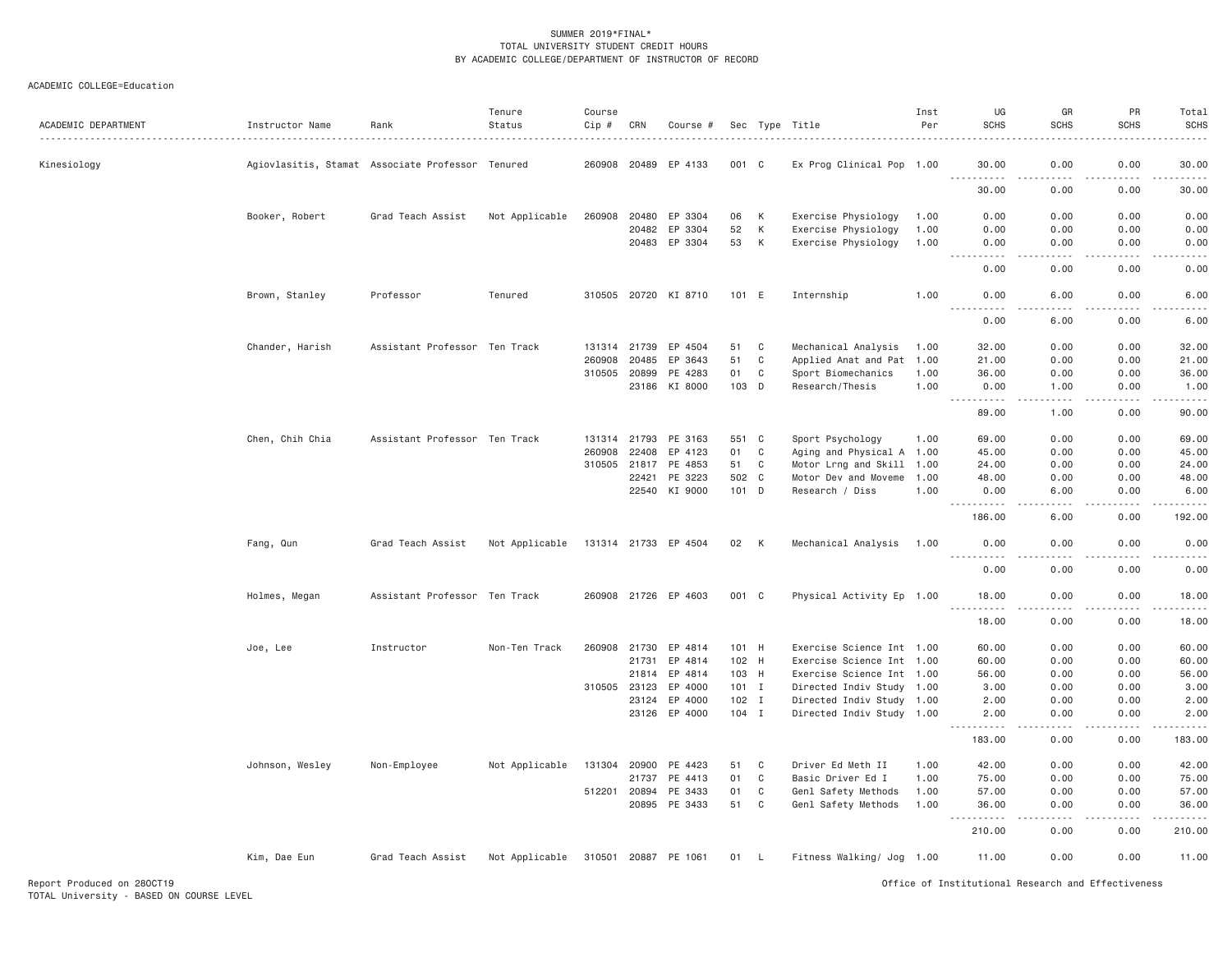| ACADEMIC DEPARTMENT | Instructor Name | Rank                                             | Tenure<br>Status | Course<br>Cip # | CRN          | Course #             |         |              | Sec Type Title            | Inst<br>Per | UG<br><b>SCHS</b>                  | GR<br><b>SCHS</b>     | PR<br><b>SCHS</b> | Total<br><b>SCHS</b><br>.                                                                                           |
|---------------------|-----------------|--------------------------------------------------|------------------|-----------------|--------------|----------------------|---------|--------------|---------------------------|-------------|------------------------------------|-----------------------|-------------------|---------------------------------------------------------------------------------------------------------------------|
| Kinesiology         |                 | Agiovlasitis, Stamat Associate Professor Tenured |                  |                 |              | 260908 20489 EP 4133 | 001 C   |              | Ex Prog Clinical Pop 1.00 |             | 30.00<br>.                         | 0.00<br>.             | 0.00<br>.         | 30.00<br>.                                                                                                          |
|                     |                 |                                                  |                  |                 |              |                      |         |              |                           |             | 30.00                              | 0.00                  | 0.00              | 30.00                                                                                                               |
|                     | Booker, Robert  | Grad Teach Assist                                | Not Applicable   | 260908          | 20480        | EP 3304              | 06      | К            | Exercise Physiology       | 1.00        | 0.00                               | 0.00                  | 0.00              | 0.00                                                                                                                |
|                     |                 |                                                  |                  |                 | 20482        | EP 3304              | 52      | К            | Exercise Physiology       | 1.00        | 0.00                               | 0.00                  | 0.00              | 0.00                                                                                                                |
|                     |                 |                                                  |                  |                 | 20483        | EP 3304              | 53      | К            | Exercise Physiology       | 1.00        | 0.00<br>$\sim$ $\sim$ $\sim$<br>.  | 0.00<br>د د د د       | 0.00<br>.         | 0.00<br>المستما                                                                                                     |
|                     |                 |                                                  |                  |                 |              |                      |         |              |                           |             | 0.00                               | 0.00                  | 0.00              | 0.00                                                                                                                |
|                     | Brown, Stanley  | Professor                                        | Tenured          |                 |              | 310505 20720 KI 8710 | 101 E   |              | Internship                | 1.00        | 0.00<br><u>.</u>                   | 6.00<br>.             | 0.00<br>.         | 6.00<br>.                                                                                                           |
|                     |                 |                                                  |                  |                 |              |                      |         |              |                           |             | 0.00                               | 6.00                  | 0.00              | 6.00                                                                                                                |
|                     | Chander, Harish | Assistant Professor Ten Track                    |                  |                 | 131314 21739 | EP 4504              | 51      | C            | Mechanical Analysis       | 1.00        | 32.00                              | 0.00                  | 0.00              | 32.00                                                                                                               |
|                     |                 |                                                  |                  | 260908          | 20485        | EP 3643              | 51      | $\mathbf C$  | Applied Anat and Pat 1.00 |             | 21.00                              | 0.00                  | 0.00              | 21.00                                                                                                               |
|                     |                 |                                                  |                  | 310505 20899    |              | PE 4283              | 01      | $\mathsf{C}$ | Sport Biomechanics        | 1.00        | 36.00                              | 0.00                  | 0.00              | 36.00                                                                                                               |
|                     |                 |                                                  |                  |                 | 23186        | KI 8000              | 103 D   |              | Research/Thesis           | 1.00        | 0.00<br>الدامات مالدان             | 1.00<br>$- - - -$     | 0.00<br>.         | 1.00<br>.                                                                                                           |
|                     |                 |                                                  |                  |                 |              |                      |         |              |                           |             | 89.00                              | 1.00                  | 0.00              | 90.00                                                                                                               |
|                     | Chen, Chih Chia | Assistant Professor Ten Track                    |                  |                 | 131314 21793 | PE 3163              | 551 C   |              | Sport Psychology          | 1.00        | 69.00                              | 0.00                  | 0.00              | 69.00                                                                                                               |
|                     |                 |                                                  |                  | 260908          | 22408        | EP 4123              | 01      | C            | Aging and Physical A 1.00 |             | 45.00                              | 0.00                  | 0.00              | 45.00                                                                                                               |
|                     |                 |                                                  |                  |                 | 310505 21817 | PE 4853              | 51      | C            | Motor Lrng and Skill 1.00 |             | 24,00                              | 0.00                  | 0.00              | 24.00                                                                                                               |
|                     |                 |                                                  |                  |                 | 22421        | PE 3223              | 502 C   |              | Motor Dev and Moveme      | 1.00        | 48,00                              | 0.00                  | 0.00              | 48.00                                                                                                               |
|                     |                 |                                                  |                  |                 | 22540        | KI 9000              | 101 D   |              | Research / Diss           | 1.00        | 0.00                               | 6.00                  | 0.00              | 6.00                                                                                                                |
|                     |                 |                                                  |                  |                 |              |                      |         |              |                           |             | .<br>186.00                        | $   -$<br>6.00        | .<br>0.00         | .<br>192.00                                                                                                         |
|                     |                 |                                                  |                  |                 |              |                      |         |              |                           |             |                                    |                       |                   |                                                                                                                     |
|                     | Fang, Qun       | Grad Teach Assist                                | Not Applicable   |                 |              | 131314 21733 EP 4504 | 02      | K            | Mechanical Analysis       | 1.00        | 0.00<br>.                          | 0.00<br>د د د د       | 0.00<br>.         | 0.00<br>.                                                                                                           |
|                     |                 |                                                  |                  |                 |              |                      |         |              |                           |             | 0.00                               | 0.00                  | 0.00              | 0.00                                                                                                                |
|                     | Holmes, Megan   | Assistant Professor Ten Track                    |                  |                 |              | 260908 21726 EP 4603 | 001 C   |              | Physical Activity Ep 1.00 |             | 18.00<br>.<br>$\sim$ $\sim$ $\sim$ | 0.00<br>$\frac{1}{2}$ | 0.00<br>.         | 18.00<br>.                                                                                                          |
|                     |                 |                                                  |                  |                 |              |                      |         |              |                           |             | 18.00                              | 0.00                  | 0.00              | 18.00                                                                                                               |
|                     | Joe, Lee        | Instructor                                       | Non-Ten Track    | 260908          | 21730        | EP 4814              | 101 H   |              | Exercise Science Int 1.00 |             | 60.00                              | 0.00                  | 0.00              | 60.00                                                                                                               |
|                     |                 |                                                  |                  |                 | 21731        | EP 4814              | 102 H   |              | Exercise Science Int 1.00 |             | 60.00                              | 0.00                  | 0.00              | 60.00                                                                                                               |
|                     |                 |                                                  |                  |                 | 21814        | EP 4814              | 103 H   |              | Exercise Science Int 1.00 |             | 56.00                              | 0.00                  | 0.00              | 56.00                                                                                                               |
|                     |                 |                                                  |                  | 310505 23123    |              | EP 4000              | $101$ I |              | Directed Indiv Study 1.00 |             | 3,00                               | 0.00                  | 0.00              | 3.00                                                                                                                |
|                     |                 |                                                  |                  |                 | 23124        | EP 4000              | 102 I   |              | Directed Indiv Study 1.00 |             | 2.00                               | 0.00                  | 0.00              | 2.00                                                                                                                |
|                     |                 |                                                  |                  |                 |              | 23126 EP 4000        | 104 I   |              | Directed Indiv Study 1.00 |             | 2.00<br>.                          | 0.00<br>.             | 0.00<br>.         | 2.00<br>$\begin{array}{cccccccccc} \bullet & \bullet & \bullet & \bullet & \bullet & \bullet & \bullet \end{array}$ |
|                     |                 |                                                  |                  |                 |              |                      |         |              |                           |             | 183.00                             | 0.00                  | 0.00              | 183.00                                                                                                              |
|                     | Johnson, Wesley | Non-Employee                                     | Not Applicable   | 131304          | 20900        | PE 4423              | 51      | C            | Driver Ed Meth II         | 1.00        | 42.00                              | 0.00                  | 0.00              | 42.00                                                                                                               |
|                     |                 |                                                  |                  |                 | 21737        | PE 4413              | 01      | $\mathbf C$  | Basic Driver Ed I         | 1.00        | 75.00                              | 0.00                  | 0.00              | 75.00                                                                                                               |
|                     |                 |                                                  |                  | 512201          | 20894        | PE 3433              | 01      | C            | Genl Safety Methods       | 1.00        | 57.00                              | 0.00                  | 0.00              | 57.00                                                                                                               |
|                     |                 |                                                  |                  |                 | 20895        | PE 3433              | 51      | $\mathbf C$  | Genl Safety Methods       | 1.00        | 36.00                              | 0.00                  | 0.00              | 36.00                                                                                                               |
|                     |                 |                                                  |                  |                 |              |                      |         |              |                           |             | 210.00                             | 0.00                  | 0.00              | 210.00                                                                                                              |
|                     | Kim, Dae Eun    | Grad Teach Assist                                | Not Applicable   |                 |              | 310501 20887 PE 1061 | 01 L    |              | Fitness Walking/ Jog 1.00 |             | 11.00                              | 0.00                  | 0.00              | 11,00                                                                                                               |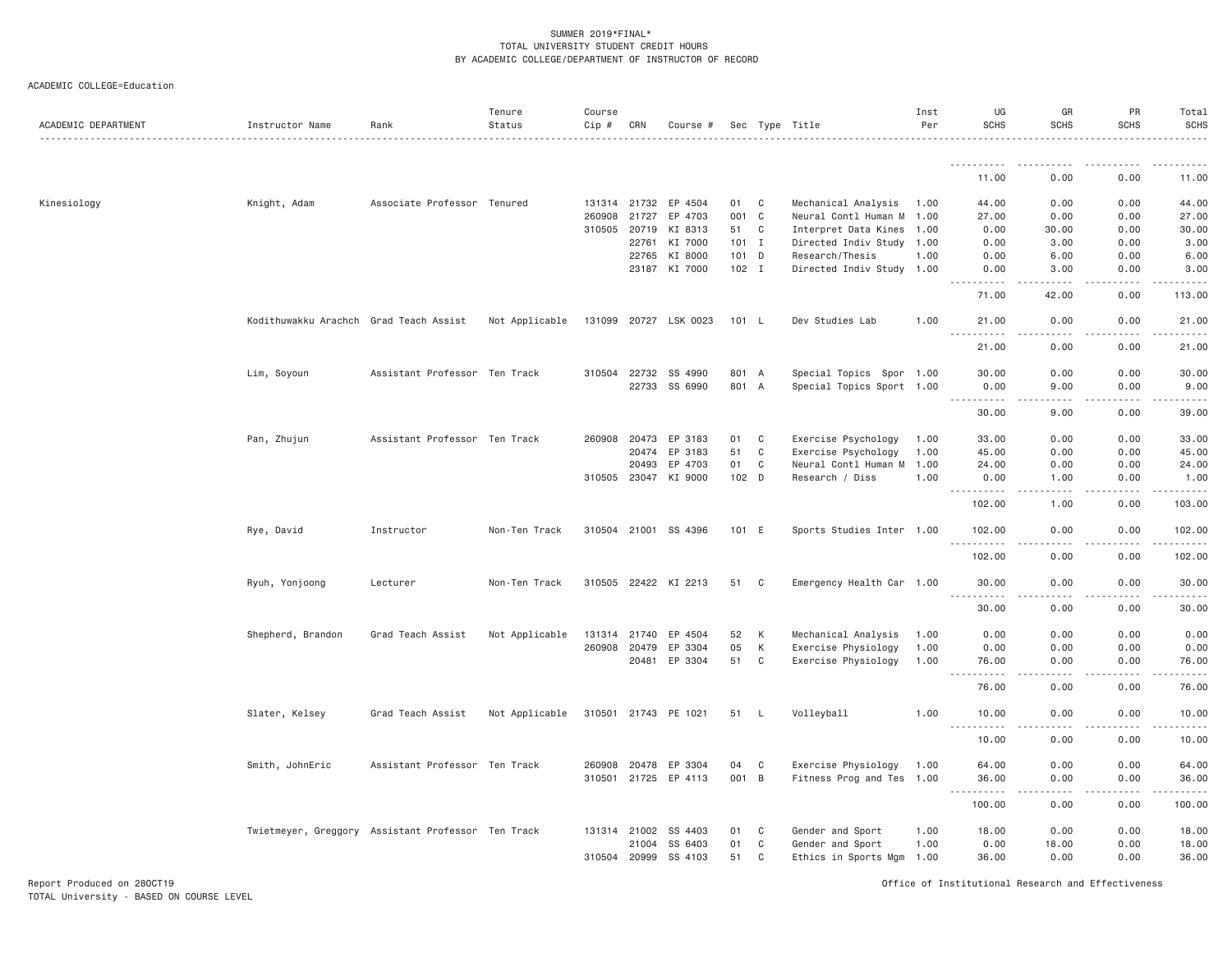| ACADEMIC DEPARTMENT | Instructor Name                                    | Rank                          | Tenure<br>Status | Course<br>Cip # | CRN          | Course #              |         |              | Sec Type Title            | Inst<br>Per | UG<br><b>SCHS</b> | GR<br><b>SCHS</b>                           | PR<br><b>SCHS</b> | Total<br><b>SCHS</b> |
|---------------------|----------------------------------------------------|-------------------------------|------------------|-----------------|--------------|-----------------------|---------|--------------|---------------------------|-------------|-------------------|---------------------------------------------|-------------------|----------------------|
|                     |                                                    |                               |                  |                 |              |                       |         |              |                           |             | <u>.</u>          |                                             |                   |                      |
|                     |                                                    |                               |                  |                 |              |                       |         |              |                           |             | 11.00             | 0.00                                        | 0.00              | 11.00                |
| Kinesiology         | Knight, Adam                                       | Associate Professor Tenured   |                  |                 |              | 131314 21732 EP 4504  | 01      | C            | Mechanical Analysis       | 1.00        | 44.00             | 0.00                                        | 0.00              | 44.00                |
|                     |                                                    |                               |                  |                 | 260908 21727 | EP 4703               | 001     | $\mathbf{C}$ | Neural Contl Human M      | 1.00        | 27.00             | 0.00                                        | 0.00              | 27.00                |
|                     |                                                    |                               |                  |                 | 310505 20719 | KI 8313               | 51      | C            | Interpret Data Kines      | 1.00        | 0.00              | 30.00                                       | 0.00              | 30.00                |
|                     |                                                    |                               |                  |                 | 22761        | KI 7000               | $101$ I |              | Directed Indiv Study      | 1.00        | 0.00              | 3.00                                        | 0.00              | 3.00                 |
|                     |                                                    |                               |                  |                 | 22765        | KI 8000               | $101$ D |              | Research/Thesis           | 1.00        | 0.00              | 6.00                                        | 0.00              | 6.00                 |
|                     |                                                    |                               |                  |                 |              | 23187 KI 7000         | $102$ I |              | Directed Indiv Study 1.00 |             | 0.00<br>.         | 3,00                                        | 0.00              | 3.00                 |
|                     |                                                    |                               |                  |                 |              |                       |         |              |                           |             | 71.00             | 42.00                                       | 0.00              | 113.00               |
|                     | Kodithuwakku Arachch Grad Teach Assist             |                               | Not Applicable   |                 |              | 131099 20727 LSK 0023 | 101 L   |              | Dev Studies Lab           | 1.00        | 21.00<br>.        | 0.00<br>.                                   | 0.00<br>.         | 21.00<br>.           |
|                     |                                                    |                               |                  |                 |              |                       |         |              |                           |             | 21.00             | 0.00                                        | 0.00              | 21.00                |
|                     | Lim, Soyoun                                        | Assistant Professor Ten Track |                  |                 | 310504 22732 | SS 4990               | 801 A   |              | Special Topics Spor 1.00  |             | 30.00             | 0.00                                        | 0.00              | 30.00                |
|                     |                                                    |                               |                  |                 | 22733        | SS 6990               | 801 A   |              | Special Topics Sport 1.00 |             | 0.00              | 9.00                                        | 0.00              | 9.00                 |
|                     |                                                    |                               |                  |                 |              |                       |         |              |                           |             | .                 | $\sim$ $\sim$ $\sim$ $\sim$                 |                   |                      |
|                     |                                                    |                               |                  |                 |              |                       |         |              |                           |             | 30.00             | 9.00                                        | 0.00              | 39.00                |
|                     | Pan, Zhujun                                        | Assistant Professor Ten Track |                  | 260908          | 20473        | EP 3183               | 01      | C            | Exercise Psychology       | 1.00        | 33.00             | 0.00                                        | 0.00              | 33.00                |
|                     |                                                    |                               |                  |                 | 20474        | EP 3183               | 51      | C            | Exercise Psychology       | 1.00        | 45.00             | 0.00                                        | 0.00              | 45.00                |
|                     |                                                    |                               |                  |                 | 20493        | EP 4703               | 01      | C            | Neural Contl Human M 1.00 |             | 24.00             | 0.00                                        | 0.00              | 24.00                |
|                     |                                                    |                               |                  |                 | 310505 23047 | KI 9000               | 102 D   |              | Research / Diss           | 1.00        | 0.00<br>.         | 1.00<br>.                                   | 0.00<br>.         | 1.00<br>.            |
|                     |                                                    |                               |                  |                 |              |                       |         |              |                           |             | 102.00            | 1.00                                        | 0.00              | 103.00               |
|                     | Rye, David                                         | Instructor                    | Non-Ten Track    |                 |              | 310504 21001 SS 4396  | 101 E   |              | Sports Studies Inter 1.00 |             | 102.00            | 0.00                                        | 0.00              | 102.00               |
|                     |                                                    |                               |                  |                 |              |                       |         |              |                           |             | 102.00            | 0.00                                        | 0.00              | 102.00               |
|                     | Ryuh, Yonjoong                                     | Lecturer                      | Non-Ten Track    |                 |              | 310505 22422 KI 2213  | 51      | $\mathbf{C}$ | Emergency Health Car 1.00 |             | 30.00<br>.        | 0.00<br>.                                   | 0.00              | 30.00<br>.           |
|                     |                                                    |                               |                  |                 |              |                       |         |              |                           |             | 30.00             | 0.00                                        | 0.00              | 30.00                |
|                     | Shepherd, Brandon                                  | Grad Teach Assist             | Not Applicable   |                 | 131314 21740 | EP 4504               | 52      | К            | Mechanical Analysis       | 1.00        | 0.00              | 0.00                                        | 0.00              | 0.00                 |
|                     |                                                    |                               |                  |                 | 260908 20479 | EP 3304               | 05      | К            | Exercise Physiology       | 1.00        | 0.00              | 0.00                                        | 0.00              | 0.00                 |
|                     |                                                    |                               |                  |                 | 20481        | EP 3304               | 51      | C            | Exercise Physiology       | 1.00        | 76.00<br>.        | 0.00<br>$\omega$ $\omega$ $\omega$ $\omega$ | 0.00<br>.         | 76.00<br>.           |
|                     |                                                    |                               |                  |                 |              |                       |         |              |                           |             | 76.00             | 0.00                                        | 0.00              | 76.00                |
|                     | Slater, Kelsey                                     | Grad Teach Assist             | Not Applicable   |                 |              | 310501 21743 PE 1021  | 51      | - L          | Volleyball                | 1.00        | 10.00             | 0.00                                        | 0.00              | 10.00                |
|                     |                                                    |                               |                  |                 |              |                       |         |              |                           |             | .<br>10.00        | $\frac{1}{2}$<br>0.00                       | .<br>0.00         | .<br>10.00           |
|                     | Smith, JohnEric                                    | Assistant Professor Ten Track |                  | 260908          | 20478        | EP 3304               | 04      | C            | Exercise Physiology       | 1.00        | 64.00             | 0.00                                        | 0.00              | 64.00                |
|                     |                                                    |                               |                  |                 |              | 310501 21725 EP 4113  | 001 B   |              | Fitness Prog and Tes 1.00 |             | 36.00<br>.        | 0.00<br>.                                   | 0.00              | 36.00<br>.           |
|                     |                                                    |                               |                  |                 |              |                       |         |              |                           |             | 100.00            | 0.00                                        | 0.00              | 100.00               |
|                     | Twietmeyer, Greggory Assistant Professor Ten Track |                               |                  |                 | 131314 21002 | SS 4403               | 01      | C            | Gender and Sport          | 1.00        | 18.00             | 0.00                                        | 0.00              | 18.00                |
|                     |                                                    |                               |                  |                 | 21004        | SS 6403               | 01      | C            | Gender and Sport          | 1.00        | 0.00              | 18.00                                       | 0.00              | 18.00                |
|                     |                                                    |                               |                  |                 | 310504 20999 | SS 4103               | 51      | C            | Ethics in Sports Mgm 1.00 |             | 36.00             | 0.00                                        | 0.00              | 36.00                |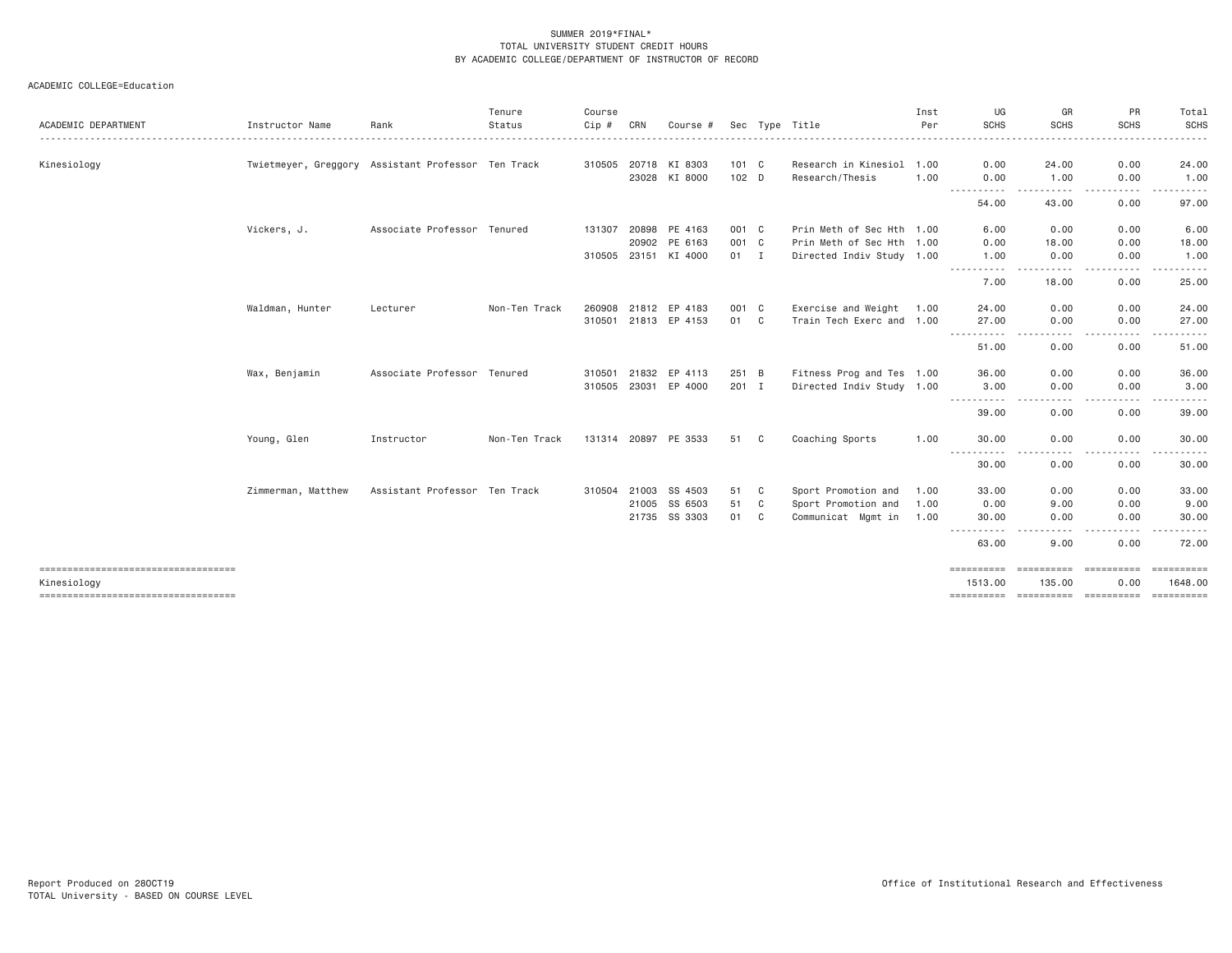| ACADEMIC DEPARTMENT                                 | Instructor Name                                    | Rank                          | Tenure<br>Status | Course<br>$Cip$ # | CRN   | Course #             |               |              | Sec Type Title            | Inst<br>Per | UG<br><b>SCHS</b> | GR<br><b>SCHS</b> | PR<br><b>SCHS</b>        | Total<br>SCHS   |
|-----------------------------------------------------|----------------------------------------------------|-------------------------------|------------------|-------------------|-------|----------------------|---------------|--------------|---------------------------|-------------|-------------------|-------------------|--------------------------|-----------------|
| Kinesiology                                         | Twietmeyer, Greggory Assistant Professor Ten Track |                               |                  |                   |       | 310505 20718 KI 8303 | 101 C         |              | Research in Kinesiol 1.00 |             | 0.00              | 24.00             | 0.00                     | 24.00           |
|                                                     |                                                    |                               |                  |                   |       | 23028 KI 8000        | 102 D         |              | Research/Thesis           | 1.00        | 0.00<br>.         | 1.00              | 0.00<br>.                | 1.00            |
|                                                     |                                                    |                               |                  |                   |       |                      |               |              |                           |             | 54.00             | 43.00             | 0.00                     | 97.00           |
|                                                     | Vickers, J.                                        | Associate Professor Tenured   |                  | 131307            | 20898 | PE 4163              | 001 C         |              | Prin Meth of Sec Hth 1.00 |             | 6.00              | 0.00              | 0.00                     | 6.00            |
|                                                     |                                                    |                               |                  |                   | 20902 | PE 6163              | 001 C         |              | Prin Meth of Sec Hth 1.00 |             | 0.00              | 18.00             | 0.00                     | 18.00           |
|                                                     |                                                    |                               |                  | 310505 23151      |       | KI 4000              | $01$ I        |              | Directed Indiv Study 1.00 |             | 1.00<br>.         | 0.00<br>.         | 0.00<br>-----<br>$- - -$ | 1.00            |
|                                                     |                                                    |                               |                  |                   |       |                      |               |              |                           |             | 7.00              | 18.00             | 0.00                     | 25.00           |
|                                                     | Waldman, Hunter                                    | Lecturer                      | Non-Ten Track    |                   |       | 260908 21812 EP 4183 | 001 C         |              | Exercise and Weight 1.00  |             | 24.00             | 0.00              | 0.00                     | 24.00           |
|                                                     |                                                    |                               |                  |                   |       | 310501 21813 EP 4153 | 01            | $\mathbf{C}$ | Train Tech Exerc and 1.00 |             | 27.00             | 0.00              | 0.00                     | 27.00           |
|                                                     |                                                    |                               |                  |                   |       |                      |               |              |                           |             | .<br>51.00        | .<br>0.00         | .<br>0.00                | .<br>51.00      |
|                                                     | Wax, Benjamin                                      | Associate Professor Tenured   |                  |                   |       | 310501 21832 EP 4113 | 251 B         |              | Fitness Prog and Tes 1.00 |             | 36.00             | 0.00              | 0.00                     | 36.00           |
|                                                     |                                                    |                               |                  |                   |       | 310505 23031 EP 4000 | $201 \quad I$ |              | Directed Indiv Study 1.00 |             | 3.00              | 0.00              | 0.00                     | 3.00            |
|                                                     |                                                    |                               |                  |                   |       |                      |               |              |                           |             | -----<br>39.00    | .<br>0.00         | . <u>.</u> .<br>0.00     | .<br>39.00      |
|                                                     | Young, Glen                                        | Instructor                    | Non-Ten Track    |                   |       | 131314 20897 PE 3533 | 51 C          |              | Coaching Sports           | 1.00        | 30.00             | 0.00              | 0.00                     | 30.00           |
|                                                     |                                                    |                               |                  |                   |       |                      |               |              |                           |             | .<br>30.00        | .<br>0.00         | .<br>0.00                | ------<br>30.00 |
|                                                     | Zimmerman, Matthew                                 | Assistant Professor Ten Track |                  |                   |       | 310504 21003 SS 4503 | 51            | C            | Sport Promotion and       | 1.00        | 33.00             | 0.00              | 0.00                     | 33.00           |
|                                                     |                                                    |                               |                  |                   |       | 21005 SS 6503        | 51            | C            | Sport Promotion and       | 1.00        | 0.00              | 9.00              | 0.00                     | 9.00            |
|                                                     |                                                    |                               |                  |                   |       | 21735 SS 3303        | 01            | C            | Communicat Mgmt in        | 1.00        | 30,00             | 0.00              | 0.00                     | 30,00           |
|                                                     |                                                    |                               |                  |                   |       |                      |               |              |                           |             | .<br>63.00        | - - - -<br>9.00   | .<br>0.00                | .<br>72.00      |
| ======================================              |                                                    |                               |                  |                   |       |                      |               |              |                           |             | ==========        | eessessess        | - SSSSSSSSSSS            | ==========      |
| Kinesiology<br>==================================== |                                                    |                               |                  |                   |       |                      |               |              |                           |             | 1513.00           | 135.00            | 0.00                     | 1648,00         |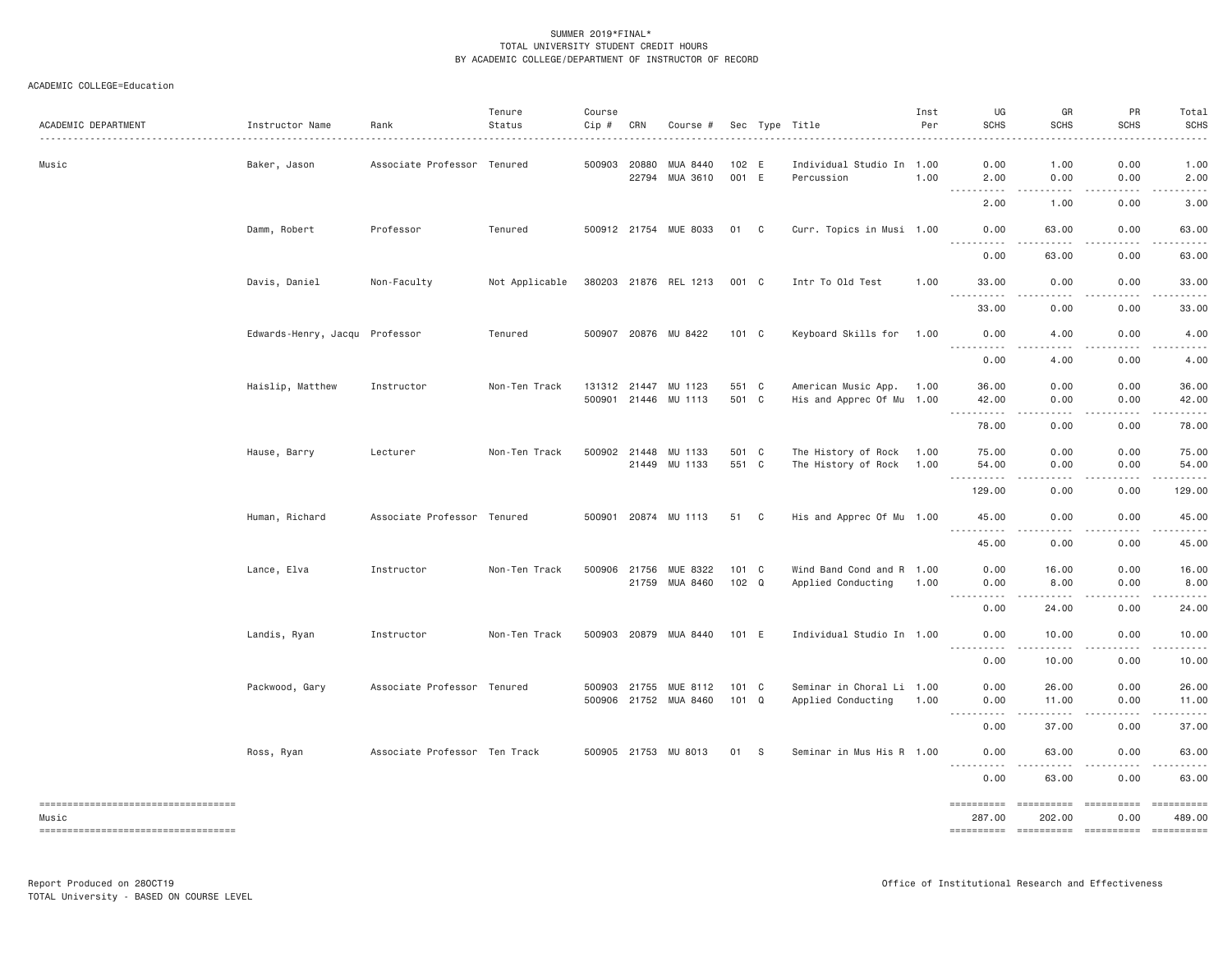| ACADEMIC DEPARTMENT                         | Instructor Name                | Rank                          | Tenure<br>Status | Course<br>Cip # | CRN          | Course #                                |                | Sec Type Title                                  | Inst<br>Per | UG<br><b>SCHS</b>                                                                                           | GR<br><b>SCHS</b>                                                                                                                                            | PR<br><b>SCHS</b>   | Total<br><b>SCHS</b>                                                                                                                                                                                                                                                                                                                                                                                                                   |
|---------------------------------------------|--------------------------------|-------------------------------|------------------|-----------------|--------------|-----------------------------------------|----------------|-------------------------------------------------|-------------|-------------------------------------------------------------------------------------------------------------|--------------------------------------------------------------------------------------------------------------------------------------------------------------|---------------------|----------------------------------------------------------------------------------------------------------------------------------------------------------------------------------------------------------------------------------------------------------------------------------------------------------------------------------------------------------------------------------------------------------------------------------------|
| Music                                       | Baker, Jason                   | Associate Professor Tenured   |                  |                 | 500903 20880 | MUA 8440<br>22794 MUA 3610              | 102 E<br>001 E | Individual Studio In 1.00<br>Percussion         | 1.00        | 0.00<br>2.00                                                                                                | 1.00<br>0.00                                                                                                                                                 | 0.00<br>0.00        | 1.00<br>2.00                                                                                                                                                                                                                                                                                                                                                                                                                           |
|                                             |                                |                               |                  |                 |              |                                         |                |                                                 |             | .<br>$\frac{1}{2} \left( \frac{1}{2} \right) \left( \frac{1}{2} \right) \left( \frac{1}{2} \right)$<br>2.00 | .<br>1.00                                                                                                                                                    | $- - - - -$<br>0.00 | .<br>3.00                                                                                                                                                                                                                                                                                                                                                                                                                              |
|                                             | Damm, Robert                   | Professor                     | Tenured          |                 |              | 500912 21754 MUE 8033                   | 01 C           | Curr. Topics in Musi 1.00                       |             | 0.00                                                                                                        | 63.00                                                                                                                                                        | 0.00                | 63.00                                                                                                                                                                                                                                                                                                                                                                                                                                  |
|                                             |                                |                               |                  |                 |              |                                         |                |                                                 |             | <u>.</u><br>0.00                                                                                            | $- - - - - -$<br>63.00                                                                                                                                       | .<br>0.00           | .<br>63.00                                                                                                                                                                                                                                                                                                                                                                                                                             |
|                                             | Davis, Daniel                  | Non-Faculty                   | Not Applicable   |                 |              | 380203 21876 REL 1213                   | 001 C          | Intr To Old Test                                | 1.00        | 33.00                                                                                                       | 0.00                                                                                                                                                         | 0.00                | 33.00                                                                                                                                                                                                                                                                                                                                                                                                                                  |
|                                             |                                |                               |                  |                 |              |                                         |                |                                                 |             | <u>.</u><br>33.00                                                                                           | 0.00                                                                                                                                                         | 0.00                | 33.00                                                                                                                                                                                                                                                                                                                                                                                                                                  |
|                                             | Edwards-Henry, Jacqu Professor |                               | Tenured          |                 |              | 500907 20876 MU 8422                    | 101 C          | Keyboard Skills for 1.00                        |             | 0.00                                                                                                        | 4.00                                                                                                                                                         | 0.00                | 4.00                                                                                                                                                                                                                                                                                                                                                                                                                                   |
|                                             |                                |                               |                  |                 |              |                                         |                |                                                 |             | $- - - - -$<br>0.00                                                                                         | .<br>4.00                                                                                                                                                    | 0.00                | 4.00                                                                                                                                                                                                                                                                                                                                                                                                                                   |
|                                             | Haislip, Matthew               | Instructor                    | Non-Ten Track    |                 |              | 131312 21447 MU 1123                    | 551 C          | American Music App.                             | 1.00        | 36.00                                                                                                       | 0.00                                                                                                                                                         | 0.00                | 36.00                                                                                                                                                                                                                                                                                                                                                                                                                                  |
|                                             |                                |                               |                  |                 |              | 500901 21446 MU 1113                    | 501 C          | His and Apprec Of Mu 1.00                       |             | 42.00<br>. <b>.</b>                                                                                         | 0.00                                                                                                                                                         | 0.00                | 42.00                                                                                                                                                                                                                                                                                                                                                                                                                                  |
|                                             |                                |                               |                  |                 |              |                                         |                |                                                 |             | 78.00                                                                                                       | 0.00                                                                                                                                                         | 0.00                | 78.00                                                                                                                                                                                                                                                                                                                                                                                                                                  |
|                                             | Hause, Barry                   | Lecturer                      | Non-Ten Track    |                 |              | 500902 21448 MU 1133<br>21449 MU 1133   | 501 C<br>551 C | The History of Rock<br>The History of Rock 1.00 | 1.00        | 75.00<br>54.00                                                                                              | 0.00<br>0.00                                                                                                                                                 | 0.00<br>0.00        | 75.00<br>54.00                                                                                                                                                                                                                                                                                                                                                                                                                         |
|                                             |                                |                               |                  |                 |              |                                         |                |                                                 |             | . <b>.</b><br>129.00                                                                                        | $\frac{1}{2} \left( \frac{1}{2} \right) \left( \frac{1}{2} \right) \left( \frac{1}{2} \right) \left( \frac{1}{2} \right) \left( \frac{1}{2} \right)$<br>0.00 | -----<br>0.00       | .<br>129.00                                                                                                                                                                                                                                                                                                                                                                                                                            |
|                                             | Human, Richard                 | Associate Professor Tenured   |                  |                 |              | 500901 20874 MU 1113                    | 51 C           | His and Apprec Of Mu 1.00                       |             | 45.00                                                                                                       | 0.00                                                                                                                                                         | 0.00                | 45.00                                                                                                                                                                                                                                                                                                                                                                                                                                  |
|                                             |                                |                               |                  |                 |              |                                         |                |                                                 |             | <u>.</u><br>45.00                                                                                           | .<br>0.00                                                                                                                                                    | -----<br>0.00       | .<br>45.00                                                                                                                                                                                                                                                                                                                                                                                                                             |
|                                             |                                |                               |                  |                 |              |                                         |                |                                                 |             |                                                                                                             |                                                                                                                                                              |                     |                                                                                                                                                                                                                                                                                                                                                                                                                                        |
|                                             | Lance, Elva                    | Instructor                    | Non-Ten Track    |                 |              | 500906 21756 MUE 8322<br>21759 MUA 8460 | 101 C<br>102 Q | Wind Band Cond and R 1.00<br>Applied Conducting | 1.00        | 0.00<br>0.00                                                                                                | 16.00<br>8.00                                                                                                                                                | 0.00<br>0.00        | 16.00<br>8.00                                                                                                                                                                                                                                                                                                                                                                                                                          |
|                                             |                                |                               |                  |                 |              |                                         |                |                                                 |             | .<br>0.00                                                                                                   | .<br>24.00                                                                                                                                                   | .<br>0.00           | .<br>24.00                                                                                                                                                                                                                                                                                                                                                                                                                             |
|                                             | Landis, Ryan                   | Instructor                    | Non-Ten Track    |                 |              | 500903 20879 MUA 8440                   | 101 E          | Individual Studio In 1.00                       |             | 0.00                                                                                                        | 10.00                                                                                                                                                        | 0.00                | 10.00                                                                                                                                                                                                                                                                                                                                                                                                                                  |
|                                             |                                |                               |                  |                 |              |                                         |                |                                                 |             | $- - - - -$<br>0.00                                                                                         | .<br>10.00                                                                                                                                                   | $- - - - -$<br>0.00 | .<br>10.00                                                                                                                                                                                                                                                                                                                                                                                                                             |
|                                             | Packwood, Gary                 | Associate Professor Tenured   |                  |                 |              | 500903 21755 MUE 8112                   | 101 C          | Seminar in Choral Li 1.00                       |             | 0.00                                                                                                        | 26.00                                                                                                                                                        | 0.00                | 26.00                                                                                                                                                                                                                                                                                                                                                                                                                                  |
|                                             |                                |                               |                  |                 |              | 500906 21752 MUA 8460                   | $101 \quad Q$  | Applied Conducting                              | 1.00        | 0.00<br>.<br>$- - - - -$                                                                                    | 11.00<br>.                                                                                                                                                   | 0.00                | 11.00                                                                                                                                                                                                                                                                                                                                                                                                                                  |
|                                             |                                |                               |                  |                 |              |                                         |                |                                                 |             | 0.00                                                                                                        | 37.00                                                                                                                                                        | 0.00                | 37.00                                                                                                                                                                                                                                                                                                                                                                                                                                  |
|                                             | Ross, Ryan                     | Associate Professor Ten Track |                  |                 |              | 500905 21753 MU 8013                    | 01 S           | Seminar in Mus His R 1.00                       |             | 0.00                                                                                                        | 63.00                                                                                                                                                        | 0.00                | 63.00                                                                                                                                                                                                                                                                                                                                                                                                                                  |
|                                             |                                |                               |                  |                 |              |                                         |                |                                                 |             | <u> - - - - - - - - - -</u><br>0.00                                                                         | 63.00                                                                                                                                                        | 0.00                | 63.00                                                                                                                                                                                                                                                                                                                                                                                                                                  |
| ====================================        |                                |                               |                  |                 |              |                                         |                |                                                 |             | ==========                                                                                                  | ======================                                                                                                                                       |                     |                                                                                                                                                                                                                                                                                                                                                                                                                                        |
| Music<br>---------------------------------- |                                |                               |                  |                 |              |                                         |                |                                                 |             | 287.00                                                                                                      | 202.00<br>---------- ---------- ---------                                                                                                                    | 0.00                | 489.00<br>$\begin{minipage}{0.9\linewidth} \hspace*{-0.2cm} \textbf{1} & \textbf{2} & \textbf{3} & \textbf{5} & \textbf{6} & \textbf{7} \\ \textbf{5} & \textbf{6} & \textbf{7} & \textbf{8} & \textbf{8} & \textbf{9} & \textbf{10} \\ \textbf{6} & \textbf{8} & \textbf{8} & \textbf{8} & \textbf{9} & \textbf{10} & \textbf{10} \\ \textbf{7} & \textbf{9} & \textbf{10} & \textbf{10} & \textbf{10} & \textbf{10} & \textbf{10} &$ |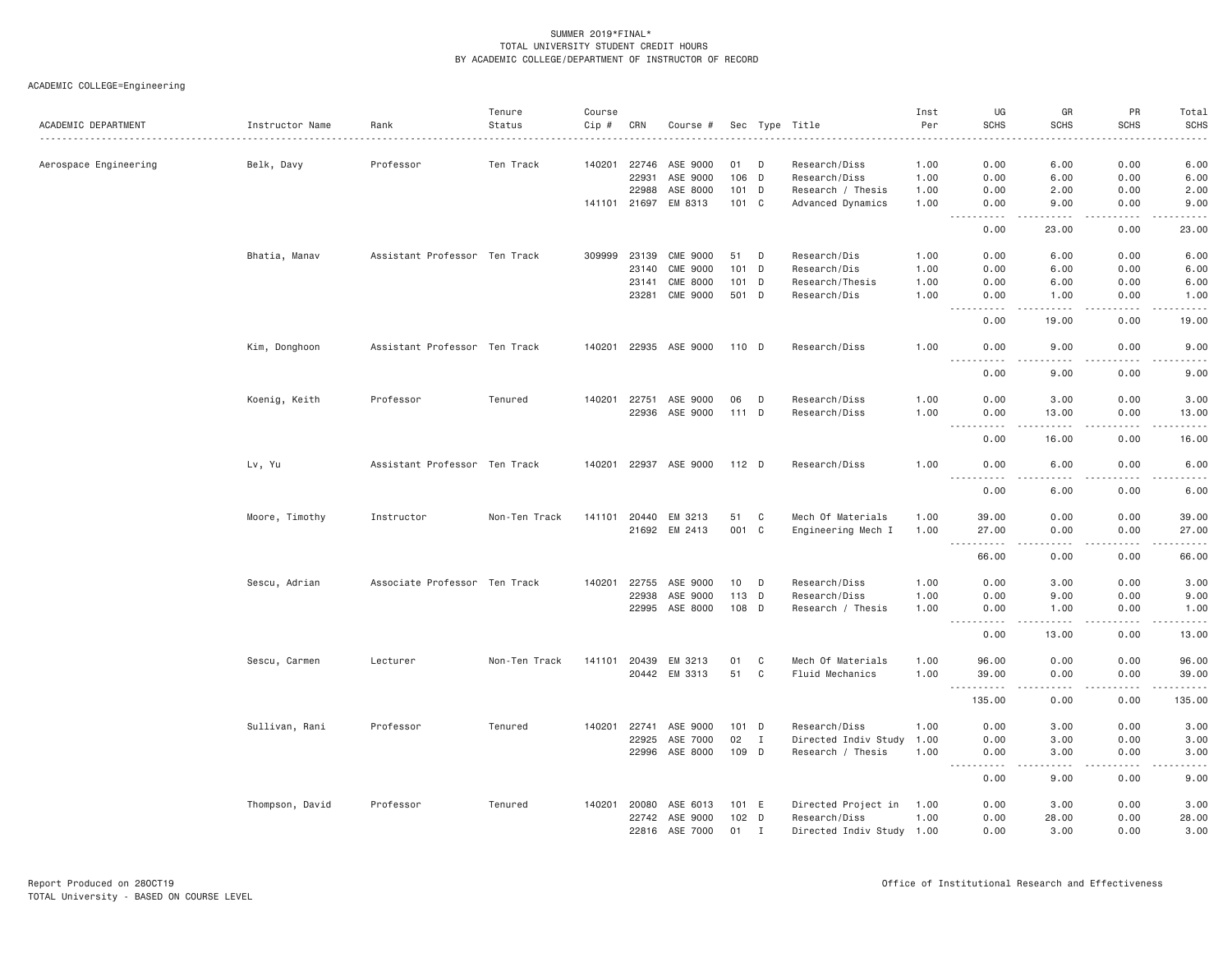|                       |                 |                               | Tenure        | Course       |       |                 |       |              |                           | Inst | UG                                                                                                                                                        | GR                                                                                                                                 | PR                           | Total                                                                                                                                                         |
|-----------------------|-----------------|-------------------------------|---------------|--------------|-------|-----------------|-------|--------------|---------------------------|------|-----------------------------------------------------------------------------------------------------------------------------------------------------------|------------------------------------------------------------------------------------------------------------------------------------|------------------------------|---------------------------------------------------------------------------------------------------------------------------------------------------------------|
| ACADEMIC DEPARTMENT   | Instructor Name | Rank                          | Status        | Cip #        | CRN   | Course #        |       |              | Sec Type Title            | Per  | <b>SCHS</b>                                                                                                                                               | <b>SCHS</b>                                                                                                                        | <b>SCHS</b>                  | <b>SCHS</b><br>$- - - - -$                                                                                                                                    |
| Aerospace Engineering | Belk, Davy      | Professor                     | Ten Track     | 140201       | 22746 | ASE 9000        | 01    | D            | Research/Diss             | 1.00 | 0.00                                                                                                                                                      | 6.00                                                                                                                               | 0.00                         | 6.00                                                                                                                                                          |
|                       |                 |                               |               |              | 22931 | ASE 9000        | 106 D |              | Research/Diss             | 1.00 | 0.00                                                                                                                                                      | 6.00                                                                                                                               | 0.00                         | 6.00                                                                                                                                                          |
|                       |                 |                               |               |              | 22988 | ASE 8000        | 101 D |              | Research / Thesis         | 1.00 | 0.00                                                                                                                                                      | 2.00                                                                                                                               | 0.00                         | 2.00                                                                                                                                                          |
|                       |                 |                               |               | 141101 21697 |       | EM 8313         | 101 C |              | Advanced Dynamics         | 1.00 | 0.00                                                                                                                                                      | 9.00                                                                                                                               | 0.00                         | 9.00                                                                                                                                                          |
|                       |                 |                               |               |              |       |                 |       |              |                           |      | $ -$<br>.<br>0.00                                                                                                                                         | 23.00                                                                                                                              | 0.00                         | $\frac{1}{2} \left( \frac{1}{2} \right) \left( \frac{1}{2} \right) \left( \frac{1}{2} \right) \left( \frac{1}{2} \right) \left( \frac{1}{2} \right)$<br>23.00 |
|                       |                 |                               |               |              |       |                 |       |              |                           |      |                                                                                                                                                           |                                                                                                                                    |                              |                                                                                                                                                               |
|                       | Bhatia, Manav   | Assistant Professor Ten Track |               | 309999       | 23139 | <b>CME 9000</b> | 51    | D            | Research/Dis              | 1.00 | 0.00                                                                                                                                                      | 6.00                                                                                                                               | 0.00                         | 6.00                                                                                                                                                          |
|                       |                 |                               |               |              | 23140 | <b>CME 9000</b> | 101 D |              | Research/Dis              | 1.00 | 0.00                                                                                                                                                      | 6.00                                                                                                                               | 0.00                         | 6.00                                                                                                                                                          |
|                       |                 |                               |               |              | 23141 | <b>CME 8000</b> | 101 D |              | Research/Thesis           | 1.00 | 0.00                                                                                                                                                      | 6.00                                                                                                                               | 0.00                         | 6.00                                                                                                                                                          |
|                       |                 |                               |               |              | 23281 | <b>CME 9000</b> | 501 D |              | Research/Dis              | 1.00 | 0.00<br>$\frac{1}{2} \left( \frac{1}{2} \right) \left( \frac{1}{2} \right) \left( \frac{1}{2} \right) \left( \frac{1}{2} \right)$                         | 1.00                                                                                                                               | 0.00<br>.                    | 1.00<br>-----                                                                                                                                                 |
|                       |                 |                               |               |              |       |                 |       |              |                           |      | 0.00                                                                                                                                                      | 19.00                                                                                                                              | 0.00                         | 19.00                                                                                                                                                         |
|                       | Kim, Donghoon   | Assistant Professor Ten Track |               | 140201       |       | 22935 ASE 9000  | 110 D |              | Research/Diss             | 1.00 | 0.00<br>.<br>$\frac{1}{2} \left( \frac{1}{2} \right) \left( \frac{1}{2} \right) \left( \frac{1}{2} \right) \left( \frac{1}{2} \right)$                    | 9.00<br>.                                                                                                                          | 0.00<br>.                    | 9.00<br>$\frac{1}{2} \left( \frac{1}{2} \right) \left( \frac{1}{2} \right) \left( \frac{1}{2} \right) \left( \frac{1}{2} \right) \left( \frac{1}{2} \right)$  |
|                       |                 |                               |               |              |       |                 |       |              |                           |      | 0.00                                                                                                                                                      | 9.00                                                                                                                               | 0.00                         | 9.00                                                                                                                                                          |
|                       | Koenig, Keith   | Professor                     | Tenured       | 140201       | 22751 | ASE 9000        | 06    | D            | Research/Diss             | 1.00 | 0.00                                                                                                                                                      | 3.00                                                                                                                               | 0.00                         | 3.00                                                                                                                                                          |
|                       |                 |                               |               |              | 22936 | ASE 9000        | 111 D |              | Research/Diss             | 1.00 | 0.00                                                                                                                                                      | 13.00                                                                                                                              | 0.00                         | 13.00                                                                                                                                                         |
|                       |                 |                               |               |              |       |                 |       |              |                           |      | $\sim$ $\sim$ $\sim$<br>$\frac{1}{2} \left( \frac{1}{2} \right) \left( \frac{1}{2} \right) \left( \frac{1}{2} \right) \left( \frac{1}{2} \right)$<br>0.00 | $\frac{1}{2} \left( \frac{1}{2} \right) \left( \frac{1}{2} \right) \left( \frac{1}{2} \right) \left( \frac{1}{2} \right)$<br>16.00 | $\sim$ $\sim$ $\sim$<br>0.00 | $\frac{1}{2} \left( \frac{1}{2} \right) \left( \frac{1}{2} \right) \left( \frac{1}{2} \right) \left( \frac{1}{2} \right) \left( \frac{1}{2} \right)$<br>16.00 |
|                       | Lv, Yu          | Assistant Professor Ten Track |               | 140201       |       | 22937 ASE 9000  | 112 D |              | Research/Diss             | 1.00 | 0.00                                                                                                                                                      | 6.00                                                                                                                               | 0.00                         | 6.00                                                                                                                                                          |
|                       |                 |                               |               |              |       |                 |       |              |                           |      | <u> - - - - - - - - - -</u><br>0.00                                                                                                                       | .<br>6.00                                                                                                                          | .<br>0.00                    | $\frac{1}{2} \left( \frac{1}{2} \right) \left( \frac{1}{2} \right) \left( \frac{1}{2} \right) \left( \frac{1}{2} \right) \left( \frac{1}{2} \right)$<br>6.00  |
|                       | Moore, Timothy  | Instructor                    | Non-Ten Track | 141101       | 20440 | EM 3213         | 51    | C            | Mech Of Materials         | 1,00 | 39,00                                                                                                                                                     | 0.00                                                                                                                               | 0.00                         | 39.00                                                                                                                                                         |
|                       |                 |                               |               |              |       | 21692 EM 2413   | 001 C |              | Engineering Mech I        | 1.00 | 27.00                                                                                                                                                     | 0.00                                                                                                                               | 0.00                         | 27.00                                                                                                                                                         |
|                       |                 |                               |               |              |       |                 |       |              |                           |      | .<br>$\sim 100$ km s $^{-1}$                                                                                                                              | $\frac{1}{2}$                                                                                                                      | .                            | .                                                                                                                                                             |
|                       |                 |                               |               |              |       |                 |       |              |                           |      | 66.00                                                                                                                                                     | 0.00                                                                                                                               | 0.00                         | 66.00                                                                                                                                                         |
|                       | Sescu, Adrian   | Associate Professor Ten Track |               | 140201       | 22755 | ASE 9000        | 10 D  |              | Research/Diss             | 1.00 | 0.00                                                                                                                                                      | 3.00                                                                                                                               | 0.00                         | 3.00                                                                                                                                                          |
|                       |                 |                               |               |              | 22938 | ASE 9000        | 113 D |              | Research/Diss             | 1.00 | 0.00                                                                                                                                                      | 9.00                                                                                                                               | 0.00                         | 9.00                                                                                                                                                          |
|                       |                 |                               |               |              | 22995 | ASE 8000        | 108 D |              | Research / Thesis         | 1.00 | 0.00                                                                                                                                                      | 1.00                                                                                                                               | 0.00                         | 1.00                                                                                                                                                          |
|                       |                 |                               |               |              |       |                 |       |              |                           |      | .<br>$- - -$<br>0.00                                                                                                                                      | <u>.</u><br>13.00                                                                                                                  | .<br>0.00                    | . <u>.</u><br>13.00                                                                                                                                           |
|                       | Sescu, Carmen   |                               | Non-Ten Track | 141101       | 20439 | EM 3213         | 01    | C            | Mech Of Materials         | 1.00 | 96.00                                                                                                                                                     | 0.00                                                                                                                               | 0.00                         | 96.00                                                                                                                                                         |
|                       |                 | Lecturer                      |               |              | 20442 | EM 3313         | 51    | C            | Fluid Mechanics           | 1.00 | 39.00                                                                                                                                                     | 0.00                                                                                                                               | 0.00                         | 39.00                                                                                                                                                         |
|                       |                 |                               |               |              |       |                 |       |              |                           |      | $\sim$ $\sim$ $\sim$<br>.<br>135.00                                                                                                                       | $\frac{1}{2} \left( \frac{1}{2} \right) \left( \frac{1}{2} \right) \left( \frac{1}{2} \right) \left( \frac{1}{2} \right)$<br>0.00  | .<br>0.00                    | .<br>135.00                                                                                                                                                   |
|                       |                 |                               |               |              |       |                 |       |              |                           |      |                                                                                                                                                           |                                                                                                                                    |                              |                                                                                                                                                               |
|                       | Sullivan, Rani  | Professor                     | Tenured       | 140201       | 22741 | ASE 9000        | 101 D |              | Research/Diss             | 1.00 | 0.00                                                                                                                                                      | 3.00                                                                                                                               | 0.00                         | 3.00                                                                                                                                                          |
|                       |                 |                               |               |              | 22925 | ASE 7000        | 02    | $\mathbf{I}$ | Directed Indiv Study      | 1.00 | 0.00                                                                                                                                                      | 3.00                                                                                                                               | 0.00                         | 3.00                                                                                                                                                          |
|                       |                 |                               |               |              | 22996 | ASE 8000        | 109 D |              | Research / Thesis         | 1.00 | 0.00                                                                                                                                                      | 3.00                                                                                                                               | 0.00                         | 3.00<br>.                                                                                                                                                     |
|                       |                 |                               |               |              |       |                 |       |              |                           |      | 0.00                                                                                                                                                      | 9.00                                                                                                                               | 0.00                         | 9.00                                                                                                                                                          |
|                       | Thompson, David | Professor                     | Tenured       | 140201       | 20080 | ASE 6013        | 101 E |              | Directed Project in       | 1.00 | 0.00                                                                                                                                                      | 3.00                                                                                                                               | 0.00                         | 3.00                                                                                                                                                          |
|                       |                 |                               |               |              | 22742 | ASE 9000        | 102 D |              | Research/Diss             | 1.00 | 0.00                                                                                                                                                      | 28.00                                                                                                                              | 0.00                         | 28.00                                                                                                                                                         |
|                       |                 |                               |               |              | 22816 | ASE 7000        | 01    | I            | Directed Indiv Study 1.00 |      | 0.00                                                                                                                                                      | 3.00                                                                                                                               | 0.00                         | 3.00                                                                                                                                                          |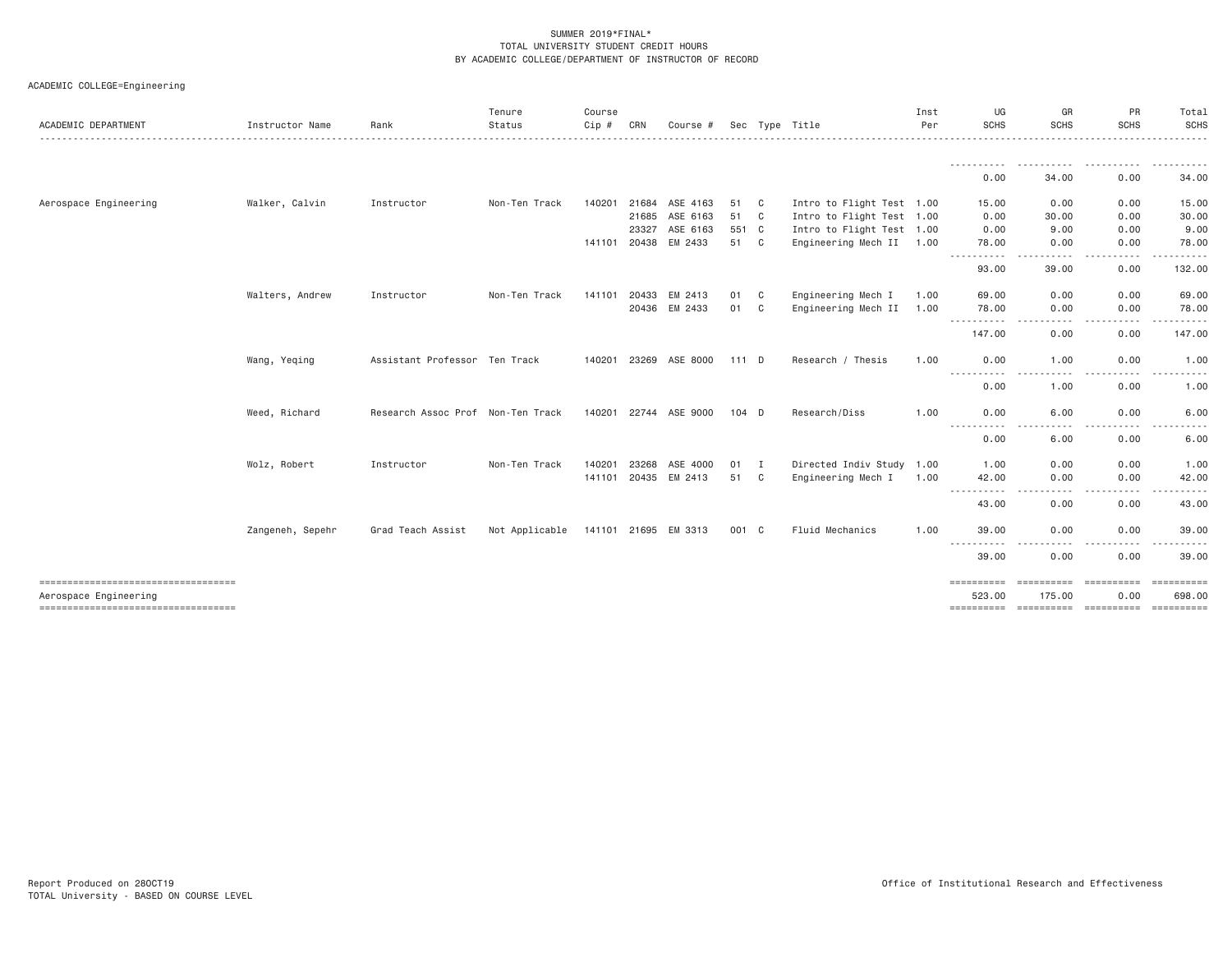| ACADEMIC DEPARTMENT                                         | Instructor Name  | Rank                              | Tenure<br>Status | Course<br>Cip # | CRN            | Course #                 |               |                              | Sec Type Title                                         | Inst<br>Per  | UG<br>SCHS                                                                                                                             | GR<br><b>SCHS</b>          | PR<br><b>SCHS</b>  | Total<br>SCHS<br>.            |
|-------------------------------------------------------------|------------------|-----------------------------------|------------------|-----------------|----------------|--------------------------|---------------|------------------------------|--------------------------------------------------------|--------------|----------------------------------------------------------------------------------------------------------------------------------------|----------------------------|--------------------|-------------------------------|
|                                                             |                  |                                   |                  |                 |                |                          |               |                              |                                                        |              | -----------<br>0.00                                                                                                                    | -----------<br>34.00       | .<br>0.00          | <u>.</u><br>34.00             |
| Aerospace Engineering                                       | Walker, Calvin   | Instructor                        | Non-Ten Track    | 140201          | 21684<br>21685 | ASE 4163<br>ASE 6163     | 51<br>51      | $\mathbf{C}$<br>$\mathbf{C}$ | Intro to Flight Test 1.00<br>Intro to Flight Test 1.00 |              | 15.00<br>0.00                                                                                                                          | 0.00<br>30.00              | 0.00<br>0.00       | 15.00<br>30.00                |
|                                                             |                  |                                   |                  | 141101 20438    | 23327          | ASE 6163<br>EM 2433      | 551 C<br>51 C |                              | Intro to Flight Test 1.00<br>Engineering Mech II 1.00  |              | 0.00<br>78,00                                                                                                                          | 9.00<br>0.00               | 0.00<br>0.00       | 9.00<br>78.00                 |
|                                                             |                  |                                   |                  |                 |                |                          |               |                              |                                                        |              | .<br>93.00                                                                                                                             | .<br>39.00                 | .<br>0.00          | .<br>132.00                   |
|                                                             | Walters, Andrew  | Instructor                        | Non-Ten Track    | 141101          | 20433          | EM 2413<br>20436 EM 2433 | 01<br>01      | C<br>C                       | Engineering Mech I<br>Engineering Mech II              | 1.00<br>1.00 | 69.00<br>78.00<br>.                                                                                                                    | 0.00<br>0.00<br>. <u>.</u> | 0.00<br>0.00<br>.  | 69.00<br>78.00<br>- - - - - - |
|                                                             |                  |                                   |                  |                 |                |                          |               |                              |                                                        |              | 147.00                                                                                                                                 | 0.00                       | 0.00               | 147.00                        |
|                                                             | Wang, Yeqing     | Assistant Professor Ten Track     |                  |                 |                | 140201 23269 ASE 8000    | 111 D         |                              | Research / Thesis                                      | 1.00         | 0.00<br>-----------                                                                                                                    | 1.00<br>----               | 0.00               | 1.00                          |
|                                                             |                  |                                   |                  |                 |                |                          |               |                              |                                                        |              | 0.00                                                                                                                                   | 1.00                       | 0.00               | 1.00                          |
|                                                             | Weed, Richard    | Research Assoc Prof Non-Ten Track |                  |                 | 140201 22744   | ASE 9000                 | $104$ D       |                              | Research/Diss                                          | 1.00         | 0.00<br>$\frac{1}{2} \left( \frac{1}{2} \right) \left( \frac{1}{2} \right) \left( \frac{1}{2} \right) \left( \frac{1}{2} \right)$<br>. | 6.00                       | 0.00               | 6.00                          |
|                                                             | Wolz, Robert     | Instructor                        | Non-Ten Track    | 140201          | 23268          | ASE 4000                 | 01            | <b>I</b>                     | Directed Indiv Study 1.00                              |              | 0.00<br>1.00                                                                                                                           | 6.00<br>0.00               | 0.00<br>0.00       | 6.00<br>1.00                  |
|                                                             |                  |                                   |                  |                 |                | 141101 20435 EM 2413     | 51            | C.                           | Engineering Mech I                                     | 1.00         | 42.00<br>----------                                                                                                                    | 0.00<br>$\frac{1}{2}$<br>. | 0.00<br>-----      | 42.00<br>.                    |
|                                                             |                  |                                   |                  |                 |                |                          |               |                              |                                                        |              | 43.00                                                                                                                                  | 0.00                       | 0.00               | 43.00                         |
|                                                             | Zangeneh, Sepehr | Grad Teach Assist                 | Not Applicable   |                 |                | 141101 21695 EM 3313     | 001 C         |                              | Fluid Mechanics                                        | 1.00         | 39.00<br>$\frac{1}{2} \left( \frac{1}{2} \right) \left( \frac{1}{2} \right) \left( \frac{1}{2} \right) \left( \frac{1}{2} \right)$     | 0.00                       | 0.00               | 39.00                         |
|                                                             |                  |                                   |                  |                 |                |                          |               |                              |                                                        |              | 39.00                                                                                                                                  | 0.00                       | 0.00               | 39.00                         |
| ----------------------------------<br>Aerospace Engineering |                  |                                   |                  |                 |                |                          |               |                              |                                                        |              | ==========<br>523,00                                                                                                                   | ==========<br>175.00       | ==========<br>0.00 | 698,00<br><b>Expressed</b>    |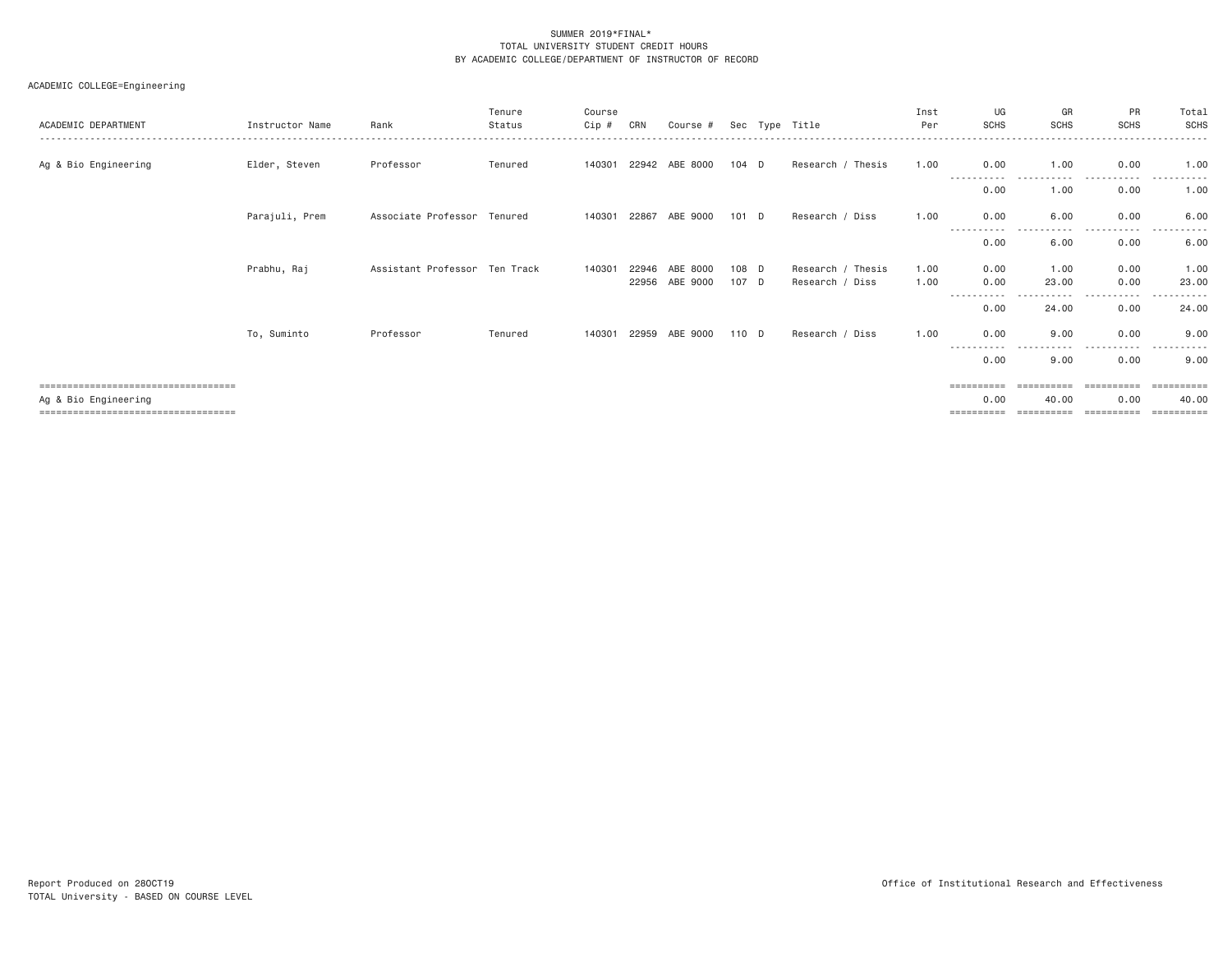| ACADEMIC DEPARTMENT                                          | Instructor Name | Rank                          | Tenure<br>Status | Course<br>Cip # | CRN            | Course #              |                | Sec Type Title                       | Inst<br>Per  | UG<br><b>SCHS</b>     | GR<br><b>SCHS</b>   | PR<br><b>SCHS</b>     | Total<br>SCHS       |
|--------------------------------------------------------------|-----------------|-------------------------------|------------------|-----------------|----------------|-----------------------|----------------|--------------------------------------|--------------|-----------------------|---------------------|-----------------------|---------------------|
| Ag & Bio Engineering                                         | Elder, Steven   | Professor                     | Tenured          |                 |                | 140301 22942 ABE 8000 | 104 D          | Research / Thesis                    | 1.00         | 0.00<br>----------    | 1.00                | 0.00<br>----          | 1.00                |
|                                                              |                 |                               |                  |                 |                |                       |                |                                      |              | 0.00                  | 1.00                | 0.00                  | 1.00                |
|                                                              | Parajuli, Prem  | Associate Professor Tenured   |                  | 140301          | 22867          | ABE 9000              | $101$ D        | Research / Diss                      | 1.00         | 0.00                  | 6.00                | 0.00<br>. <u>.</u> .  | 6.00                |
|                                                              |                 |                               |                  |                 |                |                       |                |                                      |              | 0.00                  | 6.00                | 0.00                  | 6.00                |
|                                                              | Prabhu, Raj     | Assistant Professor Ten Track |                  | 140301          | 22946<br>22956 | ABE 8000<br>ABE 9000  | 108 D<br>107 D | Research / Thesis<br>Research / Diss | 1.00<br>1.00 | 0.00<br>0.00          | 1,00<br>23.00       | 0.00<br>0.00          | 1.00<br>23.00       |
|                                                              |                 |                               |                  |                 |                |                       |                |                                      |              | 0.00                  | 24.00               | .<br>0.00             | 24.00               |
|                                                              | To, Suminto     | Professor                     | Tenured          | 140301          | 22959          | ABE 9000              | 110 D          | Research / Diss                      | 1.00         | 0.00                  | 9.00                | 0.00                  | 9.00                |
|                                                              |                 |                               |                  |                 |                |                       |                |                                      |              | $- - -$<br>0.00       | 9.00                | 0.00                  | 9.00                |
| ====================================                         |                 |                               |                  |                 |                |                       |                |                                      |              | $=$ = = = = = = = = = |                     | $=$ = = = = = = = = = | -----------         |
| Ag & Bio Engineering<br>==================================== |                 |                               |                  |                 |                |                       |                |                                      |              | 0.00<br>==========    | 40.00<br>========== | 0.00<br>==========    | 40.00<br>========== |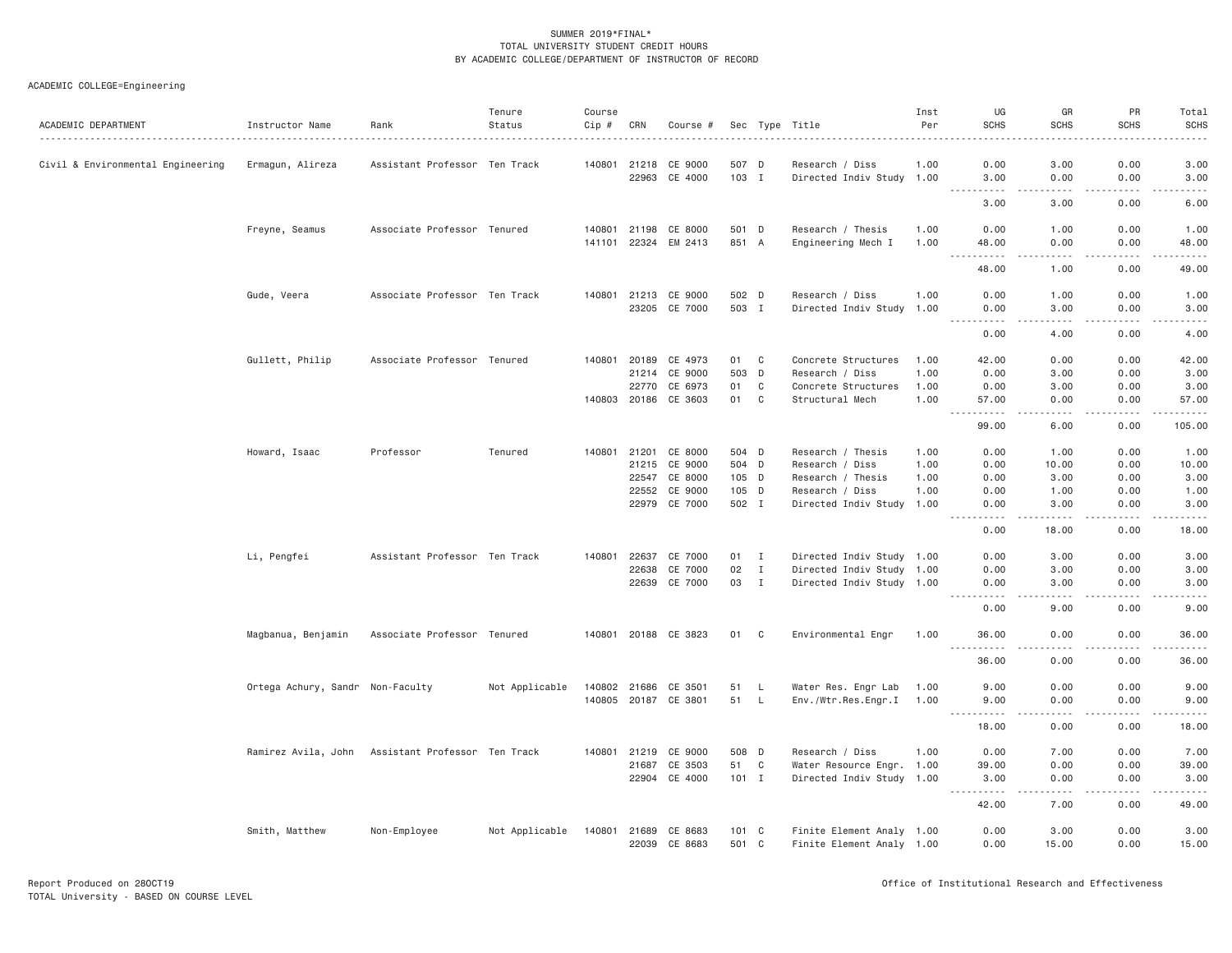| ACADEMIC DEPARTMENT               | Instructor Name                  | Rank                                              | Tenure<br>Status | Course<br>Cip # | CRN          | Course #             |               |                | Sec Type Title            | Inst<br>Per | UG<br><b>SCHS</b>                                                                                                                                             | GR<br><b>SCHS</b> | PR<br><b>SCHS</b> | Total<br><b>SCHS</b> |
|-----------------------------------|----------------------------------|---------------------------------------------------|------------------|-----------------|--------------|----------------------|---------------|----------------|---------------------------|-------------|---------------------------------------------------------------------------------------------------------------------------------------------------------------|-------------------|-------------------|----------------------|
| Civil & Environmental Engineering | Ermagun, Alireza                 | Assistant Professor Ten Track                     |                  |                 | 140801 21218 | CE 9000              | 507 D         |                | Research / Diss           | 1,00        | 0.00                                                                                                                                                          | 3.00              | 0.00              | 3.00                 |
|                                   |                                  |                                                   |                  |                 | 22963        | CE 4000              | 103 I         |                | Directed Indiv Study 1.00 |             | 3.00<br>.                                                                                                                                                     | 0.00<br>$- - - -$ | 0.00<br>.         | 3.00<br>$- - - - -$  |
|                                   |                                  |                                                   |                  |                 |              |                      |               |                |                           |             | 3.00                                                                                                                                                          | 3.00              | 0.00              | 6.00                 |
|                                   | Freyne, Seamus                   | Associate Professor Tenured                       |                  | 140801          | 21198        | CE 8000              | 501 D         |                | Research / Thesis         | 1.00        | 0.00                                                                                                                                                          | 1.00              | 0.00              | 1.00                 |
|                                   |                                  |                                                   |                  | 141101          | 22324        | EM 2413              | 851 A         |                | Engineering Mech I        | 1.00        | 48.00<br>.                                                                                                                                                    | 0.00<br>.         | 0.00<br>.         | 48.00<br>.           |
|                                   |                                  |                                                   |                  |                 |              |                      |               |                |                           |             | 48.00                                                                                                                                                         | 1.00              | 0.00              | 49.00                |
|                                   | Gude, Veera                      | Associate Professor Ten Track                     |                  |                 |              | 140801 21213 CE 9000 | 502 D         |                | Research / Diss           | 1.00        | 0.00                                                                                                                                                          | 1.00              | 0.00              | 1.00                 |
|                                   |                                  |                                                   |                  |                 |              | 23205 CE 7000        | 503 I         |                | Directed Indiv Study 1.00 |             | 0.00<br>----------                                                                                                                                            | 3.00<br>.         | 0.00<br>-----     | 3.00<br>.            |
|                                   |                                  |                                                   |                  |                 |              |                      |               |                |                           |             | 0.00                                                                                                                                                          | 4.00              | 0.00              | 4.00                 |
|                                   | Gullett, Philip                  | Associate Professor Tenured                       |                  | 140801          | 20189        | CE 4973              | 01            | C              | Concrete Structures       | 1.00        | 42.00                                                                                                                                                         | 0.00              | 0.00              | 42.00                |
|                                   |                                  |                                                   |                  |                 | 21214        | CE 9000              | 503 D         |                | Research / Diss           | 1.00        | 0.00                                                                                                                                                          | 3.00              | 0.00              | 3.00                 |
|                                   |                                  |                                                   |                  |                 | 22770        | CE 6973              | 01            | C              | Concrete Structures       | 1.00        | 0.00                                                                                                                                                          | 3.00              | 0.00              | 3.00                 |
|                                   |                                  |                                                   |                  |                 | 140803 20186 | CE 3603              | 01            | $\mathbf{C}$   | Structural Mech           | 1.00        | 57.00<br>$\frac{1}{2} \left( \frac{1}{2} \right) \left( \frac{1}{2} \right) \left( \frac{1}{2} \right) \left( \frac{1}{2} \right) \left( \frac{1}{2} \right)$ | 0.00<br>.         | 0.00<br>.         | 57.00<br>.           |
|                                   |                                  |                                                   |                  |                 |              |                      |               |                |                           |             | 99.00                                                                                                                                                         | 6.00              | 0.00              | 105.00               |
|                                   | Howard, Isaac                    | Professor                                         | Tenured          | 140801          | 21201        | CE 8000              | 504 D         |                | Research / Thesis         | 1.00        | 0.00                                                                                                                                                          | 1.00              | 0.00              | 1.00                 |
|                                   |                                  |                                                   |                  |                 | 21215        | CE 9000              | 504 D         |                | Research / Diss           | 1.00        | 0.00                                                                                                                                                          | 10.00             | 0.00              | 10.00                |
|                                   |                                  |                                                   |                  |                 | 22547        | CE 8000              | $105$ D       |                | Research / Thesis         | 1.00        | 0.00                                                                                                                                                          | 3.00              | 0.00              | 3.00                 |
|                                   |                                  |                                                   |                  |                 | 22552        | CE 9000              | 105 D         |                | Research / Diss           | 1.00        | 0.00                                                                                                                                                          | 1.00              | 0.00              | 1.00                 |
|                                   |                                  |                                                   |                  |                 | 22979        | CE 7000              | 502 I         |                | Directed Indiv Study      | 1.00        | 0.00<br>.                                                                                                                                                     | 3.00<br>.         | 0.00<br>.         | 3.00<br>.            |
|                                   |                                  |                                                   |                  |                 |              |                      |               |                |                           |             | 0.00                                                                                                                                                          | 18.00             | 0.00              | 18.00                |
|                                   | Li, Pengfei                      | Assistant Professor Ten Track                     |                  | 140801          | 22637        | CE 7000              | 01            | $\mathbf{I}$   | Directed Indiv Study 1.00 |             | 0.00                                                                                                                                                          | 3.00              | 0.00              | 3.00                 |
|                                   |                                  |                                                   |                  |                 | 22638        | CE 7000              | 02            | $\mathbf{I}$   | Directed Indiv Study 1.00 |             | 0.00                                                                                                                                                          | 3.00              | 0.00              | 3.00                 |
|                                   |                                  |                                                   |                  |                 | 22639        | CE 7000              | 03            | $\mathbf I$    | Directed Indiv Study 1.00 |             | 0.00<br>-----------                                                                                                                                           | 3.00<br>.         | 0.00<br>.         | 3.00<br>-----        |
|                                   |                                  |                                                   |                  |                 |              |                      |               |                |                           |             | 0.00                                                                                                                                                          | 9.00              | 0.00              | 9.00                 |
|                                   | Magbanua, Benjamin               | Associate Professor Tenured                       |                  |                 |              | 140801 20188 CE 3823 | 01            | C <sub>c</sub> | Environmental Engr        | 1.00        | 36.00                                                                                                                                                         | 0.00              | 0.00              | 36.00<br>.           |
|                                   |                                  |                                                   |                  |                 |              |                      |               |                |                           |             | 36.00                                                                                                                                                         | 0.00              | 0.00              | 36.00                |
|                                   | Ortega Achury, Sandr Non-Faculty |                                                   | Not Applicable   | 140802          | 21686        | CE 3501              | 51            | -L             | Water Res. Engr Lab       | 1.00        | 9.00                                                                                                                                                          | 0.00              | 0.00              | 9.00                 |
|                                   |                                  |                                                   |                  |                 |              | 140805 20187 CE 3801 | 51            | L              | Env./Wtr.Res.Engr.I       | 1.00        | 9.00<br>.                                                                                                                                                     | 0.00<br>د د د د   | 0.00<br>.         | 9.00<br>$   -$       |
|                                   |                                  |                                                   |                  |                 |              |                      |               |                |                           |             | 18.00                                                                                                                                                         | 0.00              | 0.00              | 18.00                |
|                                   |                                  | Ramirez Avila, John Assistant Professor Ten Track |                  | 140801          | 21219        | CE 9000              | 508 D         |                | Research / Diss           | 1.00        | 0.00                                                                                                                                                          | 7.00              | 0.00              | 7.00                 |
|                                   |                                  |                                                   |                  |                 | 21687        | CE 3503              | 51            | $\mathbf{C}$   | Water Resource Engr. 1.00 |             | 39.00                                                                                                                                                         | 0.00              | 0.00              | 39.00                |
|                                   |                                  |                                                   |                  |                 |              | 22904 CE 4000        | $101$ I       |                | Directed Indiv Study 1.00 |             | 3.00                                                                                                                                                          | 0.00              | 0.00              | 3.00                 |
|                                   |                                  |                                                   |                  |                 |              |                      |               |                |                           |             | . <u>.</u><br>42.00                                                                                                                                           | .<br>7.00         | .<br>0.00         | .<br>49.00           |
|                                   | Smith, Matthew                   | Non-Employee                                      | Not Applicable   | 140801          | 21689        | CE 8683              | $101 \quad C$ |                | Finite Element Analy 1.00 |             | 0.00                                                                                                                                                          | 3,00              | 0.00              | 3.00                 |
|                                   |                                  |                                                   |                  |                 | 22039        | CE 8683              | 501 C         |                | Finite Element Analy 1.00 |             | 0.00                                                                                                                                                          | 15.00             | 0.00              | 15.00                |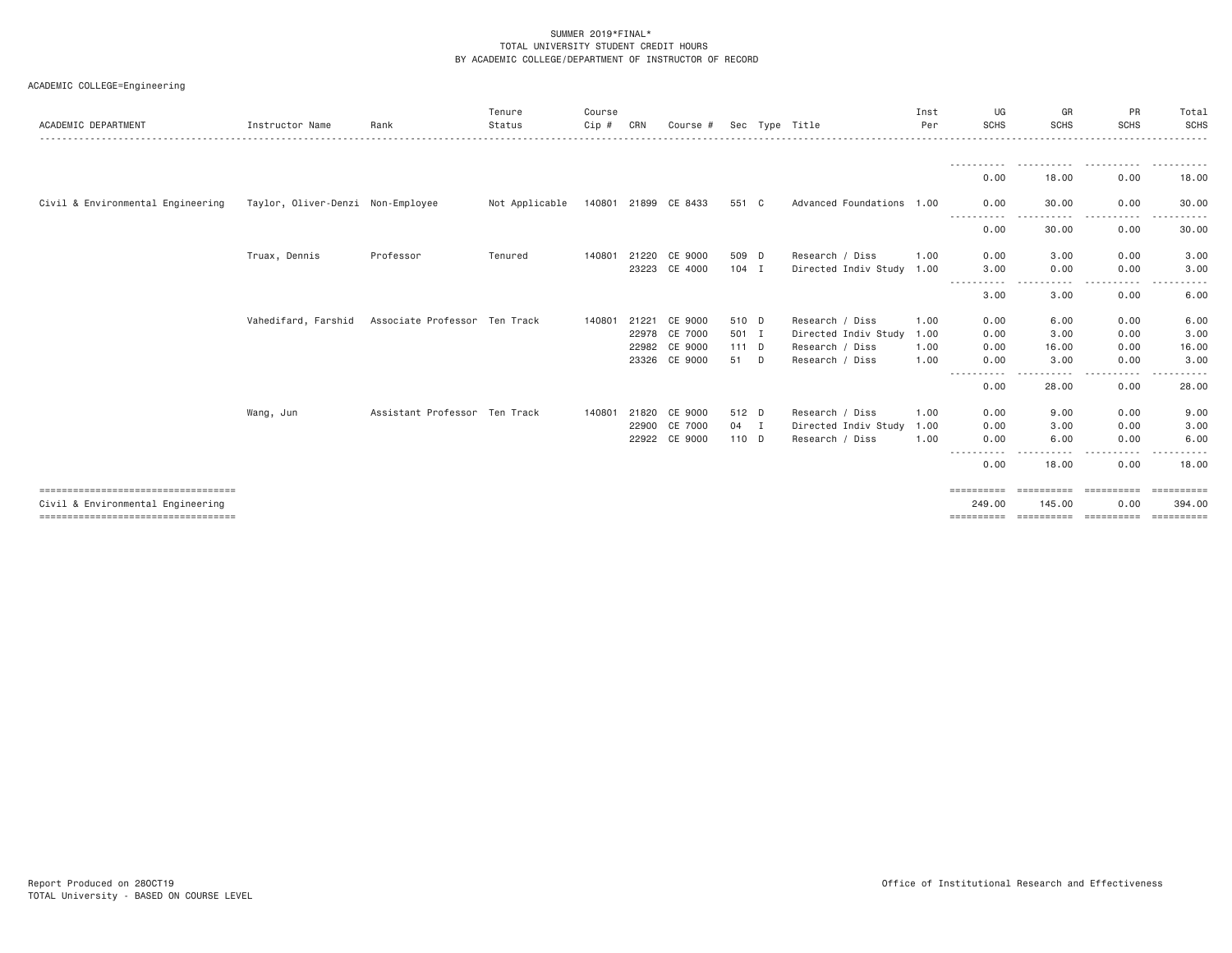| ACADEMIC COLLEGE=Engineering |  |  |  |
|------------------------------|--|--|--|
|------------------------------|--|--|--|

| ACADEMIC DEPARTMENT                                                       | Instructor Name                   | Rank                          | Tenure<br>Status | Course<br>Cip # | CRN   | Course #             |         |   | Sec Type Title            | Inst<br>Per | UG<br>SCHS           | GR<br><b>SCHS</b>                | PR<br><b>SCHS</b>        | Total<br><b>SCHS</b>       |
|---------------------------------------------------------------------------|-----------------------------------|-------------------------------|------------------|-----------------|-------|----------------------|---------|---|---------------------------|-------------|----------------------|----------------------------------|--------------------------|----------------------------|
|                                                                           |                                   |                               |                  |                 |       |                      |         |   |                           |             |                      |                                  |                          |                            |
|                                                                           |                                   |                               |                  |                 |       |                      |         |   |                           |             | 0.00                 | 18,00                            | 0.00                     | 18.00                      |
| Civil & Environmental Engineering                                         | Taylor, Oliver-Denzi Non-Employee |                               | Not Applicable   |                 |       | 140801 21899 CE 8433 | 551 C   |   | Advanced Foundations 1.00 |             | 0.00<br>-----------  | 30.00                            | 0.00<br>.                | 30.00                      |
|                                                                           |                                   |                               |                  |                 |       |                      |         |   |                           |             | 0.00                 | 30.00                            | 0.00                     | 30.00                      |
|                                                                           | Truax, Dennis                     | Professor                     | Tenured          | 140801          | 21220 | CE 9000              | 509 D   |   | Research / Diss           | 1,00        | 0.00                 | 3.00                             | 0.00                     | 3.00                       |
|                                                                           |                                   |                               |                  |                 |       | 23223 CE 4000        | $104$ I |   | Directed Indiv Study 1.00 |             | 3,00<br>-----------  | 0.00<br>.                        | 0.00                     | 3.00                       |
|                                                                           |                                   |                               |                  |                 |       |                      |         |   |                           |             | 3.00                 | 3.00                             | 0.00                     | 6.00                       |
|                                                                           | Vahedifard, Farshid               | Associate Professor Ten Track |                  | 140801          | 21221 | CE 9000              | 510 D   |   | Research / Diss           | 1.00        | 0.00                 | 6.00                             | 0.00                     | 6.00                       |
|                                                                           |                                   |                               |                  |                 |       | 22978 CE 7000        | 501 I   |   | Directed Indiv Study      | 1.00        | 0.00                 | 3.00                             | 0.00                     | 3.00                       |
|                                                                           |                                   |                               |                  |                 |       | 22982 CE 9000        | $111$ D |   | Research / Diss           | 1.00        | 0.00                 | 16.00                            | 0.00                     | 16.00                      |
|                                                                           |                                   |                               |                  |                 |       | 23326 CE 9000        | 51      | D | Research / Diss           | 1,00        | 0.00<br>----------   | 3,00<br>-----                    | 0.00<br>-----<br>$- - -$ | 3.00                       |
|                                                                           |                                   |                               |                  |                 |       |                      |         |   |                           |             | 0.00                 | 28.00                            | 0.00                     | 28.00                      |
|                                                                           | Wang, Jun                         | Assistant Professor Ten Track |                  | 140801          | 21820 | CE 9000              | 512 D   |   | Research / Diss           | 1.00        | 0.00                 | 9.00                             | 0.00                     | 9.00                       |
|                                                                           |                                   |                               |                  |                 |       | 22900 CE 7000        | 04 I    |   | Directed Indiv Study      | 1.00        | 0.00                 | 3.00                             | 0.00                     | 3.00                       |
|                                                                           |                                   |                               |                  |                 |       | 22922 CE 9000        | 110 D   |   | Research / Diss           | 1,00        | 0.00                 | 6.00                             | 0.00                     | 6.00                       |
|                                                                           |                                   |                               |                  |                 |       |                      |         |   |                           |             | 0.00                 | 18.00                            | 0.00                     | 18.00                      |
| ====================================<br>Civil & Environmental Engineering |                                   |                               |                  |                 |       |                      |         |   |                           |             | ==========<br>249.00 | ======================<br>145,00 | 0.00                     | <b>Expressed</b><br>394,00 |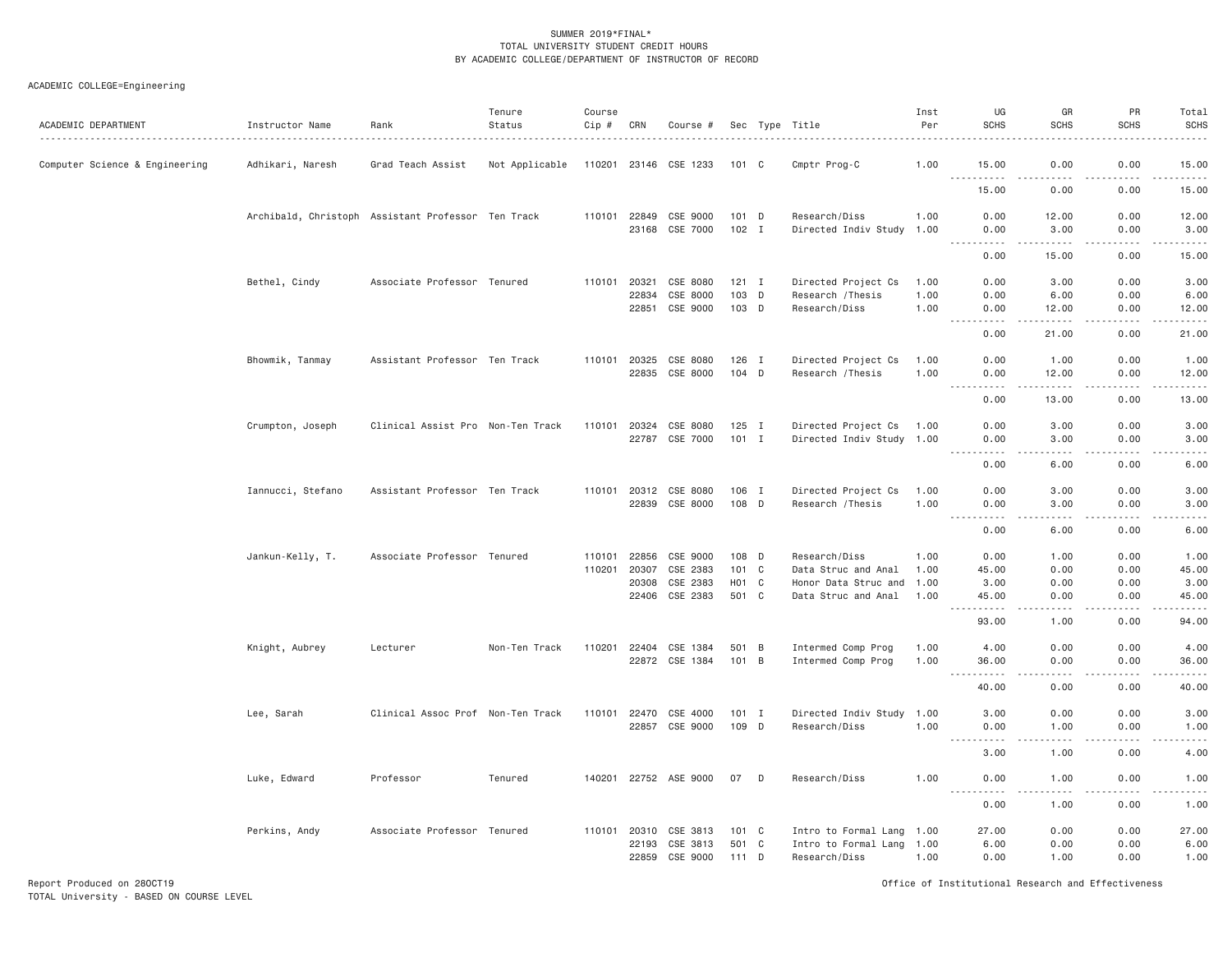| ACADEMIC DEPARTMENT            | Instructor Name   | Rank                                               | Tenure<br>Status | Course<br>Cip # | CRN                   | Course #                   |                   |   | Sec Type Title                                         | Inst<br>Per  | UG<br><b>SCHS</b>                      | GR<br><b>SCHS</b>                                                                                                                                            | PR<br><b>SCHS</b>      | Total<br><b>SCHS</b>  |
|--------------------------------|-------------------|----------------------------------------------------|------------------|-----------------|-----------------------|----------------------------|-------------------|---|--------------------------------------------------------|--------------|----------------------------------------|--------------------------------------------------------------------------------------------------------------------------------------------------------------|------------------------|-----------------------|
| Computer Science & Engineering | Adhikari, Naresh  | Grad Teach Assist                                  | Not Applicable   |                 |                       | 110201 23146 CSE 1233      | 101 C             |   | Cmptr Prog-C                                           | 1.00         | 15.00<br><u>.</u>                      | 0.00<br>$\frac{1}{2} \left( \frac{1}{2} \right) \left( \frac{1}{2} \right) \left( \frac{1}{2} \right) \left( \frac{1}{2} \right) \left( \frac{1}{2} \right)$ | 0.00<br>-----          | 15.00<br>.            |
|                                |                   |                                                    |                  |                 |                       |                            |                   |   |                                                        |              | 15.00                                  | 0.00                                                                                                                                                         | 0.00                   | 15.00                 |
|                                |                   | Archibald, Christoph Assistant Professor Ten Track |                  |                 |                       | 110101 22849 CSE 9000      | 101 D             |   | Research/Diss                                          | 1.00         | 0.00                                   | 12.00                                                                                                                                                        | 0.00                   | 12.00                 |
|                                |                   |                                                    |                  |                 |                       | 23168 CSE 7000             | $102$ I           |   | Directed Indiv Study                                   | 1.00         | 0.00<br>.<br>$  -$                     | 3.00<br>.                                                                                                                                                    | 0.00<br>$- - - - -$    | 3.00<br>.             |
|                                |                   |                                                    |                  |                 |                       |                            |                   |   |                                                        |              | 0.00                                   | 15.00                                                                                                                                                        | 0.00                   | 15.00                 |
|                                | Bethel, Cindy     | Associate Professor Tenured                        |                  |                 | 110101 20321          | CSE 8080                   | $121$ I           |   | Directed Project Cs                                    | 1.00         | 0.00                                   | 3.00                                                                                                                                                         | 0.00                   | 3.00                  |
|                                |                   |                                                    |                  |                 | 22834                 | CSE 8000<br>22851 CSE 9000 | 103<br>103 D      | D | Research / Thesis<br>Research/Diss                     | 1.00<br>1.00 | 0.00<br>0.00                           | 6.00<br>12.00                                                                                                                                                | 0.00<br>0.00           | 6.00<br>12.00         |
|                                |                   |                                                    |                  |                 |                       |                            |                   |   |                                                        |              | $\omega_{\rm{eff}}$<br>$2 - 2 - 2 - 2$ | .                                                                                                                                                            | .                      | .                     |
|                                |                   |                                                    |                  |                 |                       |                            |                   |   |                                                        |              | 0.00                                   | 21.00                                                                                                                                                        | 0.00                   | 21.00                 |
|                                | Bhowmik, Tanmay   | Assistant Professor Ten Track                      |                  |                 |                       | 110101 20325 CSE 8080      | $126$ I           |   | Directed Project Cs                                    | 1.00         | 0.00                                   | 1.00                                                                                                                                                         | 0.00                   | 1.00                  |
|                                |                   |                                                    |                  |                 |                       | 22835 CSE 8000             | 104 D             |   | Research / Thesis                                      | 1.00         | 0.00                                   | 12.00<br>.                                                                                                                                                   | 0.00<br>.              | 12.00<br>.            |
|                                |                   |                                                    |                  |                 |                       |                            |                   |   |                                                        |              | 0.00                                   | 13.00                                                                                                                                                        | 0.00                   | 13.00                 |
|                                | Crumpton, Joseph  | Clinical Assist Pro Non-Ten Track                  |                  |                 |                       | 110101 20324 CSE 8080      | $125$ I           |   | Directed Project Cs                                    | 1.00         | 0.00                                   | 3.00                                                                                                                                                         | 0.00                   | 3.00                  |
|                                |                   |                                                    |                  |                 |                       | 22787 CSE 7000             | $101$ I           |   | Directed Indiv Study 1.00                              |              | 0.00                                   | 3.00                                                                                                                                                         | 0.00                   | 3.00                  |
|                                |                   |                                                    |                  |                 |                       |                            |                   |   |                                                        |              | $\frac{1}{2}$<br>.<br>0.00             | .<br>6.00                                                                                                                                                    | .<br>0.00              | .<br>6.00             |
|                                | Iannucci, Stefano | Assistant Professor Ten Track                      |                  |                 |                       | 110101 20312 CSE 8080      | 106 I             |   | Directed Project Cs                                    | 1.00         | 0.00                                   | 3.00                                                                                                                                                         | 0.00                   | 3.00                  |
|                                |                   |                                                    |                  |                 |                       | 22839 CSE 8000             | 108 D             |   | Research / Thesis                                      | 1.00         | 0.00                                   | 3.00                                                                                                                                                         | 0.00                   | 3.00                  |
|                                |                   |                                                    |                  |                 |                       |                            |                   |   |                                                        |              | $\sim$ $\sim$<br>.<br>0.00             | $\frac{1}{2}$<br>6.00                                                                                                                                        | .<br>0.00              | -----<br>6.00         |
|                                |                   | Associate Professor Tenured                        |                  | 110101          | 22856                 | CSE 9000                   | 108 D             |   | Research/Diss                                          | 1.00         | 0.00                                   | 1.00                                                                                                                                                         | 0.00                   | 1.00                  |
|                                | Jankun-Kelly, T.  |                                                    |                  | 110201          | 20307                 | CSE 2383                   | $101 \quad C$     |   | Data Struc and Anal                                    | 1.00         | 45.00                                  | 0.00                                                                                                                                                         | 0.00                   | 45.00                 |
|                                |                   |                                                    |                  |                 | 20308                 | CSE 2383                   | H <sub>01</sub> C |   | Honor Data Struc and                                   | 1.00         | 3.00                                   | 0.00                                                                                                                                                         | 0.00                   | 3.00                  |
|                                |                   |                                                    |                  |                 | 22406                 | CSE 2383                   | 501 C             |   | Data Struc and Anal                                    | 1.00         | 45.00<br>.                             | 0.00<br>.                                                                                                                                                    | 0.00<br>$- - - - -$    | 45.00<br>.            |
|                                |                   |                                                    |                  |                 |                       |                            |                   |   |                                                        |              | 93.00                                  | 1.00                                                                                                                                                         | 0.00                   | 94.00                 |
|                                | Knight, Aubrey    | Lecturer                                           | Non-Ten Track    |                 |                       | 110201 22404 CSE 1384      | 501 B             |   | Intermed Comp Prog                                     | 1.00         | 4.00                                   | 0.00                                                                                                                                                         | 0.00                   | 4.00                  |
|                                |                   |                                                    |                  |                 |                       | 22872 CSE 1384             | 101 B             |   | Intermed Comp Prog                                     | 1.00         | 36.00                                  | 0.00                                                                                                                                                         | 0.00                   | 36.00                 |
|                                |                   |                                                    |                  |                 |                       |                            |                   |   |                                                        |              | .<br>$\sim$ $\sim$ $\sim$<br>40.00     | .<br>0.00                                                                                                                                                    | . <sub>.</sub><br>0.00 | .<br>40.00            |
|                                | Lee, Sarah        | Clinical Assoc Prof Non-Ten Track                  |                  | 110101          | 22470                 | CSE 4000                   | $101$ I           |   | Directed Indiv Study                                   | 1.00         | 3.00                                   | 0.00                                                                                                                                                         | 0.00                   | 3.00                  |
|                                |                   |                                                    |                  |                 |                       | 22857 CSE 9000             | 109 D             |   | Research/Diss                                          | 1.00         | 0.00                                   | 1.00                                                                                                                                                         | 0.00                   | 1.00                  |
|                                |                   |                                                    |                  |                 |                       |                            |                   |   |                                                        |              | $\sim$ $\sim$ $\sim$<br>.<br>3.00      | الدامات بالمنا<br>1.00                                                                                                                                       | -----<br>0.00          | .<br>4.00             |
|                                | Luke, Edward      | Professor                                          | Tenured          |                 |                       | 140201 22752 ASE 9000      | 07                | D | Research/Diss                                          | 1.00         | 0.00                                   | 1.00                                                                                                                                                         | 0.00                   | 1.00                  |
|                                |                   |                                                    |                  |                 |                       |                            |                   |   |                                                        |              | .<br>0.00                              | .<br>1.00                                                                                                                                                    | .<br>0.00              | $\frac{1}{2}$<br>1.00 |
|                                |                   |                                                    |                  |                 |                       |                            |                   |   |                                                        |              |                                        |                                                                                                                                                              |                        |                       |
|                                | Perkins, Andy     | Associate Professor Tenured                        |                  |                 | 110101 20310<br>22193 | CSE 3813<br>CSE 3813       | 101 C<br>501 C    |   | Intro to Formal Lang 1.00<br>Intro to Formal Lang 1.00 |              | 27.00<br>6.00                          | 0.00<br>0.00                                                                                                                                                 | 0.00<br>0.00           | 27.00<br>6.00         |
|                                |                   |                                                    |                  |                 | 22859                 | CSE 9000                   | 111 D             |   | Research/Diss                                          | 1.00         | 0.00                                   | 1.00                                                                                                                                                         | 0.00                   | 1.00                  |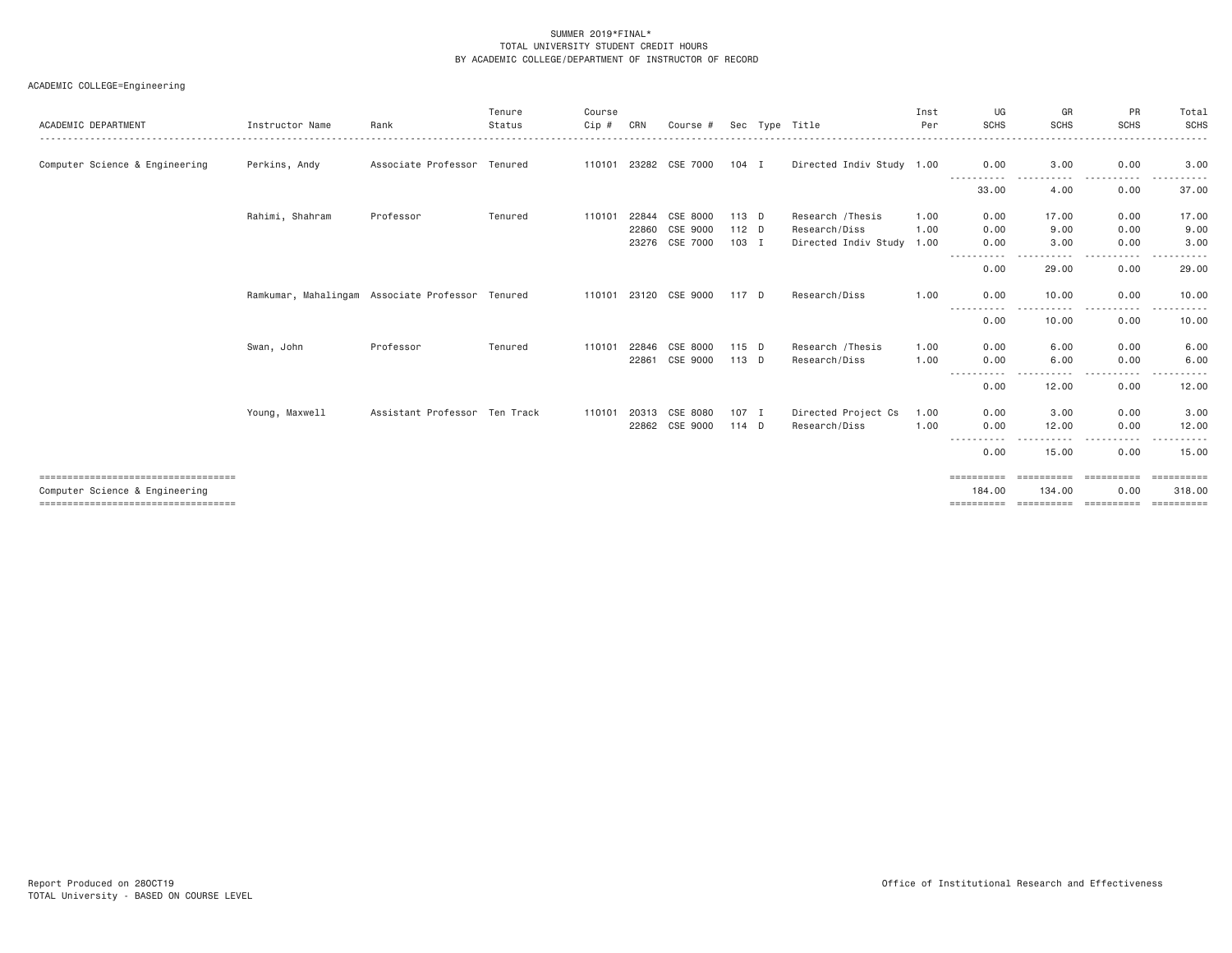| ACADEMIC DEPARTMENT                    | Instructor Name                                  | Rank                          | Tenure<br>Status | Course<br>Cip # | CRN   | Course #              |         | Sec Type Title            | Inst<br>Per | UG<br><b>SCHS</b>   | GR<br><b>SCHS</b>   | PR<br><b>SCHS</b>                                                                                                                            | Total<br><b>SCHS</b> |
|----------------------------------------|--------------------------------------------------|-------------------------------|------------------|-----------------|-------|-----------------------|---------|---------------------------|-------------|---------------------|---------------------|----------------------------------------------------------------------------------------------------------------------------------------------|----------------------|
| Computer Science & Engineering         | Perkins, Andy                                    | Associate Professor Tenured   |                  | 110101          | 23282 | CSE 7000              | $104$ I | Directed Indiv Study 1.00 |             | 0.00                | 3.00                | 0.00<br>. <u>.</u> .                                                                                                                         | 3.00                 |
|                                        |                                                  |                               |                  |                 |       |                       |         |                           |             | 33.00               | 4.00                | 0.00                                                                                                                                         | 37.00                |
|                                        | Rahimi, Shahram                                  | Professor                     | Tenured          | 110101          | 22844 | CSE 8000              | 113 D   | Research / Thesis         | 1.00        | 0.00                | 17.00               | 0.00                                                                                                                                         | 17.00                |
|                                        |                                                  |                               |                  |                 | 22860 | CSE 9000              | 112 D   | Research/Diss             | 1.00        | 0.00                | 9.00                | 0.00                                                                                                                                         | 9.00                 |
|                                        |                                                  |                               |                  |                 | 23276 | CSE 7000              | 103 I   | Directed Indiv Study 1.00 |             | 0.00<br>$- - - -$   | 3.00                | 0.00                                                                                                                                         | 3.00                 |
|                                        |                                                  |                               |                  |                 |       |                       |         |                           |             | 0.00                | 29.00               | 0.00                                                                                                                                         | 29.00                |
|                                        | Ramkumar, Mahalingam Associate Professor Tenured |                               |                  |                 |       | 110101 23120 CSE 9000 | 117 D   | Research/Diss             | 1.00        | 0.00<br>----------- | 10.00<br>.          | 0.00<br><u>.</u>                                                                                                                             | 10.00<br>.           |
|                                        |                                                  |                               |                  |                 |       |                       |         |                           |             | 0.00                | 10.00               | 0.00                                                                                                                                         | 10.00                |
|                                        | Swan, John                                       | Professor                     | Tenured          | 110101          | 22846 | CSE 8000              | $115$ D | Research / Thesis         | 1,00        | 0.00                | 6.00                | 0.00                                                                                                                                         | 6.00                 |
|                                        |                                                  |                               |                  |                 |       | 22861 CSE 9000        | 113 D   | Research/Diss             | 1.00        | 0.00                | 6.00                | 0.00                                                                                                                                         | 6.00                 |
|                                        |                                                  |                               |                  |                 |       |                       |         |                           |             | -----------<br>0.00 | .<br>12.00          | .<br>$\cdots$<br>0.00                                                                                                                        | .<br>12.00           |
|                                        | Young, Maxwell                                   | Assistant Professor Ten Track |                  | 110101          | 20313 | CSE 8080              | $107$ I | Directed Project Cs       | 1.00        | 0.00                | 3.00                | 0.00                                                                                                                                         | 3.00                 |
|                                        |                                                  |                               |                  |                 | 22862 | CSE 9000              | 114 D   | Research/Diss             | 1.00        | 0.00<br>----        | 12.00<br>. <b>.</b> | 0.00<br>$\frac{1}{2} \left( \frac{1}{2} \right) \left( \frac{1}{2} \right) \left( \frac{1}{2} \right) \left( \frac{1}{2} \right)$<br>$- - -$ | 12.00<br>.           |
|                                        |                                                  |                               |                  |                 |       |                       |         |                           |             | 0.00                | 15.00               | 0.00                                                                                                                                         | 15.00                |
| ====================================   |                                                  |                               |                  |                 |       |                       |         |                           |             | $=$ ==========      | ==========          | ==========                                                                                                                                   | ==========           |
| Computer Science & Engineering         |                                                  |                               |                  |                 |       |                       |         |                           |             | 184,00              | 134,00              | 0.00                                                                                                                                         | 318,00               |
| ====================================== |                                                  |                               |                  |                 |       |                       |         |                           |             | ==========          | ==========          | -----------                                                                                                                                  | ==========           |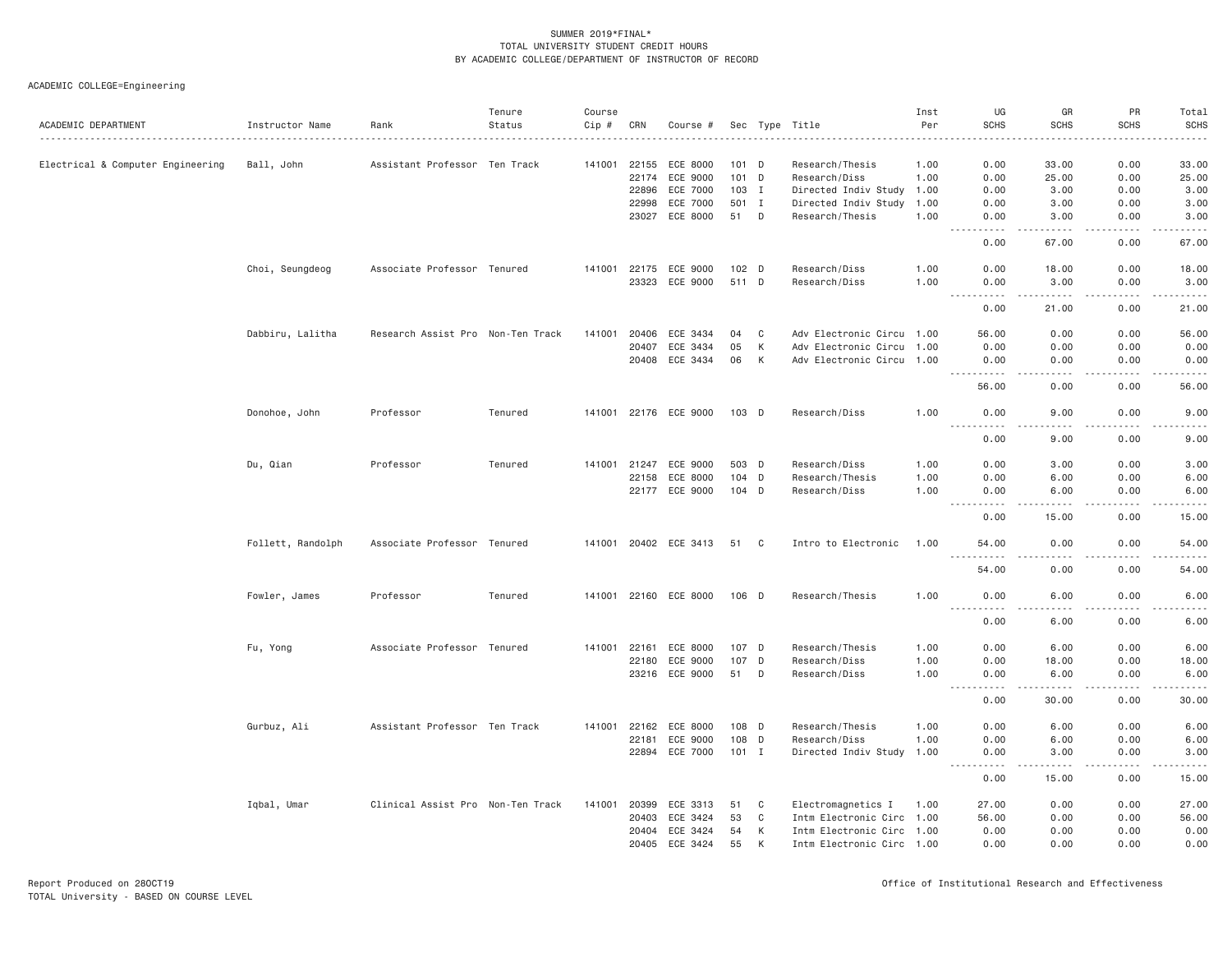| ACADEMIC DEPARTMENT               | Instructor Name   | Rank                              | Tenure<br>Status | Course<br>Cip # | CRN          | Course #              |         |   | Sec Type Title            | Inst<br>Per | UG<br><b>SCHS</b>                                                                                                                                                                    | GR<br><b>SCHS</b>              | PR<br><b>SCHS</b>            | Total<br><b>SCHS</b><br>$\sim$ $\sim$ $\sim$ $\sim$                                                                               |
|-----------------------------------|-------------------|-----------------------------------|------------------|-----------------|--------------|-----------------------|---------|---|---------------------------|-------------|--------------------------------------------------------------------------------------------------------------------------------------------------------------------------------------|--------------------------------|------------------------------|-----------------------------------------------------------------------------------------------------------------------------------|
| Electrical & Computer Engineering | Ball, John        | Assistant Professor Ten Track     |                  |                 | 141001 22155 | ECE 8000              | $101$ D |   | Research/Thesis           | 1.00        | 0.00                                                                                                                                                                                 | 33.00                          | 0.00                         | 33.00                                                                                                                             |
|                                   |                   |                                   |                  |                 | 22174        | ECE 9000              | 101 D   |   | Research/Diss             | 1.00        | 0.00                                                                                                                                                                                 | 25.00                          | 0.00                         | 25.00                                                                                                                             |
|                                   |                   |                                   |                  |                 | 22896        | ECE 7000              | 103 I   |   | Directed Indiv Study      | 1.00        | 0.00                                                                                                                                                                                 | 3.00                           | 0.00                         | 3.00                                                                                                                              |
|                                   |                   |                                   |                  |                 | 22998        | ECE 7000              | 501 I   |   | Directed Indiv Study      | 1.00        | 0.00                                                                                                                                                                                 | 3.00                           | 0.00                         | 3.00                                                                                                                              |
|                                   |                   |                                   |                  |                 |              | 23027 ECE 8000        | 51 D    |   | Research/Thesis           | 1.00        | 0.00                                                                                                                                                                                 | 3.00<br>$\sim$ $\sim$ $\sim$ . | 0.00<br>$\sim$ $\sim$ $\sim$ | 3.00                                                                                                                              |
|                                   |                   |                                   |                  |                 |              |                       |         |   |                           |             | 0.00                                                                                                                                                                                 | 67.00                          | 0.00                         | 67.00                                                                                                                             |
|                                   | Choi, Seungdeog   | Associate Professor Tenured       |                  |                 |              | 141001 22175 ECE 9000 | $102$ D |   | Research/Diss             | 1.00        | 0.00                                                                                                                                                                                 | 18.00                          | 0.00                         | 18.00                                                                                                                             |
|                                   |                   |                                   |                  |                 | 23323        | ECE 9000              | 511 D   |   | Research/Diss             | 1.00        | 0.00<br>$  -$<br>$\sim$ $\sim$ $\sim$ $\sim$                                                                                                                                         | 3.00<br>.                      | 0.00<br>بالمحامر             | 3.00<br>المستما                                                                                                                   |
|                                   |                   |                                   |                  |                 |              |                       |         |   |                           |             | 0.00                                                                                                                                                                                 | 21.00                          | 0.00                         | 21.00                                                                                                                             |
|                                   | Dabbiru, Lalitha  | Research Assist Pro Non-Ten Track |                  | 141001          | 20406        | ECE 3434              | 04      | C | Adv Electronic Circu 1.00 |             | 56.00                                                                                                                                                                                | 0.00                           | 0.00                         | 56.00                                                                                                                             |
|                                   |                   |                                   |                  |                 | 20407        | ECE 3434              | 05      | К | Adv Electronic Circu      | 1.00        | 0.00                                                                                                                                                                                 | 0.00                           | 0.00                         | 0.00                                                                                                                              |
|                                   |                   |                                   |                  |                 | 20408        | ECE 3434              | 06      | K | Adv Electronic Circu 1.00 |             | 0.00<br><u>.</u>                                                                                                                                                                     | 0.00<br>.                      | 0.00<br>.                    | 0.00<br>.                                                                                                                         |
|                                   |                   |                                   |                  |                 |              |                       |         |   |                           |             | 56.00                                                                                                                                                                                | 0.00                           | 0.00                         | 56.00                                                                                                                             |
|                                   | Donohoe, John     | Professor                         | Tenured          |                 |              | 141001 22176 ECE 9000 | 103 D   |   | Research/Diss             | 1.00        | 0.00                                                                                                                                                                                 | 9.00                           | 0.00                         | 9.00                                                                                                                              |
|                                   |                   |                                   |                  |                 |              |                       |         |   |                           |             | 0.00                                                                                                                                                                                 | 9.00                           | 0.00                         | 9.00                                                                                                                              |
|                                   | Du, Qian          | Professor                         | Tenured          |                 | 141001 21247 | ECE 9000              | 503 D   |   | Research/Diss             | 1.00        | 0.00                                                                                                                                                                                 | 3.00                           | 0.00                         | 3.00                                                                                                                              |
|                                   |                   |                                   |                  |                 | 22158        | ECE 8000              | $104$ D |   | Research/Thesis           | 1.00        | 0.00                                                                                                                                                                                 | 6.00                           | 0.00                         | 6.00                                                                                                                              |
|                                   |                   |                                   |                  |                 |              | 22177 ECE 9000        | 104 D   |   | Research/Diss             | 1.00        | 0.00<br>. <b>.</b><br>$- - -$                                                                                                                                                        | 6.00<br>.                      | 0.00<br>.                    | 6.00<br>.                                                                                                                         |
|                                   |                   |                                   |                  |                 |              |                       |         |   |                           |             | 0.00                                                                                                                                                                                 | 15.00                          | 0.00                         | 15.00                                                                                                                             |
|                                   | Follett, Randolph | Associate Professor Tenured       |                  |                 |              | 141001 20402 ECE 3413 | 51      | C | Intro to Electronic       | 1.00        | 54.00<br>$\sim$ $\sim$ $\sim$<br><u>.</u>                                                                                                                                            | 0.00                           | 0.00                         | 54.00                                                                                                                             |
|                                   |                   |                                   |                  |                 |              |                       |         |   |                           |             | 54.00                                                                                                                                                                                | 0.00                           | 0.00                         | 54.00                                                                                                                             |
|                                   | Fowler, James     | Professor                         | Tenured          |                 |              | 141001 22160 ECE 8000 | 106 D   |   | Research/Thesis           | 1.00        | 0.00<br>$\sim$ $\sim$ $\sim$<br>$\frac{1}{2} \left( \frac{1}{2} \right) \left( \frac{1}{2} \right) \left( \frac{1}{2} \right) \left( \frac{1}{2} \right) \left( \frac{1}{2} \right)$ | 6.00<br>.                      | 0.00                         | 6.00<br>$\frac{1}{2} \left( \frac{1}{2} \right) \left( \frac{1}{2} \right) \left( \frac{1}{2} \right) \left( \frac{1}{2} \right)$ |
|                                   |                   |                                   |                  |                 |              |                       |         |   |                           |             | 0.00                                                                                                                                                                                 | 6.00                           | 0.00                         | 6.00                                                                                                                              |
|                                   | Fu, Yong          | Associate Professor Tenured       |                  | 141001          | 22161        | ECE 8000              | 107 D   |   | Research/Thesis           | 1.00        | 0.00                                                                                                                                                                                 | 6.00                           | 0.00                         | 6.00                                                                                                                              |
|                                   |                   |                                   |                  |                 | 22180        | ECE 9000              | 107 D   |   | Research/Diss             | 1.00        | 0.00                                                                                                                                                                                 | 18.00                          | 0.00                         | 18.00                                                                                                                             |
|                                   |                   |                                   |                  |                 |              | 23216 ECE 9000        | 51      | D | Research/Diss             | 1.00        | 0.00<br>$\sim$ $\sim$ $\sim$<br>$\frac{1}{2} \left( \frac{1}{2} \right) \left( \frac{1}{2} \right) \left( \frac{1}{2} \right) \left( \frac{1}{2} \right)$                            | 6.00<br>-----                  | 0.00<br>.                    | 6.00<br>.                                                                                                                         |
|                                   |                   |                                   |                  |                 |              |                       |         |   |                           |             | 0.00                                                                                                                                                                                 | 30.00                          | 0.00                         | 30.00                                                                                                                             |
|                                   | Gurbuz, Ali       | Assistant Professor Ten Track     |                  |                 |              | 141001 22162 ECE 8000 | 108 D   |   | Research/Thesis           | 1.00        | 0.00                                                                                                                                                                                 | 6.00                           | 0.00                         | 6.00                                                                                                                              |
|                                   |                   |                                   |                  |                 |              | 22181 ECE 9000        | 108 D   |   | Research/Diss             | 1.00        | 0.00                                                                                                                                                                                 | 6.00                           | 0.00                         | 6.00                                                                                                                              |
|                                   |                   |                                   |                  |                 |              | 22894 ECE 7000        | $101$ I |   | Directed Indiv Study      | 1.00        | 0.00<br>$- - - -$                                                                                                                                                                    | 3.00<br>.                      | 0.00<br>.                    | 3.00<br>.                                                                                                                         |
|                                   |                   |                                   |                  |                 |              |                       |         |   |                           |             | 0.00                                                                                                                                                                                 | 15.00                          | 0.00                         | 15.00                                                                                                                             |
|                                   | Iqbal, Umar       | Clinical Assist Pro Non-Ten Track |                  | 141001          | 20399        | ECE 3313              | 51      | C | Electromagnetics I        | 1.00        | 27.00                                                                                                                                                                                | 0.00                           | 0.00                         | 27.00                                                                                                                             |
|                                   |                   |                                   |                  |                 | 20403        | ECE 3424              | 53      | C | Intm Electronic Circ 1.00 |             | 56.00                                                                                                                                                                                | 0.00                           | 0.00                         | 56.00                                                                                                                             |
|                                   |                   |                                   |                  |                 | 20404        | ECE 3424              | 54      | К | Intm Electronic Circ 1.00 |             | 0.00                                                                                                                                                                                 | 0.00                           | 0.00                         | 0.00                                                                                                                              |
|                                   |                   |                                   |                  |                 | 20405        | ECE 3424              | 55      | К | Intm Electronic Circ 1.00 |             | 0.00                                                                                                                                                                                 | 0.00                           | 0.00                         | 0.00                                                                                                                              |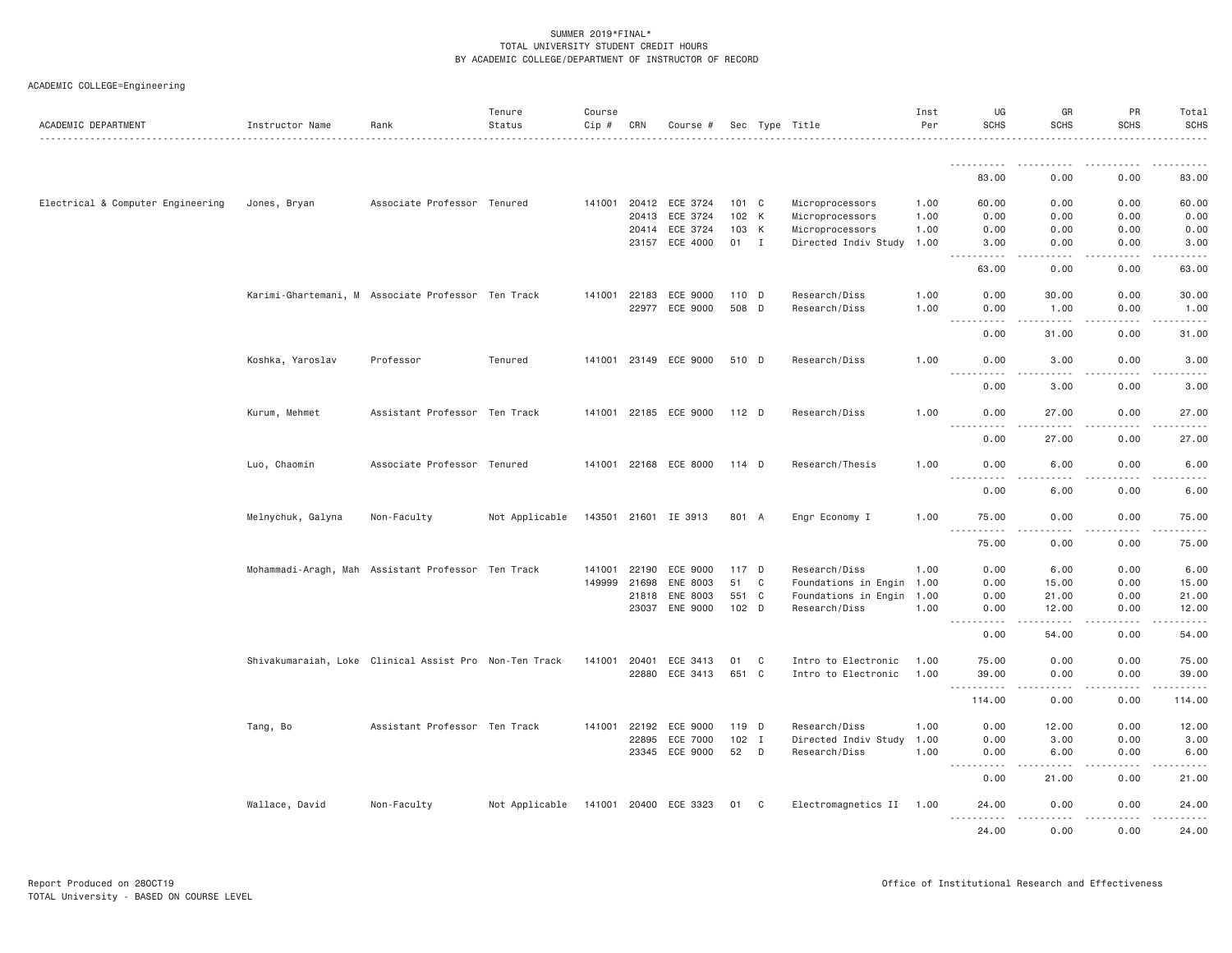| ACADEMIC DEPARTMENT               | Instructor Name   | Rank                                                   | Tenure<br>Status | Course<br>Cip # | CRN          | Course #              |         |   | Sec Type Title            | Inst<br>Per | UG<br><b>SCHS</b>                                                                                                                                                                       | GR<br><b>SCHS</b>                                                                                                                                             | PR<br><b>SCHS</b> | Total<br>SCHS    |
|-----------------------------------|-------------------|--------------------------------------------------------|------------------|-----------------|--------------|-----------------------|---------|---|---------------------------|-------------|-----------------------------------------------------------------------------------------------------------------------------------------------------------------------------------------|---------------------------------------------------------------------------------------------------------------------------------------------------------------|-------------------|------------------|
|                                   |                   |                                                        |                  |                 |              |                       |         |   |                           |             | .                                                                                                                                                                                       |                                                                                                                                                               |                   |                  |
|                                   |                   |                                                        |                  |                 |              |                       |         |   |                           |             | 83,00                                                                                                                                                                                   | 0.00                                                                                                                                                          | 0.00              | 83.00            |
| Electrical & Computer Engineering | Jones, Bryan      | Associate Professor Tenured                            |                  |                 |              | 141001 20412 ECE 3724 | 101 C   |   | Microprocessors           | 1.00        | 60.00                                                                                                                                                                                   | 0.00                                                                                                                                                          | 0.00              | 60.00            |
|                                   |                   |                                                        |                  |                 | 20413        | ECE 3724              | 102 K   |   | Microprocessors           | 1.00        | 0.00                                                                                                                                                                                    | 0.00                                                                                                                                                          | 0.00              | 0.00             |
|                                   |                   |                                                        |                  |                 |              | 20414 ECE 3724        | 103 K   |   | Microprocessors           | 1.00        | 0.00                                                                                                                                                                                    | 0.00                                                                                                                                                          | 0.00              | 0.00             |
|                                   |                   |                                                        |                  |                 |              | 23157 ECE 4000        | 01 I    |   | Directed Indiv Study 1.00 |             | 3.00<br>$\frac{1}{2} \left( \frac{1}{2} \right) \left( \frac{1}{2} \right) \left( \frac{1}{2} \right) \left( \frac{1}{2} \right) \left( \frac{1}{2} \right)$<br>$\sim 100$ km s $^{-1}$ | 0.00<br>.                                                                                                                                                     | 0.00<br>.         | 3.00<br>.        |
|                                   |                   |                                                        |                  |                 |              |                       |         |   |                           |             | 63.00                                                                                                                                                                                   | 0.00                                                                                                                                                          | 0.00              | 63.00            |
|                                   |                   | Karimi-Ghartemani, M Associate Professor Ten Track     |                  | 141001 22183    |              | ECE 9000              | 110 D   |   | Research/Diss             | 1.00        | 0.00                                                                                                                                                                                    | 30.00                                                                                                                                                         | 0.00              | 30.00            |
|                                   |                   |                                                        |                  |                 |              | 22977 ECE 9000        | 508 D   |   | Research/Diss             | 1,00        | 0.00<br>----------                                                                                                                                                                      | 1.00<br>$\frac{1}{2} \left( \frac{1}{2} \right) \left( \frac{1}{2} \right) \left( \frac{1}{2} \right) \left( \frac{1}{2} \right) \left( \frac{1}{2} \right)$  | 0.00<br><u>.</u>  | 1.00<br><u>.</u> |
|                                   |                   |                                                        |                  |                 |              |                       |         |   |                           |             | 0.00                                                                                                                                                                                    | 31.00                                                                                                                                                         | 0.00              | 31.00            |
|                                   | Koshka, Yaroslav  | Professor                                              | Tenured          |                 |              | 141001 23149 ECE 9000 | 510 D   |   | Research/Diss             | 1,00        | 0.00<br>.                                                                                                                                                                               | 3.00<br>.                                                                                                                                                     | 0.00<br>.         | 3.00<br>.        |
|                                   |                   |                                                        |                  |                 |              |                       |         |   |                           |             | 0.00                                                                                                                                                                                    | 3.00                                                                                                                                                          | 0.00              | 3.00             |
|                                   | Kurum, Mehmet     | Assistant Professor Ten Track                          |                  |                 |              | 141001 22185 ECE 9000 | 112 D   |   | Research/Diss             | 1.00        | 0.00                                                                                                                                                                                    | 27.00                                                                                                                                                         | 0.00              | 27.00            |
|                                   |                   |                                                        |                  |                 |              |                       |         |   |                           |             | .<br>0.00                                                                                                                                                                               | $- - - - -$<br>27.00                                                                                                                                          | .<br>0.00         | .<br>27.00       |
|                                   | Luo, Chaomin      | Associate Professor Tenured                            |                  |                 |              | 141001 22168 ECE 8000 | 114 D   |   | Research/Thesis           | 1.00        | 0.00<br>.                                                                                                                                                                               | 6.00                                                                                                                                                          | 0.00              | 6.00             |
|                                   |                   |                                                        |                  |                 |              |                       |         |   |                           |             | 0.00                                                                                                                                                                                    | 6.00                                                                                                                                                          | 0.00              | 6.00             |
|                                   | Melnychuk, Galyna | Non-Faculty                                            | Not Applicable   |                 |              | 143501 21601 IE 3913  | 801 A   |   | Engr Economy I            | 1.00        | 75.00<br>.                                                                                                                                                                              | 0.00                                                                                                                                                          | 0.00              | 75.00            |
|                                   |                   |                                                        |                  |                 |              |                       |         |   |                           |             | 75.00                                                                                                                                                                                   | 0.00                                                                                                                                                          | 0.00              | 75.00            |
|                                   |                   | Mohammadi-Aragh, Mah Assistant Professor Ten Track     |                  |                 | 141001 22190 | ECE 9000              | 117 D   |   | Research/Diss             | 1.00        | 0.00                                                                                                                                                                                    | 6.00                                                                                                                                                          | 0.00              | 6.00             |
|                                   |                   |                                                        |                  | 149999          | 21698        | ENE 8003              | 51      | C | Foundations in Engin      | 1.00        | 0.00                                                                                                                                                                                    | 15.00                                                                                                                                                         | 0.00              | 15.00            |
|                                   |                   |                                                        |                  |                 | 21818        | ENE 8003              | 551 C   |   | Foundations in Engin      | 1.00        | 0.00                                                                                                                                                                                    | 21.00                                                                                                                                                         | 0.00              | 21.00            |
|                                   |                   |                                                        |                  |                 | 23037        | ENE 9000              | 102 D   |   | Research/Diss             | 1.00        | 0.00<br>.<br>$\sim$ $\sim$ $\sim$                                                                                                                                                       | 12.00<br>$\frac{1}{2} \left( \frac{1}{2} \right) \left( \frac{1}{2} \right) \left( \frac{1}{2} \right) \left( \frac{1}{2} \right) \left( \frac{1}{2} \right)$ | 0.00<br>.         | 12.00<br>.       |
|                                   |                   |                                                        |                  |                 |              |                       |         |   |                           |             | 0.00                                                                                                                                                                                    | 54.00                                                                                                                                                         | 0.00              | 54.00            |
|                                   |                   | Shivakumaraiah, Loke Clinical Assist Pro Non-Ten Track |                  | 141001          | 20401        | ECE 3413              | 01      | C | Intro to Electronic       | 1.00        | 75.00                                                                                                                                                                                   | 0.00                                                                                                                                                          | 0.00              | 75.00            |
|                                   |                   |                                                        |                  |                 | 22880        | ECE 3413              | 651 C   |   | Intro to Electronic       | 1.00        | 39.00<br>.                                                                                                                                                                              | 0.00<br>.                                                                                                                                                     | 0.00              | 39.00<br>.       |
|                                   |                   |                                                        |                  |                 |              |                       |         |   |                           |             | 114.00                                                                                                                                                                                  | 0.00                                                                                                                                                          | 0.00              | 114.00           |
|                                   | Tang, Bo          | Assistant Professor Ten Track                          |                  |                 | 141001 22192 | ECE 9000              | 119 D   |   | Research/Diss             | 1.00        | 0.00                                                                                                                                                                                    | 12.00                                                                                                                                                         | 0.00              | 12.00            |
|                                   |                   |                                                        |                  |                 | 22895        | ECE 7000              | $102$ I |   | Directed Indiv Study      | 1.00        | 0.00                                                                                                                                                                                    | 3.00                                                                                                                                                          | 0.00              | 3.00             |
|                                   |                   |                                                        |                  |                 | 23345        | ECE 9000              | 52 D    |   | Research/Diss             | 1.00        | 0.00<br>----------                                                                                                                                                                      | 6.00<br>.                                                                                                                                                     | 0.00<br><u>.</u>  | 6.00             |
|                                   |                   |                                                        |                  |                 |              |                       |         |   |                           |             | 0.00                                                                                                                                                                                    | 21.00                                                                                                                                                         | 0.00              | 21.00            |
|                                   | Wallace, David    | Non-Faculty                                            | Not Applicable   |                 |              | 141001 20400 ECE 3323 | 01 C    |   | Electromagnetics II 1.00  |             | 24.00<br>.                                                                                                                                                                              | 0.00<br>.                                                                                                                                                     | 0.00<br>.         | 24.00<br>.       |
|                                   |                   |                                                        |                  |                 |              |                       |         |   |                           |             | 24.00                                                                                                                                                                                   | 0.00                                                                                                                                                          | 0.00              | 24.00            |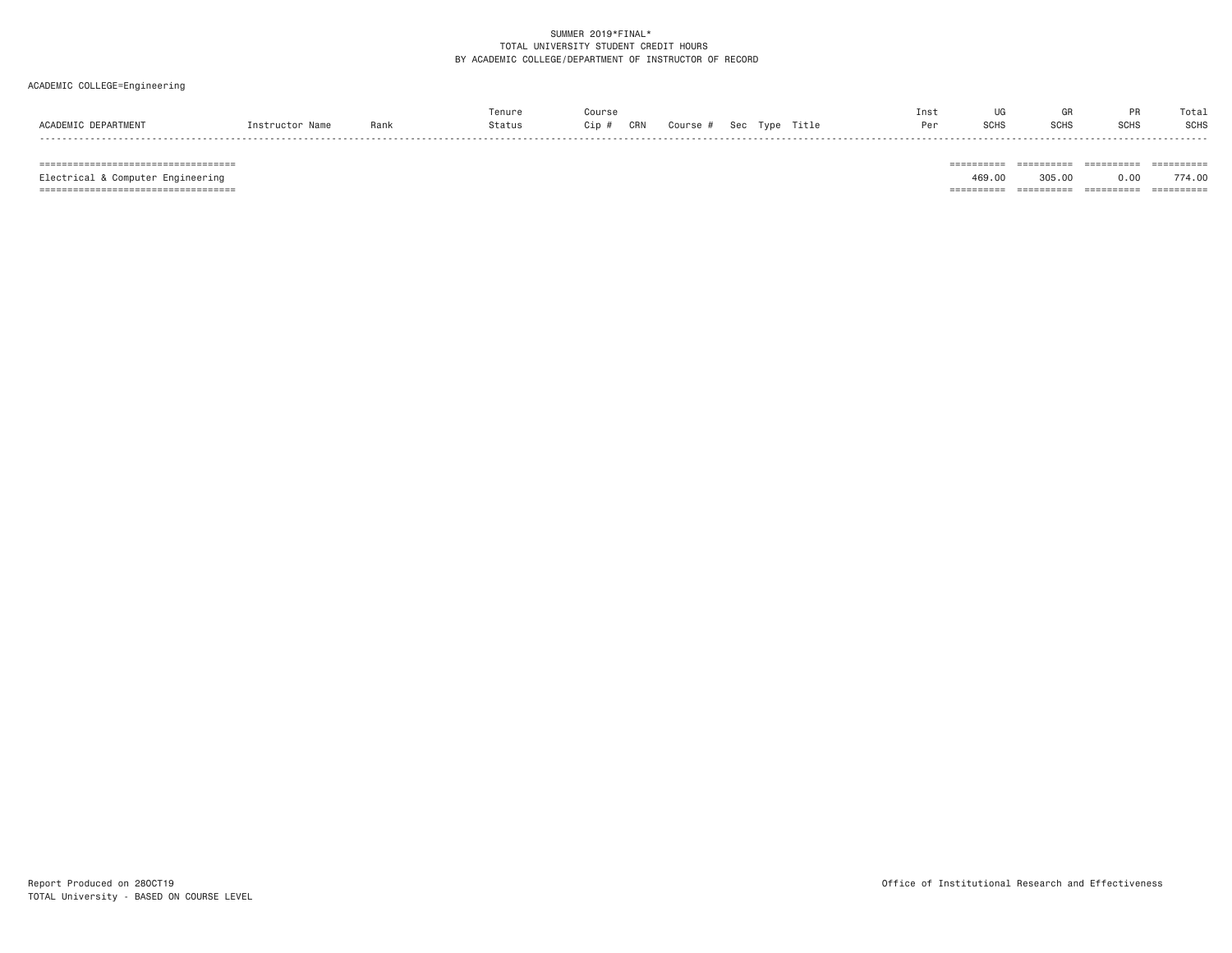# ACADEMIC COLLEGE=Engineering

|                          |                 |      | enur   | Course            |        |                             |       | Ins |                | uп |             | Total       |
|--------------------------|-----------------|------|--------|-------------------|--------|-----------------------------|-------|-----|----------------|----|-------------|-------------|
| PARTMEN<br><b>ACADEM</b> | $net$ methuaton | Rank | Status | CRN<br>$\cdot$ in | Course | <b>Sac</b><br>Tyne<br>$  -$ | fitle | D-  | 0.0110<br>ה⊓שכ |    | <b>SCHS</b> | <b>SCHS</b> |
|                          |                 |      |        |                   |        |                             |       |     |                |    |             |             |

=================================== ========== ========== ========== ==========

Electrical & Computer Engineering 469.00 305.00 0.00 774.00

=================================== ========== ========== ========== ==========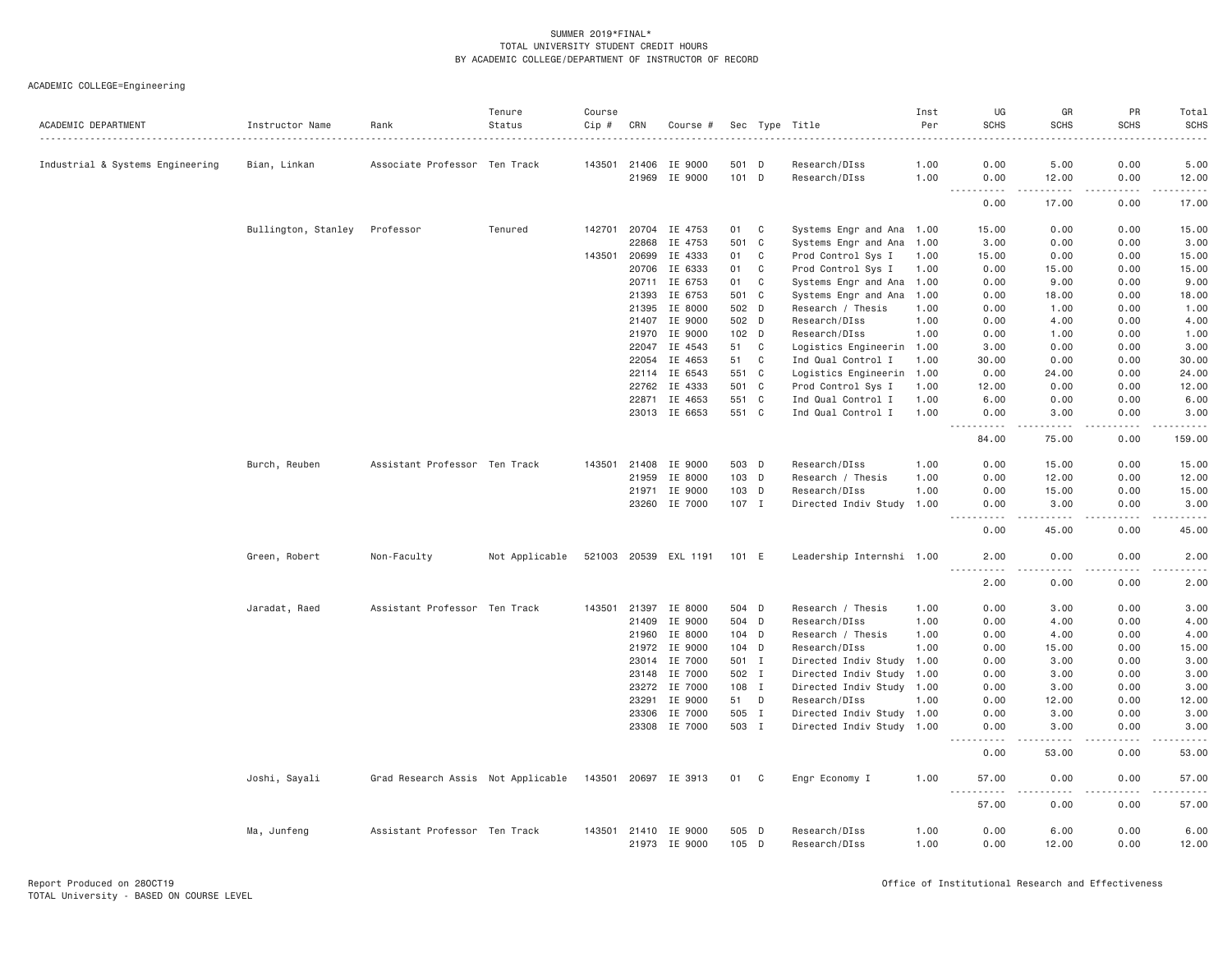| ACADEMIC DEPARTMENT              | Instructor Name     | Rank                               | Tenure<br>Status | Course<br>Cip # | CRN   | Course #                        |              |                | Sec Type Title                 | Inst<br>Per  | UG<br><b>SCHS</b>                  | GR<br><b>SCHS</b>                                                                                                                  | PR<br><b>SCHS</b> | Total<br><b>SCHS</b> |
|----------------------------------|---------------------|------------------------------------|------------------|-----------------|-------|---------------------------------|--------------|----------------|--------------------------------|--------------|------------------------------------|------------------------------------------------------------------------------------------------------------------------------------|-------------------|----------------------|
| Industrial & Systems Engineering | Bian, Linkan        | Associate Professor Ten Track      |                  | 143501          | 21406 | IE 9000                         | 501 D        |                | Research/DIss                  | 1.00         | 0.00                               | 5.00                                                                                                                               | 0.00              | 5.00                 |
|                                  |                     |                                    |                  |                 | 21969 | IE 9000                         | 101 D        |                | Research/DIss                  | 1.00         | 0.00                               | 12.00                                                                                                                              | 0.00              | 12.00                |
|                                  |                     |                                    |                  |                 |       |                                 |              |                |                                |              | $\sim$ $\sim$ $\sim$<br>.<br>0.00  | $\frac{1}{2} \left( \frac{1}{2} \right) \left( \frac{1}{2} \right) \left( \frac{1}{2} \right) \left( \frac{1}{2} \right)$<br>17.00 | $   -$<br>0.00    | $    -$<br>17.00     |
|                                  | Bullington, Stanley | Professor                          | Tenured          | 142701          | 20704 | IE 4753                         | 01           | C              | Systems Engr and Ana 1.00      |              | 15.00                              | 0.00                                                                                                                               | 0.00              | 15.00                |
|                                  |                     |                                    |                  |                 | 22868 | IE 4753                         | 501          | C              | Systems Engr and Ana           | 1.00         | 3.00                               | 0.00                                                                                                                               | 0.00              | 3.00                 |
|                                  |                     |                                    |                  | 143501          | 20699 | IE 4333                         | 01           | C              | Prod Control Sys I             | 1.00         | 15.00                              | 0.00                                                                                                                               | 0.00              | 15.00                |
|                                  |                     |                                    |                  |                 | 20706 | IE 6333                         | 01           | C              | Prod Control Sys I             | 1.00         | 0.00                               | 15.00                                                                                                                              | 0.00              | 15.00                |
|                                  |                     |                                    |                  |                 | 20711 | IE 6753                         | 01           | C              | Systems Engr and Ana           | 1.00         | 0.00                               | 9.00                                                                                                                               | 0.00              | 9.00                 |
|                                  |                     |                                    |                  |                 | 21393 | IE 6753                         | 501          | C <sub>c</sub> | Systems Engr and Ana           | 1.00         | 0.00                               | 18.00                                                                                                                              | 0.00              | 18.00                |
|                                  |                     |                                    |                  |                 | 21395 | IE 8000                         | 502 D        |                | Research / Thesis              | 1.00         | 0.00                               | 1.00                                                                                                                               | 0.00              | 1.00                 |
|                                  |                     |                                    |                  |                 | 21407 | IE 9000                         | 502 D        |                | Research/DIss                  | 1.00         | 0.00                               | 4.00                                                                                                                               | 0.00              | 4.00                 |
|                                  |                     |                                    |                  |                 | 21970 | IE 9000                         | $102$ D      |                | Research/DIss                  | 1.00         | 0.00                               | 1.00                                                                                                                               | 0.00              | 1.00                 |
|                                  |                     |                                    |                  |                 | 22047 | IE 4543                         | 51           | C              | Logistics Engineerin 1.00      |              | 3.00                               | 0.00                                                                                                                               | 0.00              | 3.00                 |
|                                  |                     |                                    |                  |                 | 22054 | IE 4653                         | 51           | C              | Ind Qual Control I             | 1.00         | 30.00                              | 0.00                                                                                                                               | 0.00              | 30.00                |
|                                  |                     |                                    |                  |                 | 22114 | IE 6543                         | 551          | C              | Logistics Engineerin           | 1.00         | 0.00                               | 24.00                                                                                                                              | 0.00              | 24.00                |
|                                  |                     |                                    |                  |                 | 22762 | IE 4333                         | 501 C        |                | Prod Control Sys I             | 1.00         | 12.00                              | 0.00                                                                                                                               | 0.00              | 12.00                |
|                                  |                     |                                    |                  |                 | 22871 | IE 4653                         | 551 C        |                | Ind Qual Control I             | 1.00         | 6.00                               | 0.00                                                                                                                               | 0.00              | 6.00                 |
|                                  |                     |                                    |                  |                 | 23013 | IE 6653                         | 551 C        |                | Ind Qual Control I             | 1.00         | 0.00                               | 3.00                                                                                                                               | 0.00              | 3.00                 |
|                                  |                     |                                    |                  |                 |       |                                 |              |                |                                |              | .<br>$\sim$ $\sim$ $\sim$<br>84.00 | .<br>75.00                                                                                                                         | .<br>0.00         | .<br>159.00          |
|                                  | Burch, Reuben       | Assistant Professor Ten Track      |                  | 143501          | 21408 | IE 9000                         | 503 D        |                | Research/DIss                  | 1.00         | 0.00                               | 15.00                                                                                                                              | 0.00              | 15.00                |
|                                  |                     |                                    |                  |                 | 21959 | IE 8000                         | 103 D        |                | Research / Thesis              | 1.00         | 0.00                               | 12.00                                                                                                                              | 0.00              | 12.00                |
|                                  |                     |                                    |                  |                 | 21971 | IE 9000                         | $103$ D      |                | Research/DIss                  | 1.00         | 0.00                               | 15.00                                                                                                                              | 0.00              | 15.00                |
|                                  |                     |                                    |                  |                 | 23260 | IE 7000                         | $107$ I      |                | Directed Indiv Study           | 1.00         | 0.00                               | 3,00                                                                                                                               | 0.00              | 3,00                 |
|                                  |                     |                                    |                  |                 |       |                                 |              |                |                                |              | 0.00                               | 45.00                                                                                                                              | 0.00              | 45.00                |
|                                  | Green, Robert       | Non-Faculty                        | Not Applicable   |                 |       | 521003 20539 EXL 1191           | 101 E        |                | Leadership Internshi 1.00      |              | 2.00                               | 0.00                                                                                                                               | 0.00              | 2.00                 |
|                                  |                     |                                    |                  |                 |       |                                 |              |                |                                |              | ----<br>2.00                       | 0.00                                                                                                                               | 0.00              | 2.00                 |
|                                  | Jaradat, Raed       | Assistant Professor Ten Track      |                  | 143501          | 21397 | IE 8000                         | 504 D        |                | Research / Thesis              | 1.00         | 0.00                               | 3.00                                                                                                                               | 0.00              | 3.00                 |
|                                  |                     |                                    |                  |                 | 21409 | IE 9000                         | 504 D        |                | Research/DIss                  | 1.00         | 0.00                               | 4.00                                                                                                                               | 0.00              | 4.00                 |
|                                  |                     |                                    |                  |                 | 21960 | IE 8000                         | $104$ D      |                | Research / Thesis              | 1.00         | 0.00                               | 4.00                                                                                                                               | 0.00              | 4.00                 |
|                                  |                     |                                    |                  |                 | 21972 | IE 9000                         | $104$ D      |                | Research/DIss                  | 1.00         | 0.00                               | 15.00                                                                                                                              | 0.00              | 15.00                |
|                                  |                     |                                    |                  |                 | 23014 | IE 7000                         | 501 I        |                | Directed Indiv Study           | 1.00         | 0.00                               | 3.00                                                                                                                               | 0.00              | 3.00                 |
|                                  |                     |                                    |                  |                 | 23148 | IE 7000                         | 502 I        |                | Directed Indiv Study           | 1.00         | 0.00                               | 3.00                                                                                                                               | 0.00              | 3.00                 |
|                                  |                     |                                    |                  |                 | 23272 | IE 7000                         | 108 I        |                | Directed Indiv Study 1.00      |              | 0.00                               | 3.00                                                                                                                               | 0.00              | 3.00                 |
|                                  |                     |                                    |                  |                 | 23291 | IE 9000                         | 51           | D              | Research/DIss                  | 1.00         | 0.00                               | 12.00                                                                                                                              | 0.00              | 12.00                |
|                                  |                     |                                    |                  |                 | 23306 | IE 7000                         | 505          | $\mathbf I$    | Directed Indiv Study 1.00      |              | 0.00                               | 3.00                                                                                                                               | 0.00              | 3.00                 |
|                                  |                     |                                    |                  |                 | 23308 | IE 7000                         | 503 I        |                | Directed Indiv Study 1.00      |              | 0.00                               | 3.00                                                                                                                               | 0.00              | 3.00                 |
|                                  |                     |                                    |                  |                 |       |                                 |              |                |                                |              | 0.00                               | 53.00                                                                                                                              | 0.00              | 53.00                |
|                                  | Joshi, Sayali       | Grad Research Assis Not Applicable |                  |                 |       | 143501 20697 IE 3913            | 01           | C              | Engr Economy I                 | 1.00         | 57.00                              | 0.00                                                                                                                               | 0.00              | 57.00                |
|                                  |                     |                                    |                  |                 |       |                                 |              |                |                                |              | 57.00                              | 0.00                                                                                                                               | 0.00              | 57.00                |
|                                  | Ma, Junfeng         | Assistant Professor Ten Track      |                  |                 | 21973 | 143501 21410 IE 9000<br>IE 9000 | 505 D<br>105 | D              | Research/DIss<br>Research/DIss | 1.00<br>1.00 | 0.00<br>0.00                       | 6.00<br>12.00                                                                                                                      | 0.00<br>0.00      | 6.00<br>12.00        |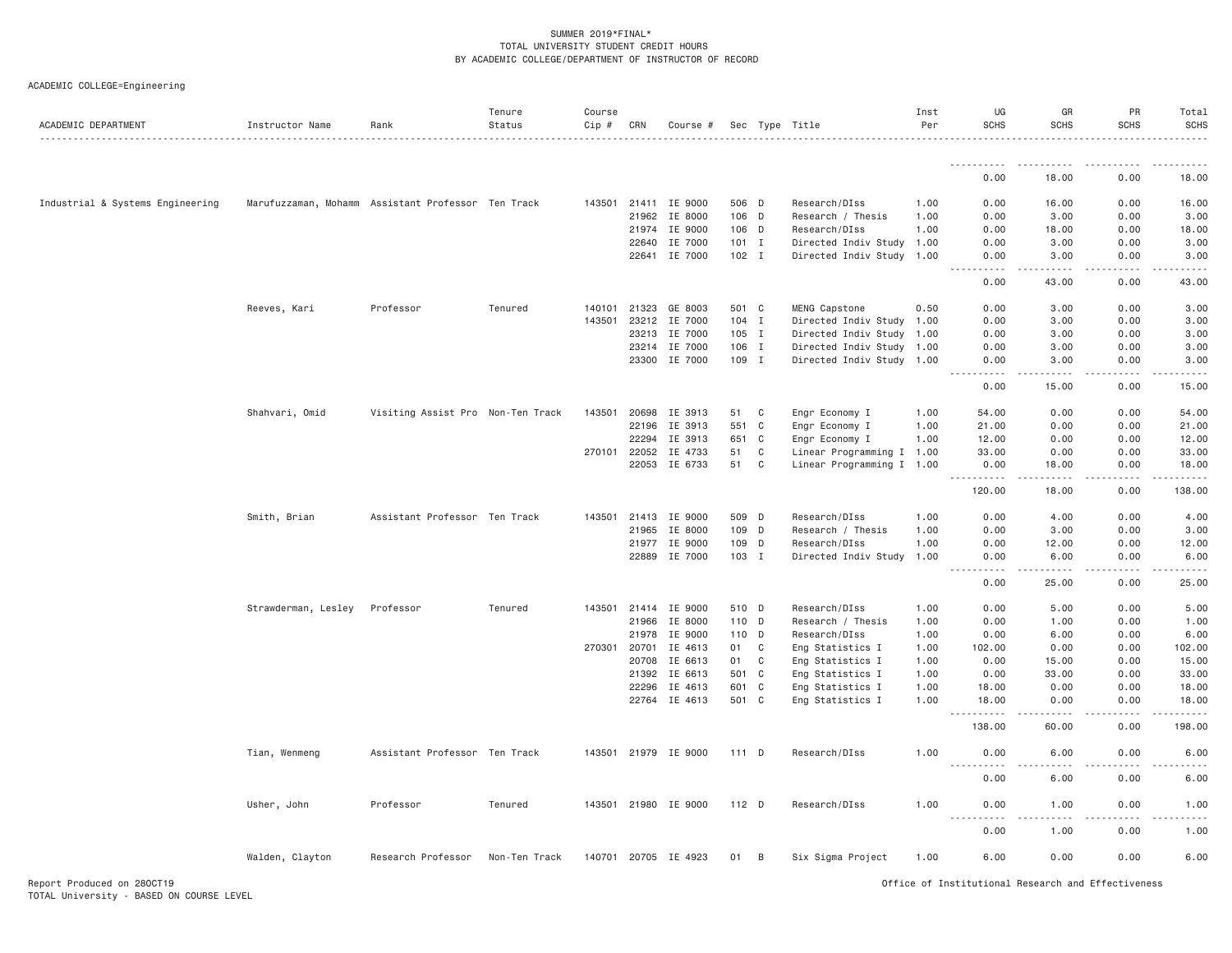ACADEMIC COLLEGE=Engineering

| ACADEMIC DEPARTMENT              | Instructor Name     | Rank                                               | Tenure<br>Status | Course<br>Cip # | CRN            | Course #             |                |             | Sec Type Title                       | Inst<br>Per  | UG<br><b>SCHS</b>                                                                                                                                            | GR<br><b>SCHS</b>    | PR<br><b>SCHS</b> | Total<br><b>SCHS</b> |
|----------------------------------|---------------------|----------------------------------------------------|------------------|-----------------|----------------|----------------------|----------------|-------------|--------------------------------------|--------------|--------------------------------------------------------------------------------------------------------------------------------------------------------------|----------------------|-------------------|----------------------|
|                                  |                     |                                                    |                  |                 |                |                      |                |             |                                      |              | .                                                                                                                                                            |                      |                   |                      |
|                                  |                     |                                                    |                  |                 |                |                      |                |             |                                      |              | 0.00                                                                                                                                                         | 18.00                | 0.00              | 18.00                |
| Industrial & Systems Engineering |                     | Marufuzzaman, Mohamm Assistant Professor Ten Track |                  | 143501          |                | 21411 IE 9000        | 506 D          |             | Research/DIss                        | 1.00         | 0.00                                                                                                                                                         | 16.00                | 0.00              | 16.00                |
|                                  |                     |                                                    |                  |                 | 21962          | IE 8000              | $106$ D        |             | Research / Thesis                    | 1.00         | 0.00                                                                                                                                                         | 3.00                 | 0.00              | 3.00                 |
|                                  |                     |                                                    |                  |                 | 21974          | IE 9000              | $106$ D        |             | Research/DIss                        | 1.00         | 0.00                                                                                                                                                         | 18.00                | 0.00              | 18.00                |
|                                  |                     |                                                    |                  |                 | 22640          | IE 7000              | $101$ I        |             | Directed Indiv Study                 | 1.00         | 0.00                                                                                                                                                         | 3.00                 | 0.00              | 3.00                 |
|                                  |                     |                                                    |                  |                 | 22641          | IE 7000              | $102$ I        |             | Directed Indiv Study                 | 1.00         | 0.00<br>.                                                                                                                                                    | 3.00<br>.            | 0.00              | 3.00                 |
|                                  |                     |                                                    |                  |                 |                |                      |                |             |                                      |              | 0.00                                                                                                                                                         | 43.00                | 0.00              | 43.00                |
|                                  | Reeves, Kari        | Professor                                          | Tenured          | 140101          | 21323          | GE 8003              | 501 C          |             | MENG Capstone                        | 0.50         | 0.00                                                                                                                                                         | 3.00                 | 0.00              | 3.00                 |
|                                  |                     |                                                    |                  | 143501          | 23212          | IE 7000              | $104$ I        |             | Directed Indiv Study 1.00            |              | 0.00                                                                                                                                                         | 3.00                 | 0.00              | 3.00                 |
|                                  |                     |                                                    |                  |                 | 23213          | IE 7000              | 105 I          |             | Directed Indiv Study 1.00            |              | 0.00                                                                                                                                                         | 3.00                 | 0.00              | 3.00                 |
|                                  |                     |                                                    |                  |                 | 23214          | IE 7000              | 106 I          |             | Directed Indiv Study                 | 1.00         | 0.00                                                                                                                                                         | 3.00                 | 0.00              | 3.00                 |
|                                  |                     |                                                    |                  |                 |                | 23300 IE 7000        | 109 I          |             | Directed Indiv Study 1.00            |              | 0.00<br>.                                                                                                                                                    | 3.00<br>.            | 0.00              | 3.00                 |
|                                  |                     |                                                    |                  |                 |                |                      |                |             |                                      |              | 0.00                                                                                                                                                         | 15.00                | 0.00              | 15.00                |
|                                  | Shahvari, Omid      | Visiting Assist Pro Non-Ten Track                  |                  | 143501          | 20698          | IE 3913              | 51             | C           | Engr Economy I                       | 1.00         | 54.00                                                                                                                                                        | 0.00                 | 0.00              | 54.00                |
|                                  |                     |                                                    |                  |                 | 22196          | IE 3913              | 551 C          |             | Engr Economy I                       | 1.00         | 21.00                                                                                                                                                        | 0.00                 | 0.00              | 21.00                |
|                                  |                     |                                                    |                  |                 | 22294          | IE 3913              | 651 C          |             | Engr Economy I                       | 1.00         | 12.00                                                                                                                                                        | 0.00                 | 0.00              | 12.00                |
|                                  |                     |                                                    |                  | 270101          | 22052          | IE 4733              | 51             | C           | Linear Programming I 1.00            |              | 33.00                                                                                                                                                        | 0.00                 | 0.00              | 33.00                |
|                                  |                     |                                                    |                  |                 |                | 22053 IE 6733        | 51             | C           | Linear Programming I 1.00            |              | 0.00<br>$\frac{1}{2} \left( \frac{1}{2} \right) \left( \frac{1}{2} \right) \left( \frac{1}{2} \right) \left( \frac{1}{2} \right) \left( \frac{1}{2} \right)$ | 18.00<br>$- - - - -$ | 0.00              | 18.00                |
|                                  |                     |                                                    |                  |                 |                |                      |                |             |                                      |              | 120.00                                                                                                                                                       | 18.00                | 0.00              | 138.00               |
|                                  | Smith, Brian        | Assistant Professor Ten Track                      |                  | 143501          | 21413          | IE 9000              | 509 D          |             | Research/DIss                        | 1.00         | 0.00                                                                                                                                                         | 4.00                 | 0.00              | 4.00                 |
|                                  |                     |                                                    |                  |                 | 21965          | IE 8000              | 109 D          |             | Research / Thesis                    | 1.00         | 0.00                                                                                                                                                         | 3.00                 | 0.00              | 3.00                 |
|                                  |                     |                                                    |                  |                 | 21977          | IE 9000              | 109 D          |             | Research/DIss                        | 1.00         | 0.00                                                                                                                                                         | 12.00                | 0.00              | 12.00                |
|                                  |                     |                                                    |                  |                 | 22889          | IE 7000              | 103 I          |             | Directed Indiv Study                 | 1.00         | 0.00<br><b>.</b><br>$\frac{1}{2} \left( \frac{1}{2} \right) \left( \frac{1}{2} \right) \left( \frac{1}{2} \right) \left( \frac{1}{2} \right)$                | 6.00                 | 0.00              | 6.00                 |
|                                  |                     |                                                    |                  |                 |                |                      |                |             |                                      |              | 0.00                                                                                                                                                         | 25.00                | 0.00              | 25.00                |
|                                  | Strawderman, Lesley | Professor                                          | Tenured          | 143501          |                | 21414 IE 9000        | 510 D          |             | Research/DIss                        | 1.00         | 0.00                                                                                                                                                         | 5.00                 | 0.00              | 5.00                 |
|                                  |                     |                                                    |                  |                 | 21966          | IE 8000              | 110 D          |             | Research / Thesis                    | 1.00         | 0.00                                                                                                                                                         | 1.00                 | 0.00              | 1.00                 |
|                                  |                     |                                                    |                  |                 | 21978          | IE 9000              | 110 D          |             | Research/DIss                        | 1.00         | 0.00                                                                                                                                                         | 6.00                 | 0.00              | 6.00                 |
|                                  |                     |                                                    |                  |                 | 270301 20701   | IE 4613              | 01             | C           | Eng Statistics I                     | 1.00         | 102.00                                                                                                                                                       | 0.00                 | 0.00              | 102.00               |
|                                  |                     |                                                    |                  |                 | 20708          | IE 6613              | 01             | $\mathbf C$ | Eng Statistics I                     | 1.00         | 0.00                                                                                                                                                         | 15.00                | 0.00              | 15.00                |
|                                  |                     |                                                    |                  |                 | 21392          | IE 6613              | 501 C          |             | Eng Statistics I                     | 1.00         | 0.00                                                                                                                                                         | 33.00                | 0.00              | 33.00                |
|                                  |                     |                                                    |                  |                 | 22296<br>22764 | IE 4613<br>IE 4613   | 601 C<br>501 C |             | Eng Statistics I<br>Eng Statistics I | 1.00<br>1.00 | 18.00<br>18.00                                                                                                                                               | 0.00<br>0.00         | 0.00<br>0.00      | 18.00<br>18.00       |
|                                  |                     |                                                    |                  |                 |                |                      |                |             |                                      |              | <b></b>                                                                                                                                                      | .                    | .                 | .                    |
|                                  |                     |                                                    |                  |                 |                |                      |                |             |                                      |              | 138.00                                                                                                                                                       | 60.00                | 0.00              | 198.00               |
|                                  | Tian, Wenmeng       | Assistant Professor Ten Track                      |                  | 143501          |                | 21979 IE 9000        | 111 D          |             | Research/DIss                        | 1.00         | 0.00<br>$\sim$ $\sim$ $\sim$<br>.                                                                                                                            | 6.00                 | 0.00              | 6.00                 |
|                                  |                     |                                                    |                  |                 |                |                      |                |             |                                      |              | 0.00                                                                                                                                                         | 6.00                 | 0.00              | 6.00                 |
|                                  | Usher, John         | Professor                                          | Tenured          |                 |                | 143501 21980 IE 9000 | $112$ D        |             | Research/DIss                        | 1.00         | 0.00                                                                                                                                                         | 1.00                 | 0.00              | 1.00                 |
|                                  |                     |                                                    |                  |                 |                |                      |                |             |                                      |              | $\sim$ $\sim$ $\sim$ $\sim$<br>$\sim$ $\sim$ $\sim$ $\sim$<br>0.00                                                                                           | 1.00                 | 0.00              | 1.00                 |
|                                  | Walden, Clayton     | Research Professor                                 | Non-Ten Track    |                 |                | 140701 20705 IE 4923 | 01             | B           | Six Sigma Project                    | 1.00         | 6.00                                                                                                                                                         | 0.00                 | 0.00              | 6.00                 |
|                                  |                     |                                                    |                  |                 |                |                      |                |             |                                      |              |                                                                                                                                                              |                      |                   |                      |

Report Produced on 28OCT19 Office of Institutional Research and Effectiveness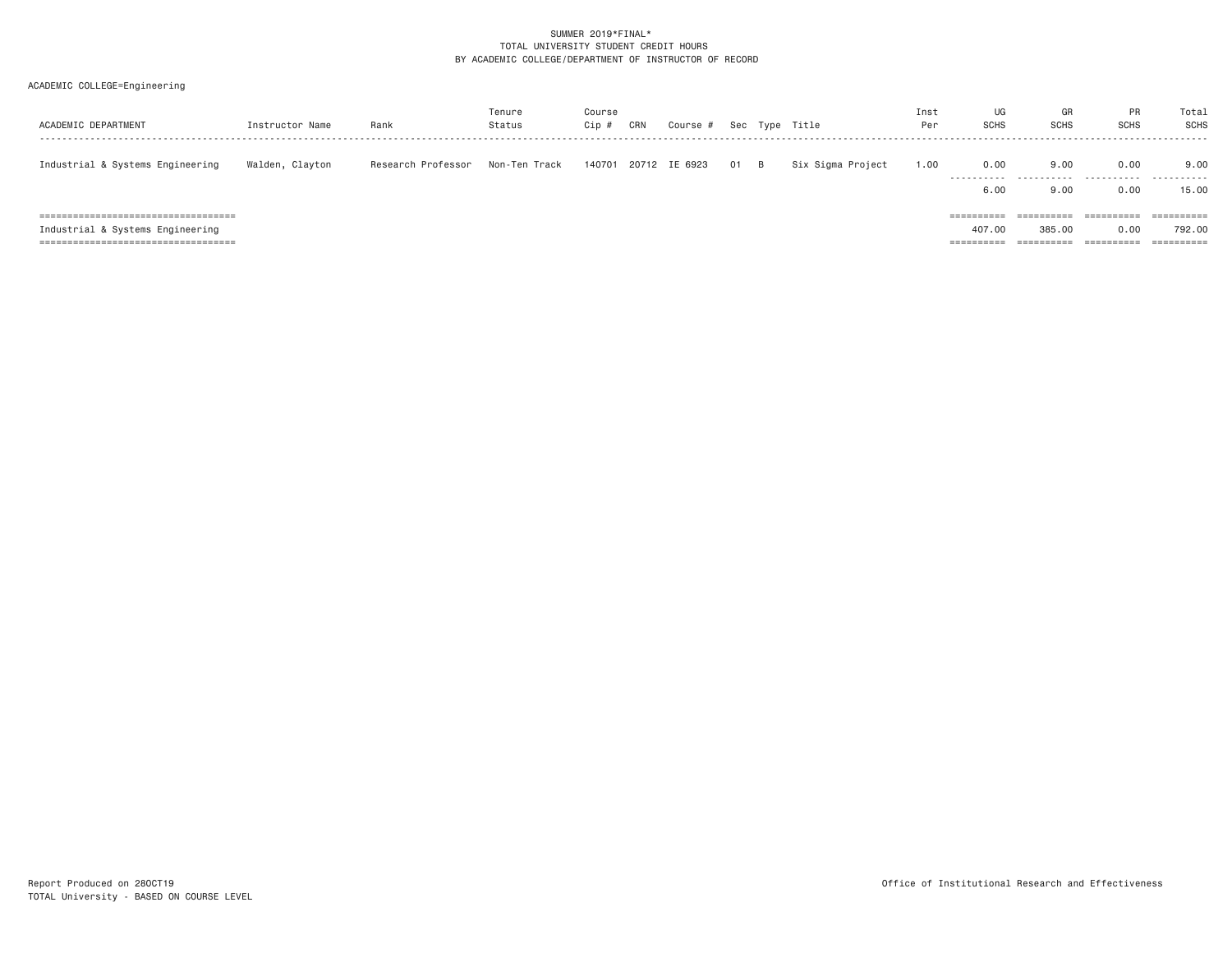| ACADEMIC DEPARTMENT                                                                                                | Instructor Name | Rank               | Tenure<br>Status | Course<br>Cip # | CRN | Course #      |    |                | Sec Type Title    | Inst<br>Per | UG<br><b>SCHS</b>                            | GR<br><b>SCHS</b>                  | PR<br><b>SCHS</b>                                     | Total<br><b>SCHS</b> |
|--------------------------------------------------------------------------------------------------------------------|-----------------|--------------------|------------------|-----------------|-----|---------------|----|----------------|-------------------|-------------|----------------------------------------------|------------------------------------|-------------------------------------------------------|----------------------|
| Industrial & Systems Engineering                                                                                   | Walden, Clayton | Research Professor | Non-Ten Track    | 140701          |     | 20712 IE 6923 | 01 | $\overline{B}$ | Six Sigma Project | 1.00        | 0.00<br>.<br>6,00                            | 9.00<br>.<br>9.00                  | 0.00<br>.                                             | 9.00<br>.<br>15.00   |
| =====================================<br>Industrial & Systems Engineering<br>===================================== |                 |                    |                  |                 |     |               |    |                |                   |             | $=$ = = = = = = = = =<br>407.00<br>========= | ==========<br>385,00<br>========== | 0.00<br>$=$ = = = = = = = = = =<br>0.00<br>========== | 792.00<br>========== |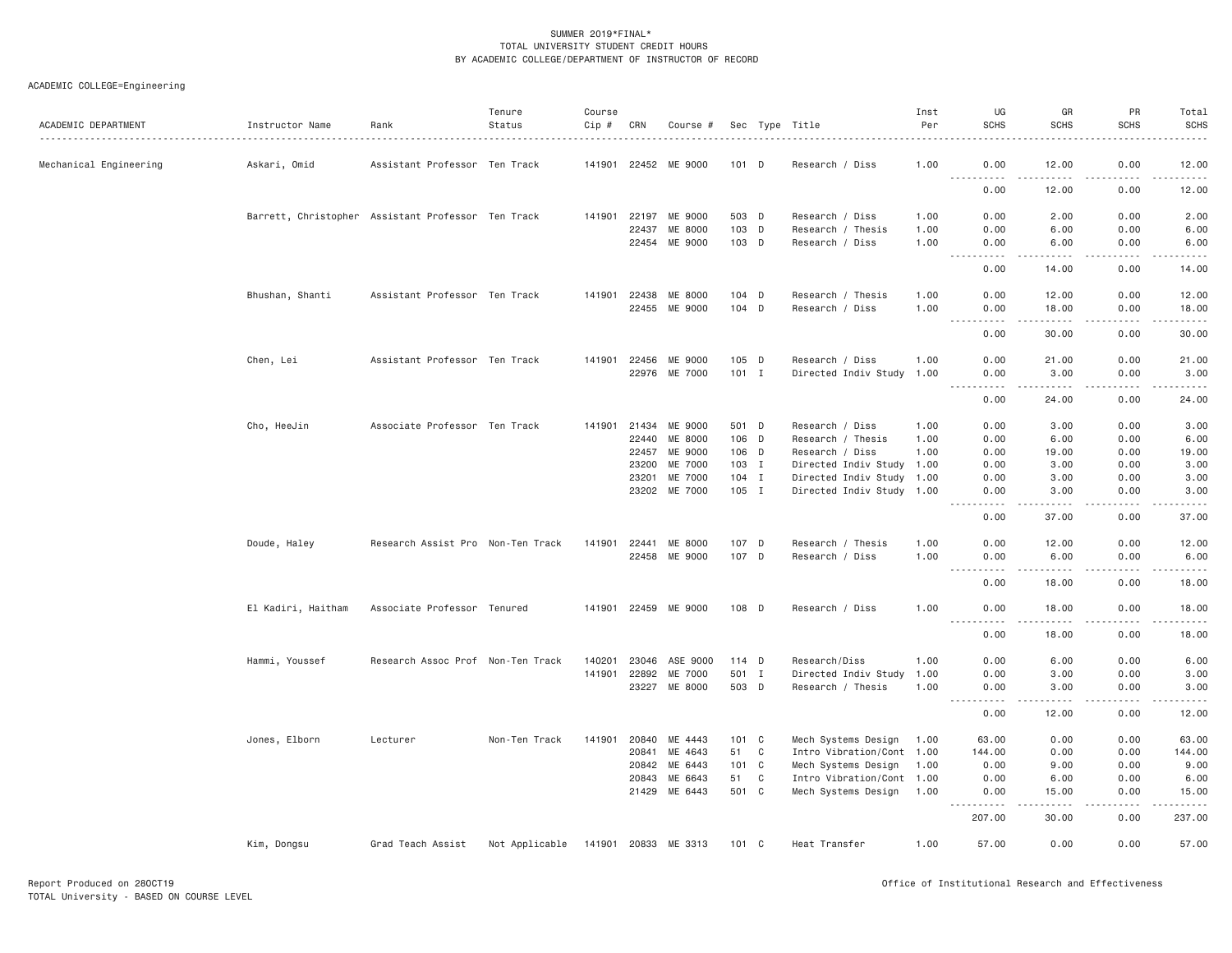| ACADEMIC DEPARTMENT    | Instructor Name                                    | Rank                              | Tenure<br>Status | Course<br>Cip # | CRN   | Course #             |               |   | Sec Type Title            | Inst<br>Per | UG<br><b>SCHS</b>                                                                                                                      | GR<br><b>SCHS</b>                                                                                                                                                                        | PR<br><b>SCHS</b>                   | Total<br><b>SCHS</b> |
|------------------------|----------------------------------------------------|-----------------------------------|------------------|-----------------|-------|----------------------|---------------|---|---------------------------|-------------|----------------------------------------------------------------------------------------------------------------------------------------|------------------------------------------------------------------------------------------------------------------------------------------------------------------------------------------|-------------------------------------|----------------------|
| Mechanical Engineering | Askari, Omid                                       | Assistant Professor Ten Track     |                  |                 |       | 141901 22452 ME 9000 | $101$ D       |   | Research / Diss           | 1.00        | 0.00<br>.                                                                                                                              | 12.00<br>$\frac{1}{2} \left( \frac{1}{2} \right) \left( \frac{1}{2} \right) \left( \frac{1}{2} \right) \left( \frac{1}{2} \right) \left( \frac{1}{2} \right)$                            | 0.00<br>22222<br>$- - - -$          | 12.00<br>------      |
|                        |                                                    |                                   |                  |                 |       |                      |               |   |                           |             | 0.00                                                                                                                                   | 12.00                                                                                                                                                                                    | 0.00                                | 12.00                |
|                        | Barrett, Christopher Assistant Professor Ten Track |                                   |                  | 141901          | 22197 | ME 9000              | 503 D         |   | Research / Diss           | 1.00        | 0.00                                                                                                                                   | 2.00                                                                                                                                                                                     | 0.00                                | 2.00                 |
|                        |                                                    |                                   |                  |                 | 22437 | ME 8000              | 103 D         |   | Research / Thesis         | 1.00        | 0.00                                                                                                                                   | 6.00                                                                                                                                                                                     | 0.00                                | 6.00                 |
|                        |                                                    |                                   |                  |                 | 22454 | ME 9000              | 103 D         |   | Research / Diss           | 1,00        | 0.00<br>$\sim 100$<br>.                                                                                                                | 6,00<br>$\frac{1}{2} \left( \frac{1}{2} \right) \left( \frac{1}{2} \right) \left( \frac{1}{2} \right) \left( \frac{1}{2} \right) \left( \frac{1}{2} \right)$                             | 0.00<br>.                           | 6.00<br>.            |
|                        |                                                    |                                   |                  |                 |       |                      |               |   |                           |             | 0.00                                                                                                                                   | 14.00                                                                                                                                                                                    | 0.00                                | 14.00                |
|                        | Bhushan, Shanti                                    | Assistant Professor Ten Track     |                  |                 |       | 141901 22438 ME 8000 | 104 D         |   | Research / Thesis         | 1.00        | 0.00                                                                                                                                   | 12.00                                                                                                                                                                                    | 0.00                                | 12.00                |
|                        |                                                    |                                   |                  |                 |       | 22455 ME 9000        | 104 D         |   | Research / Diss           | 1.00        | 0.00<br>$\frac{1}{2} \left( \frac{1}{2} \right) \left( \frac{1}{2} \right) \left( \frac{1}{2} \right) \left( \frac{1}{2} \right)$<br>. | 18.00<br>.                                                                                                                                                                               | 0.00<br>.                           | 18.00<br>.           |
|                        |                                                    |                                   |                  |                 |       |                      |               |   |                           |             | 0.00                                                                                                                                   | 30.00                                                                                                                                                                                    | 0.00                                | 30.00                |
|                        | Chen, Lei                                          | Assistant Professor Ten Track     |                  | 141901          |       | 22456 ME 9000        | 105 D         |   | Research / Diss           | 1.00        | 0.00                                                                                                                                   | 21.00                                                                                                                                                                                    | 0.00                                | 21.00                |
|                        |                                                    |                                   |                  |                 |       | 22976 ME 7000        | $101$ I       |   | Directed Indiv Study 1.00 |             | 0.00<br>$- - - - - -$<br>$\frac{1}{2}$                                                                                                 | 3.00<br>$- - - - - -$                                                                                                                                                                    | 0.00<br>.                           | 3.00<br>. <u>.</u>   |
|                        |                                                    |                                   |                  |                 |       |                      |               |   |                           |             | 0.00                                                                                                                                   | 24.00                                                                                                                                                                                    | 0.00                                | 24.00                |
|                        | Cho, HeeJin                                        | Associate Professor Ten Track     |                  |                 |       | 141901 21434 ME 9000 | 501 D         |   | Research / Diss           | 1.00        | 0.00                                                                                                                                   | 3.00                                                                                                                                                                                     | 0.00                                | 3.00                 |
|                        |                                                    |                                   |                  |                 | 22440 | ME 8000              | 106 D         |   | Research / Thesis         | 1.00        | 0.00                                                                                                                                   | 6.00                                                                                                                                                                                     | 0.00                                | 6.00                 |
|                        |                                                    |                                   |                  |                 | 22457 | ME 9000              | 106 D         |   | Research / Diss           | 1.00        | 0.00                                                                                                                                   | 19.00                                                                                                                                                                                    | 0.00                                | 19.00                |
|                        |                                                    |                                   |                  |                 | 23200 | ME 7000              | 103 I         |   | Directed Indiv Study 1.00 |             | 0.00                                                                                                                                   | 3.00                                                                                                                                                                                     | 0.00                                | 3.00                 |
|                        |                                                    |                                   |                  |                 | 23201 | ME 7000              | 104 I         |   | Directed Indiv Study 1.00 |             | 0.00                                                                                                                                   | 3.00                                                                                                                                                                                     | 0.00                                | 3.00                 |
|                        |                                                    |                                   |                  |                 | 23202 | ME 7000              | 105 I         |   | Directed Indiv Study 1.00 |             | 0.00<br>.                                                                                                                              | 3.00<br>.                                                                                                                                                                                | 0.00<br>.                           | 3.00<br>$    -$      |
|                        |                                                    |                                   |                  |                 |       |                      |               |   |                           |             | 0.00                                                                                                                                   | 37.00                                                                                                                                                                                    | 0.00                                | 37.00                |
|                        | Doude, Haley                                       | Research Assist Pro Non-Ten Track |                  | 141901          | 22441 | ME 8000              | 107 D         |   | Research / Thesis         | 1.00        | 0.00                                                                                                                                   | 12.00                                                                                                                                                                                    | 0.00                                | 12.00                |
|                        |                                                    |                                   |                  |                 |       | 22458 ME 9000        | 107 D         |   | Research / Diss           | 1.00        | 0.00                                                                                                                                   | 6.00                                                                                                                                                                                     | 0.00<br>$\sim$ $\sim$ $\sim$ $\sim$ | 6.00<br>.            |
|                        |                                                    |                                   |                  |                 |       |                      |               |   |                           |             | 0.00                                                                                                                                   | 18,00                                                                                                                                                                                    | 0.00                                | 18.00                |
|                        | El Kadiri, Haitham                                 | Associate Professor Tenured       |                  |                 |       | 141901 22459 ME 9000 | 108 D         |   | Research / Diss           | 1.00        | 0.00<br><b></b>                                                                                                                        | 18.00<br>.                                                                                                                                                                               | 0.00<br>-----                       | 18.00<br>.           |
|                        |                                                    |                                   |                  |                 |       |                      |               |   |                           |             | 0.00                                                                                                                                   | 18.00                                                                                                                                                                                    | 0.00                                | 18.00                |
|                        | Hammi, Youssef                                     | Research Assoc Prof Non-Ten Track |                  | 140201          | 23046 | ASE 9000             | 114 D         |   | Research/Diss             | 1.00        | 0.00                                                                                                                                   | 6.00                                                                                                                                                                                     | 0.00                                | 6.00                 |
|                        |                                                    |                                   |                  | 141901          | 22892 | ME 7000              | 501 I         |   | Directed Indiv Study      | 1.00        | 0.00                                                                                                                                   | 3.00                                                                                                                                                                                     | 0.00                                | 3.00                 |
|                        |                                                    |                                   |                  |                 |       | 23227 ME 8000        | 503 D         |   | Research / Thesis         | 1.00        | 0.00<br>.                                                                                                                              | 3.00<br>$- - - - -$                                                                                                                                                                      | 0.00<br>.                           | 3.00<br>$    -$      |
|                        |                                                    |                                   |                  |                 |       |                      |               |   |                           |             | 0.00                                                                                                                                   | 12.00                                                                                                                                                                                    | 0.00                                | 12.00                |
|                        | Jones, Elborn                                      | Lecturer                          | Non-Ten Track    | 141901          |       | 20840 ME 4443        | 101 C         |   | Mech Systems Design       | 1.00        | 63,00                                                                                                                                  | 0.00                                                                                                                                                                                     | 0.00                                | 63.00                |
|                        |                                                    |                                   |                  |                 | 20841 | ME 4643              | 51            | C | Intro Vibration/Cont 1.00 |             | 144.00                                                                                                                                 | 0.00                                                                                                                                                                                     | 0.00                                | 144.00               |
|                        |                                                    |                                   |                  |                 | 20842 | ME 6443              | 101 C         |   | Mech Systems Design       | 1.00        | 0.00                                                                                                                                   | 9.00                                                                                                                                                                                     | 0.00                                | 9.00                 |
|                        |                                                    |                                   |                  |                 | 20843 | ME 6643              | 51            | C | Intro Vibration/Cont 1.00 |             | 0.00                                                                                                                                   | 6.00                                                                                                                                                                                     | 0.00                                | 6.00                 |
|                        |                                                    |                                   |                  |                 |       | 21429 ME 6443        | 501 C         |   | Mech Systems Design       | 1.00        | 0.00<br>.<br>$  -$                                                                                                                     | 15.00<br>$\frac{1}{2} \left( \frac{1}{2} \right) \left( \frac{1}{2} \right) \left( \frac{1}{2} \right) \left( \frac{1}{2} \right) \left( \frac{1}{2} \right) \left( \frac{1}{2} \right)$ | 0.00<br>.                           | 15.00<br>.           |
|                        |                                                    |                                   |                  |                 |       |                      |               |   |                           |             | 207.00                                                                                                                                 | 30.00                                                                                                                                                                                    | 0.00                                | 237.00               |
|                        | Kim, Dongsu                                        | Grad Teach Assist                 | Not Applicable   |                 |       | 141901 20833 ME 3313 | $101 \quad C$ |   | Heat Transfer             | 1.00        | 57.00                                                                                                                                  | 0.00                                                                                                                                                                                     | 0.00                                | 57.00                |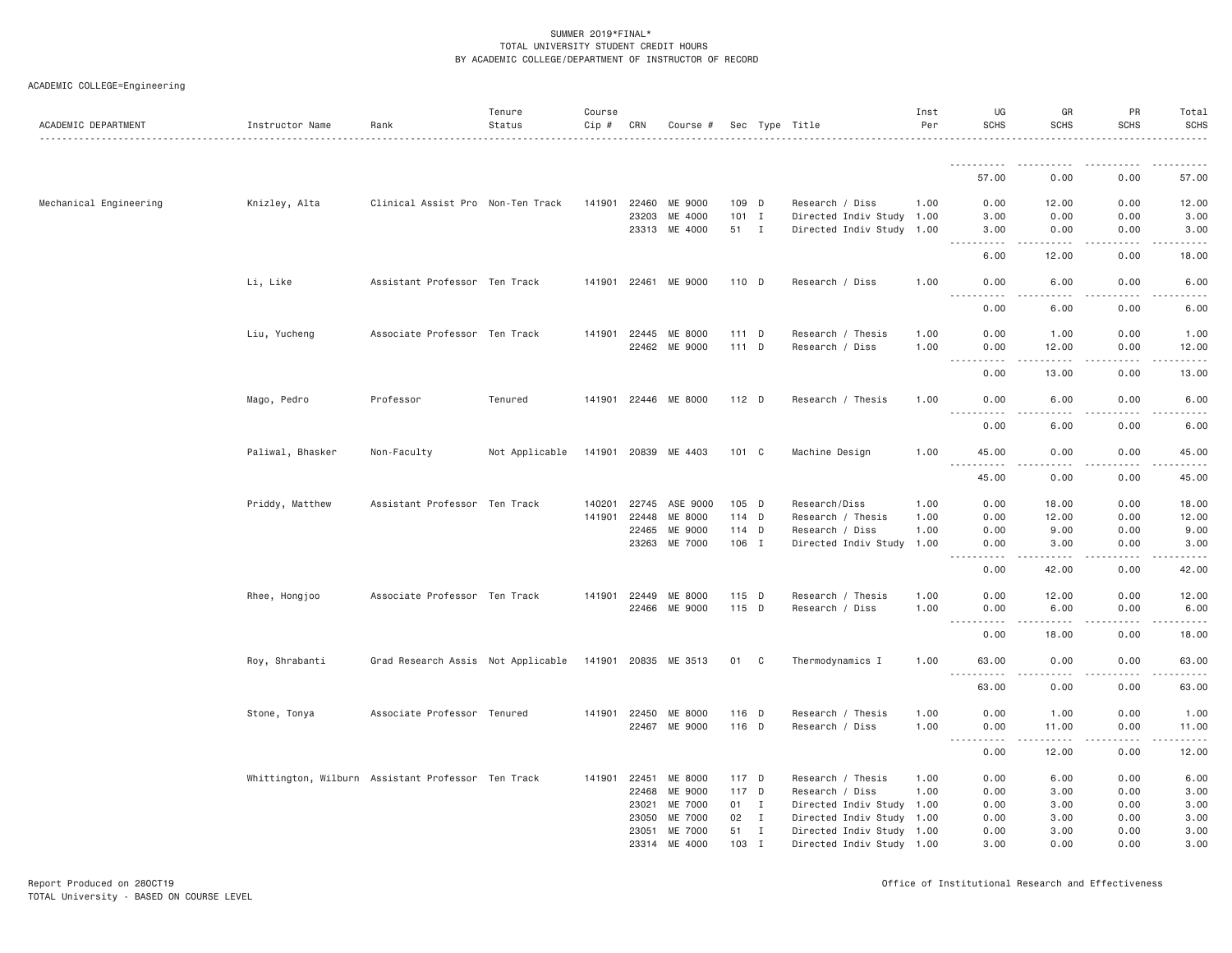| ACADEMIC COLLEGE=Engineering |  |
|------------------------------|--|
|                              |  |

| <u>.</u><br>57.00<br>0.00<br>0.00<br>Mechanical Engineering<br>ME 9000<br>109 D<br>0.00<br>0.00<br>Knizley, Alta<br>Clinical Assist Pro Non-Ten Track<br>141901<br>22460<br>Research / Diss<br>12.00<br>1.00<br>$101$ I<br>23203<br>ME 4000<br>Directed Indiv Study 1.00<br>3.00<br>0.00<br>0.00<br>23313<br>ME 4000<br>51 I<br>Directed Indiv Study 1.00<br>3.00<br>0.00<br>0.00<br>$\omega$ is a $\omega$<br>.<br>$\sim$ $\sim$ $\sim$<br>.<br>.<br>0.00<br>6.00<br>12.00<br>Li, Like<br>Assistant Professor Ten Track<br>0.00<br>141901 22461<br>ME 9000<br>110 D<br>Research / Diss<br>1.00<br>0.00<br>6.00<br><u>.</u><br>0.00<br>6.00<br>0.00<br>Associate Professor Ten Track<br>141901<br>ME 8000<br>111 D<br>0.00<br>0.00<br>1.00<br>Liu, Yucheng<br>22445<br>Research / Thesis<br>1.00<br>1.00<br>111 D<br>22462 ME 9000<br>Research / Diss<br>1.00<br>0.00<br>12.00<br>0.00<br>12.00<br>.<br>$- - - - -$<br>$- - - - -$<br>.<br>0.00<br>13.00<br>0.00<br>13.00<br>Mago, Pedro<br>Professor<br>Tenured<br>141901<br>22446 ME 8000<br>112 D<br>Research / Thesis<br>1.00<br>0.00<br>6.00<br>0.00<br><u>.</u><br>$- - -$<br>.<br>.<br>0.00<br>6.00<br>0.00<br>Paliwal, Bhasker<br>Non-Faculty<br>Not Applicable<br>141901 20839 ME 4403<br>101 C<br>Machine Design<br>1.00<br>45.00<br>0.00<br>0.00<br>$\frac{1}{2}$<br>$\frac{1}{2} \left( \frac{1}{2} \right) \left( \frac{1}{2} \right) \left( \frac{1}{2} \right)$<br>د د د د<br>45.00<br>0.00<br>0.00<br>Priddy, Matthew<br>Assistant Professor Ten Track<br>22745<br>ASE 9000<br>105 D<br>Research/Diss<br>1.00<br>0.00<br>18.00<br>0.00<br>140201<br>141901<br>22448<br>ME 8000<br>114 D<br>1.00<br>0.00<br>12.00<br>0.00<br>Research / Thesis<br>22465<br>ME 9000<br>114 D<br>Research / Diss<br>1.00<br>0.00<br>9.00<br>0.00<br>ME 7000<br>106 I<br>0.00<br>23263<br>Directed Indiv Study 1.00<br>0.00<br>3.00<br>$ -$<br>$\frac{1}{2} \left( \frac{1}{2} \right) \left( \frac{1}{2} \right) \left( \frac{1}{2} \right) \left( \frac{1}{2} \right) \left( \frac{1}{2} \right)$<br>$\frac{1}{2} \left( \frac{1}{2} \right) \left( \frac{1}{2} \right) \left( \frac{1}{2} \right) \left( \frac{1}{2} \right) \left( \frac{1}{2} \right)$<br>0.00<br>42.00<br>0.00<br>Rhee, Hongjoo<br>Associate Professor Ten Track<br>141901<br>115 D<br>0.00<br>12.00<br>0.00<br>22449<br>ME 8000<br>Research / Thesis<br>1.00<br>115 D<br>22466 ME 9000<br>Research / Diss<br>1.00<br>0.00<br>6.00<br>0.00<br><u>.</u><br>$\frac{1}{2} \left( \frac{1}{2} \right) \left( \frac{1}{2} \right) \left( \frac{1}{2} \right) \left( \frac{1}{2} \right) \left( \frac{1}{2} \right)$<br>.<br>.<br>0.00<br>18.00<br>0.00<br>Roy, Shrabanti<br>Grad Research Assis Not Applicable<br>141901 20835 ME 3513<br>01 C<br>Thermodynamics I<br>1.00<br>63.00<br>0.00<br>0.00<br>$\sim$ $\sim$ $\sim$ $\sim$<br>.<br>$\sim$ $\sim$ $\sim$ $\sim$<br>63.00<br>0.00<br>0.00<br>0.00<br>Associate Professor Tenured<br>141901 22450<br>ME 8000<br>116 D<br>1.00<br>0.00<br>1.00<br>Stone, Tonya<br>Research / Thesis<br>116 D<br>1.00<br>11.00<br>0.00<br>22467 ME 9000<br>Research / Diss<br>0.00<br>$\sim$ $\sim$<br>.<br>.<br>.<br>د د د د<br>0.00<br>12.00<br>0.00<br>Whittington, Wilburn Assistant Professor Ten Track<br>22451<br>ME 8000<br>117 D<br>Research / Thesis<br>0.00<br>6.00<br>0.00<br>6.00<br>141901<br>1.00<br>117 D<br>22468<br>ME 9000<br>Research / Diss<br>1.00<br>0.00<br>3.00<br>0.00<br>3.00<br>23021<br><b>ME 7000</b><br>01<br>$\mathbf{I}$<br>Directed Indiv Study 1.00<br>0.00<br>3.00<br>0.00<br>3.00<br>23050<br>ME 7000<br>02 I<br>Directed Indiv Study 1.00<br>0.00<br>3.00<br>0.00<br>3.00<br>ME 7000<br>51<br>0.00<br>23051<br>$\mathbf{I}$<br>Directed Indiv Study 1.00<br>3.00<br>0.00<br>3.00<br>103 I | ACADEMIC DEPARTMENT | Instructor Name | Rank | Tenure<br>Status | Course<br>$Cip \#$ | CRN   | Course # |  | Sec Type Title            | Inst<br>Per | UG<br><b>SCHS</b> | GR<br><b>SCHS</b> | <b>PR</b><br><b>SCHS</b> | Total<br><b>SCHS</b><br>$\frac{1}{2} \left( \frac{1}{2} \right) \left( \frac{1}{2} \right) \left( \frac{1}{2} \right) \left( \frac{1}{2} \right) \left( \frac{1}{2} \right)$ |
|---------------------------------------------------------------------------------------------------------------------------------------------------------------------------------------------------------------------------------------------------------------------------------------------------------------------------------------------------------------------------------------------------------------------------------------------------------------------------------------------------------------------------------------------------------------------------------------------------------------------------------------------------------------------------------------------------------------------------------------------------------------------------------------------------------------------------------------------------------------------------------------------------------------------------------------------------------------------------------------------------------------------------------------------------------------------------------------------------------------------------------------------------------------------------------------------------------------------------------------------------------------------------------------------------------------------------------------------------------------------------------------------------------------------------------------------------------------------------------------------------------------------------------------------------------------------------------------------------------------------------------------------------------------------------------------------------------------------------------------------------------------------------------------------------------------------------------------------------------------------------------------------------------------------------------------------------------------------------------------------------------------------------------------------------------------------------------------------------------------------------------------------------------------------------------------------------------------------------------------------------------------------------------------------------------------------------------------------------------------------------------------------------------------------------------------------------------------------------------------------------------------------------------------------------------------------------------------------------------------------------------------------------------------------------------------------------------------------------------------------------------------------------------------------------------------------------------------------------------------------------------------------------------------------------------------------------------------------------------------------------------------------------------------------------------------------------------------------------------------------------------------------------------------------------------------------------------------------------------------------------------------------------------------------------------------------------------------------------------------------------------------------------------------------------------------------------------------------------------------------------------------------------------------------------------------------------------------------------------------------------------------------------------------------------------------------------------------------------------------------------------------------------------|---------------------|-----------------|------|------------------|--------------------|-------|----------|--|---------------------------|-------------|-------------------|-------------------|--------------------------|------------------------------------------------------------------------------------------------------------------------------------------------------------------------------|
|                                                                                                                                                                                                                                                                                                                                                                                                                                                                                                                                                                                                                                                                                                                                                                                                                                                                                                                                                                                                                                                                                                                                                                                                                                                                                                                                                                                                                                                                                                                                                                                                                                                                                                                                                                                                                                                                                                                                                                                                                                                                                                                                                                                                                                                                                                                                                                                                                                                                                                                                                                                                                                                                                                                                                                                                                                                                                                                                                                                                                                                                                                                                                                                                                                                                                                                                                                                                                                                                                                                                                                                                                                                                                                                                                                                 |                     |                 |      |                  |                    |       |          |  |                           |             |                   |                   |                          |                                                                                                                                                                              |
|                                                                                                                                                                                                                                                                                                                                                                                                                                                                                                                                                                                                                                                                                                                                                                                                                                                                                                                                                                                                                                                                                                                                                                                                                                                                                                                                                                                                                                                                                                                                                                                                                                                                                                                                                                                                                                                                                                                                                                                                                                                                                                                                                                                                                                                                                                                                                                                                                                                                                                                                                                                                                                                                                                                                                                                                                                                                                                                                                                                                                                                                                                                                                                                                                                                                                                                                                                                                                                                                                                                                                                                                                                                                                                                                                                                 |                     |                 |      |                  |                    |       |          |  |                           |             |                   |                   |                          | 57.00                                                                                                                                                                        |
|                                                                                                                                                                                                                                                                                                                                                                                                                                                                                                                                                                                                                                                                                                                                                                                                                                                                                                                                                                                                                                                                                                                                                                                                                                                                                                                                                                                                                                                                                                                                                                                                                                                                                                                                                                                                                                                                                                                                                                                                                                                                                                                                                                                                                                                                                                                                                                                                                                                                                                                                                                                                                                                                                                                                                                                                                                                                                                                                                                                                                                                                                                                                                                                                                                                                                                                                                                                                                                                                                                                                                                                                                                                                                                                                                                                 |                     |                 |      |                  |                    |       |          |  |                           |             |                   |                   |                          | 12.00                                                                                                                                                                        |
|                                                                                                                                                                                                                                                                                                                                                                                                                                                                                                                                                                                                                                                                                                                                                                                                                                                                                                                                                                                                                                                                                                                                                                                                                                                                                                                                                                                                                                                                                                                                                                                                                                                                                                                                                                                                                                                                                                                                                                                                                                                                                                                                                                                                                                                                                                                                                                                                                                                                                                                                                                                                                                                                                                                                                                                                                                                                                                                                                                                                                                                                                                                                                                                                                                                                                                                                                                                                                                                                                                                                                                                                                                                                                                                                                                                 |                     |                 |      |                  |                    |       |          |  |                           |             |                   |                   |                          | 3.00                                                                                                                                                                         |
|                                                                                                                                                                                                                                                                                                                                                                                                                                                                                                                                                                                                                                                                                                                                                                                                                                                                                                                                                                                                                                                                                                                                                                                                                                                                                                                                                                                                                                                                                                                                                                                                                                                                                                                                                                                                                                                                                                                                                                                                                                                                                                                                                                                                                                                                                                                                                                                                                                                                                                                                                                                                                                                                                                                                                                                                                                                                                                                                                                                                                                                                                                                                                                                                                                                                                                                                                                                                                                                                                                                                                                                                                                                                                                                                                                                 |                     |                 |      |                  |                    |       |          |  |                           |             |                   |                   |                          | 3.00                                                                                                                                                                         |
|                                                                                                                                                                                                                                                                                                                                                                                                                                                                                                                                                                                                                                                                                                                                                                                                                                                                                                                                                                                                                                                                                                                                                                                                                                                                                                                                                                                                                                                                                                                                                                                                                                                                                                                                                                                                                                                                                                                                                                                                                                                                                                                                                                                                                                                                                                                                                                                                                                                                                                                                                                                                                                                                                                                                                                                                                                                                                                                                                                                                                                                                                                                                                                                                                                                                                                                                                                                                                                                                                                                                                                                                                                                                                                                                                                                 |                     |                 |      |                  |                    |       |          |  |                           |             |                   |                   |                          | 18.00                                                                                                                                                                        |
|                                                                                                                                                                                                                                                                                                                                                                                                                                                                                                                                                                                                                                                                                                                                                                                                                                                                                                                                                                                                                                                                                                                                                                                                                                                                                                                                                                                                                                                                                                                                                                                                                                                                                                                                                                                                                                                                                                                                                                                                                                                                                                                                                                                                                                                                                                                                                                                                                                                                                                                                                                                                                                                                                                                                                                                                                                                                                                                                                                                                                                                                                                                                                                                                                                                                                                                                                                                                                                                                                                                                                                                                                                                                                                                                                                                 |                     |                 |      |                  |                    |       |          |  |                           |             |                   |                   |                          | 6.00                                                                                                                                                                         |
|                                                                                                                                                                                                                                                                                                                                                                                                                                                                                                                                                                                                                                                                                                                                                                                                                                                                                                                                                                                                                                                                                                                                                                                                                                                                                                                                                                                                                                                                                                                                                                                                                                                                                                                                                                                                                                                                                                                                                                                                                                                                                                                                                                                                                                                                                                                                                                                                                                                                                                                                                                                                                                                                                                                                                                                                                                                                                                                                                                                                                                                                                                                                                                                                                                                                                                                                                                                                                                                                                                                                                                                                                                                                                                                                                                                 |                     |                 |      |                  |                    |       |          |  |                           |             |                   |                   |                          | 6.00                                                                                                                                                                         |
|                                                                                                                                                                                                                                                                                                                                                                                                                                                                                                                                                                                                                                                                                                                                                                                                                                                                                                                                                                                                                                                                                                                                                                                                                                                                                                                                                                                                                                                                                                                                                                                                                                                                                                                                                                                                                                                                                                                                                                                                                                                                                                                                                                                                                                                                                                                                                                                                                                                                                                                                                                                                                                                                                                                                                                                                                                                                                                                                                                                                                                                                                                                                                                                                                                                                                                                                                                                                                                                                                                                                                                                                                                                                                                                                                                                 |                     |                 |      |                  |                    |       |          |  |                           |             |                   |                   |                          |                                                                                                                                                                              |
|                                                                                                                                                                                                                                                                                                                                                                                                                                                                                                                                                                                                                                                                                                                                                                                                                                                                                                                                                                                                                                                                                                                                                                                                                                                                                                                                                                                                                                                                                                                                                                                                                                                                                                                                                                                                                                                                                                                                                                                                                                                                                                                                                                                                                                                                                                                                                                                                                                                                                                                                                                                                                                                                                                                                                                                                                                                                                                                                                                                                                                                                                                                                                                                                                                                                                                                                                                                                                                                                                                                                                                                                                                                                                                                                                                                 |                     |                 |      |                  |                    |       |          |  |                           |             |                   |                   |                          |                                                                                                                                                                              |
|                                                                                                                                                                                                                                                                                                                                                                                                                                                                                                                                                                                                                                                                                                                                                                                                                                                                                                                                                                                                                                                                                                                                                                                                                                                                                                                                                                                                                                                                                                                                                                                                                                                                                                                                                                                                                                                                                                                                                                                                                                                                                                                                                                                                                                                                                                                                                                                                                                                                                                                                                                                                                                                                                                                                                                                                                                                                                                                                                                                                                                                                                                                                                                                                                                                                                                                                                                                                                                                                                                                                                                                                                                                                                                                                                                                 |                     |                 |      |                  |                    |       |          |  |                           |             |                   |                   |                          |                                                                                                                                                                              |
|                                                                                                                                                                                                                                                                                                                                                                                                                                                                                                                                                                                                                                                                                                                                                                                                                                                                                                                                                                                                                                                                                                                                                                                                                                                                                                                                                                                                                                                                                                                                                                                                                                                                                                                                                                                                                                                                                                                                                                                                                                                                                                                                                                                                                                                                                                                                                                                                                                                                                                                                                                                                                                                                                                                                                                                                                                                                                                                                                                                                                                                                                                                                                                                                                                                                                                                                                                                                                                                                                                                                                                                                                                                                                                                                                                                 |                     |                 |      |                  |                    |       |          |  |                           |             |                   |                   |                          |                                                                                                                                                                              |
|                                                                                                                                                                                                                                                                                                                                                                                                                                                                                                                                                                                                                                                                                                                                                                                                                                                                                                                                                                                                                                                                                                                                                                                                                                                                                                                                                                                                                                                                                                                                                                                                                                                                                                                                                                                                                                                                                                                                                                                                                                                                                                                                                                                                                                                                                                                                                                                                                                                                                                                                                                                                                                                                                                                                                                                                                                                                                                                                                                                                                                                                                                                                                                                                                                                                                                                                                                                                                                                                                                                                                                                                                                                                                                                                                                                 |                     |                 |      |                  |                    |       |          |  |                           |             |                   |                   |                          | 6.00                                                                                                                                                                         |
|                                                                                                                                                                                                                                                                                                                                                                                                                                                                                                                                                                                                                                                                                                                                                                                                                                                                                                                                                                                                                                                                                                                                                                                                                                                                                                                                                                                                                                                                                                                                                                                                                                                                                                                                                                                                                                                                                                                                                                                                                                                                                                                                                                                                                                                                                                                                                                                                                                                                                                                                                                                                                                                                                                                                                                                                                                                                                                                                                                                                                                                                                                                                                                                                                                                                                                                                                                                                                                                                                                                                                                                                                                                                                                                                                                                 |                     |                 |      |                  |                    |       |          |  |                           |             |                   |                   |                          | 6.00                                                                                                                                                                         |
|                                                                                                                                                                                                                                                                                                                                                                                                                                                                                                                                                                                                                                                                                                                                                                                                                                                                                                                                                                                                                                                                                                                                                                                                                                                                                                                                                                                                                                                                                                                                                                                                                                                                                                                                                                                                                                                                                                                                                                                                                                                                                                                                                                                                                                                                                                                                                                                                                                                                                                                                                                                                                                                                                                                                                                                                                                                                                                                                                                                                                                                                                                                                                                                                                                                                                                                                                                                                                                                                                                                                                                                                                                                                                                                                                                                 |                     |                 |      |                  |                    |       |          |  |                           |             |                   |                   |                          | 45.00                                                                                                                                                                        |
|                                                                                                                                                                                                                                                                                                                                                                                                                                                                                                                                                                                                                                                                                                                                                                                                                                                                                                                                                                                                                                                                                                                                                                                                                                                                                                                                                                                                                                                                                                                                                                                                                                                                                                                                                                                                                                                                                                                                                                                                                                                                                                                                                                                                                                                                                                                                                                                                                                                                                                                                                                                                                                                                                                                                                                                                                                                                                                                                                                                                                                                                                                                                                                                                                                                                                                                                                                                                                                                                                                                                                                                                                                                                                                                                                                                 |                     |                 |      |                  |                    |       |          |  |                           |             |                   |                   |                          | 45.00                                                                                                                                                                        |
|                                                                                                                                                                                                                                                                                                                                                                                                                                                                                                                                                                                                                                                                                                                                                                                                                                                                                                                                                                                                                                                                                                                                                                                                                                                                                                                                                                                                                                                                                                                                                                                                                                                                                                                                                                                                                                                                                                                                                                                                                                                                                                                                                                                                                                                                                                                                                                                                                                                                                                                                                                                                                                                                                                                                                                                                                                                                                                                                                                                                                                                                                                                                                                                                                                                                                                                                                                                                                                                                                                                                                                                                                                                                                                                                                                                 |                     |                 |      |                  |                    |       |          |  |                           |             |                   |                   |                          | 18.00                                                                                                                                                                        |
|                                                                                                                                                                                                                                                                                                                                                                                                                                                                                                                                                                                                                                                                                                                                                                                                                                                                                                                                                                                                                                                                                                                                                                                                                                                                                                                                                                                                                                                                                                                                                                                                                                                                                                                                                                                                                                                                                                                                                                                                                                                                                                                                                                                                                                                                                                                                                                                                                                                                                                                                                                                                                                                                                                                                                                                                                                                                                                                                                                                                                                                                                                                                                                                                                                                                                                                                                                                                                                                                                                                                                                                                                                                                                                                                                                                 |                     |                 |      |                  |                    |       |          |  |                           |             |                   |                   |                          | 12.00                                                                                                                                                                        |
|                                                                                                                                                                                                                                                                                                                                                                                                                                                                                                                                                                                                                                                                                                                                                                                                                                                                                                                                                                                                                                                                                                                                                                                                                                                                                                                                                                                                                                                                                                                                                                                                                                                                                                                                                                                                                                                                                                                                                                                                                                                                                                                                                                                                                                                                                                                                                                                                                                                                                                                                                                                                                                                                                                                                                                                                                                                                                                                                                                                                                                                                                                                                                                                                                                                                                                                                                                                                                                                                                                                                                                                                                                                                                                                                                                                 |                     |                 |      |                  |                    |       |          |  |                           |             |                   |                   |                          | 9.00                                                                                                                                                                         |
|                                                                                                                                                                                                                                                                                                                                                                                                                                                                                                                                                                                                                                                                                                                                                                                                                                                                                                                                                                                                                                                                                                                                                                                                                                                                                                                                                                                                                                                                                                                                                                                                                                                                                                                                                                                                                                                                                                                                                                                                                                                                                                                                                                                                                                                                                                                                                                                                                                                                                                                                                                                                                                                                                                                                                                                                                                                                                                                                                                                                                                                                                                                                                                                                                                                                                                                                                                                                                                                                                                                                                                                                                                                                                                                                                                                 |                     |                 |      |                  |                    |       |          |  |                           |             |                   |                   |                          | 3.00                                                                                                                                                                         |
|                                                                                                                                                                                                                                                                                                                                                                                                                                                                                                                                                                                                                                                                                                                                                                                                                                                                                                                                                                                                                                                                                                                                                                                                                                                                                                                                                                                                                                                                                                                                                                                                                                                                                                                                                                                                                                                                                                                                                                                                                                                                                                                                                                                                                                                                                                                                                                                                                                                                                                                                                                                                                                                                                                                                                                                                                                                                                                                                                                                                                                                                                                                                                                                                                                                                                                                                                                                                                                                                                                                                                                                                                                                                                                                                                                                 |                     |                 |      |                  |                    |       |          |  |                           |             |                   |                   |                          | 42.00                                                                                                                                                                        |
|                                                                                                                                                                                                                                                                                                                                                                                                                                                                                                                                                                                                                                                                                                                                                                                                                                                                                                                                                                                                                                                                                                                                                                                                                                                                                                                                                                                                                                                                                                                                                                                                                                                                                                                                                                                                                                                                                                                                                                                                                                                                                                                                                                                                                                                                                                                                                                                                                                                                                                                                                                                                                                                                                                                                                                                                                                                                                                                                                                                                                                                                                                                                                                                                                                                                                                                                                                                                                                                                                                                                                                                                                                                                                                                                                                                 |                     |                 |      |                  |                    |       |          |  |                           |             |                   |                   |                          | 12.00                                                                                                                                                                        |
|                                                                                                                                                                                                                                                                                                                                                                                                                                                                                                                                                                                                                                                                                                                                                                                                                                                                                                                                                                                                                                                                                                                                                                                                                                                                                                                                                                                                                                                                                                                                                                                                                                                                                                                                                                                                                                                                                                                                                                                                                                                                                                                                                                                                                                                                                                                                                                                                                                                                                                                                                                                                                                                                                                                                                                                                                                                                                                                                                                                                                                                                                                                                                                                                                                                                                                                                                                                                                                                                                                                                                                                                                                                                                                                                                                                 |                     |                 |      |                  |                    |       |          |  |                           |             |                   |                   |                          | 6.00                                                                                                                                                                         |
|                                                                                                                                                                                                                                                                                                                                                                                                                                                                                                                                                                                                                                                                                                                                                                                                                                                                                                                                                                                                                                                                                                                                                                                                                                                                                                                                                                                                                                                                                                                                                                                                                                                                                                                                                                                                                                                                                                                                                                                                                                                                                                                                                                                                                                                                                                                                                                                                                                                                                                                                                                                                                                                                                                                                                                                                                                                                                                                                                                                                                                                                                                                                                                                                                                                                                                                                                                                                                                                                                                                                                                                                                                                                                                                                                                                 |                     |                 |      |                  |                    |       |          |  |                           |             |                   |                   |                          | 18.00                                                                                                                                                                        |
|                                                                                                                                                                                                                                                                                                                                                                                                                                                                                                                                                                                                                                                                                                                                                                                                                                                                                                                                                                                                                                                                                                                                                                                                                                                                                                                                                                                                                                                                                                                                                                                                                                                                                                                                                                                                                                                                                                                                                                                                                                                                                                                                                                                                                                                                                                                                                                                                                                                                                                                                                                                                                                                                                                                                                                                                                                                                                                                                                                                                                                                                                                                                                                                                                                                                                                                                                                                                                                                                                                                                                                                                                                                                                                                                                                                 |                     |                 |      |                  |                    |       |          |  |                           |             |                   |                   |                          | 63.00                                                                                                                                                                        |
|                                                                                                                                                                                                                                                                                                                                                                                                                                                                                                                                                                                                                                                                                                                                                                                                                                                                                                                                                                                                                                                                                                                                                                                                                                                                                                                                                                                                                                                                                                                                                                                                                                                                                                                                                                                                                                                                                                                                                                                                                                                                                                                                                                                                                                                                                                                                                                                                                                                                                                                                                                                                                                                                                                                                                                                                                                                                                                                                                                                                                                                                                                                                                                                                                                                                                                                                                                                                                                                                                                                                                                                                                                                                                                                                                                                 |                     |                 |      |                  |                    |       |          |  |                           |             |                   |                   |                          | 63.00                                                                                                                                                                        |
|                                                                                                                                                                                                                                                                                                                                                                                                                                                                                                                                                                                                                                                                                                                                                                                                                                                                                                                                                                                                                                                                                                                                                                                                                                                                                                                                                                                                                                                                                                                                                                                                                                                                                                                                                                                                                                                                                                                                                                                                                                                                                                                                                                                                                                                                                                                                                                                                                                                                                                                                                                                                                                                                                                                                                                                                                                                                                                                                                                                                                                                                                                                                                                                                                                                                                                                                                                                                                                                                                                                                                                                                                                                                                                                                                                                 |                     |                 |      |                  |                    |       |          |  |                           |             |                   |                   |                          | 1.00                                                                                                                                                                         |
|                                                                                                                                                                                                                                                                                                                                                                                                                                                                                                                                                                                                                                                                                                                                                                                                                                                                                                                                                                                                                                                                                                                                                                                                                                                                                                                                                                                                                                                                                                                                                                                                                                                                                                                                                                                                                                                                                                                                                                                                                                                                                                                                                                                                                                                                                                                                                                                                                                                                                                                                                                                                                                                                                                                                                                                                                                                                                                                                                                                                                                                                                                                                                                                                                                                                                                                                                                                                                                                                                                                                                                                                                                                                                                                                                                                 |                     |                 |      |                  |                    |       |          |  |                           |             |                   |                   |                          | 11.00                                                                                                                                                                        |
|                                                                                                                                                                                                                                                                                                                                                                                                                                                                                                                                                                                                                                                                                                                                                                                                                                                                                                                                                                                                                                                                                                                                                                                                                                                                                                                                                                                                                                                                                                                                                                                                                                                                                                                                                                                                                                                                                                                                                                                                                                                                                                                                                                                                                                                                                                                                                                                                                                                                                                                                                                                                                                                                                                                                                                                                                                                                                                                                                                                                                                                                                                                                                                                                                                                                                                                                                                                                                                                                                                                                                                                                                                                                                                                                                                                 |                     |                 |      |                  |                    |       |          |  |                           |             |                   |                   |                          | 12.00                                                                                                                                                                        |
|                                                                                                                                                                                                                                                                                                                                                                                                                                                                                                                                                                                                                                                                                                                                                                                                                                                                                                                                                                                                                                                                                                                                                                                                                                                                                                                                                                                                                                                                                                                                                                                                                                                                                                                                                                                                                                                                                                                                                                                                                                                                                                                                                                                                                                                                                                                                                                                                                                                                                                                                                                                                                                                                                                                                                                                                                                                                                                                                                                                                                                                                                                                                                                                                                                                                                                                                                                                                                                                                                                                                                                                                                                                                                                                                                                                 |                     |                 |      |                  |                    |       |          |  |                           |             |                   |                   |                          |                                                                                                                                                                              |
|                                                                                                                                                                                                                                                                                                                                                                                                                                                                                                                                                                                                                                                                                                                                                                                                                                                                                                                                                                                                                                                                                                                                                                                                                                                                                                                                                                                                                                                                                                                                                                                                                                                                                                                                                                                                                                                                                                                                                                                                                                                                                                                                                                                                                                                                                                                                                                                                                                                                                                                                                                                                                                                                                                                                                                                                                                                                                                                                                                                                                                                                                                                                                                                                                                                                                                                                                                                                                                                                                                                                                                                                                                                                                                                                                                                 |                     |                 |      |                  |                    |       |          |  |                           |             |                   |                   |                          |                                                                                                                                                                              |
|                                                                                                                                                                                                                                                                                                                                                                                                                                                                                                                                                                                                                                                                                                                                                                                                                                                                                                                                                                                                                                                                                                                                                                                                                                                                                                                                                                                                                                                                                                                                                                                                                                                                                                                                                                                                                                                                                                                                                                                                                                                                                                                                                                                                                                                                                                                                                                                                                                                                                                                                                                                                                                                                                                                                                                                                                                                                                                                                                                                                                                                                                                                                                                                                                                                                                                                                                                                                                                                                                                                                                                                                                                                                                                                                                                                 |                     |                 |      |                  |                    |       |          |  |                           |             |                   |                   |                          |                                                                                                                                                                              |
|                                                                                                                                                                                                                                                                                                                                                                                                                                                                                                                                                                                                                                                                                                                                                                                                                                                                                                                                                                                                                                                                                                                                                                                                                                                                                                                                                                                                                                                                                                                                                                                                                                                                                                                                                                                                                                                                                                                                                                                                                                                                                                                                                                                                                                                                                                                                                                                                                                                                                                                                                                                                                                                                                                                                                                                                                                                                                                                                                                                                                                                                                                                                                                                                                                                                                                                                                                                                                                                                                                                                                                                                                                                                                                                                                                                 |                     |                 |      |                  |                    |       |          |  |                           |             |                   |                   |                          |                                                                                                                                                                              |
|                                                                                                                                                                                                                                                                                                                                                                                                                                                                                                                                                                                                                                                                                                                                                                                                                                                                                                                                                                                                                                                                                                                                                                                                                                                                                                                                                                                                                                                                                                                                                                                                                                                                                                                                                                                                                                                                                                                                                                                                                                                                                                                                                                                                                                                                                                                                                                                                                                                                                                                                                                                                                                                                                                                                                                                                                                                                                                                                                                                                                                                                                                                                                                                                                                                                                                                                                                                                                                                                                                                                                                                                                                                                                                                                                                                 |                     |                 |      |                  |                    |       |          |  |                           |             |                   |                   |                          |                                                                                                                                                                              |
|                                                                                                                                                                                                                                                                                                                                                                                                                                                                                                                                                                                                                                                                                                                                                                                                                                                                                                                                                                                                                                                                                                                                                                                                                                                                                                                                                                                                                                                                                                                                                                                                                                                                                                                                                                                                                                                                                                                                                                                                                                                                                                                                                                                                                                                                                                                                                                                                                                                                                                                                                                                                                                                                                                                                                                                                                                                                                                                                                                                                                                                                                                                                                                                                                                                                                                                                                                                                                                                                                                                                                                                                                                                                                                                                                                                 |                     |                 |      |                  |                    | 23314 | ME 4000  |  | Directed Indiv Study 1.00 |             | 3.00              | 0.00              | 0.00                     | 3.00                                                                                                                                                                         |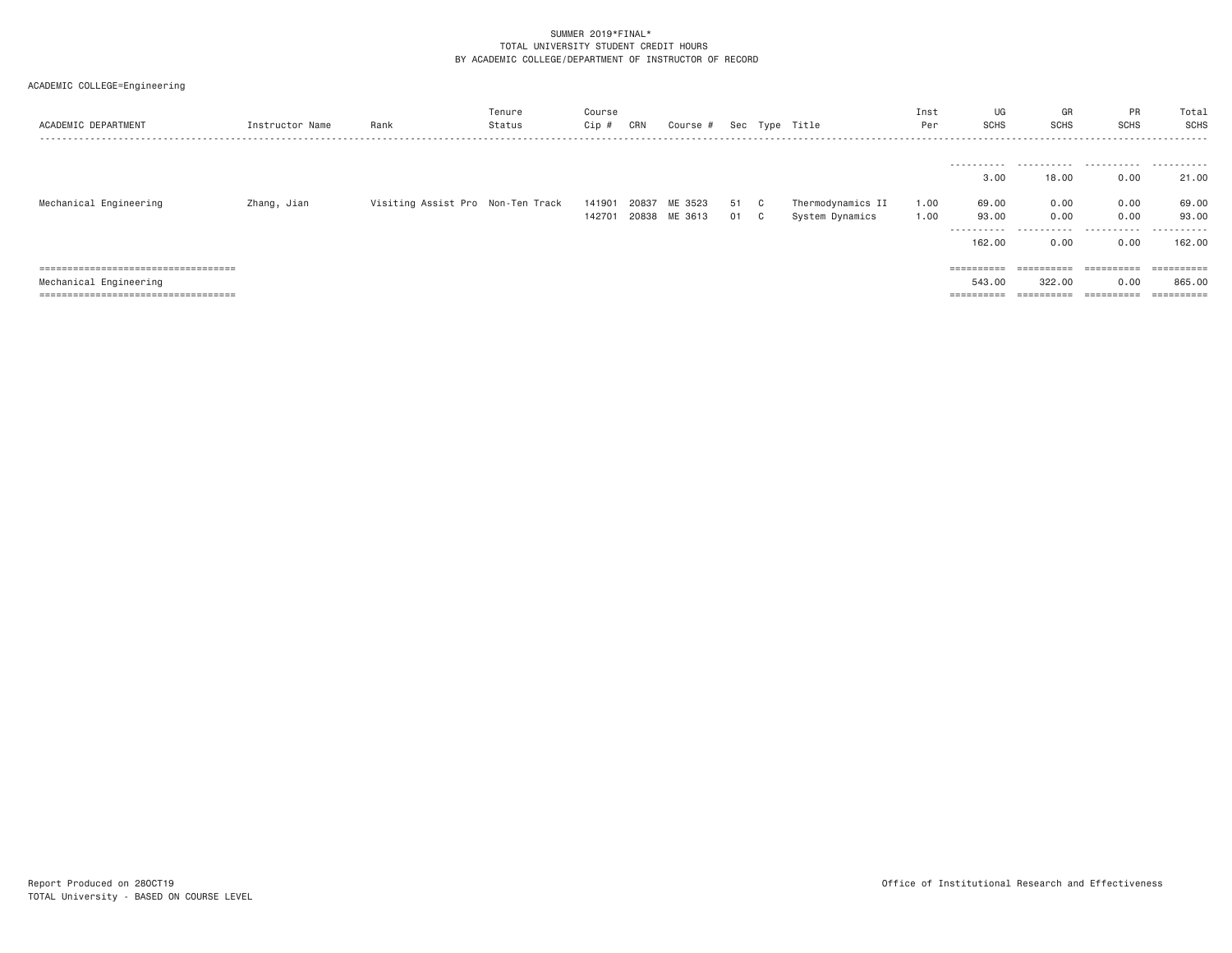| ACADEMIC DEPARTMENT                                                            | Instructor Name | Rank                              | Tenure<br>Status | Course<br>Cip # | CRN   | Course #      |    |    | Sec Type Title    | Inst<br>Per | UG<br><b>SCHS</b>       | GR<br><b>SCHS</b>        | PR<br>SCHS                | Total<br>SCHS         |
|--------------------------------------------------------------------------------|-----------------|-----------------------------------|------------------|-----------------|-------|---------------|----|----|-------------------|-------------|-------------------------|--------------------------|---------------------------|-----------------------|
|                                                                                |                 |                                   |                  |                 |       |               |    |    |                   |             |                         |                          |                           |                       |
|                                                                                |                 |                                   |                  |                 |       |               |    |    |                   |             |                         |                          |                           |                       |
|                                                                                |                 |                                   |                  |                 |       |               |    |    |                   |             | 3,00                    | 18,00                    | 0.00                      | 21.00                 |
| Mechanical Engineering                                                         | Zhang, Jian     | Visiting Assist Pro Non-Ten Track |                  | 141901          | 20837 | ME 3523       | 51 | ◡  | Thermodynamics II | 1.00        | 69.00                   | 0.00                     | 0.00                      | 69.00                 |
|                                                                                |                 |                                   |                  | 142701          |       | 20838 ME 3613 | 01 | C. | System Dynamics   | 1,00        | 93.00                   | 0.00                     | 0.00                      | 93.00                 |
|                                                                                |                 |                                   |                  |                 |       |               |    |    |                   |             | -----------<br>162,00   | 0.00                     | 0.00                      | .<br>162.00           |
| =====================================                                          |                 |                                   |                  |                 |       |               |    |    |                   |             | $=$ = = = = = = = = =   | $=$ = = = = = = = = = =  | ESSESSESSE                | ==========            |
| Mechanical Engineering                                                         |                 |                                   |                  |                 |       |               |    |    |                   |             | 543,00                  | 322,00                   | 0.00                      | 865,00                |
| -------------------------------------<br>------------------------------------- |                 |                                   |                  |                 |       |               |    |    |                   |             | _________<br>========== | __________<br>========== | ___________<br>---------- | $=$ = = = = = = = = = |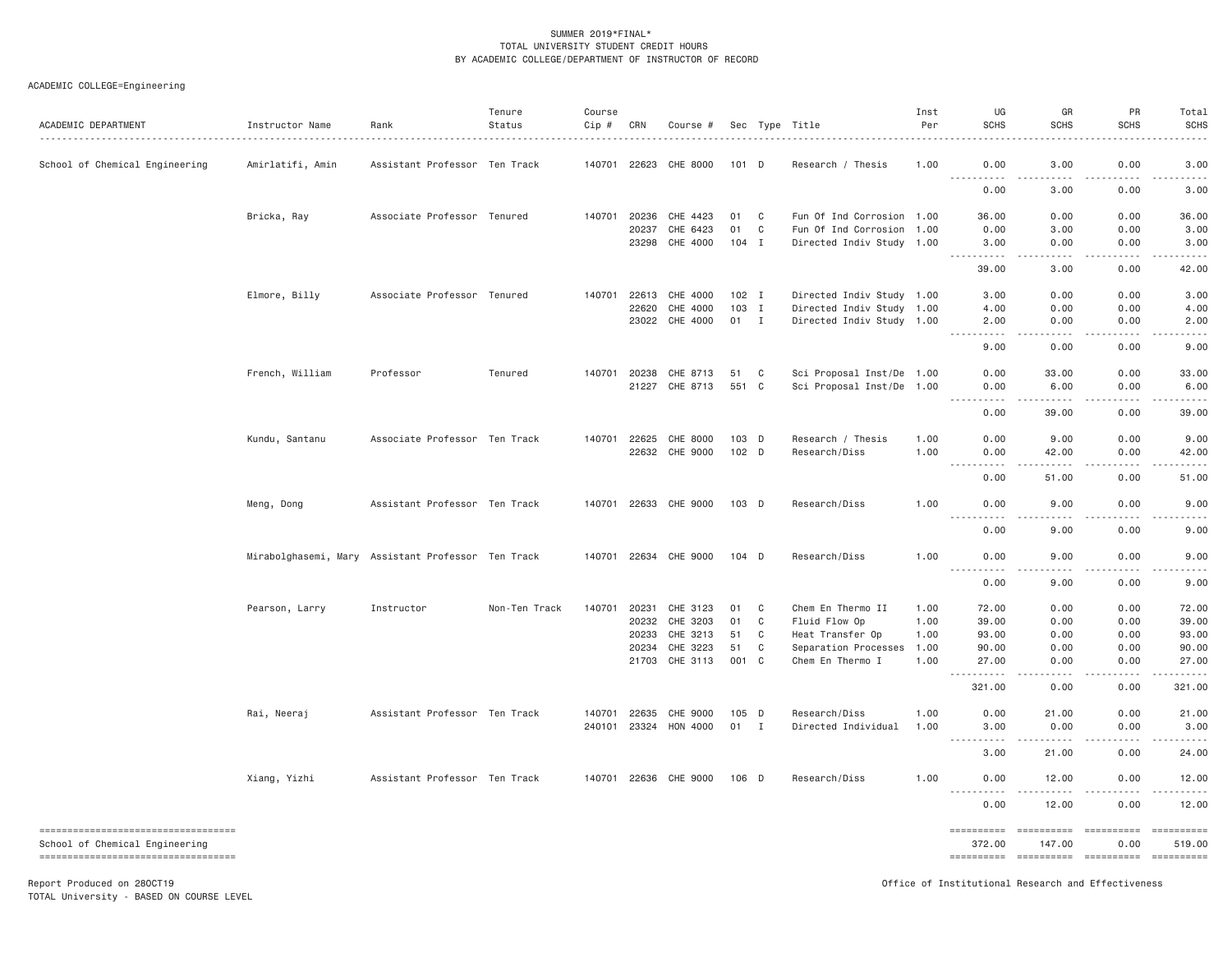ACADEMIC COLLEGE=Engineering

| ACADEMIC DEPARTMENT                                                     | Instructor Name                                    | Rank                          | Tenure<br>Status | Course<br>Cip # | CRN          | Course #              |         |              | Sec Type Title            | Inst<br>Per | UG<br><b>SCHS</b>                                                  | GR<br><b>SCHS</b>                                                                                                                                            | PR<br><b>SCHS</b>                                                                                                                                            | Total<br><b>SCHS</b> |
|-------------------------------------------------------------------------|----------------------------------------------------|-------------------------------|------------------|-----------------|--------------|-----------------------|---------|--------------|---------------------------|-------------|--------------------------------------------------------------------|--------------------------------------------------------------------------------------------------------------------------------------------------------------|--------------------------------------------------------------------------------------------------------------------------------------------------------------|----------------------|
| School of Chemical Engineering                                          | Amirlatifi, Amin                                   | Assistant Professor Ten Track |                  |                 | 140701 22623 | CHE 8000              | 101 D   |              | Research / Thesis         | 1.00        | 0.00                                                               | 3.00                                                                                                                                                         | 0.00                                                                                                                                                         | 3.00                 |
|                                                                         |                                                    |                               |                  |                 |              |                       |         |              |                           |             | <u>.</u><br>0.00                                                   | 3,00                                                                                                                                                         | 0.00                                                                                                                                                         | 3,00                 |
|                                                                         | Bricka, Ray                                        | Associate Professor Tenured   |                  |                 | 140701 20236 | CHE 4423              | 01      | C            | Fun Of Ind Corrosion 1.00 |             | 36.00                                                              | 0.00                                                                                                                                                         | 0.00                                                                                                                                                         | 36.00                |
|                                                                         |                                                    |                               |                  |                 | 20237        | CHE 6423              | 01      | C            | Fun Of Ind Corrosion      | 1,00        | 0.00                                                               | 3.00                                                                                                                                                         | 0.00                                                                                                                                                         | 3.00                 |
|                                                                         |                                                    |                               |                  |                 | 23298        | CHE 4000              | 104     | I            | Directed Indiv Study 1.00 |             | 3.00<br>.                                                          | 0.00<br>$   -$                                                                                                                                               | 0.00<br><b>.</b>                                                                                                                                             | 3.00<br>.            |
|                                                                         |                                                    |                               |                  |                 |              |                       |         |              |                           |             | 39.00                                                              | 3.00                                                                                                                                                         | 0.00                                                                                                                                                         | 42.00                |
|                                                                         | Elmore, Billy                                      | Associate Professor Tenured   |                  | 140701          | 22613        | CHE 4000              | $102$ I |              | Directed Indiv Study 1.00 |             | 3.00                                                               | 0.00                                                                                                                                                         | 0.00                                                                                                                                                         | 3.00                 |
|                                                                         |                                                    |                               |                  |                 | 22620        | CHE 4000              | 103 I   |              | Directed Indiv Study 1.00 |             | 4.00                                                               | 0.00                                                                                                                                                         | 0.00                                                                                                                                                         | 4.00                 |
|                                                                         |                                                    |                               |                  |                 | 23022        | CHE 4000              | 01 I    |              | Directed Indiv Study 1.00 |             | 2.00<br>$- - -$<br>.                                               | 0.00<br>.                                                                                                                                                    | 0.00<br>$\frac{1}{2} \left( \frac{1}{2} \right) \left( \frac{1}{2} \right) \left( \frac{1}{2} \right) \left( \frac{1}{2} \right) \left( \frac{1}{2} \right)$ | 2.00<br>.            |
|                                                                         |                                                    |                               |                  |                 |              |                       |         |              |                           |             | 9.00                                                               | 0.00                                                                                                                                                         | 0.00                                                                                                                                                         | 9.00                 |
|                                                                         | French, William                                    | Professor                     | Tenured          | 140701          | 20238        | CHE 8713              | 51      | C            | Sci Proposal Inst/De 1.00 |             | 0.00                                                               | 33.00                                                                                                                                                        | 0.00                                                                                                                                                         | 33.00                |
|                                                                         |                                                    |                               |                  |                 | 21227        | CHE 8713              | 551     | C            | Sci Proposal Inst/De 1.00 |             | 0.00                                                               | 6.00                                                                                                                                                         | 0.00                                                                                                                                                         | 6.00                 |
|                                                                         |                                                    |                               |                  |                 |              |                       |         |              |                           |             | $\sim$ $\sim$ $\sim$ $\sim$<br>$\sim$ $\sim$ $\sim$ $\sim$<br>0.00 | 39.00                                                                                                                                                        | 0.00                                                                                                                                                         | 39.00                |
|                                                                         | Kundu, Santanu                                     | Associate Professor Ten Track |                  |                 | 140701 22625 | CHE 8000              | 103 D   |              | Research / Thesis         | 1.00        | 0.00                                                               | 9.00                                                                                                                                                         | 0.00                                                                                                                                                         | 9.00                 |
|                                                                         |                                                    |                               |                  |                 |              | 22632 CHE 9000        | $102$ D |              | Research/Diss             | 1.00        | 0.00                                                               | 42.00                                                                                                                                                        | 0.00                                                                                                                                                         | 42.00                |
|                                                                         |                                                    |                               |                  |                 |              |                       |         |              |                           |             | .<br>0.00                                                          | $- - - - -$<br>51.00                                                                                                                                         | .<br>0.00                                                                                                                                                    | .<br>51.00           |
|                                                                         | Meng, Dong                                         | Assistant Professor Ten Track |                  |                 |              | 140701 22633 CHE 9000 | 103 D   |              | Research/Diss             | 1.00        | 0.00                                                               | 9.00                                                                                                                                                         | 0.00                                                                                                                                                         | 9.00                 |
|                                                                         |                                                    |                               |                  |                 |              |                       |         |              |                           |             | $- - - -$<br>- - - -<br>0.00                                       | - - - -<br>9.00                                                                                                                                              | 0.00                                                                                                                                                         | 9.00                 |
|                                                                         | Mirabolghasemi, Mary Assistant Professor Ten Track |                               |                  |                 |              | 140701 22634 CHE 9000 | $104$ D |              | Research/Diss             | 1,00        | 0.00                                                               | 9.00<br><u>.</u>                                                                                                                                             | 0.00<br>.                                                                                                                                                    | 9,00<br>.            |
|                                                                         |                                                    |                               |                  |                 |              |                       |         |              |                           |             | .<br>0.00                                                          | 9.00                                                                                                                                                         | 0.00                                                                                                                                                         | 9.00                 |
|                                                                         | Pearson, Larry                                     | Instructor                    | Non-Ten Track    | 140701          | 20231        | CHE 3123              | 01      | C            | Chem En Thermo II         | 1.00        | 72.00                                                              | 0.00                                                                                                                                                         | 0.00                                                                                                                                                         | 72.00                |
|                                                                         |                                                    |                               |                  |                 | 20232        | CHE 3203              | 01      | C            | Fluid Flow Op             | 1.00        | 39.00                                                              | 0.00                                                                                                                                                         | 0.00                                                                                                                                                         | 39.00                |
|                                                                         |                                                    |                               |                  |                 | 20233        | CHE 3213              | 51      | C            | Heat Transfer Op          | 1.00        | 93.00                                                              | 0.00                                                                                                                                                         | 0.00                                                                                                                                                         | 93.00                |
|                                                                         |                                                    |                               |                  |                 | 20234        | CHE 3223              | 51      | C            | Separation Processes      | 1.00        | 90.00                                                              | 0.00                                                                                                                                                         | 0.00                                                                                                                                                         | 90.00                |
|                                                                         |                                                    |                               |                  |                 | 21703        | CHE 3113              | 001     | $\mathbf{C}$ | Chem En Thermo I          | 1.00        | 27.00<br>.<br>$\sim$ $\sim$ $\sim$                                 | 0.00<br>$\omega$ is a $\omega$                                                                                                                               | 0.00<br>$\frac{1}{2} \left( \frac{1}{2} \right) \left( \frac{1}{2} \right) \left( \frac{1}{2} \right) \left( \frac{1}{2} \right) \left( \frac{1}{2} \right)$ | 27.00                |
|                                                                         |                                                    |                               |                  |                 |              |                       |         |              |                           |             | 321.00                                                             | 0.00                                                                                                                                                         | 0.00                                                                                                                                                         | 321.00               |
|                                                                         | Rai, Neeraj                                        | Assistant Professor Ten Track |                  | 140701          | 22635        | CHE 9000              | 105 D   |              | Research/Diss             | 1.00        | 0.00                                                               | 21.00                                                                                                                                                        | 0.00                                                                                                                                                         | 21.00                |
|                                                                         |                                                    |                               |                  | 240101          |              | 23324 HON 4000        | 01      | $\mathbf{I}$ | Directed Individual       | 1.00        | 3.00<br><u>.</u>                                                   | 0.00<br>$\frac{1}{2} \left( \frac{1}{2} \right) \left( \frac{1}{2} \right) \left( \frac{1}{2} \right) \left( \frac{1}{2} \right) \left( \frac{1}{2} \right)$ | 0.00<br>$- - - - - -$                                                                                                                                        | 3.00                 |
|                                                                         |                                                    |                               |                  |                 |              |                       |         |              |                           |             | 3.00                                                               | 21.00                                                                                                                                                        | 0.00                                                                                                                                                         | 24.00                |
|                                                                         | Xiang, Yizhi                                       | Assistant Professor Ten Track |                  |                 |              | 140701 22636 CHE 9000 | 106 D   |              | Research/Diss             | 1.00        | 0.00<br>.                                                          | 12.00<br>$- - - - -$                                                                                                                                         | 0.00                                                                                                                                                         | 12.00<br>.           |
|                                                                         |                                                    |                               |                  |                 |              |                       |         |              |                           |             | 0.00                                                               | 12.00                                                                                                                                                        | 0.00                                                                                                                                                         | 12.00                |
| ======================================                                  |                                                    |                               |                  |                 |              |                       |         |              |                           |             | ==========                                                         | ==========                                                                                                                                                   | -----------------------                                                                                                                                      |                      |
| School of Chemical Engineering<br>------------------------------------- |                                                    |                               |                  |                 |              |                       |         |              |                           |             | 372.00<br>==========                                               | 147.00                                                                                                                                                       | 0.00<br>----------- ---------                                                                                                                                | 519,00<br>========== |

TOTAL University - BASED ON COURSE LEVEL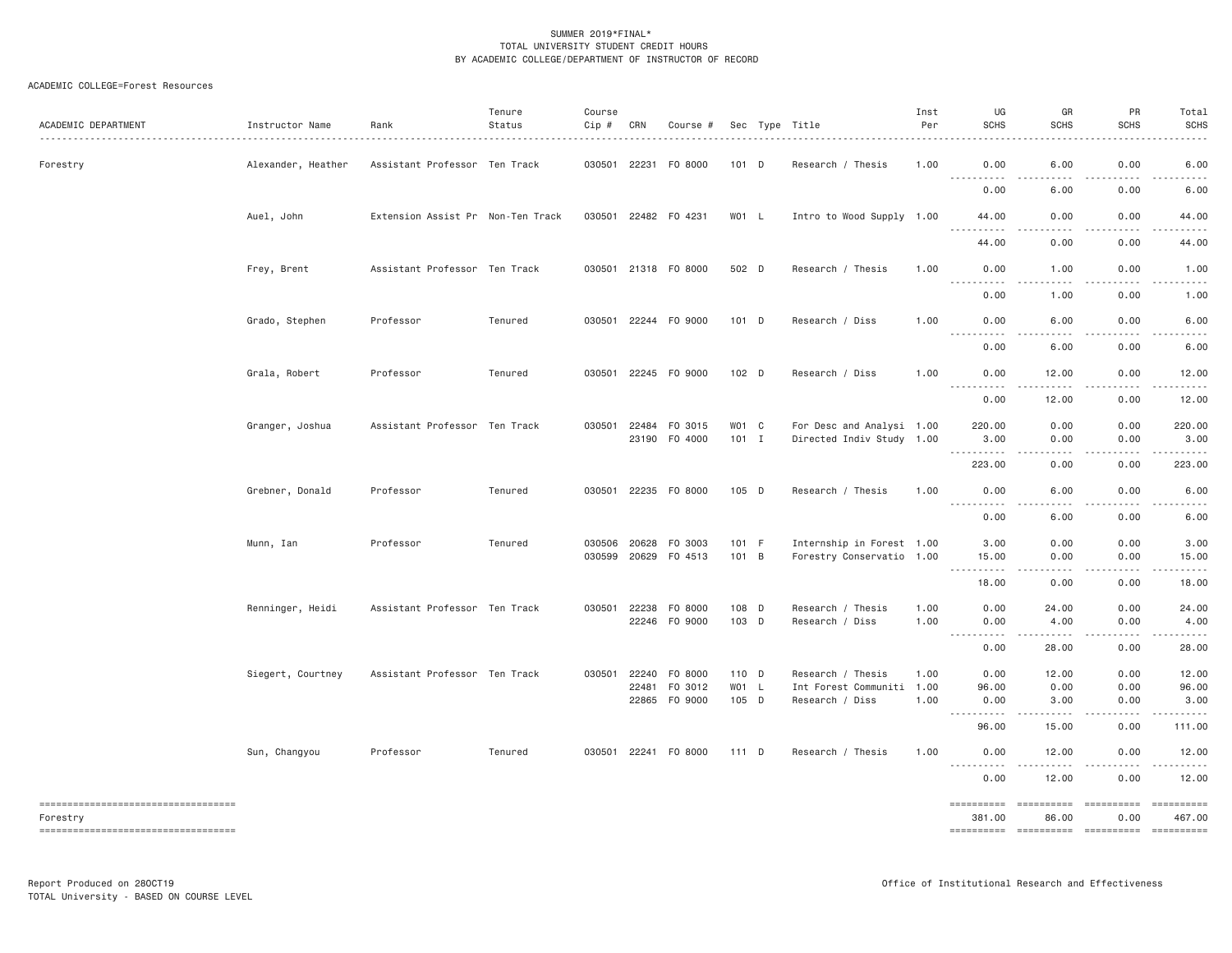## ACADEMIC COLLEGE=Forest Resources

| ACADEMIC DEPARTMENT                             | Instructor Name    | Rank                              | Tenure<br>Status | Course<br>Cip # | CRN          | Course #             |         | Sec Type Title            | Inst<br>Per | UG<br><b>SCHS</b>                                                                                                                                  | GR<br><b>SCHS</b>                         | PR<br><b>SCHS</b>                   | Total<br><b>SCHS</b> |
|-------------------------------------------------|--------------------|-----------------------------------|------------------|-----------------|--------------|----------------------|---------|---------------------------|-------------|----------------------------------------------------------------------------------------------------------------------------------------------------|-------------------------------------------|-------------------------------------|----------------------|
| Forestry                                        | Alexander, Heather | Assistant Professor Ten Track     |                  |                 |              | 030501 22231 F0 8000 | $101$ D | Research / Thesis         | 1.00        | 0.00<br>.                                                                                                                                          | 6.00<br>.                                 | 0.00<br>.                           | 6.00<br>.            |
|                                                 |                    |                                   |                  |                 |              |                      |         |                           |             | 0.00                                                                                                                                               | 6.00                                      | 0.00                                | 6.00                 |
|                                                 | Auel, John         | Extension Assist Pr Non-Ten Track |                  |                 |              | 030501 22482 F0 4231 | $WO1$ L | Intro to Wood Supply 1.00 |             | 44.00<br>$\sim$ $\sim$ $\sim$<br>.                                                                                                                 | 0.00<br>.                                 | 0.00<br>.                           | 44.00<br>.           |
|                                                 |                    |                                   |                  |                 |              |                      |         |                           |             | 44.00                                                                                                                                              | 0.00                                      | 0.00                                | 44.00                |
|                                                 | Frey, Brent        | Assistant Professor Ten Track     |                  |                 |              | 030501 21318 FO 8000 | 502 D   | Research / Thesis         | 1.00        | 0.00<br><u> - - - - - - - - - -</u>                                                                                                                | 1.00<br>.                                 | 0.00<br>.                           | 1.00<br>.            |
|                                                 |                    |                                   |                  |                 |              |                      |         |                           |             | 0.00                                                                                                                                               | 1.00                                      | 0.00                                | 1.00                 |
|                                                 | Grado, Stephen     | Professor                         | Tenured          |                 |              | 030501 22244 F0 9000 | $101$ D | Research / Diss           | 1.00        | 0.00<br>.                                                                                                                                          | 6.00<br>$- - - -$<br>-----                | 0.00                                | 6.00                 |
|                                                 |                    |                                   |                  |                 |              |                      |         |                           |             | 0.00                                                                                                                                               | 6.00                                      | 0.00                                | 6.00                 |
|                                                 | Grala, Robert      | Professor                         | Tenured          |                 |              | 030501 22245 F0 9000 | 102 D   | Research / Diss           | 1.00        | 0.00<br>$\frac{1}{2} \left( \frac{1}{2} \right) \left( \frac{1}{2} \right) \left( \frac{1}{2} \right) \left( \frac{1}{2} \right)$<br>$\frac{1}{2}$ | 12.00<br>.                                | 0.00                                | 12.00                |
|                                                 |                    |                                   |                  |                 |              |                      |         |                           |             | 0.00                                                                                                                                               | 12.00                                     | 0.00                                | 12.00                |
|                                                 | Granger, Joshua    | Assistant Professor Ten Track     |                  | 030501 22484    |              | FO 3015              | WO1 C   | For Desc and Analysi 1.00 |             | 220.00                                                                                                                                             | 0.00                                      | 0.00                                | 220.00               |
|                                                 |                    |                                   |                  |                 |              | 23190 F0 4000        | 101 I   | Directed Indiv Study 1.00 |             | 3,00                                                                                                                                               | 0.00                                      | 0.00                                | 3,00                 |
|                                                 |                    |                                   |                  |                 |              |                      |         |                           |             | . <b>.</b><br>223.00                                                                                                                               | .<br>0.00                                 | .<br>0.00                           | .<br>223.00          |
|                                                 | Grebner, Donald    | Professor                         | Tenured          |                 |              | 030501 22235 F0 8000 | $105$ D | Research / Thesis         | 1.00        | 0.00<br><u> - - - - - - - - - -</u>                                                                                                                | 6.00<br>.                                 | 0.00<br>.                           | 6.00<br>.            |
|                                                 |                    |                                   |                  |                 |              |                      |         |                           |             | 0.00                                                                                                                                               | 6.00                                      | 0.00                                | 6.00                 |
|                                                 | Munn, Ian          | Professor                         | Tenured          |                 | 030506 20628 | F0 3003              | 101 F   | Internship in Forest 1.00 |             | 3.00                                                                                                                                               | 0.00                                      | 0.00                                | 3.00                 |
|                                                 |                    |                                   |                  |                 | 030599 20629 | F0 4513              | 101 B   | Forestry Conservatio 1.00 |             | 15.00<br><u>.</u>                                                                                                                                  | 0.00<br>$\frac{1}{2}$                     | 0.00<br>.                           | 15.00                |
|                                                 |                    |                                   |                  |                 |              |                      |         |                           |             | 18.00                                                                                                                                              | 0.00                                      | 0.00                                | 18.00                |
|                                                 | Renninger, Heidi   | Assistant Professor Ten Track     |                  |                 |              | 030501 22238 F0 8000 | 108 D   | Research / Thesis         | 1.00        | 0.00                                                                                                                                               | 24.00                                     | 0.00                                | 24.00                |
|                                                 |                    |                                   |                  |                 |              | 22246 FO 9000        | 103 D   | Research / Diss           | 1.00        | 0.00<br>.<br>$\sim$ $\sim$ $\sim$                                                                                                                  | 4.00<br>-----                             | 0.00<br>.                           | 4.00                 |
|                                                 |                    |                                   |                  |                 |              |                      |         |                           |             | 0.00                                                                                                                                               | 28.00                                     | 0.00                                | 28.00                |
|                                                 | Siegert, Courtney  | Assistant Professor Ten Track     |                  |                 | 030501 22240 | F0 8000              | 110 D   | Research / Thesis         | 1.00        | 0.00                                                                                                                                               | 12.00                                     | 0.00                                | 12.00                |
|                                                 |                    |                                   |                  |                 | 22481        | F0 3012              | WO1 L   | Int Forest Communiti      | 1.00        | 96.00                                                                                                                                              | 0.00                                      | 0.00                                | 96.00                |
|                                                 |                    |                                   |                  |                 |              | 22865 FO 9000        | 105 D   | Research / Diss           | 1.00        | 0.00<br>. <b>.</b>                                                                                                                                 | 3.00<br>.                                 | 0.00<br>.                           | 3.00<br>.            |
|                                                 |                    |                                   |                  |                 |              |                      |         |                           |             | 96.00                                                                                                                                              | 15.00                                     | 0.00                                | 111.00               |
|                                                 | Sun, Changyou      | Professor                         | Tenured          |                 |              | 030501 22241 F0 8000 | $111$ D | Research / Thesis         | 1.00        | 0.00<br>.                                                                                                                                          | 12.00<br>.                                | 0.00<br>$\sim$ $\sim$ $\sim$ $\sim$ | 12.00<br>.           |
|                                                 |                    |                                   |                  |                 |              |                      |         |                           |             | 0.00                                                                                                                                               | 12.00                                     | 0.00                                | 12.00                |
| -------------------------------------           |                    |                                   |                  |                 |              |                      |         |                           |             | ==========                                                                                                                                         | ==========                                | ==========                          | ==========           |
| Forestry<br>----------------------------------- |                    |                                   |                  |                 |              |                      |         |                           |             | 381.00                                                                                                                                             | 86.00<br>---------- ---------- ---------- | 0.00                                | 467.00<br>========== |
|                                                 |                    |                                   |                  |                 |              |                      |         |                           |             |                                                                                                                                                    |                                           |                                     |                      |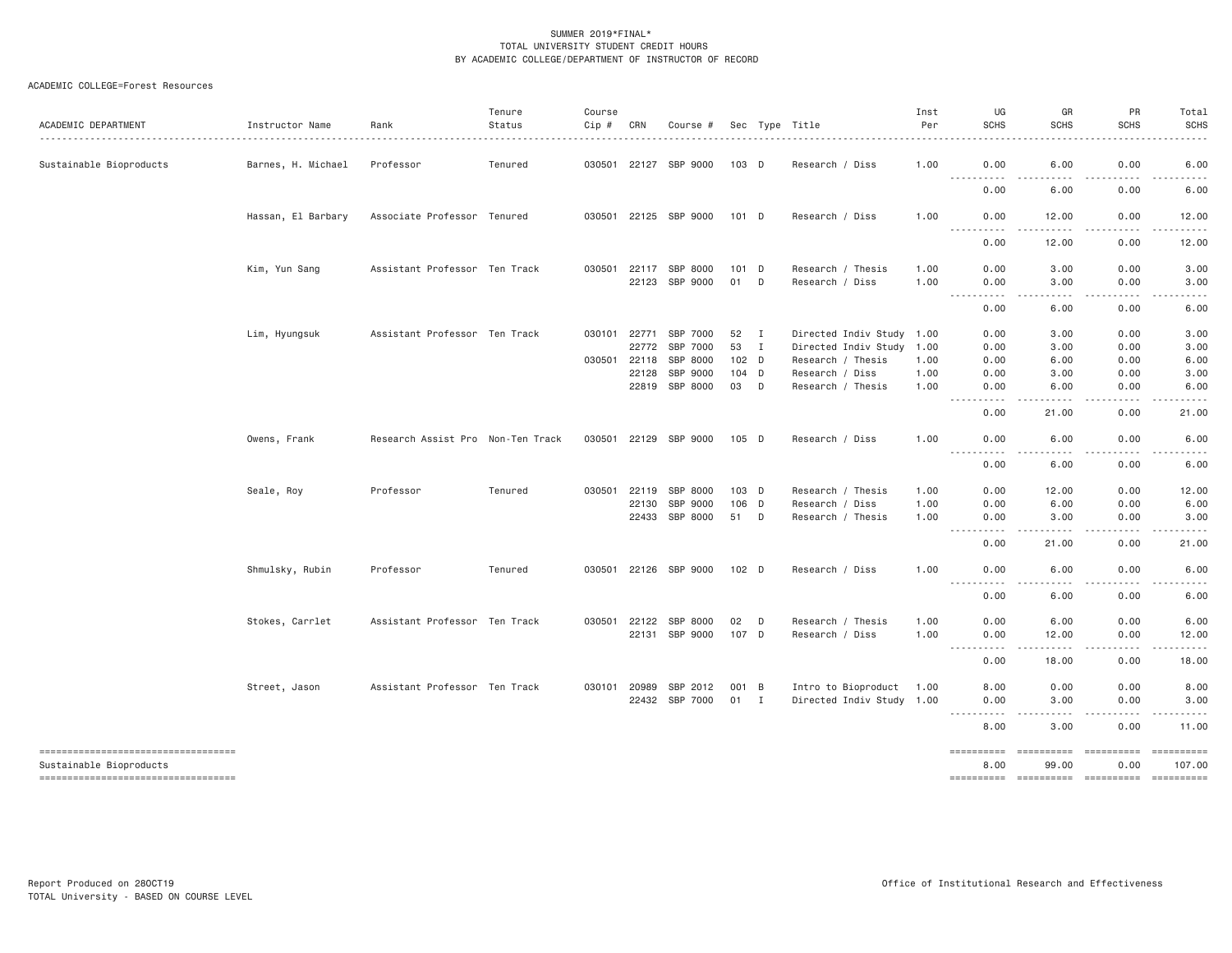## ACADEMIC COLLEGE=Forest Resources

| ACADEMIC DEPARTMENT                                            | Instructor Name    | Rank                              | Tenure<br>Status | Course<br>Cip # | CRN                   | Course #                   |                  |              | Sec Type Title                                        | Inst<br>Per  | UG<br><b>SCHS</b>                   | GR<br><b>SCHS</b>                                                                                                                                                                                                                                                                         | PR<br><b>SCHS</b>                                                                                                                                                                       | Total<br><b>SCHS</b>                                                                                                                                                                    |
|----------------------------------------------------------------|--------------------|-----------------------------------|------------------|-----------------|-----------------------|----------------------------|------------------|--------------|-------------------------------------------------------|--------------|-------------------------------------|-------------------------------------------------------------------------------------------------------------------------------------------------------------------------------------------------------------------------------------------------------------------------------------------|-----------------------------------------------------------------------------------------------------------------------------------------------------------------------------------------|-----------------------------------------------------------------------------------------------------------------------------------------------------------------------------------------|
| Sustainable Bioproducts                                        | Barnes, H. Michael | Professor                         | Tenured          |                 |                       | 030501 22127 SBP 9000      | $103$ D          |              | Research / Diss                                       | 1.00         | 0.00<br><u> - - - - - - - - - -</u> | 6.00<br>$\frac{1}{2} \left( \frac{1}{2} \right) \left( \frac{1}{2} \right) \left( \frac{1}{2} \right) \left( \frac{1}{2} \right)$<br>$\frac{1}{2} \left( \frac{1}{2} \right) \left( \frac{1}{2} \right) \left( \frac{1}{2} \right) \left( \frac{1}{2} \right) \left( \frac{1}{2} \right)$ | 0.00<br>$\sim$ $\sim$ $\sim$<br>.                                                                                                                                                       | 6.00<br>$\frac{1}{2} \left( \frac{1}{2} \right) \left( \frac{1}{2} \right) \left( \frac{1}{2} \right) \left( \frac{1}{2} \right) \left( \frac{1}{2} \right) \left( \frac{1}{2} \right)$ |
|                                                                |                    |                                   |                  |                 |                       |                            |                  |              |                                                       |              | 0.00                                | 6.00                                                                                                                                                                                                                                                                                      | 0.00                                                                                                                                                                                    | 6.00                                                                                                                                                                                    |
|                                                                | Hassan, El Barbary | Associate Professor Tenured       |                  |                 |                       | 030501 22125 SBP 9000      | 101 D            |              | Research / Diss                                       | 1.00         | 0.00                                | 12.00<br>.                                                                                                                                                                                                                                                                                | 0.00                                                                                                                                                                                    | 12.00                                                                                                                                                                                   |
|                                                                |                    |                                   |                  |                 |                       |                            |                  |              |                                                       |              | 0.00                                | 12.00                                                                                                                                                                                                                                                                                     | 0.00                                                                                                                                                                                    | 12.00                                                                                                                                                                                   |
|                                                                | Kim, Yun Sang      | Assistant Professor Ten Track     |                  |                 | 030501 22117<br>22123 | SBP 8000<br>SBP 9000       | 101 D<br>01      | D            | Research / Thesis<br>Research / Diss                  | 1.00<br>1.00 | 0.00<br>0.00                        | 3.00<br>3.00                                                                                                                                                                                                                                                                              | 0.00<br>0.00                                                                                                                                                                            | 3.00<br>3.00                                                                                                                                                                            |
|                                                                |                    |                                   |                  |                 |                       |                            |                  |              |                                                       |              | .<br>$\sim$ $\sim$ $\sim$<br>0.00   | 6.00                                                                                                                                                                                                                                                                                      | 0.00                                                                                                                                                                                    | 6.00                                                                                                                                                                                    |
|                                                                | Lim, Hyungsuk      | Assistant Professor Ten Track     |                  |                 | 030101 22771          | SBP 7000                   | 52               | $\mathbf{I}$ | Directed Indiv Study 1.00                             |              | 0.00                                | 3.00                                                                                                                                                                                                                                                                                      | 0.00                                                                                                                                                                                    | 3.00                                                                                                                                                                                    |
|                                                                |                    |                                   |                  |                 | 22772                 | SBP 7000                   | 53               | $\mathbf{I}$ | Directed Indiv Study 1.00                             |              | 0.00                                | 3.00                                                                                                                                                                                                                                                                                      | 0.00                                                                                                                                                                                    | 3.00                                                                                                                                                                                    |
|                                                                |                    |                                   |                  |                 | 030501 22118          | SBP 8000                   | 102 D            |              | Research / Thesis                                     | 1.00         | 0.00                                | 6.00                                                                                                                                                                                                                                                                                      | 0.00                                                                                                                                                                                    | 6.00                                                                                                                                                                                    |
|                                                                |                    |                                   |                  |                 | 22128<br>22819        | SBP 9000<br>SBP 8000       | 104 D<br>03 D    |              | Research / Diss<br>Research / Thesis                  | 1.00<br>1.00 | 0.00<br>0.00                        | 3.00<br>6.00                                                                                                                                                                                                                                                                              | 0.00<br>0.00                                                                                                                                                                            | 3.00<br>6.00                                                                                                                                                                            |
|                                                                |                    |                                   |                  |                 |                       |                            |                  |              |                                                       |              | -----<br>.<br>0.00                  | -----<br>21.00                                                                                                                                                                                                                                                                            | $\frac{1}{2} \left( \frac{1}{2} \right) \left( \frac{1}{2} \right) \left( \frac{1}{2} \right) \left( \frac{1}{2} \right) \left( \frac{1}{2} \right)$<br>0.00                            | 21.00                                                                                                                                                                                   |
|                                                                | Owens, Frank       | Research Assist Pro Non-Ten Track |                  |                 |                       | 030501 22129 SBP 9000      | $105$ D          |              | Research / Diss                                       | 1.00         | 0.00<br>$  -$                       | 6.00                                                                                                                                                                                                                                                                                      | 0.00                                                                                                                                                                                    | 6.00                                                                                                                                                                                    |
|                                                                |                    |                                   |                  |                 |                       |                            |                  |              |                                                       |              | 0.00                                | 6.00                                                                                                                                                                                                                                                                                      | 0.00                                                                                                                                                                                    | 6.00                                                                                                                                                                                    |
|                                                                | Seale, Roy         | Professor                         | Tenured          |                 | 030501 22119          | SBP 8000                   | 103 D            |              | Research / Thesis                                     | 1.00         | 0.00                                | 12.00                                                                                                                                                                                                                                                                                     | 0.00                                                                                                                                                                                    | 12.00                                                                                                                                                                                   |
|                                                                |                    |                                   |                  |                 | 22130                 | SBP 9000                   | 106 D            |              | Research / Diss                                       | 1.00         | 0.00                                | 6.00                                                                                                                                                                                                                                                                                      | 0.00                                                                                                                                                                                    | 6.00                                                                                                                                                                                    |
|                                                                |                    |                                   |                  |                 | 22433                 | SBP 8000                   | 51               | D            | Research / Thesis                                     | 1.00         | 0.00<br>$- - - -$<br>.              | 3.00<br>-----                                                                                                                                                                                                                                                                             | 0.00<br>$- - - - -$                                                                                                                                                                     | 3.00                                                                                                                                                                                    |
|                                                                |                    |                                   |                  |                 |                       |                            |                  |              |                                                       |              | 0.00                                | 21.00                                                                                                                                                                                                                                                                                     | 0.00                                                                                                                                                                                    | 21.00                                                                                                                                                                                   |
|                                                                | Shmulsky, Rubin    | Professor                         | Tenured          |                 |                       | 030501 22126 SBP 9000      | 102 <sub>D</sub> |              | Research / Diss                                       | 1.00         | 0.00<br><u>.</u>                    | 6.00<br>-----                                                                                                                                                                                                                                                                             | 0.00<br>$\frac{1}{2} \left( \frac{1}{2} \right) \left( \frac{1}{2} \right) \left( \frac{1}{2} \right) \left( \frac{1}{2} \right) \left( \frac{1}{2} \right) \left( \frac{1}{2} \right)$ | 6.00<br>.                                                                                                                                                                               |
|                                                                |                    |                                   |                  |                 |                       |                            |                  |              |                                                       |              | 0.00                                | 6.00                                                                                                                                                                                                                                                                                      | 0.00                                                                                                                                                                                    | 6.00                                                                                                                                                                                    |
|                                                                | Stokes, Carrlet    | Assistant Professor Ten Track     |                  |                 | 030501 22122          | SBP 8000                   | 02               | D            | Research / Thesis                                     | 1.00         | 0.00                                | 6.00                                                                                                                                                                                                                                                                                      | 0.00                                                                                                                                                                                    | 6.00                                                                                                                                                                                    |
|                                                                |                    |                                   |                  |                 |                       | 22131 SBP 9000             | 107 D            |              | Research / Diss                                       | 1.00         | 0.00                                | 12.00                                                                                                                                                                                                                                                                                     | 0.00                                                                                                                                                                                    | 12.00                                                                                                                                                                                   |
|                                                                |                    |                                   |                  |                 |                       |                            |                  |              |                                                       |              | <b></b><br>0.00                     | .<br>18.00                                                                                                                                                                                                                                                                                | .<br>0.00                                                                                                                                                                               | 18.00                                                                                                                                                                                   |
|                                                                |                    |                                   |                  |                 |                       |                            |                  |              |                                                       |              |                                     |                                                                                                                                                                                                                                                                                           |                                                                                                                                                                                         |                                                                                                                                                                                         |
|                                                                | Street, Jason      | Assistant Professor Ten Track     |                  |                 | 030101 20989          | SBP 2012<br>22432 SBP 7000 | 001 B<br>01      | I            | Intro to Bioproduct 1.00<br>Directed Indiv Study 1.00 |              | 8.00<br>0.00                        | 0.00<br>3.00                                                                                                                                                                                                                                                                              | 0.00<br>0.00                                                                                                                                                                            | 8.00<br>3.00                                                                                                                                                                            |
|                                                                |                    |                                   |                  |                 |                       |                            |                  |              |                                                       |              | .<br>8.00                           | $\frac{1}{2} \left( \frac{1}{2} \right) \left( \frac{1}{2} \right) \left( \frac{1}{2} \right) \left( \frac{1}{2} \right) \left( \frac{1}{2} \right)$<br>3.00                                                                                                                              | .<br>0.00                                                                                                                                                                               | .<br>11.00                                                                                                                                                                              |
| -----------------------------------<br>Sustainable Bioproducts |                    |                                   |                  |                 |                       |                            |                  |              |                                                       |              | ==========<br>8.00                  | 99.00                                                                                                                                                                                                                                                                                     | ========== ========== =========<br>0.00                                                                                                                                                 | 107.00                                                                                                                                                                                  |
| ----------------------------------                             |                    |                                   |                  |                 |                       |                            |                  |              |                                                       |              |                                     |                                                                                                                                                                                                                                                                                           |                                                                                                                                                                                         |                                                                                                                                                                                         |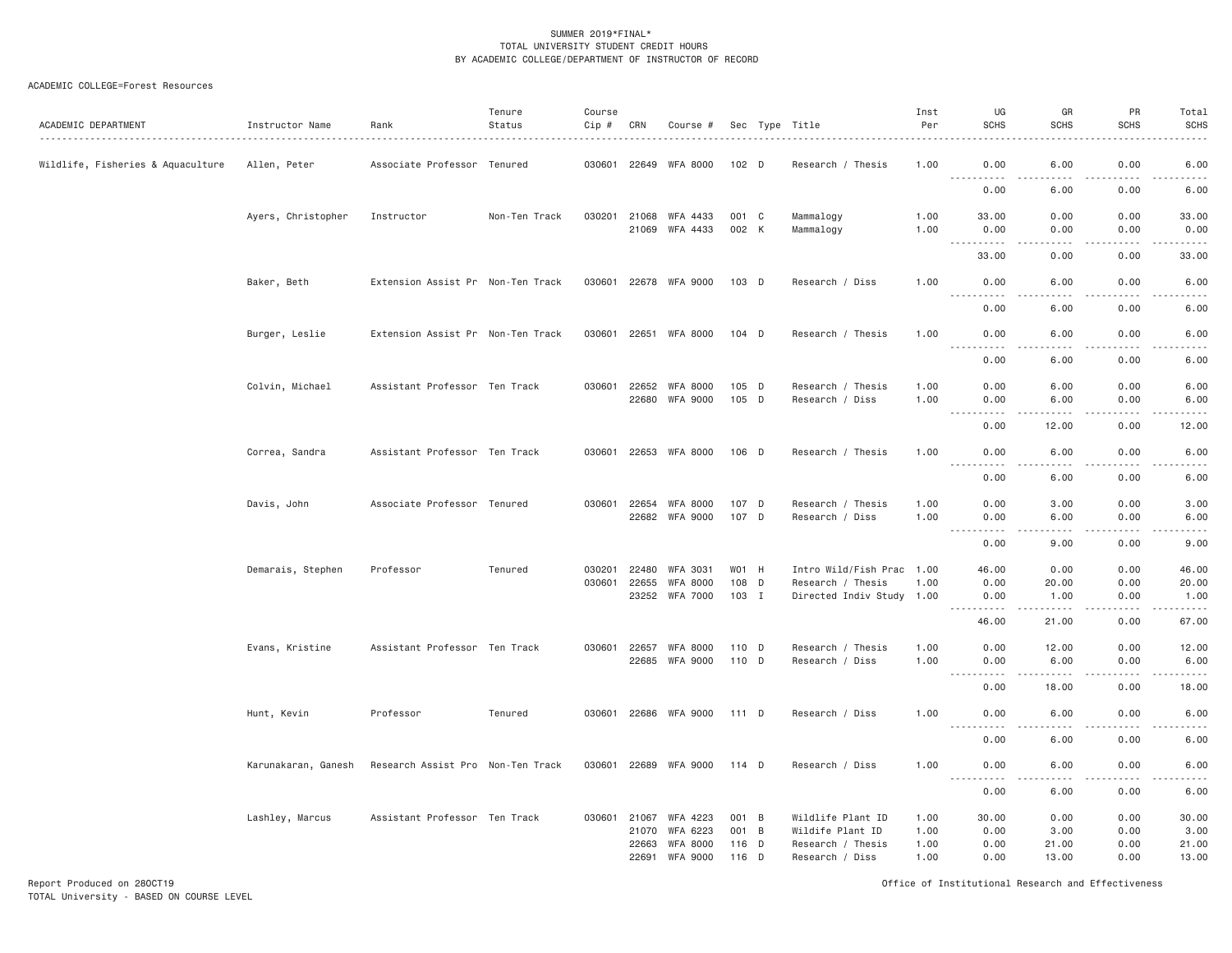## ACADEMIC COLLEGE=Forest Resources

| ACADEMIC DEPARTMENT               | Instructor Name     | Rank                              | Tenure<br>Status | Course<br>Cip # | CRN   | Course #                                |                |   | Sec Type Title                                 | Inst<br>Per  | UG<br><b>SCHS</b>                                                                                                                       | GR<br><b>SCHS</b><br>.                                                                                                                                       | PR<br><b>SCHS</b><br><u>.</u>                                                                                                                                | Total<br><b>SCHS</b><br>.                                                                                                                                                               |
|-----------------------------------|---------------------|-----------------------------------|------------------|-----------------|-------|-----------------------------------------|----------------|---|------------------------------------------------|--------------|-----------------------------------------------------------------------------------------------------------------------------------------|--------------------------------------------------------------------------------------------------------------------------------------------------------------|--------------------------------------------------------------------------------------------------------------------------------------------------------------|-----------------------------------------------------------------------------------------------------------------------------------------------------------------------------------------|
| Wildlife, Fisheries & Aquaculture | Allen, Peter        | Associate Professor Tenured       |                  |                 |       | 030601 22649 WFA 8000                   | 102 D          |   | Research / Thesis                              | 1.00         | 0.00<br>----------                                                                                                                      | 6.00<br>$\frac{1}{2} \left( \frac{1}{2} \right) \left( \frac{1}{2} \right) \left( \frac{1}{2} \right) \left( \frac{1}{2} \right) \left( \frac{1}{2} \right)$ | 0.00<br>$\frac{1}{2} \left( \frac{1}{2} \right) \left( \frac{1}{2} \right) \left( \frac{1}{2} \right) \left( \frac{1}{2} \right) \left( \frac{1}{2} \right)$ | 6.00<br>.                                                                                                                                                                               |
|                                   |                     |                                   |                  |                 |       |                                         |                |   |                                                |              | 0.00                                                                                                                                    | 6.00                                                                                                                                                         | 0.00                                                                                                                                                         | 6.00                                                                                                                                                                                    |
|                                   | Ayers, Christopher  | Instructor                        | Non-Ten Track    |                 |       | 030201 21068 WFA 4433<br>21069 WFA 4433 | 001 C<br>002 K |   | Mammalogy<br>Mammalogy                         | 1.00<br>1.00 | 33.00<br>0.00                                                                                                                           | 0.00<br>0.00                                                                                                                                                 | 0.00<br>0.00                                                                                                                                                 | 33.00<br>0.00                                                                                                                                                                           |
|                                   |                     |                                   |                  |                 |       |                                         |                |   |                                                |              | .<br>$- - -$<br>33.00                                                                                                                   | .<br>0.00                                                                                                                                                    | .<br>0.00                                                                                                                                                    | .<br>33.00                                                                                                                                                                              |
|                                   | Baker, Beth         | Extension Assist Pr Non-Ten Track |                  | 030601          |       | 22678 WFA 9000                          | 103 D          |   | Research / Diss                                | 1.00         | 0.00<br>الدامات مالدان                                                                                                                  | 6.00<br>.                                                                                                                                                    | 0.00<br>.                                                                                                                                                    | 6.00<br>$- - - - -$                                                                                                                                                                     |
|                                   |                     |                                   |                  |                 |       |                                         |                |   |                                                |              | 0.00                                                                                                                                    | 6.00                                                                                                                                                         | 0.00                                                                                                                                                         | 6.00                                                                                                                                                                                    |
|                                   | Burger, Leslie      | Extension Assist Pr Non-Ten Track |                  | 030601          |       | 22651 WFA 8000                          | $104$ D        |   | Research / Thesis                              | 1.00         | 0.00<br><u> - - - - - - - - - -</u>                                                                                                     | 6.00<br>$   -$                                                                                                                                               | 0.00<br>.                                                                                                                                                    | 6.00<br>$\frac{1}{2} \left( \frac{1}{2} \right) \left( \frac{1}{2} \right) \left( \frac{1}{2} \right) \left( \frac{1}{2} \right) \left( \frac{1}{2} \right)$                            |
|                                   |                     |                                   |                  |                 |       |                                         |                |   |                                                |              | 0.00                                                                                                                                    | 6.00                                                                                                                                                         | 0.00                                                                                                                                                         | 6.00                                                                                                                                                                                    |
|                                   | Colvin, Michael     | Assistant Professor Ten Track     |                  | 030601          |       | 22652 WFA 8000                          | 105 D          |   | Research / Thesis                              | 1.00         | 0.00                                                                                                                                    | 6.00                                                                                                                                                         | 0.00                                                                                                                                                         | 6.00                                                                                                                                                                                    |
|                                   |                     |                                   |                  |                 |       | 22680 WFA 9000                          | 105 D          |   | Research / Diss                                | 1.00         | 0.00<br>.<br>$\frac{1}{2} \left( \frac{1}{2} \right) \left( \frac{1}{2} \right) \left( \frac{1}{2} \right) \left( \frac{1}{2} \right)$  | 6.00<br>$\frac{1}{2} \left( \frac{1}{2} \right) \left( \frac{1}{2} \right) \left( \frac{1}{2} \right) \left( \frac{1}{2} \right) \left( \frac{1}{2} \right)$ | 0.00<br>.                                                                                                                                                    | 6.00<br>.                                                                                                                                                                               |
|                                   |                     |                                   |                  |                 |       |                                         |                |   |                                                |              | 0.00                                                                                                                                    | 12.00                                                                                                                                                        | 0.00                                                                                                                                                         | 12.00                                                                                                                                                                                   |
|                                   | Correa, Sandra      | Assistant Professor Ten Track     |                  |                 |       | 030601 22653 WFA 8000                   | 106 D          |   | Research / Thesis                              | 1.00         | 0.00<br>$\sim$ $\sim$ $\sim$<br>.                                                                                                       | 6.00                                                                                                                                                         | 0.00<br>د د د د                                                                                                                                              | 6.00                                                                                                                                                                                    |
|                                   |                     |                                   |                  |                 |       |                                         |                |   |                                                |              | 0.00                                                                                                                                    | 6.00                                                                                                                                                         | 0.00                                                                                                                                                         | 6.00                                                                                                                                                                                    |
|                                   | Davis, John         | Associate Professor Tenured       |                  |                 |       | 030601 22654 WFA 8000<br>22682 WFA 9000 | 107 D<br>107 D |   | Research / Thesis<br>Research / Diss           | 1.00<br>1.00 | 0.00<br>0.00                                                                                                                            | 3.00<br>6.00                                                                                                                                                 | 0.00<br>0.00                                                                                                                                                 | 3.00<br>6.00                                                                                                                                                                            |
|                                   |                     |                                   |                  |                 |       |                                         |                |   |                                                |              | <u>.</u><br>0.00                                                                                                                        | المتمامين<br>9.00                                                                                                                                            | .<br>0.00                                                                                                                                                    | $\frac{1}{2} \left( \frac{1}{2} \right) \left( \frac{1}{2} \right) \left( \frac{1}{2} \right) \left( \frac{1}{2} \right) \left( \frac{1}{2} \right)$<br>$- - -$<br>9.00                 |
|                                   | Demarais, Stephen   | Professor                         | Tenured          | 030201          | 22480 | WFA 3031                                | W01 H          |   | Intro Wild/Fish Prac 1.00                      |              | 46.00                                                                                                                                   | 0.00                                                                                                                                                         | 0.00                                                                                                                                                         | 46.00                                                                                                                                                                                   |
|                                   |                     |                                   |                  | 030601          | 22655 | WFA 8000<br>23252 WFA 7000              | 108 D<br>103 I |   | Research / Thesis<br>Directed Indiv Study 1.00 | 1.00         | 0.00<br>0.00                                                                                                                            | 20.00<br>1.00                                                                                                                                                | 0.00<br>0.00                                                                                                                                                 | 20.00<br>1.00                                                                                                                                                                           |
|                                   |                     |                                   |                  |                 |       |                                         |                |   |                                                |              | $\frac{1}{2} \left( \frac{1}{2} \right) \left( \frac{1}{2} \right) \left( \frac{1}{2} \right) \left( \frac{1}{2} \right)$<br>.<br>46.00 | .<br>21.00                                                                                                                                                   | -----<br>0.00                                                                                                                                                | .<br>67.00                                                                                                                                                                              |
|                                   | Evans, Kristine     | Assistant Professor Ten Track     |                  | 030601          |       | 22657 WFA 8000                          | 110 D          |   | Research / Thesis                              | 1.00         | 0.00                                                                                                                                    | 12.00                                                                                                                                                        | 0.00                                                                                                                                                         | 12.00                                                                                                                                                                                   |
|                                   |                     |                                   |                  |                 |       | 22685 WFA 9000                          | 110 D          |   | Research / Diss                                | 1.00         | 0.00<br>$\sim$ $\sim$ $\sim$<br>.                                                                                                       | 6.00<br>.                                                                                                                                                    | 0.00<br>.                                                                                                                                                    | 6.00<br>$\frac{1}{2} \left( \frac{1}{2} \right) \left( \frac{1}{2} \right) \left( \frac{1}{2} \right) \left( \frac{1}{2} \right) \left( \frac{1}{2} \right) \left( \frac{1}{2} \right)$ |
|                                   |                     |                                   |                  |                 |       |                                         |                |   |                                                |              | 0.00                                                                                                                                    | 18.00                                                                                                                                                        | 0.00                                                                                                                                                         | 18.00                                                                                                                                                                                   |
|                                   | Hunt, Kevin         | Professor                         | Tenured          |                 |       | 030601 22686 WFA 9000 111 D             |                |   | Research / Diss                                | 1.00         | 0.00<br><u>.</u>                                                                                                                        | 6.00                                                                                                                                                         | 0.00<br>.                                                                                                                                                    | 6.00<br>.                                                                                                                                                                               |
|                                   |                     |                                   |                  |                 |       |                                         |                |   |                                                |              | 0.00                                                                                                                                    | 6.00                                                                                                                                                         | 0.00                                                                                                                                                         | 6.00                                                                                                                                                                                    |
|                                   | Karunakaran, Ganesh | Research Assist Pro Non-Ten Track |                  |                 |       | 030601 22689 WFA 9000 114 D             |                |   | Research / Diss                                | 1.00         | 0.00<br>.                                                                                                                               | 6.00<br>د د د د                                                                                                                                              | 0.00<br>.                                                                                                                                                    | 6.00<br>2.2.2.2.2                                                                                                                                                                       |
|                                   |                     |                                   |                  |                 |       |                                         |                |   |                                                |              | 0.00                                                                                                                                    | 6.00                                                                                                                                                         | 0.00                                                                                                                                                         | 6.00                                                                                                                                                                                    |
|                                   | Lashley, Marcus     | Assistant Professor Ten Track     |                  | 030601          | 21067 | WFA 4223                                | 001 B          |   | Wildlife Plant ID                              | 1.00         | 30.00                                                                                                                                   | 0.00                                                                                                                                                         | 0.00                                                                                                                                                         | 30.00                                                                                                                                                                                   |
|                                   |                     |                                   |                  |                 | 21070 | WFA 6223                                | 001            | B | Wildife Plant ID                               | 1.00         | 0.00                                                                                                                                    | 3.00                                                                                                                                                         | 0.00                                                                                                                                                         | 3.00                                                                                                                                                                                    |
|                                   |                     |                                   |                  |                 | 22663 | <b>WFA 8000</b>                         | 116            | D | Research / Thesis                              | 1.00         | 0.00                                                                                                                                    | 21.00                                                                                                                                                        | 0.00                                                                                                                                                         | 21.00                                                                                                                                                                                   |
|                                   |                     |                                   |                  |                 | 22691 | WFA 9000                                | 116 D          |   | Research / Diss                                | 1.00         | 0.00                                                                                                                                    | 13,00                                                                                                                                                        | 0.00                                                                                                                                                         | 13.00                                                                                                                                                                                   |

Report Produced on 28OCT19 Office of Institutional Research and Effectiveness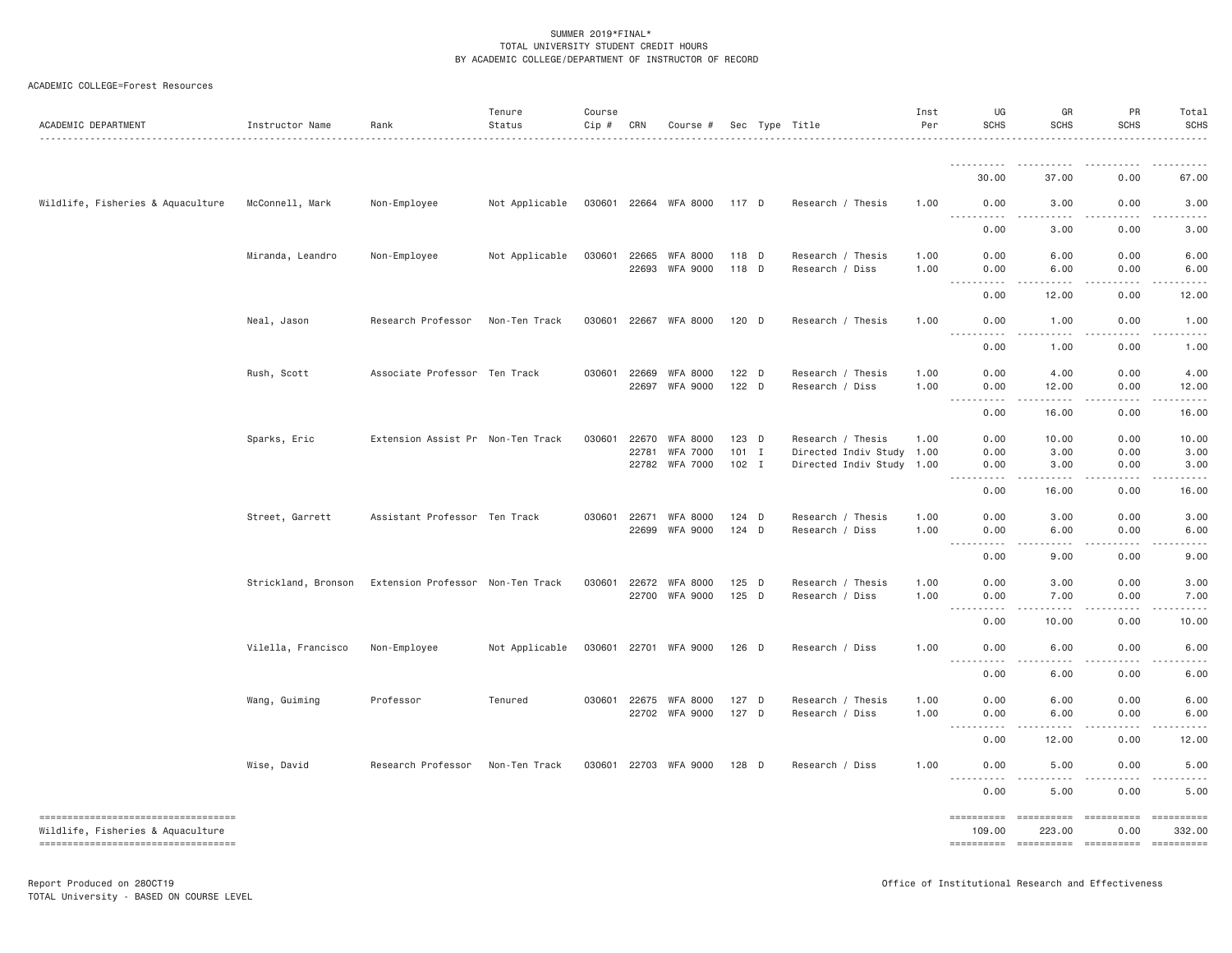| ACADEMIC DEPARTMENT                                                      | Instructor Name     | Rank                              | Tenure<br>Status | Course<br>Cip # CRN |                | Course #                           |                    | Sec Type Title                                 | Inst<br>Per  | UG<br><b>SCHS</b>                                                                                                                                                                                               | GR<br><b>SCHS</b> | PR<br><b>SCHS</b>                                                                                                                                                                                                                                                                                                                                                                                                                                                                                  | Total<br><b>SCHS</b>                                                                                                                                         |
|--------------------------------------------------------------------------|---------------------|-----------------------------------|------------------|---------------------|----------------|------------------------------------|--------------------|------------------------------------------------|--------------|-----------------------------------------------------------------------------------------------------------------------------------------------------------------------------------------------------------------|-------------------|----------------------------------------------------------------------------------------------------------------------------------------------------------------------------------------------------------------------------------------------------------------------------------------------------------------------------------------------------------------------------------------------------------------------------------------------------------------------------------------------------|--------------------------------------------------------------------------------------------------------------------------------------------------------------|
|                                                                          |                     |                                   |                  |                     |                |                                    |                    |                                                |              | .                                                                                                                                                                                                               |                   |                                                                                                                                                                                                                                                                                                                                                                                                                                                                                                    |                                                                                                                                                              |
|                                                                          |                     |                                   |                  |                     |                |                                    |                    |                                                |              | 30.00                                                                                                                                                                                                           | 37.00             | 0.00                                                                                                                                                                                                                                                                                                                                                                                                                                                                                               | 67.00                                                                                                                                                        |
| Wildlife, Fisheries & Aquaculture                                        | McConnell, Mark     | Non-Employee                      | Not Applicable   |                     |                | 030601 22664 WFA 8000              | 117 D              | Research / Thesis                              | 1.00         | 0.00<br>.                                                                                                                                                                                                       | 3.00              | 0.00                                                                                                                                                                                                                                                                                                                                                                                                                                                                                               | 3.00<br>$- - - - -$                                                                                                                                          |
|                                                                          |                     |                                   |                  |                     |                |                                    |                    |                                                |              | 0.00                                                                                                                                                                                                            | 3.00              | 0.00                                                                                                                                                                                                                                                                                                                                                                                                                                                                                               | 3.00                                                                                                                                                         |
|                                                                          | Miranda, Leandro    | Non-Employee                      | Not Applicable   | 030601              | 22665<br>22693 | <b>WFA 8000</b><br>WFA 9000        | 118 D<br>118 D     | Research / Thesis<br>Research / Diss           | 1.00<br>1.00 | 0.00<br>0.00                                                                                                                                                                                                    | 6.00<br>6.00      | 0.00<br>0.00                                                                                                                                                                                                                                                                                                                                                                                                                                                                                       | 6.00<br>6.00                                                                                                                                                 |
|                                                                          |                     |                                   |                  |                     |                |                                    |                    |                                                |              | $\sim$ $\sim$ $\sim$<br>$\frac{1}{2} \left( \frac{1}{2} \right) \left( \frac{1}{2} \right) \left( \frac{1}{2} \right) \left( \frac{1}{2} \right) \left( \frac{1}{2} \right) \left( \frac{1}{2} \right)$<br>0.00 | .<br>12.00        | .<br>0.00                                                                                                                                                                                                                                                                                                                                                                                                                                                                                          | $    -$<br>12.00                                                                                                                                             |
|                                                                          | Neal, Jason         | Research Professor                | Non-Ten Track    | 030601              | 22667          | WFA 8000                           | 120 D              | Research / Thesis                              | 1.00         | 0.00                                                                                                                                                                                                            | 1.00              | 0.00                                                                                                                                                                                                                                                                                                                                                                                                                                                                                               | 1.00                                                                                                                                                         |
|                                                                          |                     |                                   |                  |                     |                |                                    |                    |                                                |              | $\sim$ $\sim$ $\sim$<br>0.00                                                                                                                                                                                    | والمحامر<br>1.00  | $\sim$ $\sim$ $\sim$ $\sim$<br>0.00                                                                                                                                                                                                                                                                                                                                                                                                                                                                | $\frac{1}{2} \left( \frac{1}{2} \right) \left( \frac{1}{2} \right) \left( \frac{1}{2} \right) \left( \frac{1}{2} \right) \left( \frac{1}{2} \right)$<br>1.00 |
|                                                                          | Rush, Scott         | Associate Professor Ten Track     |                  | 030601              | 22669          | WFA 8000                           | 122 D              | Research / Thesis                              | 1.00         | 0.00                                                                                                                                                                                                            | 4.00              | 0.00                                                                                                                                                                                                                                                                                                                                                                                                                                                                                               | 4.00                                                                                                                                                         |
|                                                                          |                     |                                   |                  |                     | 22697          | <b>WFA 9000</b>                    | $122$ D            | Research / Diss                                | 1.00         | 0.00<br>.                                                                                                                                                                                                       | 12.00<br>.        | 0.00<br>.                                                                                                                                                                                                                                                                                                                                                                                                                                                                                          | 12.00<br>.                                                                                                                                                   |
|                                                                          |                     |                                   |                  |                     |                |                                    |                    |                                                |              | 0.00                                                                                                                                                                                                            | 16.00             | 0.00                                                                                                                                                                                                                                                                                                                                                                                                                                                                                               | 16.00                                                                                                                                                        |
|                                                                          | Sparks, Eric        | Extension Assist Pr Non-Ten Track |                  | 030601              | 22670<br>22781 | <b>WFA 8000</b><br><b>WFA 7000</b> | $123$ D<br>$101$ I | Research / Thesis<br>Directed Indiv Study 1.00 | 1.00         | 0.00<br>0.00                                                                                                                                                                                                    | 10.00<br>3.00     | 0.00<br>0.00                                                                                                                                                                                                                                                                                                                                                                                                                                                                                       | 10.00<br>3.00                                                                                                                                                |
|                                                                          |                     |                                   |                  |                     | 22782          | <b>WFA 7000</b>                    | $102$ I            | Directed Indiv Study 1.00                      |              | 0.00<br>$\frac{1}{2} \left( \frac{1}{2} \right) \left( \frac{1}{2} \right) \left( \frac{1}{2} \right) \left( \frac{1}{2} \right) \left( \frac{1}{2} \right)$<br>$\sim$ $\sim$ $\sim$                            | 3.00<br>-----     | 0.00<br>.                                                                                                                                                                                                                                                                                                                                                                                                                                                                                          | 3.00<br>.                                                                                                                                                    |
|                                                                          |                     |                                   |                  |                     |                |                                    |                    |                                                |              | 0.00                                                                                                                                                                                                            | 16.00             | 0.00                                                                                                                                                                                                                                                                                                                                                                                                                                                                                               | 16.00                                                                                                                                                        |
|                                                                          | Street, Garrett     | Assistant Professor Ten Track     |                  | 030601              | 22671          | WFA 8000                           | 124 D              | Research / Thesis                              | 1.00         | 0.00                                                                                                                                                                                                            | 3.00              | 0.00                                                                                                                                                                                                                                                                                                                                                                                                                                                                                               | 3.00                                                                                                                                                         |
|                                                                          |                     |                                   |                  |                     | 22699          | WFA 9000                           | 124 D              | Research / Diss                                | 1.00         | 0.00<br>----------                                                                                                                                                                                              | 6.00              | 0.00                                                                                                                                                                                                                                                                                                                                                                                                                                                                                               | 6.00<br>.<br>9.00                                                                                                                                            |
|                                                                          |                     |                                   |                  |                     |                | <b>WFA 8000</b>                    | $125$ D            |                                                |              | 0.00<br>0.00                                                                                                                                                                                                    | 9.00              | 0.00                                                                                                                                                                                                                                                                                                                                                                                                                                                                                               |                                                                                                                                                              |
|                                                                          | Strickland, Bronson | Extension Professor Non-Ten Track |                  | 030601              | 22672<br>22700 | WFA 9000                           | $125$ D            | Research / Thesis<br>Research / Diss           | 1.00<br>1.00 | 0.00                                                                                                                                                                                                            | 3.00<br>7.00      | 0.00<br>0.00                                                                                                                                                                                                                                                                                                                                                                                                                                                                                       | 3.00<br>7.00                                                                                                                                                 |
|                                                                          |                     |                                   |                  |                     |                |                                    |                    |                                                |              | $\sim 100$<br>$\frac{1}{2} \left( \frac{1}{2} \right) \left( \frac{1}{2} \right) \left( \frac{1}{2} \right) \left( \frac{1}{2} \right) \left( \frac{1}{2} \right) \left( \frac{1}{2} \right)$<br>0.00           | -----<br>10.00    | .<br>0.00                                                                                                                                                                                                                                                                                                                                                                                                                                                                                          | .<br>10.00                                                                                                                                                   |
|                                                                          | Vilella, Francisco  | Non-Employee                      | Not Applicable   | 030601              | 22701          | WFA 9000                           | 126 D              | Research / Diss                                | 1.00         | 0.00<br>$\sim 100$<br>.                                                                                                                                                                                         | 6.00<br>.         | 0.00<br>.                                                                                                                                                                                                                                                                                                                                                                                                                                                                                          | 6.00<br>.                                                                                                                                                    |
|                                                                          |                     |                                   |                  |                     |                |                                    |                    |                                                |              | 0.00                                                                                                                                                                                                            | 6.00              | 0.00                                                                                                                                                                                                                                                                                                                                                                                                                                                                                               | 6.00                                                                                                                                                         |
|                                                                          | Wang, Guiming       | Professor                         | Tenured          | 030601              | 22675          | WFA 8000<br>22702 WFA 9000         | 127 D<br>127 D     | Research / Thesis<br>Research / Diss           | 1.00<br>1.00 | 0.00<br>0.00                                                                                                                                                                                                    | 6.00<br>6.00      | 0.00<br>0.00                                                                                                                                                                                                                                                                                                                                                                                                                                                                                       | 6.00<br>6.00                                                                                                                                                 |
|                                                                          |                     |                                   |                  |                     |                |                                    |                    |                                                |              | <u>.</u><br>0.00                                                                                                                                                                                                | .<br>12.00        | $   -$<br>0.00                                                                                                                                                                                                                                                                                                                                                                                                                                                                                     | .<br>12.00                                                                                                                                                   |
|                                                                          |                     | Research Professor                |                  |                     |                |                                    |                    |                                                |              |                                                                                                                                                                                                                 |                   |                                                                                                                                                                                                                                                                                                                                                                                                                                                                                                    |                                                                                                                                                              |
|                                                                          | Wise, David         |                                   | Non-Ten Track    | 030601              | 22703          | <b>WFA 9000</b>                    | $128$ D            | Research / Diss                                | 1.00         | 0.00<br>----                                                                                                                                                                                                    | 5.00              | 0.00                                                                                                                                                                                                                                                                                                                                                                                                                                                                                               | 5.00                                                                                                                                                         |
| ----------------------------------                                       |                     |                                   |                  |                     |                |                                    |                    |                                                |              | 0.00                                                                                                                                                                                                            | 5.00              | 0.00<br>==========                                                                                                                                                                                                                                                                                                                                                                                                                                                                                 | 5.00<br><b>ESSESSESS</b>                                                                                                                                     |
| Wildlife, Fisheries & Aquaculture<br>----------------------------------- |                     |                                   |                  |                     |                |                                    |                    |                                                |              | 109.00<br>----------- ----------                                                                                                                                                                                | 223.00            | 0.00<br>$\begin{minipage}{0.9\linewidth} \begin{tabular}{l} \multicolumn{2}{l}{} & \multicolumn{2}{l}{} & \multicolumn{2}{l}{} \\ \multicolumn{2}{l}{} & \multicolumn{2}{l}{} & \multicolumn{2}{l}{} \\ \multicolumn{2}{l}{} & \multicolumn{2}{l}{} & \multicolumn{2}{l}{} \\ \multicolumn{2}{l}{} & \multicolumn{2}{l}{} & \multicolumn{2}{l}{} \\ \multicolumn{2}{l}{} & \multicolumn{2}{l}{} & \multicolumn{2}{l}{} \\ \multicolumn{2}{l}{} & \multicolumn{2}{l}{} & \multicolumn{2}{l}{} \\ \$ | 332.00<br>$= 22222222222$                                                                                                                                    |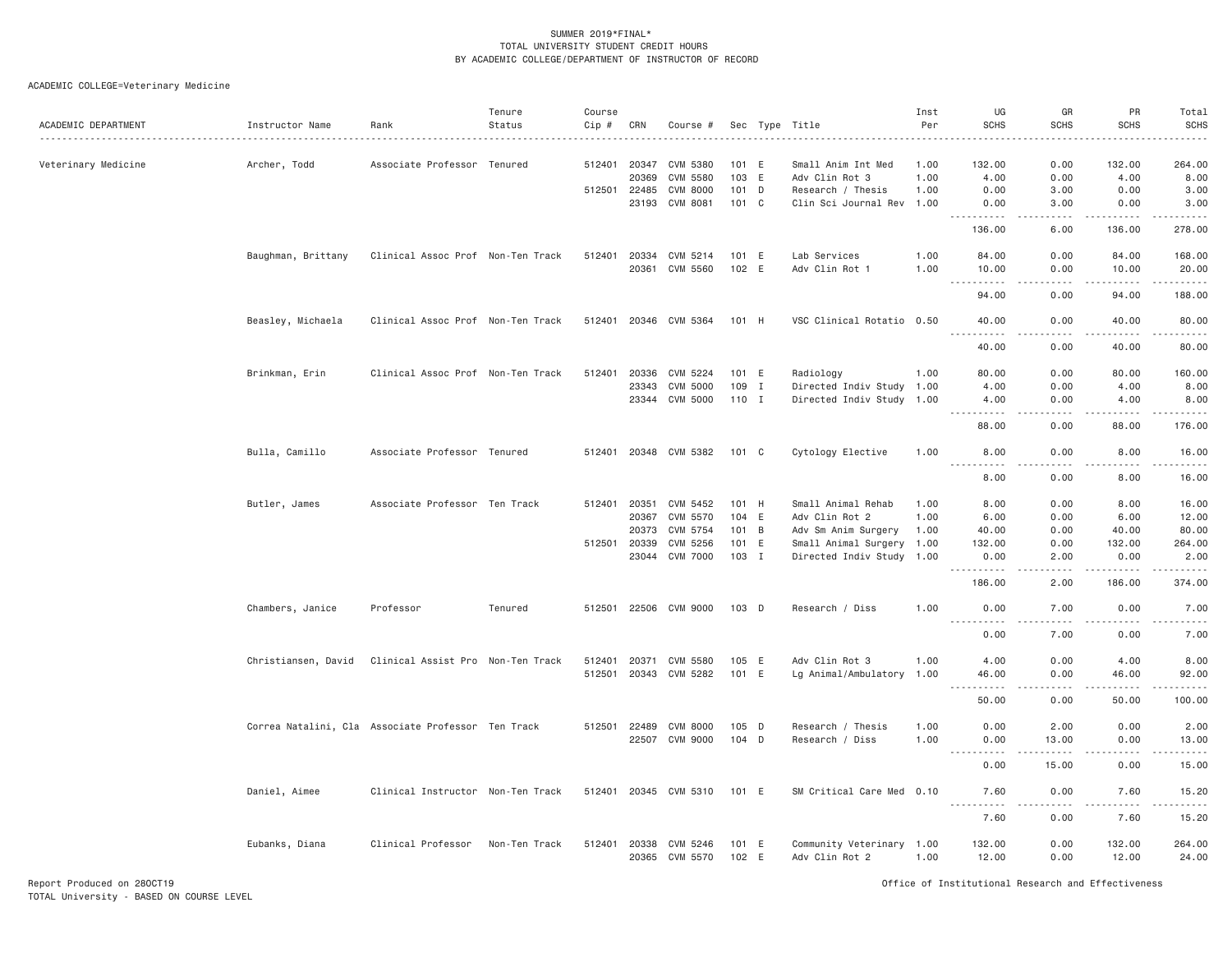ACADEMIC COLLEGE=Veterinary Medicine

| ACADEMIC DEPARTMENT | Instructor Name     | Rank                                               | Tenure<br>Status | Course<br>Cip # | CRN            | Course #                    |                |              | Sec Type Title                              | Inst<br>Per  | UG<br><b>SCHS</b>                                                                                                                                                                        | GR<br><b>SCHS</b> | PR<br><b>SCHS</b>   | Total<br><b>SCHS</b>   |
|---------------------|---------------------|----------------------------------------------------|------------------|-----------------|----------------|-----------------------------|----------------|--------------|---------------------------------------------|--------------|------------------------------------------------------------------------------------------------------------------------------------------------------------------------------------------|-------------------|---------------------|------------------------|
| Veterinary Medicine | Archer, Todd        | Associate Professor                                | Tenured          | 512401          | 20347          | CVM 5380                    | 101 E          |              | Small Anim Int Med                          | 1.00         | 132.00                                                                                                                                                                                   | 0.00              | 132.00              | 264.00                 |
|                     |                     |                                                    |                  |                 | 20369          | CVM 5580                    | 103 E          |              | Adv Clin Rot 3                              | 1.00         | 4.00                                                                                                                                                                                     | 0.00              | 4.00                | 8.00                   |
|                     |                     |                                                    |                  | 512501 22485    |                | <b>CVM 8000</b>             | 101 D          |              | Research / Thesis                           | 1.00         | 0.00                                                                                                                                                                                     | 3.00              | 0.00                | 3.00                   |
|                     |                     |                                                    |                  |                 | 23193          | CVM 8081                    | 101 C          |              | Clin Sci Journal Rev 1.00                   |              | 0.00<br>.                                                                                                                                                                                | 3.00<br>.         | 0.00<br>$- - - - -$ | 3.00<br>.              |
|                     |                     |                                                    |                  |                 |                |                             |                |              |                                             |              | 136.00                                                                                                                                                                                   | 6.00              | 136.00              | 278.00                 |
|                     | Baughman, Brittany  | Clinical Assoc Prof Non-Ten Track                  |                  | 512401          | 20334          | CVM 5214                    | 101 E          |              | Lab Services                                | 1.00         | 84.00                                                                                                                                                                                    | 0.00              | 84.00               | 168.00                 |
|                     |                     |                                                    |                  |                 | 20361          | <b>CVM 5560</b>             | 102 E          |              | Adv Clin Rot 1                              | 1.00         | 10.00<br>$\frac{1}{2} \left( \frac{1}{2} \right) \left( \frac{1}{2} \right) \left( \frac{1}{2} \right) \left( \frac{1}{2} \right) \left( \frac{1}{2} \right) \left( \frac{1}{2} \right)$ | 0.00              | 10.00               | 20.00<br>.             |
|                     |                     |                                                    |                  |                 |                |                             |                |              |                                             |              | 94.00                                                                                                                                                                                    | 0.00              | 94.00               | 188.00                 |
|                     | Beasley, Michaela   | Clinical Assoc Prof Non-Ten Track                  |                  | 512401 20346    |                | CVM 5364                    | 101 H          |              | VSC Clinical Rotatio 0.50                   |              | 40.00                                                                                                                                                                                    | 0.00              | 40.00               | 80.00<br>.             |
|                     |                     |                                                    |                  |                 |                |                             |                |              |                                             |              | 40.00                                                                                                                                                                                    | 0.00              | 40.00               | 80.00                  |
|                     | Brinkman, Erin      | Clinical Assoc Prof Non-Ten Track                  |                  | 512401          | 20336          | CVM 5224                    | 101 E          |              | Radiology                                   | 1.00         | 80.00                                                                                                                                                                                    | 0.00              | 80.00               | 160.00                 |
|                     |                     |                                                    |                  |                 | 23343          | <b>CVM 5000</b>             | 109            | $\mathbf{I}$ | Directed Indiv Study 1.00                   |              | 4.00                                                                                                                                                                                     | 0.00              | 4.00                | 8.00                   |
|                     |                     |                                                    |                  |                 |                | 23344 CVM 5000              | 110 I          |              | Directed Indiv Study 1.00                   |              | 4.00                                                                                                                                                                                     | 0.00              | 4.00                | 8.00                   |
|                     |                     |                                                    |                  |                 |                |                             |                |              |                                             |              | .<br>88.00                                                                                                                                                                               | 0.00              | 88.00               | .<br>176.00            |
|                     | Bulla, Camillo      | Associate Professor Tenured                        |                  |                 |                | 512401 20348 CVM 5382       | 101 C          |              | Cytology Elective                           | 1.00         | 8.00                                                                                                                                                                                     | 0.00              | 8.00                | 16.00                  |
|                     |                     |                                                    |                  |                 |                |                             |                |              |                                             |              | .<br>8.00                                                                                                                                                                                | 0.00              | 8.00                | .<br>16.00             |
|                     | Butler, James       | Associate Professor Ten Track                      |                  | 512401 20351    |                | CVM 5452                    | 101 H          |              | Small Animal Rehab                          | 1.00         | 8.00                                                                                                                                                                                     | 0.00              | 8.00                | 16.00                  |
|                     |                     |                                                    |                  |                 | 20367          | CVM 5570                    | 104 E          |              | Adv Clin Rot 2                              | 1.00         | 6.00                                                                                                                                                                                     | 0.00              | 6.00                | 12.00                  |
|                     |                     |                                                    |                  |                 | 20373          | CVM 5754                    | 101            | B            | Adv Sm Anim Surgery                         | 1.00         | 40.00                                                                                                                                                                                    | 0.00              | 40.00               | 80.00                  |
|                     |                     |                                                    |                  | 512501 20339    |                | CVM 5256                    | 101 E          |              | Small Animal Surgery                        | 1.00         | 132.00                                                                                                                                                                                   | 0.00              | 132.00              | 264.00                 |
|                     |                     |                                                    |                  |                 | 23044          | <b>CVM 7000</b>             | 103 I          |              | Directed Indiv Study 1.00                   |              | 0.00                                                                                                                                                                                     | 2.00              | 0.00                | 2.00                   |
|                     |                     |                                                    |                  |                 |                |                             |                |              |                                             |              | 186.00                                                                                                                                                                                   | .<br>2,00         | 186.00              | المالم عامات<br>374.00 |
|                     | Chambers, Janice    | Professor                                          | Tenured          |                 |                | 512501 22506 CVM 9000       | 103 D          |              | Research / Diss                             | 1.00         | 0.00<br>.                                                                                                                                                                                | 7.00<br>.         | 0.00<br>.           | 7.00<br>.              |
|                     |                     |                                                    |                  |                 |                |                             |                |              |                                             |              | 0.00                                                                                                                                                                                     | 7.00              | 0.00                | 7.00                   |
|                     | Christiansen, David | Clinical Assist Pro Non-Ten Track                  |                  | 512401          | 20371          | CVM 5580                    | 105 E          |              | Adv Clin Rot 3                              | 1.00         | 4.00                                                                                                                                                                                     | 0.00              | 4.00                | 8.00                   |
|                     |                     |                                                    |                  | 512501 20343    |                | CVM 5282                    | 101 E          |              | Lg Animal/Ambulatory                        | 1.00         | 46.00                                                                                                                                                                                    | 0.00              | 46.00               | 92.00                  |
|                     |                     |                                                    |                  |                 |                |                             |                |              |                                             |              | $\sim$ $\sim$ $\sim$<br>.<br>50.00                                                                                                                                                       | د د د د<br>0.00   | .<br>50.00          | .<br>100.00            |
|                     |                     |                                                    |                  | 512501 22489    |                |                             |                |              |                                             |              |                                                                                                                                                                                          |                   |                     |                        |
|                     |                     | Correa Natalini, Cla Associate Professor Ten Track |                  |                 | 22507          | <b>CVM 8000</b><br>CVM 9000 | 105 D<br>104 D |              | Research / Thesis<br>Research / Diss        | 1.00<br>1.00 | 0.00<br>0.00                                                                                                                                                                             | 2.00<br>13.00     | 0.00<br>0.00        | 2.00<br>13.00          |
|                     |                     |                                                    |                  |                 |                |                             |                |              |                                             |              | $  -$<br>.                                                                                                                                                                               | .                 | $- - - -$           | د د د د د              |
|                     |                     |                                                    |                  |                 |                |                             |                |              |                                             |              | 0.00                                                                                                                                                                                     | 15.00             | 0.00                | 15.00                  |
|                     | Daniel, Aimee       | Clinical Instructor Non-Ten Track                  |                  |                 |                | 512401 20345 CVM 5310       | 101 E          |              | SM Critical Care Med 0.10                   |              | 7.60<br>$- - - - -$                                                                                                                                                                      | 0.00<br>.         | 7.60<br>-----       | 15.20<br>.             |
|                     |                     |                                                    |                  |                 |                |                             |                |              |                                             |              | 7.60                                                                                                                                                                                     | 0.00              | 7.60                | 15.20                  |
|                     | Eubanks, Diana      | Clinical Professor                                 | Non-Ten Track    | 512401          | 20338<br>20365 | CVM 5246<br>CVM 5570        | 101 E<br>102 E |              | Community Veterinary 1.00<br>Adv Clin Rot 2 | 1.00         | 132.00<br>12.00                                                                                                                                                                          | 0.00<br>0.00      | 132.00<br>12.00     | 264.00<br>24.00        |

Report Produced on 28OCT19 Office of Institutional Research and Effectiveness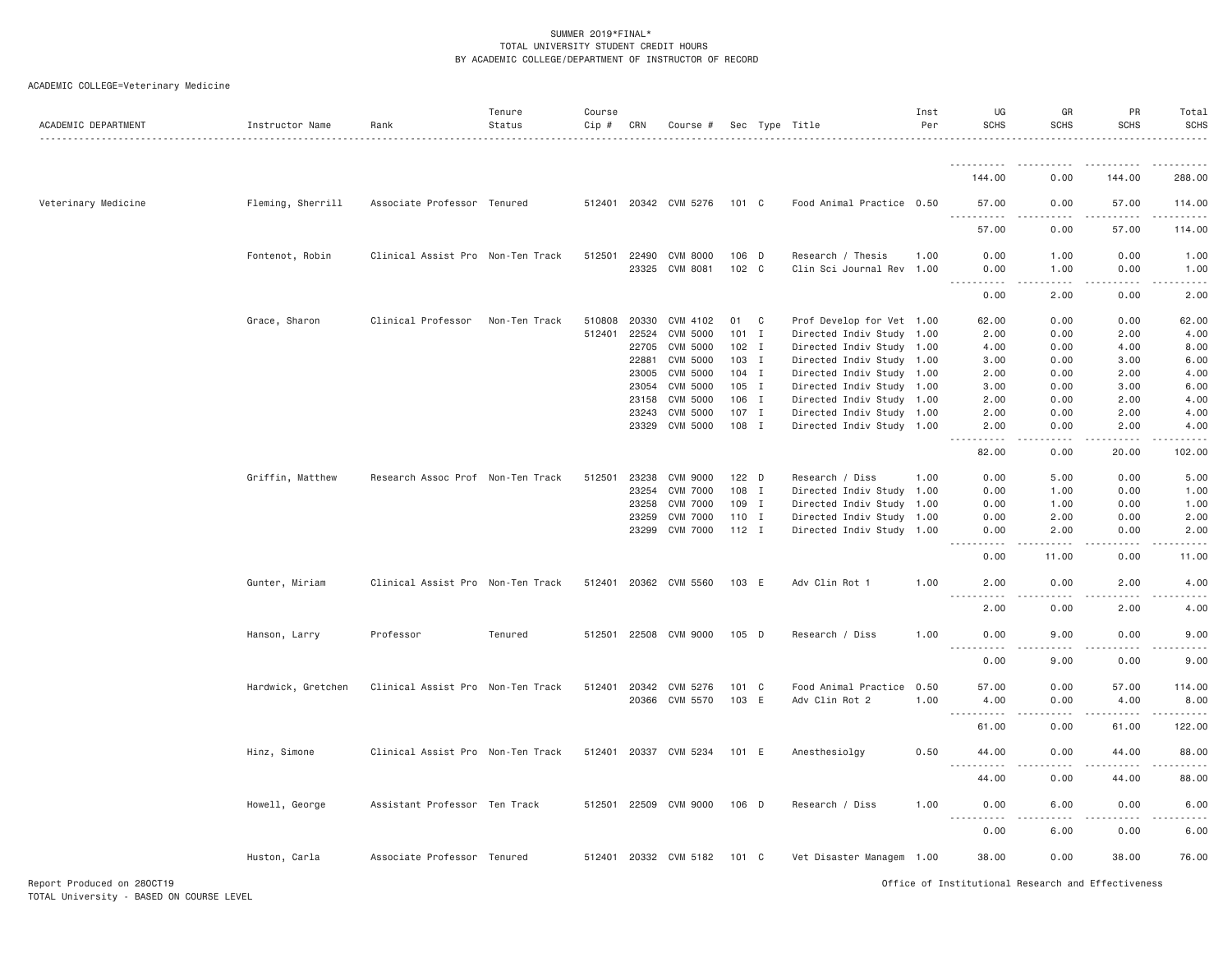| .<br>144.00<br>0.00<br>144.00<br>288.00<br>Veterinary Medicine<br>Fleming, Sherrill<br>Associate Professor Tenured<br>512401 20342 CVM 5276<br>101 C<br>Food Animal Practice 0.50<br>0.00<br>57.00<br>114.00<br>57.00<br>.<br>57.00<br>0.00<br>57.00<br>114.00<br>Fontenot, Robin<br>Clinical Assist Pro Non-Ten Track<br>512501<br>22490<br><b>CVM 8000</b><br>106 D<br>Research / Thesis<br>0.00<br>1.00<br>0.00<br>1.00<br>1.00<br>CVM 8081<br>102 C<br>23325<br>Clin Sci Journal Rev<br>1.00<br>0.00<br>1.00<br>0.00<br>1.00<br>.<br>0.00<br>0.00<br>2.00<br>2.00<br>Grace, Sharon<br>Clinical Professor<br>Non-Ten Track<br>510808<br>20330<br>CVM 4102<br>01<br>C<br>Prof Develop for Vet 1.00<br>62.00<br>0.00<br>0.00<br>62.00<br>512401<br>22524<br>CVM 5000<br>$101$ I<br>Directed Indiv Study 1.00<br>0.00<br>2.00<br>2.00<br>4.00<br>22705<br>CVM 5000<br>$102$ I<br>Directed Indiv Study<br>8.00<br>1.00<br>4.00<br>0.00<br>4.00<br><b>CVM 5000</b><br>22881<br>103 I<br>Directed Indiv Study 1.00<br>0.00<br>3.00<br>6.00<br>3.00<br>CVM 5000<br>104 I<br>4.00<br>23005<br>Directed Indiv Study 1.00<br>2.00<br>0.00<br>2.00<br>CVM 5000<br>105 I<br>3.00<br>6.00<br>23054<br>Directed Indiv Study 1.00<br>3.00<br>0.00<br><b>CVM 5000</b><br>106 I<br>Directed Indiv Study 1.00<br>4.00<br>23158<br>2.00<br>0.00<br>2.00<br><b>CVM 5000</b><br>$107$ I<br>2.00<br>0.00<br>2.00<br>4.00<br>23243<br>Directed Indiv Study 1.00<br>CVM 5000<br>108 I<br>23329<br>Directed Indiv Study 1.00<br>0.00<br>2.00<br>4.00<br>2.00<br>.<br>$- - -$<br>. <u>. .</u><br>.<br>82.00<br>0.00<br>20.00<br>102.00<br>Griffin, Matthew<br>5.00<br>Research Assoc Prof Non-Ten Track<br>512501<br>23238<br><b>CVM 9000</b><br>$122$ D<br>Research / Diss<br>1.00<br>0.00<br>5.00<br>0.00<br>23254<br><b>CVM 7000</b><br>108 I<br>Directed Indiv Study 1.00<br>0.00<br>0.00<br>1.00<br>1.00<br>23258<br><b>CVM 7000</b><br>109 I<br>Directed Indiv Study<br>1.00<br>0.00<br>1.00<br>0.00<br>1.00<br><b>CVM 7000</b><br>110 I<br>2.00<br>23259<br>Directed Indiv Study 1.00<br>0.00<br>2.00<br>0.00<br>23299<br>CVM 7000<br>$112$ I<br>Directed Indiv Study 1.00<br>2.00<br>0.00<br>2.00<br>0.00<br>.<br>0.00<br>11.00<br>0.00<br>11.00<br>Gunter, Miriam<br>Clinical Assist Pro Non-Ten Track<br>512401 20362 CVM 5560<br>2.00<br>4.00<br>103 E<br>Adv Clin Rot 1<br>1.00<br>2.00<br>0.00<br>$\frac{1}{2}$<br>.<br>.<br>2.00<br>0.00<br>2.00<br>4.00<br>Professor<br>512501 22508 CVM 9000<br>105 D<br>9.00<br>0.00<br>9.00<br>Hanson, Larry<br>Tenured<br>Research / Diss<br>1.00<br>0.00<br>.<br>.<br>9.00<br>0.00<br>9.00<br>0.00<br>CVM 5276<br>101 C<br>Food Animal Practice<br>114.00<br>Hardwick, Gretchen<br>Clinical Assist Pro Non-Ten Track<br>512401<br>20342<br>0.50<br>57.00<br>0.00<br>57.00<br>20366<br>CVM 5570<br>103 E<br>Adv Clin Rot 2<br>1.00<br>4.00<br>0.00<br>4.00<br>8.00<br>.<br>.<br>$\frac{1}{2}$<br>61.00<br>122.00<br>61.00<br>0.00<br>Hinz, Simone<br>Clinical Assist Pro Non-Ten Track<br>512401<br>20337 CVM 5234<br>101 E<br>Anesthesiolgy<br>0.50<br>44.00<br>0.00<br>44.00<br>88.00<br>$\sim$ $\sim$ $\sim$<br>88.00<br>44.00<br>0.00<br>44.00<br>Howell, George<br>Assistant Professor Ten Track<br>512501<br>22509 CVM 9000<br>106 D<br>Research / Diss<br>1.00<br>0.00<br>6.00<br>0.00<br>6.00<br>$\sim$ $\sim$ $\sim$ $\sim$<br>0.00<br>6.00<br>0.00<br>6.00<br>76.00<br>Huston, Carla<br>Associate Professor Tenured<br>512401 20332 CVM 5182<br>101 C<br>Vet Disaster Managem 1.00<br>38.00<br>0.00<br>38.00 | ACADEMIC DEPARTMENT | Instructor Name | Rank | Tenure<br>Status | Course<br>Cip # | CRN | Course # |  | Sec Type Title | Inst<br>Per | UG<br><b>SCHS</b> | GR<br><b>SCHS</b> | PR<br><b>SCHS</b> | Total<br><b>SCHS</b> |
|----------------------------------------------------------------------------------------------------------------------------------------------------------------------------------------------------------------------------------------------------------------------------------------------------------------------------------------------------------------------------------------------------------------------------------------------------------------------------------------------------------------------------------------------------------------------------------------------------------------------------------------------------------------------------------------------------------------------------------------------------------------------------------------------------------------------------------------------------------------------------------------------------------------------------------------------------------------------------------------------------------------------------------------------------------------------------------------------------------------------------------------------------------------------------------------------------------------------------------------------------------------------------------------------------------------------------------------------------------------------------------------------------------------------------------------------------------------------------------------------------------------------------------------------------------------------------------------------------------------------------------------------------------------------------------------------------------------------------------------------------------------------------------------------------------------------------------------------------------------------------------------------------------------------------------------------------------------------------------------------------------------------------------------------------------------------------------------------------------------------------------------------------------------------------------------------------------------------------------------------------------------------------------------------------------------------------------------------------------------------------------------------------------------------------------------------------------------------------------------------------------------------------------------------------------------------------------------------------------------------------------------------------------------------------------------------------------------------------------------------------------------------------------------------------------------------------------------------------------------------------------------------------------------------------------------------------------------------------------------------------------------------------------------------------------------------------------------------------------------------------------------------------------------------------------------------------------------------------------------------------------------------------------------------------------------------------------------------------------------------------------------------------------------------------------------------------------------------------------------------------------------------------------------------------|---------------------|-----------------|------|------------------|-----------------|-----|----------|--|----------------|-------------|-------------------|-------------------|-------------------|----------------------|
|                                                                                                                                                                                                                                                                                                                                                                                                                                                                                                                                                                                                                                                                                                                                                                                                                                                                                                                                                                                                                                                                                                                                                                                                                                                                                                                                                                                                                                                                                                                                                                                                                                                                                                                                                                                                                                                                                                                                                                                                                                                                                                                                                                                                                                                                                                                                                                                                                                                                                                                                                                                                                                                                                                                                                                                                                                                                                                                                                                                                                                                                                                                                                                                                                                                                                                                                                                                                                                                                                                                                                    |                     |                 |      |                  |                 |     |          |  |                |             |                   |                   |                   |                      |
|                                                                                                                                                                                                                                                                                                                                                                                                                                                                                                                                                                                                                                                                                                                                                                                                                                                                                                                                                                                                                                                                                                                                                                                                                                                                                                                                                                                                                                                                                                                                                                                                                                                                                                                                                                                                                                                                                                                                                                                                                                                                                                                                                                                                                                                                                                                                                                                                                                                                                                                                                                                                                                                                                                                                                                                                                                                                                                                                                                                                                                                                                                                                                                                                                                                                                                                                                                                                                                                                                                                                                    |                     |                 |      |                  |                 |     |          |  |                |             |                   |                   |                   |                      |
|                                                                                                                                                                                                                                                                                                                                                                                                                                                                                                                                                                                                                                                                                                                                                                                                                                                                                                                                                                                                                                                                                                                                                                                                                                                                                                                                                                                                                                                                                                                                                                                                                                                                                                                                                                                                                                                                                                                                                                                                                                                                                                                                                                                                                                                                                                                                                                                                                                                                                                                                                                                                                                                                                                                                                                                                                                                                                                                                                                                                                                                                                                                                                                                                                                                                                                                                                                                                                                                                                                                                                    |                     |                 |      |                  |                 |     |          |  |                |             |                   |                   |                   |                      |
|                                                                                                                                                                                                                                                                                                                                                                                                                                                                                                                                                                                                                                                                                                                                                                                                                                                                                                                                                                                                                                                                                                                                                                                                                                                                                                                                                                                                                                                                                                                                                                                                                                                                                                                                                                                                                                                                                                                                                                                                                                                                                                                                                                                                                                                                                                                                                                                                                                                                                                                                                                                                                                                                                                                                                                                                                                                                                                                                                                                                                                                                                                                                                                                                                                                                                                                                                                                                                                                                                                                                                    |                     |                 |      |                  |                 |     |          |  |                |             |                   |                   |                   |                      |
|                                                                                                                                                                                                                                                                                                                                                                                                                                                                                                                                                                                                                                                                                                                                                                                                                                                                                                                                                                                                                                                                                                                                                                                                                                                                                                                                                                                                                                                                                                                                                                                                                                                                                                                                                                                                                                                                                                                                                                                                                                                                                                                                                                                                                                                                                                                                                                                                                                                                                                                                                                                                                                                                                                                                                                                                                                                                                                                                                                                                                                                                                                                                                                                                                                                                                                                                                                                                                                                                                                                                                    |                     |                 |      |                  |                 |     |          |  |                |             |                   |                   |                   |                      |
|                                                                                                                                                                                                                                                                                                                                                                                                                                                                                                                                                                                                                                                                                                                                                                                                                                                                                                                                                                                                                                                                                                                                                                                                                                                                                                                                                                                                                                                                                                                                                                                                                                                                                                                                                                                                                                                                                                                                                                                                                                                                                                                                                                                                                                                                                                                                                                                                                                                                                                                                                                                                                                                                                                                                                                                                                                                                                                                                                                                                                                                                                                                                                                                                                                                                                                                                                                                                                                                                                                                                                    |                     |                 |      |                  |                 |     |          |  |                |             |                   |                   |                   |                      |
|                                                                                                                                                                                                                                                                                                                                                                                                                                                                                                                                                                                                                                                                                                                                                                                                                                                                                                                                                                                                                                                                                                                                                                                                                                                                                                                                                                                                                                                                                                                                                                                                                                                                                                                                                                                                                                                                                                                                                                                                                                                                                                                                                                                                                                                                                                                                                                                                                                                                                                                                                                                                                                                                                                                                                                                                                                                                                                                                                                                                                                                                                                                                                                                                                                                                                                                                                                                                                                                                                                                                                    |                     |                 |      |                  |                 |     |          |  |                |             |                   |                   |                   |                      |
|                                                                                                                                                                                                                                                                                                                                                                                                                                                                                                                                                                                                                                                                                                                                                                                                                                                                                                                                                                                                                                                                                                                                                                                                                                                                                                                                                                                                                                                                                                                                                                                                                                                                                                                                                                                                                                                                                                                                                                                                                                                                                                                                                                                                                                                                                                                                                                                                                                                                                                                                                                                                                                                                                                                                                                                                                                                                                                                                                                                                                                                                                                                                                                                                                                                                                                                                                                                                                                                                                                                                                    |                     |                 |      |                  |                 |     |          |  |                |             |                   |                   |                   |                      |
|                                                                                                                                                                                                                                                                                                                                                                                                                                                                                                                                                                                                                                                                                                                                                                                                                                                                                                                                                                                                                                                                                                                                                                                                                                                                                                                                                                                                                                                                                                                                                                                                                                                                                                                                                                                                                                                                                                                                                                                                                                                                                                                                                                                                                                                                                                                                                                                                                                                                                                                                                                                                                                                                                                                                                                                                                                                                                                                                                                                                                                                                                                                                                                                                                                                                                                                                                                                                                                                                                                                                                    |                     |                 |      |                  |                 |     |          |  |                |             |                   |                   |                   |                      |
|                                                                                                                                                                                                                                                                                                                                                                                                                                                                                                                                                                                                                                                                                                                                                                                                                                                                                                                                                                                                                                                                                                                                                                                                                                                                                                                                                                                                                                                                                                                                                                                                                                                                                                                                                                                                                                                                                                                                                                                                                                                                                                                                                                                                                                                                                                                                                                                                                                                                                                                                                                                                                                                                                                                                                                                                                                                                                                                                                                                                                                                                                                                                                                                                                                                                                                                                                                                                                                                                                                                                                    |                     |                 |      |                  |                 |     |          |  |                |             |                   |                   |                   |                      |
|                                                                                                                                                                                                                                                                                                                                                                                                                                                                                                                                                                                                                                                                                                                                                                                                                                                                                                                                                                                                                                                                                                                                                                                                                                                                                                                                                                                                                                                                                                                                                                                                                                                                                                                                                                                                                                                                                                                                                                                                                                                                                                                                                                                                                                                                                                                                                                                                                                                                                                                                                                                                                                                                                                                                                                                                                                                                                                                                                                                                                                                                                                                                                                                                                                                                                                                                                                                                                                                                                                                                                    |                     |                 |      |                  |                 |     |          |  |                |             |                   |                   |                   |                      |
|                                                                                                                                                                                                                                                                                                                                                                                                                                                                                                                                                                                                                                                                                                                                                                                                                                                                                                                                                                                                                                                                                                                                                                                                                                                                                                                                                                                                                                                                                                                                                                                                                                                                                                                                                                                                                                                                                                                                                                                                                                                                                                                                                                                                                                                                                                                                                                                                                                                                                                                                                                                                                                                                                                                                                                                                                                                                                                                                                                                                                                                                                                                                                                                                                                                                                                                                                                                                                                                                                                                                                    |                     |                 |      |                  |                 |     |          |  |                |             |                   |                   |                   |                      |
|                                                                                                                                                                                                                                                                                                                                                                                                                                                                                                                                                                                                                                                                                                                                                                                                                                                                                                                                                                                                                                                                                                                                                                                                                                                                                                                                                                                                                                                                                                                                                                                                                                                                                                                                                                                                                                                                                                                                                                                                                                                                                                                                                                                                                                                                                                                                                                                                                                                                                                                                                                                                                                                                                                                                                                                                                                                                                                                                                                                                                                                                                                                                                                                                                                                                                                                                                                                                                                                                                                                                                    |                     |                 |      |                  |                 |     |          |  |                |             |                   |                   |                   |                      |
|                                                                                                                                                                                                                                                                                                                                                                                                                                                                                                                                                                                                                                                                                                                                                                                                                                                                                                                                                                                                                                                                                                                                                                                                                                                                                                                                                                                                                                                                                                                                                                                                                                                                                                                                                                                                                                                                                                                                                                                                                                                                                                                                                                                                                                                                                                                                                                                                                                                                                                                                                                                                                                                                                                                                                                                                                                                                                                                                                                                                                                                                                                                                                                                                                                                                                                                                                                                                                                                                                                                                                    |                     |                 |      |                  |                 |     |          |  |                |             |                   |                   |                   |                      |
|                                                                                                                                                                                                                                                                                                                                                                                                                                                                                                                                                                                                                                                                                                                                                                                                                                                                                                                                                                                                                                                                                                                                                                                                                                                                                                                                                                                                                                                                                                                                                                                                                                                                                                                                                                                                                                                                                                                                                                                                                                                                                                                                                                                                                                                                                                                                                                                                                                                                                                                                                                                                                                                                                                                                                                                                                                                                                                                                                                                                                                                                                                                                                                                                                                                                                                                                                                                                                                                                                                                                                    |                     |                 |      |                  |                 |     |          |  |                |             |                   |                   |                   |                      |
|                                                                                                                                                                                                                                                                                                                                                                                                                                                                                                                                                                                                                                                                                                                                                                                                                                                                                                                                                                                                                                                                                                                                                                                                                                                                                                                                                                                                                                                                                                                                                                                                                                                                                                                                                                                                                                                                                                                                                                                                                                                                                                                                                                                                                                                                                                                                                                                                                                                                                                                                                                                                                                                                                                                                                                                                                                                                                                                                                                                                                                                                                                                                                                                                                                                                                                                                                                                                                                                                                                                                                    |                     |                 |      |                  |                 |     |          |  |                |             |                   |                   |                   |                      |
|                                                                                                                                                                                                                                                                                                                                                                                                                                                                                                                                                                                                                                                                                                                                                                                                                                                                                                                                                                                                                                                                                                                                                                                                                                                                                                                                                                                                                                                                                                                                                                                                                                                                                                                                                                                                                                                                                                                                                                                                                                                                                                                                                                                                                                                                                                                                                                                                                                                                                                                                                                                                                                                                                                                                                                                                                                                                                                                                                                                                                                                                                                                                                                                                                                                                                                                                                                                                                                                                                                                                                    |                     |                 |      |                  |                 |     |          |  |                |             |                   |                   |                   |                      |
|                                                                                                                                                                                                                                                                                                                                                                                                                                                                                                                                                                                                                                                                                                                                                                                                                                                                                                                                                                                                                                                                                                                                                                                                                                                                                                                                                                                                                                                                                                                                                                                                                                                                                                                                                                                                                                                                                                                                                                                                                                                                                                                                                                                                                                                                                                                                                                                                                                                                                                                                                                                                                                                                                                                                                                                                                                                                                                                                                                                                                                                                                                                                                                                                                                                                                                                                                                                                                                                                                                                                                    |                     |                 |      |                  |                 |     |          |  |                |             |                   |                   |                   |                      |
|                                                                                                                                                                                                                                                                                                                                                                                                                                                                                                                                                                                                                                                                                                                                                                                                                                                                                                                                                                                                                                                                                                                                                                                                                                                                                                                                                                                                                                                                                                                                                                                                                                                                                                                                                                                                                                                                                                                                                                                                                                                                                                                                                                                                                                                                                                                                                                                                                                                                                                                                                                                                                                                                                                                                                                                                                                                                                                                                                                                                                                                                                                                                                                                                                                                                                                                                                                                                                                                                                                                                                    |                     |                 |      |                  |                 |     |          |  |                |             |                   |                   |                   |                      |
|                                                                                                                                                                                                                                                                                                                                                                                                                                                                                                                                                                                                                                                                                                                                                                                                                                                                                                                                                                                                                                                                                                                                                                                                                                                                                                                                                                                                                                                                                                                                                                                                                                                                                                                                                                                                                                                                                                                                                                                                                                                                                                                                                                                                                                                                                                                                                                                                                                                                                                                                                                                                                                                                                                                                                                                                                                                                                                                                                                                                                                                                                                                                                                                                                                                                                                                                                                                                                                                                                                                                                    |                     |                 |      |                  |                 |     |          |  |                |             |                   |                   |                   |                      |
|                                                                                                                                                                                                                                                                                                                                                                                                                                                                                                                                                                                                                                                                                                                                                                                                                                                                                                                                                                                                                                                                                                                                                                                                                                                                                                                                                                                                                                                                                                                                                                                                                                                                                                                                                                                                                                                                                                                                                                                                                                                                                                                                                                                                                                                                                                                                                                                                                                                                                                                                                                                                                                                                                                                                                                                                                                                                                                                                                                                                                                                                                                                                                                                                                                                                                                                                                                                                                                                                                                                                                    |                     |                 |      |                  |                 |     |          |  |                |             |                   |                   |                   |                      |
|                                                                                                                                                                                                                                                                                                                                                                                                                                                                                                                                                                                                                                                                                                                                                                                                                                                                                                                                                                                                                                                                                                                                                                                                                                                                                                                                                                                                                                                                                                                                                                                                                                                                                                                                                                                                                                                                                                                                                                                                                                                                                                                                                                                                                                                                                                                                                                                                                                                                                                                                                                                                                                                                                                                                                                                                                                                                                                                                                                                                                                                                                                                                                                                                                                                                                                                                                                                                                                                                                                                                                    |                     |                 |      |                  |                 |     |          |  |                |             |                   |                   |                   |                      |
|                                                                                                                                                                                                                                                                                                                                                                                                                                                                                                                                                                                                                                                                                                                                                                                                                                                                                                                                                                                                                                                                                                                                                                                                                                                                                                                                                                                                                                                                                                                                                                                                                                                                                                                                                                                                                                                                                                                                                                                                                                                                                                                                                                                                                                                                                                                                                                                                                                                                                                                                                                                                                                                                                                                                                                                                                                                                                                                                                                                                                                                                                                                                                                                                                                                                                                                                                                                                                                                                                                                                                    |                     |                 |      |                  |                 |     |          |  |                |             |                   |                   |                   |                      |
|                                                                                                                                                                                                                                                                                                                                                                                                                                                                                                                                                                                                                                                                                                                                                                                                                                                                                                                                                                                                                                                                                                                                                                                                                                                                                                                                                                                                                                                                                                                                                                                                                                                                                                                                                                                                                                                                                                                                                                                                                                                                                                                                                                                                                                                                                                                                                                                                                                                                                                                                                                                                                                                                                                                                                                                                                                                                                                                                                                                                                                                                                                                                                                                                                                                                                                                                                                                                                                                                                                                                                    |                     |                 |      |                  |                 |     |          |  |                |             |                   |                   |                   |                      |
|                                                                                                                                                                                                                                                                                                                                                                                                                                                                                                                                                                                                                                                                                                                                                                                                                                                                                                                                                                                                                                                                                                                                                                                                                                                                                                                                                                                                                                                                                                                                                                                                                                                                                                                                                                                                                                                                                                                                                                                                                                                                                                                                                                                                                                                                                                                                                                                                                                                                                                                                                                                                                                                                                                                                                                                                                                                                                                                                                                                                                                                                                                                                                                                                                                                                                                                                                                                                                                                                                                                                                    |                     |                 |      |                  |                 |     |          |  |                |             |                   |                   |                   |                      |
|                                                                                                                                                                                                                                                                                                                                                                                                                                                                                                                                                                                                                                                                                                                                                                                                                                                                                                                                                                                                                                                                                                                                                                                                                                                                                                                                                                                                                                                                                                                                                                                                                                                                                                                                                                                                                                                                                                                                                                                                                                                                                                                                                                                                                                                                                                                                                                                                                                                                                                                                                                                                                                                                                                                                                                                                                                                                                                                                                                                                                                                                                                                                                                                                                                                                                                                                                                                                                                                                                                                                                    |                     |                 |      |                  |                 |     |          |  |                |             |                   |                   |                   |                      |
|                                                                                                                                                                                                                                                                                                                                                                                                                                                                                                                                                                                                                                                                                                                                                                                                                                                                                                                                                                                                                                                                                                                                                                                                                                                                                                                                                                                                                                                                                                                                                                                                                                                                                                                                                                                                                                                                                                                                                                                                                                                                                                                                                                                                                                                                                                                                                                                                                                                                                                                                                                                                                                                                                                                                                                                                                                                                                                                                                                                                                                                                                                                                                                                                                                                                                                                                                                                                                                                                                                                                                    |                     |                 |      |                  |                 |     |          |  |                |             |                   |                   |                   |                      |
|                                                                                                                                                                                                                                                                                                                                                                                                                                                                                                                                                                                                                                                                                                                                                                                                                                                                                                                                                                                                                                                                                                                                                                                                                                                                                                                                                                                                                                                                                                                                                                                                                                                                                                                                                                                                                                                                                                                                                                                                                                                                                                                                                                                                                                                                                                                                                                                                                                                                                                                                                                                                                                                                                                                                                                                                                                                                                                                                                                                                                                                                                                                                                                                                                                                                                                                                                                                                                                                                                                                                                    |                     |                 |      |                  |                 |     |          |  |                |             |                   |                   |                   |                      |
|                                                                                                                                                                                                                                                                                                                                                                                                                                                                                                                                                                                                                                                                                                                                                                                                                                                                                                                                                                                                                                                                                                                                                                                                                                                                                                                                                                                                                                                                                                                                                                                                                                                                                                                                                                                                                                                                                                                                                                                                                                                                                                                                                                                                                                                                                                                                                                                                                                                                                                                                                                                                                                                                                                                                                                                                                                                                                                                                                                                                                                                                                                                                                                                                                                                                                                                                                                                                                                                                                                                                                    |                     |                 |      |                  |                 |     |          |  |                |             |                   |                   |                   |                      |
|                                                                                                                                                                                                                                                                                                                                                                                                                                                                                                                                                                                                                                                                                                                                                                                                                                                                                                                                                                                                                                                                                                                                                                                                                                                                                                                                                                                                                                                                                                                                                                                                                                                                                                                                                                                                                                                                                                                                                                                                                                                                                                                                                                                                                                                                                                                                                                                                                                                                                                                                                                                                                                                                                                                                                                                                                                                                                                                                                                                                                                                                                                                                                                                                                                                                                                                                                                                                                                                                                                                                                    |                     |                 |      |                  |                 |     |          |  |                |             |                   |                   |                   |                      |
|                                                                                                                                                                                                                                                                                                                                                                                                                                                                                                                                                                                                                                                                                                                                                                                                                                                                                                                                                                                                                                                                                                                                                                                                                                                                                                                                                                                                                                                                                                                                                                                                                                                                                                                                                                                                                                                                                                                                                                                                                                                                                                                                                                                                                                                                                                                                                                                                                                                                                                                                                                                                                                                                                                                                                                                                                                                                                                                                                                                                                                                                                                                                                                                                                                                                                                                                                                                                                                                                                                                                                    |                     |                 |      |                  |                 |     |          |  |                |             |                   |                   |                   |                      |
|                                                                                                                                                                                                                                                                                                                                                                                                                                                                                                                                                                                                                                                                                                                                                                                                                                                                                                                                                                                                                                                                                                                                                                                                                                                                                                                                                                                                                                                                                                                                                                                                                                                                                                                                                                                                                                                                                                                                                                                                                                                                                                                                                                                                                                                                                                                                                                                                                                                                                                                                                                                                                                                                                                                                                                                                                                                                                                                                                                                                                                                                                                                                                                                                                                                                                                                                                                                                                                                                                                                                                    |                     |                 |      |                  |                 |     |          |  |                |             |                   |                   |                   |                      |
|                                                                                                                                                                                                                                                                                                                                                                                                                                                                                                                                                                                                                                                                                                                                                                                                                                                                                                                                                                                                                                                                                                                                                                                                                                                                                                                                                                                                                                                                                                                                                                                                                                                                                                                                                                                                                                                                                                                                                                                                                                                                                                                                                                                                                                                                                                                                                                                                                                                                                                                                                                                                                                                                                                                                                                                                                                                                                                                                                                                                                                                                                                                                                                                                                                                                                                                                                                                                                                                                                                                                                    |                     |                 |      |                  |                 |     |          |  |                |             |                   |                   |                   |                      |
|                                                                                                                                                                                                                                                                                                                                                                                                                                                                                                                                                                                                                                                                                                                                                                                                                                                                                                                                                                                                                                                                                                                                                                                                                                                                                                                                                                                                                                                                                                                                                                                                                                                                                                                                                                                                                                                                                                                                                                                                                                                                                                                                                                                                                                                                                                                                                                                                                                                                                                                                                                                                                                                                                                                                                                                                                                                                                                                                                                                                                                                                                                                                                                                                                                                                                                                                                                                                                                                                                                                                                    |                     |                 |      |                  |                 |     |          |  |                |             |                   |                   |                   |                      |
|                                                                                                                                                                                                                                                                                                                                                                                                                                                                                                                                                                                                                                                                                                                                                                                                                                                                                                                                                                                                                                                                                                                                                                                                                                                                                                                                                                                                                                                                                                                                                                                                                                                                                                                                                                                                                                                                                                                                                                                                                                                                                                                                                                                                                                                                                                                                                                                                                                                                                                                                                                                                                                                                                                                                                                                                                                                                                                                                                                                                                                                                                                                                                                                                                                                                                                                                                                                                                                                                                                                                                    |                     |                 |      |                  |                 |     |          |  |                |             |                   |                   |                   |                      |
|                                                                                                                                                                                                                                                                                                                                                                                                                                                                                                                                                                                                                                                                                                                                                                                                                                                                                                                                                                                                                                                                                                                                                                                                                                                                                                                                                                                                                                                                                                                                                                                                                                                                                                                                                                                                                                                                                                                                                                                                                                                                                                                                                                                                                                                                                                                                                                                                                                                                                                                                                                                                                                                                                                                                                                                                                                                                                                                                                                                                                                                                                                                                                                                                                                                                                                                                                                                                                                                                                                                                                    |                     |                 |      |                  |                 |     |          |  |                |             |                   |                   |                   |                      |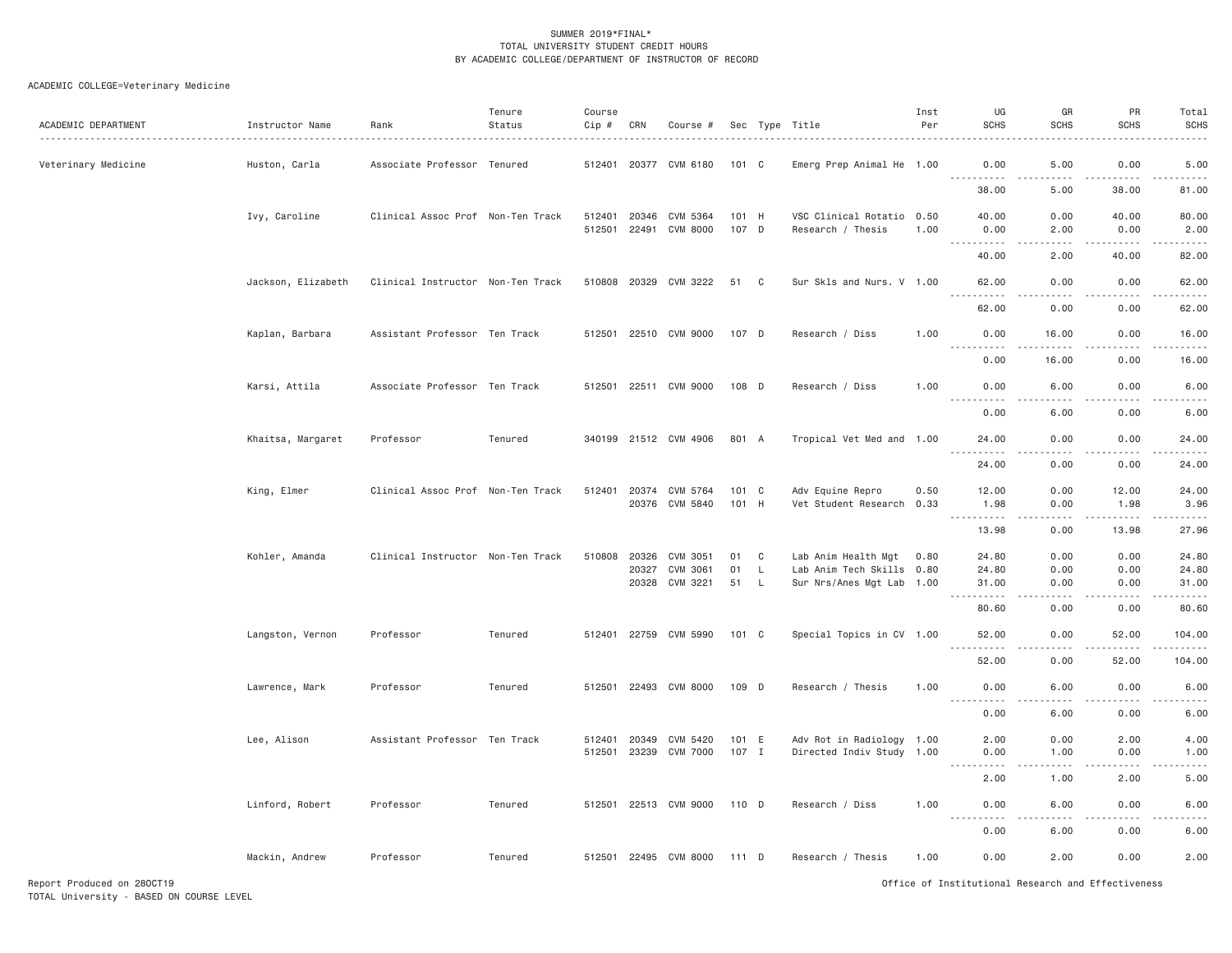| ACADEMIC DEPARTMENT | Instructor Name    | Rank                              | Tenure<br>Status | Course<br>Cip #        | CRN   | Course #                          |                |          | Sec Type Title                                         | Inst<br>Per | UG<br><b>SCHS</b>                                                                                                                                            | GR<br><b>SCHS</b>   | PR<br><b>SCHS</b>    | Total<br><b>SCHS</b><br>.                                                                                                                                     |
|---------------------|--------------------|-----------------------------------|------------------|------------------------|-------|-----------------------------------|----------------|----------|--------------------------------------------------------|-------------|--------------------------------------------------------------------------------------------------------------------------------------------------------------|---------------------|----------------------|---------------------------------------------------------------------------------------------------------------------------------------------------------------|
| Veterinary Medicine | Huston, Carla      | Associate Professor Tenured       |                  |                        |       | 512401 20377 CVM 6180             | 101 C          |          | Emerg Prep Animal He 1.00                              |             | 0.00<br>.                                                                                                                                                    | 5.00<br>.           | 0.00<br>.            | 5.00<br>$    -$                                                                                                                                               |
|                     |                    |                                   |                  |                        |       |                                   |                |          |                                                        |             | 38.00                                                                                                                                                        | 5.00                | 38.00                | 81.00                                                                                                                                                         |
|                     | Ivy, Caroline      | Clinical Assoc Prof Non-Ten Track |                  | 512401<br>512501 22491 | 20346 | CVM 5364<br>CVM 8000              | 101 H<br>107 D |          | VSC Clinical Rotatio 0.50<br>Research / Thesis         | 1.00        | 40.00<br>0.00                                                                                                                                                | 0.00<br>2.00        | 40.00<br>0.00        | 80.00<br>2.00                                                                                                                                                 |
|                     |                    |                                   |                  |                        |       |                                   |                |          |                                                        |             | 40.00                                                                                                                                                        | 2.00                | 40.00                | $\frac{1}{2} \left( \frac{1}{2} \right) \left( \frac{1}{2} \right) \left( \frac{1}{2} \right) \left( \frac{1}{2} \right) \left( \frac{1}{2} \right)$<br>82.00 |
|                     | Jackson, Elizabeth | Clinical Instructor Non-Ten Track |                  |                        |       | 510808 20329 CVM 3222             | 51 C           |          | Sur Skls and Nurs. V 1.00                              |             | 62.00<br>.                                                                                                                                                   | 0.00<br>.           | 0.00<br>.            | 62.00<br>.                                                                                                                                                    |
|                     |                    |                                   |                  |                        |       |                                   |                |          |                                                        |             | 62.00                                                                                                                                                        | 0.00                | 0.00                 | 62.00                                                                                                                                                         |
|                     | Kaplan, Barbara    | Assistant Professor Ten Track     |                  |                        |       | 512501 22510 CVM 9000             | 107 D          |          | Research / Diss                                        | 1.00        | 0.00<br><u>.</u>                                                                                                                                             | 16.00<br>.          | 0.00<br>.            | 16.00<br>.                                                                                                                                                    |
|                     |                    |                                   |                  |                        |       |                                   |                |          |                                                        |             | 0.00                                                                                                                                                         | 16.00               | 0.00                 | 16.00                                                                                                                                                         |
|                     | Karsi, Attila      | Associate Professor Ten Track     |                  |                        |       | 512501 22511 CVM 9000             | 108 D          |          | Research / Diss                                        | 1.00        | 0.00<br>$\frac{1}{2} \left( \frac{1}{2} \right) \left( \frac{1}{2} \right) \left( \frac{1}{2} \right) \left( \frac{1}{2} \right) \left( \frac{1}{2} \right)$ | 6.00<br>د د د د     | 0.00<br>.            | 6.00<br>$\frac{1}{2} \left( \frac{1}{2} \right) \left( \frac{1}{2} \right) \left( \frac{1}{2} \right) \left( \frac{1}{2} \right) \left( \frac{1}{2} \right)$  |
|                     |                    |                                   |                  |                        |       |                                   |                |          |                                                        |             | 0.00                                                                                                                                                         | 6.00                | 0.00                 | 6.00                                                                                                                                                          |
|                     | Khaitsa, Margaret  | Professor                         | Tenured          |                        |       | 340199 21512 CVM 4906             | 801 A          |          | Tropical Vet Med and 1.00                              |             | 24.00<br>.<br>$\sim$ $\sim$ $\sim$                                                                                                                           | 0.00<br>.           | 0.00<br>.            | 24.00<br>.                                                                                                                                                    |
|                     |                    |                                   |                  |                        |       |                                   |                |          |                                                        |             | 24.00                                                                                                                                                        | 0.00                | 0.00                 | 24.00                                                                                                                                                         |
|                     | King, Elmer        | Clinical Assoc Prof Non-Ten Track |                  | 512401                 |       | 20374 CVM 5764<br>20376 CVM 5840  | 101 C<br>101 H |          | Adv Equine Repro<br>Vet Student Research 0.33          | 0.50        | 12.00<br>1.98                                                                                                                                                | 0.00<br>0.00        | 12.00<br>1.98        | 24.00<br>3.96                                                                                                                                                 |
|                     |                    |                                   |                  |                        |       |                                   |                |          |                                                        |             | .<br>$- - -$<br>13.98                                                                                                                                        | .<br>0.00           | $- - - - -$<br>13.98 | .<br>27.96                                                                                                                                                    |
|                     | Kohler, Amanda     | Clinical Instructor Non-Ten Track |                  | 510808                 | 20326 | CVM 3051                          | 01             | C        | Lab Anim Health Mgt                                    | 0.80        | 24.80                                                                                                                                                        | 0.00                | 0.00                 | 24.80                                                                                                                                                         |
|                     |                    |                                   |                  |                        | 20327 | CVM 3061<br>20328 CVM 3221        | 01<br>51       | L.<br>L. | Lab Anim Tech Skills 0.80<br>Sur Nrs/Anes Mgt Lab 1.00 |             | 24.80<br>31.00                                                                                                                                               | 0.00<br>0.00        | 0.00<br>0.00         | 24.80<br>31.00                                                                                                                                                |
|                     |                    |                                   |                  |                        |       |                                   |                |          |                                                        |             | .<br>80.60                                                                                                                                                   | الدامات بال<br>0.00 | .<br>0.00            | .<br>80.60                                                                                                                                                    |
|                     | Langston, Vernon   | Professor                         | Tenured          |                        |       | 512401 22759 CVM 5990             | 101 C          |          | Special Topics in CV 1.00                              |             | 52.00                                                                                                                                                        | 0.00                | 52.00                | 104.00                                                                                                                                                        |
|                     |                    |                                   |                  |                        |       |                                   |                |          |                                                        |             | $\begin{array}{cccccccccccccc} \bullet & \bullet & \bullet & \bullet & \bullet & \bullet & \bullet & \bullet \end{array}$<br>52.00                           | .<br>0.00           | .<br>52.00           | 104.00                                                                                                                                                        |
|                     | Lawrence, Mark     | Professor                         | Tenured          | 512501                 | 22493 | CVM 8000                          | 109 D          |          | Research / Thesis                                      | 1.00        | 0.00<br><u>.</u>                                                                                                                                             | 6.00<br>- - - -     | 0.00<br>.            | 6.00<br>.                                                                                                                                                     |
|                     |                    |                                   |                  |                        |       |                                   |                |          |                                                        |             | 0.00                                                                                                                                                         | 6.00                | 0.00                 | 6.00                                                                                                                                                          |
|                     | Lee, Alison        | Assistant Professor Ten Track     |                  | 512401                 | 20349 | CVM 5420<br>512501 23239 CVM 7000 | 101 E<br>107 I |          | Adv Rot in Radiology 1.00<br>Directed Indiv Study 1.00 |             | 2.00<br>0.00                                                                                                                                                 | 0.00<br>1.00        | 2.00<br>0.00         | 4.00<br>1.00                                                                                                                                                  |
|                     |                    |                                   |                  |                        |       |                                   |                |          |                                                        |             | -----<br>2.00                                                                                                                                                | .<br>1.00           | .<br>2.00            | $\omega$ is $\omega$ in $\omega$<br>5.00                                                                                                                      |
|                     | Linford, Robert    | Professor                         | Tenured          |                        |       | 512501 22513 CVM 9000             | 110 D          |          | Research / Diss                                        | 1.00        | 0.00                                                                                                                                                         | 6.00                | 0.00                 | 6.00                                                                                                                                                          |
|                     |                    |                                   |                  |                        |       |                                   |                |          |                                                        |             | $  -$<br>.<br>0.00                                                                                                                                           | .<br>6.00           | .<br>0.00            | .<br>6.00                                                                                                                                                     |
|                     | Mackin, Andrew     | Professor                         | Tenured          |                        |       | 512501 22495 CVM 8000             | $111$ D        |          | Research / Thesis                                      | 1.00        | 0.00                                                                                                                                                         | 2.00                | 0.00                 | 2.00                                                                                                                                                          |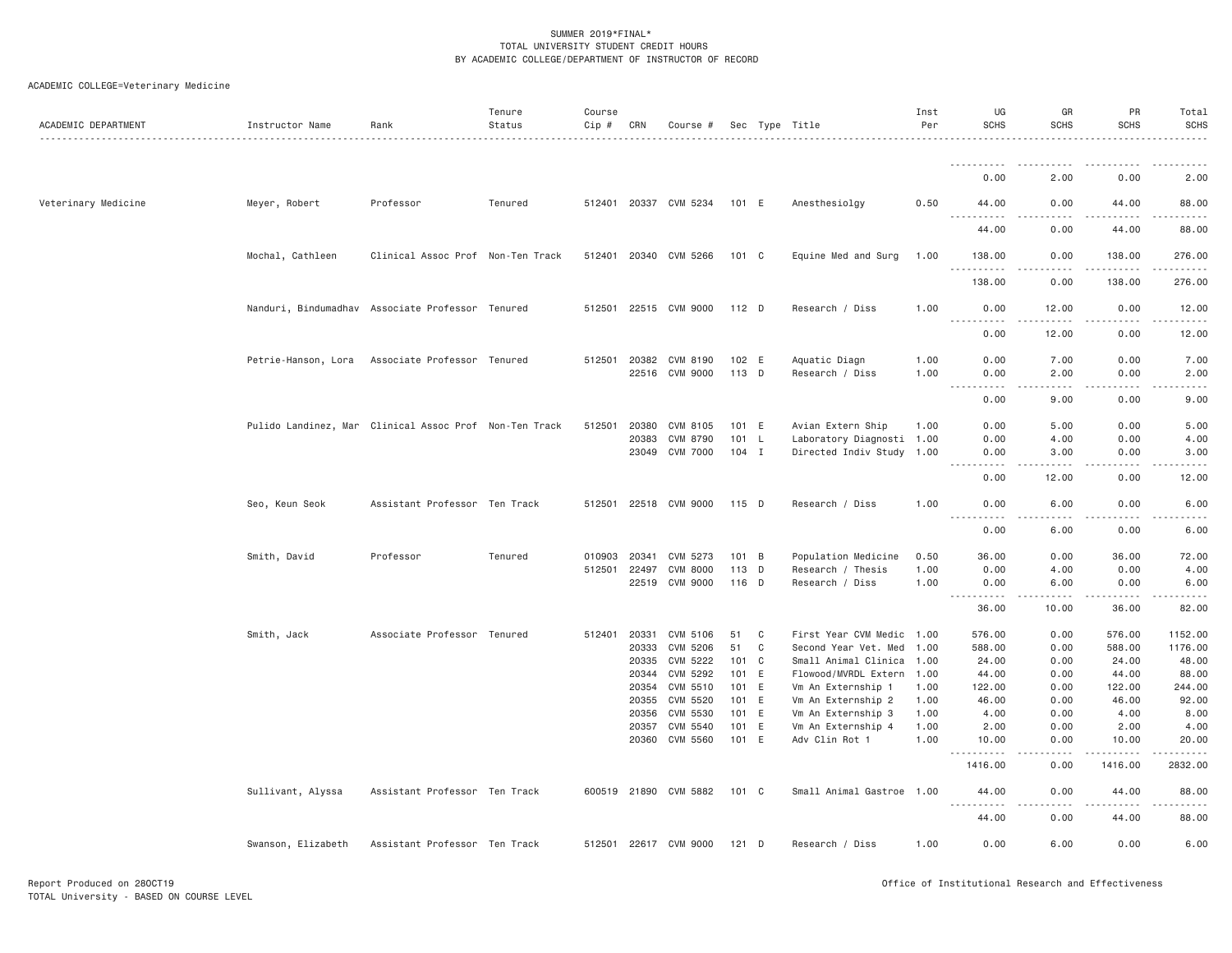| ACADEMIC DEPARTMENT | Instructor Name    | Rank                                                   | Tenure<br>Status | Course<br>Cip # | CRN   | Course #                                |                |   | Sec Type Title                   | Inst<br>Per  | UG<br><b>SCHS</b>                                                                                            | GR<br><b>SCHS</b>     | PR<br><b>SCHS</b>    | Total<br><b>SCHS</b>                                                                                                              |
|---------------------|--------------------|--------------------------------------------------------|------------------|-----------------|-------|-----------------------------------------|----------------|---|----------------------------------|--------------|--------------------------------------------------------------------------------------------------------------|-----------------------|----------------------|-----------------------------------------------------------------------------------------------------------------------------------|
|                     |                    |                                                        |                  |                 |       |                                         |                |   |                                  |              |                                                                                                              |                       |                      |                                                                                                                                   |
|                     |                    |                                                        |                  |                 |       |                                         |                |   |                                  |              | 0.00                                                                                                         | 2.00                  | 0.00                 | 2.00                                                                                                                              |
| Veterinary Medicine | Meyer, Robert      | Professor                                              | Tenured          |                 |       | 512401 20337 CVM 5234                   | 101 E          |   | Anesthesiolgy                    | 0.50         | 44.00<br><u>.</u>                                                                                            | 0.00                  | 44.00                | 88.00<br>.                                                                                                                        |
|                     |                    |                                                        |                  |                 |       |                                         |                |   |                                  |              | 44.00                                                                                                        | 0.00                  | 44.00                | 88.00                                                                                                                             |
|                     | Mochal, Cathleen   | Clinical Assoc Prof Non-Ten Track                      |                  |                 |       | 512401 20340 CVM 5266                   | 101 C          |   | Equine Med and Surg              | 1.00         | 138.00<br>.                                                                                                  | 0.00<br>$- - -$       | 138.00<br>.          | 276.00<br>$- - - - - -$                                                                                                           |
|                     |                    |                                                        |                  |                 |       |                                         |                |   |                                  |              | 138.00                                                                                                       | 0.00                  | 138.00               | 276.00                                                                                                                            |
|                     |                    | Nanduri, Bindumadhav Associate Professor Tenured       |                  |                 |       | 512501 22515 CVM 9000                   | $112$ D        |   | Research / Diss                  | 1.00         | 0.00<br><u>.</u>                                                                                             | 12.00<br>. <u>.</u> . | 0.00<br>$- - - - -$  | 12.00<br>.                                                                                                                        |
|                     |                    |                                                        |                  |                 |       |                                         |                |   |                                  |              | 0.00                                                                                                         | 12.00                 | 0.00                 | 12.00                                                                                                                             |
|                     |                    | Petrie-Hanson, Lora Associate Professor Tenured        |                  |                 |       | 512501 20382 CVM 8190<br>22516 CVM 9000 | 102 E<br>113 D |   | Aquatic Diagn<br>Research / Diss | 1.00<br>1.00 | 0.00<br>0.00                                                                                                 | 7.00<br>2.00          | 0.00<br>0.00         | 7.00<br>2.00                                                                                                                      |
|                     |                    |                                                        |                  |                 |       |                                         |                |   |                                  |              | $ -$<br>.<br>0.00                                                                                            | .<br>9.00             | 0.00                 | $\frac{1}{2} \left( \frac{1}{2} \right) \left( \frac{1}{2} \right) \left( \frac{1}{2} \right) \left( \frac{1}{2} \right)$<br>9.00 |
|                     |                    | Pulido Landinez, Mar Clinical Assoc Prof Non-Ten Track |                  | 512501          | 20380 | CVM 8105                                | 101 E          |   | Avian Extern Ship                | 1.00         | 0.00                                                                                                         | 5.00                  | 0.00                 | 5.00                                                                                                                              |
|                     |                    |                                                        |                  |                 | 20383 | CVM 8790                                | 101 L          |   | Laboratory Diagnosti 1.00        |              | 0.00                                                                                                         | 4.00                  | 0.00                 | 4.00                                                                                                                              |
|                     |                    |                                                        |                  |                 |       | 23049 CVM 7000                          | $104$ I        |   | Directed Indiv Study 1.00        |              | 0.00                                                                                                         | 3.00                  | 0.00                 | 3.00                                                                                                                              |
|                     |                    |                                                        |                  |                 |       |                                         |                |   |                                  |              | 0.00                                                                                                         | 12.00                 | 0.00                 | 12.00                                                                                                                             |
|                     | Seo, Keun Seok     | Assistant Professor Ten Track                          |                  |                 |       | 512501 22518 CVM 9000                   | 115 D          |   | Research / Diss                  | 1.00         | 0.00                                                                                                         | 6.00                  | 0.00                 | 6.00                                                                                                                              |
|                     |                    |                                                        |                  |                 |       |                                         |                |   |                                  |              | .<br>0.00                                                                                                    | 6.00                  | 0.00                 | .<br>6.00                                                                                                                         |
|                     | Smith, David       | Professor                                              | Tenured          | 010903 20341    |       | CVM 5273                                | 101 B          |   | Population Medicine              | 0.50         | 36.00                                                                                                        | 0.00                  | 36.00                | 72.00                                                                                                                             |
|                     |                    |                                                        |                  | 512501 22497    |       | CVM 8000                                | 113 D          |   | Research / Thesis                | 1.00         | 0.00                                                                                                         | 4.00                  | 0.00                 | 4.00                                                                                                                              |
|                     |                    |                                                        |                  |                 | 22519 | CVM 9000                                | 116 D          |   | Research / Diss                  | 1.00         | 0.00                                                                                                         | 6.00                  | 0.00                 | 6.00                                                                                                                              |
|                     |                    |                                                        |                  |                 |       |                                         |                |   |                                  |              | ----------<br>36.00                                                                                          | .<br>10.00            | .<br>36.00           | .<br>82.00                                                                                                                        |
|                     | Smith, Jack        | Associate Professor Tenured                            |                  | 512401          | 20331 | CVM 5106                                | 51             | C | First Year CVM Medic 1.00        |              | 576.00                                                                                                       | 0.00                  | 576.00               | 1152.00                                                                                                                           |
|                     |                    |                                                        |                  |                 | 20333 | CVM 5206                                | 51             | C | Second Year Vet. Med 1.00        |              | 588.00                                                                                                       | 0.00                  | 588.00               | 1176.00                                                                                                                           |
|                     |                    |                                                        |                  |                 | 20335 | CVM 5222                                | $101 \quad C$  |   | Small Animal Clinica 1.00        |              | 24.00                                                                                                        | 0.00                  | 24.00                | 48.00                                                                                                                             |
|                     |                    |                                                        |                  |                 |       | 20344 CVM 5292                          | 101 E          |   | Flowood/MVRDL Extern 1.00        |              | 44.00                                                                                                        | 0.00                  | 44.00                | 88.00                                                                                                                             |
|                     |                    |                                                        |                  |                 | 20354 | CVM 5510                                | 101 E          |   | Vm An Externship 1               | 1.00         | 122.00                                                                                                       | 0.00                  | 122.00               | 244.00                                                                                                                            |
|                     |                    |                                                        |                  |                 | 20355 | CVM 5520                                | 101 E          |   | Vm An Externship 2               | 1.00         | 46.00                                                                                                        | 0.00                  | 46.00                | 92.00                                                                                                                             |
|                     |                    |                                                        |                  |                 | 20356 | CVM 5530                                | 101 E          |   | Vm An Externship 3               | 1.00         | 4.00                                                                                                         | 0.00                  | 4.00                 | 8.00                                                                                                                              |
|                     |                    |                                                        |                  |                 | 20357 | CVM 5540                                | 101 E          |   | Vm An Externship 4               | 1.00         | 2.00                                                                                                         | 0.00                  | 2.00                 | 4.00                                                                                                                              |
|                     |                    |                                                        |                  |                 |       | 20360 CVM 5560                          | 101 E          |   | Adv Clin Rot 1                   | 1.00         | 10.00<br>.                                                                                                   | 0.00<br>.             | 10.00<br>. <b>.</b>  | 20.00<br>.                                                                                                                        |
|                     |                    |                                                        |                  |                 |       |                                         |                |   |                                  |              | 1416.00                                                                                                      | 0.00                  | 1416.00              | 2832.00                                                                                                                           |
|                     | Sullivant, Alyssa  | Assistant Professor Ten Track                          |                  |                 |       | 600519 21890 CVM 5882                   | 101 C          |   | Small Animal Gastroe 1.00        |              | 44.00<br>.<br>$\frac{1}{2} \left( \frac{1}{2} \right) \left( \frac{1}{2} \right) \left( \frac{1}{2} \right)$ | 0.00<br>$\frac{1}{2}$ | 44.00<br>$- - - - -$ | 88.00<br>.                                                                                                                        |
|                     |                    |                                                        |                  |                 |       |                                         |                |   |                                  |              | 44.00                                                                                                        | 0.00                  | 44.00                | 88.00                                                                                                                             |
|                     | Swanson, Elizabeth | Assistant Professor Ten Track                          |                  |                 |       | 512501 22617 CVM 9000                   | 121 D          |   | Research / Diss                  | 1.00         | 0.00                                                                                                         | 6.00                  | 0.00                 | 6.00                                                                                                                              |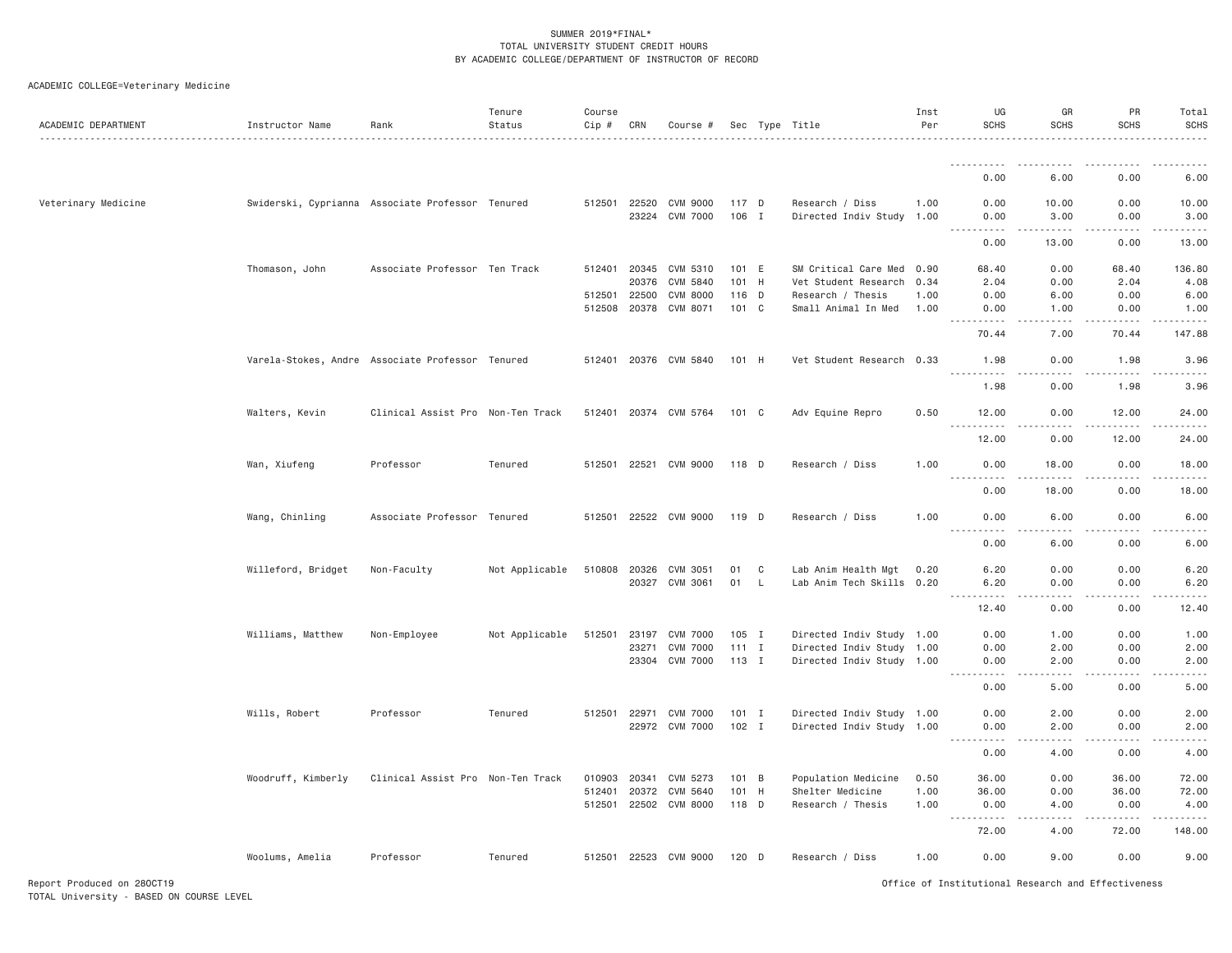| ACADEMIC DEPARTMENT | Instructor Name                                  | Rank                              | Tenure<br>Status | Course<br>$Cip \#$ | CRN          | Course #              |               |     | Sec Type Title            | Inst<br>Per | UG<br><b>SCHS</b>              | GR<br><b>SCHS</b>   | PR<br><b>SCHS</b>                          | Total<br><b>SCHS</b>  |
|---------------------|--------------------------------------------------|-----------------------------------|------------------|--------------------|--------------|-----------------------|---------------|-----|---------------------------|-------------|--------------------------------|---------------------|--------------------------------------------|-----------------------|
|                     |                                                  |                                   |                  |                    |              |                       |               |     |                           |             | .                              |                     |                                            |                       |
|                     |                                                  |                                   |                  |                    |              |                       |               |     |                           |             | 0.00                           | 6.00                | 0.00                                       | 6.00                  |
| Veterinary Medicine | Swiderski, Cyprianna Associate Professor Tenured |                                   |                  |                    | 512501 22520 | CVM 9000              | 117 D         |     | Research / Diss           | 1.00        | 0.00                           | 10.00               | 0.00                                       | 10.00                 |
|                     |                                                  |                                   |                  |                    |              | 23224 CVM 7000        | 106 I         |     | Directed Indiv Study 1.00 |             | 0.00<br>.                      | 3.00<br>.           | 0.00<br>$\sim$ $\sim$ $\sim$ $\sim$ $\sim$ | 3.00<br>------        |
|                     |                                                  |                                   |                  |                    |              |                       |               |     |                           |             | 0.00                           | 13,00               | 0.00                                       | 13.00                 |
|                     | Thomason, John                                   | Associate Professor Ten Track     |                  |                    |              | 512401 20345 CVM 5310 | 101 E         |     | SM Critical Care Med 0.90 |             | 68.40                          | 0.00                | 68.40                                      | 136.80                |
|                     |                                                  |                                   |                  |                    | 20376        | CVM 5840              | 101 H         |     | Vet Student Research 0.34 |             | 2.04                           | 0.00                | 2.04                                       | 4.08                  |
|                     |                                                  |                                   |                  |                    | 512501 22500 | <b>CVM 8000</b>       | 116 D         |     | Research / Thesis         | 1.00        | 0.00                           | 6.00                | 0.00                                       | 6.00                  |
|                     |                                                  |                                   |                  |                    |              | 512508 20378 CVM 8071 | 101 C         |     | Small Animal In Med       | 1.00        | 0.00<br><b><i><u>.</u></i></b> | 1.00<br>.           | 0.00                                       | 1.00<br>$- - - - - -$ |
|                     |                                                  |                                   |                  |                    |              |                       |               |     |                           |             | 70.44                          | 7.00                | 70.44                                      | 147.88                |
|                     | Varela-Stokes, Andre Associate Professor Tenured |                                   |                  |                    |              | 512401 20376 CVM 5840 | 101 H         |     | Vet Student Research 0.33 |             | 1.98<br><u>.</u>               | 0.00                | 1.98                                       | 3.96<br>$- - - - - -$ |
|                     |                                                  |                                   |                  |                    |              |                       |               |     |                           |             | 1.98                           | 0.00                | 1.98                                       | 3.96                  |
|                     | Walters, Kevin                                   | Clinical Assist Pro Non-Ten Track |                  |                    |              | 512401 20374 CVM 5764 | $101 \quad C$ |     | Adv Equine Repro          | 0.50        | 12.00<br><u>.</u>              | 0.00                | 12.00                                      | 24.00                 |
|                     |                                                  |                                   |                  |                    |              |                       |               |     |                           |             | 12.00                          | 0.00                | 12.00                                      | 24.00                 |
|                     | Wan, Xiufeng                                     | Professor                         | Tenured          |                    |              | 512501 22521 CVM 9000 | 118 D         |     | Research / Diss           | 1.00        | 0.00<br>22222                  | 18.00               | 0.00                                       | 18.00<br>.            |
|                     |                                                  |                                   |                  |                    |              |                       |               |     |                           |             | 0.00                           | 18.00               | 0.00                                       | 18.00                 |
|                     | Wang, Chinling                                   | Associate Professor Tenured       |                  |                    |              | 512501 22522 CVM 9000 | 119 D         |     | Research / Diss           | 1.00        | 0.00<br><u>.</u>               | 6.00<br>.           | 0.00<br><u>.</u>                           | 6.00<br>$- - - - -$   |
|                     |                                                  |                                   |                  |                    |              |                       |               |     |                           |             | 0.00                           | 6.00                | 0.00                                       | 6.00                  |
|                     | Willeford, Bridget                               | Non-Faculty                       | Not Applicable   | 510808 20326       |              | CVM 3051              | 01            | C   | Lab Anim Health Mgt       | 0.20        | 6.20                           | 0.00                | 0.00                                       | 6.20                  |
|                     |                                                  |                                   |                  |                    |              | 20327 CVM 3061        | 01            | - L | Lab Anim Tech Skills 0.20 |             | 6.20                           | 0.00                | 0.00                                       | 6.20                  |
|                     |                                                  |                                   |                  |                    |              |                       |               |     |                           |             | .<br>12.40                     | $- - - - -$<br>0.00 | $\omega$ is a set of<br>0.00               | .<br>12.40            |
|                     | Williams, Matthew                                | Non-Employee                      | Not Applicable   | 512501             | 23197        | <b>CVM 7000</b>       | 105 I         |     | Directed Indiv Study 1.00 |             | 0.00                           | 1.00                | 0.00                                       | 1.00                  |
|                     |                                                  |                                   |                  |                    | 23271        | <b>CVM 7000</b>       | $111$ I       |     | Directed Indiv Study 1.00 |             | 0.00                           | 2.00                | 0.00                                       | 2.00                  |
|                     |                                                  |                                   |                  |                    |              | 23304 CVM 7000        | 113 I         |     | Directed Indiv Study 1.00 |             | 0.00<br>.                      | 2.00<br>.           | 0.00<br>.                                  | 2.00<br>$- - - - -$   |
|                     |                                                  |                                   |                  |                    |              |                       |               |     |                           |             | 0.00                           | 5.00                | 0.00                                       | 5.00                  |
|                     | Wills, Robert                                    | Professor                         | Tenured          |                    |              | 512501 22971 CVM 7000 | $101$ I       |     | Directed Indiv Study 1.00 |             | 0.00                           | 2.00                | 0.00                                       | 2.00                  |
|                     |                                                  |                                   |                  |                    |              | 22972 CVM 7000        | 102 I         |     | Directed Indiv Study 1.00 |             | 0.00<br>.                      | 2.00<br>-----       | 0.00<br>-----                              | 2.00<br>.             |
|                     |                                                  |                                   |                  |                    |              |                       |               |     |                           |             | 0.00                           | 4.00                | 0.00                                       | 4.00                  |
|                     | Woodruff, Kimberly                               | Clinical Assist Pro Non-Ten Track |                  | 010903             | 20341        | CVM 5273              | 101 B         |     | Population Medicine       | 0.50        | 36.00                          | 0.00                | 36.00                                      | 72.00                 |
|                     |                                                  |                                   |                  | 512401             | 20372        | CVM 5640              | 101           | H   | Shelter Medicine          | 1.00        | 36.00                          | 0.00                | 36.00                                      | 72.00                 |
|                     |                                                  |                                   |                  |                    |              | 512501 22502 CVM 8000 | 118 D         |     | Research / Thesis         | 1.00        | 0.00<br>$  -$<br>.             | 4.00                | 0.00                                       | 4.00<br>.             |
|                     |                                                  |                                   |                  |                    |              |                       |               |     |                           |             | 72.00                          | 4.00                | 72.00                                      | 148.00                |
|                     | Woolums, Amelia                                  | Professor                         | Tenured          |                    |              | 512501 22523 CVM 9000 | $120$ D       |     | Research / Diss           | 1.00        | 0.00                           | 9.00                | 0.00                                       | 9.00                  |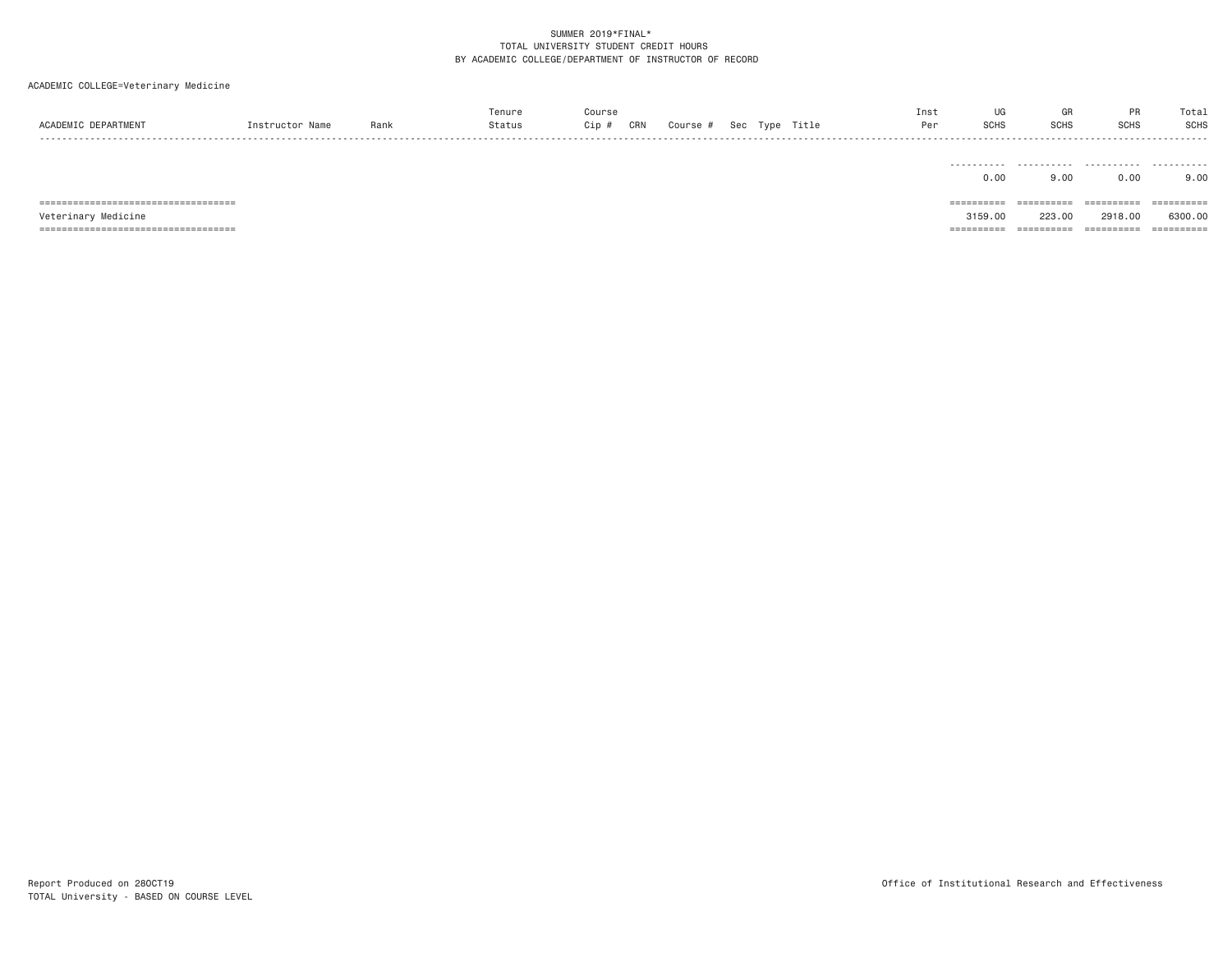# ACADEMIC COLLEGE=Veterinary Medicine

| ACADEMIC DEPARTMENT                                          | Instructor Name | Rank | Tenure<br>Status | Course<br>Cip #<br>CRN | Course # Sec Type Title |  | Inst<br>Per | UG<br><b>SCHS</b>     | GR<br><b>SCHS</b>    | PR<br>SCHS            | Total<br><b>SCHS</b>  |
|--------------------------------------------------------------|-----------------|------|------------------|------------------------|-------------------------|--|-------------|-----------------------|----------------------|-----------------------|-----------------------|
|                                                              |                 |      |                  |                        |                         |  |             | .<br>0.00             | .<br>9,00            | .<br>0.00             | .<br>9.00             |
| =====================================<br>Veterinary Medicine |                 |      |                  |                        |                         |  |             | ==========<br>3159.00 | ==========<br>223,00 | ==========<br>2918,00 | ==========<br>6300.00 |

=================================== ========== ========== ========== ==========